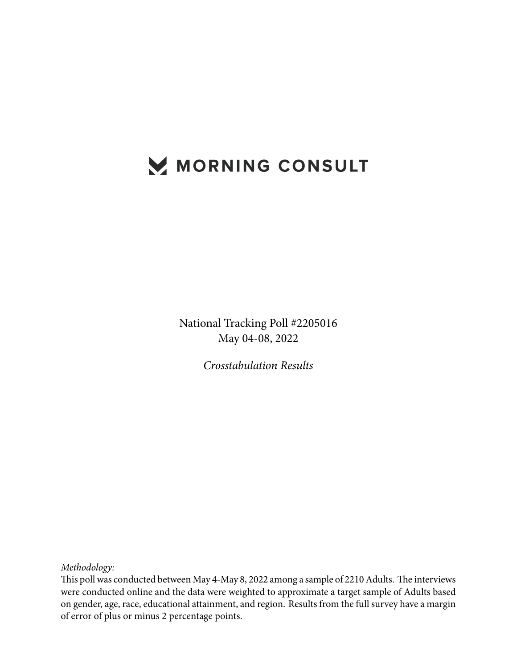## MORNING CONSULT

National Tracking Poll #2205016 May 04-08, 2022

*Crosstabulation Results*

*Methodology:*

This poll was conducted between May 4-May 8, 2022 among a sample of 2210 Adults. The interviews were conducted online and the data were weighted to approximate a target sample of Adults based on gender, age, race, educational attainment, and region. Results from the full survey have a margin of error of plus or minus 2 percentage points.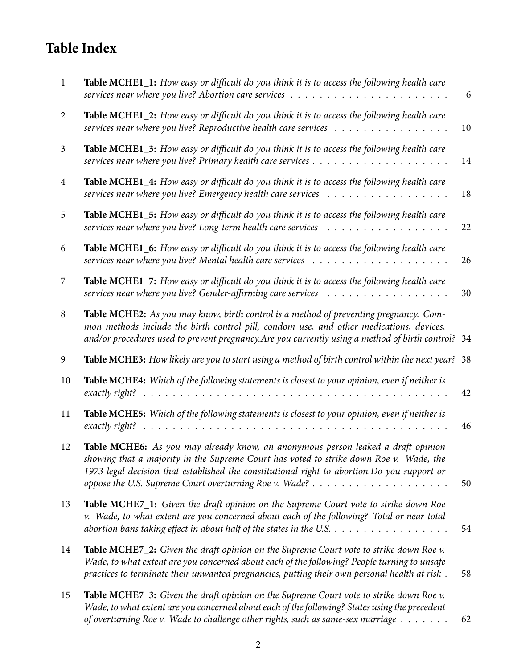## **Table Index**

| $\mathbf{1}$   | Table MCHE1_1: How easy or difficult do you think it is to access the following health care                                                                                                                                                                                                    | 6  |
|----------------|------------------------------------------------------------------------------------------------------------------------------------------------------------------------------------------------------------------------------------------------------------------------------------------------|----|
| 2              | Table MCHE1_2: How easy or difficult do you think it is to access the following health care<br>services near where you live? Reproductive health care services $\ldots \ldots \ldots \ldots \ldots$                                                                                            | 10 |
| $\mathfrak{Z}$ | Table MCHE1_3: How easy or difficult do you think it is to access the following health care                                                                                                                                                                                                    | 14 |
| 4              | Table MCHE1_4: How easy or difficult do you think it is to access the following health care                                                                                                                                                                                                    | 18 |
| 5              | Table MCHE1_5: How easy or difficult do you think it is to access the following health care                                                                                                                                                                                                    | 22 |
| 6              | Table MCHE1_6: How easy or difficult do you think it is to access the following health care                                                                                                                                                                                                    | 26 |
| 7              | Table MCHE1_7: How easy or difficult do you think it is to access the following health care                                                                                                                                                                                                    | 30 |
| 8              | Table MCHE2: As you may know, birth control is a method of preventing pregnancy. Com-<br>mon methods include the birth control pill, condom use, and other medications, devices,<br>and/or procedures used to prevent pregnancy. Are you currently using a method of birth control? 34         |    |
| 9              | Table MCHE3: How likely are you to start using a method of birth control within the next year? 38                                                                                                                                                                                              |    |
| 10             | Table MCHE4: Which of the following statements is closest to your opinion, even if neither is<br>exactly right?                                                                                                                                                                                | 42 |
| 11             | Table MCHE5: Which of the following statements is closest to your opinion, even if neither is                                                                                                                                                                                                  | 46 |
| 12             | Table MCHE6: As you may already know, an anonymous person leaked a draft opinion<br>showing that a majority in the Supreme Court has voted to strike down Roe v. Wade, the<br>1973 legal decision that established the constitutional right to abortion. Do you support or                     | 50 |
| 13             | Table MCHE7_1: Given the draft opinion on the Supreme Court vote to strike down Roe<br>v. Wade, to what extent are you concerned about each of the following? Total or near-total<br>abortion bans taking effect in about half of the states in the U.S. $\dots \dots \dots \dots \dots \dots$ | 54 |
| 14             | Table MCHE7_2: Given the draft opinion on the Supreme Court vote to strike down Roe v.<br>Wade, to what extent are you concerned about each of the following? People turning to unsafe<br>practices to terminate their unwanted pregnancies, putting their own personal health at risk.        | 58 |
| 15             | Table MCHE7_3: Given the draft opinion on the Supreme Court vote to strike down Roe v.<br>Wade, to what extent are you concerned about each of the following? States using the precedent<br>of overturning Roe v. Wade to challenge other rights, such as same-sex marriage                    | 62 |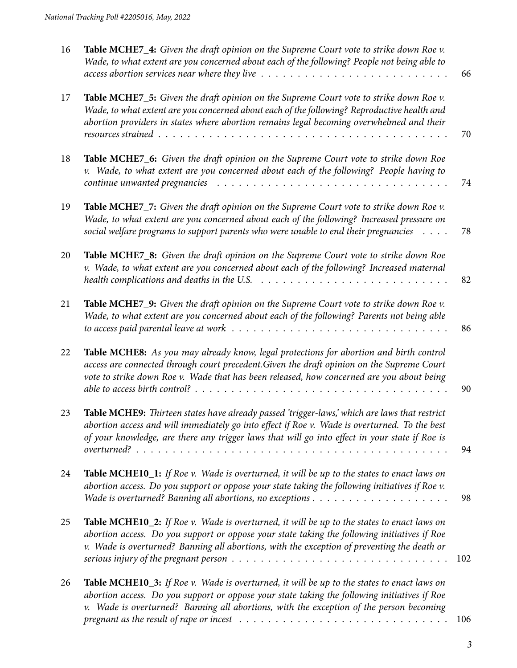| 16 | Table MCHE7_4: Given the draft opinion on the Supreme Court vote to strike down Roe v.<br>Wade, to what extent are you concerned about each of the following? People not being able to<br>access abortion services near where they live $\ldots \ldots \ldots \ldots \ldots \ldots \ldots \ldots \ldots \ldots$ | 66  |
|----|-----------------------------------------------------------------------------------------------------------------------------------------------------------------------------------------------------------------------------------------------------------------------------------------------------------------|-----|
| 17 | Table MCHE7_5: Given the draft opinion on the Supreme Court vote to strike down Roe v.<br>Wade, to what extent are you concerned about each of the following? Reproductive health and<br>abortion providers in states where abortion remains legal becoming overwhelmed and their                               | 70  |
| 18 | Table MCHE7_6: Given the draft opinion on the Supreme Court vote to strike down Roe<br>v. Wade, to what extent are you concerned about each of the following? People having to<br>$\mathit{continue}$ unwanted pregnancies $\dots \dots \dots \dots \dots \dots \dots \dots \dots \dots \dots \dots \dots$      | 74  |
| 19 | Table MCHE7_7: Given the draft opinion on the Supreme Court vote to strike down Roe v.<br>Wade, to what extent are you concerned about each of the following? Increased pressure on<br>social welfare programs to support parents who were unable to end their pregnancies $\dots$ .                            | 78  |
| 20 | Table MCHE7_8: Given the draft opinion on the Supreme Court vote to strike down Roe<br>v. Wade, to what extent are you concerned about each of the following? Increased maternal<br>health complications and deaths in the U.S. $\ldots \ldots \ldots \ldots \ldots \ldots \ldots \ldots \ldots$                | 82  |
| 21 | Table MCHE7_9: Given the draft opinion on the Supreme Court vote to strike down Roe v.<br>Wade, to what extent are you concerned about each of the following? Parents not being able                                                                                                                            | 86  |
| 22 | Table MCHE8: As you may already know, legal protections for abortion and birth control<br>access are connected through court precedent. Given the draft opinion on the Supreme Court<br>vote to strike down Roe v. Wade that has been released, how concerned are you about being                               | 90  |
| 23 | Table MCHE9: Thirteen states have already passed 'trigger-laws,' which are laws that restrict<br>abortion access and will immediately go into effect if Roe v. Wade is overturned. To the best<br>of your knowledge, are there any trigger laws that will go into effect in your state if Roe is                | 94  |
| 24 | Table MCHE10_1: If Roe v. Wade is overturned, it will be up to the states to enact laws on<br>abortion access. Do you support or oppose your state taking the following initiatives if Roe v.                                                                                                                   | 98  |
| 25 | Table MCHE10_2: If Roe v. Wade is overturned, it will be up to the states to enact laws on<br>abortion access. Do you support or oppose your state taking the following initiatives if Roe<br>v. Wade is overturned? Banning all abortions, with the exception of preventing the death or                       | 102 |
| 26 | Table MCHE10_3: If Roe v. Wade is overturned, it will be up to the states to enact laws on<br>abortion access. Do you support or oppose your state taking the following initiatives if Roe<br>v. Wade is overturned? Banning all abortions, with the exception of the person becoming                           | 106 |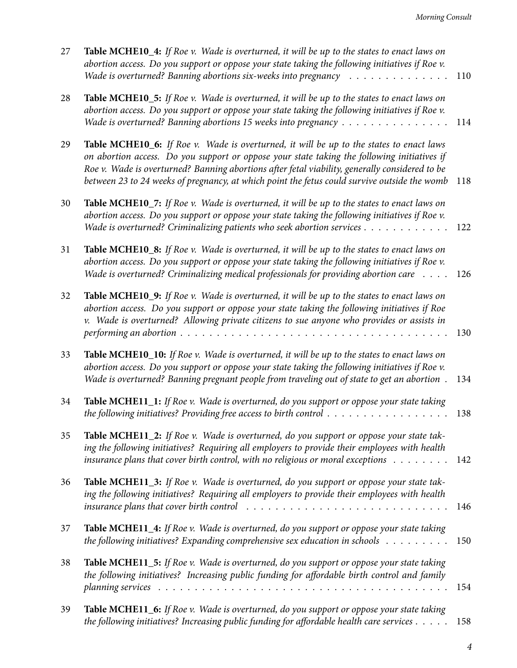| 27 | Table MCHE10_4: If Roe v. Wade is overturned, it will be up to the states to enact laws on<br>abortion access. Do you support or oppose your state taking the following initiatives if Roe v.<br>Wade is overturned? Banning abortions six-weeks into pregnancy                                                                                                                          | 110 |
|----|------------------------------------------------------------------------------------------------------------------------------------------------------------------------------------------------------------------------------------------------------------------------------------------------------------------------------------------------------------------------------------------|-----|
| 28 | Table MCHE10_5: If Roe v. Wade is overturned, it will be up to the states to enact laws on<br>abortion access. Do you support or oppose your state taking the following initiatives if Roe v.<br>Wade is overturned? Banning abortions 15 weeks into pregnancy                                                                                                                           | 114 |
| 29 | Table MCHE10_6: If Roe v. Wade is overturned, it will be up to the states to enact laws<br>on abortion access. Do you support or oppose your state taking the following initiatives if<br>Roe v. Wade is overturned? Banning abortions after fetal viability, generally considered to be<br>between 23 to 24 weeks of pregnancy, at which point the fetus could survive outside the womb | 118 |
| 30 | Table MCHE10_7: If Roe v. Wade is overturned, it will be up to the states to enact laws on<br>abortion access. Do you support or oppose your state taking the following initiatives if Roe v.<br>Wade is overturned? Criminalizing patients who seek abortion services                                                                                                                   | 122 |
| 31 | Table MCHE10_8: If Roe v. Wade is overturned, it will be up to the states to enact laws on<br>abortion access. Do you support or oppose your state taking the following initiatives if Roe v.<br>Wade is overturned? Criminalizing medical professionals for providing abortion care                                                                                                     | 126 |
| 32 | Table MCHE10_9: If Roe v. Wade is overturned, it will be up to the states to enact laws on<br>abortion access. Do you support or oppose your state taking the following initiatives if Roe<br>v. Wade is overturned? Allowing private citizens to sue anyone who provides or assists in                                                                                                  | 130 |
| 33 | Table MCHE10_10: If Roe v. Wade is overturned, it will be up to the states to enact laws on<br>abortion access. Do you support or oppose your state taking the following initiatives if Roe v.<br>Wade is overturned? Banning pregnant people from traveling out of state to get an abortion.                                                                                            | 134 |
| 34 | Table MCHE11_1: If Roe v. Wade is overturned, do you support or oppose your state taking<br>the following initiatives? Providing free access to birth control $\dots \dots \dots \dots \dots \dots$                                                                                                                                                                                      | 138 |
| 35 | Table MCHE11_2: If Roe v. Wade is overturned, do you support or oppose your state tak-<br>ing the following initiatives? Requiring all employers to provide their employees with health<br>insurance plans that cover birth control, with no religious or moral exceptions $\dots \dots$                                                                                                 | 142 |
| 36 | Table MCHE11_3: If Roe v. Wade is overturned, do you support or oppose your state tak-<br>ing the following initiatives? Requiring all employers to provide their employees with health<br><i>insurance plans that cover birth control</i> $\ldots \ldots \ldots \ldots \ldots \ldots \ldots \ldots \ldots \ldots$                                                                       | 146 |
| 37 | Table MCHE11_4: If Roe v. Wade is overturned, do you support or oppose your state taking<br>the following initiatives? Expanding comprehensive sex education in schools $\dots \dots \dots$                                                                                                                                                                                              | 150 |
| 38 | Table MCHE11_5: If Roe v. Wade is overturned, do you support or oppose your state taking<br>the following initiatives? Increasing public funding for affordable birth control and family                                                                                                                                                                                                 | 154 |
| 39 | Table MCHE11_6: If Roe v. Wade is overturned, do you support or oppose your state taking<br>the following initiatives? Increasing public funding for affordable health care services                                                                                                                                                                                                     | 158 |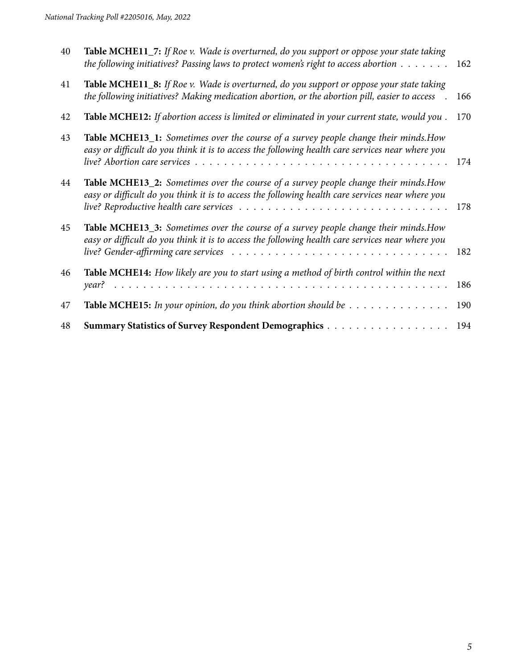| 40 | Table MCHE11_7: If Roe v. Wade is overturned, do you support or oppose your state taking<br>the following initiatives? Passing laws to protect women's right to access abortion $\dots \dots$ | 162 |
|----|-----------------------------------------------------------------------------------------------------------------------------------------------------------------------------------------------|-----|
| 41 | Table MCHE11_8: If Roe v. Wade is overturned, do you support or oppose your state taking<br>the following initiatives? Making medication abortion, or the abortion pill, easier to access     | 166 |
| 42 | Table MCHE12: If abortion access is limited or eliminated in your current state, would you.                                                                                                   | 170 |
| 43 | Table MCHE13_1: Sometimes over the course of a survey people change their minds. How<br>easy or difficult do you think it is to access the following health care services near where you      | 174 |
| 44 | Table MCHE13_2: Sometimes over the course of a survey people change their minds. How<br>easy or difficult do you think it is to access the following health care services near where you      | 178 |
| 45 | Table MCHE13_3: Sometimes over the course of a survey people change their minds. How<br>easy or difficult do you think it is to access the following health care services near where you      | 182 |
| 46 | Table MCHE14: How likely are you to start using a method of birth control within the next                                                                                                     | 186 |
| 47 | <b>Table MCHE15:</b> In your opinion, do you think abortion should be $\dots \dots \dots \dots \dots$                                                                                         | 190 |
| 48 | Summary Statistics of Survey Respondent Demographics                                                                                                                                          | 194 |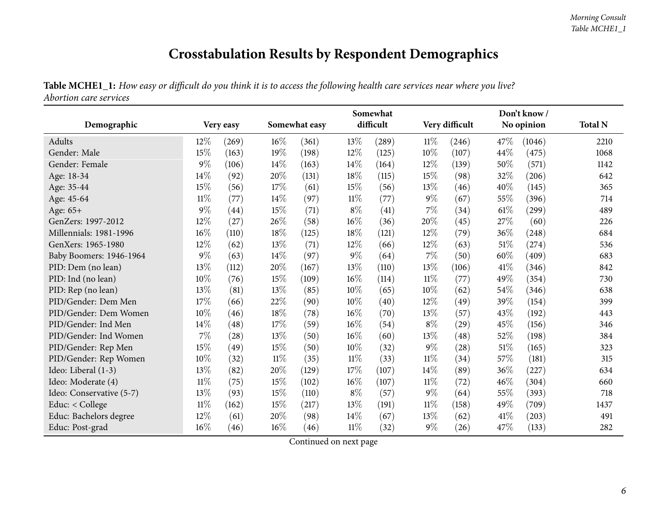## **Crosstabulation Results by Respondent Demographics**

Table MCHE1\_1: How easy or difficult do you think it is to access the following health care services near where you live? *Abortion care services*

<span id="page-5-0"></span>

|                          | Don't know / |           |        |               |        |           |        |                    |      |            |                |
|--------------------------|--------------|-----------|--------|---------------|--------|-----------|--------|--------------------|------|------------|----------------|
| Demographic              |              | Very easy |        | Somewhat easy |        | difficult |        | Very difficult     |      | No opinion | <b>Total N</b> |
| Adults                   | 12%          | (269)     | 16%    | (361)         | 13%    | (289)     | $11\%$ | (246)              | 47%  | (1046)     | 2210           |
| Gender: Male             | 15%          | (163)     | 19%    | (198)         | 12%    | (125)     | 10%    | (107)              | 44\% | (475)      | 1068           |
| Gender: Female           | $9\%$        | (106)     | $14\%$ | (163)         | $14\%$ | (164)     | 12%    | (139)              | 50%  | (571)      | 1142           |
| Age: 18-34               | 14%          | (92)      | 20%    | (131)         | 18%    | (115)     | 15%    | (98)               | 32%  | (206)      | 642            |
| Age: 35-44               | 15%          | (56)      | $17\%$ | (61)          | 15\%   | (56)      | 13%    | (46)               | 40%  | (145)      | 365            |
| Age: 45-64               | $11\%$       | (77)      | $14\%$ | (97)          | $11\%$ | (77)      | $9\%$  | (67)               | 55%  | (396)      | 714            |
| Age: 65+                 | $9\%$        | (44)      | 15%    | (71)          | $8\%$  | (41)      | 7%     | (34)               | 61%  | (299)      | 489            |
| GenZers: 1997-2012       | 12%          | (27)      | 26%    | (58)          | $16\%$ | (36)      | 20%    | (45)               | 27%  | (60)       | 226            |
| Millennials: 1981-1996   | 16%          | (110)     | 18%    | (125)         | 18%    | (121)     | 12%    | (79)               | 36%  | (248)      | 684            |
| GenXers: 1965-1980       | 12%          | (62)      | 13%    | (71)          | 12%    | (66)      | 12%    | (63)               | 51%  | (274)      | 536            |
| Baby Boomers: 1946-1964  | $9\%$        | (63)      | $14\%$ | (97)          | $9\%$  | (64)      | $7\%$  | (50)               | 60%  | (409)      | 683            |
| PID: Dem (no lean)       | 13%          | (112)     | 20%    | (167)         | 13%    | (110)     | 13%    | (106)              | 41\% | (346)      | 842            |
| PID: Ind (no lean)       | 10%          | (76)      | 15%    | (109)         | $16\%$ | (114)     | $11\%$ | (77)               | 49%  | (354)      | 730            |
| PID: Rep (no lean)       | 13%          | (81)      | 13%    | (85)          | $10\%$ | (65)      | 10%    | (62)               | 54%  | (346)      | 638            |
| PID/Gender: Dem Men      | 17%          | (66)      | 22%    | (90)          | 10%    | (40)      | 12%    | (49)               | 39%  | (154)      | 399            |
| PID/Gender: Dem Women    | 10%          | (46)      | $18\%$ | (78)          | 16%    | (70)      | 13%    | (57)               | 43%  | (192)      | 443            |
| PID/Gender: Ind Men      | 14%          | (48)      | 17%    | (59)          | $16\%$ | (54)      | $8\%$  | (29)               | 45%  | (156)      | 346            |
| PID/Gender: Ind Women    | 7%           | (28)      | $13\%$ | (50)          | $16\%$ | (60)      | 13%    | (48)               | 52%  | (198)      | 384            |
| PID/Gender: Rep Men      | 15%          | (49)      | 15%    | (50)          | $10\%$ | (32)      | $9\%$  | $\left( 28\right)$ | 51%  | (165)      | 323            |
| PID/Gender: Rep Women    | 10%          | (32)      | $11\%$ | (35)          | $11\%$ | (33)      | $11\%$ | (34)               | 57%  | (181)      | 315            |
| Ideo: Liberal (1-3)      | 13%          | (82)      | 20%    | (129)         | 17%    | (107)     | 14%    | (89)               | 36%  | (227)      | 634            |
| Ideo: Moderate (4)       | $11\%$       | (75)      | $15\%$ | (102)         | $16\%$ | (107)     | $11\%$ | (72)               | 46%  | (304)      | 660            |
| Ideo: Conservative (5-7) | 13%          | (93)      | 15%    | (110)         | $8\%$  | (57)      | $9\%$  | (64)               | 55%  | (393)      | 718            |
| Educ: < College          | $11\%$       | (162)     | $15\%$ | (217)         | 13%    | (191)     | $11\%$ | (158)              | 49%  | (709)      | 1437           |
| Educ: Bachelors degree   | 12%          | (61)      | 20%    | (98)          | $14\%$ | (67)      | 13%    | (62)               | 41\% | (203)      | 491            |
| Educ: Post-grad          | 16%          | (46)      | $16\%$ | (46)          | $11\%$ | (32)      | $9\%$  | (26)               | 47\% | (133)      | 282            |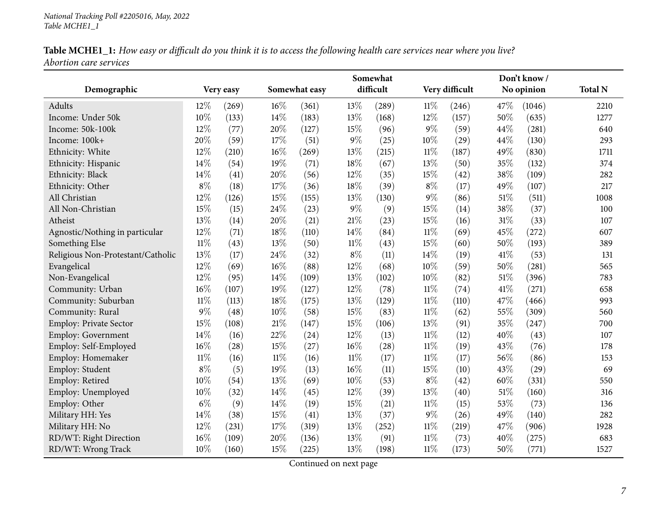| Table MCHE1_1: How easy or difficult do you think it is to access the following health care services near where you live? |  |
|---------------------------------------------------------------------------------------------------------------------------|--|
| <i><b>Abortion care services</b></i>                                                                                      |  |

| Somewhat                          |        |           |        |               |        |           |        | Don't know /   |        |            |                |  |  |  |
|-----------------------------------|--------|-----------|--------|---------------|--------|-----------|--------|----------------|--------|------------|----------------|--|--|--|
| Demographic                       |        | Very easy |        | Somewhat easy |        | difficult |        | Very difficult |        | No opinion | <b>Total N</b> |  |  |  |
| Adults                            | 12%    | (269)     | 16%    | (361)         | 13%    | (289)     | 11%    | (246)          | 47\%   | (1046)     | 2210           |  |  |  |
| Income: Under 50k                 | 10%    | (133)     | 14%    | (183)         | 13%    | (168)     | 12%    | (157)          | 50%    | (635)      | 1277           |  |  |  |
| Income: 50k-100k                  | 12%    | (77)      | 20%    | (127)         | 15%    | (96)      | $9\%$  | (59)           | 44%    | (281)      | 640            |  |  |  |
| Income: 100k+                     | 20%    | (59)      | 17%    | (51)          | $9\%$  | (25)      | 10%    | (29)           | 44%    | (130)      | 293            |  |  |  |
| Ethnicity: White                  | 12%    | (210)     | 16%    | (269)         | 13%    | (215)     | 11%    | (187)          | 49%    | (830)      | 1711           |  |  |  |
| Ethnicity: Hispanic               | 14%    | (54)      | 19%    | (71)          | 18%    | (67)      | 13%    | (50)           | 35%    | (132)      | 374            |  |  |  |
| Ethnicity: Black                  | 14%    | (41)      | 20%    | (56)          | 12%    | (35)      | 15%    | (42)           | 38%    | (109)      | 282            |  |  |  |
| Ethnicity: Other                  | $8\%$  | (18)      | 17%    | (36)          | 18%    | (39)      | $8\%$  | (17)           | 49%    | (107)      | 217            |  |  |  |
| All Christian                     | 12%    | (126)     | $15\%$ | (155)         | $13\%$ | (130)     | $9\%$  | (86)           | 51%    | (511)      | 1008           |  |  |  |
| All Non-Christian                 | 15%    | (15)      | 24%    | (23)          | 9%     | (9)       | 15%    | (14)           | 38%    | (37)       | 100            |  |  |  |
| Atheist                           | 13%    | (14)      | 20%    | (21)          | 21%    | (23)      | 15%    | (16)           | 31%    | (33)       | 107            |  |  |  |
| Agnostic/Nothing in particular    | 12%    | (71)      | 18%    | (110)         | 14%    | (84)      | $11\%$ | (69)           | 45%    | (272)      | 607            |  |  |  |
| Something Else                    | $11\%$ | (43)      | 13%    | (50)          | $11\%$ | (43)      | 15%    | (60)           | 50%    | (193)      | 389            |  |  |  |
| Religious Non-Protestant/Catholic | 13%    | (17)      | 24%    | (32)          | $8\%$  | (11)      | 14%    | (19)           | 41\%   | (53)       | 131            |  |  |  |
| Evangelical                       | 12%    | (69)      | 16%    | (88)          | 12%    | (68)      | 10%    | (59)           | 50%    | (281)      | 565            |  |  |  |
| Non-Evangelical                   | 12%    | (95)      | 14%    | (109)         | 13%    | (102)     | 10%    | (82)           | $51\%$ | (396)      | 783            |  |  |  |
| Community: Urban                  | 16%    | (107)     | 19%    | (127)         | 12%    | (78)      | $11\%$ | (74)           | 41\%   | (271)      | 658            |  |  |  |
| Community: Suburban               | $11\%$ | (113)     | 18%    | (175)         | 13%    | (129)     | $11\%$ | (110)          | 47%    | (466)      | 993            |  |  |  |
| Community: Rural                  | $9\%$  | (48)      | 10%    | (58)          | 15%    | (83)      | $11\%$ | (62)           | 55%    | (309)      | 560            |  |  |  |
| Employ: Private Sector            | 15%    | (108)     | 21%    | (147)         | 15%    | (106)     | 13%    | (91)           | 35%    | (247)      | 700            |  |  |  |
| Employ: Government                | 14%    | (16)      | 22%    | (24)          | 12%    | (13)      | $11\%$ | (12)           | 40%    | (43)       | 107            |  |  |  |
| Employ: Self-Employed             | 16%    | (28)      | 15%    | (27)          | 16%    | (28)      | $11\%$ | (19)           | 43%    | (76)       | 178            |  |  |  |
| Employ: Homemaker                 | $11\%$ | (16)      | $11\%$ | (16)          | $11\%$ | (17)      | $11\%$ | (17)           | 56%    | (86)       | 153            |  |  |  |
| Employ: Student                   | $8\%$  | (5)       | 19%    | (13)          | 16%    | (11)      | 15%    | (10)           | 43%    | (29)       | 69             |  |  |  |
| Employ: Retired                   | 10%    | (54)      | 13%    | (69)          | 10%    | (53)      | $8\%$  | (42)           | 60%    | (331)      | 550            |  |  |  |
| Employ: Unemployed                | 10%    | (32)      | 14%    | (45)          | 12%    | (39)      | 13%    | (40)           | 51%    | (160)      | 316            |  |  |  |
| Employ: Other                     | $6\%$  | (9)       | 14%    | (19)          | 15%    | (21)      | $11\%$ | (15)           | 53%    | (73)       | 136            |  |  |  |
| Military HH: Yes                  | 14%    | (38)      | 15%    | (41)          | 13%    | (37)      | $9\%$  | (26)           | 49%    | (140)      | 282            |  |  |  |
| Military HH: No                   | 12%    | (231)     | 17%    | (319)         | 13%    | (252)     | 11%    | (219)          | 47%    | (906)      | 1928           |  |  |  |
| RD/WT: Right Direction            | 16%    | (109)     | 20%    | (136)         | 13%    | (91)      | $11\%$ | (73)           | 40%    | (275)      | 683            |  |  |  |
| RD/WT: Wrong Track                | 10%    | (160)     | 15%    | (225)         | 13%    | (198)     | $11\%$ | (173)          | 50%    | (771)      | 1527           |  |  |  |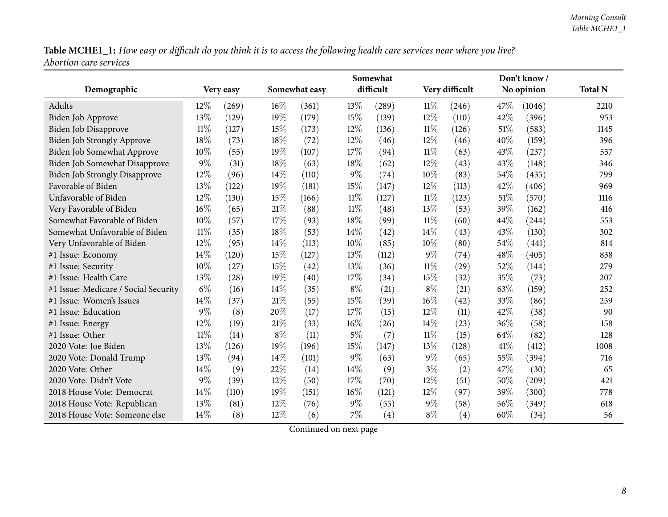|                                      |           |       |               |       |           | Somewhat |                |       |            | Don't know/ |                |
|--------------------------------------|-----------|-------|---------------|-------|-----------|----------|----------------|-------|------------|-------------|----------------|
| Demographic                          | Very easy |       | Somewhat easy |       | difficult |          | Very difficult |       | No opinion |             | <b>Total N</b> |
| Adults                               | $12\%$    | (269) | 16%           | (361) | 13%       | (289)    | 11%            | (246) | 47\%       | (1046)      | 2210           |
| <b>Biden Job Approve</b>             | 13%       | (129) | 19%           | (179) | 15%       | (139)    | 12%            | (110) | 42%        | (396)       | 953            |
| <b>Biden Job Disapprove</b>          | $11\%$    | (127) | 15%           | (173) | 12%       | (136)    | $11\%$         | (126) | 51\%       | (583)       | 1145           |
| Biden Job Strongly Approve           | 18%       | (73)  | 18%           | (72)  | 12%       | (46)     | 12%            | (46)  | 40%        | (159)       | 396            |
| Biden Job Somewhat Approve           | 10%       | (55)  | 19%           | (107) | 17%       | (94)     | 11%            | (63)  | 43\%       | (237)       | 557            |
| Biden Job Somewhat Disapprove        | 9%        | (31)  | 18%           | (63)  | 18%       | (62)     | 12%            | (43)  | 43%        | (148)       | 346            |
| <b>Biden Job Strongly Disapprove</b> | 12%       | (96)  | 14%           | (110) | $9\%$     | (74)     | 10%            | (83)  | 54%        | (435)       | 799            |
| Favorable of Biden                   | 13%       | (122) | 19%           | (181) | 15%       | (147)    | 12%            | (113) | 42%        | (406)       | 969            |
| Unfavorable of Biden                 | 12%       | (130) | 15%           | (166) | $11\%$    | (127)    | $11\%$         | (123) | 51%        | (570)       | 1116           |
| Very Favorable of Biden              | 16%       | (65)  | $21\%$        | (88)  | 11%       | (48)     | 13\%           | (53)  | 39%        | (162)       | 416            |
| Somewhat Favorable of Biden          | 10%       | (57)  | 17%           | (93)  | 18%       | (99)     | $11\%$         | (60)  | 44%        | (244)       | 553            |
| Somewhat Unfavorable of Biden        | $11\%$    | (35)  | 18%           | (53)  | 14%       | (42)     | 14%            | (43)  | 43%        | (130)       | 302            |
| Very Unfavorable of Biden            | 12%       | (95)  | 14%           | (113) | 10%       | (85)     | 10%            | (80)  | 54%        | (441)       | 814            |
| #1 Issue: Economy                    | 14\%      | (120) | 15%           | (127) | 13%       | (112)    | 9%             | (74)  | 48%        | (405)       | 838            |
| #1 Issue: Security                   | 10%       | (27)  | 15%           | (42)  | 13%       | (36)     | $11\%$         | (29)  | 52%        | (144)       | 279            |
| #1 Issue: Health Care                | 13%       | (28)  | 19%           | (40)  | 17%       | (34)     | 15%            | (32)  | 35%        | (73)        | 207            |
| #1 Issue: Medicare / Social Security | $6\%$     | (16)  | 14%           | (35)  | $8\%$     | (21)     | $8\%$          | (21)  | 63%        | (159)       | 252            |
| #1 Issue: Women's Issues             | 14%       | (37)  | $21\%$        | (55)  | 15%       | (39)     | 16%            | (42)  | 33%        | (86)        | 259            |
| #1 Issue: Education                  | $9\%$     | (8)   | 20%           | (17)  | 17%       | (15)     | 12%            | (11)  | 42%        | (38)        | 90             |
| #1 Issue: Energy                     | $12\%$    | (19)  | $21\%$        | (33)  | 16%       | (26)     | 14%            | (23)  | 36%        | (58)        | 158            |
| #1 Issue: Other                      | $11\%$    | (14)  | $8\%$         | (11)  | $5\%$     | (7)      | $11\%$         | (15)  | 64%        | (82)        | 128            |
| 2020 Vote: Joe Biden                 | 13%       | (126) | 19%           | (196) | 15%       | (147)    | 13%            | (128) | 41%        | (412)       | 1008           |
| 2020 Vote: Donald Trump              | 13%       | (94)  | 14%           | (101) | $9\%$     | (63)     | $9\%$          | (65)  | 55%        | (394)       | 716            |
| 2020 Vote: Other                     | 14%       | (9)   | 22%           | (14)  | 14%       | (9)      | $3\%$          | (2)   | 47%        | (30)        | 65             |
| 2020 Vote: Didn't Vote               | 9%        | (39)  | 12%           | (50)  | 17%       | (70)     | 12%            | (51)  | 50%        | (209)       | 421            |
| 2018 House Vote: Democrat            | 14%       | (110) | 19%           | (151) | 16%       | (121)    | 12%            | (97)  | 39%        | (300)       | 778            |
| 2018 House Vote: Republican          | 13%       | (81)  | 12%           | (76)  | $9\%$     | (55)     | $9\%$          | (58)  | 56%        | (349)       | 618            |
| 2018 House Vote: Someone else        | 14\%      | (8)   | 12%           | (6)   | $7\%$     | (4)      | $8\%$          | (4)   | 60%        | (34)        | 56             |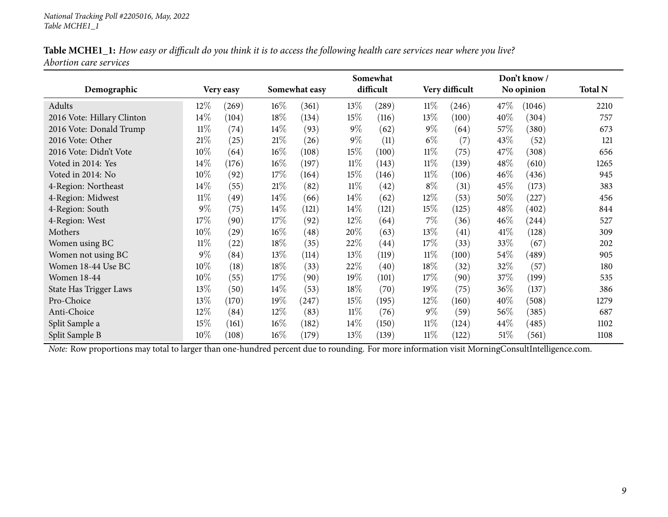| Table MCHE1_1: How easy or difficult do you think it is to access the following health care services near where you live? |  |
|---------------------------------------------------------------------------------------------------------------------------|--|
| Abortion care services                                                                                                    |  |

|                            | Somewhat |                    |        |                    |        |           | Don't know/ |                |        |            |                |  |
|----------------------------|----------|--------------------|--------|--------------------|--------|-----------|-------------|----------------|--------|------------|----------------|--|
| Demographic                |          | Very easy          |        | Somewhat easy      |        | difficult |             | Very difficult |        | No opinion | <b>Total N</b> |  |
| Adults                     | $12\%$   | (269)              | $16\%$ | (361)              | 13\%   | (289)     | $11\%$      | (246)          | 47\%   | (1046)     | 2210           |  |
| 2016 Vote: Hillary Clinton | $14\%$   | (104)              | 18%    | (134)              | 15\%   | (116)     | 13%         | (100)          | 40%    | (304)      | 757            |  |
| 2016 Vote: Donald Trump    | $11\%$   | (74)               | $14\%$ | (93)               | $9\%$  | (62)      | $9\%$       | (64)           | 57\%   | (380)      | 673            |  |
| 2016 Vote: Other           | 21%      | (25)               | $21\%$ | (26)               | $9\%$  | (11)      | $6\%$       | (7)            | 43\%   | (52)       | 121            |  |
| 2016 Vote: Didn't Vote     | 10%      | (64)               | $16\%$ | (108)              | 15\%   | (100)     | $11\%$      | (75)           | 47\%   | (308)      | 656            |  |
| Voted in 2014: Yes         | $14\%$   | (176)              | $16\%$ | (197)              | $11\%$ | (143)     | $11\%$      | (139)          | $48\%$ | (610)      | 1265           |  |
| Voted in 2014: No          | $10\%$   | (92)               | 17%    | (164)              | 15\%   | (146)     | $11\%$      | (106)          | 46\%   | (436)      | 945            |  |
| 4-Region: Northeast        | $14\%$   | (55)               | $21\%$ | (82)               | $11\%$ | (42)      | $8\%$       | (31)           | 45\%   | (173)      | 383            |  |
| 4-Region: Midwest          | $11\%$   | (49)               | $14\%$ | (66)               | $14\%$ | (62)      | 12%         | (53)           | 50%    | (227)      | 456            |  |
| 4-Region: South            | $9\%$    | (75)               | 14\%   | (121)              | 14\%   | (121)     | 15%         | (125)          | $48\%$ | (402)      | 844            |  |
| 4-Region: West             | 17%      | (90)               | 17%    | (92)               | $12\%$ | (64)      | $7\%$       | (36)           | $46\%$ | (244)      | 527            |  |
| Mothers                    | 10%      | $\left( 29\right)$ | $16\%$ | $\left( 48\right)$ | 20%    | (63)      | 13%         | (41)           | 41\%   | (128)      | 309            |  |
| Women using BC             | $11\%$   | (22)               | $18\%$ | (35)               | 22%    | (44)      | 17%         | (33)           | 33\%   | (67)       | 202            |  |
| Women not using BC         | $9\%$    | (84)               | 13\%   | (114)              | 13\%   | (119)     | $11\%$      | (100)          | 54\%   | (489)      | 905            |  |
| Women 18-44 Use BC         | 10%      | (18)               | 18%    | (33)               | 22%    | (40)      | 18%         | (32)           | 32%    | (57)       | 180            |  |
| <b>Women 18-44</b>         | 10%      | (55)               | 17%    | (90)               | 19%    | (101)     | 17%         | (90)           | 37\%   | (199)      | 535            |  |
| State Has Trigger Laws     | 13\%     | (50)               | $14\%$ | (53)               | 18\%   | (70)      | $19\%$      | (75)           | $36\%$ | (137)      | 386            |  |
| Pro-Choice                 | 13\%     | (170)              | $19\%$ | (247)              | 15\%   | (195)     | 12%         | (160)          | 40%    | (508)      | 1279           |  |
| Anti-Choice                | $12\%$   | (84)               | 12%    | (83)               | $11\%$ | (76)      | $9\%$       | (59)           | 56\%   | (385)      | 687            |  |
| Split Sample a             | 15%      | (161)              | $16\%$ | (182)              | 14\%   | (150)     | $11\%$      | (124)          | 44\%   | (485)      | 1102           |  |
| Split Sample B             | $10\%$   | (108)              | $16\%$ | (179)              | 13\%   | (139)     | $11\%$      | (122)          | $51\%$ | (561)      | 1108           |  |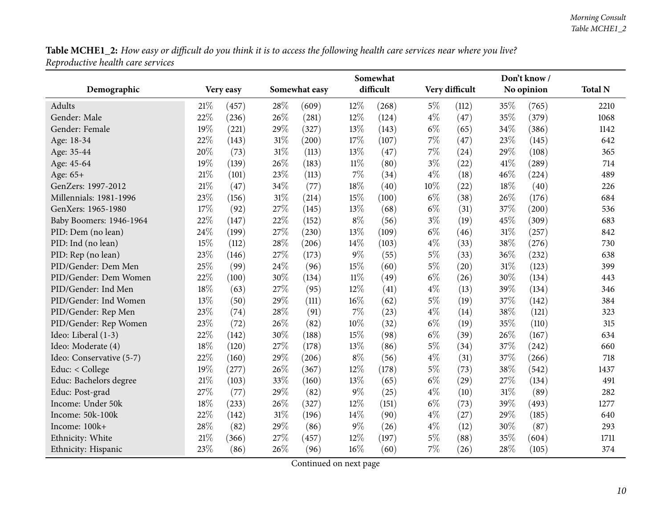<span id="page-9-0"></span>

|                          |     |           |        |               |        | Somewhat  |       |                |            | Don't know/ |                |
|--------------------------|-----|-----------|--------|---------------|--------|-----------|-------|----------------|------------|-------------|----------------|
| Demographic              |     | Very easy |        | Somewhat easy |        | difficult |       | Very difficult | No opinion |             | <b>Total N</b> |
| Adults                   | 21% | (457)     | 28%    | (609)         | 12%    | (268)     | $5\%$ | (112)          | 35%        | (765)       | 2210           |
| Gender: Male             | 22% | (236)     | 26%    | (281)         | 12%    | (124)     | $4\%$ | (47)           | 35%        | (379)       | 1068           |
| Gender: Female           | 19% | (221)     | 29%    | (327)         | 13%    | (143)     | $6\%$ | (65)           | 34%        | (386)       | 1142           |
| Age: 18-34               | 22% | (143)     | 31%    | (200)         | 17%    | (107)     | 7%    | (47)           | 23%        | (145)       | 642            |
| Age: 35-44               | 20% | (73)      | $31\%$ | (113)         | 13%    | (47)      | 7%    | (24)           | 29%        | (108)       | 365            |
| Age: 45-64               | 19% | (139)     | 26%    | (183)         | $11\%$ | (80)      | $3\%$ | (22)           | 41%        | (289)       | 714            |
| Age: 65+                 | 21% | (101)     | 23%    | (113)         | 7%     | (34)      | $4\%$ | (18)           | 46%        | (224)       | 489            |
| GenZers: 1997-2012       | 21% | (47)      | 34%    | (77)          | 18%    | (40)      | 10%   | (22)           | 18%        | (40)        | 226            |
| Millennials: 1981-1996   | 23% | (156)     | $31\%$ | (214)         | 15%    | (100)     | $6\%$ | (38)           | 26%        | (176)       | 684            |
| GenXers: 1965-1980       | 17% | (92)      | 27%    | (145)         | 13%    | (68)      | $6\%$ | (31)           | 37%        | (200)       | 536            |
| Baby Boomers: 1946-1964  | 22% | (147)     | 22%    | (152)         | $8\%$  | (56)      | $3\%$ | (19)           | 45%        | (309)       | 683            |
| PID: Dem (no lean)       | 24% | (199)     | 27%    | (230)         | 13%    | (109)     | $6\%$ | (46)           | 31%        | (257)       | 842            |
| PID: Ind (no lean)       | 15% | (112)     | 28\%   | (206)         | 14%    | (103)     | $4\%$ | (33)           | 38%        | (276)       | 730            |
| PID: Rep (no lean)       | 23% | (146)     | 27%    | (173)         | 9%     | (55)      | $5\%$ | (33)           | 36%        | (232)       | 638            |
| PID/Gender: Dem Men      | 25% | (99)      | 24%    | (96)          | 15%    | (60)      | $5\%$ | (20)           | 31%        | (123)       | 399            |
| PID/Gender: Dem Women    | 22% | (100)     | 30%    | (134)         | $11\%$ | (49)      | $6\%$ | (26)           | 30%        | (134)       | 443            |
| PID/Gender: Ind Men      | 18% | (63)      | 27%    | (95)          | 12%    | (41)      | $4\%$ | (13)           | 39%        | (134)       | 346            |
| PID/Gender: Ind Women    | 13% | (50)      | 29%    | (111)         | $16\%$ | (62)      | $5\%$ | (19)           | 37%        | (142)       | 384            |
| PID/Gender: Rep Men      | 23% | (74)      | 28%    | (91)          | 7%     | (23)      | $4\%$ | (14)           | 38%        | (121)       | 323            |
| PID/Gender: Rep Women    | 23% | (72)      | 26%    | (82)          | 10%    | (32)      | $6\%$ | (19)           | 35%        | (110)       | 315            |
| Ideo: Liberal (1-3)      | 22% | (142)     | 30%    | (188)         | 15%    | (98)      | $6\%$ | (39)           | 26%        | (167)       | 634            |
| Ideo: Moderate (4)       | 18% | (120)     | 27%    | (178)         | 13%    | (86)      | $5\%$ | (34)           | 37%        | (242)       | 660            |
| Ideo: Conservative (5-7) | 22% | (160)     | 29%    | (206)         | $8\%$  | (56)      | $4\%$ | (31)           | 37%        | (266)       | 718            |
| Educ: < College          | 19% | (277)     | 26%    | (367)         | 12%    | (178)     | $5\%$ | (73)           | 38%        | (542)       | 1437           |
| Educ: Bachelors degree   | 21% | (103)     | 33%    | (160)         | 13%    | (65)      | $6\%$ | (29)           | 27%        | (134)       | 491            |
| Educ: Post-grad          | 27% | (77)      | 29%    | (82)          | 9%     | (25)      | $4\%$ | (10)           | 31%        | (89)        | 282            |
| Income: Under 50k        | 18% | (233)     | 26%    | (327)         | 12%    | (151)     | $6\%$ | (73)           | 39%        | (493)       | 1277           |
| Income: 50k-100k         | 22% | (142)     | $31\%$ | (196)         | $14\%$ | (90)      | $4\%$ | (27)           | 29%        | (185)       | 640            |
| Income: 100k+            | 28% | (82)      | 29%    | (86)          | 9%     | (26)      | $4\%$ | (12)           | 30%        | (87)        | 293            |
| Ethnicity: White         | 21% | (366)     | 27%    | (457)         | 12%    | (197)     | 5%    | (88)           | 35%        | (604)       | 1711           |
| Ethnicity: Hispanic      | 23% | (86)      | 26%    | (96)          | 16%    | (60)      | 7%    | (26)           | 28%        | (105)       | 374            |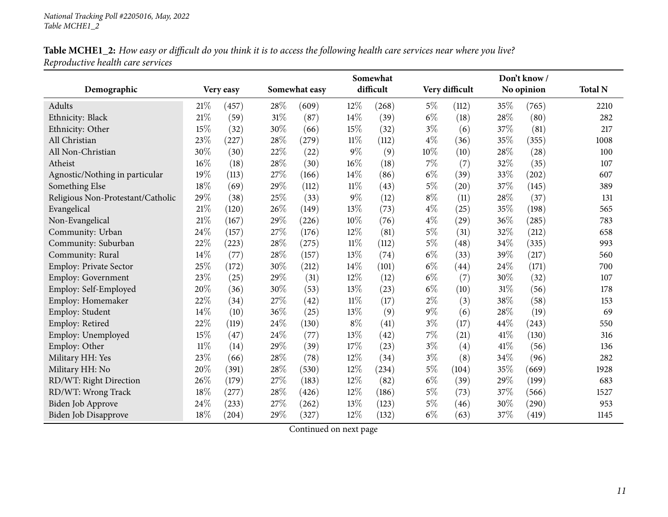| Table MCHE1_2: How easy or difficult do you think it is to access the following health care services near where you live? |  |
|---------------------------------------------------------------------------------------------------------------------------|--|
| Reproductive health care services                                                                                         |  |

|                                   |        |                     |      |               |        | Somewhat  |       |                |        | Don't know/ |                |
|-----------------------------------|--------|---------------------|------|---------------|--------|-----------|-------|----------------|--------|-------------|----------------|
| Demographic                       |        | Very easy           |      | Somewhat easy |        | difficult |       | Very difficult |        | No opinion  | <b>Total N</b> |
| Adults                            | 21%    | (457)               | 28%  | (609)         | 12%    | (268)     | $5\%$ | (112)          | $35\%$ | (765)       | 2210           |
| Ethnicity: Black                  | 21\%   | (59)                | 31%  | (87)          | 14%    | (39)      | $6\%$ | (18)           | 28%    | (80)        | 282            |
| Ethnicity: Other                  | 15%    | (32)                | 30%  | (66)          | 15%    | (32)      | $3\%$ | (6)            | 37%    | (81)        | 217            |
| All Christian                     | 23%    | (227)               | 28%  | (279)         | $11\%$ | (112)     | $4\%$ | (36)           | 35%    | (355)       | 1008           |
| All Non-Christian                 | 30%    | (30)                | 22%  | (22)          | $9\%$  | (9)       | 10%   | (10)           | 28%    | (28)        | 100            |
| Atheist                           | 16%    | (18)                | 28%  | (30)          | 16%    | (18)      | $7\%$ | (7)            | 32%    | (35)        | 107            |
| Agnostic/Nothing in particular    | 19%    | (113)               | 27%  | (166)         | 14%    | (86)      | $6\%$ | (39)           | 33%    | (202)       | 607            |
| Something Else                    | 18%    | (69)                | 29%  | (112)         | $11\%$ | (43)      | $5\%$ | (20)           | 37%    | (145)       | 389            |
| Religious Non-Protestant/Catholic | 29%    | (38)                | 25%  | (33)          | $9\%$  | (12)      | $8\%$ | (11)           | 28%    | (37)        | 131            |
| Evangelical                       | 21%    | (120)               | 26%  | (149)         | 13%    | (73)      | $4\%$ | (25)           | 35%    | (198)       | 565            |
| Non-Evangelical                   | 21%    | (167)               | 29%  | (226)         | 10%    | (76)      | $4\%$ | (29)           | 36%    | (285)       | 783            |
| Community: Urban                  | 24%    | (157)               | 27%  | (176)         | 12%    | (81)      | $5\%$ | (31)           | 32%    | (212)       | 658            |
| Community: Suburban               | 22%    | (223)               | 28\% | (275)         | $11\%$ | (112)     | $5\%$ | (48)           | 34%    | (335)       | 993            |
| Community: Rural                  | 14%    | (77)                | 28%  | (157)         | 13%    | (74)      | $6\%$ | (33)           | 39%    | (217)       | 560            |
| Employ: Private Sector            | 25%    | (172)               | 30%  | (212)         | 14\%   | (101)     | $6\%$ | (44)           | 24%    | (171)       | 700            |
| Employ: Government                | 23%    | (25)                | 29%  | (31)          | 12%    | (12)      | $6\%$ | (7)            | 30%    | (32)        | 107            |
| Employ: Self-Employed             | 20%    | (36)                | 30%  | (53)          | 13%    | (23)      | $6\%$ | (10)           | 31%    | (56)        | 178            |
| Employ: Homemaker                 | 22%    | (34)                | 27%  | (42)          | $11\%$ | (17)      | $2\%$ | (3)            | 38%    | (58)        | 153            |
| Employ: Student                   | 14%    | (10)                | 36%  | (25)          | 13%    | (9)       | $9\%$ | (6)            | 28%    | (19)        | 69             |
| Employ: Retired                   | 22%    | (119)               | 24%  | (130)         | $8\%$  | (41)      | $3\%$ | (17)           | 44%    | (243)       | 550            |
| Employ: Unemployed                | 15%    | (47)                | 24%  | (77)          | 13%    | (42)      | 7%    | (21)           | 41%    | (130)       | 316            |
| Employ: Other                     | $11\%$ | (14)                | 29%  | (39)          | 17%    | (23)      | $3\%$ | (4)            | 41\%   | (56)        | 136            |
| Military HH: Yes                  | 23%    | (66)                | 28%  | (78)          | 12%    | (34)      | $3\%$ | (8)            | 34%    | (96)        | 282            |
| Military HH: No                   | 20%    | (391)               | 28%  | (530)         | 12%    | (234)     | $5\%$ | (104)          | 35%    | (669)       | 1928           |
| RD/WT: Right Direction            | 26%    | (179)               | 27%  | (183)         | 12%    | (82)      | $6\%$ | (39)           | 29%    | (199)       | 683            |
| RD/WT: Wrong Track                | 18%    | (277)               | 28%  | (426)         | 12%    | (186)     | $5\%$ | (73)           | 37%    | (566)       | 1527           |
| Biden Job Approve                 | 24%    | (233)               | 27%  | (262)         | 13%    | (123)     | $5\%$ | (46)           | 30%    | (290)       | 953            |
| <b>Biden Job Disapprove</b>       | 18%    | $\left( 204\right)$ | 29%  | (327)         | 12%    | (132)     | $6\%$ | (63)           | 37%    | (419)       | 1145           |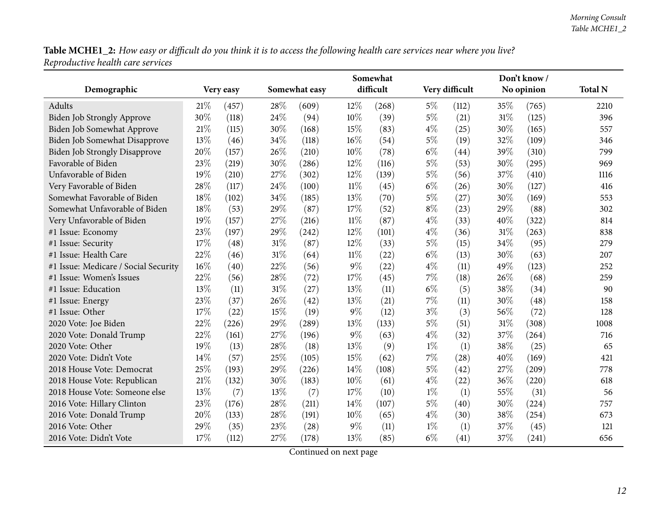|                                      |     |           |        |               |        | Somewhat  |       |                |      | Don't know/         |                |
|--------------------------------------|-----|-----------|--------|---------------|--------|-----------|-------|----------------|------|---------------------|----------------|
| Demographic                          |     | Very easy |        | Somewhat easy |        | difficult |       | Very difficult |      | No opinion          | <b>Total N</b> |
| Adults                               | 21% | (457)     | 28%    | (609)         | $12\%$ | (268)     | $5\%$ | (112)          | 35%  | (765)               | 2210           |
| Biden Job Strongly Approve           | 30% | (118)     | 24%    | (94)          | 10%    | (39)      | $5\%$ | (21)           | 31%  | (125)               | 396            |
| Biden Job Somewhat Approve           | 21% | (115)     | 30%    | (168)         | 15%    | (83)      | $4\%$ | (25)           | 30%  | (165)               | 557            |
| Biden Job Somewhat Disapprove        | 13% | (46)      | 34%    | (118)         | 16%    | (54)      | $5\%$ | (19)           | 32%  | (109)               | 346            |
| <b>Biden Job Strongly Disapprove</b> | 20% | (157)     | 26%    | (210)         | 10%    | (78)      | $6\%$ | (44)           | 39%  | (310)               | 799            |
| Favorable of Biden                   | 23% | (219)     | 30%    | (286)         | 12%    | (116)     | $5\%$ | (53)           | 30%  | (295)               | 969            |
| Unfavorable of Biden                 | 19% | (210)     | 27%    | (302)         | 12%    | (139)     | $5\%$ | (56)           | 37%  | (410)               | 1116           |
| Very Favorable of Biden              | 28% | (117)     | 24%    | (100)         | $11\%$ | (45)      | $6\%$ | (26)           | 30%  | (127)               | 416            |
| Somewhat Favorable of Biden          | 18% | (102)     | 34%    | (185)         | 13%    | (70)      | $5\%$ | (27)           | 30%  | (169)               | 553            |
| Somewhat Unfavorable of Biden        | 18% | (53)      | 29%    | (87)          | 17%    | (52)      | $8\%$ | (23)           | 29%  | (88)                | 302            |
| Very Unfavorable of Biden            | 19% | (157)     | 27%    | (216)         | $11\%$ | (87)      | $4\%$ | (33)           | 40%  | (322)               | 814            |
| #1 Issue: Economy                    | 23% | (197)     | 29%    | (242)         | 12%    | (101)     | $4\%$ | (36)           | 31%  | (263)               | 838            |
| #1 Issue: Security                   | 17% | (48)      | $31\%$ | (87)          | 12%    | (33)      | 5%    | (15)           | 34%  | (95)                | 279            |
| #1 Issue: Health Care                | 22% | (46)      | $31\%$ | (64)          | $11\%$ | (22)      | $6\%$ | (13)           | 30%  | (63)                | 207            |
| #1 Issue: Medicare / Social Security | 16% | (40)      | 22%    | (56)          | $9\%$  | (22)      | $4\%$ | (11)           | 49%  | (123)               | 252            |
| #1 Issue: Women's Issues             | 22% | (56)      | 28%    | (72)          | 17%    | (45)      | 7%    | (18)           | 26%  | (68)                | 259            |
| #1 Issue: Education                  | 13% | (11)      | $31\%$ | (27)          | 13%    | (11)      | $6\%$ | (5)            | 38%  | (34)                | 90             |
| #1 Issue: Energy                     | 23% | (37)      | 26%    | (42)          | 13%    | (21)      | 7%    | (11)           | 30%  | (48)                | 158            |
| #1 Issue: Other                      | 17% | (22)      | 15%    | (19)          | $9\%$  | (12)      | $3\%$ | (3)            | 56%  | (72)                | 128            |
| 2020 Vote: Joe Biden                 | 22% | (226)     | 29%    | (289)         | 13%    | (133)     | 5%    | (51)           | 31%  | (308)               | 1008           |
| 2020 Vote: Donald Trump              | 22% | (161)     | 27%    | (196)         | $9\%$  | (63)      | $4\%$ | (32)           | 37%  | (264)               | 716            |
| 2020 Vote: Other                     | 19% | (13)      | 28%    | (18)          | 13%    | (9)       | $1\%$ | (1)            | 38%  | (25)                | 65             |
| 2020 Vote: Didn't Vote               | 14% | (57)      | 25%    | (105)         | 15%    | (62)      | 7%    | (28)           | 40%  | (169)               | 421            |
| 2018 House Vote: Democrat            | 25% | (193)     | 29%    | (226)         | 14%    | (108)     | $5\%$ | (42)           | 27\% | $\left( 209\right)$ | 778            |
| 2018 House Vote: Republican          | 21% | (132)     | 30%    | (183)         | 10%    | (61)      | $4\%$ | (22)           | 36%  | (220)               | 618            |
| 2018 House Vote: Someone else        | 13% | (7)       | 13%    | (7)           | 17%    | (10)      | $1\%$ | (1)            | 55%  | (31)                | 56             |
| 2016 Vote: Hillary Clinton           | 23% | (176)     | 28\%   | (211)         | 14%    | (107)     | $5\%$ | (40)           | 30%  | (224)               | 757            |
| 2016 Vote: Donald Trump              | 20% | (133)     | 28\%   | (191)         | 10%    | (65)      | $4\%$ | (30)           | 38%  | (254)               | 673            |
| 2016 Vote: Other                     | 29% | (35)      | 23%    | (28)          | 9%     | (11)      | $1\%$ | (1)            | 37%  | (45)                | 121            |
| 2016 Vote: Didn't Vote               | 17% | (112)     | 27%    | (178)         | 13%    | (85)      | $6\%$ | (41)           | 37%  | (241)               | 656            |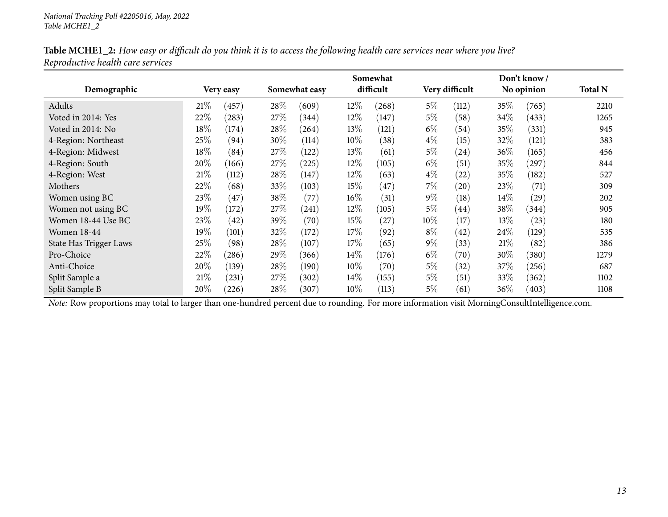|                        |        |           |        |               |        | Somewhat  |       |                    |        | Don't know / |                |
|------------------------|--------|-----------|--------|---------------|--------|-----------|-------|--------------------|--------|--------------|----------------|
| Demographic            |        | Very easy |        | Somewhat easy |        | difficult |       | Very difficult     |        | No opinion   | <b>Total N</b> |
| Adults                 | 21%    | (457)     | 28\%   | (609)         | $12\%$ | (268)     | $5\%$ | (112)              | $35\%$ | (765)        | 2210           |
| Voted in 2014: Yes     | 22%    | (283)     | 27\%   | (344)         | $12\%$ | (147)     | $5\%$ | (58)               | $34\%$ | (433)        | 1265           |
| Voted in 2014: No      | $18\%$ | (174)     | 28\%   | (264)         | 13\%   | (121)     | $6\%$ | (54)               | $35\%$ | (331)        | 945            |
| 4-Region: Northeast    | 25\%   | (94)      | 30%    | (114)         | 10\%   | (38)      | $4\%$ | (15)               | 32%    | (121)        | 383            |
| 4-Region: Midwest      | $18\%$ | (84)      | 27%    | (122)         | 13\%   | (61)      | $5\%$ | $\left( 24\right)$ | $36\%$ | (165)        | 456            |
| 4-Region: South        | 20%    | (166)     | 27%    | (225)         | $12\%$ | (105)     | $6\%$ | (51)               | $35\%$ | $^{'}297)$   | 844            |
| 4-Region: West         | 21%    | (112)     | 28\%   | (147)         | $12\%$ | (63)      | $4\%$ | (22)               | $35\%$ | (182)        | 527            |
| Mothers                | 22%    | (68)      | 33\%   | (103)         | $15\%$ | (47)      | $7\%$ | (20)               | 23\%   | (71)         | 309            |
| Women using BC         | 23\%   | 47        | 38\%   | (77)          | $16\%$ | (31)      | $9\%$ | (18)               | $14\%$ | (29)         | 202            |
| Women not using BC     | $19\%$ | (172)     | $27\%$ | (241)         | $12\%$ | (105)     | $5\%$ | (44)               | 38\%   | (344)        | 905            |
| Women 18-44 Use BC     | 23%    | (42)      | 39\%   | (70)          | 15%    | (27)      | 10%   | (17)               | 13\%   | (23)         | 180            |
| <b>Women 18-44</b>     | $19\%$ | (101)     | 32\%   | (172)         | 17%    | (92)      | $8\%$ | (42)               | $24\%$ | (129)        | 535            |
| State Has Trigger Laws | 25\%   | (98)      | $28\%$ | (107)         | 17%    | (65)      | $9\%$ | (33)               | 21%    | (82)         | 386            |
| Pro-Choice             | 22%    | (286)     | 29%    | (366)         | $14\%$ | (176)     | $6\%$ | (70)               | 30\%   | (380)        | 1279           |
| Anti-Choice            | 20%    | (139)     | 28\%   | (190)         | 10%    | (70)      | $5\%$ | (32)               | 37\%   | (256)        | 687            |
| Split Sample a         | 21%    | (231)     | 27\%   | (302)         | $14\%$ | (155)     | $5\%$ | (51)               | $33\%$ | (362)        | 1102           |
| Split Sample B         | 20%    | (226)     | 28\%   | (307)         | $10\%$ | (113)     | $5\%$ | (61)               | 36\%   | (403)        | 1108           |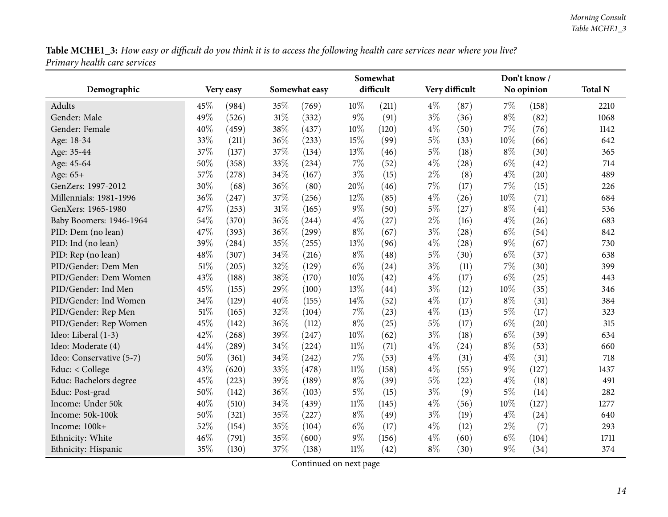<span id="page-13-0"></span>

|                          |           |               |               |        | Somewhat  |       |                |       | Don't know/ |                |
|--------------------------|-----------|---------------|---------------|--------|-----------|-------|----------------|-------|-------------|----------------|
| Demographic              | Very easy |               | Somewhat easy |        | difficult |       | Very difficult |       | No opinion  | <b>Total N</b> |
| Adults                   | 45%       | 35%<br>(984)  | (769)         | 10%    | (211)     | $4\%$ | (87)           | 7%    | (158)       | 2210           |
| Gender: Male             | 49%       | (526)<br>31%  | (332)         | 9%     | (91)      | $3\%$ | (36)           | $8\%$ | (82)        | 1068           |
| Gender: Female           | 40%       | 38%<br>(459)  | (437)         | 10%    | (120)     | $4\%$ | (50)           | $7\%$ | (76)        | 1142           |
| Age: 18-34               | 33%       | 36\%<br>(211) | (233)         | 15%    | (99)      | 5%    | (33)           | 10%   | (66)        | 642            |
| Age: 35-44               | 37%       | 37%<br>(137)  | (134)         | 13%    | (46)      | $5\%$ | (18)           | $8\%$ | (30)        | 365            |
| Age: 45-64               | 50%       | 33%<br>(358)  | (234)         | 7%     | (52)      | $4\%$ | (28)           | $6\%$ | (42)        | 714            |
| Age: 65+                 | 57%       | 34%<br>(278)  | (167)         | $3\%$  | (15)      | $2\%$ | (8)            | $4\%$ | (20)        | 489            |
| GenZers: 1997-2012       | 30%       | 36%<br>(68)   | (80)          | 20%    | (46)      | 7%    | (17)           | 7%    | (15)        | 226            |
| Millennials: 1981-1996   | 36%       | 37%<br>(247)  | (256)         | 12%    | (85)      | $4\%$ | (26)           | 10%   | (71)        | 684            |
| GenXers: 1965-1980       | 47%       | 31%<br>(253)  | (165)         | 9%     | (50)      | 5%    | (27)           | $8\%$ | (41)        | 536            |
| Baby Boomers: 1946-1964  | 54%       | 36%<br>(370)  | (244)         | $4\%$  | (27)      | $2\%$ | (16)           | $4\%$ | (26)        | 683            |
| PID: Dem (no lean)       | 47%       | 36%<br>(393)  | (299)         | $8\%$  | (67)      | $3\%$ | (28)           | $6\%$ | (54)        | 842            |
| PID: Ind (no lean)       | 39%       | 35%<br>(284)  | (255)         | 13%    | (96)      | $4\%$ | (28)           | $9\%$ | (67)        | 730            |
| PID: Rep (no lean)       | 48%       | 34%<br>(307)  | (216)         | $8\%$  | (48)      | 5%    | (30)           | $6\%$ | (37)        | 638            |
| PID/Gender: Dem Men      | 51%       | 32%<br>(205)  | (129)         | $6\%$  | (24)      | $3\%$ | (11)           | $7\%$ | (30)        | 399            |
| PID/Gender: Dem Women    | 43%       | 38%<br>(188)  | (170)         | 10%    | (42)      | $4\%$ | (17)           | $6\%$ | (25)        | 443            |
| PID/Gender: Ind Men      | 45%       | 29%<br>(155)  | (100)         | 13%    | (44)      | $3\%$ | (12)           | 10%   | (35)        | 346            |
| PID/Gender: Ind Women    | 34%       | 40%<br>(129)  | (155)         | 14%    | (52)      | 4%    | (17)           | $8\%$ | (31)        | 384            |
| PID/Gender: Rep Men      | 51\%      | 32%<br>(165)  | (104)         | 7%     | (23)      | 4%    | (13)           | $5\%$ | (17)        | 323            |
| PID/Gender: Rep Women    | 45%       | 36%<br>(142)  | (112)         | $8\%$  | (25)      | 5%    | (17)           | $6\%$ | (20)        | 315            |
| Ideo: Liberal (1-3)      | 42%       | 39%<br>(268)  | (247)         | 10%    | (62)      | $3\%$ | (18)           | $6\%$ | (39)        | 634            |
| Ideo: Moderate (4)       | 44%       | 34%<br>(289)  | (224)         | $11\%$ | (71)      | $4\%$ | (24)           | $8\%$ | (53)        | 660            |
| Ideo: Conservative (5-7) | 50%       | 34%<br>(361)  | (242)         | $7\%$  | (53)      | $4\%$ | (31)           | $4\%$ | (31)        | 718            |
| Educ: < College          | 43%       | 33%<br>(620)  | (478)         | $11\%$ | (158)     | $4\%$ | (55)           | $9\%$ | (127)       | 1437           |
| Educ: Bachelors degree   | 45%       | (223)<br>39%  | (189)         | $8\%$  | (39)      | $5\%$ | (22)           | $4\%$ | (18)        | 491            |
| Educ: Post-grad          | 50%       | 36%<br>(142)  | (103)         | $5\%$  | (15)      | $3\%$ | (9)            | $5\%$ | (14)        | 282            |
| Income: Under 50k        | 40%       | 34%<br>(510)  | (439)         | $11\%$ | (145)     | $4\%$ | (56)           | 10%   | (127)       | 1277           |
| Income: 50k-100k         | 50%       | 35%<br>(321)  | (227)         | $8\%$  | (49)      | $3\%$ | (19)           | $4\%$ | (24)        | 640            |
| Income: 100k+            | 52%       | 35%<br>(154)  | (104)         | $6\%$  | (17)      | $4\%$ | (12)           | $2\%$ | (7)         | 293            |
| Ethnicity: White         | 46%       | 35%<br>(791)  | (600)         | $9\%$  | (156)     | $4\%$ | (60)           | $6\%$ | (104)       | 1711           |
| Ethnicity: Hispanic      | 35%       | 37%<br>(130)  | (138)         | $11\%$ | (42)      | $8\%$ | (30)           | $9\%$ | (34)        | 374            |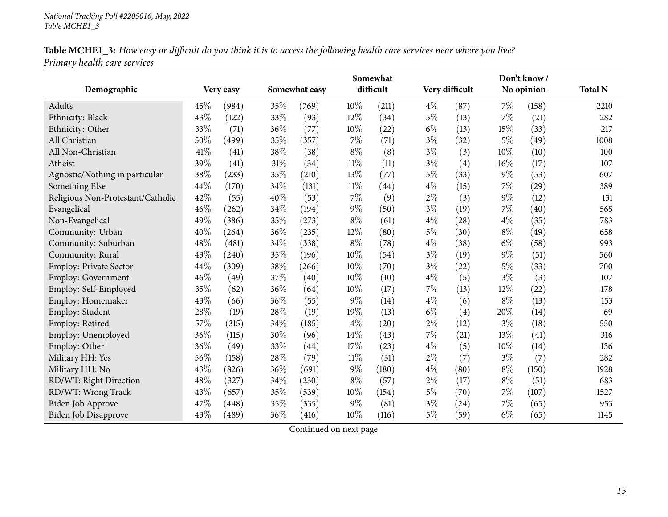| Table MCHE1_3: How easy or difficult do you think it is to access the following health care services near where you live? |  |
|---------------------------------------------------------------------------------------------------------------------------|--|
| Primary health care services                                                                                              |  |

|                                   |      |           |     |               |        | Somewhat  |       |                |       | Don't know / |                |
|-----------------------------------|------|-----------|-----|---------------|--------|-----------|-------|----------------|-------|--------------|----------------|
| Demographic                       |      | Very easy |     | Somewhat easy |        | difficult |       | Very difficult |       | No opinion   | <b>Total N</b> |
| Adults                            | 45%  | (984)     | 35% | (769)         | 10%    | (211)     | $4\%$ | (87)           | $7\%$ | (158)        | 2210           |
| Ethnicity: Black                  | 43%  | (122)     | 33% | (93)          | 12%    | (34)      | $5\%$ | (13)           | 7%    | (21)         | 282            |
| Ethnicity: Other                  | 33%  | (71)      | 36% | (77)          | 10%    | (22)      | $6\%$ | (13)           | 15%   | (33)         | 217            |
| All Christian                     | 50%  | (499)     | 35% | (357)         | 7%     | (71)      | $3\%$ | (32)           | $5\%$ | (49)         | 1008           |
| All Non-Christian                 | 41\% | (41)      | 38% | (38)          | $8\%$  | (8)       | $3\%$ | (3)            | 10%   | (10)         | 100            |
| Atheist                           | 39%  | (41)      | 31% | (34)          | $11\%$ | (11)      | $3\%$ | (4)            | 16%   | (17)         | 107            |
| Agnostic/Nothing in particular    | 38%  | (233)     | 35% | (210)         | 13%    | (77)      | $5\%$ | (33)           | $9\%$ | (53)         | 607            |
| Something Else                    | 44%  | (170)     | 34% | (131)         | $11\%$ | (44)      | $4\%$ | (15)           | $7\%$ | (29)         | 389            |
| Religious Non-Protestant/Catholic | 42%  | (55)      | 40% | (53)          | 7%     | (9)       | $2\%$ | (3)            | $9\%$ | (12)         | 131            |
| Evangelical                       | 46%  | (262)     | 34% | (194)         | $9\%$  | (50)      | $3\%$ | (19)           | $7\%$ | (40)         | 565            |
| Non-Evangelical                   | 49%  | (386)     | 35% | (273)         | $8\%$  | (61)      | $4\%$ | (28)           | $4\%$ | (35)         | 783            |
| Community: Urban                  | 40%  | (264)     | 36% | (235)         | 12%    | (80)      | $5\%$ | (30)           | $8\%$ | (49)         | 658            |
| Community: Suburban               | 48%  | (481)     | 34% | (338)         | $8\%$  | (78)      | $4\%$ | (38)           | $6\%$ | (58)         | 993            |
| Community: Rural                  | 43%  | (240)     | 35% | (196)         | 10%    | (54)      | $3\%$ | (19)           | $9\%$ | (51)         | 560            |
| Employ: Private Sector            | 44%  | (309)     | 38% | (266)         | 10%    | (70)      | $3\%$ | (22)           | $5\%$ | (33)         | 700            |
| Employ: Government                | 46%  | (49)      | 37% | (40)          | 10%    | (10)      | $4\%$ | (5)            | $3\%$ | (3)          | 107            |
| Employ: Self-Employed             | 35%  | (62)      | 36% | (64)          | 10%    | (17)      | 7%    | (13)           | 12%   | (22)         | 178            |
| Employ: Homemaker                 | 43%  | (66)      | 36% | (55)          | $9\%$  | (14)      | $4\%$ | (6)            | $8\%$ | (13)         | 153            |
| Employ: Student                   | 28%  | (19)      | 28% | (19)          | 19%    | (13)      | $6\%$ | (4)            | 20%   | (14)         | 69             |
| Employ: Retired                   | 57%  | (315)     | 34% | (185)         | $4\%$  | (20)      | $2\%$ | (12)           | $3\%$ | (18)         | 550            |
| Employ: Unemployed                | 36%  | (115)     | 30% | (96)          | 14%    | (43)      | 7%    | (21)           | 13%   | (41)         | 316            |
| Employ: Other                     | 36%  | (49)      | 33% | (44)          | 17%    | (23)      | $4\%$ | (5)            | 10%   | (14)         | 136            |
| Military HH: Yes                  | 56%  | (158)     | 28% | (79)          | $11\%$ | (31)      | $2\%$ | (7)            | $3\%$ | (7)          | 282            |
| Military HH: No                   | 43%  | (826)     | 36% | (691)         | $9\%$  | (180)     | $4\%$ | (80)           | $8\%$ | (150)        | 1928           |
| RD/WT: Right Direction            | 48%  | (327)     | 34% | (230)         | $8\%$  | (57)      | $2\%$ | (17)           | $8\%$ | (51)         | 683            |
| RD/WT: Wrong Track                | 43%  | (657)     | 35% | (539)         | 10%    | (154)     | $5\%$ | (70)           | $7\%$ | (107)        | 1527           |
| Biden Job Approve                 | 47%  | (448)     | 35% | (335)         | $9\%$  | (81)      | $3\%$ | (24)           | $7\%$ | (65)         | 953            |
| <b>Biden Job Disapprove</b>       | 43%  | (489)     | 36% | (416)         | 10%    | (116)     | $5\%$ | (59)           | $6\%$ | (65)         | 1145           |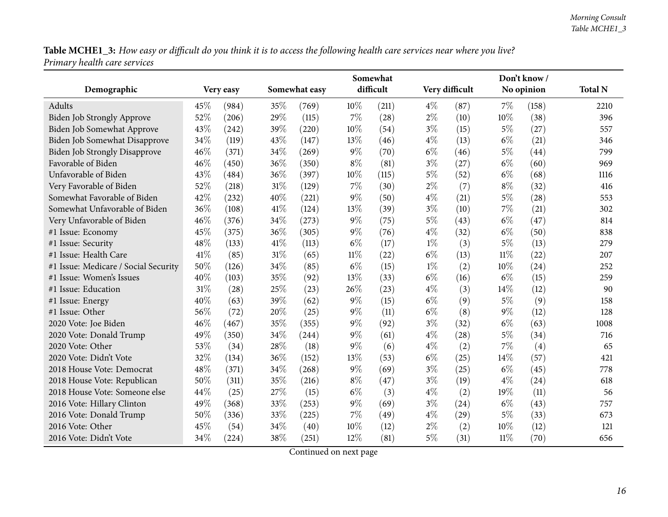|                                      |      |           |        |               |        | Somewhat  |       |                |        | Don't know / |                |
|--------------------------------------|------|-----------|--------|---------------|--------|-----------|-------|----------------|--------|--------------|----------------|
| Demographic                          |      | Very easy |        | Somewhat easy |        | difficult |       | Very difficult |        | No opinion   | <b>Total N</b> |
| Adults                               | 45%  | (984)     | 35%    | (769)         | 10%    | (211)     | $4\%$ | (87)           | 7%     | (158)        | 2210           |
| Biden Job Strongly Approve           | 52%  | (206)     | 29%    | (115)         | 7%     | (28)      | $2\%$ | (10)           | 10%    | (38)         | 396            |
| Biden Job Somewhat Approve           | 43%  | (242)     | 39%    | (220)         | 10%    | (54)      | $3\%$ | (15)           | $5\%$  | (27)         | 557            |
| Biden Job Somewhat Disapprove        | 34%  | (119)     | 43%    | (147)         | 13%    | (46)      | $4\%$ | (13)           | $6\%$  | (21)         | 346            |
| <b>Biden Job Strongly Disapprove</b> | 46%  | (371)     | 34%    | (269)         | $9\%$  | (70)      | $6\%$ | (46)           | $5\%$  | (44)         | 799            |
| Favorable of Biden                   | 46%  | (450)     | 36%    | (350)         | $8\%$  | (81)      | $3\%$ | (27)           | $6\%$  | (60)         | 969            |
| Unfavorable of Biden                 | 43%  | (484)     | 36%    | (397)         | 10%    | (115)     | 5%    | (52)           | $6\%$  | (68)         | 1116           |
| Very Favorable of Biden              | 52%  | (218)     | $31\%$ | (129)         | 7%     | (30)      | $2\%$ | (7)            | $8\%$  | (32)         | 416            |
| Somewhat Favorable of Biden          | 42%  | (232)     | 40%    | (221)         | $9\%$  | (50)      | $4\%$ | (21)           | $5\%$  | (28)         | 553            |
| Somewhat Unfavorable of Biden        | 36%  | (108)     | 41\%   | (124)         | 13%    | (39)      | $3\%$ | (10)           | 7%     | (21)         | 302            |
| Very Unfavorable of Biden            | 46%  | (376)     | 34%    | (273)         | $9\%$  | (75)      | $5\%$ | (43)           | $6\%$  | (47)         | 814            |
| #1 Issue: Economy                    | 45%  | (375)     | 36%    | (305)         | $9\%$  | (76)      | $4\%$ | (32)           | $6\%$  | (50)         | 838            |
| #1 Issue: Security                   | 48%  | (133)     | 41\%   | (113)         | $6\%$  | (17)      | $1\%$ | (3)            | $5\%$  | (13)         | 279            |
| #1 Issue: Health Care                | 41\% | (85)      | $31\%$ | (65)          | $11\%$ | (22)      | $6\%$ | (13)           | $11\%$ | (22)         | 207            |
| #1 Issue: Medicare / Social Security | 50%  | (126)     | 34%    | (85)          | $6\%$  | (15)      | $1\%$ | (2)            | 10%    | (24)         | 252            |
| #1 Issue: Women's Issues             | 40%  | (103)     | 35%    | (92)          | 13%    | (33)      | $6\%$ | (16)           | $6\%$  | (15)         | 259            |
| #1 Issue: Education                  | 31%  | (28)      | 25%    | (23)          | 26%    | (23)      | $4\%$ | (3)            | 14\%   | (12)         | 90             |
| #1 Issue: Energy                     | 40%  | (63)      | 39%    | (62)          | 9%     | (15)      | $6\%$ | (9)            | $5\%$  | (9)          | 158            |
| #1 Issue: Other                      | 56%  | (72)      | 20%    | (25)          | $9\%$  | (11)      | $6\%$ | (8)            | $9\%$  | (12)         | 128            |
| 2020 Vote: Joe Biden                 | 46%  | (467)     | 35%    | (355)         | $9\%$  | (92)      | $3\%$ | (32)           | $6\%$  | (63)         | 1008           |
| 2020 Vote: Donald Trump              | 49%  | (350)     | 34%    | (244)         | $9\%$  | (61)      | $4\%$ | (28)           | $5\%$  | (34)         | 716            |
| 2020 Vote: Other                     | 53%  | (34)      | 28\%   | (18)          | $9\%$  | (6)       | $4\%$ | (2)            | $7\%$  | (4)          | 65             |
| 2020 Vote: Didn't Vote               | 32%  | (134)     | 36%    | (152)         | 13%    | (53)      | $6\%$ | (25)           | 14\%   | (57)         | 421            |
| 2018 House Vote: Democrat            | 48%  | (371)     | 34%    | (268)         | $9\%$  | (69)      | $3\%$ | (25)           | $6\%$  | (45)         | 778            |
| 2018 House Vote: Republican          | 50%  | (311)     | 35%    | (216)         | $8\%$  | (47)      | $3\%$ | (19)           | $4\%$  | (24)         | 618            |
| 2018 House Vote: Someone else        | 44%  | (25)      | 27%    | (15)          | $6\%$  | (3)       | $4\%$ | (2)            | 19%    | (11)         | 56             |
| 2016 Vote: Hillary Clinton           | 49%  | (368)     | 33%    | (253)         | $9\%$  | (69)      | $3\%$ | (24)           | $6\%$  | (43)         | 757            |
| 2016 Vote: Donald Trump              | 50%  | (336)     | 33%    | (225)         | $7\%$  | (49)      | $4\%$ | (29)           | $5\%$  | (33)         | 673            |
| 2016 Vote: Other                     | 45%  | (54)      | 34%    | (40)          | 10%    | (12)      | $2\%$ | (2)            | 10%    | (12)         | 121            |
| 2016 Vote: Didn't Vote               | 34%  | (224)     | 38%    | (251)         | 12%    | (81)      | $5\%$ | (31)           | 11%    | (70)         | 656            |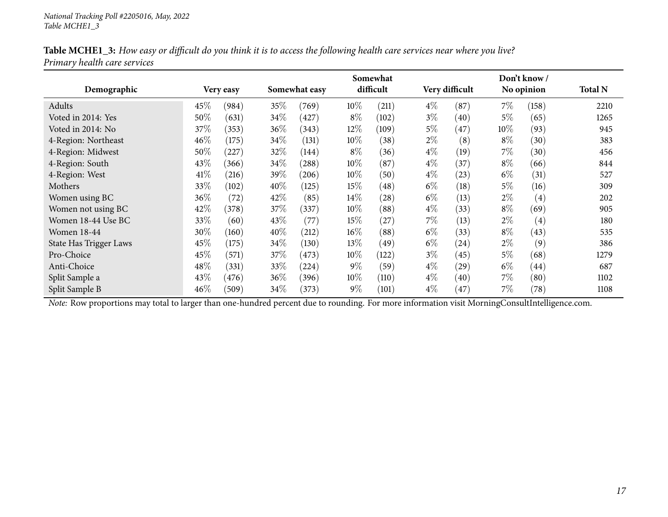|                               |      |           |      |               |        | Somewhat  |       |                    |        | Don't know/       |                |
|-------------------------------|------|-----------|------|---------------|--------|-----------|-------|--------------------|--------|-------------------|----------------|
| Demographic                   |      | Very easy |      | Somewhat easy |        | difficult |       | Very difficult     |        | No opinion        | <b>Total N</b> |
| Adults                        | 45\% | (984)     | 35%  | (769)         | 10\%   | (211)     | $4\%$ | (87)               | $7\%$  | (158)             | 2210           |
| Voted in 2014: Yes            | 50%  | (631)     | 34\% | (427)         | $8\%$  | (102)     | $3\%$ | (40)               | $5\%$  | (65)              | 1265           |
| Voted in 2014: No             | 37\% | (353)     | 36%  | (343)         | $12\%$ | (109)     | $5\%$ | (47)               | $10\%$ | (93)              | 945            |
| 4-Region: Northeast           | 46%  | (175)     | 34\% | (131)         | 10\%   | (38)      | $2\%$ | (8)                | $8\%$  | (30)              | 383            |
| 4-Region: Midwest             | 50%  | 227       | 32%  | (144)         | $8\%$  | (36)      | $4\%$ | (19)               | $7\%$  | (30)              | 456            |
| 4-Region: South               | 43\% | (366)     | 34\% | (288)         | 10\%   | (87)      | $4\%$ | (37)               | $8\%$  | (66)              | 844            |
| 4-Region: West                | 41\% | (216)     | 39%  | (206)         | 10\%   | (50)      | $4\%$ | (23)               | $6\%$  | (31)              | 527            |
| Mothers                       | 33\% | (102)     | 40%  | (125)         | 15%    | (48)      | $6\%$ | (18)               | $5\%$  | (16)              | 309            |
| Women using BC                | 36%  | (72)      | 42\% | (85)          | $14\%$ | (28)      | $6\%$ | (13)               | $2\%$  | $\left( 4\right)$ | 202            |
| Women not using BC            | 42\% | (378)     | 37\% | (337)         | 10\%   | (88)      | $4\%$ | (33)               | $8\%$  | (69)              | 905            |
| Women 18-44 Use BC            | 33\% | (60)      | 43%  | (77)          | 15%    | (27)      | $7\%$ | (13)               | $2\%$  | $\left( 4\right)$ | 180            |
| <b>Women 18-44</b>            | 30%  | (160)     | 40%  | (212)         | $16\%$ | (88)      | $6\%$ | (33)               | $8\%$  | (43)              | 535            |
| <b>State Has Trigger Laws</b> | 45\% | (175)     | 34\% | (130)         | 13\%   | (49)      | $6\%$ | $\left( 24\right)$ | $2\%$  | (9)               | 386            |
| Pro-Choice                    | 45\% | (571)     | 37\% | (473)         | 10\%   | (122)     | $3\%$ | (45)               | $5\%$  | (68)              | 1279           |
| Anti-Choice                   | 48\% | (331)     | 33\% | (224)         | $9\%$  | (59)      | $4\%$ | (29)               | $6\%$  | (44)              | 687            |
| Split Sample a                | 43\% | (476)     | 36\% | (396)         | 10\%   | (110)     | $4\%$ | (40)               | $7\%$  | (80)              | 1102           |
| Split Sample B                | 46%  | (509)     | 34\% | (373)         | $9\%$  | (101)     | $4\%$ | (47)               | $7\%$  | (78)              | 1108           |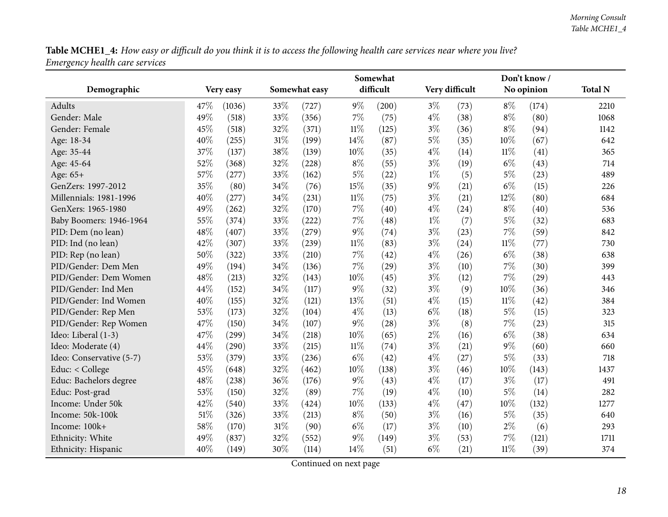<span id="page-17-0"></span>

|                          |     |           |        |               |        | Somewhat  |       |                |        | Don't know/ |                |
|--------------------------|-----|-----------|--------|---------------|--------|-----------|-------|----------------|--------|-------------|----------------|
| Demographic              |     | Very easy |        | Somewhat easy |        | difficult |       | Very difficult |        | No opinion  | <b>Total N</b> |
| Adults                   | 47% | (1036)    | 33%    | (727)         | $9\%$  | (200)     | $3\%$ | (73)           | $8\%$  | (174)       | 2210           |
| Gender: Male             | 49% | (518)     | 33%    | (356)         | 7%     | (75)      | $4\%$ | (38)           | $8\%$  | (80)        | 1068           |
| Gender: Female           | 45% | (518)     | 32%    | (371)         | $11\%$ | (125)     | $3\%$ | (36)           | $8\%$  | (94)        | 1142           |
| Age: 18-34               | 40% | (255)     | 31%    | (199)         | 14%    | (87)      | $5\%$ | (35)           | 10%    | (67)        | 642            |
| Age: 35-44               | 37% | (137)     | 38%    | (139)         | $10\%$ | (35)      | $4\%$ | (14)           | $11\%$ | (41)        | 365            |
| Age: 45-64               | 52% | (368)     | 32%    | (228)         | $8\%$  | (55)      | $3\%$ | (19)           | $6\%$  | (43)        | 714            |
| Age: 65+                 | 57% | (277)     | 33%    | (162)         | $5\%$  | (22)      | $1\%$ | (5)            | $5\%$  | (23)        | 489            |
| GenZers: 1997-2012       | 35% | (80)      | 34%    | (76)          | 15%    | (35)      | 9%    | (21)           | $6\%$  | (15)        | 226            |
| Millennials: 1981-1996   | 40% | (277)     | 34%    | (231)         | $11\%$ | (75)      | $3\%$ | (21)           | 12%    | (80)        | 684            |
| GenXers: 1965-1980       | 49% | (262)     | 32%    | (170)         | $7\%$  | (40)      | 4%    | (24)           | $8\%$  | (40)        | 536            |
| Baby Boomers: 1946-1964  | 55% | (374)     | 33%    | (222)         | $7\%$  | (48)      | $1\%$ | (7)            | $5\%$  | (32)        | 683            |
| PID: Dem (no lean)       | 48% | (407)     | 33%    | (279)         | $9\%$  | (74)      | $3\%$ | (23)           | $7\%$  | (59)        | 842            |
| PID: Ind (no lean)       | 42% | (307)     | 33%    | (239)         | $11\%$ | (83)      | $3\%$ | (24)           | $11\%$ | (77)        | 730            |
| PID: Rep (no lean)       | 50% | (322)     | 33%    | (210)         | $7\%$  | (42)      | $4\%$ | (26)           | $6\%$  | (38)        | 638            |
| PID/Gender: Dem Men      | 49% | (194)     | 34%    | (136)         | 7%     | (29)      | $3\%$ | (10)           | 7%     | (30)        | 399            |
| PID/Gender: Dem Women    | 48% | (213)     | 32%    | (143)         | 10%    | (45)      | $3\%$ | (12)           | 7%     | (29)        | 443            |
| PID/Gender: Ind Men      | 44% | (152)     | 34%    | (117)         | 9%     | (32)      | $3\%$ | (9)            | 10%    | (36)        | 346            |
| PID/Gender: Ind Women    | 40% | (155)     | 32%    | (121)         | 13%    | (51)      | $4\%$ | (15)           | $11\%$ | (42)        | 384            |
| PID/Gender: Rep Men      | 53% | (173)     | 32%    | (104)         | $4\%$  | (13)      | $6\%$ | (18)           | $5\%$  | (15)        | 323            |
| PID/Gender: Rep Women    | 47% | (150)     | 34%    | (107)         | $9\%$  | (28)      | $3\%$ | (8)            | $7\%$  | (23)        | 315            |
| Ideo: Liberal (1-3)      | 47% | (299)     | 34%    | (218)         | 10%    | (65)      | $2\%$ | (16)           | $6\%$  | (38)        | 634            |
| Ideo: Moderate (4)       | 44% | (290)     | 33%    | (215)         | $11\%$ | (74)      | $3\%$ | (21)           | $9\%$  | (60)        | 660            |
| Ideo: Conservative (5-7) | 53% | (379)     | 33%    | (236)         | $6\%$  | (42)      | $4\%$ | (27)           | $5\%$  | (33)        | 718            |
| Educ: < College          | 45% | (648)     | 32%    | (462)         | 10%    | (138)     | $3\%$ | (46)           | 10%    | (143)       | 1437           |
| Educ: Bachelors degree   | 48% | (238)     | 36%    | (176)         | $9\%$  | (43)      | $4\%$ | (17)           | $3\%$  | (17)        | 491            |
| Educ: Post-grad          | 53% | (150)     | 32%    | (89)          | $7\%$  | (19)      | 4%    | (10)           | $5\%$  | (14)        | 282            |
| Income: Under 50k        | 42% | (540)     | 33%    | (424)         | $10\%$ | (133)     | $4\%$ | (47)           | 10%    | (132)       | 1277           |
| Income: 50k-100k         | 51% | (326)     | 33%    | (213)         | $8\%$  | (50)      | $3\%$ | (16)           | $5\%$  | (35)        | 640            |
| Income: 100k+            | 58% | (170)     | $31\%$ | (90)          | $6\%$  | (17)      | $3\%$ | (10)           | $2\%$  | (6)         | 293            |
| Ethnicity: White         | 49% | (837)     | 32%    | (552)         | $9\%$  | (149)     | $3\%$ | (53)           | $7\%$  | (121)       | 1711           |
| Ethnicity: Hispanic      | 40% | (149)     | 30%    | (114)         | 14%    | (51)      | $6\%$ | (21)           | $11\%$ | (39)        | 374            |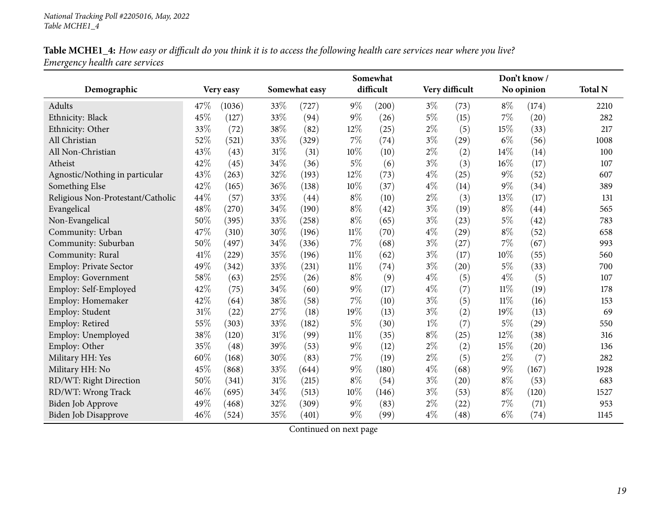|                                   |      |            |        |               |        | Somewhat  |       |                |        | Don't know/ |                |
|-----------------------------------|------|------------|--------|---------------|--------|-----------|-------|----------------|--------|-------------|----------------|
| Demographic                       |      | Very easy  |        | Somewhat easy |        | difficult |       | Very difficult |        | No opinion  | <b>Total N</b> |
| Adults                            | 47\% | (1036)     | 33%    | (727)         | $9\%$  | (200)     | $3\%$ | (73)           | $8\%$  | (174)       | 2210           |
| Ethnicity: Black                  | 45%  | (127)      | 33%    | (94)          | $9\%$  | (26)      | $5\%$ | (15)           | 7%     | (20)        | 282            |
| Ethnicity: Other                  | 33%  | (72)       | 38%    | (82)          | 12%    | (25)      | $2\%$ | (5)            | 15%    | (33)        | 217            |
| All Christian                     | 52%  | (521)      | 33%    | (329)         | 7%     | (74)      | $3\%$ | (29)           | $6\%$  | (56)        | 1008           |
| All Non-Christian                 | 43%  | (43)       | $31\%$ | (31)          | 10%    | (10)      | $2\%$ | (2)            | 14%    | (14)        | 100            |
| Atheist                           | 42%  | (45)       | 34\%   | (36)          | $5\%$  | (6)       | $3\%$ | (3)            | 16%    | (17)        | 107            |
| Agnostic/Nothing in particular    | 43%  | (263)      | 32%    | (193)         | 12%    | (73)      | $4\%$ | (25)           | $9\%$  | (52)        | 607            |
| Something Else                    | 42%  | (165)      | 36%    | (138)         | 10%    | (37)      | $4\%$ | (14)           | $9\%$  | (34)        | 389            |
| Religious Non-Protestant/Catholic | 44%  | (57)       | 33%    | (44)          | $8\%$  | (10)      | $2\%$ | (3)            | 13%    | (17)        | 131            |
| Evangelical                       | 48%  | (270)      | 34%    | (190)         | $8\%$  | (42)      | $3\%$ | (19)           | $8\%$  | (44)        | 565            |
| Non-Evangelical                   | 50%  | (395)      | 33%    | (258)         | $8\%$  | (65)      | $3\%$ | (23)           | $5\%$  | (42)        | 783            |
| Community: Urban                  | 47%  | (310)      | 30%    | (196)         | $11\%$ | (70)      | $4\%$ | (29)           | $8\%$  | (52)        | 658            |
| Community: Suburban               | 50%  | (497)      | 34%    | (336)         | $7\%$  | (68)      | $3\%$ | (27)           | 7%     | (67)        | 993            |
| Community: Rural                  | 41\% | $^{'}229)$ | 35%    | (196)         | $11\%$ | (62)      | $3\%$ | (17)           | 10%    | (55)        | 560            |
| Employ: Private Sector            | 49%  | (342)      | 33%    | (231)         | $11\%$ | (74)      | $3\%$ | (20)           | 5%     | (33)        | 700            |
| <b>Employ: Government</b>         | 58%  | (63)       | 25%    | (26)          | $8\%$  | (9)       | $4\%$ | (5)            | $4\%$  | (5)         | 107            |
| Employ: Self-Employed             | 42%  | (75)       | 34%    | (60)          | $9\%$  | (17)      | $4\%$ | (7)            | $11\%$ | (19)        | 178            |
| Employ: Homemaker                 | 42%  | (64)       | 38%    | (58)          | 7%     | (10)      | $3\%$ | (5)            | $11\%$ | (16)        | 153            |
| Employ: Student                   | 31%  | (22)       | 27%    | (18)          | 19%    | (13)      | $3\%$ | (2)            | 19%    | (13)        | 69             |
| Employ: Retired                   | 55%  | (303)      | 33%    | (182)         | $5\%$  | (30)      | $1\%$ | (7)            | $5\%$  | (29)        | 550            |
| Employ: Unemployed                | 38%  | (120)      | $31\%$ | (99)          | $11\%$ | (35)      | $8\%$ | (25)           | 12%    | (38)        | 316            |
| Employ: Other                     | 35%  | (48)       | 39%    | (53)          | 9%     | (12)      | $2\%$ | (2)            | 15%    | (20)        | 136            |
| Military HH: Yes                  | 60%  | (168)      | 30%    | (83)          | 7%     | (19)      | $2\%$ | (5)            | $2\%$  | (7)         | 282            |
| Military HH: No                   | 45%  | (868)      | 33%    | (644)         | $9\%$  | (180)     | $4\%$ | (68)           | $9\%$  | (167)       | 1928           |
| RD/WT: Right Direction            | 50%  | (341)      | $31\%$ | (215)         | $8\%$  | (54)      | $3\%$ | (20)           | $8\%$  | (53)        | 683            |
| RD/WT: Wrong Track                | 46%  | (695)      | 34%    | (513)         | $10\%$ | (146)     | $3\%$ | (53)           | $8\%$  | (120)       | 1527           |
| <b>Biden Job Approve</b>          | 49%  | (468)      | 32%    | (309)         | $9\%$  | (83)      | $2\%$ | (22)           | $7\%$  | (71)        | 953            |
| <b>Biden Job Disapprove</b>       | 46%  | (524)      | 35%    | (401)         | $9\%$  | (99)      | $4\%$ | (48)           | $6\%$  | (74)        | 1145           |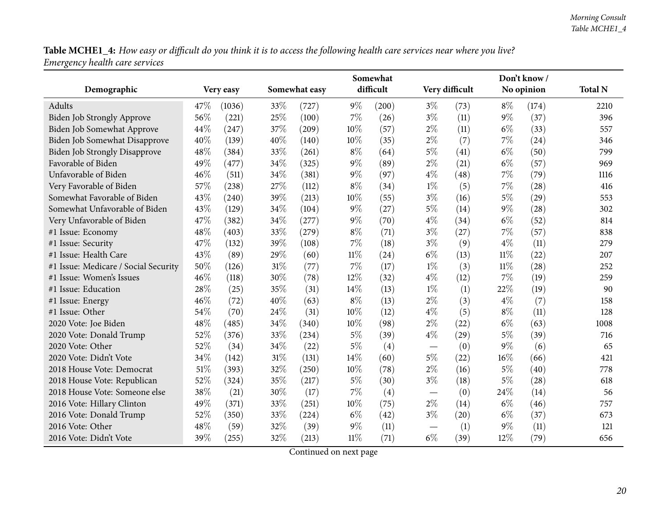|                                      |      |           |     |               |        | Somewhat<br>difficult |       |                |        | Don't know/ |                |
|--------------------------------------|------|-----------|-----|---------------|--------|-----------------------|-------|----------------|--------|-------------|----------------|
| Demographic                          |      | Very easy |     | Somewhat easy |        |                       |       | Very difficult |        | No opinion  | <b>Total N</b> |
| Adults                               | 47\% | (1036)    | 33% | (727)         | $9\%$  | (200)                 | $3\%$ | (73)           | $8\%$  | (174)       | 2210           |
| <b>Biden Job Strongly Approve</b>    | 56%  | (221)     | 25% | (100)         | 7%     | (26)                  | $3\%$ | (11)           | $9\%$  | (37)        | 396            |
| Biden Job Somewhat Approve           | 44%  | (247)     | 37% | (209)         | 10%    | (57)                  | $2\%$ | (11)           | $6\%$  | (33)        | 557            |
| <b>Biden Job Somewhat Disapprove</b> | 40%  | (139)     | 40% | (140)         | 10%    | (35)                  | $2\%$ | (7)            | 7%     | (24)        | 346            |
| <b>Biden Job Strongly Disapprove</b> | 48%  | (384)     | 33% | (261)         | $8\%$  | (64)                  | 5%    | (41)           | $6\%$  | (50)        | 799            |
| Favorable of Biden                   | 49%  | (477)     | 34% | (325)         | $9\%$  | (89)                  | $2\%$ | (21)           | $6\%$  | (57)        | 969            |
| Unfavorable of Biden                 | 46%  | (511)     | 34% | (381)         | $9\%$  | (97)                  | $4\%$ | (48)           | 7%     | (79)        | 1116           |
| Very Favorable of Biden              | 57%  | (238)     | 27% | (112)         | $8\%$  | (34)                  | $1\%$ | (5)            | 7%     | (28)        | 416            |
| Somewhat Favorable of Biden          | 43%  | (240)     | 39% | (213)         | 10%    | (55)                  | $3\%$ | (16)           | 5%     | (29)        | 553            |
| Somewhat Unfavorable of Biden        | 43%  | (129)     | 34% | (104)         | $9\%$  | (27)                  | $5\%$ | (14)           | 9%     | (28)        | 302            |
| Very Unfavorable of Biden            | 47%  | (382)     | 34% | (277)         | $9\%$  | (70)                  | $4\%$ | (34)           | $6\%$  | (52)        | 814            |
| #1 Issue: Economy                    | 48%  | (403)     | 33% | (279)         | $8\%$  | (71)                  | $3\%$ | (27)           | 7%     | (57)        | 838            |
| #1 Issue: Security                   | 47%  | (132)     | 39% | (108)         | $7\%$  | (18)                  | $3\%$ | (9)            | $4\%$  | (11)        | 279            |
| #1 Issue: Health Care                | 43%  | (89)      | 29% | (60)          | $11\%$ | (24)                  | $6\%$ | (13)           | 11%    | (22)        | 207            |
| #1 Issue: Medicare / Social Security | 50%  | (126)     | 31% | (77)          | 7%     | (17)                  | $1\%$ | (3)            | $11\%$ | (28)        | 252            |
| #1 Issue: Women's Issues             | 46%  | (118)     | 30% | (78)          | 12%    | (32)                  | $4\%$ | (12)           | 7%     | (19)        | 259            |
| #1 Issue: Education                  | 28%  | (25)      | 35% | (31)          | 14%    | (13)                  | $1\%$ | (1)            | 22%    | (19)        | 90             |
| #1 Issue: Energy                     | 46%  | (72)      | 40% | (63)          | $8\%$  | (13)                  | 2%    | (3)            | $4\%$  | (7)         | 158            |
| #1 Issue: Other                      | 54%  | (70)      | 24% | (31)          | 10%    | (12)                  | $4\%$ | (5)            | $8\%$  | (11)        | 128            |
| 2020 Vote: Joe Biden                 | 48%  | (485)     | 34% | (340)         | 10%    | (98)                  | $2\%$ | (22)           | $6\%$  | (63)        | 1008           |
| 2020 Vote: Donald Trump              | 52%  | (376)     | 33% | (234)         | $5\%$  | (39)                  | $4\%$ | (29)           | $5\%$  | (39)        | 716            |
| 2020 Vote: Other                     | 52%  | (34)      | 34% | (22)          | $5\%$  | (4)                   |       | (0)            | 9%     | (6)         | 65             |
| 2020 Vote: Didn't Vote               | 34%  | (142)     | 31% | (131)         | 14%    | (60)                  | $5\%$ | (22)           | 16%    | (66)        | 421            |
| 2018 House Vote: Democrat            | 51%  | (393)     | 32% | (250)         | 10%    | (78)                  | $2\%$ | (16)           | $5\%$  | (40)        | 778            |
| 2018 House Vote: Republican          | 52%  | (324)     | 35% | (217)         | $5\%$  | (30)                  | $3\%$ | (18)           | $5\%$  | (28)        | 618            |
| 2018 House Vote: Someone else        | 38%  | (21)      | 30% | (17)          | 7%     | (4)                   |       | (0)            | 24%    | (14)        | 56             |
| 2016 Vote: Hillary Clinton           | 49%  | (371)     | 33% | (251)         | 10%    | (75)                  | $2\%$ | (14)           | $6\%$  | (46)        | 757            |
| 2016 Vote: Donald Trump              | 52%  | (350)     | 33% | (224)         | $6\%$  | (42)                  | $3\%$ | (20)           | $6\%$  | (37)        | 673            |
| 2016 Vote: Other                     | 48%  | (59)      | 32% | (39)          | 9%     | (11)                  |       | (1)            | $9\%$  | (11)        | 121            |
| 2016 Vote: Didn't Vote               | 39%  | (255)     | 32% | (213)         | $11\%$ | (71)                  | $6\%$ | (39)           | 12%    | (79)        | 656            |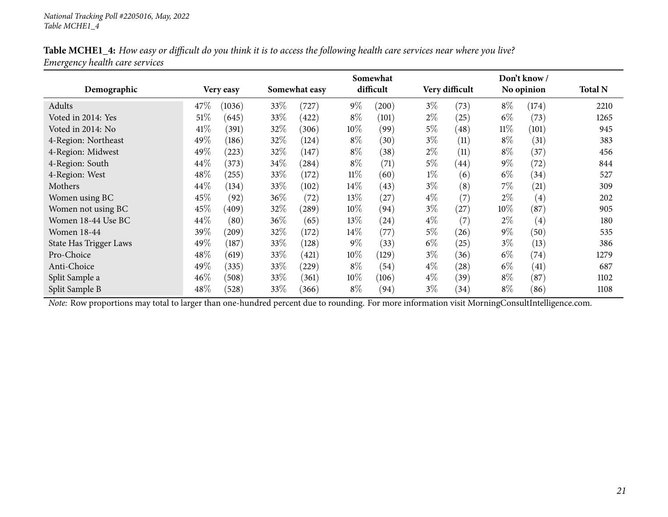|                               |      |           |      |               |        | Somewhat  |       |                |        | Don't know/       |                |
|-------------------------------|------|-----------|------|---------------|--------|-----------|-------|----------------|--------|-------------------|----------------|
| Demographic                   |      | Very easy |      | Somewhat easy |        | difficult |       | Very difficult |        | No opinion        | <b>Total N</b> |
| Adults                        | 47\% | (1036)    | 33\% | (727)         | $9\%$  | (200)     | $3\%$ | (73)           | $8\%$  | (174)             | 2210           |
| Voted in 2014: Yes            | 51%  | (645)     | 33%  | (422)         | $8\%$  | (101)     | $2\%$ | (25)           | $6\%$  | (73)              | 1265           |
| Voted in 2014: No             | 41\% | (391)     | 32\% | (306)         | $10\%$ | (99)      | $5\%$ | (48)           | $11\%$ | (101)             | 945            |
| 4-Region: Northeast           | 49%  | (186)     | 32%  | (124)         | $8\%$  | (30)      | $3\%$ | (11)           | $8\%$  | (31)              | 383            |
| 4-Region: Midwest             | 49%  | 223       | 32%  | (147)         | $8\%$  | (38)      | $2\%$ | (11)           | $8\%$  | (37)              | 456            |
| 4-Region: South               | 44%  | (373)     | 34\% | (284)         | $8\%$  | (71)      | $5\%$ | (44)           | $9\%$  | (72)              | 844            |
| 4-Region: West                | 48%  | (255)     | 33\% | (172)         | $11\%$ | (60)      | $1\%$ | (6)            | $6\%$  | (34)              | 527            |
| Mothers                       | 44%  | (134)     | 33\% | (102)         | 14\%   | (43)      | $3\%$ | (8)            | $7\%$  | (21)              | 309            |
| Women using BC                | 45%  | (92)      | 36%  | (72)          | 13\%   | (27)      | $4\%$ | (7)            | $2\%$  | $\left( 4\right)$ | 202            |
| Women not using BC            | 45\% | (409)     | 32\% | $^{'}289)$    | 10%    | (94)      | $3\%$ | (27)           | $10\%$ | (87)              | 905            |
| Women 18-44 Use BC            | 44%  | (80)      | 36%  | (65)          | 13\%   | (24)      | $4\%$ | (7)            | $2\%$  | $\left( 4\right)$ | 180            |
| <b>Women 18-44</b>            | 39\% | (209)     | 32\% | (172)         | $14\%$ | (77)      | $5\%$ | (26)           | $9\%$  | (50)              | 535            |
| <b>State Has Trigger Laws</b> | 49%  | (187)     | 33\% | (128)         | $9\%$  | (33)      | $6\%$ | (25)           | $3\%$  | (13)              | 386            |
| Pro-Choice                    | 48\% | (619)     | 33\% | (421)         | 10%    | (129)     | $3\%$ | (36)           | $6\%$  | (74)              | 1279           |
| Anti-Choice                   | 49\% | (335)     | 33\% | (229)         | $8\%$  | (54)      | $4\%$ | (28)           | $6\%$  | (41)              | 687            |
| Split Sample a                | 46%  | (508)     | 33\% | (361)         | $10\%$ | (106)     | $4\%$ | (39)           | $8\%$  | (87)              | 1102           |
| Split Sample B                | 48%  | (528)     | 33\% | (366)         | $8\%$  | (94)      | $3\%$ | (34)           | $8\%$  | (86)              | 1108           |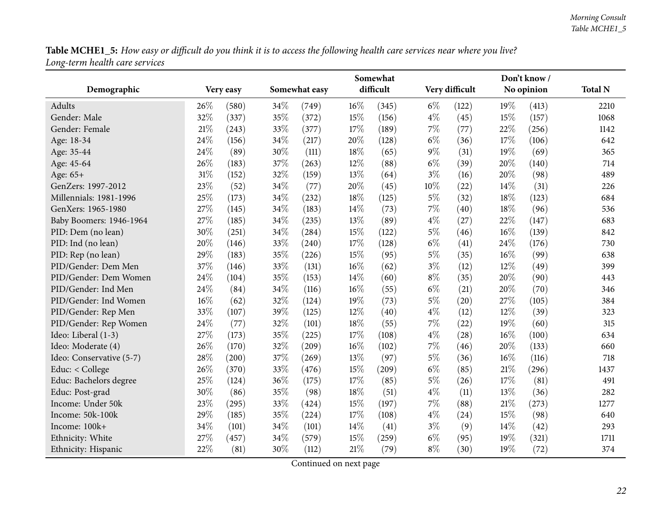<span id="page-21-0"></span>

|                          |     |           |     |               |        | Somewhat  |       |                |        | Don't know/ |                |
|--------------------------|-----|-----------|-----|---------------|--------|-----------|-------|----------------|--------|-------------|----------------|
| Demographic              |     | Very easy |     | Somewhat easy |        | difficult |       | Very difficult |        | No opinion  | <b>Total N</b> |
| Adults                   | 26% | (580)     | 34% | (749)         | 16%    | (345)     | $6\%$ | (122)          | 19%    | (413)       | 2210           |
| Gender: Male             | 32% | (337)     | 35% | (372)         | 15%    | (156)     | $4\%$ | (45)           | 15%    | (157)       | 1068           |
| Gender: Female           | 21% | (243)     | 33% | (377)         | 17%    | (189)     | 7%    | (77)           | 22%    | (256)       | 1142           |
| Age: 18-34               | 24% | (156)     | 34% | (217)         | 20%    | (128)     | $6\%$ | (36)           | 17%    | (106)       | 642            |
| Age: 35-44               | 24% | (89)      | 30% | (111)         | $18\%$ | (65)      | 9%    | (31)           | 19%    | (69)        | 365            |
| Age: 45-64               | 26% | (183)     | 37% | (263)         | 12%    | (88)      | $6\%$ | (39)           | 20%    | (140)       | 714            |
| Age: 65+                 | 31% | (152)     | 32% | (159)         | 13%    | (64)      | $3\%$ | (16)           | 20%    | (98)        | 489            |
| GenZers: 1997-2012       | 23% | (52)      | 34% | (77)          | 20%    | (45)      | 10%   | (22)           | 14%    | (31)        | 226            |
| Millennials: 1981-1996   | 25% | (173)     | 34% | (232)         | 18%    | (125)     | $5\%$ | (32)           | 18%    | (123)       | 684            |
| GenXers: 1965-1980       | 27% | (145)     | 34% | (183)         | 14%    | (73)      | 7%    | (40)           | 18%    | (96)        | 536            |
| Baby Boomers: 1946-1964  | 27% | (185)     | 34% | (235)         | 13%    | (89)      | $4\%$ | (27)           | 22%    | (147)       | 683            |
| PID: Dem (no lean)       | 30% | (251)     | 34% | (284)         | 15%    | (122)     | $5\%$ | (46)           | 16%    | (139)       | 842            |
| PID: Ind (no lean)       | 20% | (146)     | 33% | (240)         | 17%    | (128)     | $6\%$ | (41)           | 24\%   | (176)       | 730            |
| PID: Rep (no lean)       | 29% | (183)     | 35% | (226)         | 15%    | (95)      | $5\%$ | (35)           | 16%    | (99)        | 638            |
| PID/Gender: Dem Men      | 37% | (146)     | 33% | (131)         | 16%    | (62)      | $3\%$ | (12)           | 12%    | (49)        | 399            |
| PID/Gender: Dem Women    | 24% | (104)     | 35% | (153)         | 14%    | (60)      | $8\%$ | (35)           | 20%    | (90)        | 443            |
| PID/Gender: Ind Men      | 24% | (84)      | 34% | (116)         | 16%    | (55)      | $6\%$ | (21)           | 20%    | (70)        | 346            |
| PID/Gender: Ind Women    | 16% | (62)      | 32% | (124)         | 19%    | (73)      | $5\%$ | (20)           | 27%    | (105)       | 384            |
| PID/Gender: Rep Men      | 33% | (107)     | 39% | (125)         | 12%    | (40)      | $4\%$ | (12)           | $12\%$ | (39)        | 323            |
| PID/Gender: Rep Women    | 24% | (77)      | 32% | (101)         | 18%    | (55)      | 7%    | (22)           | 19%    | (60)        | 315            |
| Ideo: Liberal (1-3)      | 27% | (173)     | 35% | (225)         | 17%    | (108)     | $4\%$ | (28)           | 16%    | (100)       | 634            |
| Ideo: Moderate (4)       | 26% | (170)     | 32% | (209)         | 16%    | (102)     | 7%    | (46)           | 20%    | (133)       | 660            |
| Ideo: Conservative (5-7) | 28% | (200)     | 37% | (269)         | 13%    | (97)      | $5\%$ | (36)           | 16%    | (116)       | 718            |
| Educ: < College          | 26% | (370)     | 33% | (476)         | 15%    | (209)     | $6\%$ | (85)           | 21%    | (296)       | 1437           |
| Educ: Bachelors degree   | 25% | (124)     | 36% | (175)         | 17%    | (85)      | $5\%$ | (26)           | 17%    | (81)        | 491            |
| Educ: Post-grad          | 30% | (86)      | 35% | (98)          | 18%    | (51)      | 4%    | (11)           | 13%    | (36)        | 282            |
| Income: Under 50k        | 23% | (295)     | 33% | (424)         | $15\%$ | (197)     | 7%    | (88)           | 21%    | (273)       | 1277           |
| Income: 50k-100k         | 29% | (185)     | 35% | (224)         | 17%    | (108)     | $4\%$ | (24)           | 15%    | (98)        | 640            |
| Income: 100k+            | 34% | (101)     | 34% | (101)         | 14%    | (41)      | $3\%$ | (9)            | 14%    | (42)        | 293            |
| Ethnicity: White         | 27% | (457)     | 34% | (579)         | 15%    | (259)     | $6\%$ | (95)           | 19%    | (321)       | 1711           |
| Ethnicity: Hispanic      | 22% | (81)      | 30% | (112)         | 21%    | (79)      | $8\%$ | (30)           | 19%    | (72)        | 374            |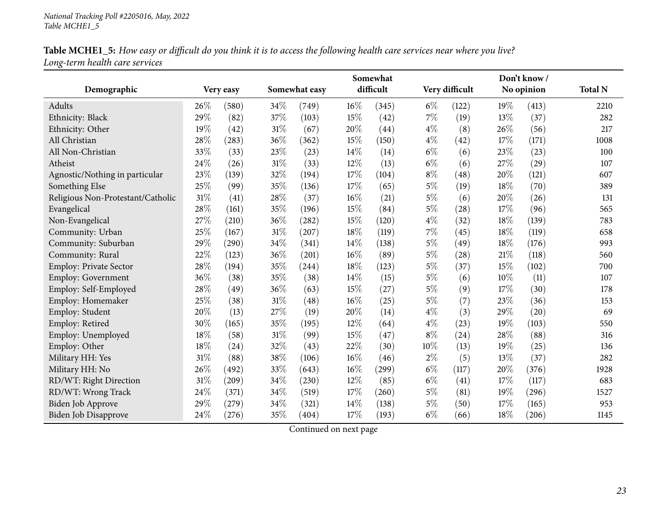| Table MCHE1_5: How easy or difficult do you think it is to access the following health care services near where you live? |  |
|---------------------------------------------------------------------------------------------------------------------------|--|
| Long-term health care services                                                                                            |  |

|                                   |        |           | Somewhat |               |        |           |       |                |     | Don't know/ |                |
|-----------------------------------|--------|-----------|----------|---------------|--------|-----------|-------|----------------|-----|-------------|----------------|
| Demographic                       |        | Very easy |          | Somewhat easy |        | difficult |       | Very difficult |     | No opinion  | <b>Total N</b> |
| Adults                            | 26%    | (580)     | 34\%     | (749)         | 16%    | (345)     | $6\%$ | (122)          | 19% | (413)       | 2210           |
| Ethnicity: Black                  | 29%    | (82)      | $37\%$   | (103)         | 15%    | (42)      | $7\%$ | (19)           | 13% | (37)        | 282            |
| Ethnicity: Other                  | 19%    | (42)      | $31\%$   | (67)          | 20%    | (44)      | $4\%$ | (8)            | 26% | (56)        | 217            |
| All Christian                     | 28%    | (283)     | 36%      | (362)         | 15%    | (150)     | $4\%$ | (42)           | 17% | (171)       | 1008           |
| All Non-Christian                 | 33%    | (33)      | 23%      | (23)          | 14%    | (14)      | $6\%$ | (6)            | 23% | (23)        | 100            |
| Atheist                           | 24%    | (26)      | 31%      | (33)          | 12%    | (13)      | $6\%$ | (6)            | 27% | (29)        | 107            |
| Agnostic/Nothing in particular    | 23%    | (139)     | 32%      | (194)         | 17%    | (104)     | $8\%$ | (48)           | 20% | (121)       | 607            |
| Something Else                    | 25%    | (99)      | 35%      | (136)         | 17%    | (65)      | $5\%$ | (19)           | 18% | (70)        | 389            |
| Religious Non-Protestant/Catholic | $31\%$ | (41)      | 28%      | (37)          | 16%    | (21)      | $5\%$ | (6)            | 20% | (26)        | 131            |
| Evangelical                       | 28%    | (161)     | 35%      | (196)         | 15%    | (84)      | $5\%$ | (28)           | 17% | (96)        | 565            |
| Non-Evangelical                   | 27%    | (210)     | 36%      | (282)         | 15%    | (120)     | $4\%$ | (32)           | 18% | (139)       | 783            |
| Community: Urban                  | 25%    | (167)     | $31\%$   | (207)         | 18%    | (119)     | $7\%$ | (45)           | 18% | (119)       | 658            |
| Community: Suburban               | 29%    | (290)     | 34%      | (341)         | 14%    | (138)     | $5\%$ | (49)           | 18% | (176)       | 993            |
| Community: Rural                  | 22%    | (123)     | 36%      | (201)         | 16%    | (89)      | $5\%$ | (28)           | 21% | (118)       | 560            |
| Employ: Private Sector            | 28\%   | (194)     | $35\%$   | (244)         | 18%    | (123)     | $5\%$ | (37)           | 15% | (102)       | 700            |
| Employ: Government                | 36%    | (38)      | 35%      | (38)          | 14%    | (15)      | $5\%$ | (6)            | 10% | (11)        | 107            |
| Employ: Self-Employed             | 28%    | (49)      | 36%      | (63)          | 15%    | (27)      | $5\%$ | (9)            | 17% | (30)        | 178            |
| Employ: Homemaker                 | 25%    | (38)      | $31\%$   | (48)          | 16%    | (25)      | $5\%$ | (7)            | 23% | (36)        | 153            |
| Employ: Student                   | 20%    | (13)      | 27%      | (19)          | 20%    | (14)      | $4\%$ | (3)            | 29% | (20)        | 69             |
| Employ: Retired                   | 30%    | (165)     | 35%      | (195)         | 12%    | (64)      | $4\%$ | (23)           | 19% | (103)       | 550            |
| Employ: Unemployed                | 18%    | (58)      | 31%      | (99)          | 15%    | (47)      | $8\%$ | (24)           | 28% | (88)        | 316            |
| Employ: Other                     | 18%    | (24)      | 32%      | (43)          | 22%    | (30)      | 10%   | (13)           | 19% | (25)        | 136            |
| Military HH: Yes                  | 31%    | (88)      | 38%      | (106)         | 16%    | (46)      | $2\%$ | (5)            | 13% | (37)        | 282            |
| Military HH: No                   | 26%    | (492)     | 33%      | (643)         | 16%    | (299)     | $6\%$ | (117)          | 20% | (376)       | 1928           |
| RD/WT: Right Direction            | 31%    | (209)     | 34%      | (230)         | $12\%$ | (85)      | $6\%$ | (41)           | 17% | (117)       | 683            |
| RD/WT: Wrong Track                | 24%    | (371)     | 34%      | (519)         | $17\%$ | (260)     | $5\%$ | (81)           | 19% | (296)       | 1527           |
| Biden Job Approve                 | 29%    | (279)     | 34\%     | (321)         | 14%    | (138)     | $5\%$ | (50)           | 17% | (165)       | 953            |
| Biden Job Disapprove              | 24%    | (276)     | 35%      | (404)         | 17%    | (193)     | $6\%$ | (66)           | 18% | (206)       | 1145           |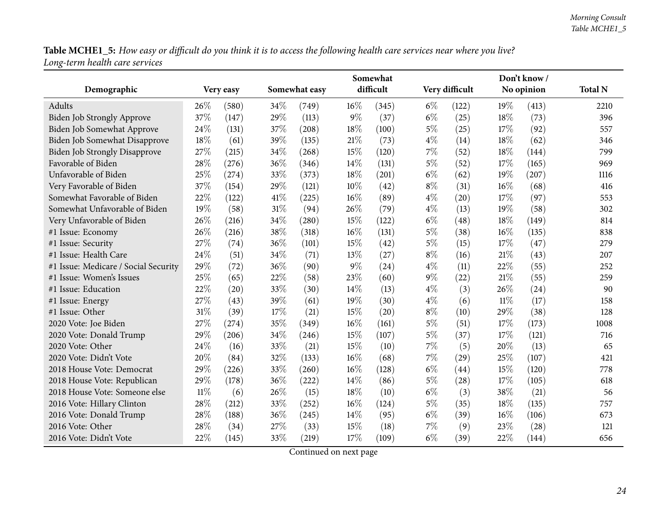|                                      |        |           |      |               |       | Somewhat  |       |                |        | Don't know/ |                |
|--------------------------------------|--------|-----------|------|---------------|-------|-----------|-------|----------------|--------|-------------|----------------|
| Demographic                          |        | Very easy |      | Somewhat easy |       | difficult |       | Very difficult |        | No opinion  | <b>Total N</b> |
| Adults                               | 26\%   | (580)     | 34%  | (749)         | 16%   | (345)     | $6\%$ | (122)          | 19%    | (413)       | 2210           |
| <b>Biden Job Strongly Approve</b>    | 37%    | (147)     | 29%  | (113)         | 9%    | (37)      | $6\%$ | (25)           | 18%    | (73)        | 396            |
| Biden Job Somewhat Approve           | 24\%   | (131)     | 37%  | (208)         | 18%   | (100)     | $5\%$ | (25)           | 17%    | (92)        | 557            |
| Biden Job Somewhat Disapprove        | 18%    | (61)      | 39%  | (135)         | 21\%  | (73)      | $4\%$ | (14)           | 18%    | (62)        | 346            |
| <b>Biden Job Strongly Disapprove</b> | 27%    | (215)     | 34%  | (268)         | 15%   | (120)     | 7%    | (52)           | 18%    | (144)       | 799            |
| Favorable of Biden                   | 28%    | (276)     | 36%  | (346)         | 14%   | (131)     | $5\%$ | (52)           | 17%    | (165)       | 969            |
| Unfavorable of Biden                 | 25%    | (274)     | 33%  | (373)         | 18%   | (201)     | $6\%$ | (62)           | 19%    | (207)       | 1116           |
| Very Favorable of Biden              | 37%    | (154)     | 29%  | (121)         | 10%   | (42)      | $8\%$ | (31)           | 16%    | (68)        | 416            |
| Somewhat Favorable of Biden          | 22%    | (122)     | 41\% | (225)         | 16%   | (89)      | $4\%$ | (20)           | 17%    | (97)        | 553            |
| Somewhat Unfavorable of Biden        | 19%    | (58)      | 31%  | (94)          | 26%   | (79)      | $4\%$ | (13)           | 19%    | (58)        | 302            |
| Very Unfavorable of Biden            | 26%    | (216)     | 34%  | (280)         | 15%   | (122)     | $6\%$ | (48)           | 18%    | (149)       | 814            |
| #1 Issue: Economy                    | 26%    | (216)     | 38%  | (318)         | 16%   | (131)     | $5\%$ | (38)           | 16%    | (135)       | 838            |
| #1 Issue: Security                   | 27%    | (74)      | 36%  | (101)         | 15%   | (42)      | $5\%$ | (15)           | 17%    | (47)        | 279            |
| #1 Issue: Health Care                | 24%    | (51)      | 34%  | (71)          | 13%   | (27)      | $8\%$ | (16)           | 21%    | (43)        | 207            |
| #1 Issue: Medicare / Social Security | 29%    | (72)      | 36%  | (90)          | $9\%$ | (24)      | $4\%$ | (11)           | 22%    | (55)        | 252            |
| #1 Issue: Women's Issues             | 25%    | (65)      | 22%  | (58)          | 23%   | (60)      | $9\%$ | (22)           | 21%    | (55)        | 259            |
| #1 Issue: Education                  | 22%    | (20)      | 33%  | (30)          | 14%   | (13)      | $4\%$ | (3)            | 26%    | (24)        | 90             |
| #1 Issue: Energy                     | 27%    | (43)      | 39%  | (61)          | 19%   | (30)      | $4\%$ | (6)            | $11\%$ | (17)        | 158            |
| #1 Issue: Other                      | 31%    | (39)      | 17%  | (21)          | 15%   | (20)      | $8\%$ | (10)           | 29%    | (38)        | 128            |
| 2020 Vote: Joe Biden                 | 27%    | (274)     | 35%  | (349)         | 16%   | (161)     | $5\%$ | (51)           | 17%    | (173)       | 1008           |
| 2020 Vote: Donald Trump              | 29%    | (206)     | 34%  | (246)         | 15%   | (107)     | $5\%$ | (37)           | 17%    | (121)       | 716            |
| 2020 Vote: Other                     | 24%    | (16)      | 33%  | (21)          | 15%   | (10)      | 7%    | (5)            | 20%    | (13)        | 65             |
| 2020 Vote: Didn't Vote               | 20%    | (84)      | 32%  | (133)         | 16%   | (68)      | 7%    | (29)           | 25%    | (107)       | 421            |
| 2018 House Vote: Democrat            | 29%    | (226)     | 33%  | (260)         | 16%   | (128)     | $6\%$ | (44)           | 15%    | (120)       | 778            |
| 2018 House Vote: Republican          | 29%    | (178)     | 36%  | (222)         | 14%   | (86)      | $5\%$ | (28)           | 17%    | (105)       | 618            |
| 2018 House Vote: Someone else        | $11\%$ | (6)       | 26%  | (15)          | 18%   | (10)      | $6\%$ | (3)            | 38%    | (21)        | 56             |
| 2016 Vote: Hillary Clinton           | 28%    | (212)     | 33%  | (252)         | 16%   | (124)     | $5\%$ | (35)           | 18%    | (135)       | 757            |
| 2016 Vote: Donald Trump              | 28%    | (188)     | 36%  | (245)         | 14%   | (95)      | $6\%$ | (39)           | 16%    | (106)       | 673            |
| 2016 Vote: Other                     | 28%    | (34)      | 27%  | (33)          | 15%   | (18)      | 7%    | (9)            | 23%    | (28)        | 121            |
| 2016 Vote: Didn't Vote               | 22%    | (145)     | 33%  | (219)         | 17%   | (109)     | $6\%$ | (39)           | 22%    | (144)       | 656            |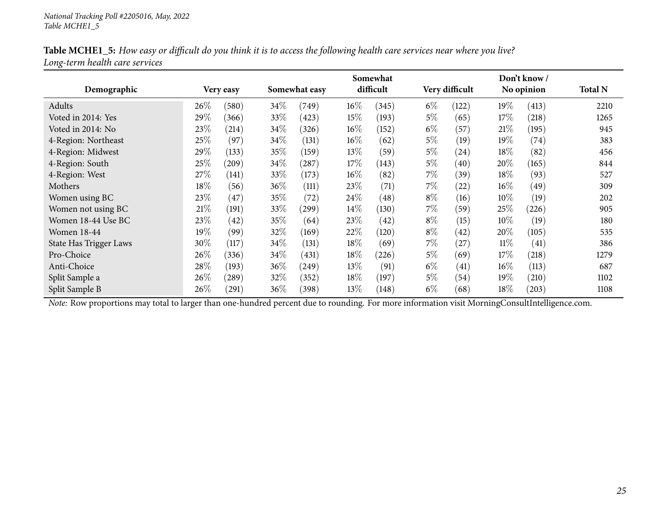| Table MCHE1_5: How easy or difficult do you think it is to access the following health care services near where you live? |  |
|---------------------------------------------------------------------------------------------------------------------------|--|
| Long-term health care services                                                                                            |  |

|                        |        |            | Somewhat |               |        |           |                | Don't know/ |            |            |                |  |  |
|------------------------|--------|------------|----------|---------------|--------|-----------|----------------|-------------|------------|------------|----------------|--|--|
| Demographic            |        | Very easy  |          | Somewhat easy |        | difficult | Very difficult |             | No opinion |            | <b>Total N</b> |  |  |
| Adults                 | $26\%$ | (580)      | 34\%     | (749)         | $16\%$ | (345)     | $6\%$          | (122)       | 19%        | (413)      | 2210           |  |  |
| Voted in 2014: Yes     | 29%    | (366)      | 33\%     | (423)         | 15%    | (193)     | $5\%$          | (65)        | 17\%       | (218)      | 1265           |  |  |
| Voted in 2014: No      | 23%    | (214)      | 34\%     | (326)         | $16\%$ | (152)     | $6\%$          | (57)        | 21%        | (195)      | 945            |  |  |
| 4-Region: Northeast    | 25%    | (97)       | 34\%     | (131)         | $16\%$ | (62)      | $5\%$          | (19)        | $19\%$     | (74)       | 383            |  |  |
| 4-Region: Midwest      | 29%    | (133)      | $35\%$   | (159)         | 13%    | (59)      | $5\%$          | (24)        | 18%        | (82)       | 456            |  |  |
| 4-Region: South        | 25%    | (209)      | 34\%     | (287)         | 17\%   | (143)     | $5\%$          | (40)        | 20%        | (165)      | 844            |  |  |
| 4-Region: West         | 27\%   | (141)      | 33\%     | (173)         | $16\%$ | (82)      | $7\%$          | (39)        | 18\%       | (93)       | 527            |  |  |
| Mothers                | 18%    | (56)       | 36%      | (111)         | 23%    | (71)      | $7\%$          | (22)        | $16\%$     | (49)       | 309            |  |  |
| Women using BC         | 23%    | (47)       | $35\%$   | (72)          | 24\%   | (48)      | $8\%$          | (16)        | $10\%$     | (19)       | 202            |  |  |
| Women not using BC     | $21\%$ | (191)      | 33%      | (299)         | 14%    | (130)     | $7\%$          | (59)        | 25%        | (226)      | 905            |  |  |
| Women 18-44 Use BC     | 23%    | (42)       | $35\%$   | (64)          | 23%    | (42)      | $8\%$          | (15)        | $10\%$     | (19)       | 180            |  |  |
| <b>Women 18-44</b>     | 19%    | (99)       | 32\%     | (169)         | 22%    | (120)     | $8\%$          | (42)        | 20%        | (105)      | 535            |  |  |
| State Has Trigger Laws | 30%    | (117)      | 34\%     | (131)         | 18%    | (69)      | $7\%$          | $^{'}27$    | $11\%$     | (41)       | 386            |  |  |
| Pro-Choice             | 26%    | (336)      | $34\%$   | (431)         | 18%    | (226)     | $5\%$          | (69)        | 17%        | (218)      | 1279           |  |  |
| Anti-Choice            | 28%    | (193)      | 36%      | (249)         | 13%    | (91)      | $6\%$          | (41)        | $16\%$     | (113)      | 687            |  |  |
| Split Sample a         | 26%    | $^{'}289)$ | 32%      | (352)         | 18%    | (197)     | $5\%$          | (54)        | 19%        | (210)      | 1102           |  |  |
| Split Sample B         | 26%    | (291)      | 36\%     | (398)         | 13%    | (148)     | $6\%$          | (68)        | 18%        | $^{'}203)$ | 1108           |  |  |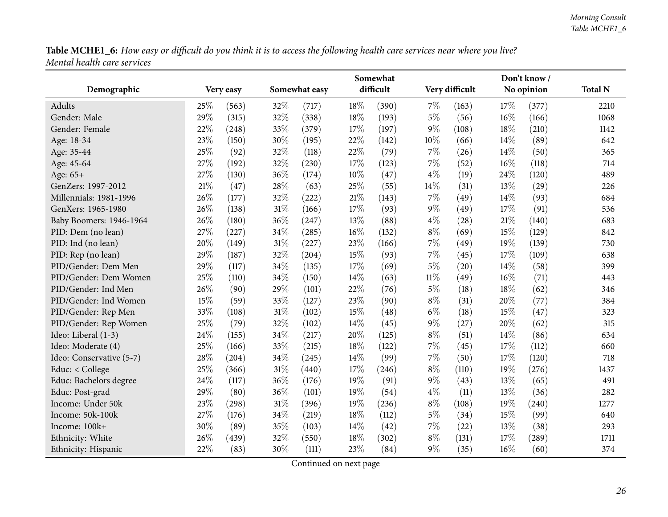<span id="page-25-0"></span>

|                          |        |           |        |               |     | Somewhat  |        |                |     | Don't know/ |                |
|--------------------------|--------|-----------|--------|---------------|-----|-----------|--------|----------------|-----|-------------|----------------|
| Demographic              |        | Very easy |        | Somewhat easy |     | difficult |        | Very difficult |     | No opinion  | <b>Total N</b> |
| Adults                   | 25%    | (563)     | 32%    | (717)         | 18% | (390)     | 7%     | (163)          | 17% | (377)       | 2210           |
| Gender: Male             | 29%    | (315)     | 32%    | (338)         | 18% | (193)     | 5%     | (56)           | 16% | (166)       | 1068           |
| Gender: Female           | $22\%$ | (248)     | 33%    | (379)         | 17% | (197)     | 9%     | (108)          | 18% | (210)       | 1142           |
| Age: 18-34               | 23%    | (150)     | 30%    | (195)         | 22% | (142)     | 10%    | (66)           | 14% | (89)        | 642            |
| Age: 35-44               | 25%    | (92)      | 32%    | (118)         | 22% | (79)      | 7%     | (26)           | 14% | (50)        | 365            |
| Age: 45-64               | 27%    | (192)     | 32%    | (230)         | 17% | (123)     | 7%     | (52)           | 16% | (118)       | 714            |
| Age: 65+                 | 27%    | (130)     | 36%    | (174)         | 10% | (47)      | $4\%$  | (19)           | 24% | (120)       | 489            |
| GenZers: 1997-2012       | 21%    | (47)      | 28%    | (63)          | 25% | (55)      | 14%    | (31)           | 13% | (29)        | 226            |
| Millennials: 1981-1996   | 26%    | (177)     | 32%    | (222)         | 21% | (143)     | 7%     | (49)           | 14% | (93)        | 684            |
| GenXers: 1965-1980       | 26%    | (138)     | $31\%$ | (166)         | 17% | (93)      | $9\%$  | (49)           | 17% | (91)        | 536            |
| Baby Boomers: 1946-1964  | 26%    | (180)     | 36%    | (247)         | 13% | (88)      | $4\%$  | (28)           | 21% | (140)       | 683            |
| PID: Dem (no lean)       | 27%    | (227)     | 34%    | (285)         | 16% | (132)     | $8\%$  | (69)           | 15% | (129)       | 842            |
| PID: Ind (no lean)       | 20%    | (149)     | 31%    | (227)         | 23% | (166)     | 7%     | (49)           | 19% | (139)       | 730            |
| PID: Rep (no lean)       | 29%    | (187)     | 32%    | (204)         | 15% | (93)      | 7%     | (45)           | 17% | (109)       | 638            |
| PID/Gender: Dem Men      | 29%    | (117)     | 34%    | (135)         | 17% | (69)      | $5\%$  | (20)           | 14% | (58)        | 399            |
| PID/Gender: Dem Women    | 25%    | (110)     | 34%    | (150)         | 14% | (63)      | $11\%$ | (49)           | 16% | (71)        | 443            |
| PID/Gender: Ind Men      | 26%    | (90)      | 29%    | (101)         | 22% | (76)      | $5\%$  | (18)           | 18% | (62)        | 346            |
| PID/Gender: Ind Women    | 15%    | (59)      | 33%    | (127)         | 23% | (90)      | $8\%$  | (31)           | 20% | (77)        | 384            |
| PID/Gender: Rep Men      | 33%    | (108)     | 31%    | (102)         | 15% | (48)      | $6\%$  | (18)           | 15% | (47)        | 323            |
| PID/Gender: Rep Women    | 25%    | (79)      | 32%    | (102)         | 14% | (45)      | 9%     | (27)           | 20% | (62)        | 315            |
| Ideo: Liberal (1-3)      | 24%    | (155)     | 34%    | (217)         | 20% | (125)     | $8\%$  | (51)           | 14% | (86)        | 634            |
| Ideo: Moderate (4)       | 25%    | (166)     | 33%    | (215)         | 18% | (122)     | 7%     | (45)           | 17% | (112)       | 660            |
| Ideo: Conservative (5-7) | 28%    | (204)     | 34%    | (245)         | 14% | (99)      | 7%     | (50)           | 17% | (120)       | 718            |
| Educ: < College          | 25%    | (366)     | 31%    | (440)         | 17% | (246)     | $8\%$  | (110)          | 19% | (276)       | 1437           |
| Educ: Bachelors degree   | 24%    | (117)     | 36%    | (176)         | 19% | (91)      | 9%     | (43)           | 13% | (65)        | 491            |
| Educ: Post-grad          | 29%    | (80)      | 36%    | (101)         | 19% | (54)      | $4\%$  | (11)           | 13% | (36)        | 282            |
| Income: Under 50k        | 23%    | (298)     | 31%    | (396)         | 19% | (236)     | $8\%$  | (108)          | 19% | (240)       | 1277           |
| Income: 50k-100k         | 27%    | (176)     | 34%    | (219)         | 18% | (112)     | $5\%$  | (34)           | 15% | (99)        | 640            |
| Income: 100k+            | 30%    | (89)      | 35%    | (103)         | 14% | (42)      | 7%     | (22)           | 13% | (38)        | 293            |
| Ethnicity: White         | 26%    | (439)     | 32%    | (550)         | 18% | (302)     | $8\%$  | (131)          | 17% | (289)       | 1711           |
| Ethnicity: Hispanic      | 22%    | (83)      | 30%    | (111)         | 23% | (84)      | $9\%$  | (35)           | 16% | (60)        | 374            |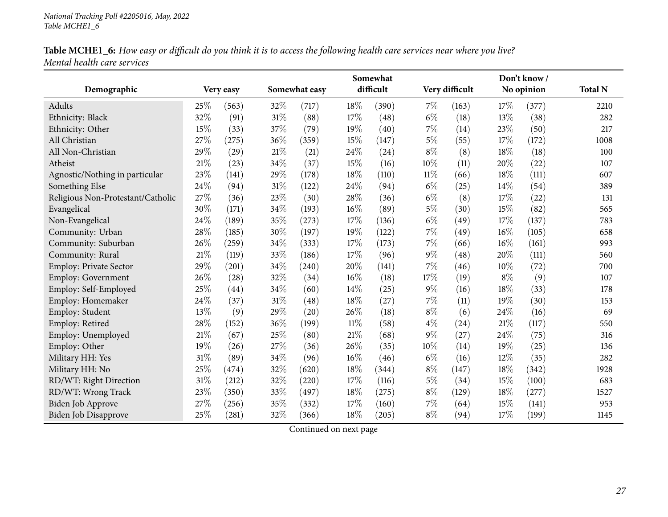|                                   |     |           | Somewhat |               |        |           |        |                    | Don't know |            |                |
|-----------------------------------|-----|-----------|----------|---------------|--------|-----------|--------|--------------------|------------|------------|----------------|
| Demographic                       |     | Very easy |          | Somewhat easy |        | difficult |        | Very difficult     |            | No opinion | <b>Total N</b> |
| Adults                            | 25% | (563)     | 32%      | (717)         | 18%    | (390)     | $7\%$  | (163)              | 17%        | (377)      | 2210           |
| Ethnicity: Black                  | 32% | (91)      | $31\%$   | (88)          | $17\%$ | (48)      | $6\%$  | (18)               | 13%        | (38)       | 282            |
| Ethnicity: Other                  | 15% | (33)      | 37%      | (79)          | 19%    | (40)      | $7\%$  | (14)               | 23%        | (50)       | 217            |
| All Christian                     | 27% | (275)     | 36%      | (359)         | 15%    | (147)     | $5\%$  | (55)               | 17%        | (172)      | 1008           |
| All Non-Christian                 | 29% | (29)      | $21\%$   | (21)          | 24%    | (24)      | $8\%$  | (8)                | 18%        | (18)       | 100            |
| Atheist                           | 21% | (23)      | 34\%     | (37)          | 15%    | (16)      | 10%    | (11)               | 20%        | (22)       | 107            |
| Agnostic/Nothing in particular    | 23% | (141)     | 29%      | (178)         | 18%    | (110)     | $11\%$ | (66)               | 18%        | (111)      | 607            |
| Something Else                    | 24% | (94)      | 31%      | (122)         | 24%    | (94)      | $6\%$  | (25)               | 14%        | (54)       | 389            |
| Religious Non-Protestant/Catholic | 27% | (36)      | 23%      | (30)          | 28%    | (36)      | $6\%$  | (8)                | 17%        | (22)       | 131            |
| Evangelical                       | 30% | (171)     | 34%      | (193)         | 16%    | (89)      | $5\%$  | (30)               | 15%        | (82)       | 565            |
| Non-Evangelical                   | 24% | (189)     | 35%      | (273)         | 17%    | (136)     | $6\%$  | (49)               | 17%        | (137)      | 783            |
| Community: Urban                  | 28% | (185)     | 30%      | (197)         | $19\%$ | (122)     | $7\%$  | (49)               | 16%        | (105)      | 658            |
| Community: Suburban               | 26% | (259)     | 34%      | (333)         | 17%    | (173)     | 7%     | (66)               | 16%        | (161)      | 993            |
| Community: Rural                  | 21% | (119)     | 33%      | (186)         | 17%    | (96)      | 9%     | (48)               | 20%        | (111)      | 560            |
| <b>Employ: Private Sector</b>     | 29% | (201)     | 34%      | (240)         | 20%    | (141)     | 7%     | (46)               | 10%        | (72)       | 700            |
| <b>Employ: Government</b>         | 26% | (28)      | 32%      | (34)          | $16\%$ | (18)      | 17%    | (19)               | $8\%$      | (9)        | 107            |
| Employ: Self-Employed             | 25% | (44)      | $34\%$   | (60)          | 14%    | (25)      | $9\%$  | (16)               | 18%        | (33)       | 178            |
| Employ: Homemaker                 | 24% | (37)      | $31\%$   | (48)          | 18%    | (27)      | 7%     | (11)               | 19%        | (30)       | 153            |
| Employ: Student                   | 13% | (9)       | 29%      | (20)          | 26%    | (18)      | $8\%$  | (6)                | 24\%       | (16)       | 69             |
| Employ: Retired                   | 28% | (152)     | 36%      | (199)         | $11\%$ | (58)      | $4\%$  | $\left( 24\right)$ | 21%        | (117)      | 550            |
| Employ: Unemployed                | 21% | (67)      | 25%      | (80)          | $21\%$ | (68)      | 9%     | (27)               | 24%        | (75)       | 316            |
| Employ: Other                     | 19% | (26)      | 27%      | (36)          | 26%    | (35)      | 10%    | (14)               | 19%        | (25)       | 136            |
| Military HH: Yes                  | 31% | (89)      | 34%      | (96)          | 16%    | (46)      | $6\%$  | (16)               | 12%        | (35)       | 282            |
| Military HH: No                   | 25% | (474)     | 32%      | (620)         | 18%    | (344)     | $8\%$  | (147)              | 18%        | (342)      | 1928           |
| RD/WT: Right Direction            | 31% | (212)     | $32\%$   | (220)         | 17%    | (116)     | $5\%$  | (34)               | 15%        | (100)      | 683            |
| RD/WT: Wrong Track                | 23% | (350)     | 33%      | (497)         | 18%    | (275)     | $8\%$  | (129)              | 18%        | (277)      | 1527           |
| Biden Job Approve                 | 27% | (256)     | 35%      | (332)         | 17%    | (160)     | 7%     | (64)               | 15%        | (141)      | 953            |
| <b>Biden Job Disapprove</b>       | 25% | (281)     | 32%      | (366)         | 18%    | (205)     | $8\%$  | (94)               | 17%        | (199)      | 1145           |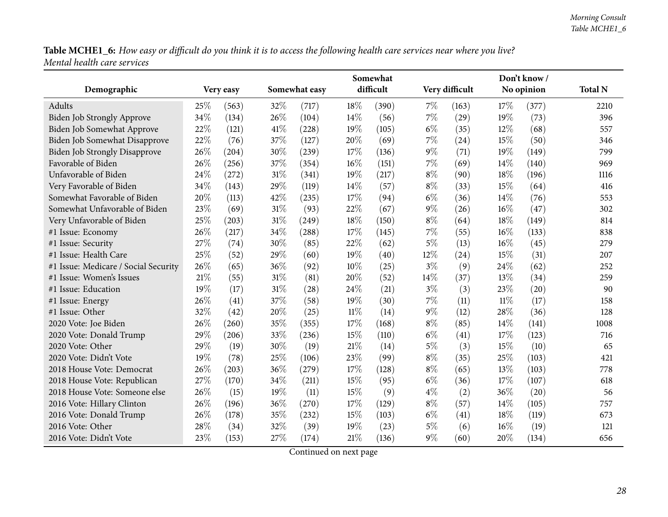|                                      |      |           |        |               |        | Somewhat  |       |                |      | Don't know / |                |
|--------------------------------------|------|-----------|--------|---------------|--------|-----------|-------|----------------|------|--------------|----------------|
| Demographic                          |      | Very easy |        | Somewhat easy |        | difficult |       | Very difficult |      | No opinion   | <b>Total N</b> |
| Adults                               | 25\% | (563)     | 32%    | (717)         | 18%    | (390)     | 7%    | (163)          | 17%  | (377)        | 2210           |
| Biden Job Strongly Approve           | 34%  | (134)     | 26%    | (104)         | 14%    | (56)      | 7%    | (29)           | 19%  | (73)         | 396            |
| Biden Job Somewhat Approve           | 22%  | (121)     | 41\%   | (228)         | 19%    | (105)     | $6\%$ | (35)           | 12%  | (68)         | 557            |
| <b>Biden Job Somewhat Disapprove</b> | 22%  | (76)      | 37%    | (127)         | 20%    | (69)      | 7%    | (24)           | 15%  | (50)         | 346            |
| <b>Biden Job Strongly Disapprove</b> | 26%  | (204)     | 30%    | (239)         | 17%    | (136)     | 9%    | (71)           | 19%  | (149)        | 799            |
| Favorable of Biden                   | 26%  | (256)     | 37%    | (354)         | 16%    | (151)     | 7%    | (69)           | 14%  | (140)        | 969            |
| Unfavorable of Biden                 | 24%  | (272)     | 31%    | (341)         | 19%    | (217)     | $8\%$ | (90)           | 18%  | (196)        | 1116           |
| Very Favorable of Biden              | 34%  | (143)     | 29%    | (119)         | 14%    | (57)      | $8\%$ | (33)           | 15%  | (64)         | 416            |
| Somewhat Favorable of Biden          | 20%  | (113)     | 42%    | (235)         | 17%    | (94)      | $6\%$ | (36)           | 14\% | (76)         | 553            |
| Somewhat Unfavorable of Biden        | 23%  | (69)      | 31%    | (93)          | 22%    | (67)      | 9%    | (26)           | 16%  | (47)         | 302            |
| Very Unfavorable of Biden            | 25%  | (203)     | $31\%$ | (249)         | 18%    | (150)     | $8\%$ | (64)           | 18%  | (149)        | 814            |
| #1 Issue: Economy                    | 26%  | (217)     | 34%    | (288)         | 17%    | (145)     | 7%    | (55)           | 16%  | (133)        | 838            |
| #1 Issue: Security                   | 27%  | (74)      | 30%    | (85)          | 22%    | (62)      | $5\%$ | (13)           | 16%  | (45)         | 279            |
| #1 Issue: Health Care                | 25%  | (52)      | 29%    | (60)          | 19%    | (40)      | 12%   | (24)           | 15%  | (31)         | 207            |
| #1 Issue: Medicare / Social Security | 26%  | (65)      | 36%    | (92)          | 10%    | (25)      | $3\%$ | (9)            | 24%  | (62)         | 252            |
| #1 Issue: Women's Issues             | 21%  | (55)      | 31%    | (81)          | 20%    | (52)      | 14%   | (37)           | 13%  | (34)         | 259            |
| #1 Issue: Education                  | 19%  | (17)      | $31\%$ | (28)          | 24%    | (21)      | $3\%$ | (3)            | 23%  | (20)         | 90             |
| #1 Issue: Energy                     | 26%  | (41)      | 37%    | (58)          | 19%    | (30)      | 7%    | (11)           | 11%  | (17)         | 158            |
| #1 Issue: Other                      | 32%  | (42)      | 20%    | (25)          | $11\%$ | (14)      | 9%    | (12)           | 28%  | (36)         | 128            |
| 2020 Vote: Joe Biden                 | 26%  | (260)     | 35%    | (355)         | 17%    | (168)     | $8\%$ | (85)           | 14%  | (141)        | 1008           |
| 2020 Vote: Donald Trump              | 29%  | (206)     | 33%    | (236)         | 15%    | (110)     | $6\%$ | (41)           | 17%  | (123)        | 716            |
| 2020 Vote: Other                     | 29%  | (19)      | 30%    | (19)          | 21%    | (14)      | 5%    | (3)            | 15%  | (10)         | 65             |
| 2020 Vote: Didn't Vote               | 19%  | (78)      | 25%    | (106)         | 23%    | (99)      | $8\%$ | (35)           | 25%  | (103)        | 421            |
| 2018 House Vote: Democrat            | 26%  | (203)     | 36%    | (279)         | 17%    | (128)     | $8\%$ | (65)           | 13%  | (103)        | 778            |
| 2018 House Vote: Republican          | 27%  | (170)     | 34\%   | (211)         | 15%    | (95)      | $6\%$ | (36)           | 17%  | (107)        | 618            |
| 2018 House Vote: Someone else        | 26%  | (15)      | 19%    | (11)          | 15%    | (9)       | $4\%$ | (2)            | 36%  | (20)         | 56             |
| 2016 Vote: Hillary Clinton           | 26%  | (196)     | 36%    | (270)         | 17%    | (129)     | $8\%$ | (57)           | 14\% | (105)        | 757            |
| 2016 Vote: Donald Trump              | 26%  | (178)     | 35%    | (232)         | 15%    | (103)     | $6\%$ | (41)           | 18%  | (119)        | 673            |
| 2016 Vote: Other                     | 28%  | (34)      | 32%    | (39)          | 19%    | (23)      | $5\%$ | (6)            | 16%  | (19)         | 121            |
| 2016 Vote: Didn't Vote               | 23%  | (153)     | 27%    | (174)         | 21%    | (136)     | $9\%$ | (60)           | 20%  | (134)        | 656            |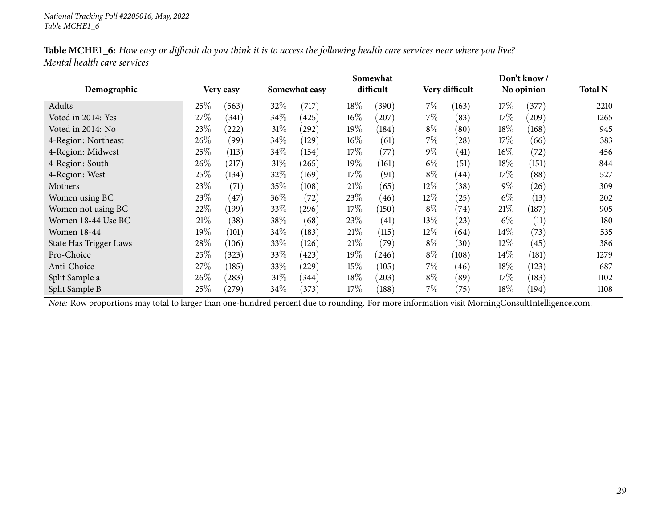| Table MCHE1_6: How easy or difficult do you think it is to access the following health care services near where you live? |  |
|---------------------------------------------------------------------------------------------------------------------------|--|
| Mental health care services                                                                                               |  |

|                        |      |            | Somewhat      |       |        |           |       |                | Don't know / |            |                |  |  |
|------------------------|------|------------|---------------|-------|--------|-----------|-------|----------------|--------------|------------|----------------|--|--|
| Demographic            |      | Very easy  | Somewhat easy |       |        | difficult |       | Very difficult |              | No opinion | <b>Total N</b> |  |  |
| Adults                 | 25\% | (563)      | 32%           | (717) | 18%    | (390)     | $7\%$ | (163)          | 17%          | (377)      | 2210           |  |  |
| Voted in 2014: Yes     | 27\% | (341)      | 34\%          | (425) | $16\%$ | (207)     | 7%    | (83)           | $17\%$       | (209)      | 1265           |  |  |
| Voted in 2014: No      | 23\% | 222        | $31\%$        | (292) | $19\%$ | (184)     | $8\%$ | (80)           | 18%          | (168)      | 945            |  |  |
| 4-Region: Northeast    | 26\% | (99)       | 34\%          | (129) | $16\%$ | (61)      | 7%    | (28)           | $17\%$       | (66)       | 383            |  |  |
| 4-Region: Midwest      | 25%  | (113)      | 34\%          | (154) | 17\%   | (77)      | $9\%$ | (41)           | $16\%$       | (72)       | 456            |  |  |
| 4-Region: South        | 26\% | (217)      | $31\%$        | (265) | $19\%$ | (161)     | $6\%$ | (51)           | 18%          | (151)      | 844            |  |  |
| 4-Region: West         | 25\% | (134)      | 32\%          | (169) | 17\%   | (91)      | $8\%$ | (44)           | 17%          | (88)       | 527            |  |  |
| Mothers                | 23%  | (71)       | 35\%          | (108) | $21\%$ | (65)      | 12%   | (38)           | $9\%$        | (26)       | 309            |  |  |
| Women using BC         | 23\% | (47)       | 36%           | (72)  | 23\%   | (46)      | 12\%  | (25)           | $6\%$        | (13)       | 202            |  |  |
| Women not using BC     | 22%  | (199)      | 33%           | (296) | 17\%   | (150)     | $8\%$ | (74)           | 21%          | (187)      | 905            |  |  |
| Women 18-44 Use BC     | 21%  | (38)       | 38\%          | (68)  | 23%    | (41)      | 13%   | (23)           | $6\%$        | (11)       | 180            |  |  |
| <b>Women 18-44</b>     | 19%  | (101)      | 34\%          | (183) | 21%    | (115)     | 12%   | (64)           | $14\%$       | (73)       | 535            |  |  |
| State Has Trigger Laws | 28\% | (106)      | 33\%          | (126) | 21%    | (79)      | $8\%$ | (30)           | $12\%$       | (45)       | 386            |  |  |
| Pro-Choice             | 25%  | (323)      | 33\%          | (423) | $19\%$ | (246)     | $8\%$ | (108)          | $14\%$       | (181)      | 1279           |  |  |
| Anti-Choice            | 27\% | (185)      | 33\%          | (229) | 15%    | (105)     | $7\%$ | (46)           | 18%          | (123)      | 687            |  |  |
| Split Sample a         | 26\% | (283)      | $31\%$        | (344) | 18%    | (203)     | $8\%$ | (89)           | 17%          | (183)      | 1102           |  |  |
| Split Sample B         | 25%  | $^{'}279)$ | 34\%          | (373) | 17\%   | (188)     | $7\%$ | (75)           | $18\%$       | (194)      | 1108           |  |  |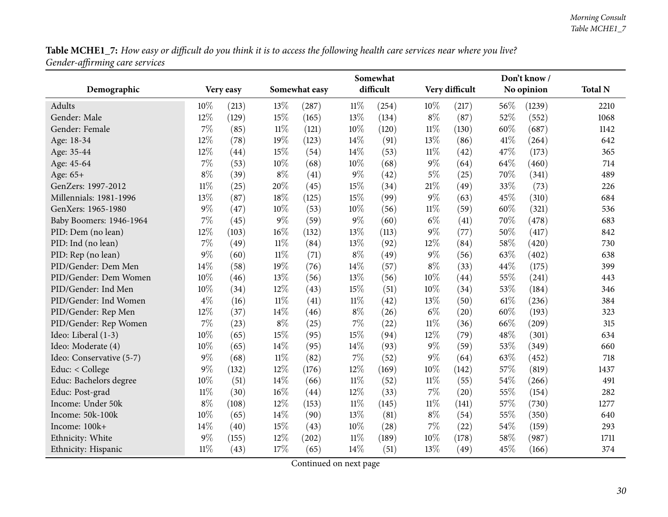<span id="page-29-0"></span>

|                          |        |           | Somewhat      |                    |        |           |        | Don't know/    |      |            |                |  |
|--------------------------|--------|-----------|---------------|--------------------|--------|-----------|--------|----------------|------|------------|----------------|--|
| Demographic              |        | Very easy | Somewhat easy |                    |        | difficult |        | Very difficult |      | No opinion | <b>Total N</b> |  |
| Adults                   | 10%    | (213)     | 13%           | (287)              | $11\%$ | (254)     | 10%    | (217)          | 56\% | (1239)     | 2210           |  |
| Gender: Male             | 12%    | (129)     | 15%           | (165)              | 13%    | (134)     | $8\%$  | (87)           | 52%  | (552)      | 1068           |  |
| Gender: Female           | 7%     | (85)      | $11\%$        | (121)              | 10%    | (120)     | $11\%$ | (130)          | 60%  | (687)      | 1142           |  |
| Age: 18-34               | 12%    | (78)      | 19%           | (123)              | 14%    | (91)      | 13%    | (86)           | 41%  | (264)      | 642            |  |
| Age: 35-44               | 12%    | (44)      | 15%           | (54)               | 14%    | (53)      | $11\%$ | (42)           | 47%  | (173)      | 365            |  |
| Age: 45-64               | $7\%$  | (53)      | 10%           | (68)               | 10%    | (68)      | $9\%$  | (64)           | 64%  | (460)      | 714            |  |
| Age: 65+                 | $8\%$  | (39)      | $8\%$         | (41)               | $9\%$  | (42)      | 5%     | (25)           | 70%  | (341)      | 489            |  |
| GenZers: 1997-2012       | $11\%$ | (25)      | 20%           | (45)               | 15%    | (34)      | 21%    | (49)           | 33%  | (73)       | 226            |  |
| Millennials: 1981-1996   | 13%    | (87)      | 18%           | (125)              | 15%    | (99)      | 9%     | (63)           | 45%  | (310)      | 684            |  |
| GenXers: 1965-1980       | $9\%$  | (47)      | 10%           | (53)               | 10%    | (56)      | $11\%$ | (59)           | 60%  | (321)      | 536            |  |
| Baby Boomers: 1946-1964  | $7\%$  | (45)      | $9\%$         | (59)               | 9%     | (60)      | $6\%$  | (41)           | 70%  | (478)      | 683            |  |
| PID: Dem (no lean)       | 12%    | (103)     | 16%           | (132)              | 13%    | (113)     | 9%     | (77)           | 50%  | (417)      | 842            |  |
| PID: Ind (no lean)       | 7%     | (49)      | $11\%$        | (84)               | 13%    | (92)      | 12%    | (84)           | 58%  | (420)      | 730            |  |
| PID: Rep (no lean)       | $9\%$  | (60)      | $11\%$        | (71)               | $8\%$  | (49)      | 9%     | (56)           | 63%  | (402)      | 638            |  |
| PID/Gender: Dem Men      | 14%    | (58)      | 19%           | (76)               | 14%    | (57)      | $8\%$  | (33)           | 44%  | (175)      | 399            |  |
| PID/Gender: Dem Women    | 10%    | (46)      | 13%           | (56)               | 13%    | (56)      | 10%    | (44)           | 55%  | (241)      | 443            |  |
| PID/Gender: Ind Men      | 10%    | (34)      | 12%           | (43)               | $15\%$ | (51)      | 10%    | (34)           | 53%  | (184)      | 346            |  |
| PID/Gender: Ind Women    | $4\%$  | (16)      | $11\%$        | (41)               | $11\%$ | (42)      | 13%    | (50)           | 61\% | (236)      | 384            |  |
| PID/Gender: Rep Men      | 12%    | (37)      | 14%           | (46)               | $8\%$  | (26)      | $6\%$  | (20)           | 60%  | (193)      | 323            |  |
| PID/Gender: Rep Women    | 7%     | (23)      | $8\%$         | (25)               | 7%     | (22)      | $11\%$ | (36)           | 66%  | (209)      | 315            |  |
| Ideo: Liberal (1-3)      | 10%    | (65)      | 15%           | (95)               | 15%    | (94)      | 12%    | (79)           | 48%  | (301)      | 634            |  |
| Ideo: Moderate (4)       | 10%    | (65)      | 14\%          | (95)               | 14%    | (93)      | $9\%$  | (59)           | 53%  | (349)      | 660            |  |
| Ideo: Conservative (5-7) | $9\%$  | (68)      | $11\%$        | (82)               | 7%     | (52)      | 9%     | (64)           | 63%  | (452)      | 718            |  |
| Educ: < College          | $9\%$  | (132)     | 12%           | (176)              | 12%    | (169)     | 10%    | (142)          | 57%  | (819)      | 1437           |  |
| Educ: Bachelors degree   | 10%    | (51)      | 14%           | (66)               | $11\%$ | (52)      | $11\%$ | (55)           | 54%  | (266)      | 491            |  |
| Educ: Post-grad          | $11\%$ | (30)      | $16\%$        | $\left( 44\right)$ | 12%    | (33)      | $7\%$  | (20)           | 55%  | (154)      | 282            |  |
| Income: Under 50k        | $8\%$  | (108)     | 12%           | (153)              | $11\%$ | (145)     | $11\%$ | (141)          | 57%  | (730)      | 1277           |  |
| Income: 50k-100k         | 10%    | (65)      | 14%           | (90)               | 13%    | (81)      | $8\%$  | (54)           | 55%  | (350)      | 640            |  |
| Income: 100k+            | 14%    | (40)      | 15%           | (43)               | 10%    | (28)      | 7%     | (22)           | 54%  | (159)      | 293            |  |
| Ethnicity: White         | 9%     | (155)     | 12%           | (202)              | $11\%$ | (189)     | 10%    | (178)          | 58%  | (987)      | 1711           |  |
| Ethnicity: Hispanic      | $11\%$ | (43)      | 17%           | (65)               | 14%    | (51)      | 13%    | (49)           | 45%  | (166)      | 374            |  |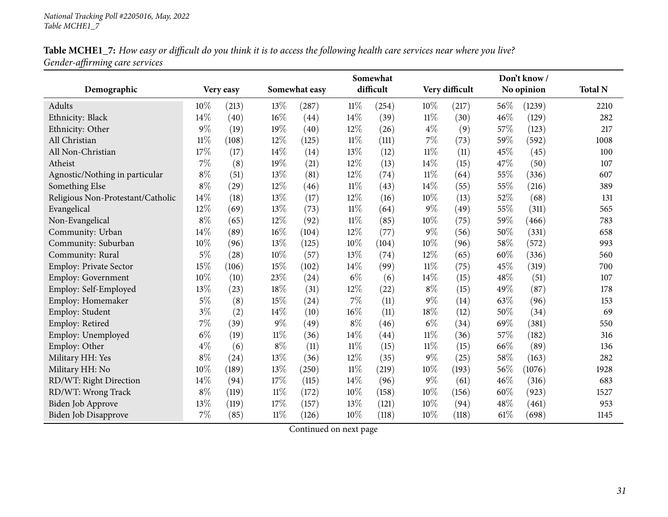| Table MCHE1_7: How easy or difficult do you think it is to access the following health care services near where you live? |  |
|---------------------------------------------------------------------------------------------------------------------------|--|
| Gender-affirming care services                                                                                            |  |

|                                   |       |                    |        |               |        | Somewhat  |        |                |        | Don't know/ |                |
|-----------------------------------|-------|--------------------|--------|---------------|--------|-----------|--------|----------------|--------|-------------|----------------|
| Demographic                       |       | Very easy          |        | Somewhat easy |        | difficult |        | Very difficult |        | No opinion  | <b>Total N</b> |
| Adults                            | 10%   | (213)              | 13%    | (287)         | $11\%$ | (254)     | $10\%$ | (217)          | 56\%   | (1239)      | 2210           |
| Ethnicity: Black                  | 14%   | (40)               | 16%    | (44)          | 14%    | (39)      | $11\%$ | (30)           | 46%    | (129)       | 282            |
| Ethnicity: Other                  | $9\%$ | (19)               | 19%    | (40)          | 12%    | (26)      | $4\%$  | (9)            | 57%    | (123)       | 217            |
| All Christian                     | 11%   | (108)              | 12%    | (125)         | $11\%$ | (111)     | 7%     | (73)           | 59%    | (592)       | 1008           |
| All Non-Christian                 | 17%   | (17)               | 14%    | (14)          | 13%    | (12)      | $11\%$ | (11)           | 45%    | (45)        | 100            |
| Atheist                           | $7\%$ | (8)                | 19%    | (21)          | 12%    | (13)      | 14%    | (15)           | 47\%   | (50)        | 107            |
| Agnostic/Nothing in particular    | $8\%$ | (51)               | 13%    | (81)          | 12%    | (74)      | $11\%$ | (64)           | 55%    | (336)       | 607            |
| Something Else                    | $8\%$ | $\left( 29\right)$ | $12\%$ | (46)          | $11\%$ | (43)      | 14%    | (55)           | 55%    | (216)       | 389            |
| Religious Non-Protestant/Catholic | 14%   | (18)               | 13%    | (17)          | 12%    | (16)      | 10%    | (13)           | 52%    | (68)        | 131            |
| Evangelical                       | 12%   | (69)               | 13%    | (73)          | $11\%$ | (64)      | $9\%$  | (49)           | 55%    | (311)       | 565            |
| Non-Evangelical                   | $8\%$ | (65)               | 12%    | (92)          | $11\%$ | (85)      | 10%    | (75)           | 59%    | (466)       | 783            |
| Community: Urban                  | 14%   | (89)               | 16%    | (104)         | 12%    | (77)      | $9\%$  | (56)           | 50%    | (331)       | 658            |
| Community: Suburban               | 10%   | (96)               | $13\%$ | (125)         | 10%    | (104)     | 10%    | (96)           | 58\%   | (572)       | 993            |
| Community: Rural                  | $5\%$ | (28)               | $10\%$ | (57)          | 13%    | (74)      | 12%    | (65)           | 60%    | (336)       | 560            |
| Employ: Private Sector            | 15%   | (106)              | 15%    | (102)         | 14\%   | (99)      | $11\%$ | (75)           | 45%    | (319)       | 700            |
| Employ: Government                | 10%   | (10)               | 23%    | (24)          | $6\%$  | (6)       | 14%    | (15)           | 48%    | (51)        | 107            |
| Employ: Self-Employed             | 13%   | (23)               | 18%    | (31)          | 12%    | (22)      | $8\%$  | (15)           | 49%    | (87)        | 178            |
| Employ: Homemaker                 | $5\%$ | (8)                | 15%    | (24)          | 7%     | (11)      | $9\%$  | (14)           | 63%    | (96)        | 153            |
| Employ: Student                   | $3\%$ | (2)                | 14%    | (10)          | $16\%$ | (11)      | 18%    | (12)           | 50%    | (34)        | 69             |
| Employ: Retired                   | $7\%$ | (39)               | $9\%$  | (49)          | $8\%$  | (46)      | $6\%$  | (34)           | 69%    | (381)       | 550            |
| Employ: Unemployed                | $6\%$ | (19)               | $11\%$ | (36)          | 14%    | (44)      | $11\%$ | (36)           | 57%    | (182)       | 316            |
| Employ: Other                     | $4\%$ | (6)                | $8\%$  | (11)          | $11\%$ | (15)      | $11\%$ | (15)           | 66\%   | (89)        | 136            |
| Military HH: Yes                  | $8\%$ | (24)               | 13%    | (36)          | 12%    | (35)      | $9\%$  | (25)           | 58%    | (163)       | 282            |
| Military HH: No                   | 10%   | (189)              | 13%    | (250)         | $11\%$ | (219)     | 10%    | (193)          | 56%    | (1076)      | 1928           |
| RD/WT: Right Direction            | 14%   | (94)               | 17%    | (115)         | 14%    | (96)      | $9\%$  | (61)           | $46\%$ | (316)       | 683            |
| RD/WT: Wrong Track                | $8\%$ | (119)              | $11\%$ | (172)         | 10%    | (158)     | 10%    | (156)          | 60%    | (923)       | 1527           |
| Biden Job Approve                 | 13%   | (119)              | 17%    | (157)         | 13%    | (121)     | 10%    | (94)           | 48\%   | (461)       | 953            |
| <b>Biden Job Disapprove</b>       | 7%    | (85)               | $11\%$ | (126)         | 10%    | (118)     | 10%    | (118)          | 61%    | (698)       | 1145           |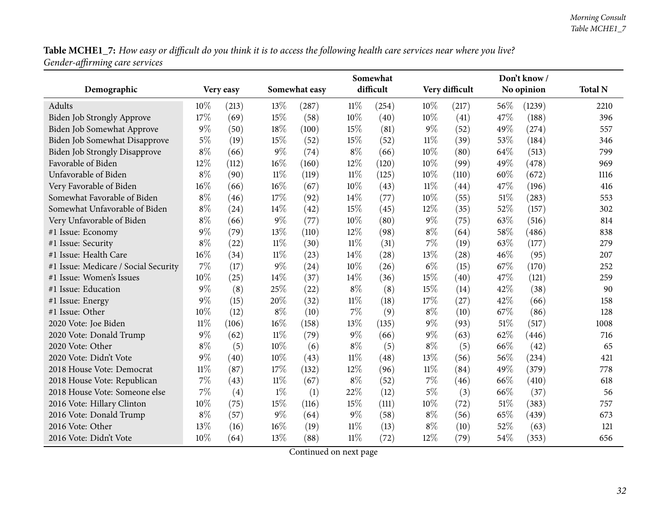|                                      |        |           |        |               |        | Somewhat  |        |                |      | Don't know/ |                |
|--------------------------------------|--------|-----------|--------|---------------|--------|-----------|--------|----------------|------|-------------|----------------|
| Demographic                          |        | Very easy |        | Somewhat easy |        | difficult |        | Very difficult |      | No opinion  | <b>Total N</b> |
| Adults                               | 10%    | (213)     | 13%    | (287)         | $11\%$ | (254)     | 10%    | (217)          | 56\% | (1239)      | 2210           |
| <b>Biden Job Strongly Approve</b>    | 17%    | (69)      | 15%    | (58)          | 10%    | (40)      | 10%    | (41)           | 47%  | (188)       | 396            |
| Biden Job Somewhat Approve           | $9\%$  | (50)      | 18%    | (100)         | 15%    | (81)      | $9\%$  | (52)           | 49%  | (274)       | 557            |
| Biden Job Somewhat Disapprove        | $5\%$  | (19)      | 15%    | (52)          | 15%    | (52)      | $11\%$ | (39)           | 53%  | (184)       | 346            |
| <b>Biden Job Strongly Disapprove</b> | $8\%$  | (66)      | $9\%$  | (74)          | $8\%$  | (66)      | 10%    | (80)           | 64\% | (513)       | 799            |
| Favorable of Biden                   | 12%    | (112)     | $16\%$ | (160)         | 12%    | (120)     | 10%    | (99)           | 49%  | (478)       | 969            |
| Unfavorable of Biden                 | $8\%$  | (90)      | $11\%$ | (119)         | $11\%$ | (125)     | 10%    | (110)          | 60%  | (672)       | 1116           |
| Very Favorable of Biden              | 16%    | (66)      | $16\%$ | (67)          | 10%    | (43)      | $11\%$ | (44)           | 47%  | (196)       | 416            |
| Somewhat Favorable of Biden          | $8\%$  | (46)      | 17%    | (92)          | 14%    | (77)      | 10%    | (55)           | 51%  | (283)       | 553            |
| Somewhat Unfavorable of Biden        | $8\%$  | (24)      | 14%    | (42)          | 15%    | (45)      | 12%    | (35)           | 52%  | (157)       | 302            |
| Very Unfavorable of Biden            | $8\%$  | (66)      | $9\%$  | (77)          | 10%    | (80)      | 9%     | (75)           | 63%  | (516)       | 814            |
| #1 Issue: Economy                    | $9\%$  | (79)      | 13%    | (110)         | 12%    | (98)      | $8\%$  | (64)           | 58%  | (486)       | 838            |
| #1 Issue: Security                   | $8\%$  | (22)      | $11\%$ | (30)          | $11\%$ | (31)      | 7%     | (19)           | 63%  | (177)       | 279            |
| #1 Issue: Health Care                | 16%    | (34)      | $11\%$ | (23)          | 14%    | (28)      | 13%    | (28)           | 46%  | (95)        | 207            |
| #1 Issue: Medicare / Social Security | 7%     | (17)      | $9\%$  | (24)          | 10%    | (26)      | $6\%$  | (15)           | 67%  | (170)       | 252            |
| #1 Issue: Women's Issues             | 10%    | (25)      | 14%    | (37)          | 14%    | (36)      | 15%    | (40)           | 47%  | (121)       | 259            |
| #1 Issue: Education                  | 9%     | (8)       | 25%    | (22)          | $8\%$  | (8)       | 15%    | (14)           | 42%  | (38)        | 90             |
| #1 Issue: Energy                     | $9\%$  | (15)      | 20%    | (32)          | $11\%$ | (18)      | 17%    | (27)           | 42%  | (66)        | 158            |
| #1 Issue: Other                      | 10%    | (12)      | $8\%$  | (10)          | $7\%$  | (9)       | $8\%$  | (10)           | 67%  | (86)        | 128            |
| 2020 Vote: Joe Biden                 | $11\%$ | (106)     | 16%    | (158)         | 13%    | (135)     | $9\%$  | (93)           | 51\% | (517)       | 1008           |
| 2020 Vote: Donald Trump              | 9%     | (62)      | $11\%$ | (79)          | $9\%$  | (66)      | 9%     | (63)           | 62%  | (446)       | 716            |
| 2020 Vote: Other                     | $8\%$  | (5)       | $10\%$ | (6)           | $8\%$  | (5)       | $8\%$  | (5)            | 66%  | (42)        | 65             |
| 2020 Vote: Didn't Vote               | $9\%$  | (40)      | 10%    | (43)          | $11\%$ | (48)      | 13%    | (56)           | 56%  | (234)       | 421            |
| 2018 House Vote: Democrat            | $11\%$ | (87)      | 17%    | (132)         | 12%    | (96)      | $11\%$ | (84)           | 49%  | (379)       | 778            |
| 2018 House Vote: Republican          | 7%     | (43)      | $11\%$ | (67)          | $8\%$  | (52)      | 7%     | (46)           | 66%  | (410)       | 618            |
| 2018 House Vote: Someone else        | 7%     | (4)       | $1\%$  | (1)           | 22%    | (12)      | 5%     | (3)            | 66%  | (37)        | 56             |
| 2016 Vote: Hillary Clinton           | 10%    | (75)      | 15%    | (116)         | 15%    | (111)     | 10%    | (72)           | 51%  | (383)       | 757            |
| 2016 Vote: Donald Trump              | $8\%$  | (57)      | $9\%$  | (64)          | 9%     | (58)      | $8\%$  | (56)           | 65%  | (439)       | 673            |
| 2016 Vote: Other                     | 13%    | (16)      | 16%    | (19)          | $11\%$ | (13)      | $8\%$  | (10)           | 52%  | (63)        | 121            |
| 2016 Vote: Didn't Vote               | 10%    | (64)      | 13%    | (88)          | $11\%$ | (72)      | 12%    | (79)           | 54%  | (353)       | 656            |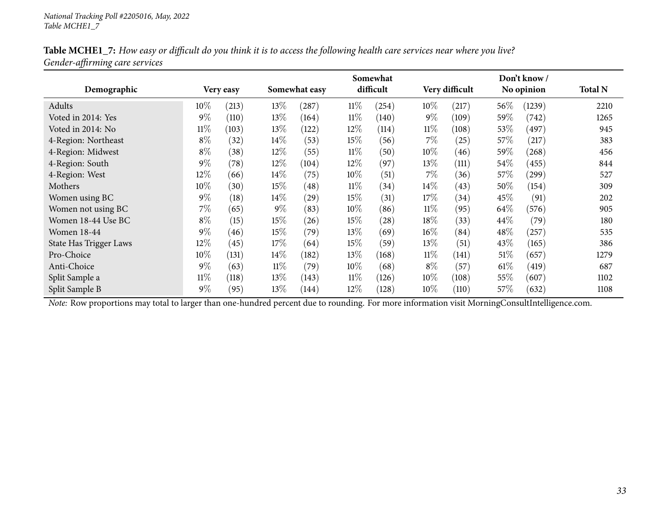|                               |        |           | Somewhat |               |        |           |        | Don't know /   |         |            |                |  |
|-------------------------------|--------|-----------|----------|---------------|--------|-----------|--------|----------------|---------|------------|----------------|--|
| Demographic                   |        | Very easy |          | Somewhat easy |        | difficult |        | Very difficult |         | No opinion | <b>Total N</b> |  |
| Adults                        | $10\%$ | (213)     | 13\%     | (287)         | $11\%$ | (254)     | 10%    | (217)          | 56%     | (1239)     | 2210           |  |
| Voted in 2014: Yes            | $9\%$  | (110)     | 13\%     | (164)         | $11\%$ | (140)     | $9\%$  | (109)          | 59%     | (742)      | 1265           |  |
| Voted in 2014: No             | $11\%$ | (103)     | 13\%     | (122)         | 12\%   | (114)     | $11\%$ | (108)          | 53\%    | (497)      | 945            |  |
| 4-Region: Northeast           | $8\%$  | (32)      | $14\%$   | (53)          | $15\%$ | (56)      | $7\%$  | (25)           | $57\%$  | (217)      | 383            |  |
| 4-Region: Midwest             | $8\%$  | (38)      | $12\%$   | (55)          | $11\%$ | (50)      | $10\%$ | (46)           | 59 $\%$ | (268)      | 456            |  |
| 4-Region: South               | $9\%$  | (78)      | $12\%$   | (104)         | 12\%   | (97)      | 13%    | (111)          | 54\%    | (455)      | 844            |  |
| 4-Region: West                | 12\%   | (66)      | $14\%$   | (75)          | $10\%$ | (51)      | $7\%$  | (36)           | 57\%    | (299)      | 527            |  |
| Mothers                       | 10\%   | (30)      | 15%      | (48)          | $11\%$ | (34)      | $14\%$ | (43)           | 50\%    | (154)      | 309            |  |
| Women using BC                | $9\%$  | (18)      | 14\%     | (29)          | 15%    | (31)      | 17\%   | (34)           | 45%     | (91)       | 202            |  |
| Women not using BC            | $7\%$  | (65)      | $9\%$    | (83)          | 10%    | (86)      | $11\%$ | (95)           | 64\%    | (576)      | 905            |  |
| Women 18-44 Use BC            | $8\%$  | (15)      | $15\%$   | (26)          | 15%    | $^{'}28)$ | 18\%   | (33)           | 44\%    | (79)       | 180            |  |
| <b>Women 18-44</b>            | $9\%$  | (46)      | 15%      | (79)          | 13%    | (69)      | $16\%$ | (84)           | 48\%    | $^{'}257)$ | 535            |  |
| <b>State Has Trigger Laws</b> | 12%    | (45)      | 17\%     | (64)          | 15%    | (59)      | 13\%   | (51)           | 43\%    | (165)      | 386            |  |
| Pro-Choice                    | $10\%$ | (131)     | $14\%$   | (182)         | 13\%   | (168)     | $11\%$ | (141)          | $51\%$  | (657)      | 1279           |  |
| Anti-Choice                   | $9\%$  | (63)      | $11\%$   | (79)          | 10%    | (68)      | $8\%$  | (57)           | $61\%$  | (419)      | 687            |  |
| Split Sample a                | $11\%$ | (118)     | 13\%     | (143)         | $11\%$ | (126)     | $10\%$ | (108)          | $55\%$  | (607)      | 1102           |  |
| Split Sample B                | $9\%$  | (95)      | 13\%     | (144)         | 12\%   | (128)     | $10\%$ | (110)          | $57\%$  | (632)      | 1108           |  |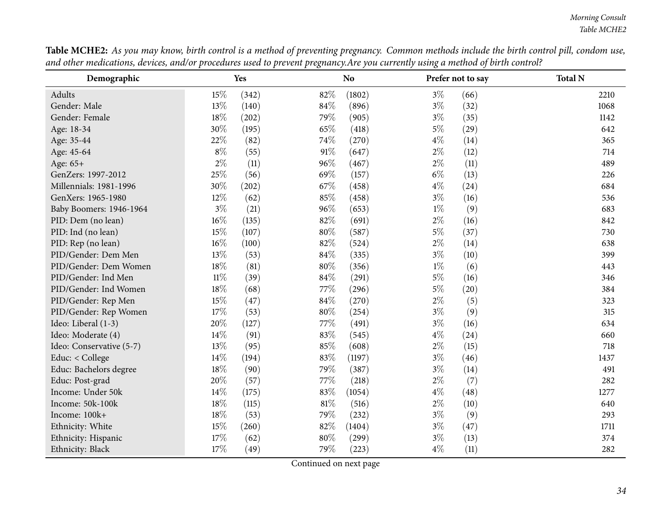<span id="page-33-0"></span>

| Demographic              |        | Yes   |        | <b>No</b> |       | Prefer not to say | <b>Total N</b> |
|--------------------------|--------|-------|--------|-----------|-------|-------------------|----------------|
| Adults                   | 15%    | (342) | 82%    | (1802)    | $3\%$ | (66)              | 2210           |
| Gender: Male             | 13%    | (140) | 84%    | (896)     | $3\%$ | (32)              | 1068           |
| Gender: Female           | 18%    | (202) | 79%    | (905)     | $3\%$ | (35)              | 1142           |
| Age: 18-34               | 30%    | (195) | 65%    | (418)     | $5\%$ | (29)              | 642            |
| Age: 35-44               | 22%    | (82)  | 74%    | (270)     | $4\%$ | (14)              | 365            |
| Age: 45-64               | $8\%$  | (55)  | $91\%$ | (647)     | $2\%$ | (12)              | 714            |
| Age: 65+                 | $2\%$  | (11)  | 96%    | (467)     | $2\%$ | (11)              | 489            |
| GenZers: 1997-2012       | 25%    | (56)  | 69%    | (157)     | $6\%$ | (13)              | 226            |
| Millennials: 1981-1996   | 30%    | (202) | 67\%   | (458)     | $4\%$ | (24)              | 684            |
| GenXers: 1965-1980       | 12%    | (62)  | 85%    | (458)     | $3\%$ | (16)              | 536            |
| Baby Boomers: 1946-1964  | $3\%$  | (21)  | 96%    | (653)     | $1\%$ | (9)               | 683            |
| PID: Dem (no lean)       | 16%    | (135) | 82%    | (691)     | $2\%$ | (16)              | 842            |
| PID: Ind (no lean)       | 15%    | (107) | 80%    | (587)     | $5\%$ | (37)              | 730            |
| PID: Rep (no lean)       | $16\%$ | (100) | 82%    | (524)     | $2\%$ | (14)              | 638            |
| PID/Gender: Dem Men      | 13%    | (53)  | 84%    | (335)     | $3\%$ | (10)              | 399            |
| PID/Gender: Dem Women    | 18%    | (81)  | 80%    | (356)     | $1\%$ | (6)               | 443            |
| PID/Gender: Ind Men      | $11\%$ | (39)  | $84\%$ | (291)     | $5\%$ | (16)              | 346            |
| PID/Gender: Ind Women    | $18\%$ | (68)  | 77\%   | (296)     | $5\%$ | (20)              | 384            |
| PID/Gender: Rep Men      | 15%    | (47)  | $84\%$ | (270)     | $2\%$ | (5)               | 323            |
| PID/Gender: Rep Women    | $17\%$ | (53)  | $80\%$ | (254)     | $3\%$ | (9)               | 315            |
| Ideo: Liberal (1-3)      | 20%    | (127) | 77%    | (491)     | $3\%$ | (16)              | 634            |
| Ideo: Moderate (4)       | 14%    | (91)  | 83%    | (545)     | $4\%$ | (24)              | 660            |
| Ideo: Conservative (5-7) | 13%    | (95)  | 85%    | (608)     | $2\%$ | (15)              | 718            |
| Educ: < College          | $14\%$ | (194) | $83\%$ | (1197)    | $3\%$ | (46)              | 1437           |
| Educ: Bachelors degree   | $18\%$ | (90)  | 79%    | (387)     | $3\%$ | (14)              | 491            |
| Educ: Post-grad          | 20%    | (57)  | 77%    | (218)     | $2\%$ | (7)               | 282            |
| Income: Under 50k        | 14%    | (175) | 83%    | (1054)    | $4\%$ | (48)              | 1277           |
| Income: 50k-100k         | 18%    | (115) | $81\%$ | (516)     | $2\%$ | (10)              | 640            |
| Income: 100k+            | $18\%$ | (53)  | 79%    | (232)     | $3\%$ | (9)               | 293            |
| Ethnicity: White         | 15%    | (260) | 82%    | (1404)    | $3\%$ | (47)              | 1711           |
| Ethnicity: Hispanic      | 17%    | (62)  | $80\%$ | (299)     | $3\%$ | (13)              | 374            |
| Ethnicity: Black         | 17%    | (49)  | 79%    | (223)     | $4\%$ | (11)              | 282            |

Table MCHE2: As you may know, birth control is a method of preventing pregnancy. Common methods include the birth control pill, condom use, and other medications, devices, and/or procedures used to prevent pregnancy. Are you currently using a method of birth control?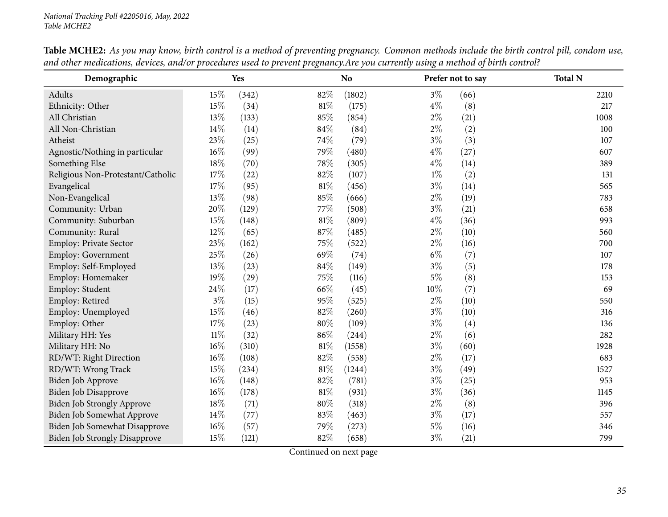| Demographic                          |        | Yes   |        | N <sub>o</sub> |       | Prefer not to say | <b>Total N</b> |
|--------------------------------------|--------|-------|--------|----------------|-------|-------------------|----------------|
| Adults                               | 15%    | (342) | 82%    | (1802)         | $3\%$ | (66)              | 2210           |
| Ethnicity: Other                     | 15%    | (34)  | 81%    | (175)          | $4\%$ | (8)               | 217            |
| All Christian                        | 13%    | (133) | 85%    | (854)          | $2\%$ | (21)              | 1008           |
| All Non-Christian                    | 14%    | (14)  | 84%    | (84)           | $2\%$ | (2)               | 100            |
| Atheist                              | 23%    | (25)  | 74%    | (79)           | $3\%$ | (3)               | 107            |
| Agnostic/Nothing in particular       | $16\%$ | (99)  | 79%    | (480)          | $4\%$ | (27)              | 607            |
| Something Else                       | 18%    | (70)  | 78%    | (305)          | $4\%$ | (14)              | 389            |
| Religious Non-Protestant/Catholic    | 17%    | (22)  | 82%    | (107)          | $1\%$ | (2)               | 131            |
| Evangelical                          | 17%    | (95)  | $81\%$ | (456)          | $3\%$ | (14)              | 565            |
| Non-Evangelical                      | 13%    | (98)  | 85%    | (666)          | $2\%$ | (19)              | 783            |
| Community: Urban                     | 20%    | (129) | 77%    | (508)          | $3\%$ | (21)              | 658            |
| Community: Suburban                  | 15%    | (148) | $81\%$ | (809)          | $4\%$ | (36)              | 993            |
| Community: Rural                     | 12%    | (65)  | 87%    | (485)          | $2\%$ | (10)              | 560            |
| Employ: Private Sector               | 23%    | (162) | 75%    | (522)          | $2\%$ | (16)              | 700            |
| <b>Employ: Government</b>            | 25%    | (26)  | 69%    | (74)           | $6\%$ | (7)               | 107            |
| Employ: Self-Employed                | 13%    | (23)  | 84\%   | (149)          | $3\%$ | (5)               | 178            |
| Employ: Homemaker                    | 19%    | (29)  | 75%    | (116)          | $5\%$ | (8)               | 153            |
| Employ: Student                      | 24\%   | (17)  | 66%    | (45)           | 10%   | (7)               | 69             |
| Employ: Retired                      | $3\%$  | (15)  | 95%    | (525)          | $2\%$ | (10)              | 550            |
| Employ: Unemployed                   | 15%    | (46)  | 82%    | (260)          | $3\%$ | (10)              | 316            |
| Employ: Other                        | 17%    | (23)  | 80%    | (109)          | $3\%$ | (4)               | 136            |
| Military HH: Yes                     | $11\%$ | (32)  | 86%    | (244)          | $2\%$ | (6)               | 282            |
| Military HH: No                      | $16\%$ | (310) | 81%    | (1558)         | $3\%$ | (60)              | 1928           |
| RD/WT: Right Direction               | 16%    | (108) | 82%    | (558)          | $2\%$ | (17)              | 683            |
| RD/WT: Wrong Track                   | 15%    | (234) | 81%    | (1244)         | $3\%$ | (49)              | 1527           |
| Biden Job Approve                    | $16\%$ | (148) | 82%    | (781)          | $3\%$ | (25)              | 953            |
| Biden Job Disapprove                 | 16%    | (178) | 81%    | (931)          | $3\%$ | (36)              | 1145           |
| <b>Biden Job Strongly Approve</b>    | 18%    | (71)  | 80%    | (318)          | $2\%$ | (8)               | 396            |
| Biden Job Somewhat Approve           | $14\%$ | (77)  | 83%    | (463)          | $3\%$ | (17)              | 557            |
| Biden Job Somewhat Disapprove        | $16\%$ | (57)  | 79%    | (273)          | $5\%$ | (16)              | 346            |
| <b>Biden Job Strongly Disapprove</b> | 15%    | (121) | 82%    | (658)          | $3\%$ | (21)              | 799            |

Table MCHE2: As you may know, birth control is a method of preventing pregnancy. Common methods include the birth control pill, condom use, and other medications, devices, and/or procedures used to prevent pregnancy. Are you currently using a method of birth control?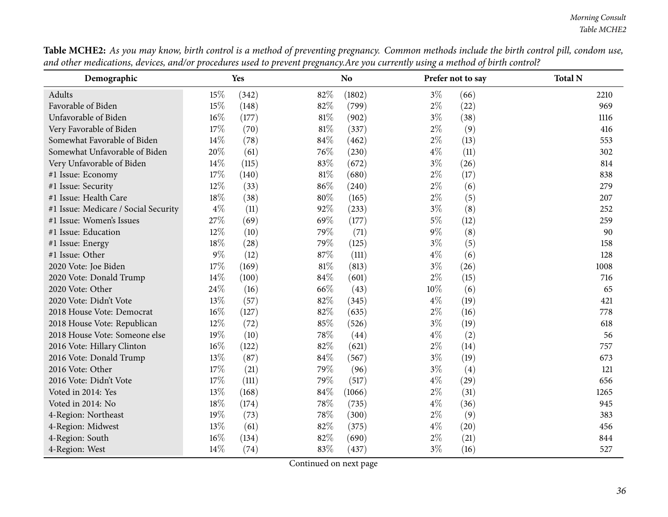| Demographic                          |       | Yes   |        | N <sub>o</sub> |       | Prefer not to say | <b>Total N</b> |
|--------------------------------------|-------|-------|--------|----------------|-------|-------------------|----------------|
| Adults                               | 15%   | (342) | 82%    | (1802)         | $3\%$ | (66)              | 2210           |
| Favorable of Biden                   | 15%   | (148) | 82%    | (799)          | $2\%$ | (22)              | 969            |
| Unfavorable of Biden                 | 16%   | (177) | $81\%$ | (902)          | $3\%$ | (38)              | 1116           |
| Very Favorable of Biden              | 17%   | (70)  | $81\%$ | (337)          | $2\%$ | (9)               | 416            |
| Somewhat Favorable of Biden          | 14%   | (78)  | 84\%   | (462)          | $2\%$ | (13)              | 553            |
| Somewhat Unfavorable of Biden        | 20%   | (61)  | 76%    | (230)          | $4\%$ | (11)              | 302            |
| Very Unfavorable of Biden            | 14%   | (115) | 83%    | (672)          | $3\%$ | (26)              | 814            |
| #1 Issue: Economy                    | 17%   | (140) | $81\%$ | (680)          | $2\%$ | (17)              | 838            |
| #1 Issue: Security                   | 12%   | (33)  | $86\%$ | (240)          | $2\%$ | (6)               | 279            |
| #1 Issue: Health Care                | 18%   | (38)  | 80%    | (165)          | $2\%$ | (5)               | 207            |
| #1 Issue: Medicare / Social Security | $4\%$ | (11)  | 92%    | (233)          | $3\%$ | (8)               | 252            |
| #1 Issue: Women's Issues             | 27%   | (69)  | 69%    | (177)          | $5\%$ | (12)              | 259            |
| #1 Issue: Education                  | 12%   | (10)  | 79%    | (71)           | $9\%$ | (8)               | 90             |
| #1 Issue: Energy                     | 18%   | (28)  | 79%    | (125)          | $3\%$ | (5)               | 158            |
| #1 Issue: Other                      | $9\%$ | (12)  | 87%    | (111)          | $4\%$ | (6)               | 128            |
| 2020 Vote: Joe Biden                 | 17%   | (169) | $81\%$ | (813)          | $3\%$ | (26)              | 1008           |
| 2020 Vote: Donald Trump              | 14%   | (100) | 84\%   | (601)          | $2\%$ | (15)              | 716            |
| 2020 Vote: Other                     | 24%   | (16)  | 66%    | (43)           | 10%   | (6)               | 65             |
| 2020 Vote: Didn't Vote               | 13%   | (57)  | 82%    | (345)          | $4\%$ | (19)              | 421            |
| 2018 House Vote: Democrat            | 16%   | (127) | 82%    | (635)          | $2\%$ | (16)              | 778            |
| 2018 House Vote: Republican          | 12%   | (72)  | 85%    | (526)          | $3\%$ | (19)              | 618            |
| 2018 House Vote: Someone else        | 19%   | (10)  | 78%    | (44)           | $4\%$ | (2)               | 56             |
| 2016 Vote: Hillary Clinton           | 16%   | (122) | 82%    | (621)          | $2\%$ | (14)              | 757            |
| 2016 Vote: Donald Trump              | 13%   | (87)  | 84\%   | (567)          | $3\%$ | (19)              | 673            |
| 2016 Vote: Other                     | 17%   | (21)  | 79%    | (96)           | $3\%$ | (4)               | 121            |
| 2016 Vote: Didn't Vote               | 17%   | (111) | 79%    | (517)          | $4\%$ | (29)              | 656            |
| Voted in 2014: Yes                   | 13%   | (168) | 84%    | (1066)         | $2\%$ | (31)              | 1265           |
| Voted in 2014: No                    | 18%   | (174) | $78\%$ | (735)          | $4\%$ | (36)              | 945            |
| 4-Region: Northeast                  | 19%   | (73)  | $78\%$ | (300)          | $2\%$ | (9)               | 383            |
| 4-Region: Midwest                    | 13%   | (61)  | 82%    | (375)          | $4\%$ | (20)              | 456            |
| 4-Region: South                      | 16%   | (134) | 82%    | (690)          | $2\%$ | (21)              | 844            |
| 4-Region: West                       | 14%   | (74)  | 83%    | (437)          | $3\%$ | (16)              | 527            |

Table MCHE2: As you may know, birth control is a method of preventing pregnancy. Common methods include the birth control pill, condom use, and other medications, devices, and/or procedures used to prevent pregnancy. Are you currently using a method of birth control?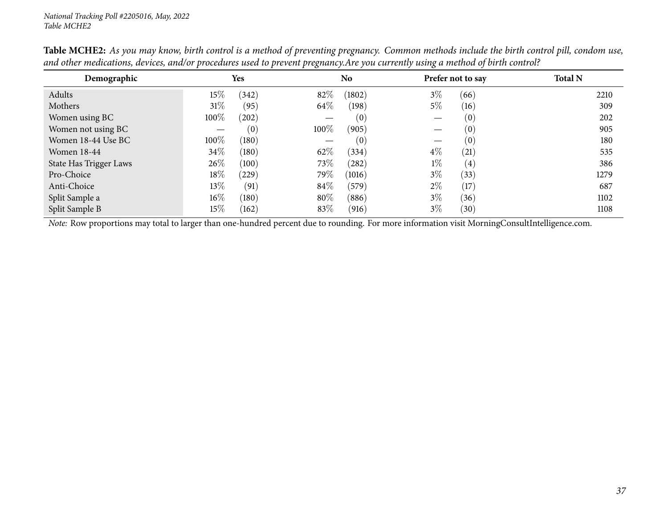| Demographic            |         | <b>Yes</b> |       | No.    |       | Prefer not to say | <b>Total N</b> |
|------------------------|---------|------------|-------|--------|-------|-------------------|----------------|
| Adults                 | $15\%$  | (342)      | 82%   | (1802) | $3\%$ | (66)              | 2210           |
| Mothers                | 31%     | (95)       | 64\%  | (198)  | $5\%$ | (16)              | 309            |
| Women using BC         | 100%    | (202)      |       | (0)    |       | (0)               | 202            |
| Women not using BC     |         | (0)        | 100\% | (905)  |       | (0)               | 905            |
| Women 18-44 Use BC     | $100\%$ | (180)      |       | (0)    |       | (0)               | 180            |
| Women 18-44            | $34\%$  | (180)      | 62\%  | (334)  | $4\%$ | (21)              | 535            |
| State Has Trigger Laws | $26\%$  | (100)      | 73\%  | (282)  | $1\%$ | (4)               | 386            |
| Pro-Choice             | $18\%$  | (229)      | 79%   | (1016) | $3\%$ | (33)              | 1279           |
| Anti-Choice            | $13\%$  | (91)       | 84\%  | (579)  | $2\%$ | (17)              | 687            |
| Split Sample a         | $16\%$  | (180)      | 80%   | (886)  | $3\%$ | (36)              | 1102           |
| Split Sample B         | $15\%$  | (162)      | 83\%  | (916)  | $3\%$ | (30)              | 1108           |

Table MCHE2: As you may know, birth control is a method of preventing pregnancy. Common methods include the birth control pill, condom use, and other medications, devices, and/or procedures used to prevent pregnancy. Are you currently using a method of birth control?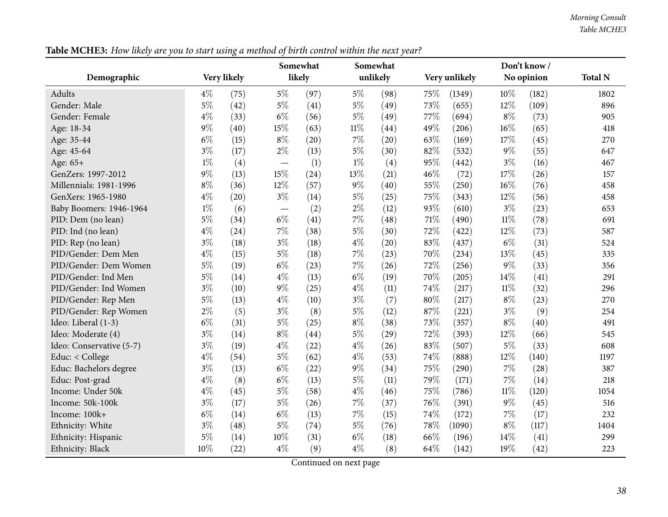|                          |       |             |                          | Somewhat |        | Somewhat |      |               |        | Don't know / |                |
|--------------------------|-------|-------------|--------------------------|----------|--------|----------|------|---------------|--------|--------------|----------------|
| Demographic              |       | Very likely |                          | likely   |        | unlikely |      | Very unlikely |        | No opinion   | <b>Total N</b> |
| <b>Adults</b>            | $4\%$ | (75)        | $5\%$                    | (97)     | $5\%$  | (98)     | 75\% | (1349)        | $10\%$ | (182)        | 1802           |
| Gender: Male             | $5\%$ | (42)        | $5\%$                    | (41)     | $5\%$  | (49)     | 73%  | (655)         | 12%    | (109)        | 896            |
| Gender: Female           | $4\%$ | (33)        | $6\%$                    | (56)     | $5\%$  | (49)     | 77%  | (694)         | $8\%$  | (73)         | 905            |
| Age: 18-34               | $9\%$ | (40)        | 15%                      | (63)     | $11\%$ | (44)     | 49%  | (206)         | $16\%$ | (65)         | 418            |
| Age: 35-44               | $6\%$ | (15)        | $8\%$                    | (20)     | 7%     | (20)     | 63%  | (169)         | 17%    | (45)         | 270            |
| Age: 45-64               | $3\%$ | (17)        | $2\%$                    | (13)     | $5\%$  | (30)     | 82%  | (532)         | $9\%$  | (55)         | 647            |
| Age: 65+                 | $1\%$ | (4)         | $\overline{\phantom{m}}$ | (1)      | $1\%$  | (4)      | 95%  | (442)         | $3\%$  | (16)         | 467            |
| GenZers: 1997-2012       | $9\%$ | (13)        | 15%                      | (24)     | 13%    | (21)     | 46%  | (72)          | 17%    | (26)         | 157            |
| Millennials: 1981-1996   | $8\%$ | (36)        | $12\%$                   | (57)     | 9%     | (40)     | 55%  | (250)         | $16\%$ | (76)         | 458            |
| GenXers: 1965-1980       | $4\%$ | (20)        | $3\%$                    | (14)     | $5\%$  | (25)     | 75%  | (343)         | 12%    | (56)         | 458            |
| Baby Boomers: 1946-1964  | $1\%$ | (6)         | $\overline{\phantom{m}}$ | (2)      | $2\%$  | (12)     | 93%  | (610)         | $3\%$  | (23)         | 653            |
| PID: Dem (no lean)       | $5\%$ | (34)        | $6\%$                    | (41)     | 7%     | (48)     | 71%  | (490)         | $11\%$ | (78)         | 691            |
| PID: Ind (no lean)       | $4\%$ | (24)        | $7\%$                    | (38)     | $5\%$  | (30)     | 72%  | (422)         | 12%    | (73)         | 587            |
| PID: Rep (no lean)       | $3\%$ | (18)        | $3\%$                    | (18)     | $4\%$  | (20)     | 83%  | (437)         | $6\%$  | (31)         | 524            |
| PID/Gender: Dem Men      | $4\%$ | (15)        | $5\%$                    | (18)     | 7%     | (23)     | 70%  | (234)         | 13%    | (45)         | 335            |
| PID/Gender: Dem Women    | $5\%$ | (19)        | $6\%$                    | (23)     | 7%     | (26)     | 72%  | (256)         | 9%     | (33)         | 356            |
| PID/Gender: Ind Men      | $5\%$ | (14)        | $4\%$                    | (13)     | $6\%$  | (19)     | 70%  | (205)         | 14%    | (41)         | 291            |
| PID/Gender: Ind Women    | $3\%$ | (10)        | $9\%$                    | (25)     | $4\%$  | (11)     | 74%  | (217)         | $11\%$ | (32)         | 296            |
| PID/Gender: Rep Men      | $5\%$ | (13)        | $4\%$                    | (10)     | $3\%$  | (7)      | 80%  | (217)         | $8\%$  | (23)         | 270            |
| PID/Gender: Rep Women    | $2\%$ | (5)         | $3\%$                    | (8)      | $5\%$  | (12)     | 87%  | (221)         | $3\%$  | (9)          | 254            |
| Ideo: Liberal (1-3)      | $6\%$ | (31)        | $5\%$                    | (25)     | $8\%$  | (38)     | 73%  | (357)         | $8\%$  | (40)         | 491            |
| Ideo: Moderate (4)       | $3\%$ | (14)        | $8\%$                    | (44)     | $5\%$  | (29)     | 72%  | (393)         | 12%    | (66)         | 545            |
| Ideo: Conservative (5-7) | $3\%$ | (19)        | $4\%$                    | (22)     | $4\%$  | (26)     | 83%  | (507)         | $5\%$  | (33)         | 608            |
| Educ: < College          | $4\%$ | (54)        | $5\%$                    | (62)     | $4\%$  | (53)     | 74%  | (888)         | 12%    | (140)        | 1197           |
| Educ: Bachelors degree   | $3\%$ | (13)        | $6\%$                    | (22)     | $9\%$  | (34)     | 75%  | (290)         | $7\%$  | (28)         | 387            |
| Educ: Post-grad          | $4\%$ | (8)         | $6\%$                    | (13)     | $5\%$  | (11)     | 79%  | (171)         | $7\%$  | (14)         | 218            |
| Income: Under 50k        | $4\%$ | (45)        | $5\%$                    | (58)     | $4\%$  | (46)     | 75%  | (786)         | $11\%$ | (120)        | 1054           |
| Income: 50k-100k         | $3\%$ | (17)        | $5\%$                    | (26)     | 7%     | (37)     | 76%  | (391)         | $9\%$  | (45)         | 516            |
| Income: 100k+            | $6\%$ | (14)        | $6\%$                    | (13)     | 7%     | (15)     | 74%  | (172)         | $7\%$  | (17)         | 232            |
| Ethnicity: White         | $3\%$ | (48)        | $5\%$                    | (74)     | $5\%$  | (76)     | 78%  | (1090)        | $8\%$  | (117)        | 1404           |
| Ethnicity: Hispanic      | $5\%$ | (14)        | 10%                      | (31)     | $6\%$  | (18)     | 66%  | (196)         | 14%    | (41)         | 299            |
| Ethnicity: Black         | 10%   | (22)        | $4\%$                    | (9)      | $4\%$  | (8)      | 64%  | (142)         | 19%    | (42)         | 223            |

Table MCHE3: How likely are you to start using a method of birth control within the next year?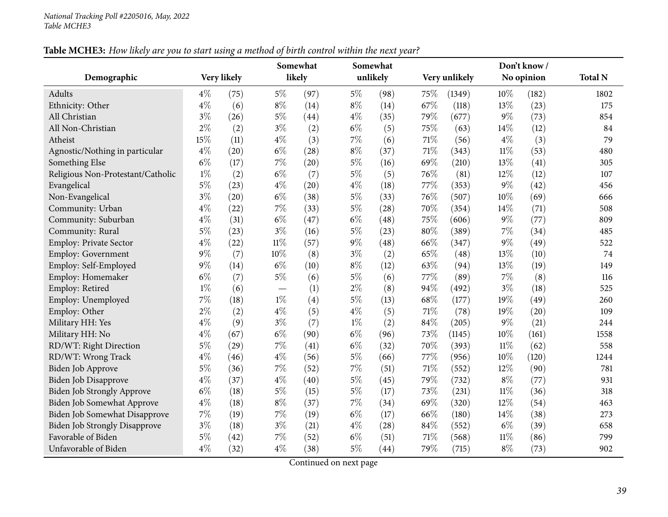| Table MCHE3: How likely are you to start using a method of birth control within the next year? |
|------------------------------------------------------------------------------------------------|
|------------------------------------------------------------------------------------------------|

|                                      |       |             |        | Somewhat |       | Somewhat |     |               |        | Don't know / |                |
|--------------------------------------|-------|-------------|--------|----------|-------|----------|-----|---------------|--------|--------------|----------------|
| Demographic                          |       | Very likely |        | likely   |       | unlikely |     | Very unlikely |        | No opinion   | <b>Total N</b> |
| Adults                               | $4\%$ | (75)        | $5\%$  | (97)     | $5\%$ | (98)     | 75% | (1349)        | 10%    | (182)        | 1802           |
| Ethnicity: Other                     | $4\%$ | (6)         | $8\%$  | (14)     | $8\%$ | (14)     | 67% | (118)         | 13%    | (23)         | 175            |
| All Christian                        | $3\%$ | (26)        | $5\%$  | (44)     | $4\%$ | (35)     | 79% | (677)         | 9%     | (73)         | 854            |
| All Non-Christian                    | $2\%$ | (2)         | $3\%$  | (2)      | $6\%$ | (5)      | 75% | (63)          | 14%    | (12)         | 84             |
| Atheist                              | 15%   | (11)        | $4\%$  | (3)      | $7\%$ | (6)      | 71% | (56)          | $4\%$  | (3)          | 79             |
| Agnostic/Nothing in particular       | $4\%$ | (20)        | $6\%$  | (28)     | $8\%$ | (37)     | 71% | (343)         | $11\%$ | (53)         | 480            |
| Something Else                       | $6\%$ | (17)        | $7\%$  | (20)     | $5\%$ | (16)     | 69% | (210)         | 13%    | (41)         | 305            |
| Religious Non-Protestant/Catholic    | $1\%$ | (2)         | $6\%$  | (7)      | $5\%$ | (5)      | 76% | (81)          | 12%    | (12)         | 107            |
| Evangelical                          | $5\%$ | (23)        | $4\%$  | (20)     | $4\%$ | (18)     | 77% | (353)         | $9\%$  | (42)         | 456            |
| Non-Evangelical                      | $3\%$ | (20)        | $6\%$  | (38)     | $5\%$ | (33)     | 76% | (507)         | 10%    | (69)         | 666            |
| Community: Urban                     | $4\%$ | (22)        | $7\%$  | (33)     | $5\%$ | (28)     | 70% | (354)         | 14%    | (71)         | 508            |
| Community: Suburban                  | $4\%$ | (31)        | $6\%$  | (47)     | $6\%$ | (48)     | 75% | (606)         | $9\%$  | (77)         | 809            |
| Community: Rural                     | $5\%$ | (23)        | $3\%$  | (16)     | $5\%$ | (23)     | 80% | (389)         | $7\%$  | (34)         | 485            |
| Employ: Private Sector               | $4\%$ | (22)        | $11\%$ | (57)     | 9%    | (48)     | 66% | (347)         | $9\%$  | (49)         | 522            |
| <b>Employ: Government</b>            | 9%    | (7)         | 10%    | (8)      | $3\%$ | (2)      | 65% | (48)          | 13%    | (10)         | 74             |
| Employ: Self-Employed                | 9%    | (14)        | $6\%$  | (10)     | $8\%$ | (12)     | 63% | (94)          | 13%    | (19)         | 149            |
| Employ: Homemaker                    | $6\%$ | (7)         | $5\%$  | (6)      | $5\%$ | (6)      | 77% | (89)          | 7%     | (8)          | 116            |
| Employ: Retired                      | $1\%$ | (6)         |        | (1)      | $2\%$ | (8)      | 94% | (492)         | $3\%$  | (18)         | 525            |
| Employ: Unemployed                   | 7%    | (18)        | $1\%$  | (4)      | $5\%$ | (13)     | 68% | (177)         | 19%    | (49)         | 260            |
| Employ: Other                        | $2\%$ | (2)         | $4\%$  | (5)      | $4\%$ | (5)      | 71% | (78)          | 19%    | (20)         | 109            |
| Military HH: Yes                     | $4\%$ | (9)         | $3\%$  | (7)      | $1\%$ | (2)      | 84% | (205)         | $9\%$  | (21)         | 244            |
| Military HH: No                      | $4\%$ | (67)        | $6\%$  | (90)     | $6\%$ | (96)     | 73% | (1145)        | 10%    | (161)        | 1558           |
| RD/WT: Right Direction               | $5\%$ | (29)        | $7\%$  | (41)     | $6\%$ | (32)     | 70% | (393)         | $11\%$ | (62)         | 558            |
| RD/WT: Wrong Track                   | $4\%$ | (46)        | $4\%$  | (56)     | $5\%$ | (66)     | 77% | (956)         | 10%    | (120)        | 1244           |
| Biden Job Approve                    | $5\%$ | (36)        | $7\%$  | (52)     | 7%    | (51)     | 71% | (552)         | 12%    | (90)         | 781            |
| Biden Job Disapprove                 | $4\%$ | (37)        | $4\%$  | (40)     | $5\%$ | (45)     | 79% | (732)         | $8\%$  | (77)         | 931            |
| Biden Job Strongly Approve           | $6\%$ | (18)        | $5\%$  | (15)     | $5\%$ | (17)     | 73% | (231)         | $11\%$ | (36)         | 318            |
| Biden Job Somewhat Approve           | $4\%$ | (18)        | $8\%$  | (37)     | $7\%$ | (34)     | 69% | (320)         | 12%    | (54)         | 463            |
| Biden Job Somewhat Disapprove        | $7\%$ | (19)        | $7\%$  | (19)     | $6\%$ | (17)     | 66% | (180)         | 14%    | (38)         | 273            |
| <b>Biden Job Strongly Disapprove</b> | $3\%$ | (18)        | $3\%$  | (21)     | $4\%$ | (28)     | 84% | (552)         | $6\%$  | (39)         | 658            |
| Favorable of Biden                   | $5\%$ | (42)        | 7%     | (52)     | $6\%$ | (51)     | 71% | (568)         | $11\%$ | (86)         | 799            |
| Unfavorable of Biden                 | $4\%$ | (32)        | $4\%$  | (38)     | $5\%$ | (44)     | 79% | (715)         | $8\%$  | (73)         | 902            |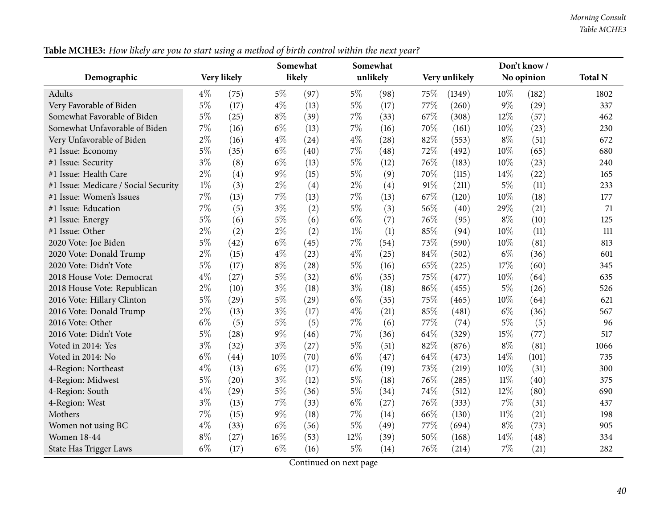| Table MCHE3: How likely are you to start using a method of birth control within the next year? |
|------------------------------------------------------------------------------------------------|
|------------------------------------------------------------------------------------------------|

|                                      |       | $\circ$     |       | Somewhat |        | Somewhat |        |               |        | Don't know / |                |
|--------------------------------------|-------|-------------|-------|----------|--------|----------|--------|---------------|--------|--------------|----------------|
| Demographic                          |       | Very likely |       | likely   |        | unlikely |        | Very unlikely |        | No opinion   | <b>Total N</b> |
| Adults                               | $4\%$ | (75)        | 5%    | (97)     | $5\%$  | (98)     | 75\%   | (1349)        | 10%    | (182)        | 1802           |
| Very Favorable of Biden              | $5\%$ | (17)        | $4\%$ | (13)     | $5\%$  | (17)     | 77%    | (260)         | $9\%$  | (29)         | 337            |
| Somewhat Favorable of Biden          | $5\%$ | (25)        | $8\%$ | (39)     | $7\%$  | (33)     | 67%    | (308)         | 12%    | (57)         | 462            |
| Somewhat Unfavorable of Biden        | $7\%$ | (16)        | $6\%$ | (13)     | $7\%$  | (16)     | 70%    | (161)         | 10%    | (23)         | 230            |
| Very Unfavorable of Biden            | $2\%$ | (16)        | $4\%$ | (24)     | $4\%$  | (28)     | 82%    | (553)         | $8\%$  | (51)         | 672            |
| #1 Issue: Economy                    | $5\%$ | (35)        | $6\%$ | (40)     | $7\%$  | (48)     | 72%    | (492)         | 10%    | (65)         | 680            |
| #1 Issue: Security                   | $3\%$ | (8)         | $6\%$ | (13)     | $5\%$  | (12)     | 76%    | (183)         | 10%    | (23)         | 240            |
| #1 Issue: Health Care                | $2\%$ | (4)         | $9\%$ | (15)     | $5\%$  | (9)      | 70%    | (115)         | 14%    | (22)         | 165            |
| #1 Issue: Medicare / Social Security | $1\%$ | (3)         | $2\%$ | (4)      | $2\%$  | (4)      | 91%    | (211)         | $5\%$  | (11)         | 233            |
| #1 Issue: Women's Issues             | $7\%$ | (13)        | $7\%$ | (13)     | $7\%$  | (13)     | 67\%   | (120)         | 10%    | (18)         | 177            |
| #1 Issue: Education                  | $7\%$ | (5)         | $3\%$ | (2)      | $5\%$  | (3)      | 56%    | (40)          | 29%    | (21)         | 71             |
| #1 Issue: Energy                     | $5\%$ | (6)         | $5\%$ | (6)      | $6\%$  | (7)      | 76%    | (95)          | $8\%$  | (10)         | 125            |
| #1 Issue: Other                      | $2\%$ | (2)         | $2\%$ | (2)      | $1\%$  | (1)      | 85%    | (94)          | 10%    | (11)         | 111            |
| 2020 Vote: Joe Biden                 | $5\%$ | (42)        | $6\%$ | (45)     | $7\%$  | (54)     | 73%    | (590)         | 10%    | (81)         | 813            |
| 2020 Vote: Donald Trump              | $2\%$ | (15)        | $4\%$ | (23)     | $4\%$  | (25)     | $84\%$ | (502)         | $6\%$  | (36)         | 601            |
| 2020 Vote: Didn't Vote               | $5\%$ | (17)        | $8\%$ | (28)     | $5\%$  | (16)     | 65%    | (225)         | 17%    | (60)         | 345            |
| 2018 House Vote: Democrat            | $4\%$ | (27)        | $5\%$ | (32)     | $6\%$  | (35)     | 75%    | (477)         | 10%    | (64)         | 635            |
| 2018 House Vote: Republican          | $2\%$ | (10)        | $3\%$ | (18)     | $3\%$  | (18)     | 86%    | (455)         | $5\%$  | (26)         | 526            |
| 2016 Vote: Hillary Clinton           | $5\%$ | (29)        | $5\%$ | (29)     | $6\%$  | (35)     | 75%    | (465)         | 10%    | (64)         | 621            |
| 2016 Vote: Donald Trump              | $2\%$ | (13)        | $3\%$ | (17)     | $4\%$  | (21)     | 85%    | (481)         | $6\%$  | (36)         | 567            |
| 2016 Vote: Other                     | $6\%$ | (5)         | $5\%$ | (5)      | 7%     | (6)      | 77\%   | (74)          | $5\%$  | (5)          | 96             |
| 2016 Vote: Didn't Vote               | $5\%$ | (28)        | $9\%$ | (46)     | $7\%$  | (36)     | 64%    | (329)         | 15%    | (77)         | 517            |
| Voted in 2014: Yes                   | $3\%$ | (32)        | $3\%$ | (27)     | $5\%$  | (51)     | 82%    | (876)         | $8\%$  | (81)         | 1066           |
| Voted in 2014: No                    | $6\%$ | (44)        | 10%   | (70)     | $6\%$  | (47)     | 64%    | (473)         | 14%    | (101)        | 735            |
| 4-Region: Northeast                  | $4\%$ | (13)        | $6\%$ | (17)     | $6\%$  | (19)     | 73%    | (219)         | 10%    | (31)         | 300            |
| 4-Region: Midwest                    | $5\%$ | (20)        | $3\%$ | (12)     | $5\%$  | (18)     | 76%    | (285)         | $11\%$ | (40)         | 375            |
| 4-Region: South                      | $4\%$ | (29)        | $5\%$ | (36)     | $5\%$  | (34)     | 74%    | (512)         | 12%    | (80)         | 690            |
| 4-Region: West                       | $3\%$ | (13)        | $7\%$ | (33)     | $6\%$  | (27)     | 76%    | (333)         | $7\%$  | (31)         | 437            |
| Mothers                              | $7\%$ | (15)        | $9\%$ | (18)     | $7\%$  | (14)     | 66%    | (130)         | $11\%$ | (21)         | 198            |
| Women not using BC                   | $4\%$ | (33)        | $6\%$ | (56)     | $5\%$  | (49)     | 77%    | (694)         | $8\%$  | (73)         | 905            |
| Women 18-44                          | $8\%$ | (27)        | 16%   | (53)     | $12\%$ | (39)     | 50%    | (168)         | 14\%   | (48)         | 334            |
| <b>State Has Trigger Laws</b>        | $6\%$ | (17)        | $6\%$ | (16)     | $5\%$  | (14)     | 76%    | (214)         | $7\%$  | (21)         | 282            |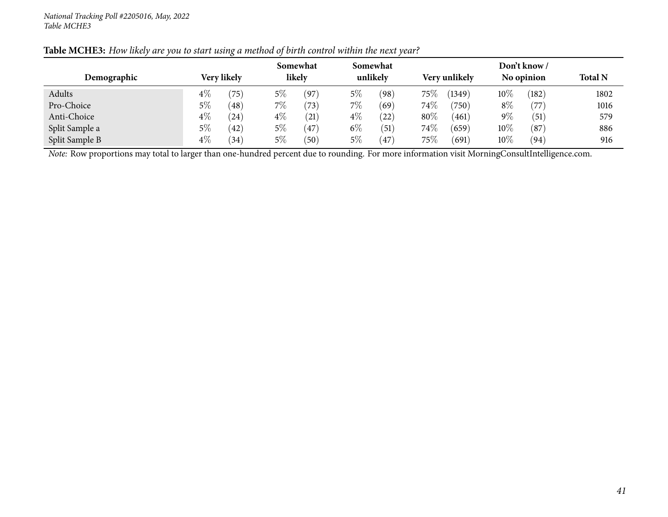|                |       |               |       | Somewhat       |       | Somewhat              |        |               |        | Don't know/ |                |
|----------------|-------|---------------|-------|----------------|-------|-----------------------|--------|---------------|--------|-------------|----------------|
| Demographic    |       | Very likely   |       | likely         |       | unlikely              |        | Very unlikely |        | No opinion  | <b>Total N</b> |
| Adults         | $4\%$ | $^{\prime}75$ | $5\%$ | (97)           | 5%    | $^{\prime}98^{\cdot}$ | 75\%   | (1349)        | $10\%$ | (182)       | 1802           |
| Pro-Choice     | 5%    | (48)          | 7%    | $^{\prime}73)$ | $7\%$ | (69)                  | $74\%$ | (750)         | $8\%$  | (77)        | 1016           |
| Anti-Choice    | $4\%$ | (24)          | $4\%$ | $^{(21)}$      | $4\%$ | 22)                   | $80\%$ | (461)         | $9\%$  | (51)        | 579            |
| Split Sample a | 5%    | (42)          | $5\%$ | $^{'}47$       | $6\%$ | (51)                  | 74\%   | (659)         | $10\%$ | (87)        | 886            |
| Split Sample B | $4\%$ | (34)          | 5%    | (50)           | $5\%$ | 47                    | 75\%   | (691)         | $10\%$ | (94)        | 916            |

Table MCHE3: How likely are you to start using a method of birth control within the next year?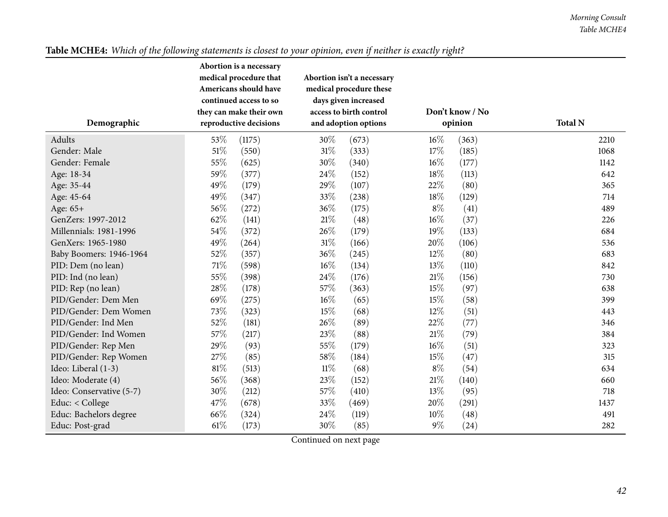| Demographic              | Abortion is a necessary<br>medical procedure that<br>Americans should have<br>continued access to so<br>they can make their own<br>reproductive decisions |        |                               | Abortion isn't a necessary<br>medical procedure these<br>days given increased<br>access to birth control<br>and adoption options |        | Don't know / No<br>opinion | <b>Total N</b> |
|--------------------------|-----------------------------------------------------------------------------------------------------------------------------------------------------------|--------|-------------------------------|----------------------------------------------------------------------------------------------------------------------------------|--------|----------------------------|----------------|
| Adults                   | 53\%                                                                                                                                                      | (1175) | 30%                           | (673)                                                                                                                            | 16%    | (363)                      | 2210           |
| Gender: Male             | 51%                                                                                                                                                       | (550)  | $31\%$                        | (333)                                                                                                                            | 17%    | (185)                      | 1068           |
| Gender: Female           | 55%                                                                                                                                                       | (625)  | 30%                           | (340)                                                                                                                            | 16%    | (177)                      | 1142           |
| Age: 18-34               | 59%                                                                                                                                                       | (377)  | 24%                           | (152)                                                                                                                            | 18%    | (113)                      | 642            |
| Age: 35-44               | 49%                                                                                                                                                       | (179)  | 29%                           | (107)                                                                                                                            | 22%    | (80)                       | 365            |
| Age: 45-64               | 49%                                                                                                                                                       | (347)  | 33%                           | (238)                                                                                                                            | 18%    | (129)                      | 714            |
| Age: 65+                 | 56%                                                                                                                                                       | (272)  | 36%                           | (175)                                                                                                                            | $8\%$  | (41)                       | 489            |
| GenZers: 1997-2012       | 62%                                                                                                                                                       | (141)  | $21\%$                        | (48)                                                                                                                             | 16%    | (37)                       | 226            |
| Millennials: 1981-1996   | 54%                                                                                                                                                       | (372)  | 26%                           | (179)                                                                                                                            | 19%    | (133)                      | 684            |
| GenXers: 1965-1980       | 49%                                                                                                                                                       | (264)  | $31\%$                        | (166)                                                                                                                            | 20%    | (106)                      | 536            |
| Baby Boomers: 1946-1964  | 52%                                                                                                                                                       | (357)  | 36%                           | (245)                                                                                                                            | 12%    | (80)                       | 683            |
| PID: Dem (no lean)       | 71%                                                                                                                                                       | (598)  | $16\%$                        | (134)                                                                                                                            | 13%    | (110)                      | 842            |
| PID: Ind (no lean)       | 55%                                                                                                                                                       | (398)  | 24%                           | (176)                                                                                                                            | $21\%$ | (156)                      | 730            |
| PID: Rep (no lean)       | 28%                                                                                                                                                       | (178)  | 57%                           | (363)                                                                                                                            | 15%    | (97)                       | 638            |
| PID/Gender: Dem Men      | 69%                                                                                                                                                       | (275)  | $16\%$                        | (65)                                                                                                                             | 15%    | (58)                       | 399            |
| PID/Gender: Dem Women    | 73%                                                                                                                                                       | (323)  | 15%                           | (68)                                                                                                                             | 12%    | (51)                       | 443            |
| PID/Gender: Ind Men      | 52%                                                                                                                                                       | (181)  | 26%                           | (89)                                                                                                                             | 22%    | (77)                       | 346            |
| PID/Gender: Ind Women    | 57%                                                                                                                                                       | (217)  | 23%                           | (88)                                                                                                                             | $21\%$ | (79)                       | 384            |
| PID/Gender: Rep Men      | 29%                                                                                                                                                       | (93)   | 55%                           | (179)                                                                                                                            | 16%    | (51)                       | 323            |
| PID/Gender: Rep Women    | 27%                                                                                                                                                       | (85)   | 58%                           | (184)                                                                                                                            | 15%    | (47)                       | 315            |
| Ideo: Liberal (1-3)      | 81%                                                                                                                                                       | (513)  | $11\%$                        | (68)                                                                                                                             | $8\%$  | (54)                       | 634            |
| Ideo: Moderate (4)       | 56%                                                                                                                                                       | (368)  | 23%                           | (152)                                                                                                                            | $21\%$ | (140)                      | 660            |
| Ideo: Conservative (5-7) | 30%                                                                                                                                                       | (212)  | 57%                           | (410)                                                                                                                            | 13%    | (95)                       | 718            |
| Educ: < College          | 47%                                                                                                                                                       | (678)  | 33%                           | (469)                                                                                                                            | 20%    | (291)                      | 1437           |
| Educ: Bachelors degree   | 66%                                                                                                                                                       | (324)  | 24%                           | (119)                                                                                                                            | 10%    | (48)                       | 491            |
| Educ: Post-grad          | 61%                                                                                                                                                       | (173)  | 30%<br>$\sim$<br>$\mathbf{1}$ | (85)                                                                                                                             | $9\%$  | (24)                       | 282            |

# Table MCHE4: Which of the following statements is closest to your opinion, even if neither is exactly right?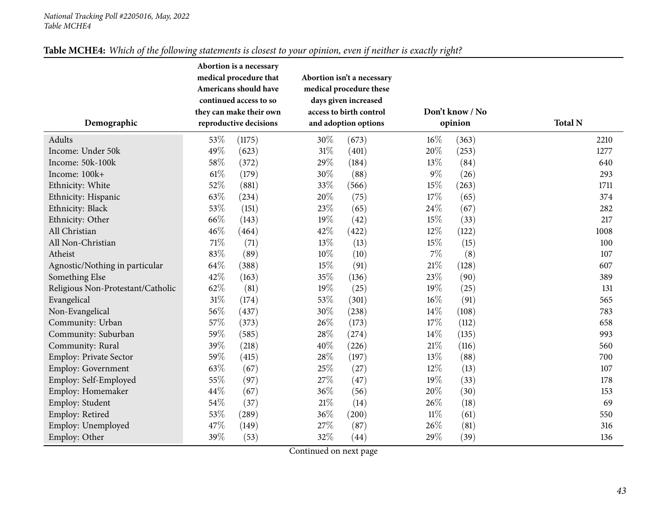# Table MCHE4: Which of the following statements is closest to your opinion, even if neither is exactly right?

| Demographic                       | Abortion is a necessary<br>medical procedure that<br>Americans should have<br>continued access to so<br>they can make their own<br>reproductive decisions |        |        | Abortion isn't a necessary<br>medical procedure these<br>days given increased<br>access to birth control<br>and adoption options |        | Don't know / No<br>opinion | <b>Total N</b> |
|-----------------------------------|-----------------------------------------------------------------------------------------------------------------------------------------------------------|--------|--------|----------------------------------------------------------------------------------------------------------------------------------|--------|----------------------------|----------------|
| Adults                            | 53\%                                                                                                                                                      | (1175) | 30%    | (673)                                                                                                                            | $16\%$ | (363)                      | 2210           |
| Income: Under 50k                 | 49%                                                                                                                                                       | (623)  | $31\%$ | (401)                                                                                                                            | 20%    | (253)                      | 1277           |
| Income: 50k-100k                  | 58%                                                                                                                                                       | (372)  | 29%    | (184)                                                                                                                            | 13%    | (84)                       | 640            |
| Income: 100k+                     | $61\%$                                                                                                                                                    | (179)  | 30%    | (88)                                                                                                                             | $9\%$  | (26)                       | 293            |
| Ethnicity: White                  | 52%                                                                                                                                                       | (881)  | 33%    | (566)                                                                                                                            | 15%    | (263)                      | 1711           |
| Ethnicity: Hispanic               | 63%                                                                                                                                                       | (234)  | 20%    | (75)                                                                                                                             | 17%    | (65)                       | 374            |
| Ethnicity: Black                  | 53%                                                                                                                                                       | (151)  | 23%    | (65)                                                                                                                             | 24%    | (67)                       | 282            |
| Ethnicity: Other                  | 66\%                                                                                                                                                      | (143)  | 19%    | (42)                                                                                                                             | 15%    | (33)                       | 217            |
| All Christian                     | 46%                                                                                                                                                       | (464)  | 42%    | (422)                                                                                                                            | 12%    | (122)                      | 1008           |
| All Non-Christian                 | $71\%$                                                                                                                                                    | (71)   | 13%    | (13)                                                                                                                             | 15%    | (15)                       | 100            |
| Atheist                           | 83%                                                                                                                                                       | (89)   | 10%    | (10)                                                                                                                             | $7\%$  | (8)                        | 107            |
| Agnostic/Nothing in particular    | 64\%                                                                                                                                                      | (388)  | 15%    | (91)                                                                                                                             | $21\%$ | (128)                      | 607            |
| Something Else                    | 42\%                                                                                                                                                      | (163)  | 35%    | (136)                                                                                                                            | 23%    | (90)                       | 389            |
| Religious Non-Protestant/Catholic | 62%                                                                                                                                                       | (81)   | 19%    | (25)                                                                                                                             | 19%    | (25)                       | 131            |
| Evangelical                       | $31\%$                                                                                                                                                    | (174)  | 53%    | (301)                                                                                                                            | 16%    | (91)                       | 565            |
| Non-Evangelical                   | 56%                                                                                                                                                       | (437)  | $30\%$ | (238)                                                                                                                            | $14\%$ | (108)                      | 783            |
| Community: Urban                  | 57\%                                                                                                                                                      | (373)  | 26%    | (173)                                                                                                                            | 17%    | (112)                      | 658            |
| Community: Suburban               | 59%                                                                                                                                                       | (585)  | 28%    | (274)                                                                                                                            | 14%    | (135)                      | 993            |
| Community: Rural                  | 39%                                                                                                                                                       | (218)  | 40%    | (226)                                                                                                                            | $21\%$ | (116)                      | 560            |
| Employ: Private Sector            | 59%                                                                                                                                                       | (415)  | 28\%   | (197)                                                                                                                            | 13\%   | (88)                       | 700            |
| Employ: Government                | 63%                                                                                                                                                       | (67)   | 25%    | (27)                                                                                                                             | 12%    | (13)                       | 107            |
| Employ: Self-Employed             | 55%                                                                                                                                                       | (97)   | $27\%$ | (47)                                                                                                                             | 19%    | (33)                       | 178            |
| Employ: Homemaker                 | 44\%                                                                                                                                                      | (67)   | 36%    | (56)                                                                                                                             | $20\%$ | (30)                       | 153            |
| Employ: Student                   | 54%                                                                                                                                                       | (37)   | $21\%$ | (14)                                                                                                                             | 26%    | (18)                       | 69             |
| Employ: Retired                   | 53%                                                                                                                                                       | (289)  | 36%    | (200)                                                                                                                            | $11\%$ | (61)                       | 550            |
| Employ: Unemployed                | 47%                                                                                                                                                       | (149)  | 27%    | (87)                                                                                                                             | 26%    | (81)                       | 316            |
| Employ: Other                     | 39%                                                                                                                                                       | (53)   | 32%    | (44)                                                                                                                             | 29%    | (39)                       | 136            |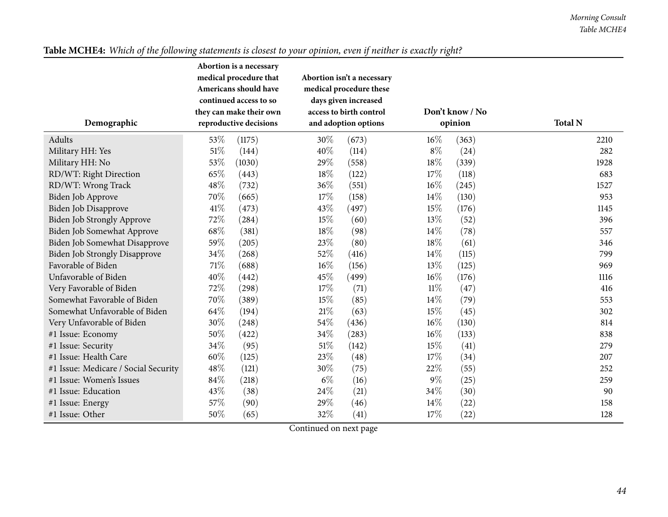|                                      | Abortion is a necessary<br>medical procedure that | Abortion isn't a necessary |                 |                |
|--------------------------------------|---------------------------------------------------|----------------------------|-----------------|----------------|
|                                      | Americans should have                             | medical procedure these    |                 |                |
|                                      | continued access to so                            | days given increased       |                 |                |
|                                      | they can make their own                           | access to birth control    | Don't know / No |                |
| Demographic                          | reproductive decisions                            | and adoption options       | opinion         | <b>Total N</b> |
| Adults                               | 53\%<br>(1175)                                    | 30%<br>(673)               | $16\%$<br>(363) | 2210           |
| Military HH: Yes                     | 51%<br>(144)                                      | 40%<br>(114)               | $8\%$<br>(24)   | 282            |
| Military HH: No                      | 53%<br>(1030)                                     | 29%<br>(558)               | 18%<br>(339)    | 1928           |
| RD/WT: Right Direction               | 65%<br>(443)                                      | 18%<br>(122)               | 17%<br>(118)    | 683            |
| RD/WT: Wrong Track                   | 48%<br>(732)                                      | 36%<br>(551)               | $16\%$<br>(245) | 1527           |
| Biden Job Approve                    | 70%<br>(665)                                      | 17%<br>(158)               | $14\%$<br>(130) | 953            |
| Biden Job Disapprove                 | $41\%$<br>(473)                                   | 43%<br>(497)               | 15%<br>(176)    | 1145           |
| Biden Job Strongly Approve           | 72%<br>(284)                                      | 15%<br>(60)                | 13%<br>(52)     | 396            |
| Biden Job Somewhat Approve           | 68\%<br>(381)                                     | 18%<br>(98)                | 14%<br>(78)     | 557            |
| Biden Job Somewhat Disapprove        | 59%<br>(205)                                      | 23%<br>(80)                | 18%<br>(61)     | 346            |
| <b>Biden Job Strongly Disapprove</b> | 34\%<br>(268)                                     | 52%<br>(416)               | 14%<br>(115)    | 799            |
| Favorable of Biden                   | $71\%$<br>(688)                                   | $16\%$<br>(156)            | 13\%<br>(125)   | 969            |
| Unfavorable of Biden                 | 40%<br>(442)                                      | 45%<br>(499)               | 16%<br>(176)    | 1116           |
| Very Favorable of Biden              | 72%<br>(298)                                      | 17%<br>(71)                | $11\%$<br>(47)  | 416            |
| Somewhat Favorable of Biden          | 70%<br>(389)                                      | 15%<br>(85)                | 14%<br>(79)     | 553            |
| Somewhat Unfavorable of Biden        | 64\%<br>(194)                                     | $21\%$<br>(63)             | 15%<br>(45)     | 302            |
| Very Unfavorable of Biden            | 30%<br>(248)                                      | 54\%<br>(436)              | $16\%$<br>(130) | 814            |
| #1 Issue: Economy                    | 50%<br>(422)                                      | 34%<br>(283)               | $16\%$<br>(133) | 838            |
| #1 Issue: Security                   | 34\%<br>(95)                                      | $51\%$<br>(142)            | 15%<br>(41)     | 279            |
| #1 Issue: Health Care                | 60%<br>(125)                                      | 23%<br>(48)                | 17%<br>(34)     | 207            |
| #1 Issue: Medicare / Social Security | 48%<br>(121)                                      | 30%<br>(75)                | 22%<br>(55)     | 252            |
| #1 Issue: Women's Issues             | 84\%<br>(218)                                     | $6\%$<br>(16)              | $9\%$<br>(25)   | 259            |
| #1 Issue: Education                  | 43%<br>(38)                                       | 24%<br>(21)                | 34%<br>(30)     | 90             |
| #1 Issue: Energy                     | 57%<br>(90)                                       | 29%<br>(46)                | 14%<br>(22)     | 158            |
| #1 Issue: Other                      | 50%<br>(65)                                       | 32%<br>(41)                | 17%<br>(22)     | 128            |

# Table MCHE4: Which of the following statements is closest to your opinion, even if neither is exactly right?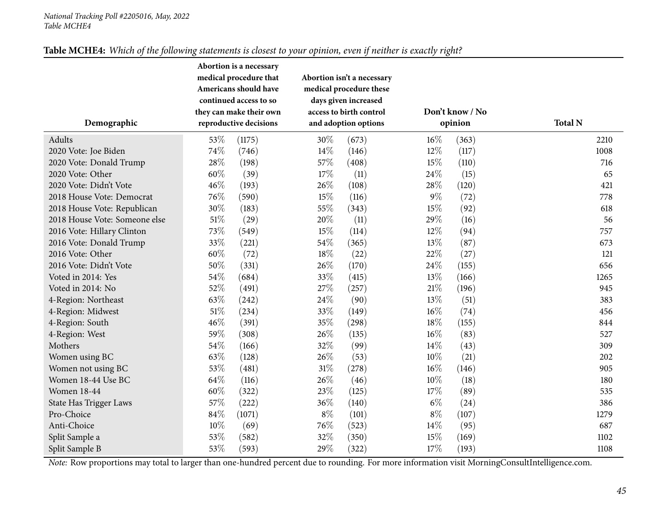| Table MCHE4: Which of the following statements is closest to your opinion, even if neither is exactly right? |
|--------------------------------------------------------------------------------------------------------------|
|--------------------------------------------------------------------------------------------------------------|

| Demographic                   |        | Abortion is a necessary<br>medical procedure that<br>Americans should have<br>continued access to so<br>they can make their own<br>reproductive decisions |        | Abortion isn't a necessary<br>medical procedure these<br>days given increased<br>access to birth control<br>and adoption options |        | Don't know / No<br>opinion | <b>Total N</b> |
|-------------------------------|--------|-----------------------------------------------------------------------------------------------------------------------------------------------------------|--------|----------------------------------------------------------------------------------------------------------------------------------|--------|----------------------------|----------------|
| Adults                        | 53%    | (1175)                                                                                                                                                    | 30%    | (673)                                                                                                                            | 16%    | (363)                      | 2210           |
| 2020 Vote: Joe Biden          | 74%    | (746)                                                                                                                                                     | 14\%   | (146)                                                                                                                            | 12%    | (117)                      | 1008           |
| 2020 Vote: Donald Trump       | 28\%   | (198)                                                                                                                                                     | 57%    | (408)                                                                                                                            | 15%    | (110)                      | 716            |
| 2020 Vote: Other              | $60\%$ | (39)                                                                                                                                                      | 17%    | (11)                                                                                                                             | 24%    | (15)                       | 65             |
| 2020 Vote: Didn't Vote        | 46%    | (193)                                                                                                                                                     | 26%    | (108)                                                                                                                            | 28%    | (120)                      | 421            |
| 2018 House Vote: Democrat     | 76%    | (590)                                                                                                                                                     | 15%    | (116)                                                                                                                            | $9\%$  | (72)                       | 778            |
| 2018 House Vote: Republican   | 30%    | (183)                                                                                                                                                     | 55%    | (343)                                                                                                                            | 15%    | (92)                       | 618            |
| 2018 House Vote: Someone else | $51\%$ | (29)                                                                                                                                                      | 20%    | (11)                                                                                                                             | 29%    | (16)                       | 56             |
| 2016 Vote: Hillary Clinton    | 73%    | (549)                                                                                                                                                     | 15%    | (114)                                                                                                                            | 12%    | (94)                       | 757            |
| 2016 Vote: Donald Trump       | 33%    | (221)                                                                                                                                                     | 54%    | (365)                                                                                                                            | 13%    | (87)                       | 673            |
| 2016 Vote: Other              | 60%    | (72)                                                                                                                                                      | 18%    | (22)                                                                                                                             | 22%    | (27)                       | 121            |
| 2016 Vote: Didn't Vote        | $50\%$ | (331)                                                                                                                                                     | 26%    | (170)                                                                                                                            | 24%    | (155)                      | 656            |
| Voted in 2014: Yes            | 54%    | (684)                                                                                                                                                     | 33%    | (415)                                                                                                                            | 13%    | (166)                      | 1265           |
| Voted in 2014: No             | 52%    | (491)                                                                                                                                                     | 27%    | (257)                                                                                                                            | $21\%$ | (196)                      | 945            |
| 4-Region: Northeast           | 63%    | (242)                                                                                                                                                     | 24%    | (90)                                                                                                                             | 13%    | (51)                       | 383            |
| 4-Region: Midwest             | $51\%$ | (234)                                                                                                                                                     | 33%    | (149)                                                                                                                            | $16\%$ | (74)                       | 456            |
| 4-Region: South               | 46%    | (391)                                                                                                                                                     | 35%    | (298)                                                                                                                            | 18%    | (155)                      | 844            |
| 4-Region: West                | 59%    | (308)                                                                                                                                                     | 26%    | (135)                                                                                                                            | 16%    | (83)                       | 527            |
| Mothers                       | 54\%   | (166)                                                                                                                                                     | 32%    | (99)                                                                                                                             | 14%    | (43)                       | 309            |
| Women using BC                | 63%    | (128)                                                                                                                                                     | 26%    | (53)                                                                                                                             | $10\%$ | (21)                       | 202            |
| Women not using BC            | 53%    | (481)                                                                                                                                                     | $31\%$ | (278)                                                                                                                            | $16\%$ | (146)                      | 905            |
| Women 18-44 Use BC            | 64\%   | (116)                                                                                                                                                     | 26%    | (46)                                                                                                                             | 10%    | (18)                       | 180            |
| <b>Women 18-44</b>            | $60\%$ | (322)                                                                                                                                                     | 23%    | (125)                                                                                                                            | 17%    | (89)                       | 535            |
| State Has Trigger Laws        | 57\%   | (222)                                                                                                                                                     | 36%    | (140)                                                                                                                            | $6\%$  | (24)                       | 386            |
| Pro-Choice                    | 84%    | (1071)                                                                                                                                                    | $8\%$  | (101)                                                                                                                            | $8\%$  | (107)                      | 1279           |
| Anti-Choice                   | 10%    | (69)                                                                                                                                                      | 76%    | (523)                                                                                                                            | 14%    | (95)                       | 687            |
| Split Sample a                | 53%    | (582)                                                                                                                                                     | 32%    | (350)                                                                                                                            | 15%    | (169)                      | 1102           |
| Split Sample B                | 53%    | (593)                                                                                                                                                     | 29%    | (322)                                                                                                                            | 17%    | (193)                      | 1108           |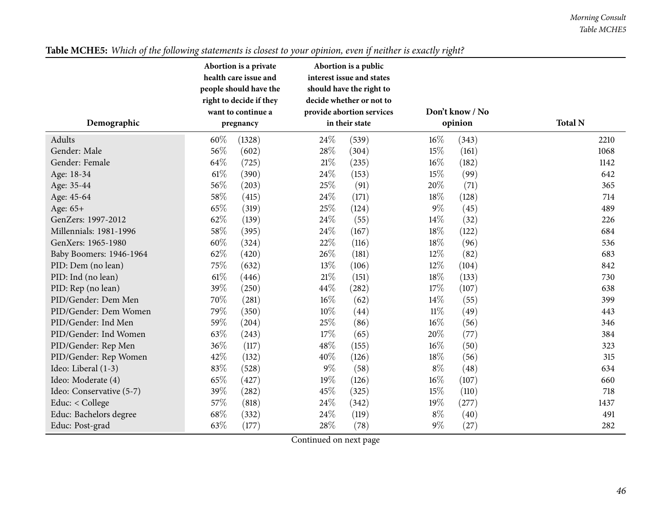| health care issue and<br>interest issue and states<br>people should have the<br>should have the right to<br>right to decide if they<br>decide whether or not to<br>Don't know / No<br>want to continue a<br>provide abortion services<br><b>Total N</b><br>Demographic<br>in their state<br>opinion<br>pregnancy<br>60%<br>24\%<br>$16\%$<br>Adults<br>(539)<br>(343)<br>(1328)<br>2210<br>15%<br>56%<br>28%<br>Gender: Male<br>(602)<br>(304)<br>(161)<br>1068<br>64%<br>$21\%$<br>$16\%$<br>Gender: Female<br>(182)<br>(725)<br>(235)<br>1142<br>$61\%$<br>24\%<br>15%<br>(390)<br>(153)<br>(99)<br>642<br>Age: 18-34<br>56%<br>25%<br>20%<br>(203)<br>(91)<br>(71)<br>365<br>Age: 35-44<br>58%<br>24%<br>18%<br>Age: 45-64<br>(415)<br>(171)<br>(128)<br>714<br>65%<br>25%<br>$9\%$<br>(45)<br>(319)<br>(124)<br>489<br>Age: 65+<br>62%<br>24\%<br>14%<br>GenZers: 1997-2012<br>(139)<br>(32)<br>(55)<br>226<br>58%<br>24%<br>$18\%$<br>Millennials: 1981-1996<br>684<br>(395)<br>(167)<br>(122)<br>22%<br>60%<br>18%<br>(116)<br>(96)<br>GenXers: 1965-1980<br>(324)<br>536<br>62%<br>26\%<br>12%<br>(420)<br>(181)<br>(82)<br>683<br>Baby Boomers: 1946-1964<br>75%<br>13%<br>12%<br>PID: Dem (no lean)<br>(632)<br>(106)<br>(104)<br>842<br>$61\%$<br>$21\%$<br>18%<br>PID: Ind (no lean)<br>(151)<br>(446)<br>(133)<br>730<br>39%<br>44\%<br>17%<br>(250)<br>(282)<br>(107)<br>PID: Rep (no lean)<br>638<br>70%<br>$16\%$<br>PID/Gender: Dem Men<br>$14\%$<br>(281)<br>(62)<br>(55)<br>399 |
|---------------------------------------------------------------------------------------------------------------------------------------------------------------------------------------------------------------------------------------------------------------------------------------------------------------------------------------------------------------------------------------------------------------------------------------------------------------------------------------------------------------------------------------------------------------------------------------------------------------------------------------------------------------------------------------------------------------------------------------------------------------------------------------------------------------------------------------------------------------------------------------------------------------------------------------------------------------------------------------------------------------------------------------------------------------------------------------------------------------------------------------------------------------------------------------------------------------------------------------------------------------------------------------------------------------------------------------------------------------------------------------------------------------------------------------------------------------------------------------------------|
|                                                                                                                                                                                                                                                                                                                                                                                                                                                                                                                                                                                                                                                                                                                                                                                                                                                                                                                                                                                                                                                                                                                                                                                                                                                                                                                                                                                                                                                                                                   |
|                                                                                                                                                                                                                                                                                                                                                                                                                                                                                                                                                                                                                                                                                                                                                                                                                                                                                                                                                                                                                                                                                                                                                                                                                                                                                                                                                                                                                                                                                                   |
|                                                                                                                                                                                                                                                                                                                                                                                                                                                                                                                                                                                                                                                                                                                                                                                                                                                                                                                                                                                                                                                                                                                                                                                                                                                                                                                                                                                                                                                                                                   |
|                                                                                                                                                                                                                                                                                                                                                                                                                                                                                                                                                                                                                                                                                                                                                                                                                                                                                                                                                                                                                                                                                                                                                                                                                                                                                                                                                                                                                                                                                                   |
|                                                                                                                                                                                                                                                                                                                                                                                                                                                                                                                                                                                                                                                                                                                                                                                                                                                                                                                                                                                                                                                                                                                                                                                                                                                                                                                                                                                                                                                                                                   |
|                                                                                                                                                                                                                                                                                                                                                                                                                                                                                                                                                                                                                                                                                                                                                                                                                                                                                                                                                                                                                                                                                                                                                                                                                                                                                                                                                                                                                                                                                                   |
|                                                                                                                                                                                                                                                                                                                                                                                                                                                                                                                                                                                                                                                                                                                                                                                                                                                                                                                                                                                                                                                                                                                                                                                                                                                                                                                                                                                                                                                                                                   |
|                                                                                                                                                                                                                                                                                                                                                                                                                                                                                                                                                                                                                                                                                                                                                                                                                                                                                                                                                                                                                                                                                                                                                                                                                                                                                                                                                                                                                                                                                                   |
|                                                                                                                                                                                                                                                                                                                                                                                                                                                                                                                                                                                                                                                                                                                                                                                                                                                                                                                                                                                                                                                                                                                                                                                                                                                                                                                                                                                                                                                                                                   |
|                                                                                                                                                                                                                                                                                                                                                                                                                                                                                                                                                                                                                                                                                                                                                                                                                                                                                                                                                                                                                                                                                                                                                                                                                                                                                                                                                                                                                                                                                                   |
|                                                                                                                                                                                                                                                                                                                                                                                                                                                                                                                                                                                                                                                                                                                                                                                                                                                                                                                                                                                                                                                                                                                                                                                                                                                                                                                                                                                                                                                                                                   |
|                                                                                                                                                                                                                                                                                                                                                                                                                                                                                                                                                                                                                                                                                                                                                                                                                                                                                                                                                                                                                                                                                                                                                                                                                                                                                                                                                                                                                                                                                                   |
|                                                                                                                                                                                                                                                                                                                                                                                                                                                                                                                                                                                                                                                                                                                                                                                                                                                                                                                                                                                                                                                                                                                                                                                                                                                                                                                                                                                                                                                                                                   |
|                                                                                                                                                                                                                                                                                                                                                                                                                                                                                                                                                                                                                                                                                                                                                                                                                                                                                                                                                                                                                                                                                                                                                                                                                                                                                                                                                                                                                                                                                                   |
|                                                                                                                                                                                                                                                                                                                                                                                                                                                                                                                                                                                                                                                                                                                                                                                                                                                                                                                                                                                                                                                                                                                                                                                                                                                                                                                                                                                                                                                                                                   |
|                                                                                                                                                                                                                                                                                                                                                                                                                                                                                                                                                                                                                                                                                                                                                                                                                                                                                                                                                                                                                                                                                                                                                                                                                                                                                                                                                                                                                                                                                                   |
|                                                                                                                                                                                                                                                                                                                                                                                                                                                                                                                                                                                                                                                                                                                                                                                                                                                                                                                                                                                                                                                                                                                                                                                                                                                                                                                                                                                                                                                                                                   |
|                                                                                                                                                                                                                                                                                                                                                                                                                                                                                                                                                                                                                                                                                                                                                                                                                                                                                                                                                                                                                                                                                                                                                                                                                                                                                                                                                                                                                                                                                                   |
|                                                                                                                                                                                                                                                                                                                                                                                                                                                                                                                                                                                                                                                                                                                                                                                                                                                                                                                                                                                                                                                                                                                                                                                                                                                                                                                                                                                                                                                                                                   |
|                                                                                                                                                                                                                                                                                                                                                                                                                                                                                                                                                                                                                                                                                                                                                                                                                                                                                                                                                                                                                                                                                                                                                                                                                                                                                                                                                                                                                                                                                                   |
| 79%<br>PID/Gender: Dem Women<br>$10\%$<br>$11\%$<br>(350)<br>(44)<br>(49)<br>443                                                                                                                                                                                                                                                                                                                                                                                                                                                                                                                                                                                                                                                                                                                                                                                                                                                                                                                                                                                                                                                                                                                                                                                                                                                                                                                                                                                                                  |
| 59%<br>25%<br>16%<br>PID/Gender: Ind Men<br>(204)<br>(86)<br>(56)<br>346                                                                                                                                                                                                                                                                                                                                                                                                                                                                                                                                                                                                                                                                                                                                                                                                                                                                                                                                                                                                                                                                                                                                                                                                                                                                                                                                                                                                                          |
| 63%<br>17%<br>20%<br>PID/Gender: Ind Women<br>(243)<br>(65)<br>(77)<br>384                                                                                                                                                                                                                                                                                                                                                                                                                                                                                                                                                                                                                                                                                                                                                                                                                                                                                                                                                                                                                                                                                                                                                                                                                                                                                                                                                                                                                        |
| 36%<br>48%<br>16%<br>(117)<br>PID/Gender: Rep Men<br>(155)<br>(50)<br>323                                                                                                                                                                                                                                                                                                                                                                                                                                                                                                                                                                                                                                                                                                                                                                                                                                                                                                                                                                                                                                                                                                                                                                                                                                                                                                                                                                                                                         |
| 42%<br>40%<br>18%<br>PID/Gender: Rep Women<br>(132)<br>(126)<br>(56)<br>315                                                                                                                                                                                                                                                                                                                                                                                                                                                                                                                                                                                                                                                                                                                                                                                                                                                                                                                                                                                                                                                                                                                                                                                                                                                                                                                                                                                                                       |
| 83%<br>$9\%$<br>$8\%$<br>Ideo: Liberal (1-3)<br>(58)<br>(528)<br>(48)<br>634                                                                                                                                                                                                                                                                                                                                                                                                                                                                                                                                                                                                                                                                                                                                                                                                                                                                                                                                                                                                                                                                                                                                                                                                                                                                                                                                                                                                                      |
| 65%<br>16%<br>19%<br>Ideo: Moderate (4)<br>(126)<br>(107)<br>(427)<br>660                                                                                                                                                                                                                                                                                                                                                                                                                                                                                                                                                                                                                                                                                                                                                                                                                                                                                                                                                                                                                                                                                                                                                                                                                                                                                                                                                                                                                         |
| 39%<br>45%<br>15%<br>Ideo: Conservative (5-7)<br>(282)<br>(325)<br>(110)<br>718                                                                                                                                                                                                                                                                                                                                                                                                                                                                                                                                                                                                                                                                                                                                                                                                                                                                                                                                                                                                                                                                                                                                                                                                                                                                                                                                                                                                                   |
| 57%<br>24\%<br>19%<br>Educ: < College<br>(818)<br>(342)<br>(277)<br>1437                                                                                                                                                                                                                                                                                                                                                                                                                                                                                                                                                                                                                                                                                                                                                                                                                                                                                                                                                                                                                                                                                                                                                                                                                                                                                                                                                                                                                          |
| 68%<br>24\%<br>$8\%$<br>Educ: Bachelors degree<br>(332)<br>(119)<br>(40)<br>491                                                                                                                                                                                                                                                                                                                                                                                                                                                                                                                                                                                                                                                                                                                                                                                                                                                                                                                                                                                                                                                                                                                                                                                                                                                                                                                                                                                                                   |
| $28\%$<br>63%<br>$9\%$<br>Educ: Post-grad<br>(177)<br>(78)<br>(27)<br>282<br>$Constituting \frac{1}{2} or \frac{1}{2}$                                                                                                                                                                                                                                                                                                                                                                                                                                                                                                                                                                                                                                                                                                                                                                                                                                                                                                                                                                                                                                                                                                                                                                                                                                                                                                                                                                            |

# Table MCHE5: Which of the following statements is closest to your opinion, even if neither is exactly right?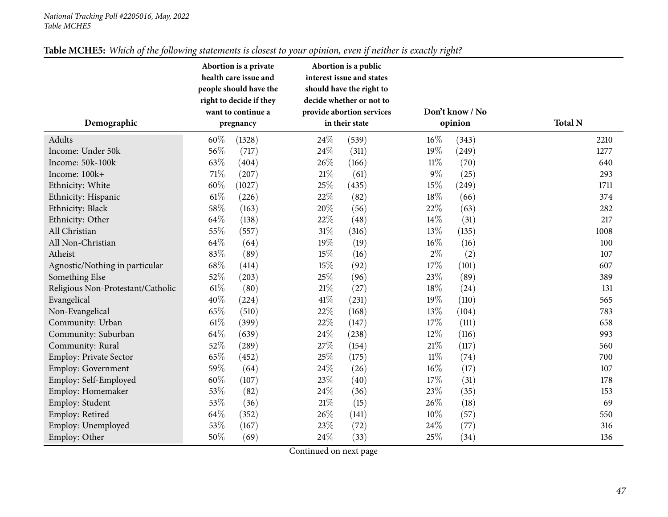| Table MCHE5: Which of the following statements is closest to your opinion, even if neither is exactly right? |  |
|--------------------------------------------------------------------------------------------------------------|--|
|--------------------------------------------------------------------------------------------------------------|--|

|                                   |      | Abortion is a private<br>health care issue and<br>people should have the<br>right to decide if they |        | Abortion is a public<br>interest issue and states<br>should have the right to<br>decide whether or not to |        |                            |                |
|-----------------------------------|------|-----------------------------------------------------------------------------------------------------|--------|-----------------------------------------------------------------------------------------------------------|--------|----------------------------|----------------|
| Demographic                       |      | want to continue a<br>pregnancy                                                                     |        | provide abortion services<br>in their state                                                               |        | Don't know / No<br>opinion | <b>Total N</b> |
| Adults                            | 60%  | (1328)                                                                                              | 24%    | (539)                                                                                                     | 16%    | (343)                      | 2210           |
| Income: Under 50k                 | 56%  | (717)                                                                                               | 24%    | (311)                                                                                                     | 19%    | (249)                      | 1277           |
| Income: 50k-100k                  | 63%  | (404)                                                                                               | 26%    | (166)                                                                                                     | $11\%$ | (70)                       | 640            |
| Income: 100k+                     | 71%  | (207)                                                                                               | $21\%$ | (61)                                                                                                      | $9\%$  | (25)                       | 293            |
| Ethnicity: White                  | 60%  | (1027)                                                                                              | 25%    | (435)                                                                                                     | 15%    | (249)                      | 1711           |
| Ethnicity: Hispanic               | 61%  | (226)                                                                                               | 22%    | (82)                                                                                                      | 18%    | (66)                       | 374            |
| Ethnicity: Black                  | 58%  | (163)                                                                                               | 20%    | (56)                                                                                                      | 22%    | (63)                       | 282            |
| Ethnicity: Other                  | 64\% | (138)                                                                                               | 22%    | (48)                                                                                                      | 14%    | (31)                       | 217            |
| All Christian                     | 55%  | (557)                                                                                               | $31\%$ | (316)                                                                                                     | 13%    | (135)                      | 1008           |
| All Non-Christian                 | 64%  | (64)                                                                                                | 19%    | (19)                                                                                                      | 16%    | (16)                       | 100            |
| Atheist                           | 83%  | (89)                                                                                                | 15%    | (16)                                                                                                      | $2\%$  | (2)                        | 107            |
| Agnostic/Nothing in particular    | 68%  | (414)                                                                                               | 15%    | (92)                                                                                                      | 17%    | (101)                      | 607            |
| Something Else                    | 52%  | (203)                                                                                               | 25%    | (96)                                                                                                      | 23%    | (89)                       | 389            |
| Religious Non-Protestant/Catholic | 61%  | (80)                                                                                                | $21\%$ | (27)                                                                                                      | 18%    | (24)                       | 131            |
| Evangelical                       | 40%  | (224)                                                                                               | 41\%   | (231)                                                                                                     | 19%    | (110)                      | 565            |
| Non-Evangelical                   | 65%  | (510)                                                                                               | 22%    | (168)                                                                                                     | 13%    | (104)                      | 783            |
| Community: Urban                  | 61%  | (399)                                                                                               | 22%    | (147)                                                                                                     | 17%    | (111)                      | 658            |
| Community: Suburban               | 64\% | (639)                                                                                               | 24%    | (238)                                                                                                     | $12\%$ | (116)                      | 993            |
| Community: Rural                  | 52%  | (289)                                                                                               | $27\%$ | (154)                                                                                                     | 21\%   | (117)                      | 560            |
| <b>Employ: Private Sector</b>     | 65%  | (452)                                                                                               | 25%    | (175)                                                                                                     | $11\%$ | (74)                       | 700            |
| <b>Employ: Government</b>         | 59%  | (64)                                                                                                | 24%    | (26)                                                                                                      | 16%    | (17)                       | 107            |
| Employ: Self-Employed             | 60%  | (107)                                                                                               | 23%    | (40)                                                                                                      | 17%    | (31)                       | 178            |
| Employ: Homemaker                 | 53%  | (82)                                                                                                | 24%    | (36)                                                                                                      | 23%    | (35)                       | 153            |
| Employ: Student                   | 53%  | (36)                                                                                                | 21\%   | (15)                                                                                                      | 26\%   | (18)                       | 69             |
| Employ: Retired                   | 64%  | (352)                                                                                               | 26%    | (141)                                                                                                     | $10\%$ | (57)                       | 550            |
| Employ: Unemployed                | 53%  | (167)                                                                                               | 23%    | (72)                                                                                                      | 24%    | (77)                       | 316            |
| Employ: Other                     | 50%  | (69)                                                                                                | 24%    | (33)                                                                                                      | 25%    | (34)                       | 136            |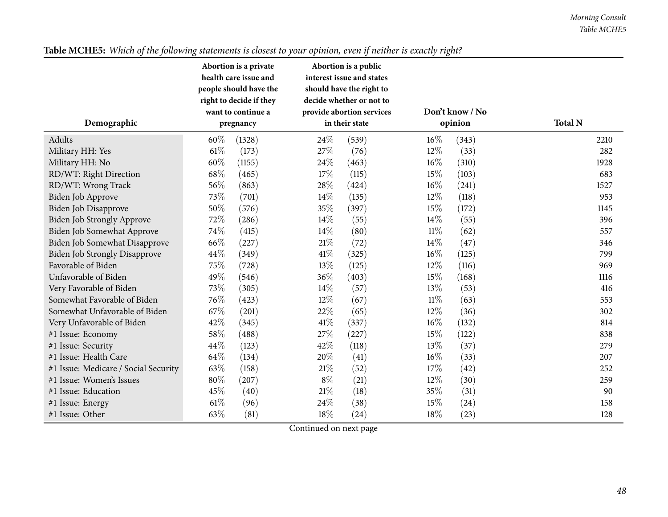|                                      | Abortion is a private                             |        | Abortion is a public                                 |        |                 |                |
|--------------------------------------|---------------------------------------------------|--------|------------------------------------------------------|--------|-----------------|----------------|
|                                      | health care issue and                             |        | interest issue and states                            |        |                 |                |
|                                      | people should have the<br>right to decide if they |        | should have the right to<br>decide whether or not to |        |                 |                |
|                                      | want to continue a                                |        | provide abortion services                            |        | Don't know / No |                |
| Demographic                          | pregnancy                                         |        | in their state                                       |        | opinion         | <b>Total N</b> |
| Adults                               | 60%<br>(1328)                                     | 24\%   | (539)                                                | $16\%$ | (343)           | 2210           |
| Military HH: Yes                     | $61\%$<br>(173)                                   | 27%    | (76)                                                 | $12\%$ | (33)            | 282            |
| Military HH: No                      | 60%<br>(1155)                                     | 24%    | (463)                                                | 16%    | (310)           | 1928           |
| RD/WT: Right Direction               | 68%<br>(465)                                      | 17%    | (115)                                                | 15%    | (103)           | 683            |
| RD/WT: Wrong Track                   | 56%<br>(863)                                      | 28%    | (424)                                                | $16\%$ | (241)           | 1527           |
| Biden Job Approve                    | 73%<br>(701)                                      | 14\%   | (135)                                                | $12\%$ | (118)           | 953            |
| Biden Job Disapprove                 | 50%<br>(576)                                      | 35%    | (397)                                                | 15%    | (172)           | 1145           |
| Biden Job Strongly Approve           | 72%<br>(286)                                      | $14\%$ | (55)                                                 | 14\%   | (55)            | 396            |
| Biden Job Somewhat Approve           | 74%<br>(415)                                      | $14\%$ | (80)                                                 | $11\%$ | (62)            | 557            |
| Biden Job Somewhat Disapprove        | 66%<br>(227)                                      | $21\%$ | (72)                                                 | 14\%   | (47)            | 346            |
| <b>Biden Job Strongly Disapprove</b> | 44\%<br>(349)                                     | 41\%   | (325)                                                | $16\%$ | (125)           | 799            |
| Favorable of Biden                   | 75%<br>(728)                                      | 13%    | (125)                                                | $12\%$ | (116)           | 969            |
| Unfavorable of Biden                 | 49%<br>(546)                                      | 36%    | (403)                                                | 15%    | (168)           | 1116           |
| Very Favorable of Biden              | 73%<br>(305)                                      | 14\%   | (57)                                                 | 13%    | (53)            | 416            |
| Somewhat Favorable of Biden          | 76%<br>(423)                                      | 12%    | (67)                                                 | $11\%$ | (63)            | 553            |
| Somewhat Unfavorable of Biden        | 67%<br>(201)                                      | 22%    | (65)                                                 | $12\%$ | (36)            | 302            |
| Very Unfavorable of Biden            | 42%<br>(345)                                      | 41\%   | (337)                                                | $16\%$ | (132)           | 814            |
| #1 Issue: Economy                    | 58%<br>(488)                                      | 27%    | (227)                                                | 15%    | (122)           | 838            |
| #1 Issue: Security                   | 44\%<br>(123)                                     | 42\%   | (118)                                                | $13\%$ | (37)            | 279            |
| #1 Issue: Health Care                | 64%<br>(134)                                      | 20%    | (41)                                                 | 16%    | (33)            | 207            |
| #1 Issue: Medicare / Social Security | 63%<br>(158)                                      | 21\%   | (52)                                                 | 17%    | (42)            | 252            |
| #1 Issue: Women's Issues             | 80%<br>(207)                                      | $8\%$  | (21)                                                 | $12\%$ | (30)            | 259            |
| #1 Issue: Education                  | 45%<br>(40)                                       | $21\%$ | (18)                                                 | 35%    | (31)            | 90             |
| #1 Issue: Energy                     | 61\%<br>(96)                                      | 24\%   | (38)                                                 | 15%    | (24)            | 158            |
| #1 Issue: Other                      | 63%<br>(81)                                       | 18%    | (24)                                                 | 18%    | (23)            | 128            |

# Table MCHE5: Which of the following statements is closest to your opinion, even if neither is exactly right?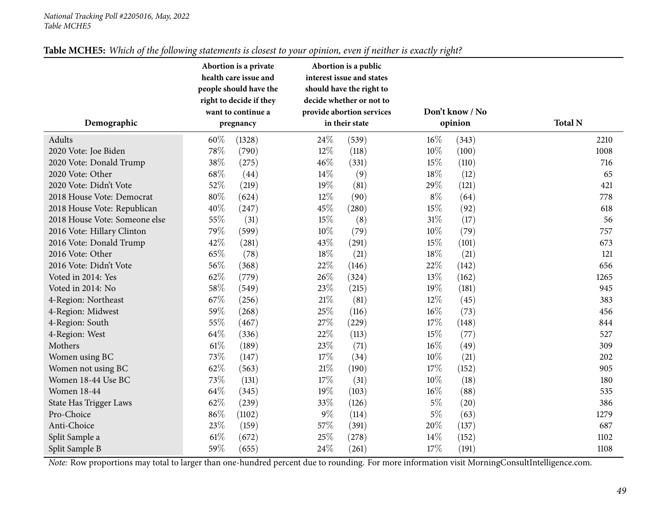| Table MCHE5: Which of the following statements is closest to your opinion, even if neither is exactly right? |
|--------------------------------------------------------------------------------------------------------------|
|--------------------------------------------------------------------------------------------------------------|

|                               |        | Abortion is a private   |       | Abortion is a public      |        |                 |                |
|-------------------------------|--------|-------------------------|-------|---------------------------|--------|-----------------|----------------|
|                               |        | health care issue and   |       | interest issue and states |        |                 |                |
|                               |        | people should have the  |       | should have the right to  |        |                 |                |
|                               |        | right to decide if they |       | decide whether or not to  |        |                 |                |
|                               |        | want to continue a      |       | provide abortion services |        | Don't know / No |                |
| Demographic                   |        | pregnancy               |       | in their state            |        | opinion         | <b>Total N</b> |
| Adults                        | 60%    | (1328)                  | 24%   | (539)                     | 16%    | (343)           | 2210           |
| 2020 Vote: Joe Biden          | 78%    | (790)                   | 12%   | (118)                     | 10%    | (100)           | 1008           |
| 2020 Vote: Donald Trump       | 38%    | (275)                   | 46%   | (331)                     | 15%    | (110)           | 716            |
| 2020 Vote: Other              | 68\%   | (44)                    | 14%   | (9)                       | 18%    | (12)            | 65             |
| 2020 Vote: Didn't Vote        | 52%    | (219)                   | 19%   | (81)                      | 29\%   | (121)           | 421            |
| 2018 House Vote: Democrat     | $80\%$ | (624)                   | 12%   | (90)                      | $8\%$  | (64)            | 778            |
| 2018 House Vote: Republican   | 40%    | (247)                   | 45%   | (280)                     | 15%    | (92)            | 618            |
| 2018 House Vote: Someone else | 55%    | (31)                    | 15%   | (8)                       | $31\%$ | (17)            | 56             |
| 2016 Vote: Hillary Clinton    | 79%    | (599)                   | 10%   | (79)                      | $10\%$ | (79)            | 757            |
| 2016 Vote: Donald Trump       | 42%    | (281)                   | 43%   | (291)                     | 15%    | (101)           | 673            |
| 2016 Vote: Other              | 65%    | (78)                    | 18%   | (21)                      | 18%    | (21)            | 121            |
| 2016 Vote: Didn't Vote        | 56%    | (368)                   | 22%   | (146)                     | 22%    | (142)           | 656            |
| Voted in 2014: Yes            | 62%    | (779)                   | 26%   | (324)                     | 13%    | (162)           | 1265           |
| Voted in 2014: No             | 58%    | (549)                   | 23%   | (215)                     | 19%    | (181)           | 945            |
| 4-Region: Northeast           | 67%    | (256)                   | 21\%  | (81)                      | 12%    | (45)            | 383            |
| 4-Region: Midwest             | 59%    | (268)                   | 25%   | (116)                     | $16\%$ | (73)            | 456            |
| 4-Region: South               | 55%    | (467)                   | 27\%  | (229)                     | 17%    | (148)           | 844            |
| 4-Region: West                | 64\%   | (336)                   | 22%   | (113)                     | 15%    | (77)            | 527            |
| Mothers                       | $61\%$ | (189)                   | 23%   | (71)                      | $16\%$ | (49)            | 309            |
| Women using BC                | 73%    | (147)                   | 17%   | (34)                      | 10%    | (21)            | 202            |
| Women not using BC            | 62%    | (563)                   | 21\%  | (190)                     | 17%    | (152)           | 905            |
| Women 18-44 Use BC            | 73%    | (131)                   | 17%   | (31)                      | $10\%$ | (18)            | 180            |
| <b>Women 18-44</b>            | 64%    | (345)                   | 19%   | (103)                     | $16\%$ | (88)            | 535            |
| State Has Trigger Laws        | 62%    | (239)                   | 33%   | (126)                     | $5\%$  | (20)            | 386            |
| Pro-Choice                    | 86%    | (1102)                  | $9\%$ | (114)                     | $5\%$  | (63)            | 1279           |
| Anti-Choice                   | 23%    | (159)                   | 57%   | (391)                     | 20%    | (137)           | 687            |
| Split Sample a                | $61\%$ | (672)                   | 25%   | (278)                     | 14%    | (152)           | 1102           |
| Split Sample B                | 59%    | (655)                   | 24%   | (261)                     | 17%    | (191)           | 1108           |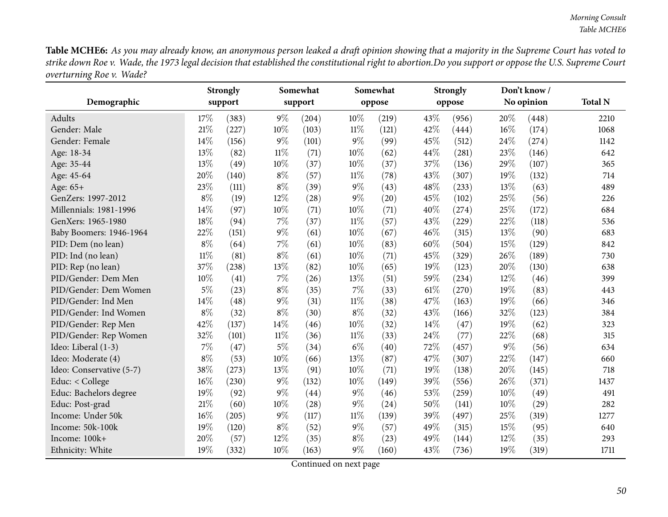Table MCHE6: As you may already know, an anonymous person leaked a draft opinion showing that a majority in the Supreme Court has voted to strike down Roe v. Wade, the 1973 legal decision that established the constitutional right to abortion.Do you support or oppose the U.S. Supreme Court *overturning Roe v. Wade?*

|                          |        | <b>Strongly</b> |        | Somewhat |        | Somewhat |        | <b>Strongly</b> |     | Don't know/ |                |
|--------------------------|--------|-----------------|--------|----------|--------|----------|--------|-----------------|-----|-------------|----------------|
| Demographic              |        | support         |        | support  |        | oppose   |        | oppose          |     | No opinion  | <b>Total N</b> |
| Adults                   | 17%    | (383)           | $9\%$  | (204)    | 10%    | (219)    | 43%    | (956)           | 20% | (448)       | 2210           |
| Gender: Male             | 21%    | (227)           | 10%    | (103)    | $11\%$ | (121)    | 42%    | (444)           | 16% | (174)       | 1068           |
| Gender: Female           | 14%    | (156)           | $9\%$  | (101)    | $9\%$  | (99)     | 45%    | (512)           | 24% | (274)       | 1142           |
| Age: 18-34               | 13%    | (82)            | $11\%$ | (71)     | 10%    | (62)     | 44%    | (281)           | 23% | (146)       | 642            |
| Age: 35-44               | 13%    | (49)            | 10%    | (37)     | $10\%$ | (37)     | 37%    | (136)           | 29% | (107)       | 365            |
| Age: 45-64               | 20%    | (140)           | $8\%$  | (57)     | $11\%$ | (78)     | 43%    | (307)           | 19% | (132)       | 714            |
| Age: 65+                 | 23%    | (111)           | $8\%$  | (39)     | $9\%$  | (43)     | 48%    | (233)           | 13% | (63)        | 489            |
| GenZers: 1997-2012       | $8\%$  | (19)            | 12%    | (28)     | $9\%$  | (20)     | 45%    | (102)           | 25% | (56)        | 226            |
| Millennials: 1981-1996   | 14%    | (97)            | 10%    | (71)     | $10\%$ | (71)     | 40%    | (274)           | 25% | (172)       | 684            |
| GenXers: 1965-1980       | 18%    | (94)            | 7%     | (37)     | $11\%$ | (57)     | 43%    | (229)           | 22% | (118)       | 536            |
| Baby Boomers: 1946-1964  | 22%    | (151)           | $9\%$  | (61)     | 10%    | (67)     | 46%    | (315)           | 13% | (90)        | 683            |
| PID: Dem (no lean)       | $8\%$  | (64)            | 7%     | (61)     | 10%    | (83)     | 60%    | (504)           | 15% | (129)       | 842            |
| PID: Ind (no lean)       | $11\%$ | (81)            | $8\%$  | (61)     | 10%    | (71)     | 45%    | (329)           | 26% | (189)       | 730            |
| PID: Rep (no lean)       | 37%    | (238)           | 13%    | (82)     | 10%    | (65)     | 19%    | (123)           | 20% | (130)       | 638            |
| PID/Gender: Dem Men      | 10%    | (41)            | $7\%$  | (26)     | 13%    | (51)     | 59%    | (234)           | 12% | (46)        | 399            |
| PID/Gender: Dem Women    | $5\%$  | (23)            | $8\%$  | (35)     | 7%     | (33)     | $61\%$ | (270)           | 19% | (83)        | 443            |
| PID/Gender: Ind Men      | 14%    | (48)            | $9\%$  | (31)     | $11\%$ | (38)     | 47%    | (163)           | 19% | (66)        | 346            |
| PID/Gender: Ind Women    | $8\%$  | (32)            | $8\%$  | (30)     | $8\%$  | (32)     | 43%    | (166)           | 32% | (123)       | 384            |
| PID/Gender: Rep Men      | 42%    | (137)           | 14%    | (46)     | 10%    | (32)     | 14%    | (47)            | 19% | (62)        | 323            |
| PID/Gender: Rep Women    | 32%    | (101)           | $11\%$ | (36)     | $11\%$ | (33)     | 24%    | (77)            | 22% | (68)        | 315            |
| Ideo: Liberal (1-3)      | $7\%$  | (47)            | $5\%$  | (34)     | $6\%$  | (40)     | 72%    | (457)           | 9%  | (56)        | 634            |
| Ideo: Moderate (4)       | $8\%$  | (53)            | 10%    | (66)     | 13%    | (87)     | 47%    | (307)           | 22% | (147)       | 660            |
| Ideo: Conservative (5-7) | 38%    | (273)           | 13%    | (91)     | 10%    | (71)     | 19%    | (138)           | 20% | (145)       | 718            |
| Educ: < College          | 16%    | (230)           | $9\%$  | (132)    | 10%    | (149)    | 39%    | (556)           | 26% | (371)       | 1437           |
| Educ: Bachelors degree   | 19%    | (92)            | $9\%$  | (44)     | $9\%$  | (46)     | 53%    | (259)           | 10% | (49)        | 491            |
| Educ: Post-grad          | $21\%$ | (60)            | 10%    | (28)     | $9\%$  | (24)     | 50%    | (141)           | 10% | (29)        | 282            |
| Income: Under 50k        | 16%    | (205)           | $9\%$  | (117)    | $11\%$ | (139)    | 39%    | (497)           | 25% | (319)       | 1277           |
| Income: 50k-100k         | 19%    | (120)           | $8\%$  | (52)     | $9\%$  | (57)     | 49%    | (315)           | 15% | (95)        | 640            |
| Income: 100k+            | 20%    | (57)            | 12%    | (35)     | $8\%$  | (23)     | 49%    | (144)           | 12% | (35)        | 293            |
| Ethnicity: White         | 19%    | (332)           | $10\%$ | (163)    | $9\%$  | (160)    | 43%    | (736)           | 19% | (319)       | 1711           |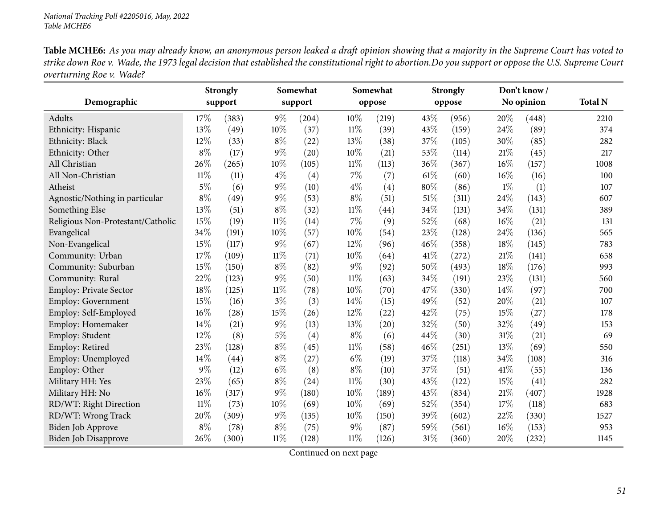Table MCHE6: As you may already know, an anonymous person leaked a draft opinion showing that a majority in the Supreme Court has voted to strike down Roe v. Wade, the 1973 legal decision that established the constitutional right to abortion.Do you support or oppose the U.S. Supreme Court *overturning Roe v. Wade?*

| Demographic                       |        | <b>Strongly</b><br>support |        | Somewhat<br>support |        | Somewhat<br>oppose |      | <b>Strongly</b><br>oppose |       | Don't know /<br>No opinion | <b>Total N</b> |
|-----------------------------------|--------|----------------------------|--------|---------------------|--------|--------------------|------|---------------------------|-------|----------------------------|----------------|
| Adults                            | 17%    | (383)                      | $9\%$  | (204)               | 10%    | (219)              | 43%  | (956)                     | 20%   | (448)                      | 2210           |
| Ethnicity: Hispanic               | 13%    | (49)                       | 10%    | (37)                | $11\%$ | (39)               | 43%  | (159)                     | 24%   | (89)                       | 374            |
| Ethnicity: Black                  | 12%    | (33)                       | $8\%$  | (22)                | 13%    | (38)               | 37%  | (105)                     | 30%   | (85)                       | 282            |
| Ethnicity: Other                  | $8\%$  | (17)                       | $9\%$  | (20)                | 10%    | (21)               | 53%  | (114)                     | 21%   | (45)                       | 217            |
| All Christian                     | 26%    | (265)                      | 10%    | (105)               | $11\%$ | (113)              | 36%  | (367)                     | 16%   | (157)                      | 1008           |
| All Non-Christian                 | $11\%$ | (11)                       | $4\%$  | (4)                 | $7\%$  | (7)                | 61\% | (60)                      | 16%   | (16)                       | 100            |
| Atheist                           | $5\%$  | (6)                        | $9\%$  | (10)                | $4\%$  | (4)                | 80%  | (86)                      | $1\%$ | (1)                        | 107            |
| Agnostic/Nothing in particular    | $8\%$  | (49)                       | $9\%$  | (53)                | $8\%$  | (51)               | 51%  | (311)                     | 24%   | (143)                      | 607            |
| Something Else                    | 13%    | (51)                       | $8\%$  | (32)                | $11\%$ | $\left( 44\right)$ | 34%  | (131)                     | 34%   | (131)                      | 389            |
| Religious Non-Protestant/Catholic | 15%    | (19)                       | $11\%$ | (14)                | 7%     | (9)                | 52%  | (68)                      | 16%   | (21)                       | 131            |
| Evangelical                       | 34%    | (191)                      | $10\%$ | (57)                | 10%    | (54)               | 23%  | (128)                     | 24%   | (136)                      | 565            |
| Non-Evangelical                   | 15%    | (117)                      | $9\%$  | (67)                | 12%    | (96)               | 46%  | (358)                     | 18%   | (145)                      | 783            |
| Community: Urban                  | 17%    | (109)                      | $11\%$ | (71)                | 10%    | (64)               | 41\% | (272)                     | 21%   | (141)                      | 658            |
| Community: Suburban               | 15%    | (150)                      | $8\%$  | (82)                | 9%     | (92)               | 50%  | (493)                     | 18%   | (176)                      | 993            |
| Community: Rural                  | 22%    | (123)                      | $9\%$  | (50)                | $11\%$ | (63)               | 34%  | (191)                     | 23%   | (131)                      | 560            |
| Employ: Private Sector            | 18%    | (125)                      | $11\%$ | (78)                | 10%    | (70)               | 47%  | (330)                     | 14%   | (97)                       | 700            |
| Employ: Government                | 15%    | (16)                       | $3\%$  | (3)                 | 14\%   | (15)               | 49%  | (52)                      | 20%   | (21)                       | 107            |
| Employ: Self-Employed             | 16%    | (28)                       | $15\%$ | (26)                | 12%    | (22)               | 42%  | (75)                      | 15%   | (27)                       | 178            |
| Employ: Homemaker                 | 14%    | (21)                       | $9\%$  | (13)                | 13%    | (20)               | 32%  | (50)                      | 32%   | (49)                       | 153            |
| Employ: Student                   | 12%    | (8)                        | $5\%$  | $\left( 4\right)$   | $8\%$  | (6)                | 44%  | (30)                      | 31%   | (21)                       | 69             |
| Employ: Retired                   | 23%    | (128)                      | $8\%$  | (45)                | $11\%$ | (58)               | 46%  | (251)                     | 13%   | (69)                       | 550            |
| Employ: Unemployed                | 14%    | (44)                       | $8\%$  | (27)                | $6\%$  | (19)               | 37%  | (118)                     | 34%   | (108)                      | 316            |
| Employ: Other                     | $9\%$  | (12)                       | $6\%$  | (8)                 | $8\%$  | (10)               | 37%  | (51)                      | 41\%  | (55)                       | 136            |
| Military HH: Yes                  | 23%    | (65)                       | $8\%$  | (24)                | $11\%$ | (30)               | 43%  | (122)                     | 15%   | (41)                       | 282            |
| Military HH: No                   | 16%    | (317)                      | $9\%$  | (180)               | 10%    | (189)              | 43%  | (834)                     | 21\%  | (407)                      | 1928           |
| RD/WT: Right Direction            | $11\%$ | (73)                       | 10%    | (69)                | 10%    | (69)               | 52%  | (354)                     | 17%   | (118)                      | 683            |
| RD/WT: Wrong Track                | 20%    | (309)                      | $9\%$  | (135)               | 10%    | (150)              | 39%  | (602)                     | 22%   | (330)                      | 1527           |
| Biden Job Approve                 | $8\%$  | (78)                       | $8\%$  | (75)                | $9\%$  | (87)               | 59%  | (561)                     | 16%   | (153)                      | 953            |
| Biden Job Disapprove              | 26%    | (300)                      | $11\%$ | (128)               | $11\%$ | (126)              | 31%  | (360)                     | 20%   | (232)                      | 1145           |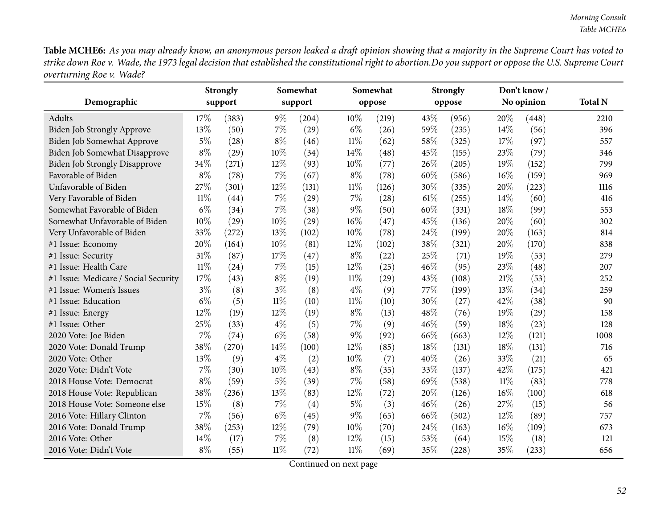Table MCHE6: As you may already know, an anonymous person leaked a draft opinion showing that a majority in the Supreme Court has voted to strike down Roe v. Wade, the 1973 legal decision that established the constitutional right to abortion.Do you support or oppose the U.S. Supreme Court *overturning Roe v. Wade?*

|                                      |        | <b>Strongly</b> |        | Somewhat |        | Somewhat |      | <b>Strongly</b> |        | Don't know/ |                |
|--------------------------------------|--------|-----------------|--------|----------|--------|----------|------|-----------------|--------|-------------|----------------|
| Demographic                          |        | support         |        | support  |        | oppose   |      | oppose          |        | No opinion  | <b>Total N</b> |
| Adults                               | 17%    | (383)           | $9\%$  | (204)    | 10%    | (219)    | 43%  | (956)           | 20%    | (448)       | 2210           |
| Biden Job Strongly Approve           | 13%    | (50)            | 7%     | (29)     | $6\%$  | (26)     | 59%  | (235)           | 14\%   | (56)        | 396            |
| Biden Job Somewhat Approve           | $5\%$  | (28)            | $8\%$  | (46)     | $11\%$ | (62)     | 58%  | (325)           | 17%    | (97)        | 557            |
| Biden Job Somewhat Disapprove        | $8\%$  | (29)            | 10%    | (34)     | 14%    | (48)     | 45%  | (155)           | 23%    | (79)        | 346            |
| <b>Biden Job Strongly Disapprove</b> | 34%    | (271)           | 12%    | (93)     | 10%    | (77)     | 26%  | (205)           | 19%    | (152)       | 799            |
| Favorable of Biden                   | $8\%$  | (78)            | 7%     | (67)     | $8\%$  | (78)     | 60%  | (586)           | 16%    | (159)       | 969            |
| Unfavorable of Biden                 | 27%    | (301)           | 12%    | (131)    | $11\%$ | (126)    | 30%  | (335)           | 20%    | (223)       | 1116           |
| Very Favorable of Biden              | $11\%$ | (44)            | 7%     | (29)     | $7\%$  | (28)     | 61\% | (255)           | 14%    | (60)        | 416            |
| Somewhat Favorable of Biden          | $6\%$  | (34)            | $7\%$  | (38)     | $9\%$  | (50)     | 60%  | (331)           | 18%    | (99)        | 553            |
| Somewhat Unfavorable of Biden        | 10%    | (29)            | 10%    | (29)     | 16%    | (47)     | 45%  | (136)           | 20%    | (60)        | 302            |
| Very Unfavorable of Biden            | 33%    | (272)           | 13%    | (102)    | 10%    | (78)     | 24%  | (199)           | 20%    | (163)       | 814            |
| #1 Issue: Economy                    | 20%    | (164)           | 10%    | (81)     | 12%    | (102)    | 38%  | (321)           | 20%    | (170)       | 838            |
| #1 Issue: Security                   | 31%    | (87)            | 17%    | (47)     | $8\%$  | (22)     | 25%  | (71)            | 19%    | (53)        | 279            |
| #1 Issue: Health Care                | $11\%$ | (24)            | 7%     | (15)     | 12%    | (25)     | 46%  | (95)            | 23%    | (48)        | 207            |
| #1 Issue: Medicare / Social Security | 17%    | (43)            | $8\%$  | (19)     | $11\%$ | (29)     | 43%  | (108)           | 21%    | (53)        | 252            |
| #1 Issue: Women's Issues             | $3\%$  | (8)             | $3\%$  | (8)      | $4\%$  | (9)      | 77%  | (199)           | 13%    | (34)        | 259            |
| #1 Issue: Education                  | $6\%$  | (5)             | $11\%$ | (10)     | $11\%$ | (10)     | 30%  | (27)            | 42%    | (38)        | 90             |
| #1 Issue: Energy                     | 12%    | (19)            | 12%    | (19)     | $8\%$  | (13)     | 48%  | (76)            | 19%    | (29)        | 158            |
| #1 Issue: Other                      | 25%    | (33)            | $4\%$  | (5)      | $7\%$  | (9)      | 46%  | (59)            | 18%    | (23)        | 128            |
| 2020 Vote: Joe Biden                 | 7%     | (74)            | $6\%$  | (58)     | $9\%$  | (92)     | 66%  | (663)           | 12%    | (121)       | 1008           |
| 2020 Vote: Donald Trump              | 38%    | (270)           | 14%    | (100)    | 12%    | (85)     | 18%  | (131)           | 18%    | (131)       | 716            |
| 2020 Vote: Other                     | 13%    | (9)             | $4\%$  | (2)      | 10%    | (7)      | 40%  | (26)            | 33%    | (21)        | 65             |
| 2020 Vote: Didn't Vote               | 7%     | (30)            | 10%    | (43)     | $8\%$  | (35)     | 33%  | (137)           | 42%    | (175)       | 421            |
| 2018 House Vote: Democrat            | $8\%$  | (59)            | $5\%$  | (39)     | 7%     | (58)     | 69%  | (538)           | $11\%$ | (83)        | 778            |
| 2018 House Vote: Republican          | 38%    | (236)           | 13%    | (83)     | 12%    | (72)     | 20%  | (126)           | 16%    | (100)       | 618            |
| 2018 House Vote: Someone else        | 15%    | (8)             | 7%     | (4)      | $5\%$  | (3)      | 46%  | (26)            | 27%    | (15)        | 56             |
| 2016 Vote: Hillary Clinton           | 7%     | (56)            | $6\%$  | (45)     | $9\%$  | (65)     | 66%  | (502)           | 12%    | (89)        | 757            |
| 2016 Vote: Donald Trump              | 38%    | (253)           | 12%    | (79)     | 10%    | (70)     | 24%  | (163)           | 16%    | (109)       | 673            |
| 2016 Vote: Other                     | 14%    | (17)            | 7%     | (8)      | 12%    | (15)     | 53%  | (64)            | 15%    | (18)        | 121            |
| 2016 Vote: Didn't Vote               | $8\%$  | (55)            | $11\%$ | (72)     | $11\%$ | (69)     | 35%  | (228)           | 35%    | (233)       | 656            |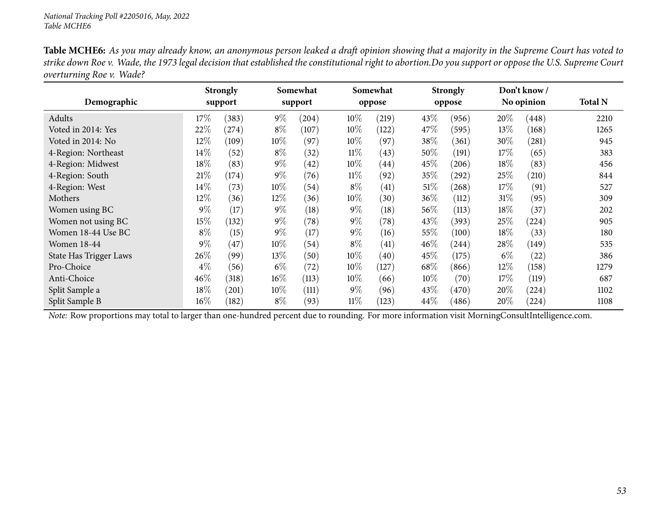|                          | <b>Table MCHE6:</b> As you may already know, an anonymous person leaked a draft opinion showing that a majority in the Supreme Court has voted to      |
|--------------------------|--------------------------------------------------------------------------------------------------------------------------------------------------------|
|                          | strike down Roe v. Wade, the 1973 legal decision that established the constitutional right to abortion.Do you support or oppose the U.S. Supreme Court |
| overturning Roe v. Wade? |                                                                                                                                                        |

|                               |        | <b>Strongly</b> |        | Somewhat |        | Somewhat           |        | <b>Strongly</b> |        | Don't know/ |                |
|-------------------------------|--------|-----------------|--------|----------|--------|--------------------|--------|-----------------|--------|-------------|----------------|
| Demographic                   |        | support         |        | support  |        | oppose             |        | oppose          |        | No opinion  | <b>Total N</b> |
| Adults                        | $17\%$ | (383)           | $9\%$  | (204)    | $10\%$ | (219)              | 43\%   | (956)           | 20%    | (448)       | 2210           |
| Voted in 2014: Yes            | 22%    | $^{(274)}$      | $8\%$  | (107)    | 10%    | (122)              | 47\%   | (595)           | $13\%$ | (168)       | 1265           |
| Voted in 2014: No             | 12%    | (109)           | $10\%$ | (97)     | $10\%$ | (97)               | 38\%   | (361)           | 30%    | (281)       | 945            |
| 4-Region: Northeast           | 14\%   | (52)            | $8\%$  | (32)     | $11\%$ | (43)               | 50%    | (191)           | 17%    | (65)        | 383            |
| 4-Region: Midwest             | 18%    | (83)            | $9\%$  | (42)     | $10\%$ | (44)               | 45\%   | (206)           | 18%    | (83)        | 456            |
| 4-Region: South               | 21%    | (174)           | $9\%$  | (76)     | $11\%$ | (92)               | 35%    | $^{'}292)$      | 25%    | (210)       | 844            |
| 4-Region: West                | $14\%$ | (73)            | $10\%$ | (54)     | $8\%$  | (41)               | $51\%$ | (268)           | 17%    | (91)        | 527            |
| Mothers                       | 12%    | (36)            | $12\%$ | (36)     | $10\%$ | (30)               | 36\%   | (112)           | $31\%$ | (95)        | 309            |
| Women using BC                | $9\%$  | (17)            | $9\%$  | (18)     | $9\%$  | (18)               | 56\%   | (113)           | $18\%$ | (37)        | 202            |
| Women not using BC            | $15\%$ | (132)           | $9\%$  | (78)     | $9\%$  | (78)               | 43\%   | (393)           | 25%    | (224)       | 905            |
| Women 18-44 Use BC            | $8\%$  | (15)            | $9\%$  | (17)     | $9\%$  | (16)               | 55%    | (100)           | 18%    | (33)        | 180            |
| <b>Women 18-44</b>            | $9\%$  | (47)            | $10\%$ | (54)     | $8\%$  | (41)               | 46%    | (244)           | 28\%   | (149)       | 535            |
| <b>State Has Trigger Laws</b> | 26\%   | (99)            | 13\%   | (50)     | $10\%$ | $\left( 40\right)$ | 45\%   | (175)           | $6\%$  | (22)        | 386            |
| Pro-Choice                    | $4\%$  | (56)            | $6\%$  | (72)     | 10\%   | (127)              | 68%    | (866)           | $12\%$ | (158)       | 1279           |
| Anti-Choice                   | 46%    | (318)           | $16\%$ | (113)    | 10%    | (66)               | $10\%$ | (70)            | 17%    | (119)       | 687            |
| Split Sample a                | 18%    | (201)           | $10\%$ | (111)    | $9\%$  | (96)               | 43\%   | (470)           | $20\%$ | (224)       | 1102           |
| Split Sample B                | $16\%$ | (182)           | $8\%$  | (93)     | $11\%$ | (123)              | 44\%   | (486)           | 20%    | (224)       | 1108           |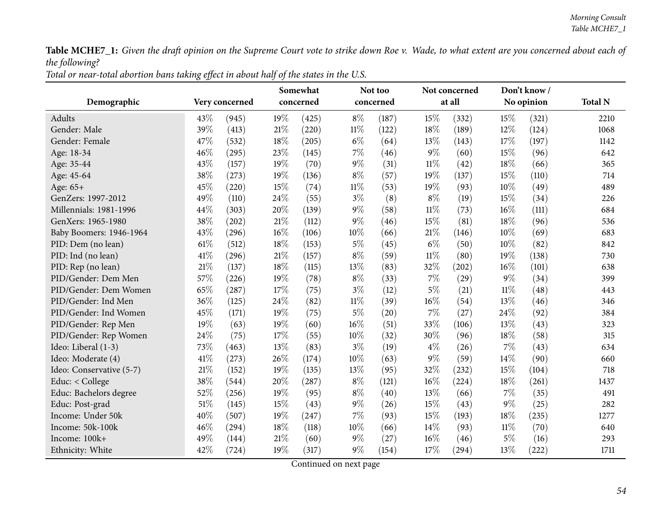|--|

|                          |      |                | Somewhat |           |        | Not too   |        | Not concerned |        | Don't know/ |                |
|--------------------------|------|----------------|----------|-----------|--------|-----------|--------|---------------|--------|-------------|----------------|
| Demographic              |      | Very concerned |          | concerned |        | concerned |        | at all        |        | No opinion  | <b>Total N</b> |
| Adults                   | 43%  | (945)          | 19%      | (425)     | $8\%$  | (187)     | 15%    | (332)         | 15%    | (321)       | 2210           |
| Gender: Male             | 39%  | (413)          | 21%      | (220)     | $11\%$ | (122)     | 18%    | (189)         | $12\%$ | (124)       | 1068           |
| Gender: Female           | 47%  | (532)          | 18%      | (205)     | $6\%$  | (64)      | 13%    | (143)         | 17%    | (197)       | 1142           |
| Age: 18-34               | 46%  | (295)          | 23%      | (145)     | $7\%$  | (46)      | 9%     | (60)          | 15%    | (96)        | 642            |
| Age: 35-44               | 43%  | (157)          | 19%      | (70)      | $9\%$  | (31)      | $11\%$ | (42)          | 18%    | (66)        | 365            |
| Age: 45-64               | 38%  | (273)          | 19%      | (136)     | $8\%$  | (57)      | 19%    | (137)         | 15%    | (110)       | 714            |
| Age: 65+                 | 45%  | (220)          | 15%      | (74)      | $11\%$ | (53)      | 19%    | (93)          | 10%    | (49)        | 489            |
| GenZers: 1997-2012       | 49%  | (110)          | 24%      | (55)      | $3\%$  | (8)       | $8\%$  | (19)          | 15%    | (34)        | 226            |
| Millennials: 1981-1996   | 44%  | (303)          | 20%      | (139)     | $9\%$  | (58)      | $11\%$ | (73)          | 16%    | (111)       | 684            |
| GenXers: 1965-1980       | 38%  | (202)          | $21\%$   | (112)     | $9\%$  | (46)      | 15%    | (81)          | 18%    | (96)        | 536            |
| Baby Boomers: 1946-1964  | 43%  | (296)          | 16%      | (106)     | $10\%$ | (66)      | 21%    | (146)         | 10%    | (69)        | 683            |
| PID: Dem (no lean)       | 61\% | (512)          | 18%      | (153)     | 5%     | (45)      | $6\%$  | (50)          | 10%    | (82)        | 842            |
| PID: Ind (no lean)       | 41\% | (296)          | $21\%$   | (157)     | $8\%$  | (59)      | $11\%$ | (80)          | 19%    | (138)       | 730            |
| PID: Rep (no lean)       | 21%  | (137)          | 18%      | (115)     | 13%    | (83)      | 32%    | (202)         | 16%    | (101)       | 638            |
| PID/Gender: Dem Men      | 57%  | (226)          | 19%      | (78)      | $8\%$  | (33)      | 7%     | (29)          | $9\%$  | (34)        | 399            |
| PID/Gender: Dem Women    | 65%  | (287)          | 17%      | (75)      | $3\%$  | (12)      | $5\%$  | (21)          | $11\%$ | (48)        | 443            |
| PID/Gender: Ind Men      | 36%  | (125)          | 24%      | (82)      | $11\%$ | (39)      | 16%    | (54)          | 13%    | (46)        | 346            |
| PID/Gender: Ind Women    | 45%  | (171)          | 19%      | (75)      | $5\%$  | (20)      | 7%     | (27)          | 24%    | (92)        | 384            |
| PID/Gender: Rep Men      | 19%  | (63)           | 19%      | (60)      | 16%    | (51)      | 33%    | (106)         | 13%    | (43)        | 323            |
| PID/Gender: Rep Women    | 24%  | (75)           | 17%      | (55)      | $10\%$ | (32)      | 30%    | (96)          | 18%    | (58)        | 315            |
| Ideo: Liberal (1-3)      | 73%  | (463)          | 13%      | (83)      | $3\%$  | (19)      | $4\%$  | (26)          | 7%     | (43)        | 634            |
| Ideo: Moderate (4)       | 41%  | (273)          | 26%      | (174)     | $10\%$ | (63)      | 9%     | (59)          | 14%    | (90)        | 660            |
| Ideo: Conservative (5-7) | 21%  | (152)          | 19%      | (135)     | 13%    | (95)      | 32%    | (232)         | 15%    | (104)       | 718            |
| Educ: < College          | 38%  | (544)          | 20%      | (287)     | $8\%$  | (121)     | 16%    | (224)         | 18%    | (261)       | 1437           |
| Educ: Bachelors degree   | 52%  | (256)          | 19%      | (95)      | $8\%$  | (40)      | 13%    | (66)          | 7%     | (35)        | 491            |
| Educ: Post-grad          | 51%  | (145)          | 15%      | (43)      | $9\%$  | (26)      | 15%    | (43)          | $9\%$  | (25)        | 282            |
| Income: Under 50k        | 40%  | (507)          | 19%      | (247)     | $7\%$  | (93)      | 15%    | (193)         | 18%    | (235)       | 1277           |
| Income: 50k-100k         | 46%  | (294)          | 18%      | (118)     | $10\%$ | (66)      | 14%    | (93)          | $11\%$ | (70)        | 640            |
| Income: 100k+            | 49%  | (144)          | 21%      | (60)      | 9%     | (27)      | 16%    | (46)          | $5\%$  | (16)        | 293            |
| Ethnicity: White         | 42%  | (724)          | 19%      | (317)     | $9\%$  | (154)     | 17%    | (294)         | 13%    | (222)       | 1711           |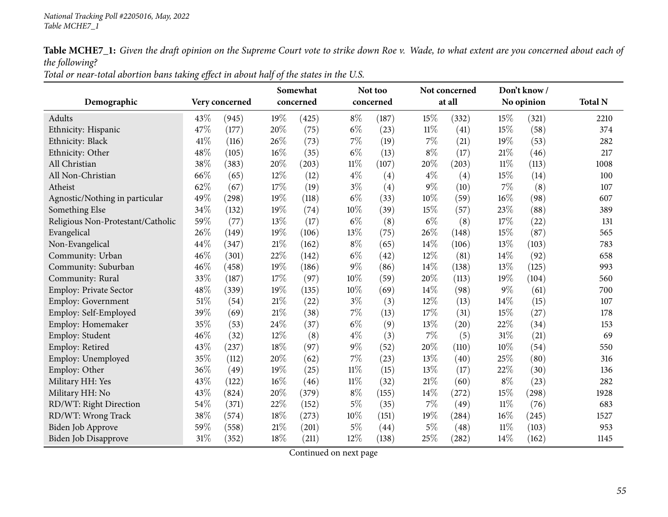Total or near-total abortion bans taking effect in about half of the states in the U.S.

|                                   |        |                | Somewhat |           |        | Not too   |        | Not concerned       | Don't know/ |            |                |
|-----------------------------------|--------|----------------|----------|-----------|--------|-----------|--------|---------------------|-------------|------------|----------------|
| Demographic                       |        | Very concerned |          | concerned |        | concerned |        | at all              |             | No opinion | <b>Total N</b> |
| Adults                            | 43%    | (945)          | 19%      | (425)     | $8\%$  | (187)     | 15%    | (332)               | 15%         | (321)      | 2210           |
| Ethnicity: Hispanic               | 47%    | (177)          | 20%      | (75)      | $6\%$  | (23)      | $11\%$ | (41)                | 15%         | (58)       | 374            |
| Ethnicity: Black                  | 41\%   | (116)          | 26%      | (73)      | 7%     | (19)      | 7%     | (21)                | 19%         | (53)       | 282            |
| Ethnicity: Other                  | 48%    | (105)          | 16%      | (35)      | $6\%$  | (13)      | $8\%$  | (17)                | 21%         | (46)       | 217            |
| All Christian                     | 38%    | (383)          | 20%      | (203)     | $11\%$ | (107)     | 20%    | (203)               | $11\%$      | (113)      | 1008           |
| All Non-Christian                 | 66%    | (65)           | 12%      | (12)      | $4\%$  | (4)       | $4\%$  | (4)                 | 15%         | (14)       | 100            |
| Atheist                           | 62%    | (67)           | 17%      | (19)      | $3\%$  | (4)       | $9\%$  | (10)                | 7%          | (8)        | 107            |
| Agnostic/Nothing in particular    | 49%    | (298)          | 19%      | (118)     | $6\%$  | (33)      | 10%    | (59)                | 16%         | (98)       | 607            |
| Something Else                    | 34%    | (132)          | 19%      | (74)      | $10\%$ | (39)      | 15%    | (57)                | 23%         | (88)       | 389            |
| Religious Non-Protestant/Catholic | 59%    | (77)           | 13%      | (17)      | $6\%$  | (8)       | $6\%$  | (8)                 | 17%         | (22)       | 131            |
| Evangelical                       | 26%    | (149)          | 19%      | (106)     | 13%    | (75)      | 26%    | (148)               | 15%         | (87)       | 565            |
| Non-Evangelical                   | 44%    | (347)          | $21\%$   | (162)     | $8\%$  | (65)      | 14%    | (106)               | 13%         | (103)      | 783            |
| Community: Urban                  | 46%    | (301)          | 22%      | (142)     | $6\%$  | (42)      | 12%    | (81)                | 14\%        | (92)       | 658            |
| Community: Suburban               | 46%    | (458)          | 19%      | (186)     | $9\%$  | (86)      | 14%    | (138)               | 13%         | (125)      | 993            |
| Community: Rural                  | 33%    | (187)          | 17%      | (97)      | $10\%$ | (59)      | 20%    | (113)               | 19%         | (104)      | 560            |
| Employ: Private Sector            | 48%    | (339)          | 19%      | (135)     | 10%    | (69)      | 14%    | (98)                | $9\%$       | (61)       | 700            |
| <b>Employ: Government</b>         | $51\%$ | (54)           | $21\%$   | (22)      | $3\%$  | (3)       | 12%    | (13)                | 14\%        | (15)       | 107            |
| Employ: Self-Employed             | 39%    | (69)           | $21\%$   | (38)      | $7\%$  | (13)      | 17%    | (31)                | 15%         | (27)       | 178            |
| Employ: Homemaker                 | 35%    | (53)           | 24%      | (37)      | $6\%$  | (9)       | 13%    | (20)                | 22%         | (34)       | 153            |
| Employ: Student                   | 46%    | (32)           | 12%      | (8)       | $4\%$  | (3)       | $7\%$  | (5)                 | 31%         | (21)       | 69             |
| Employ: Retired                   | 43%    | (237)          | $18\%$   | (97)      | $9\%$  | (52)      | 20%    | (110)               | 10%         | (54)       | 550            |
| Employ: Unemployed                | 35%    | (112)          | 20%      | (62)      | 7%     | (23)      | 13%    | (40)                | 25%         | (80)       | 316            |
| Employ: Other                     | 36%    | (49)           | 19%      | (25)      | $11\%$ | (15)      | 13%    | (17)                | 22%         | (30)       | 136            |
| Military HH: Yes                  | 43%    | (122)          | 16%      | (46)      | $11\%$ | (32)      | 21%    | (60)                | $8\%$       | (23)       | 282            |
| Military HH: No                   | 43%    | (824)          | 20%      | (379)     | $8\%$  | (155)     | 14%    | (272)               | 15%         | (298)      | 1928           |
| RD/WT: Right Direction            | 54%    | (371)          | 22%      | (152)     | $5\%$  | (35)      | 7%     | (49)                | $11\%$      | (76)       | 683            |
| RD/WT: Wrong Track                | 38%    | (574)          | $18\%$   | (273)     | $10\%$ | (151)     | 19%    | $\left( 284\right)$ | 16%         | (245)      | 1527           |
| Biden Job Approve                 | 59%    | (558)          | $21\%$   | (201)     | $5\%$  | (44)      | $5\%$  | (48)                | 11%         | (103)      | 953            |
| <b>Biden Job Disapprove</b>       | 31%    | (352)          | 18%      | (211)     | 12%    | (138)     | 25%    | (282)               | 14%         | (162)      | 1145           |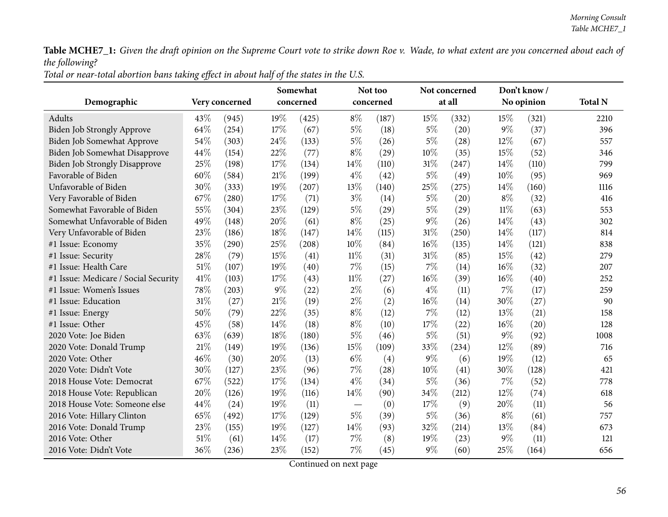| Total or near-total abortion bans taking effect in about half of the states in the U.S. |
|-----------------------------------------------------------------------------------------|
|-----------------------------------------------------------------------------------------|

|                                      |      |                | Somewhat |           |        | Not too   |       | Not concerned |        | Don't know/ |                |
|--------------------------------------|------|----------------|----------|-----------|--------|-----------|-------|---------------|--------|-------------|----------------|
| Demographic                          |      | Very concerned |          | concerned |        | concerned |       | at all        |        | No opinion  | <b>Total N</b> |
| Adults                               | 43%  | (945)          | 19%      | (425)     | $8\%$  | (187)     | 15%   | (332)         | 15%    | (321)       | 2210           |
| Biden Job Strongly Approve           | 64%  | (254)          | 17%      | (67)      | $5\%$  | (18)      | $5\%$ | (20)          | $9\%$  | (37)        | 396            |
| Biden Job Somewhat Approve           | 54%  | (303)          | 24\%     | (133)     | $5\%$  | (26)      | 5%    | (28)          | 12%    | (67)        | 557            |
| Biden Job Somewhat Disapprove        | 44%  | (154)          | 22%      | (77)      | $8\%$  | (29)      | 10%   | (35)          | 15%    | (52)        | 346            |
| <b>Biden Job Strongly Disapprove</b> | 25%  | (198)          | 17%      | (134)     | 14%    | (110)     | 31%   | (247)         | 14%    | (110)       | 799            |
| Favorable of Biden                   | 60%  | (584)          | $21\%$   | (199)     | $4\%$  | (42)      | $5\%$ | (49)          | 10%    | (95)        | 969            |
| Unfavorable of Biden                 | 30%  | (333)          | 19%      | (207)     | 13%    | (140)     | 25%   | (275)         | 14\%   | (160)       | 1116           |
| Very Favorable of Biden              | 67%  | (280)          | $17\%$   | (71)      | $3\%$  | (14)      | $5\%$ | (20)          | $8\%$  | (32)        | 416            |
| Somewhat Favorable of Biden          | 55%  | (304)          | 23%      | (129)     | $5\%$  | (29)      | $5\%$ | (29)          | $11\%$ | (63)        | 553            |
| Somewhat Unfavorable of Biden        | 49%  | (148)          | 20%      | (61)      | $8\%$  | (25)      | 9%    | (26)          | 14%    | (43)        | 302            |
| Very Unfavorable of Biden            | 23%  | (186)          | 18%      | (147)     | 14\%   | (115)     | 31%   | (250)         | 14%    | (117)       | 814            |
| #1 Issue: Economy                    | 35%  | (290)          | 25%      | (208)     | 10%    | (84)      | 16%   | (135)         | 14%    | (121)       | 838            |
| #1 Issue: Security                   | 28%  | (79)           | 15%      | (41)      | $11\%$ | (31)      | 31%   | (85)          | 15%    | (42)        | 279            |
| #1 Issue: Health Care                | 51%  | (107)          | 19%      | (40)      | $7\%$  | (15)      | 7%    | (14)          | 16%    | (32)        | 207            |
| #1 Issue: Medicare / Social Security | 41\% | (103)          | 17%      | (43)      | $11\%$ | (27)      | 16%   | (39)          | 16%    | (40)        | 252            |
| #1 Issue: Women's Issues             | 78%  | (203)          | $9\%$    | (22)      | $2\%$  | (6)       | $4\%$ | (11)          | $7\%$  | (17)        | 259            |
| #1 Issue: Education                  | 31%  | (27)           | $21\%$   | (19)      | $2\%$  | (2)       | 16%   | (14)          | 30%    | (27)        | 90             |
| #1 Issue: Energy                     | 50%  | (79)           | 22%      | (35)      | $8\%$  | (12)      | 7%    | (12)          | 13\%   | (21)        | 158            |
| #1 Issue: Other                      | 45%  | (58)           | 14\%     | (18)      | $8\%$  | (10)      | 17%   | (22)          | 16%    | (20)        | 128            |
| 2020 Vote: Joe Biden                 | 63%  | (639)          | 18%      | (180)     | $5\%$  | (46)      | $5\%$ | (51)          | $9\%$  | (92)        | 1008           |
| 2020 Vote: Donald Trump              | 21\% | (149)          | 19%      | (136)     | 15%    | (109)     | 33%   | (234)         | 12%    | (89)        | 716            |
| 2020 Vote: Other                     | 46%  | (30)           | 20%      | (13)      | $6\%$  | (4)       | $9\%$ | (6)           | 19%    | (12)        | 65             |
| 2020 Vote: Didn't Vote               | 30%  | (127)          | 23%      | (96)      | $7\%$  | (28)      | 10%   | (41)          | 30%    | (128)       | 421            |
| 2018 House Vote: Democrat            | 67%  | (522)          | 17%      | (134)     | $4\%$  | (34)      | $5\%$ | (36)          | $7\%$  | (52)        | 778            |
| 2018 House Vote: Republican          | 20%  | (126)          | 19%      | (116)     | 14%    | (90)      | 34%   | (212)         | 12%    | (74)        | 618            |
| 2018 House Vote: Someone else        | 44%  | (24)           | 19%      | (11)      |        | (0)       | 17%   | (9)           | 20%    | (11)        | 56             |
| 2016 Vote: Hillary Clinton           | 65%  | (492)          | $17\%$   | (129)     | $5\%$  | (39)      | 5%    | (36)          | $8\%$  | (61)        | 757            |
| 2016 Vote: Donald Trump              | 23%  | (155)          | 19%      | (127)     | 14%    | (93)      | 32%   | (214)         | 13%    | (84)        | 673            |
| 2016 Vote: Other                     | 51%  | (61)           | 14\%     | (17)      | 7%     | (8)       | 19%   | (23)          | $9\%$  | (11)        | 121            |
| 2016 Vote: Didn't Vote               | 36%  | (236)          | 23%      | (152)     | $7\%$  | (45)      | $9\%$ | (60)          | 25%    | (164)       | 656            |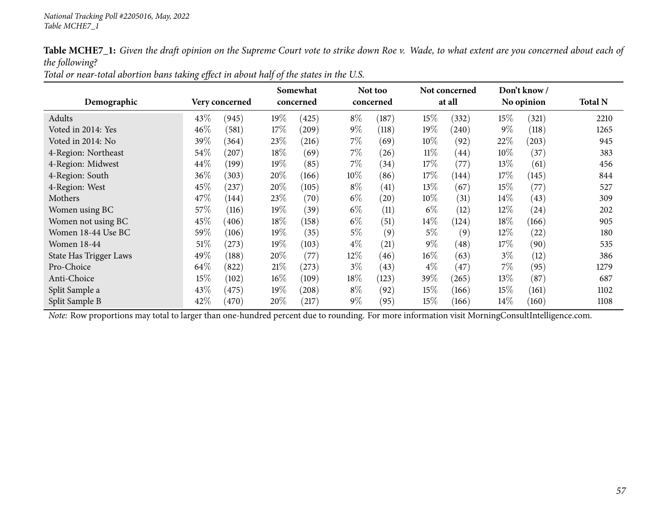| Total or near-total abortion bans taking effect in about half of the states in the U.S. |
|-----------------------------------------------------------------------------------------|
|-----------------------------------------------------------------------------------------|

|                        |        |                |           | Somewhat   |        | Not too            |        | Not concerned |        | Don't know/ |                |
|------------------------|--------|----------------|-----------|------------|--------|--------------------|--------|---------------|--------|-------------|----------------|
| Demographic            |        | Very concerned | concerned |            |        | concerned          |        | at all        |        | No opinion  | <b>Total N</b> |
| Adults                 | 43\%   | (945)          | $19\%$    | (425)      | $8\%$  | (187)              | 15\%   | (332)         | $15\%$ | (321)       | 2210           |
| Voted in 2014: Yes     | $46\%$ | (581)          | 17\%      | (209)      | $9\%$  | (118)              | 19%    | (240)         | $9\%$  | (118)       | 1265           |
| Voted in 2014: No      | 39%    | (364)          | 23\%      | (216)      | $7\%$  | (69)               | $10\%$ | (92)          | 22%    | (203)       | 945            |
| 4-Region: Northeast    | 54\%   | (207)          | 18%       | (69)       | $7\%$  | (26)               | $11\%$ | (44)          | $10\%$ | (37)        | 383            |
| 4-Region: Midwest      | 44\%   | (199)          | 19%       | (85)       | $7\%$  | (34)               | 17%    | (77)          | 13\%   | (61)        | 456            |
| 4-Region: South        | $36\%$ | (303)          | $20\%$    | (166)      | 10\%   | (86)               | 17\%   | (144)         | 17\%   | (145)       | 844            |
| 4-Region: West         | 45%    | (237)          | $20\%$    | (105)      | $8\%$  | (41)               | 13%    | (67)          | 15\%   | (77)        | 527            |
| Mothers                | 47\%   | (144)          | 23\%      | (70)       | $6\%$  | $\left( 20\right)$ | $10\%$ | (31)          | $14\%$ | (43)        | 309            |
| Women using BC         | 57\%   | (116)          | 19%       | (39)       | $6\%$  | (11)               | $6\%$  | (12)          | 12\%   | (24)        | 202            |
| Women not using BC     | 45%    | (406)          | 18%       | (158)      | $6\%$  | (51)               | $14\%$ | (124)         | $18\%$ | (166)       | 905            |
| Women 18-44 Use BC     | 59%    | (106)          | 19%       | (35)       | $5\%$  | (9)                | $5\%$  | (9)           | $12\%$ | (22)        | 180            |
| <b>Women 18-44</b>     | $51\%$ | (273)          | 19%       | (103)      | $4\%$  | (21)               | $9\%$  | (48)          | 17\%   | (90)        | 535            |
| State Has Trigger Laws | 49%    | (188)          | 20%       | (77)       | 12%    | (46)               | $16\%$ | (63)          | $3\%$  | (12)        | 386            |
| Pro-Choice             | 64\%   | (822)          | 21%       | (273)      | $3\%$  | (43)               | $4\%$  | (47)          | 7%     | (95)        | 1279           |
| Anti-Choice            | $15\%$ | (102)          | $16\%$    | (109)      | $18\%$ | (123)              | 39\%   | (265)         | 13\%   | (87)        | 687            |
| Split Sample a         | 43\%   | (475)          | 19%       | (208)      | $8\%$  | (92)               | 15\%   | (166)         | $15\%$ | (161)       | 1102           |
| Split Sample B         | 42%    | (470)          | 20%       | $^{'}217)$ | $9\%$  | (95)               | $15\%$ | (166)         | $14\%$ | (160)       | 1108           |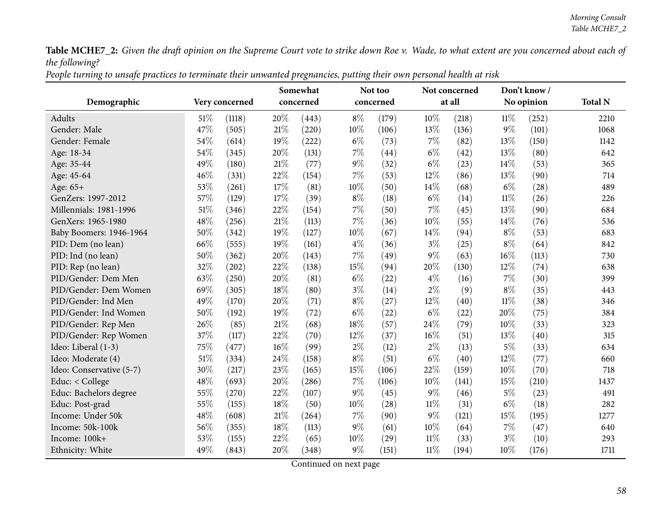People turning to unsafe practices to terminate their unwanted pregnancies, putting their own personal health at risk

| Demographic              |     | Very concerned |        | Somewhat<br>concerned |        | Not too<br>concerned |        | Not concerned<br>at all |        | Don't know/<br>No opinion | <b>Total N</b> |
|--------------------------|-----|----------------|--------|-----------------------|--------|----------------------|--------|-------------------------|--------|---------------------------|----------------|
| Adults                   | 51% | (1118)         | 20%    | (443)                 | $8\%$  | (179)                | 10%    | (218)                   | $11\%$ | (252)                     | 2210           |
| Gender: Male             | 47% | (505)          | 21\%   | (220)                 | $10\%$ | (106)                | 13%    | (136)                   | $9\%$  | (101)                     | 1068           |
| Gender: Female           | 54% | (614)          | 19%    | (222)                 | $6\%$  | (73)                 | 7%     | (82)                    | 13%    | (150)                     | 1142           |
| Age: 18-34               | 54% | (345)          | 20%    | (131)                 | $7\%$  | (44)                 | $6\%$  | (42)                    | 13%    | (80)                      | 642            |
| Age: 35-44               | 49% | (180)          | 21%    | (77)                  | $9\%$  | (32)                 | $6\%$  | (23)                    | $14\%$ | (53)                      | 365            |
| Age: 45-64               | 46% | (331)          | 22%    | (154)                 | $7\%$  | (53)                 | 12%    | (86)                    | 13%    | (90)                      | 714            |
| Age: 65+                 | 53% | (261)          | 17%    | (81)                  | 10%    | (50)                 | 14%    | (68)                    | $6\%$  | (28)                      | 489            |
| GenZers: 1997-2012       | 57% | (129)          | 17%    | (39)                  | $8\%$  | (18)                 | $6\%$  | (14)                    | $11\%$ | (26)                      | 226            |
| Millennials: 1981-1996   | 51% | (346)          | 22%    | (154)                 | $7\%$  | (50)                 | 7%     | (45)                    | 13\%   | (90)                      | 684            |
| GenXers: 1965-1980       | 48% | (256)          | 21%    | (113)                 | 7%     | (36)                 | 10%    | (55)                    | 14%    | (76)                      | 536            |
| Baby Boomers: 1946-1964  | 50% | (342)          | 19%    | (127)                 | 10%    | (67)                 | 14%    | (94)                    | $8\%$  | (53)                      | 683            |
| PID: Dem (no lean)       | 66% | (555)          | 19%    | (161)                 | $4\%$  | (36)                 | $3\%$  | (25)                    | $8\%$  | (64)                      | 842            |
| PID: Ind (no lean)       | 50% | (362)          | 20%    | (143)                 | $7\%$  | (49)                 | 9%     | (63)                    | 16%    | (113)                     | 730            |
| PID: Rep (no lean)       | 32% | (202)          | 22%    | (138)                 | 15%    | (94)                 | 20%    | (130)                   | 12%    | (74)                      | 638            |
| PID/Gender: Dem Men      | 63% | (250)          | 20%    | (81)                  | $6\%$  | (22)                 | $4\%$  | (16)                    | 7%     | (30)                      | 399            |
| PID/Gender: Dem Women    | 69% | (305)          | 18%    | (80)                  | $3\%$  | (14)                 | $2\%$  | (9)                     | $8\%$  | (35)                      | 443            |
| PID/Gender: Ind Men      | 49% | (170)          | 20%    | (71)                  | $8\%$  | (27)                 | 12%    | (40)                    | $11\%$ | (38)                      | 346            |
| PID/Gender: Ind Women    | 50% | (192)          | 19%    | (72)                  | $6\%$  | (22)                 | $6\%$  | (22)                    | 20%    | (75)                      | 384            |
| PID/Gender: Rep Men      | 26% | (85)           | 21%    | (68)                  | 18%    | (57)                 | 24%    | (79)                    | $10\%$ | (33)                      | 323            |
| PID/Gender: Rep Women    | 37% | (117)          | 22%    | (70)                  | 12%    | (37)                 | 16%    | (51)                    | 13%    | (40)                      | 315            |
| Ideo: Liberal (1-3)      | 75% | (477)          | 16%    | (99)                  | $2\%$  | (12)                 | $2\%$  | (13)                    | $5\%$  | (33)                      | 634            |
| Ideo: Moderate (4)       | 51% | (334)          | 24%    | (158)                 | $8\%$  | (51)                 | $6\%$  | (40)                    | 12%    | (77)                      | 660            |
| Ideo: Conservative (5-7) | 30% | (217)          | 23%    | (165)                 | 15%    | (106)                | 22%    | (159)                   | 10%    | (70)                      | 718            |
| Educ: < College          | 48% | (693)          | 20%    | (286)                 | $7\%$  | (106)                | 10%    | (141)                   | 15%    | (210)                     | 1437           |
| Educ: Bachelors degree   | 55% | (270)          | 22%    | (107)                 | $9\%$  | (45)                 | $9\%$  | (46)                    | $5\%$  | (23)                      | 491            |
| Educ: Post-grad          | 55% | (155)          | 18%    | (50)                  | 10%    | (28)                 | $11\%$ | (31)                    | $6\%$  | (18)                      | 282            |
| Income: Under 50k        | 48% | (608)          | $21\%$ | (264)                 | $7\%$  | (90)                 | 9%     | (121)                   | 15%    | (195)                     | 1277           |
| Income: 50k-100k         | 56% | (355)          | 18%    | (113)                 | $9\%$  | (61)                 | 10%    | (64)                    | $7\%$  | (47)                      | 640            |
| Income: 100k+            | 53% | (155)          | 22%    | (65)                  | 10%    | (29)                 | $11\%$ | (33)                    | $3\%$  | (10)                      | 293            |
| Ethnicity: White         | 49% | (843)          | 20%    | (348)                 | 9%     | (151)                | $11\%$ | (194)                   | 10%    | (176)                     | 1711           |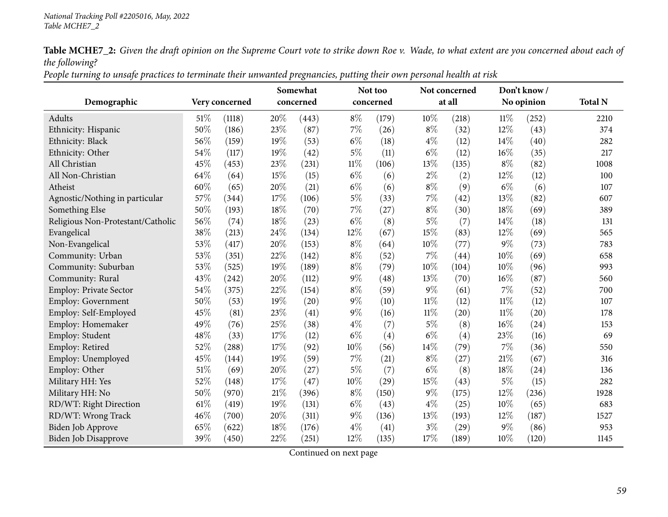People turning to unsafe practices to terminate their unwanted pregnancies, putting their own personal health at risk

| Demographic                       |     | Very concerned |     | Somewhat<br>concerned |        | Not too<br>concerned |        | Not concerned<br>at all |        | Don't know/<br>No opinion | <b>Total N</b> |
|-----------------------------------|-----|----------------|-----|-----------------------|--------|----------------------|--------|-------------------------|--------|---------------------------|----------------|
| <b>Adults</b>                     | 51% | (1118)         | 20% | (443)                 | $8\%$  | (179)                | 10%    | (218)                   | $11\%$ | (252)                     | 2210           |
| Ethnicity: Hispanic               | 50% | (186)          | 23% | (87)                  | $7\%$  | (26)                 | $8\%$  | (32)                    | 12%    | (43)                      | 374            |
| Ethnicity: Black                  | 56% | (159)          | 19% | (53)                  | $6\%$  | (18)                 | $4\%$  | (12)                    | 14%    | (40)                      | 282            |
| Ethnicity: Other                  | 54% | (117)          | 19% | (42)                  | $5\%$  | (11)                 | $6\%$  | (12)                    | 16%    | (35)                      | 217            |
| All Christian                     | 45% | (453)          | 23% | (231)                 | $11\%$ | (106)                | 13%    | (135)                   | $8\%$  | (82)                      | 1008           |
| All Non-Christian                 | 64% | (64)           | 15% | (15)                  | $6\%$  | (6)                  | $2\%$  | (2)                     | 12%    | (12)                      | 100            |
| Atheist                           | 60% | (65)           | 20% | (21)                  | $6\%$  | (6)                  | $8\%$  | (9)                     | $6\%$  | (6)                       | 107            |
| Agnostic/Nothing in particular    | 57% | (344)          | 17% | (106)                 | $5\%$  | (33)                 | 7%     | (42)                    | 13%    | (82)                      | 607            |
| Something Else                    | 50% | (193)          | 18% | (70)                  | $7\%$  | (27)                 | $8\%$  | (30)                    | 18%    | (69)                      | 389            |
| Religious Non-Protestant/Catholic | 56% | (74)           | 18% | (23)                  | $6\%$  | (8)                  | $5\%$  | (7)                     | 14%    | (18)                      | 131            |
| Evangelical                       | 38% | (213)          | 24% | (134)                 | 12%    | (67)                 | 15%    | (83)                    | 12%    | (69)                      | 565            |
| Non-Evangelical                   | 53% | (417)          | 20% | (153)                 | $8\%$  | (64)                 | 10%    | (77)                    | $9\%$  | (73)                      | 783            |
| Community: Urban                  | 53% | (351)          | 22% | (142)                 | $8\%$  | (52)                 | 7%     | (44)                    | 10%    | (69)                      | 658            |
| Community: Suburban               | 53% | (525)          | 19% | (189)                 | $8\%$  | (79)                 | 10%    | (104)                   | 10%    | (96)                      | 993            |
| Community: Rural                  | 43% | (242)          | 20% | (112)                 | $9\%$  | (48)                 | 13%    | (70)                    | 16%    | (87)                      | 560            |
| <b>Employ: Private Sector</b>     | 54% | (375)          | 22% | (154)                 | $8\%$  | (59)                 | 9%     | (61)                    | 7%     | (52)                      | 700            |
| <b>Employ: Government</b>         | 50% | (53)           | 19% | (20)                  | $9\%$  | (10)                 | $11\%$ | (12)                    | $11\%$ | (12)                      | 107            |
| Employ: Self-Employed             | 45% | (81)           | 23% | (41)                  | $9\%$  | (16)                 | $11\%$ | (20)                    | $11\%$ | (20)                      | 178            |
| Employ: Homemaker                 | 49% | (76)           | 25% | (38)                  | $4\%$  | (7)                  | 5%     | (8)                     | 16%    | (24)                      | 153            |
| Employ: Student                   | 48% | (33)           | 17% | (12)                  | $6\%$  | (4)                  | $6\%$  | (4)                     | 23%    | (16)                      | 69             |
| Employ: Retired                   | 52% | (288)          | 17% | (92)                  | $10\%$ | (56)                 | 14%    | (79)                    | 7%     | (36)                      | 550            |
| Employ: Unemployed                | 45% | (144)          | 19% | (59)                  | 7%     | (21)                 | $8\%$  | (27)                    | 21%    | (67)                      | 316            |
| Employ: Other                     | 51% | (69)           | 20% | (27)                  | $5\%$  | (7)                  | $6\%$  | (8)                     | 18%    | (24)                      | 136            |
| Military HH: Yes                  | 52% | (148)          | 17% | (47)                  | 10%    | (29)                 | 15%    | (43)                    | $5\%$  | (15)                      | 282            |
| Military HH: No                   | 50% | (970)          | 21% | (396)                 | $8\%$  | (150)                | 9%     | (175)                   | 12%    | (236)                     | 1928           |
| RD/WT: Right Direction            | 61% | (419)          | 19% | (131)                 | $6\%$  | (43)                 | $4\%$  | (25)                    | 10%    | (65)                      | 683            |
| RD/WT: Wrong Track                | 46% | (700)          | 20% | (311)                 | $9\%$  | (136)                | 13%    | (193)                   | 12%    | (187)                     | 1527           |
| Biden Job Approve                 | 65% | (622)          | 18% | (176)                 | $4\%$  | (41)                 | $3\%$  | (29)                    | $9\%$  | (86)                      | 953            |
| Biden Job Disapprove              | 39% | (450)          | 22% | (251)                 | 12%    | (135)                | 17%    | (189)                   | 10%    | (120)                     | 1145           |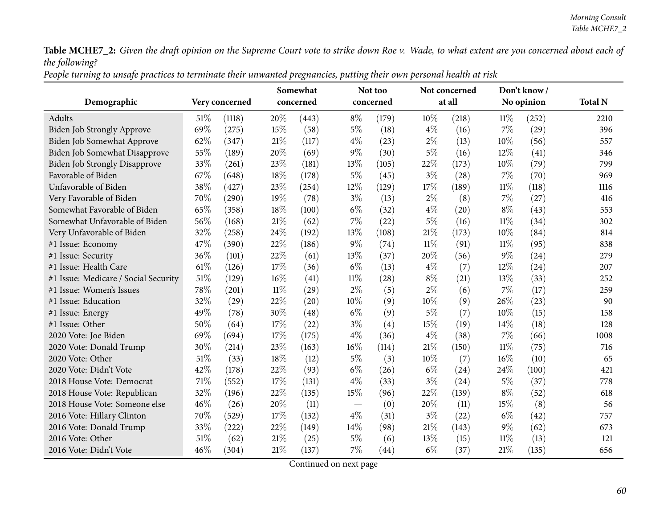People turning to unsafe practices to terminate their unwanted pregnancies, putting their own personal health at risk

|                                      |        |                | Somewhat |           |        | Not too   |        | Not concerned |        | Don't know/ |                |
|--------------------------------------|--------|----------------|----------|-----------|--------|-----------|--------|---------------|--------|-------------|----------------|
| Demographic                          |        | Very concerned |          | concerned |        | concerned |        | at all        |        | No opinion  | <b>Total N</b> |
| Adults                               | 51\%   | (1118)         | 20%      | (443)     | $8\%$  | (179)     | 10%    | (218)         | $11\%$ | (252)       | 2210           |
| <b>Biden Job Strongly Approve</b>    | 69%    | (275)          | 15%      | (58)      | $5\%$  | (18)      | $4\%$  | (16)          | $7\%$  | (29)        | 396            |
| Biden Job Somewhat Approve           | 62%    | (347)          | 21%      | (117)     | $4\%$  | (23)      | $2\%$  | (13)          | 10%    | (56)        | 557            |
| Biden Job Somewhat Disapprove        | 55%    | (189)          | 20%      | (69)      | $9\%$  | (30)      | 5%     | (16)          | 12%    | (41)        | 346            |
| <b>Biden Job Strongly Disapprove</b> | 33%    | (261)          | 23%      | (181)     | 13%    | (105)     | 22%    | (173)         | 10%    | (79)        | 799            |
| Favorable of Biden                   | 67%    | (648)          | 18%      | (178)     | $5\%$  | (45)      | $3\%$  | (28)          | $7\%$  | (70)        | 969            |
| Unfavorable of Biden                 | 38%    | (427)          | 23%      | (254)     | 12%    | (129)     | 17%    | (189)         | $11\%$ | (118)       | 1116           |
| Very Favorable of Biden              | 70%    | (290)          | 19%      | (78)      | $3\%$  | (13)      | $2\%$  | (8)           | $7\%$  | (27)        | 416            |
| Somewhat Favorable of Biden          | 65%    | (358)          | 18%      | (100)     | $6\%$  | (32)      | $4\%$  | (20)          | $8\%$  | (43)        | 553            |
| Somewhat Unfavorable of Biden        | 56%    | (168)          | 21%      | (62)      | 7%     | (22)      | $5\%$  | (16)          | $11\%$ | (34)        | 302            |
| Very Unfavorable of Biden            | 32%    | (258)          | 24%      | (192)     | 13%    | (108)     | 21%    | (173)         | 10%    | (84)        | 814            |
| #1 Issue: Economy                    | 47%    | (390)          | 22%      | (186)     | $9\%$  | (74)      | $11\%$ | (91)          | $11\%$ | (95)        | 838            |
| #1 Issue: Security                   | 36%    | (101)          | 22%      | (61)      | 13%    | (37)      | 20%    | (56)          | $9\%$  | (24)        | 279            |
| #1 Issue: Health Care                | 61%    | (126)          | 17%      | (36)      | $6\%$  | (13)      | $4\%$  | (7)           | 12%    | (24)        | 207            |
| #1 Issue: Medicare / Social Security | $51\%$ | (129)          | 16%      | (41)      | $11\%$ | (28)      | $8\%$  | (21)          | 13%    | (33)        | 252            |
| #1 Issue: Women's Issues             | 78%    | (201)          | $11\%$   | (29)      | $2\%$  | (5)       | $2\%$  | (6)           | 7%     | (17)        | 259            |
| #1 Issue: Education                  | 32%    | (29)           | 22%      | (20)      | 10%    | (9)       | 10%    | (9)           | 26%    | (23)        | 90             |
| #1 Issue: Energy                     | 49%    | (78)           | 30%      | (48)      | $6\%$  | (9)       | $5\%$  | (7)           | 10%    | (15)        | 158            |
| #1 Issue: Other                      | 50%    | (64)           | 17%      | (22)      | $3\%$  | (4)       | 15%    | (19)          | 14%    | (18)        | 128            |
| 2020 Vote: Joe Biden                 | 69%    | (694)          | 17%      | (175)     | $4\%$  | (36)      | $4\%$  | (38)          | $7\%$  | (66)        | 1008           |
| 2020 Vote: Donald Trump              | 30%    | (214)          | 23%      | (163)     | $16\%$ | (114)     | 21%    | (150)         | $11\%$ | (75)        | 716            |
| 2020 Vote: Other                     | 51%    | (33)           | 18%      | (12)      | $5\%$  | (3)       | 10%    | (7)           | 16%    | (10)        | 65             |
| 2020 Vote: Didn't Vote               | 42%    | (178)          | 22%      | (93)      | $6\%$  | (26)      | $6\%$  | (24)          | 24%    | (100)       | 421            |
| 2018 House Vote: Democrat            | 71\%   | (552)          | 17%      | (131)     | $4\%$  | (33)      | $3\%$  | (24)          | $5\%$  | (37)        | 778            |
| 2018 House Vote: Republican          | 32%    | (196)          | 22%      | (135)     | 15%    | (96)      | 22%    | (139)         | $8\%$  | (52)        | 618            |
| 2018 House Vote: Someone else        | 46%    | (26)           | 20%      | (11)      |        | (0)       | 20%    | (11)          | 15%    | (8)         | 56             |
| 2016 Vote: Hillary Clinton           | 70%    | (529)          | 17%      | (132)     | $4\%$  | (31)      | $3\%$  | (22)          | $6\%$  | (42)        | 757            |
| 2016 Vote: Donald Trump              | 33%    | (222)          | 22%      | (149)     | 14%    | (98)      | 21%    | (143)         | $9\%$  | (62)        | 673            |
| 2016 Vote: Other                     | 51%    | (62)           | 21%      | (25)      | $5\%$  | (6)       | 13%    | (15)          | $11\%$ | (13)        | 121            |
| 2016 Vote: Didn't Vote               | 46%    | (304)          | 21%      | (137)     | 7%     | (44)      | $6\%$  | (37)          | 21%    | (135)       | 656            |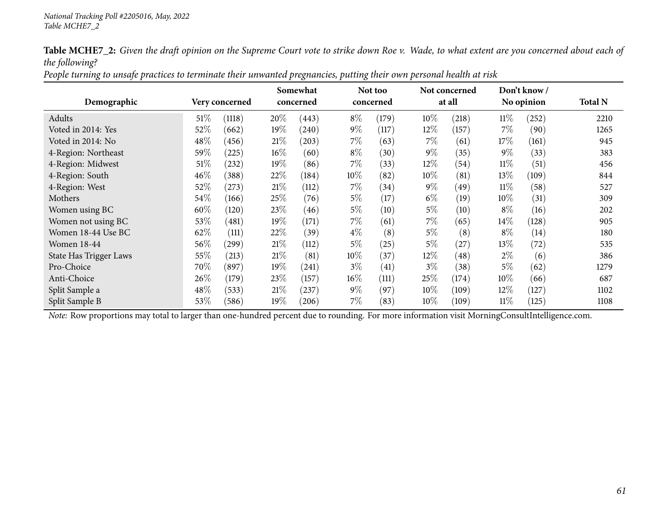| People turning to unsafe practices to terminate their unwanted pregnancies, putting their own personal health at risk |
|-----------------------------------------------------------------------------------------------------------------------|
|-----------------------------------------------------------------------------------------------------------------------|

|                        |        |                |        | Somewhat  |        | Not too   |        | Not concerned<br>at all |        | Don't know/ | <b>Total N</b> |
|------------------------|--------|----------------|--------|-----------|--------|-----------|--------|-------------------------|--------|-------------|----------------|
| Demographic            |        | Very concerned |        | concerned |        | concerned |        |                         |        | No opinion  |                |
| Adults                 | $51\%$ | (1118)         | 20%    | (443)     | $8\%$  | (179)     | 10%    | (218)                   | $11\%$ | (252)       | 2210           |
| Voted in 2014: Yes     | 52%    | (662)          | 19%    | (240)     | $9\%$  | (117)     | 12\%   | (157)                   | $7\%$  | (90)        | 1265           |
| Voted in 2014: No      | 48\%   | (456)          | 21%    | (203)     | $7\%$  | (63)      | 7%     | (61)                    | 17\%   | (161)       | 945            |
| 4-Region: Northeast    | 59%    | (225)          | $16\%$ | (60)      | $8\%$  | (30)      | $9\%$  | (35)                    | $9\%$  | (33)        | 383            |
| 4-Region: Midwest      | $51\%$ | (232)          | 19%    | (86)      | $7\%$  | (33)      | 12%    | (54)                    | $11\%$ | (51)        | 456            |
| 4-Region: South        | 46%    | (388)          | 22%    | (184)     | 10\%   | (82)      | 10%    | (81)                    | $13\%$ | (109)       | 844            |
| 4-Region: West         | 52\%   | (273)          | 21%    | (112)     | $7\%$  | (34)      | $9\%$  | (49)                    | $11\%$ | (58)        | 527            |
| Mothers                | 54%    | (166)          | 25\%   | (76)      | $5\%$  | (17)      | $6\%$  | (19)                    | $10\%$ | (31)        | 309            |
| Women using BC         | 60%    | (120)          | 23%    | (46)      | $5\%$  | (10)      | $5\%$  | (10)                    | $8\%$  | (16)        | 202            |
| Women not using BC     | 53\%   | (481)          | 19%    | (171)     | $7\%$  | (61)      | $7\%$  | (65)                    | $14\%$ | (128)       | 905            |
| Women 18-44 Use BC     | 62%    | (111)          | 22%    | (39)      | $4\%$  | (8)       | $5\%$  | (8)                     | $8\%$  | (14)        | 180            |
| <b>Women 18-44</b>     | 56\%   | (299)          | 21%    | (112)     | $5\%$  | (25)      | $5\%$  | (27)                    | 13\%   | (72)        | 535            |
| State Has Trigger Laws | 55%    | (213)          | 21%    | (81)      | 10\%   | (37)      | 12%    | (48)                    | $2\%$  | (6)         | 386            |
| Pro-Choice             | 70%    | (897)          | 19%    | (241)     | $3\%$  | (41)      | $3\%$  | (38)                    | $5\%$  | (62)        | 1279           |
| Anti-Choice            | 26%    | (179)          | $23\%$ | (157)     | $16\%$ | (111)     | 25%    | (174)                   | $10\%$ | (66)        | 687            |
| Split Sample a         | 48\%   | (533)          | 21%    | (237)     | $9\%$  | (97)      | $10\%$ | (109)                   | 12\%   | (127)       | 1102           |
| Split Sample B         | 53%    | (586)          | 19%    | (206)     | $7\%$  | (83)      | $10\%$ | (109)                   | $11\%$ | (125)       | 1108           |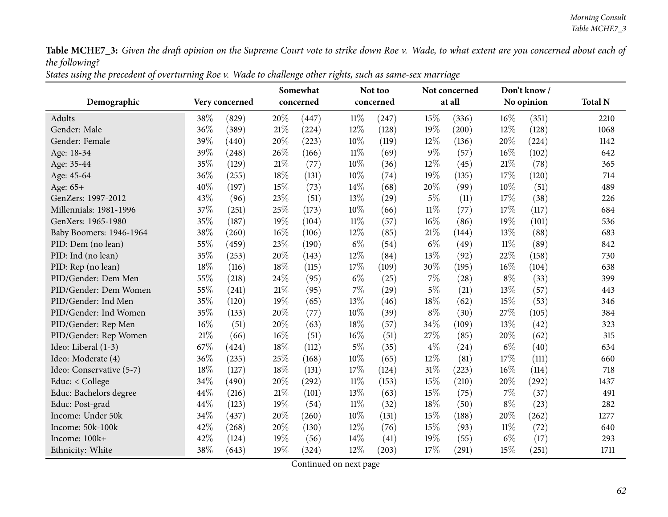States using the precedent of overturning Roe v. Wade to challenge other rights, such as same-sex marriage

|                          |     |                |     |           | Somewhat<br>Not too |           |        | Not concerned |        | Don't know/ |                |
|--------------------------|-----|----------------|-----|-----------|---------------------|-----------|--------|---------------|--------|-------------|----------------|
| Demographic              |     | Very concerned |     | concerned |                     | concerned |        | at all        |        | No opinion  | <b>Total N</b> |
| Adults                   | 38% | (829)          | 20% | (447)     | $11\%$              | (247)     | 15%    | (336)         | 16%    | (351)       | 2210           |
| Gender: Male             | 36% | (389)          | 21% | (224)     | 12%                 | (128)     | 19%    | (200)         | 12%    | (128)       | 1068           |
| Gender: Female           | 39% | (440)          | 20% | (223)     | 10%                 | (119)     | 12%    | (136)         | 20%    | (224)       | 1142           |
| Age: 18-34               | 39% | (248)          | 26% | (166)     | $11\%$              | (69)      | $9\%$  | (57)          | 16%    | (102)       | 642            |
| Age: 35-44               | 35% | (129)          | 21% | (77)      | 10%                 | (36)      | 12%    | (45)          | 21%    | (78)        | 365            |
| Age: 45-64               | 36% | (255)          | 18% | (131)     | 10%                 | (74)      | 19%    | (135)         | 17%    | (120)       | 714            |
| Age: 65+                 | 40% | (197)          | 15% | (73)      | 14%                 | (68)      | 20%    | (99)          | $10\%$ | (51)        | 489            |
| GenZers: 1997-2012       | 43% | (96)           | 23% | (51)      | 13%                 | (29)      | $5\%$  | (11)          | 17%    | (38)        | 226            |
| Millennials: 1981-1996   | 37% | (251)          | 25% | (173)     | 10%                 | (66)      | $11\%$ | (77)          | 17%    | (117)       | 684            |
| GenXers: 1965-1980       | 35% | (187)          | 19% | (104)     | $11\%$              | (57)      | 16%    | (86)          | 19%    | (101)       | 536            |
| Baby Boomers: 1946-1964  | 38% | (260)          | 16% | (106)     | 12%                 | (85)      | 21%    | (144)         | 13%    | (88)        | 683            |
| PID: Dem (no lean)       | 55% | (459)          | 23% | (190)     | $6\%$               | (54)      | $6\%$  | (49)          | $11\%$ | (89)        | 842            |
| PID: Ind (no lean)       | 35% | (253)          | 20% | (143)     | 12%                 | (84)      | 13%    | (92)          | 22%    | (158)       | 730            |
| PID: Rep (no lean)       | 18% | (116)          | 18% | (115)     | 17%                 | (109)     | 30%    | (195)         | 16%    | (104)       | 638            |
| PID/Gender: Dem Men      | 55% | (218)          | 24% | (95)      | $6\%$               | (25)      | 7%     | (28)          | $8\%$  | (33)        | 399            |
| PID/Gender: Dem Women    | 55% | (241)          | 21% | (95)      | 7%                  | (29)      | $5\%$  | (21)          | $13\%$ | (57)        | 443            |
| PID/Gender: Ind Men      | 35% | (120)          | 19% | (65)      | 13%                 | (46)      | 18%    | (62)          | 15%    | (53)        | 346            |
| PID/Gender: Ind Women    | 35% | (133)          | 20% | (77)      | 10%                 | (39)      | $8\%$  | (30)          | 27%    | (105)       | 384            |
| PID/Gender: Rep Men      | 16% | (51)           | 20% | (63)      | 18%                 | (57)      | 34%    | (109)         | 13%    | (42)        | 323            |
| PID/Gender: Rep Women    | 21% | (66)           | 16% | (51)      | $16\%$              | (51)      | 27%    | (85)          | 20%    | (62)        | 315            |
| Ideo: Liberal (1-3)      | 67% | (424)          | 18% | (112)     | $5\%$               | (35)      | $4\%$  | (24)          | $6\%$  | (40)        | 634            |
| Ideo: Moderate (4)       | 36% | (235)          | 25% | (168)     | 10%                 | (65)      | 12%    | (81)          | 17%    | (111)       | 660            |
| Ideo: Conservative (5-7) | 18% | (127)          | 18% | (131)     | 17%                 | (124)     | 31%    | (223)         | 16%    | (114)       | 718            |
| Educ: < College          | 34% | (490)          | 20% | (292)     | $11\%$              | (153)     | 15%    | (210)         | 20%    | (292)       | 1437           |
| Educ: Bachelors degree   | 44% | (216)          | 21% | (101)     | 13%                 | (63)      | 15%    | (75)          | 7%     | (37)        | 491            |
| Educ: Post-grad          | 44% | (123)          | 19% | (54)      | $11\%$              | (32)      | 18%    | (50)          | $8\%$  | (23)        | 282            |
| Income: Under 50k        | 34% | (437)          | 20% | (260)     | 10%                 | (131)     | 15%    | (188)         | 20%    | (262)       | 1277           |
| Income: 50k-100k         | 42% | (268)          | 20% | (130)     | 12%                 | (76)      | 15%    | (93)          | $11\%$ | (72)        | 640            |
| Income: 100k+            | 42% | (124)          | 19% | (56)      | 14%                 | (41)      | 19%    | (55)          | $6\%$  | (17)        | 293            |
| Ethnicity: White         | 38% | (643)          | 19% | (324)     | 12%                 | (203)     | 17%    | (291)         | 15%    | (251)       | 1711           |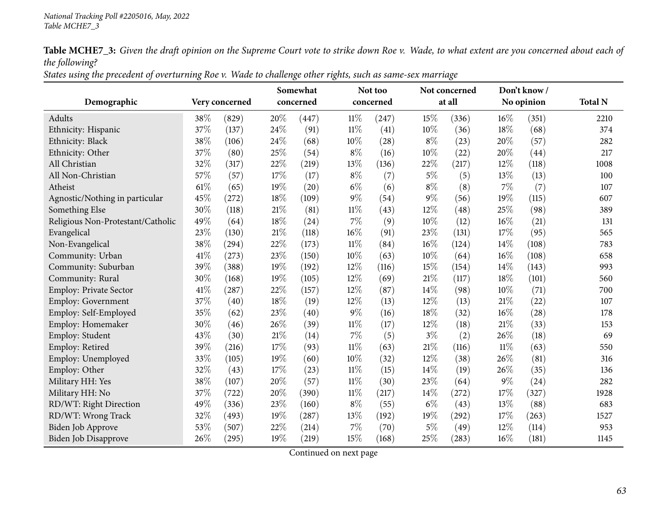States using the precedent of overturning Roe v. Wade to challenge other rights, such as same-sex marriage

|                                   |      |                |      | Somewhat  |        | Not too   |        | Not concerned |        | Don't know/ |                |
|-----------------------------------|------|----------------|------|-----------|--------|-----------|--------|---------------|--------|-------------|----------------|
| Demographic                       |      | Very concerned |      | concerned |        | concerned |        | at all        |        | No opinion  | <b>Total N</b> |
| Adults                            | 38%  | (829)          | 20%  | (447)     | $11\%$ | (247)     | 15%    | (336)         | 16%    | (351)       | 2210           |
| Ethnicity: Hispanic               | 37%  | (137)          | 24%  | (91)      | $11\%$ | (41)      | 10%    | (36)          | 18%    | (68)        | 374            |
| Ethnicity: Black                  | 38%  | (106)          | 24%  | (68)      | 10%    | (28)      | $8\%$  | (23)          | 20%    | (57)        | 282            |
| Ethnicity: Other                  | 37%  | (80)           | 25%  | (54)      | $8\%$  | (16)      | 10%    | (22)          | 20%    | (44)        | 217            |
| All Christian                     | 32%  | (317)          | 22%  | (219)     | 13%    | (136)     | 22%    | (217)         | 12%    | (118)       | 1008           |
| All Non-Christian                 | 57%  | (57)           | 17%  | (17)      | $8\%$  | (7)       | $5\%$  | (5)           | 13%    | (13)        | 100            |
| Atheist                           | 61\% | (65)           | 19%  | (20)      | $6\%$  | (6)       | $8\%$  | (8)           | 7%     | (7)         | 107            |
| Agnostic/Nothing in particular    | 45%  | (272)          | 18%  | (109)     | $9\%$  | (54)      | $9\%$  | (56)          | 19%    | (115)       | 607            |
| Something Else                    | 30%  | (118)          | 21\% | (81)      | $11\%$ | (43)      | 12%    | (48)          | 25%    | (98)        | 389            |
| Religious Non-Protestant/Catholic | 49%  | (64)           | 18%  | (24)      | $7\%$  | (9)       | 10%    | (12)          | 16%    | (21)        | 131            |
| Evangelical                       | 23%  | (130)          | 21\% | (118)     | 16%    | (91)      | 23%    | (131)         | 17%    | (95)        | 565            |
| Non-Evangelical                   | 38%  | (294)          | 22%  | (173)     | $11\%$ | (84)      | $16\%$ | (124)         | 14%    | (108)       | 783            |
| Community: Urban                  | 41\% | (273)          | 23%  | (150)     | 10%    | (63)      | 10%    | (64)          | 16%    | (108)       | 658            |
| Community: Suburban               | 39%  | (388)          | 19%  | (192)     | 12%    | (116)     | 15%    | (154)         | 14%    | (143)       | 993            |
| Community: Rural                  | 30%  | (168)          | 19%  | (105)     | 12%    | (69)      | 21%    | (117)         | 18%    | (101)       | 560            |
| <b>Employ: Private Sector</b>     | 41%  | (287)          | 22%  | (157)     | 12%    | (87)      | 14%    | (98)          | 10%    | (71)        | 700            |
| Employ: Government                | 37%  | (40)           | 18%  | (19)      | 12%    | (13)      | 12%    | (13)          | 21%    | (22)        | 107            |
| Employ: Self-Employed             | 35%  | (62)           | 23%  | (40)      | $9\%$  | (16)      | 18%    | (32)          | 16%    | (28)        | 178            |
| Employ: Homemaker                 | 30%  | (46)           | 26%  | (39)      | $11\%$ | (17)      | 12%    | (18)          | 21%    | (33)        | 153            |
| Employ: Student                   | 43%  | (30)           | 21%  | (14)      | $7\%$  | (5)       | $3\%$  | (2)           | 26%    | (18)        | 69             |
| Employ: Retired                   | 39%  | (216)          | 17%  | (93)      | $11\%$ | (63)      | 21%    | (116)         | $11\%$ | (63)        | 550            |
| Employ: Unemployed                | 33%  | (105)          | 19%  | (60)      | $10\%$ | (32)      | 12%    | (38)          | 26%    | (81)        | 316            |
| Employ: Other                     | 32%  | (43)           | 17%  | (23)      | $11\%$ | (15)      | 14%    | (19)          | 26%    | (35)        | 136            |
| Military HH: Yes                  | 38%  | (107)          | 20%  | (57)      | $11\%$ | (30)      | 23%    | (64)          | $9\%$  | (24)        | 282            |
| Military HH: No                   | 37%  | (722)          | 20%  | (390)     | $11\%$ | (217)     | 14%    | (272)         | 17%    | (327)       | 1928           |
| RD/WT: Right Direction            | 49%  | (336)          | 23%  | (160)     | $8\%$  | (55)      | $6\%$  | (43)          | 13%    | (88)        | 683            |
| RD/WT: Wrong Track                | 32%  | (493)          | 19%  | (287)     | $13\%$ | (192)     | 19%    | (292)         | 17%    | (263)       | 1527           |
| Biden Job Approve                 | 53%  | (507)          | 22%  | (214)     | 7%     | (70)      | $5\%$  | (49)          | 12%    | (114)       | 953            |
| <b>Biden Job Disapprove</b>       | 26%  | (295)          | 19%  | (219)     | 15%    | (168)     | 25%    | (283)         | 16%    | (181)       | 1145           |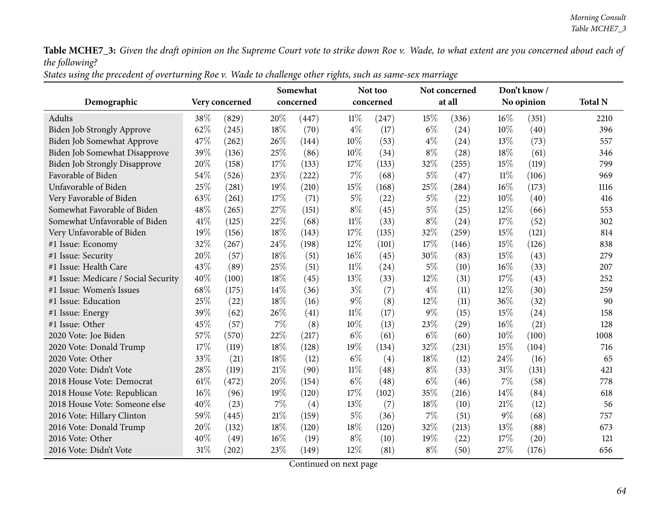States using the precedent of overturning Roe v. Wade to challenge other rights, such as same-sex marriage

|                                      |     |                |        | Somewhat  |        | Not too   |       | Not concerned |        | Don't know/ |                |
|--------------------------------------|-----|----------------|--------|-----------|--------|-----------|-------|---------------|--------|-------------|----------------|
| Demographic                          |     | Very concerned |        | concerned |        | concerned |       | at all        |        | No opinion  | <b>Total N</b> |
| Adults                               | 38% | (829)          | 20%    | (447)     | 11%    | (247)     | 15%   | (336)         | $16\%$ | (351)       | 2210           |
| <b>Biden Job Strongly Approve</b>    | 62% | (245)          | 18%    | (70)      | $4\%$  | (17)      | $6\%$ | (24)          | 10%    | (40)        | 396            |
| Biden Job Somewhat Approve           | 47% | (262)          | 26%    | (144)     | 10%    | (53)      | $4\%$ | (24)          | 13%    | (73)        | 557            |
| <b>Biden Job Somewhat Disapprove</b> | 39% | (136)          | 25%    | (86)      | 10%    | (34)      | $8\%$ | (28)          | 18%    | (61)        | 346            |
| <b>Biden Job Strongly Disapprove</b> | 20% | (158)          | 17%    | (133)     | 17%    | (133)     | 32%   | (255)         | 15%    | (119)       | 799            |
| Favorable of Biden                   | 54% | (526)          | 23%    | (222)     | 7%     | (68)      | $5\%$ | (47)          | $11\%$ | (106)       | 969            |
| Unfavorable of Biden                 | 25% | (281)          | 19%    | (210)     | 15%    | (168)     | 25%   | (284)         | 16%    | (173)       | 1116           |
| Very Favorable of Biden              | 63% | (261)          | 17%    | (71)      | $5\%$  | (22)      | $5\%$ | (22)          | 10%    | (40)        | 416            |
| Somewhat Favorable of Biden          | 48% | (265)          | 27%    | (151)     | $8\%$  | (45)      | $5\%$ | (25)          | 12%    | (66)        | 553            |
| Somewhat Unfavorable of Biden        | 41% | (125)          | 22%    | (68)      | $11\%$ | (33)      | $8\%$ | (24)          | 17%    | (52)        | 302            |
| Very Unfavorable of Biden            | 19% | (156)          | 18%    | (143)     | 17%    | (135)     | 32%   | (259)         | 15%    | (121)       | 814            |
| #1 Issue: Economy                    | 32% | (267)          | 24%    | (198)     | 12%    | (101)     | 17%   | (146)         | 15%    | (126)       | 838            |
| #1 Issue: Security                   | 20% | (57)           | 18%    | (51)      | 16%    | (45)      | 30%   | (83)          | 15%    | (43)        | 279            |
| #1 Issue: Health Care                | 43% | (89)           | 25%    | (51)      | $11\%$ | (24)      | $5\%$ | (10)          | 16%    | (33)        | 207            |
| #1 Issue: Medicare / Social Security | 40% | (100)          | 18%    | (45)      | 13%    | (33)      | 12%   | (31)          | 17%    | (43)        | 252            |
| #1 Issue: Women's Issues             | 68% | (175)          | 14%    | (36)      | $3\%$  | (7)       | $4\%$ | (11)          | $12\%$ | (30)        | 259            |
| #1 Issue: Education                  | 25% | (22)           | 18%    | (16)      | $9\%$  | (8)       | 12%   | (11)          | 36%    | (32)        | 90             |
| #1 Issue: Energy                     | 39% | (62)           | 26%    | (41)      | $11\%$ | (17)      | $9\%$ | (15)          | 15%    | (24)        | 158            |
| #1 Issue: Other                      | 45% | (57)           | 7%     | (8)       | 10%    | (13)      | 23%   | (29)          | 16%    | (21)        | 128            |
| 2020 Vote: Joe Biden                 | 57% | (570)          | 22%    | (217)     | $6\%$  | (61)      | $6\%$ | (60)          | 10%    | (100)       | 1008           |
| 2020 Vote: Donald Trump              | 17% | (119)          | 18%    | (128)     | 19%    | (134)     | 32%   | (231)         | 15%    | (104)       | 716            |
| 2020 Vote: Other                     | 33% | (21)           | 18%    | (12)      | $6\%$  | (4)       | 18%   | (12)          | 24%    | (16)        | 65             |
| 2020 Vote: Didn't Vote               | 28% | (119)          | 21%    | (90)      | $11\%$ | (48)      | $8\%$ | (33)          | 31%    | (131)       | 421            |
| 2018 House Vote: Democrat            | 61% | (472)          | 20%    | (154)     | $6\%$  | (48)      | $6\%$ | (46)          | $7\%$  | (58)        | 778            |
| 2018 House Vote: Republican          | 16% | (96)           | 19%    | (120)     | 17%    | (102)     | 35%   | (216)         | 14%    | (84)        | 618            |
| 2018 House Vote: Someone else        | 40% | (23)           | 7%     | (4)       | 13%    | (7)       | 18%   | (10)          | 21%    | (12)        | 56             |
| 2016 Vote: Hillary Clinton           | 59% | (445)          | $21\%$ | (159)     | $5\%$  | (36)      | 7%    | (51)          | $9\%$  | (68)        | 757            |
| 2016 Vote: Donald Trump              | 20% | (132)          | 18%    | (120)     | 18%    | (120)     | 32%   | (213)         | 13%    | (88)        | 673            |
| 2016 Vote: Other                     | 40% | (49)           | 16%    | (19)      | $8\%$  | (10)      | 19%   | (22)          | 17%    | (20)        | 121            |
| 2016 Vote: Didn't Vote               | 31% | (202)          | 23%    | (149)     | 12%    | (81)      | $8\%$ | (50)          | 27%    | (176)       | 656            |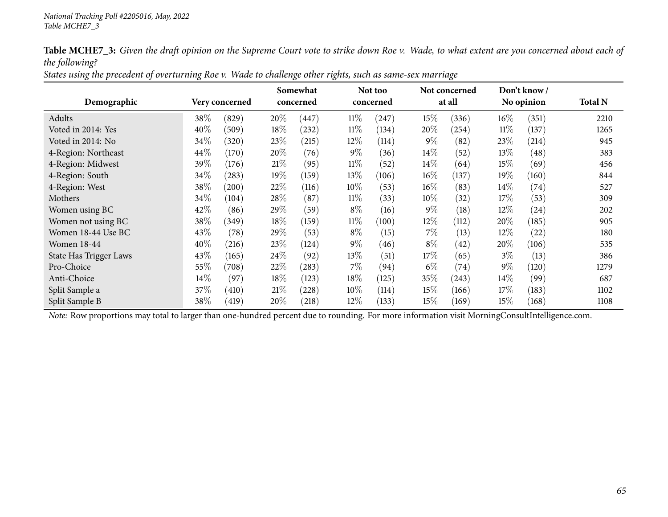| States using the precedent of overturning Roe v. Wade to challenge other rights, such as same-sex marriage |  |  |  |  |  |  |  |
|------------------------------------------------------------------------------------------------------------|--|--|--|--|--|--|--|
|------------------------------------------------------------------------------------------------------------|--|--|--|--|--|--|--|

|                        |        |                |        | Somewhat  |        | Not too   |        | Not concerned |        | Don't know / |                |
|------------------------|--------|----------------|--------|-----------|--------|-----------|--------|---------------|--------|--------------|----------------|
| Demographic            |        | Very concerned |        | concerned |        | concerned |        | at all        |        | No opinion   | <b>Total N</b> |
| Adults                 | 38\%   | (829)          | 20%    | (447)     | $11\%$ | (247)     | 15\%   | (336)         | $16\%$ | (351)        | 2210           |
| Voted in 2014: Yes     | 40%    | (509)          | 18%    | (232)     | $11\%$ | (134)     | 20%    | (254)         | $11\%$ | (137)        | 1265           |
| Voted in 2014: No      | 34%    | (320)          | 23%    | (215)     | $12\%$ | (114)     | $9\%$  | (82)          | 23%    | (214)        | 945            |
| 4-Region: Northeast    | 44\%   | (170)          | 20%    | (76)      | $9\%$  | (36)      | $14\%$ | (52)          | 13\%   | (48)         | 383            |
| 4-Region: Midwest      | 39%    | (176)          | $21\%$ | (95)      | $11\%$ | (52)      | 14\%   | (64)          | 15%    | (69)         | 456            |
| 4-Region: South        | 34\%   | (283)          | $19\%$ | (159)     | 13\%   | (106)     | $16\%$ | (137)         | 19%    | (160)        | 844            |
| 4-Region: West         | 38%    | (200)          | 22\%   | (116)     | 10%    | (53)      | $16\%$ | (83)          | $14\%$ | (74)         | 527            |
| Mothers                | 34\%   | (104)          | 28\%   | (87)      | $11\%$ | (33)      | $10\%$ | (32)          | 17\%   | (53)         | 309            |
| Women using BC         | 42%    | (86)           | 29%    | (59)      | $8\%$  | (16)      | $9\%$  | (18)          | 12%    | (24)         | 202            |
| Women not using BC     | 38%    | (349)          | 18%    | (159)     | $11\%$ | (100)     | 12%    | (112)         | 20%    | (185)        | 905            |
| Women 18-44 Use BC     | 43\%   | (78)           | 29\%   | (53)      | $8\%$  | (15)      | 7%     | (13)          | 12%    | (22)         | 180            |
| <b>Women 18-44</b>     | 40%    | (216)          | 23%    | (124)     | $9\%$  | (46)      | $8\%$  | (42)          | 20%    | (106)        | 535            |
| State Has Trigger Laws | 43\%   | (165)          | 24\%   | (92)      | $13\%$ | (51)      | 17%    | (65)          | $3\%$  | (13)         | 386            |
| Pro-Choice             | 55%    | (708)          | 22%    | (283)     | $7\%$  | (94)      | $6\%$  | (74)          | $9\%$  | (120)        | 1279           |
| Anti-Choice            | $14\%$ | (97)           | $18\%$ | (123)     | 18%    | (125)     | 35\%   | (243)         | $14\%$ | (99)         | 687            |
| Split Sample a         | 37\%   | (410)          | 21%    | (228)     | $10\%$ | (114)     | 15\%   | (166)         | 17%    | (183)        | 1102           |
| Split Sample B         | 38%    | (419)          | 20%    | (218)     | 12\%   | (133)     | 15\%   | (169)         | 15%    | (168)        | 1108           |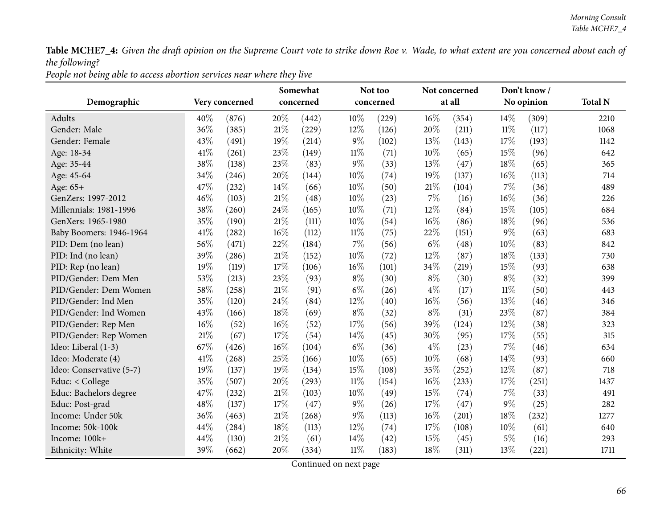People not being able to access abortion services near where they live

| Demographic              |      | Very concerned |        | Somewhat<br>concerned |        | Not too<br>concerned |        | Not concerned<br>at all |        | Don't know/<br>No opinion | <b>Total N</b> |
|--------------------------|------|----------------|--------|-----------------------|--------|----------------------|--------|-------------------------|--------|---------------------------|----------------|
| Adults                   | 40%  | (876)          | 20%    | (442)                 | 10%    | (229)                | 16%    | (354)                   | 14%    | (309)                     | 2210           |
| Gender: Male             | 36%  | (385)          | 21\%   | (229)                 | 12%    | (126)                | 20%    | (211)                   | 11%    | (117)                     | 1068           |
| Gender: Female           | 43%  | (491)          | 19%    | (214)                 | $9\%$  | (102)                | 13%    | (143)                   | 17%    | (193)                     | 1142           |
| Age: 18-34               | 41\% | (261)          | 23%    | (149)                 | $11\%$ | (71)                 | 10%    | (65)                    | 15%    | (96)                      | 642            |
| Age: 35-44               | 38%  | (138)          | 23%    | (83)                  | $9\%$  | (33)                 | 13%    | (47)                    | 18%    | (65)                      | 365            |
| Age: 45-64               | 34%  | (246)          | 20%    | (144)                 | 10%    | (74)                 | 19%    | (137)                   | 16%    | (113)                     | 714            |
| Age: 65+                 | 47%  | (232)          | 14%    | (66)                  | $10\%$ | (50)                 | 21%    | (104)                   | 7%     | (36)                      | 489            |
| GenZers: 1997-2012       | 46%  | (103)          | 21\%   | (48)                  | 10%    | (23)                 | 7%     | (16)                    | 16%    | (36)                      | 226            |
| Millennials: 1981-1996   | 38%  | (260)          | 24\%   | (165)                 | $10\%$ | (71)                 | 12%    | (84)                    | 15%    | (105)                     | 684            |
| GenXers: 1965-1980       | 35%  | (190)          | 21\%   | (111)                 | 10%    | (54)                 | $16\%$ | (86)                    | 18%    | (96)                      | 536            |
| Baby Boomers: 1946-1964  | 41\% | (282)          | 16%    | (112)                 | $11\%$ | (75)                 | 22%    | (151)                   | 9%     | (63)                      | 683            |
| PID: Dem (no lean)       | 56%  | (471)          | 22%    | (184)                 | 7%     | (56)                 | $6\%$  | (48)                    | 10%    | (83)                      | 842            |
| PID: Ind (no lean)       | 39%  | (286)          | $21\%$ | (152)                 | 10%    | (72)                 | 12%    | (87)                    | 18%    | (133)                     | 730            |
| PID: Rep (no lean)       | 19%  | (119)          | $17\%$ | (106)                 | 16%    | (101)                | 34%    | (219)                   | 15%    | (93)                      | 638            |
| PID/Gender: Dem Men      | 53%  | (213)          | 23%    | (93)                  | $8\%$  | (30)                 | $8\%$  | (30)                    | $8\%$  | (32)                      | 399            |
| PID/Gender: Dem Women    | 58%  | (258)          | $21\%$ | (91)                  | $6\%$  | (26)                 | $4\%$  | (17)                    | $11\%$ | (50)                      | 443            |
| PID/Gender: Ind Men      | 35%  | (120)          | 24%    | (84)                  | 12%    | (40)                 | 16%    | (56)                    | 13%    | (46)                      | 346            |
| PID/Gender: Ind Women    | 43%  | (166)          | $18\%$ | (69)                  | $8\%$  | (32)                 | $8\%$  | (31)                    | 23%    | (87)                      | 384            |
| PID/Gender: Rep Men      | 16%  | (52)           | $16\%$ | (52)                  | 17%    | (56)                 | 39%    | (124)                   | 12%    | (38)                      | 323            |
| PID/Gender: Rep Women    | 21%  | (67)           | $17\%$ | (54)                  | 14%    | (45)                 | 30%    | (95)                    | 17%    | (55)                      | 315            |
| Ideo: Liberal (1-3)      | 67%  | (426)          | $16\%$ | (104)                 | $6\%$  | (36)                 | $4\%$  | (23)                    | 7%     | (46)                      | 634            |
| Ideo: Moderate (4)       | 41\% | (268)          | 25%    | (166)                 | 10%    | (65)                 | 10%    | (68)                    | 14%    | (93)                      | 660            |
| Ideo: Conservative (5-7) | 19%  | (137)          | 19%    | (134)                 | 15%    | (108)                | 35%    | (252)                   | 12%    | (87)                      | 718            |
| Educ: < College          | 35%  | (507)          | 20%    | (293)                 | $11\%$ | (154)                | 16%    | (233)                   | 17%    | (251)                     | 1437           |
| Educ: Bachelors degree   | 47%  | (232)          | $21\%$ | (103)                 | 10%    | (49)                 | 15%    | (74)                    | 7%     | (33)                      | 491            |
| Educ: Post-grad          | 48%  | (137)          | 17%    | (47)                  | $9\%$  | (26)                 | 17%    | (47)                    | 9%     | (25)                      | 282            |
| Income: Under 50k        | 36%  | (463)          | $21\%$ | (268)                 | $9\%$  | (113)                | 16%    | (201)                   | 18%    | (232)                     | 1277           |
| Income: 50k-100k         | 44%  | (284)          | $18\%$ | (113)                 | 12%    | (74)                 | 17%    | (108)                   | $10\%$ | (61)                      | 640            |
| Income: 100k+            | 44\% | (130)          | 21%    | (61)                  | 14%    | (42)                 | 15%    | (45)                    | $5\%$  | (16)                      | 293            |
| Ethnicity: White         | 39%  | (662)          | 20%    | (334)                 | $11\%$ | (183)                | 18%    | (311)                   | 13%    | (221)                     | 1711           |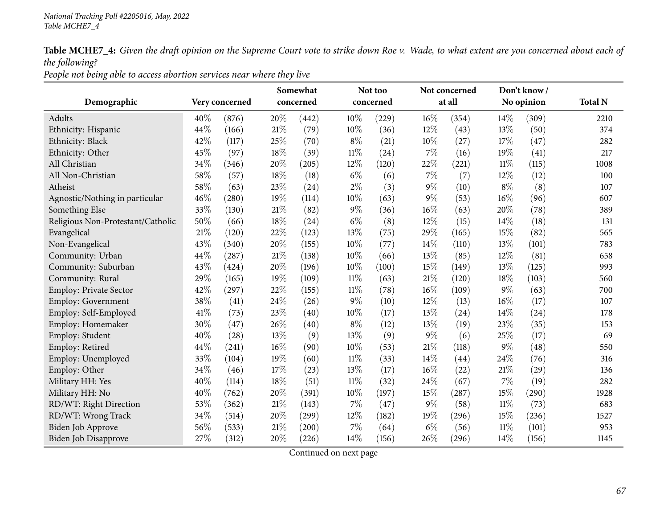People not being able to access abortion services near where they live

| Demographic                       |      | Very concerned |        | Somewhat<br>concerned |        | Not too<br>concerned |        | Not concerned<br>at all |        | Don't know/<br>No opinion | <b>Total N</b> |
|-----------------------------------|------|----------------|--------|-----------------------|--------|----------------------|--------|-------------------------|--------|---------------------------|----------------|
| Adults                            | 40%  | (876)          | 20%    | (442)                 | 10%    | (229)                | 16%    | (354)                   | 14\%   | (309)                     | 2210           |
| Ethnicity: Hispanic               | 44%  | (166)          | 21%    | (79)                  | 10%    | (36)                 | 12%    | (43)                    | 13%    | (50)                      | 374            |
| Ethnicity: Black                  | 42%  | (117)          | 25%    | (70)                  | $8\%$  | (21)                 | 10%    | (27)                    | 17%    | (47)                      | 282            |
| Ethnicity: Other                  | 45%  | (97)           | 18%    | (39)                  | $11\%$ | (24)                 | $7\%$  | (16)                    | 19%    | (41)                      | 217            |
| All Christian                     | 34%  | (346)          | 20%    | (205)                 | 12%    | (120)                | 22%    | (221)                   | $11\%$ | (115)                     | 1008           |
| All Non-Christian                 | 58%  | (57)           | 18%    | (18)                  | $6\%$  | (6)                  | 7%     | (7)                     | 12%    | (12)                      | 100            |
| Atheist                           | 58%  | (63)           | 23%    | (24)                  | $2\%$  | (3)                  | $9\%$  | (10)                    | $8\%$  | (8)                       | 107            |
| Agnostic/Nothing in particular    | 46%  | (280)          | 19%    | (114)                 | $10\%$ | (63)                 | $9\%$  | (53)                    | 16%    | (96)                      | 607            |
| Something Else                    | 33%  | (130)          | $21\%$ | (82)                  | $9\%$  | (36)                 | 16%    | (63)                    | 20%    | (78)                      | 389            |
| Religious Non-Protestant/Catholic | 50%  | (66)           | $18\%$ | (24)                  | $6\%$  | (8)                  | 12%    | (15)                    | 14%    | (18)                      | 131            |
| Evangelical                       | 21%  | (120)          | 22%    | (123)                 | 13%    | (75)                 | 29%    | (165)                   | 15%    | (82)                      | 565            |
| Non-Evangelical                   | 43%  | (340)          | 20%    | (155)                 | 10%    | (77)                 | 14%    | (110)                   | 13%    | (101)                     | 783            |
| Community: Urban                  | 44%  | (287)          | $21\%$ | (138)                 | 10%    | (66)                 | 13%    | (85)                    | 12%    | (81)                      | 658            |
| Community: Suburban               | 43%  | (424)          | 20%    | (196)                 | 10%    | (100)                | 15%    | (149)                   | 13%    | (125)                     | 993            |
| Community: Rural                  | 29%  | (165)          | 19%    | (109)                 | $11\%$ | (63)                 | 21%    | (120)                   | 18%    | (103)                     | 560            |
| Employ: Private Sector            | 42%  | (297)          | 22%    | (155)                 | $11\%$ | (78)                 | 16%    | (109)                   | $9\%$  | (63)                      | 700            |
| <b>Employ: Government</b>         | 38%  | (41)           | 24%    | (26)                  | $9\%$  | (10)                 | 12%    | (13)                    | 16%    | (17)                      | 107            |
| Employ: Self-Employed             | 41\% | (73)           | 23%    | (40)                  | 10%    | (17)                 | 13%    | (24)                    | 14%    | (24)                      | 178            |
| Employ: Homemaker                 | 30%  | (47)           | 26%    | (40)                  | $8\%$  | (12)                 | 13%    | (19)                    | 23%    | (35)                      | 153            |
| Employ: Student                   | 40%  | (28)           | 13%    | (9)                   | 13%    | (9)                  | $9\%$  | (6)                     | 25%    | (17)                      | 69             |
| Employ: Retired                   | 44%  | (241)          | 16%    | (90)                  | 10%    | (53)                 | $21\%$ | (118)                   | $9\%$  | (48)                      | 550            |
| Employ: Unemployed                | 33%  | (104)          | 19%    | (60)                  | $11\%$ | (33)                 | 14%    | (44)                    | 24%    | (76)                      | 316            |
| Employ: Other                     | 34%  | (46)           | 17%    | (23)                  | 13%    | (17)                 | 16%    | (22)                    | 21%    | (29)                      | 136            |
| Military HH: Yes                  | 40%  | (114)          | 18%    | (51)                  | $11\%$ | (32)                 | 24%    | (67)                    | $7\%$  | (19)                      | 282            |
| Military HH: No                   | 40%  | (762)          | 20%    | (391)                 | 10%    | (197)                | 15%    | (287)                   | 15%    | (290)                     | 1928           |
| RD/WT: Right Direction            | 53%  | (362)          | $21\%$ | (143)                 | $7\%$  | (47)                 | $9\%$  | (58)                    | $11\%$ | (73)                      | 683            |
| RD/WT: Wrong Track                | 34%  | (514)          | 20%    | (299)                 | 12%    | (182)                | 19%    | (296)                   | 15%    | (236)                     | 1527           |
| Biden Job Approve                 | 56%  | (533)          | 21%    | (200)                 | $7\%$  | (64)                 | $6\%$  | (56)                    | 11%    | (101)                     | 953            |
| <b>Biden Job Disapprove</b>       | 27%  | (312)          | 20%    | (226)                 | 14%    | (156)                | 26%    | (296)                   | 14%    | (156)                     | 1145           |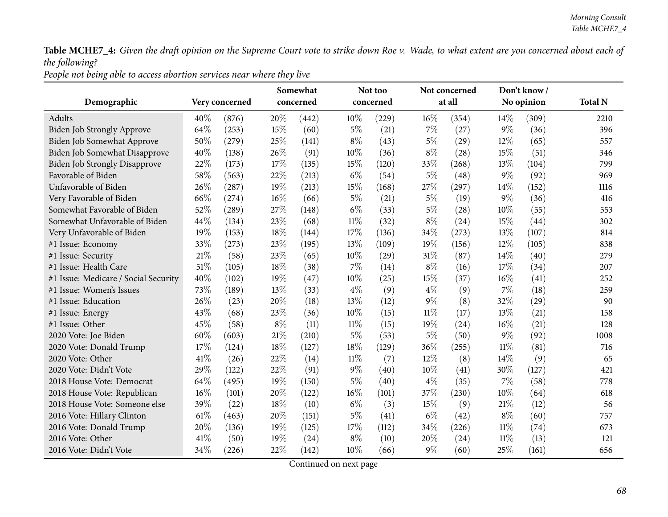People not being able to access abortion services near where they live

|                                      |      |                |        | Somewhat  |        | Not too   |        | Not concerned<br>at all |        | Don't know/ |                |
|--------------------------------------|------|----------------|--------|-----------|--------|-----------|--------|-------------------------|--------|-------------|----------------|
| Demographic                          |      | Very concerned |        | concerned |        | concerned |        |                         |        | No opinion  | <b>Total N</b> |
| Adults                               | 40%  | (876)          | 20%    | (442)     | 10%    | (229)     | 16%    | (354)                   | $14\%$ | (309)       | 2210           |
| <b>Biden Job Strongly Approve</b>    | 64%  | (253)          | 15%    | (60)      | $5\%$  | (21)      | 7%     | (27)                    | $9\%$  | (36)        | 396            |
| Biden Job Somewhat Approve           | 50%  | (279)          | 25%    | (141)     | $8\%$  | (43)      | $5\%$  | (29)                    | 12%    | (65)        | 557            |
| Biden Job Somewhat Disapprove        | 40%  | (138)          | 26%    | (91)      | 10%    | (36)      | $8\%$  | (28)                    | 15%    | (51)        | 346            |
| <b>Biden Job Strongly Disapprove</b> | 22%  | (173)          | 17%    | (135)     | 15%    | (120)     | 33%    | (268)                   | 13%    | (104)       | 799            |
| Favorable of Biden                   | 58%  | (563)          | 22%    | (213)     | $6\%$  | (54)      | $5\%$  | (48)                    | 9%     | (92)        | 969            |
| Unfavorable of Biden                 | 26%  | (287)          | 19%    | (213)     | 15%    | (168)     | 27%    | (297)                   | 14%    | (152)       | 1116           |
| Very Favorable of Biden              | 66%  | (274)          | 16%    | (66)      | $5\%$  | (21)      | $5\%$  | (19)                    | $9\%$  | (36)        | 416            |
| Somewhat Favorable of Biden          | 52%  | (289)          | 27\%   | (148)     | $6\%$  | (33)      | $5\%$  | (28)                    | 10%    | (55)        | 553            |
| Somewhat Unfavorable of Biden        | 44%  | (134)          | 23%    | (68)      | $11\%$ | (32)      | $8\%$  | (24)                    | 15%    | (44)        | 302            |
| Very Unfavorable of Biden            | 19%  | (153)          | $18\%$ | (144)     | 17%    | (136)     | 34%    | (273)                   | 13%    | (107)       | 814            |
| #1 Issue: Economy                    | 33%  | (273)          | 23%    | (195)     | 13%    | (109)     | 19%    | (156)                   | 12%    | (105)       | 838            |
| #1 Issue: Security                   | 21%  | (58)           | 23%    | (65)      | $10\%$ | (29)      | 31%    | (87)                    | 14%    | (40)        | 279            |
| #1 Issue: Health Care                | 51%  | (105)          | 18%    | (38)      | 7%     | (14)      | $8\%$  | (16)                    | 17%    | (34)        | 207            |
| #1 Issue: Medicare / Social Security | 40%  | (102)          | 19%    | (47)      | 10%    | (25)      | 15%    | (37)                    | 16%    | (41)        | 252            |
| #1 Issue: Women's Issues             | 73%  | (189)          | 13%    | (33)      | $4\%$  | (9)       | $4\%$  | (9)                     | 7%     | (18)        | 259            |
| #1 Issue: Education                  | 26%  | (23)           | 20%    | (18)      | 13%    | (12)      | $9\%$  | (8)                     | 32%    | (29)        | 90             |
| #1 Issue: Energy                     | 43%  | (68)           | 23%    | (36)      | 10%    | (15)      | $11\%$ | (17)                    | 13%    | (21)        | 158            |
| #1 Issue: Other                      | 45%  | (58)           | $8\%$  | (11)      | $11\%$ | (15)      | 19%    | (24)                    | 16%    | (21)        | 128            |
| 2020 Vote: Joe Biden                 | 60%  | (603)          | $21\%$ | (210)     | $5\%$  | (53)      | $5\%$  | (50)                    | $9\%$  | (92)        | 1008           |
| 2020 Vote: Donald Trump              | 17%  | (124)          | 18%    | (127)     | 18%    | (129)     | 36%    | (255)                   | $11\%$ | (81)        | 716            |
| 2020 Vote: Other                     | 41\% | (26)           | 22%    | (14)      | $11\%$ | (7)       | 12%    | (8)                     | 14\%   | (9)         | 65             |
| 2020 Vote: Didn't Vote               | 29%  | (122)          | 22%    | (91)      | $9\%$  | (40)      | 10%    | (41)                    | 30%    | (127)       | 421            |
| 2018 House Vote: Democrat            | 64%  | (495)          | 19%    | (150)     | $5\%$  | (40)      | $4\%$  | (35)                    | 7%     | (58)        | 778            |
| 2018 House Vote: Republican          | 16%  | (101)          | 20%    | (122)     | 16%    | (101)     | 37%    | (230)                   | 10%    | (64)        | 618            |
| 2018 House Vote: Someone else        | 39%  | (22)           | 18%    | (10)      | $6\%$  | (3)       | 15%    | (9)                     | $21\%$ | (12)        | 56             |
| 2016 Vote: Hillary Clinton           | 61\% | (463)          | 20%    | (151)     | $5\%$  | (41)      | $6\%$  | (42)                    | $8\%$  | (60)        | 757            |
| 2016 Vote: Donald Trump              | 20%  | (136)          | 19%    | (125)     | 17%    | (112)     | 34%    | (226)                   | 11%    | (74)        | 673            |
| 2016 Vote: Other                     | 41\% | (50)           | 19%    | (24)      | $8\%$  | (10)      | 20%    | (24)                    | $11\%$ | (13)        | 121            |
| 2016 Vote: Didn't Vote               | 34%  | (226)          | 22%    | (142)     | 10%    | (66)      | $9\%$  | (60)                    | 25%    | (161)       | 656            |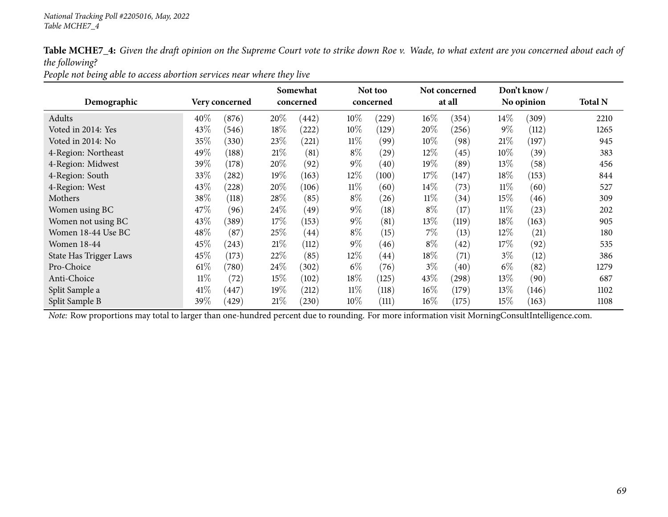People not being able to access abortion services near where they live

|                        |        |                |      | Somewhat  |        | Not too            |        | Not concerned |        | Don't know / |                |
|------------------------|--------|----------------|------|-----------|--------|--------------------|--------|---------------|--------|--------------|----------------|
| Demographic            |        | Very concerned |      | concerned |        | concerned          |        | at all        |        | No opinion   | <b>Total N</b> |
| Adults                 | 40%    | (876)          | 20%  | (442)     | $10\%$ | (229)              | $16\%$ | (354)         | $14\%$ | (309)        | 2210           |
| Voted in 2014: Yes     | 43%    | (546)          | 18%  | (222)     | $10\%$ | (129)              | 20%    | (256)         | $9\%$  | (112)        | 1265           |
| Voted in 2014: No      | 35%    | (330)          | 23%  | (221)     | $11\%$ | (99)               | $10\%$ | (98)          | 21%    | (197)        | 945            |
| 4-Region: Northeast    | 49%    | (188)          | 21%  | (81)      | $8\%$  | (29)               | 12%    | (45)          | $10\%$ | (39)         | 383            |
| 4-Region: Midwest      | 39%    | (178)          | 20%  | (92)      | $9\%$  | (40)               | 19%    | (89)          | 13\%   | (58)         | 456            |
| 4-Region: South        | 33\%   | (282)          | 19%  | (163)     | $12\%$ | (100)              | 17\%   | (147)         | 18%    | (153)        | 844            |
| 4-Region: West         | 43\%   | (228)          | 20%  | (106)     | $11\%$ | (60)               | $14\%$ | (73)          | $11\%$ | (60)         | 527            |
| Mothers                | 38%    | (118)          | 28\% | (85)      | $8\%$  | (26)               | $11\%$ | (34)          | $15\%$ | (46)         | 309            |
| Women using BC         | 47\%   | (96)           | 24\% | (49)      | $9\%$  | (18)               | $8\%$  | (17)          | $11\%$ | (23)         | 202            |
| Women not using BC     | 43\%   | (389)          | 17%  | (153)     | $9\%$  | (81)               | 13\%   | (119)         | 18%    | (163)        | 905            |
| Women 18-44 Use BC     | 48\%   | (87)           | 25%  | (44)      | $8\%$  | (15)               | 7%     | (13)          | 12\%   | (21)         | 180            |
| <b>Women 18-44</b>     | 45%    | (243)          | 21%  | (112)     | $9\%$  | (46)               | $8\%$  | (42)          | 17%    | (92)         | 535            |
| State Has Trigger Laws | 45%    | (173)          | 22%  | (85)      | 12%    | $\left( 44\right)$ | 18%    | (71)          | $3\%$  | (12)         | 386            |
| Pro-Choice             | $61\%$ | (780)          | 24\% | (302)     | $6\%$  | (76)               | $3\%$  | (40)          | $6\%$  | (82)         | 1279           |
| Anti-Choice            | $11\%$ | (72)           | 15\% | (102)     | 18%    | (125)              | 43%    | $^{'}298)$    | 13\%   | (90)         | 687            |
| Split Sample a         | 41\%   | 447            | 19%  | (212)     | $11\%$ | (118)              | $16\%$ | (179)         | 13\%   | (146)        | 1102           |
| Split Sample B         | 39\%   | (429)          | 21%  | (230)     | 10\%   | (111)              | $16\%$ | (175)         | $15\%$ | (163)        | 1108           |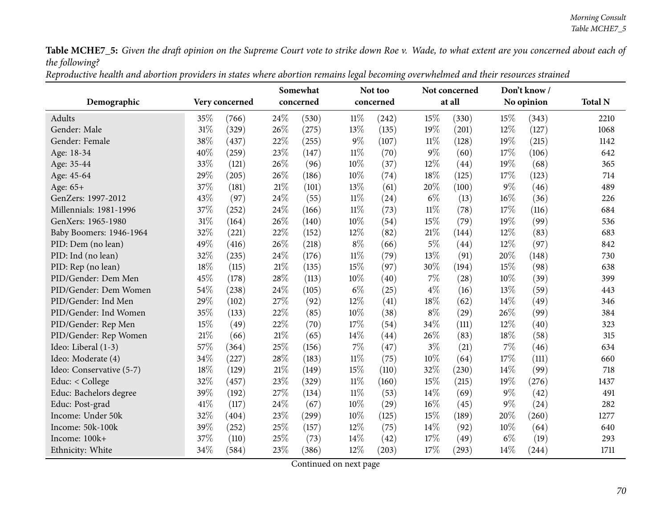| Reproductive health and abortion providers in states where abortion remains legal becoming overwhelmed and their resources strained |
|-------------------------------------------------------------------------------------------------------------------------------------|
|-------------------------------------------------------------------------------------------------------------------------------------|

|                          |      |                |        | Somewhat  |        | Not too   |        | Not concerned |        | Don't know / |                |
|--------------------------|------|----------------|--------|-----------|--------|-----------|--------|---------------|--------|--------------|----------------|
| Demographic              |      | Very concerned |        | concerned |        | concerned |        | at all        |        | No opinion   | <b>Total N</b> |
| Adults                   | 35%  | (766)          | 24%    | (530)     | $11\%$ | (242)     | 15%    | (330)         | 15%    | (343)        | 2210           |
| Gender: Male             | 31%  | (329)          | 26%    | (275)     | 13%    | (135)     | 19%    | (201)         | 12%    | (127)        | 1068           |
| Gender: Female           | 38%  | (437)          | 22%    | (255)     | $9\%$  | (107)     | 11%    | (128)         | 19%    | (215)        | 1142           |
| Age: 18-34               | 40%  | (259)          | 23%    | (147)     | $11\%$ | (70)      | $9\%$  | (60)          | 17%    | (106)        | 642            |
| Age: 35-44               | 33%  | (121)          | 26%    | (96)      | 10%    | (37)      | 12%    | (44)          | 19%    | (68)         | 365            |
| Age: 45-64               | 29%  | (205)          | 26%    | (186)     | 10%    | (74)      | 18%    | (125)         | 17%    | (123)        | 714            |
| Age: 65+                 | 37%  | (181)          | $21\%$ | (101)     | 13%    | (61)      | 20%    | (100)         | $9\%$  | (46)         | 489            |
| GenZers: 1997-2012       | 43%  | (97)           | 24%    | (55)      | $11\%$ | (24)      | $6\%$  | (13)          | 16%    | (36)         | 226            |
| Millennials: 1981-1996   | 37%  | (252)          | 24%    | (166)     | $11\%$ | (73)      | $11\%$ | (78)          | 17%    | (116)        | 684            |
| GenXers: 1965-1980       | 31%  | (164)          | 26%    | (140)     | 10%    | (54)      | 15%    | (79)          | 19%    | (99)         | 536            |
| Baby Boomers: 1946-1964  | 32%  | (221)          | 22%    | (152)     | 12%    | (82)      | 21%    | (144)         | 12%    | (83)         | 683            |
| PID: Dem (no lean)       | 49%  | (416)          | 26%    | (218)     | $8\%$  | (66)      | $5\%$  | (44)          | 12%    | (97)         | 842            |
| PID: Ind (no lean)       | 32%  | (235)          | 24%    | (176)     | $11\%$ | (79)      | 13%    | (91)          | 20%    | (148)        | 730            |
| PID: Rep (no lean)       | 18%  | (115)          | $21\%$ | (135)     | 15%    | (97)      | 30%    | (194)         | 15%    | (98)         | 638            |
| PID/Gender: Dem Men      | 45%  | (178)          | 28%    | (113)     | 10%    | (40)      | $7\%$  | (28)          | 10%    | (39)         | 399            |
| PID/Gender: Dem Women    | 54%  | (238)          | 24%    | (105)     | $6\%$  | (25)      | $4\%$  | (16)          | 13%    | (59)         | 443            |
| PID/Gender: Ind Men      | 29%  | (102)          | 27%    | (92)      | 12%    | (41)      | 18%    | (62)          | 14%    | (49)         | 346            |
| PID/Gender: Ind Women    | 35%  | (133)          | 22%    | (85)      | 10%    | (38)      | $8\%$  | (29)          | 26%    | (99)         | 384            |
| PID/Gender: Rep Men      | 15%  | (49)           | 22%    | (70)      | 17%    | (54)      | 34%    | (111)         | 12%    | (40)         | 323            |
| PID/Gender: Rep Women    | 21%  | (66)           | $21\%$ | (65)      | 14%    | (44)      | 26%    | (83)          | 18%    | (58)         | 315            |
| Ideo: Liberal (1-3)      | 57%  | (364)          | 25%    | (156)     | 7%     | (47)      | $3\%$  | (21)          | 7%     | (46)         | 634            |
| Ideo: Moderate (4)       | 34%  | (227)          | 28%    | (183)     | $11\%$ | (75)      | 10%    | (64)          | 17%    | (111)        | 660            |
| Ideo: Conservative (5-7) | 18%  | (129)          | $21\%$ | (149)     | 15%    | (110)     | 32%    | (230)         | 14%    | (99)         | 718            |
| Educ: < College          | 32%  | (457)          | 23%    | (329)     | $11\%$ | (160)     | 15%    | (215)         | 19%    | (276)        | 1437           |
| Educ: Bachelors degree   | 39%  | (192)          | 27%    | (134)     | $11\%$ | (53)      | 14%    | (69)          | $9\%$  | (42)         | 491            |
| Educ: Post-grad          | 41\% | (117)          | 24%    | (67)      | 10%    | (29)      | 16%    | (45)          | $9\%$  | (24)         | 282            |
| Income: Under 50k        | 32%  | (404)          | 23%    | (299)     | 10%    | (125)     | 15%    | (189)         | 20%    | (260)        | 1277           |
| Income: 50k-100k         | 39%  | (252)          | 25%    | (157)     | 12%    | (75)      | 14%    | (92)          | $10\%$ | (64)         | 640            |
| Income: 100k+            | 37%  | (110)          | 25%    | (73)      | 14%    | (42)      | 17%    | (49)          | $6\%$  | (19)         | 293            |
| Ethnicity: White         | 34%  | (584)          | 23%    | (386)     | 12%    | (203)     | 17%    | (293)         | 14%    | (244)        | 1711           |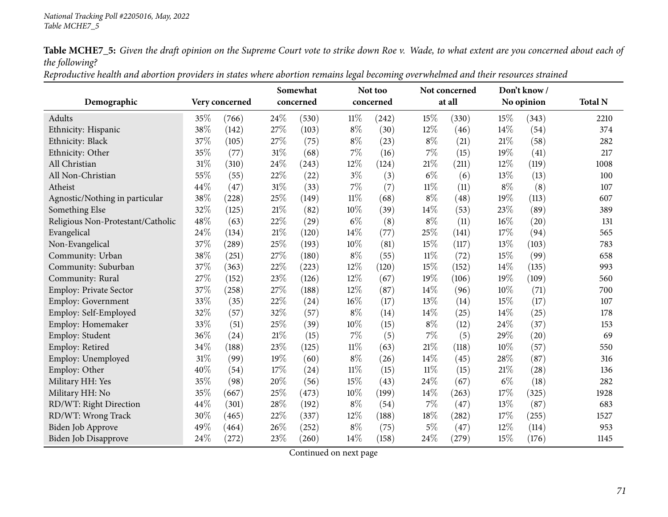| Reproductive health and abortion providers in states where abortion remains legal becoming overwhelmed and their resources strained |
|-------------------------------------------------------------------------------------------------------------------------------------|
|-------------------------------------------------------------------------------------------------------------------------------------|

|                                   |     |                |        | Somewhat  |        | Not too   |        | Not concerned |       | Don't know/ |                |
|-----------------------------------|-----|----------------|--------|-----------|--------|-----------|--------|---------------|-------|-------------|----------------|
| Demographic                       |     | Very concerned |        | concerned |        | concerned |        | at all        |       | No opinion  | <b>Total N</b> |
| Adults                            | 35% | (766)          | 24%    | (530)     | $11\%$ | (242)     | 15%    | (330)         | 15%   | (343)       | 2210           |
| Ethnicity: Hispanic               | 38% | (142)          | 27%    | (103)     | $8\%$  | (30)      | 12%    | (46)          | 14%   | (54)        | 374            |
| Ethnicity: Black                  | 37% | (105)          | 27%    | (75)      | $8\%$  | (23)      | $8\%$  | (21)          | 21\%  | (58)        | 282            |
| Ethnicity: Other                  | 35% | (77)           | 31%    | (68)      | 7%     | (16)      | $7\%$  | (15)          | 19%   | (41)        | 217            |
| All Christian                     | 31% | (310)          | $24\%$ | (243)     | 12%    | (124)     | 21\%   | (211)         | 12%   | (119)       | 1008           |
| All Non-Christian                 | 55% | (55)           | 22%    | (22)      | $3\%$  | (3)       | $6\%$  | (6)           | 13%   | (13)        | 100            |
| Atheist                           | 44% | (47)           | 31%    | (33)      | 7%     | (7)       | $11\%$ | (11)          | $8\%$ | (8)         | 107            |
| Agnostic/Nothing in particular    | 38% | (228)          | 25%    | (149)     | $11\%$ | (68)      | $8\%$  | (48)          | 19%   | (113)       | 607            |
| Something Else                    | 32% | (125)          | $21\%$ | (82)      | 10%    | (39)      | 14%    | (53)          | 23%   | (89)        | 389            |
| Religious Non-Protestant/Catholic | 48% | (63)           | $22\%$ | (29)      | $6\%$  | (8)       | $8\%$  | (11)          | 16%   | (20)        | 131            |
| Evangelical                       | 24% | (134)          | 21%    | (120)     | 14%    | (77)      | 25%    | (141)         | 17%   | (94)        | 565            |
| Non-Evangelical                   | 37% | (289)          | 25%    | (193)     | 10%    | (81)      | 15%    | (117)         | 13%   | (103)       | 783            |
| Community: Urban                  | 38% | (251)          | 27%    | (180)     | $8\%$  | (55)      | $11\%$ | (72)          | 15%   | (99)        | 658            |
| Community: Suburban               | 37% | (363)          | 22%    | (223)     | 12%    | (120)     | 15%    | (152)         | 14%   | (135)       | 993            |
| Community: Rural                  | 27% | (152)          | 23%    | (126)     | 12%    | (67)      | 19%    | (106)         | 19%   | (109)       | 560            |
| Employ: Private Sector            | 37% | (258)          | 27%    | (188)     | 12%    | (87)      | 14%    | (96)          | 10%   | (71)        | 700            |
| Employ: Government                | 33% | (35)           | 22%    | (24)      | 16%    | (17)      | 13%    | (14)          | 15%   | (17)        | 107            |
| Employ: Self-Employed             | 32% | (57)           | 32%    | (57)      | 8%     | (14)      | 14\%   | (25)          | 14%   | (25)        | 178            |
| Employ: Homemaker                 | 33% | (51)           | 25%    | (39)      | 10%    | (15)      | $8\%$  | (12)          | 24%   | (37)        | 153            |
| Employ: Student                   | 36% | (24)           | $21\%$ | (15)      | 7%     | (5)       | 7%     | (5)           | 29%   | (20)        | 69             |
| Employ: Retired                   | 34% | (188)          | 23%    | (125)     | $11\%$ | (63)      | 21%    | (118)         | 10%   | (57)        | 550            |
| Employ: Unemployed                | 31% | (99)           | 19%    | (60)      | $8\%$  | (26)      | 14%    | (45)          | 28%   | (87)        | 316            |
| Employ: Other                     | 40% | (54)           | 17%    | (24)      | $11\%$ | (15)      | $11\%$ | (15)          | 21%   | (28)        | 136            |
| Military HH: Yes                  | 35% | (98)           | 20%    | (56)      | 15%    | (43)      | 24%    | (67)          | $6\%$ | (18)        | 282            |
| Military HH: No                   | 35% | (667)          | 25%    | (473)     | 10%    | (199)     | 14\%   | (263)         | 17%   | (325)       | 1928           |
| RD/WT: Right Direction            | 44% | (301)          | 28%    | (192)     | 8%     | (54)      | 7%     | (47)          | 13%   | (87)        | 683            |
| RD/WT: Wrong Track                | 30% | (465)          | 22%    | (337)     | 12%    | (188)     | 18%    | (282)         | 17%   | (255)       | 1527           |
| Biden Job Approve                 | 49% | (464)          | 26%    | (252)     | $8\%$  | (75)      | $5\%$  | (47)          | 12%   | (114)       | 953            |
| Biden Job Disapprove              | 24% | (272)          | 23%    | (260)     | 14%    | (158)     | 24%    | (279)         | 15%   | (176)       | 1145           |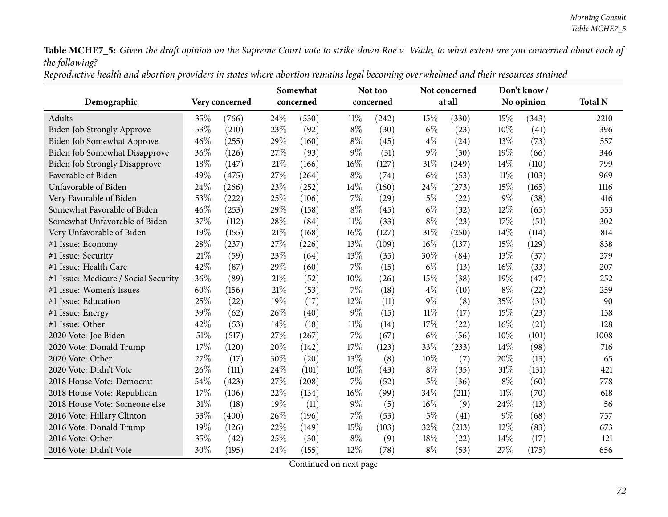| Reproductive health and abortion providers in states where abortion remains legal becoming overwhelmed and their resources strained |
|-------------------------------------------------------------------------------------------------------------------------------------|
|-------------------------------------------------------------------------------------------------------------------------------------|

|                                      |                |       | Somewhat  |       |        | Not too   |        | Not concerned |        | Don't know/ |                |
|--------------------------------------|----------------|-------|-----------|-------|--------|-----------|--------|---------------|--------|-------------|----------------|
| Demographic                          | Very concerned |       | concerned |       |        | concerned |        | at all        |        | No opinion  | <b>Total N</b> |
| Adults                               | 35%            | (766) | 24%       | (530) | $11\%$ | (242)     | 15%    | (330)         | 15%    | (343)       | 2210           |
| Biden Job Strongly Approve           | 53%            | (210) | 23%       | (92)  | $8\%$  | (30)      | $6\%$  | (23)          | 10%    | (41)        | 396            |
| Biden Job Somewhat Approve           | 46%            | (255) | 29%       | (160) | $8\%$  | (45)      | $4\%$  | (24)          | $13\%$ | (73)        | 557            |
| <b>Biden Job Somewhat Disapprove</b> | 36%            | (126) | 27%       | (93)  | $9\%$  | (31)      | 9%     | (30)          | 19%    | (66)        | 346            |
| <b>Biden Job Strongly Disapprove</b> | 18%            | (147) | 21%       | (166) | 16%    | (127)     | 31%    | (249)         | 14\%   | (110)       | 799            |
| Favorable of Biden                   | 49%            | (475) | 27%       | (264) | $8\%$  | (74)      | $6\%$  | (53)          | $11\%$ | (103)       | 969            |
| Unfavorable of Biden                 | 24%            | (266) | 23%       | (252) | 14%    | (160)     | 24%    | (273)         | 15%    | (165)       | 1116           |
| Very Favorable of Biden              | 53%            | (222) | 25%       | (106) | $7\%$  | (29)      | 5%     | (22)          | $9\%$  | (38)        | 416            |
| Somewhat Favorable of Biden          | 46%            | (253) | 29%       | (158) | $8\%$  | (45)      | $6\%$  | (32)          | 12%    | (65)        | 553            |
| Somewhat Unfavorable of Biden        | 37%            | (112) | 28%       | (84)  | $11\%$ | (33)      | $8\%$  | (23)          | 17%    | (51)        | 302            |
| Very Unfavorable of Biden            | 19%            | (155) | 21%       | (168) | 16%    | (127)     | 31%    | (250)         | 14%    | (114)       | 814            |
| #1 Issue: Economy                    | 28%            | (237) | 27%       | (226) | 13%    | (109)     | 16%    | (137)         | 15%    | (129)       | 838            |
| #1 Issue: Security                   | 21%            | (59)  | 23%       | (64)  | 13%    | (35)      | 30%    | (84)          | 13%    | (37)        | 279            |
| #1 Issue: Health Care                | 42%            | (87)  | 29%       | (60)  | 7%     | (15)      | $6\%$  | (13)          | $16\%$ | (33)        | 207            |
| #1 Issue: Medicare / Social Security | 36%            | (89)  | 21%       | (52)  | 10%    | (26)      | 15%    | (38)          | 19%    | (47)        | 252            |
| #1 Issue: Women's Issues             | 60%            | (156) | 21%       | (53)  | 7%     | (18)      | $4\%$  | (10)          | $8\%$  | (22)        | 259            |
| #1 Issue: Education                  | 25%            | (22)  | 19%       | (17)  | 12%    | (11)      | 9%     | (8)           | 35%    | (31)        | 90             |
| #1 Issue: Energy                     | 39%            | (62)  | 26%       | (40)  | 9%     | (15)      | $11\%$ | (17)          | 15%    | (23)        | 158            |
| #1 Issue: Other                      | 42%            | (53)  | 14%       | (18)  | $11\%$ | (14)      | 17%    | (22)          | 16%    | (21)        | 128            |
| 2020 Vote: Joe Biden                 | 51%            | (517) | 27%       | (267) | $7\%$  | (67)      | $6\%$  | (56)          | 10%    | (101)       | 1008           |
| 2020 Vote: Donald Trump              | 17%            | (120) | 20%       | (142) | 17%    | (123)     | 33%    | (233)         | 14%    | (98)        | 716            |
| 2020 Vote: Other                     | 27%            | (17)  | 30%       | (20)  | 13%    | (8)       | 10%    | (7)           | 20%    | (13)        | 65             |
| 2020 Vote: Didn't Vote               | 26\%           | (111) | 24%       | (101) | 10%    | (43)      | $8\%$  | (35)          | 31%    | (131)       | 421            |
| 2018 House Vote: Democrat            | 54%            | (423) | 27%       | (208) | 7%     | (52)      | $5\%$  | (36)          | $8\%$  | (60)        | 778            |
| 2018 House Vote: Republican          | 17%            | (106) | 22%       | (134) | 16%    | (99)      | 34%    | (211)         | $11\%$ | (70)        | 618            |
| 2018 House Vote: Someone else        | 31%            | (18)  | 19%       | (11)  | $9\%$  | (5)       | 16%    | (9)           | 24\%   | (13)        | 56             |
| 2016 Vote: Hillary Clinton           | 53%            | (400) | 26%       | (196) | 7%     | (53)      | $5\%$  | (41)          | $9\%$  | (68)        | 757            |
| 2016 Vote: Donald Trump              | 19%            | (126) | 22%       | (149) | 15%    | (103)     | 32%    | (213)         | 12%    | (83)        | 673            |
| 2016 Vote: Other                     | 35%            | (42)  | 25%       | (30)  | $8\%$  | (9)       | 18%    | (22)          | 14\%   | (17)        | 121            |
| 2016 Vote: Didn't Vote               | 30%            | (195) | 24%       | (155) | 12%    | (78)      | $8\%$  | (53)          | 27%    | (175)       | 656            |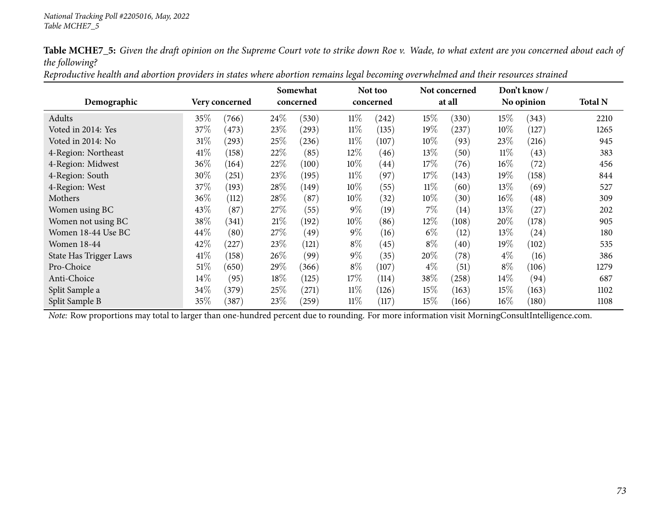|                               |        |                |        | Somewhat   |        | Not too            |        | Not concerned |        | Don't know/        |                |
|-------------------------------|--------|----------------|--------|------------|--------|--------------------|--------|---------------|--------|--------------------|----------------|
| Demographic                   |        | Very concerned |        | concerned  |        | concerned          |        | at all        |        | No opinion         | <b>Total N</b> |
| Adults                        | 35%    | (766)          | 24\%   | (530)      | $11\%$ | (242)              | 15%    | (330)         | 15%    | (343)              | 2210           |
| Voted in 2014: Yes            | 37\%   | (473)          | 23\%   | $^{(293)}$ | $11\%$ | (135)              | $19\%$ | (237)         | $10\%$ | (127)              | 1265           |
| Voted in 2014: No             | $31\%$ | (293)          | 25\%   | (236)      | $11\%$ | (107)              | $10\%$ | (93)          | 23%    | (216)              | 945            |
| 4-Region: Northeast           | 41\%   | (158)          | 22%    | (85)       | $12\%$ | (46)               | 13\%   | (50)          | $11\%$ | (43)               | 383            |
| 4-Region: Midwest             | $36\%$ | (164)          | 22\%   | (100)      | $10\%$ | $\left( 44\right)$ | 17\%   | (76)          | $16\%$ | (72)               | 456            |
| 4-Region: South               | $30\%$ | (251)          | 23\%   | (195)      | $11\%$ | (97)               | 17\%   | (143)         | 19%    | (158)              | 844            |
| 4-Region: West                | 37\%   | (193)          | 28\%   | (149)      | 10%    | (55)               | $11\%$ | (60)          | 13\%   | (69)               | 527            |
| Mothers                       | $36\%$ | (112)          | 28\%   | (87)       | $10\%$ | (32)               | $10\%$ | (30)          | $16\%$ | (48)               | 309            |
| Women using BC                | 43\%   | (87)           | 27\%   | (55)       | $9\%$  | (19)               | $7\%$  | (14)          | 13%    | (27)               | 202            |
| Women not using BC            | 38\%   | (341)          | 21%    | (192)      | $10\%$ | (86)               | 12%    | (108)         | 20%    | (178)              | 905            |
| Women 18-44 Use BC            | 44\%   | (80)           | 27\%   | (49)       | $9\%$  | (16)               | $6\%$  | (12)          | 13%    | (24)               | 180            |
| <b>Women 18-44</b>            | 42%    | (227)          | 23\%   | (121)      | $8\%$  | (45)               | $8\%$  | (40)          | 19%    | (102)              | 535            |
| <b>State Has Trigger Laws</b> | 41\%   | (158)          | $26\%$ | (99)       | $9\%$  | (35)               | 20%    | (78)          | $4\%$  | (16)               | 386            |
| Pro-Choice                    | $51\%$ | (650)          | 29\%   | (366)      | $8\%$  | (107)              | $4\%$  | (51)          | $8\%$  | (106)              | 1279           |
| Anti-Choice                   | 14%    | (95)           | $18\%$ | (125)      | $17\%$ | (114)              | 38\%   | (258)         | $14\%$ | (94)               | 687            |
| Split Sample a                | $34\%$ | (379)          | 25\%   | (271)      | $11\%$ | (126)              | 15%    | (163)         | $15\%$ | (163)              | 1102           |
| Split Sample B                | 35%    | (387)          | 23%    | (259)      | $11\%$ | (117)              | $15\%$ | (166)         | $16\%$ | $\left(180\right)$ | 1108           |

Reproductive health and abortion providers in states where abortion remains legal becoming overwhelmed and their resources strained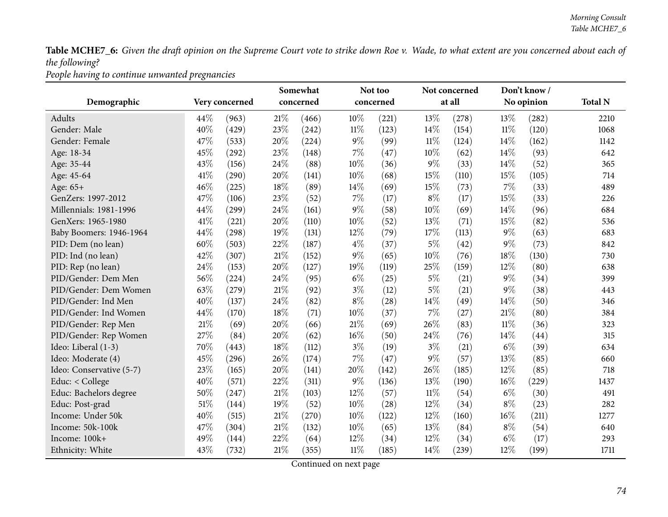*People having to continue unwanted pregnancies*

|                          |      |                |        | Somewhat  |        | Not too   |        | Not concerned |        | Don't know / |                |
|--------------------------|------|----------------|--------|-----------|--------|-----------|--------|---------------|--------|--------------|----------------|
| Demographic              |      | Very concerned |        | concerned |        | concerned |        | at all        |        | No opinion   | <b>Total N</b> |
| Adults                   | 44%  | (963)          | 21%    | (466)     | 10%    | (221)     | 13%    | (278)         | 13\%   | (282)        | 2210           |
| Gender: Male             | 40%  | (429)          | 23%    | (242)     | $11\%$ | (123)     | 14%    | (154)         | $11\%$ | (120)        | 1068           |
| Gender: Female           | 47%  | (533)          | 20%    | (224)     | $9\%$  | (99)      | $11\%$ | (124)         | 14%    | (162)        | 1142           |
| Age: 18-34               | 45%  | (292)          | 23%    | (148)     | $7\%$  | (47)      | 10%    | (62)          | $14\%$ | (93)         | 642            |
| Age: 35-44               | 43%  | (156)          | 24%    | (88)      | 10%    | (36)      | 9%     | (33)          | 14%    | (52)         | 365            |
| Age: 45-64               | 41%  | (290)          | 20%    | (141)     | $10\%$ | (68)      | 15%    | (110)         | 15%    | (105)        | 714            |
| Age: 65+                 | 46%  | (225)          | 18%    | (89)      | $14\%$ | (69)      | 15%    | (73)          | $7\%$  | (33)         | 489            |
| GenZers: 1997-2012       | 47%  | (106)          | 23%    | (52)      | 7%     | (17)      | $8\%$  | (17)          | 15%    | (33)         | 226            |
| Millennials: 1981-1996   | 44%  | (299)          | 24%    | (161)     | 9%     | (58)      | 10%    | (69)          | 14%    | (96)         | 684            |
| GenXers: 1965-1980       | 41\% | (221)          | 20%    | (110)     | 10%    | (52)      | 13%    | (71)          | 15%    | (82)         | 536            |
| Baby Boomers: 1946-1964  | 44%  | (298)          | 19%    | (131)     | 12%    | (79)      | 17%    | (113)         | $9\%$  | (63)         | 683            |
| PID: Dem (no lean)       | 60%  | (503)          | 22%    | (187)     | $4\%$  | (37)      | $5\%$  | (42)          | 9%     | (73)         | 842            |
| PID: Ind (no lean)       | 42%  | (307)          | 21%    | (152)     | 9%     | (65)      | 10%    | (76)          | 18%    | (130)        | 730            |
| PID: Rep (no lean)       | 24%  | (153)          | 20%    | (127)     | 19%    | (119)     | 25%    | (159)         | 12\%   | (80)         | 638            |
| PID/Gender: Dem Men      | 56%  | (224)          | 24%    | (95)      | $6\%$  | (25)      | $5\%$  | (21)          | $9\%$  | (34)         | 399            |
| PID/Gender: Dem Women    | 63%  | (279)          | 21%    | (92)      | $3\%$  | (12)      | 5%     | (21)          | $9\%$  | (38)         | 443            |
| PID/Gender: Ind Men      | 40%  | (137)          | 24\%   | (82)      | $8\%$  | (28)      | 14%    | (49)          | 14%    | (50)         | 346            |
| PID/Gender: Ind Women    | 44%  | (170)          | 18%    | (71)      | 10%    | (37)      | 7%     | (27)          | $21\%$ | (80)         | 384            |
| PID/Gender: Rep Men      | 21%  | (69)           | 20%    | (66)      | 21%    | (69)      | 26%    | (83)          | $11\%$ | (36)         | 323            |
| PID/Gender: Rep Women    | 27%  | (84)           | 20%    | (62)      | 16%    | (50)      | 24%    | (76)          | 14%    | (44)         | 315            |
| Ideo: Liberal (1-3)      | 70%  | (443)          | 18%    | (112)     | $3\%$  | (19)      | $3\%$  | (21)          | $6\%$  | (39)         | 634            |
| Ideo: Moderate (4)       | 45%  | (296)          | 26%    | (174)     | 7%     | (47)      | 9%     | (57)          | 13\%   | (85)         | 660            |
| Ideo: Conservative (5-7) | 23%  | (165)          | 20%    | (141)     | 20%    | (142)     | 26%    | (185)         | 12%    | (85)         | 718            |
| Educ: < College          | 40%  | (571)          | 22%    | (311)     | $9\%$  | (136)     | 13%    | (190)         | 16%    | (229)        | 1437           |
| Educ: Bachelors degree   | 50%  | (247)          | 21%    | (103)     | 12%    | (57)      | $11\%$ | (54)          | $6\%$  | (30)         | 491            |
| Educ: Post-grad          | 51%  | (144)          | 19%    | (52)      | 10%    | (28)      | 12%    | (34)          | $8\%$  | (23)         | 282            |
| Income: Under 50k        | 40%  | (515)          | 21%    | (270)     | 10%    | (122)     | 12%    | (160)         | 16%    | (211)        | 1277           |
| Income: 50k-100k         | 47\% | (304)          | 21\%   | (132)     | 10%    | (65)      | 13%    | (84)          | $8\%$  | (54)         | 640            |
| Income: 100k+            | 49%  | (144)          | 22%    | (64)      | 12%    | (34)      | 12%    | (34)          | $6\%$  | (17)         | 293            |
| Ethnicity: White         | 43%  | (732)          | $21\%$ | (355)     | $11\%$ | (185)     | 14%    | (239)         | 12%    | (199)        | 1711           |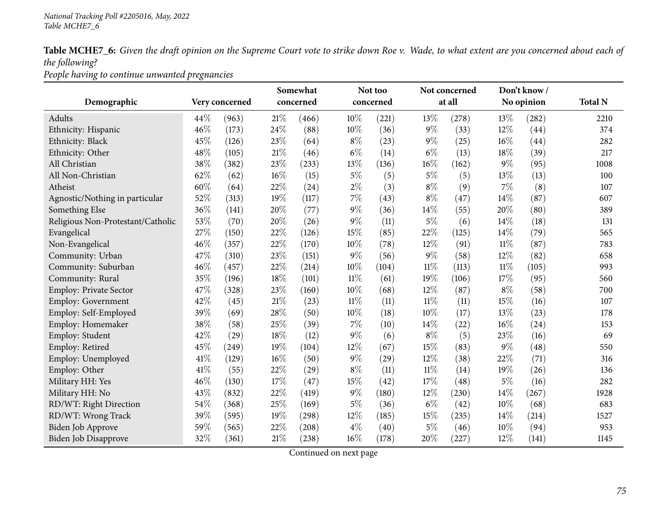*People having to continue unwanted pregnancies*

|                                   |      |                |        | Somewhat  |        | Not too   |        | Not concerned |        | Don't know/ |                |
|-----------------------------------|------|----------------|--------|-----------|--------|-----------|--------|---------------|--------|-------------|----------------|
| Demographic                       |      | Very concerned |        | concerned |        | concerned |        | at all        |        | No opinion  | <b>Total N</b> |
| Adults                            | 44\% | (963)          | $21\%$ | (466)     | 10%    | (221)     | 13%    | (278)         | 13%    | (282)       | 2210           |
| Ethnicity: Hispanic               | 46%  | (173)          | 24%    | (88)      | 10%    | (36)      | $9\%$  | (33)          | 12%    | (44)        | 374            |
| Ethnicity: Black                  | 45%  | (126)          | 23%    | (64)      | $8\%$  | (23)      | $9\%$  | (25)          | 16%    | (44)        | 282            |
| Ethnicity: Other                  | 48%  | (105)          | $21\%$ | (46)      | $6\%$  | (14)      | $6\%$  | (13)          | 18%    | (39)        | 217            |
| All Christian                     | 38%  | (382)          | $23\%$ | (233)     | 13%    | (136)     | $16\%$ | (162)         | $9\%$  | (95)        | 1008           |
| All Non-Christian                 | 62%  | (62)           | 16%    | (15)      | $5\%$  | (5)       | $5\%$  | (5)           | 13%    | (13)        | 100            |
| Atheist                           | 60%  | (64)           | 22%    | (24)      | $2\%$  | (3)       | $8\%$  | (9)           | $7\%$  | (8)         | 107            |
| Agnostic/Nothing in particular    | 52%  | (313)          | 19%    | (117)     | $7\%$  | (43)      | $8\%$  | (47)          | 14%    | (87)        | 607            |
| Something Else                    | 36%  | (141)          | 20%    | (77)      | $9\%$  | (36)      | 14%    | (55)          | 20%    | (80)        | 389            |
| Religious Non-Protestant/Catholic | 53%  | (70)           | 20%    | (26)      | $9\%$  | (11)      | $5\%$  | (6)           | 14%    | (18)        | 131            |
| Evangelical                       | 27%  | (150)          | 22%    | (126)     | 15%    | (85)      | 22%    | (125)         | 14\%   | (79)        | 565            |
| Non-Evangelical                   | 46%  | (357)          | 22%    | (170)     | 10%    | (78)      | 12%    | (91)          | $11\%$ | (87)        | 783            |
| Community: Urban                  | 47%  | (310)          | 23%    | (151)     | $9\%$  | (56)      | $9\%$  | (58)          | 12%    | (82)        | 658            |
| Community: Suburban               | 46%  | (457)          | 22%    | (214)     | 10%    | (104)     | $11\%$ | (113)         | $11\%$ | (105)       | 993            |
| Community: Rural                  | 35%  | (196)          | 18%    | (101)     | $11\%$ | (61)      | 19%    | (106)         | 17%    | (95)        | 560            |
| Employ: Private Sector            | 47%  | (328)          | 23%    | (160)     | $10\%$ | (68)      | 12%    | (87)          | $8\%$  | (58)        | 700            |
| Employ: Government                | 42%  | (45)           | $21\%$ | (23)      | $11\%$ | (11)      | $11\%$ | (11)          | 15%    | (16)        | 107            |
| Employ: Self-Employed             | 39%  | (69)           | 28%    | (50)      | $10\%$ | (18)      | 10%    | (17)          | 13%    | (23)        | 178            |
| Employ: Homemaker                 | 38%  | (58)           | 25%    | (39)      | $7\%$  | (10)      | 14\%   | (22)          | 16%    | (24)        | 153            |
| Employ: Student                   | 42%  | (29)           | 18%    | (12)      | $9\%$  | (6)       | $8\%$  | (5)           | 23%    | (16)        | 69             |
| Employ: Retired                   | 45%  | (249)          | 19%    | (104)     | 12%    | (67)      | 15%    | (83)          | $9\%$  | (48)        | 550            |
| Employ: Unemployed                | 41\% | (129)          | 16%    | (50)      | $9\%$  | (29)      | 12%    | (38)          | 22%    | (71)        | 316            |
| Employ: Other                     | 41\% | (55)           | 22%    | (29)      | $8\%$  | (11)      | $11\%$ | (14)          | 19%    | (26)        | 136            |
| Military HH: Yes                  | 46%  | (130)          | 17%    | (47)      | 15%    | (42)      | 17%    | (48)          | $5\%$  | (16)        | 282            |
| Military HH: No                   | 43%  | (832)          | 22%    | (419)     | 9%     | (180)     | 12%    | (230)         | 14%    | (267)       | 1928           |
| RD/WT: Right Direction            | 54%  | (368)          | 25%    | (169)     | $5\%$  | (36)      | $6\%$  | (42)          | 10%    | (68)        | 683            |
| RD/WT: Wrong Track                | 39%  | (595)          | 19%    | (298)     | 12%    | (185)     | 15%    | (235)         | 14%    | (214)       | 1527           |
| Biden Job Approve                 | 59%  | (565)          | 22%    | (208)     | $4\%$  | (40)      | $5\%$  | (46)          | 10%    | (94)        | 953            |
| <b>Biden Job Disapprove</b>       | 32%  | (361)          | $21\%$ | (238)     | 16%    | (178)     | 20%    | (227)         | 12%    | (141)       | 1145           |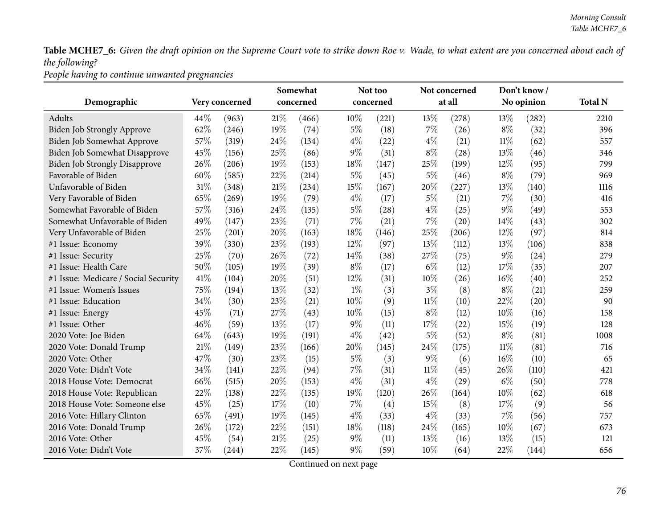*People having to continue unwanted pregnancies*

|                                      |      |                     |        | Somewhat  |       | Not too   |        | Not concerned |        | Don't know/ |                |
|--------------------------------------|------|---------------------|--------|-----------|-------|-----------|--------|---------------|--------|-------------|----------------|
| Demographic                          |      | Very concerned      |        | concerned |       | concerned |        | at all        |        | No opinion  | <b>Total N</b> |
| Adults                               | 44%  | (963)               | 21%    | (466)     | 10%   | (221)     | 13%    | (278)         | 13%    | (282)       | 2210           |
| Biden Job Strongly Approve           | 62%  | (246)               | 19%    | (74)      | $5\%$ | (18)      | 7%     | (26)          | $8\%$  | (32)        | 396            |
| Biden Job Somewhat Approve           | 57%  | (319)               | 24\%   | (134)     | $4\%$ | (22)      | $4\%$  | (21)          | $11\%$ | (62)        | 557            |
| Biden Job Somewhat Disapprove        | 45%  | (156)               | 25%    | (86)      | $9\%$ | (31)      | $8\%$  | (28)          | 13%    | (46)        | 346            |
| <b>Biden Job Strongly Disapprove</b> | 26%  | (206)               | 19%    | (153)     | 18%   | (147)     | 25%    | (199)         | 12%    | (95)        | 799            |
| Favorable of Biden                   | 60%  | (585)               | 22%    | (214)     | $5\%$ | (45)      | $5\%$  | (46)          | $8\%$  | (79)        | 969            |
| Unfavorable of Biden                 | 31%  | (348)               | $21\%$ | (234)     | 15%   | (167)     | 20%    | (227)         | 13%    | (140)       | 1116           |
| Very Favorable of Biden              | 65%  | (269)               | 19%    | (79)      | $4\%$ | (17)      | $5\%$  | (21)          | $7\%$  | (30)        | 416            |
| Somewhat Favorable of Biden          | 57%  | (316)               | 24\%   | (135)     | $5\%$ | (28)      | $4\%$  | (25)          | $9\%$  | (49)        | 553            |
| Somewhat Unfavorable of Biden        | 49%  | (147)               | 23%    | (71)      | $7\%$ | (21)      | 7%     | (20)          | 14%    | (43)        | 302            |
| Very Unfavorable of Biden            | 25%  | (201)               | 20%    | (163)     | 18%   | (146)     | 25%    | (206)         | 12%    | (97)        | 814            |
| #1 Issue: Economy                    | 39%  | (330)               | 23%    | (193)     | 12%   | (97)      | 13%    | (112)         | 13%    | (106)       | 838            |
| #1 Issue: Security                   | 25%  | (70)                | 26%    | (72)      | 14%   | (38)      | 27%    | (75)          | $9\%$  | (24)        | 279            |
| #1 Issue: Health Care                | 50%  | (105)               | 19%    | (39)      | $8\%$ | (17)      | $6\%$  | (12)          | 17\%   | (35)        | 207            |
| #1 Issue: Medicare / Social Security | 41\% | (104)               | 20%    | (51)      | 12%   | (31)      | 10%    | (26)          | 16%    | (40)        | 252            |
| #1 Issue: Women's Issues             | 75%  | (194)               | 13%    | (32)      | $1\%$ | (3)       | $3\%$  | (8)           | $8\%$  | (21)        | 259            |
| #1 Issue: Education                  | 34%  | (30)                | 23%    | (21)      | 10%   | (9)       | $11\%$ | (10)          | 22%    | (20)        | 90             |
| #1 Issue: Energy                     | 45%  | (71)                | 27%    | (43)      | 10%   | (15)      | $8\%$  | (12)          | 10%    | (16)        | 158            |
| #1 Issue: Other                      | 46%  | (59)                | 13%    | (17)      | $9\%$ | (11)      | 17%    | (22)          | 15%    | (19)        | 128            |
| 2020 Vote: Joe Biden                 | 64%  | (643)               | 19%    | (191)     | $4\%$ | (42)      | 5%     | (52)          | $8\%$  | (81)        | 1008           |
| 2020 Vote: Donald Trump              | 21%  | (149)               | 23%    | (166)     | 20%   | (145)     | 24%    | (175)         | $11\%$ | (81)        | 716            |
| 2020 Vote: Other                     | 47%  | (30)                | 23%    | (15)      | $5\%$ | (3)       | 9%     | (6)           | 16%    | (10)        | 65             |
| 2020 Vote: Didn't Vote               | 34%  | (141)               | 22%    | (94)      | $7\%$ | (31)      | $11\%$ | (45)          | 26%    | (110)       | 421            |
| 2018 House Vote: Democrat            | 66%  | (515)               | 20%    | (153)     | $4\%$ | (31)      | $4\%$  | (29)          | $6\%$  | (50)        | 778            |
| 2018 House Vote: Republican          | 22%  | (138)               | 22%    | (135)     | 19%   | (120)     | 26%    | (164)         | 10%    | (62)        | 618            |
| 2018 House Vote: Someone else        | 45%  | (25)                | 17%    | (10)      | $7\%$ | (4)       | 15%    | (8)           | 17%    | (9)         | 56             |
| 2016 Vote: Hillary Clinton           | 65%  | (491)               | 19%    | (145)     | $4\%$ | (33)      | $4\%$  | (33)          | $7\%$  | (56)        | 757            |
| 2016 Vote: Donald Trump              | 26%  | (172)               | 22%    | (151)     | 18%   | (118)     | 24%    | (165)         | 10%    | (67)        | 673            |
| 2016 Vote: Other                     | 45%  | (54)                | 21%    | (25)      | $9\%$ | (11)      | 13%    | (16)          | 13%    | (15)        | 121            |
| 2016 Vote: Didn't Vote               | 37%  | $\left( 244\right)$ | 22%    | (145)     | $9\%$ | (59)      | 10%    | (64)          | 22%    | (144)       | 656            |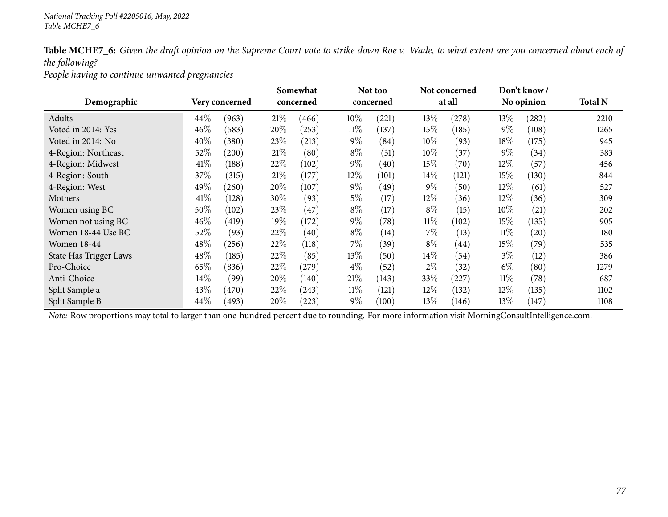*People having to continue unwanted pregnancies*

|                        |      |                |        | Somewhat  |        | Not too   |        | Not concerned |        | Don't know/ |                |
|------------------------|------|----------------|--------|-----------|--------|-----------|--------|---------------|--------|-------------|----------------|
| Demographic            |      | Very concerned |        | concerned |        | concerned |        | at all        |        | No opinion  | <b>Total N</b> |
| Adults                 | 44%  | (963)          | 21%    | (466)     | 10%    | (221)     | 13%    | (278)         | $13\%$ | (282)       | 2210           |
| Voted in 2014: Yes     | 46%  | (583)          | 20%    | (253)     | $11\%$ | (137)     | 15%    | (185)         | $9\%$  | (108)       | 1265           |
| Voted in 2014: No      | 40%  | (380)          | 23\%   | (213)     | $9\%$  | (84)      | $10\%$ | (93)          | $18\%$ | (175)       | 945            |
| 4-Region: Northeast    | 52%  | (200)          | 21%    | (80)      | $8\%$  | (31)      | 10%    | (37)          | $9\%$  | (34)        | 383            |
| 4-Region: Midwest      | 41\% | (188)          | 22\%   | (102)     | $9\%$  | (40)      | 15\%   | (70)          | 12\%   | (57)        | 456            |
| 4-Region: South        | 37\% | (315)          | 21%    | (177)     | $12\%$ | (101)     | $14\%$ | (121)         | 15%    | (130)       | 844            |
| 4-Region: West         | 49%  | 260            | 20%    | (107)     | $9\%$  | (49)      | $9\%$  | (50)          | 12%    | (61)        | 527            |
| Mothers                | 41\% | (128)          | $30\%$ | (93)      | $5\%$  | (17)      | 12\%   | (36)          | $12\%$ | (36)        | 309            |
| Women using BC         | 50%  | (102)          | 23%    | (47)      | $8\%$  | (17)      | $8\%$  | (15)          | $10\%$ | (21)        | 202            |
| Women not using BC     | 46%  | (419)          | 19%    | (172)     | $9\%$  | (78)      | $11\%$ | (102)         | 15%    | (135)       | 905            |
| Women 18-44 Use BC     | 52%  | (93)           | 22\%   | (40)      | $8\%$  | (14)      | $7\%$  | (13)          | $11\%$ | (20)        | 180            |
| <b>Women 18-44</b>     | 48%  | (256)          | 22%    | (118)     | $7\%$  | (39)      | $8\%$  | (44)          | $15\%$ | (79)        | 535            |
| State Has Trigger Laws | 48\% | (185)          | 22\%   | (85)      | 13%    | (50)      | 14\%   | (54)          | $3\%$  | (12)        | 386            |
| Pro-Choice             | 65%  | (836)          | 22\%   | (279)     | $4\%$  | (52)      | $2\%$  | (32)          | $6\%$  | (80)        | 1279           |
| Anti-Choice            | 14%  | (99)           | 20%    | (140)     | 21%    | (143)     | 33%    | 227           | $11\%$ | (78)        | 687            |
| Split Sample a         | 43%  | (470)          | 22\%   | (243)     | $11\%$ | (121)     | $12\%$ | (132)         | $12\%$ | (135)       | 1102           |
| Split Sample B         | 44%  | (493)          | 20%    | (223)     | $9\%$  | (100)     | 13%    | (146)         | 13\%   | (147)       | 1108           |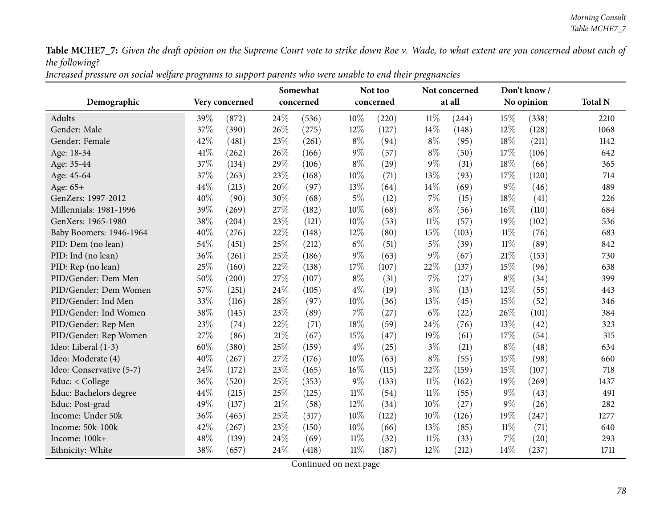Increased pressure on social welfare programs to support parents who were unable to end their pregnancies

|                          |      |                |        | Somewhat  |        | Not too   |        | Not concerned |        | Don't know/ |                |
|--------------------------|------|----------------|--------|-----------|--------|-----------|--------|---------------|--------|-------------|----------------|
| Demographic              |      | Very concerned |        | concerned |        | concerned |        | at all        |        | No opinion  | <b>Total N</b> |
| Adults                   | 39%  | (872)          | 24%    | (536)     | 10%    | (220)     | $11\%$ | (244)         | 15\%   | (338)       | 2210           |
| Gender: Male             | 37%  | (390)          | 26%    | (275)     | 12%    | (127)     | 14%    | (148)         | 12%    | (128)       | 1068           |
| Gender: Female           | 42\% | (481)          | 23%    | (261)     | $8\%$  | (94)      | $8\%$  | (95)          | 18%    | (211)       | 1142           |
| Age: 18-34               | 41\% | (262)          | 26%    | (166)     | $9\%$  | (57)      | $8\%$  | (50)          | 17%    | (106)       | 642            |
| Age: 35-44               | 37%  | (134)          | 29%    | (106)     | $8\%$  | (29)      | 9%     | (31)          | 18%    | (66)        | 365            |
| Age: 45-64               | 37%  | (263)          | 23%    | (168)     | $10\%$ | (71)      | 13%    | (93)          | 17%    | (120)       | 714            |
| Age: 65+                 | 44%  | (213)          | 20%    | (97)      | 13%    | (64)      | 14%    | (69)          | $9\%$  | (46)        | 489            |
| GenZers: 1997-2012       | 40%  | (90)           | 30%    | (68)      | $5\%$  | (12)      | 7%     | (15)          | 18%    | (41)        | 226            |
| Millennials: 1981-1996   | 39%  | (269)          | 27%    | (182)     | 10%    | (68)      | $8\%$  | (56)          | 16%    | (110)       | 684            |
| GenXers: 1965-1980       | 38%  | (204)          | 23%    | (121)     | 10%    | (53)      | $11\%$ | (57)          | 19%    | (102)       | 536            |
| Baby Boomers: 1946-1964  | 40%  | (276)          | 22%    | (148)     | 12%    | (80)      | 15%    | (103)         | $11\%$ | (76)        | 683            |
| PID: Dem (no lean)       | 54%  | (451)          | 25%    | (212)     | $6\%$  | (51)      | $5\%$  | (39)          | $11\%$ | (89)        | 842            |
| PID: Ind (no lean)       | 36%  | (261)          | 25%    | (186)     | $9\%$  | (63)      | 9%     | (67)          | 21%    | (153)       | 730            |
| PID: Rep (no lean)       | 25%  | (160)          | 22%    | (138)     | 17%    | (107)     | 22%    | (137)         | 15%    | (96)        | 638            |
| PID/Gender: Dem Men      | 50%  | (200)          | 27%    | (107)     | $8\%$  | (31)      | 7%     | (27)          | $8\%$  | (34)        | 399            |
| PID/Gender: Dem Women    | 57%  | (251)          | 24%    | (105)     | $4\%$  | (19)      | $3\%$  | (13)          | 12%    | (55)        | 443            |
| PID/Gender: Ind Men      | 33%  | (116)          | 28%    | (97)      | 10%    | (36)      | 13%    | (45)          | 15%    | (52)        | 346            |
| PID/Gender: Ind Women    | 38%  | (145)          | 23%    | (89)      | 7%     | (27)      | $6\%$  | (22)          | 26%    | (101)       | 384            |
| PID/Gender: Rep Men      | 23%  | (74)           | 22%    | (71)      | 18%    | (59)      | 24%    | (76)          | 13%    | (42)        | 323            |
| PID/Gender: Rep Women    | 27%  | (86)           | $21\%$ | (67)      | 15%    | (47)      | 19%    | (61)          | 17%    | (54)        | 315            |
| Ideo: Liberal (1-3)      | 60%  | (380)          | 25%    | (159)     | $4\%$  | (25)      | $3\%$  | (21)          | $8\%$  | (48)        | 634            |
| Ideo: Moderate (4)       | 40%  | (267)          | 27%    | (176)     | 10%    | (63)      | $8\%$  | (55)          | 15%    | (98)        | 660            |
| Ideo: Conservative (5-7) | 24%  | (172)          | 23%    | (165)     | 16%    | (115)     | 22%    | (159)         | 15%    | (107)       | 718            |
| Educ: < College          | 36%  | (520)          | 25%    | (353)     | 9%     | (133)     | $11\%$ | (162)         | 19%    | (269)       | 1437           |
| Educ: Bachelors degree   | 44%  | (215)          | 25%    | (125)     | $11\%$ | (54)      | $11\%$ | (55)          | $9\%$  | (43)        | 491            |
| Educ: Post-grad          | 49%  | (137)          | $21\%$ | (58)      | 12%    | (34)      | 10%    | (27)          | $9\%$  | (26)        | 282            |
| Income: Under 50k        | 36%  | (465)          | 25%    | (317)     | 10%    | (122)     | 10%    | (126)         | 19%    | (247)       | 1277           |
| Income: 50k-100k         | 42%  | (267)          | 23%    | (150)     | 10%    | (66)      | 13%    | (85)          | $11\%$ | (71)        | 640            |
| Income: 100k+            | 48%  | (139)          | 24%    | (69)      | 11%    | (32)      | $11\%$ | (33)          | 7%     | (20)        | 293            |
| Ethnicity: White         | 38%  | (657)          | 24%    | (418)     | $11\%$ | (187)     | 12%    | (212)         | 14%    | (237)       | 1711           |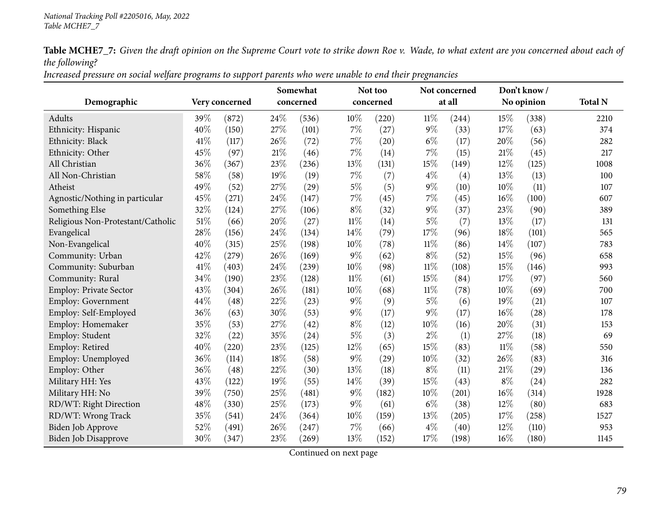Increased pressure on social welfare programs to support parents who were unable to end their pregnancies

|                                   |        |                |      | Somewhat  |        | Not too   |        | Not concerned |        | Don't know/ |                |
|-----------------------------------|--------|----------------|------|-----------|--------|-----------|--------|---------------|--------|-------------|----------------|
| Demographic                       |        | Very concerned |      | concerned |        | concerned |        | at all        |        | No opinion  | <b>Total N</b> |
| Adults                            | 39%    | (872)          | 24%  | (536)     | 10%    | (220)     | 11%    | (244)         | 15%    | (338)       | 2210           |
| Ethnicity: Hispanic               | 40%    | (150)          | 27%  | (101)     | $7\%$  | (27)      | $9\%$  | (33)          | 17%    | (63)        | 374            |
| Ethnicity: Black                  | 41\%   | (117)          | 26%  | (72)      | $7\%$  | (20)      | $6\%$  | (17)          | 20%    | (56)        | 282            |
| Ethnicity: Other                  | 45%    | (97)           | 21\% | (46)      | $7\%$  | (14)      | $7\%$  | (15)          | 21%    | (45)        | 217            |
| All Christian                     | 36%    | (367)          | 23%  | (236)     | 13%    | (131)     | 15%    | (149)         | 12%    | (125)       | 1008           |
| All Non-Christian                 | 58%    | (58)           | 19%  | (19)      | $7\%$  | (7)       | $4\%$  | (4)           | 13%    | (13)        | 100            |
| Atheist                           | 49%    | (52)           | 27%  | (29)      | $5\%$  | (5)       | $9\%$  | (10)          | 10%    | (11)        | 107            |
| Agnostic/Nothing in particular    | 45%    | (271)          | 24%  | (147)     | $7\%$  | (45)      | 7%     | (45)          | 16%    | (100)       | 607            |
| Something Else                    | 32%    | (124)          | 27%  | (106)     | $8\%$  | (32)      | $9\%$  | (37)          | 23%    | (90)        | 389            |
| Religious Non-Protestant/Catholic | $51\%$ | (66)           | 20%  | (27)      | $11\%$ | (14)      | $5\%$  | (7)           | 13%    | (17)        | 131            |
| Evangelical                       | 28%    | (156)          | 24%  | (134)     | 14%    | (79)      | 17%    | (96)          | 18%    | (101)       | 565            |
| Non-Evangelical                   | 40%    | (315)          | 25%  | (198)     | 10%    | (78)      | 11%    | (86)          | 14%    | (107)       | 783            |
| Community: Urban                  | 42%    | (279)          | 26%  | (169)     | $9\%$  | (62)      | $8\%$  | (52)          | 15%    | (96)        | 658            |
| Community: Suburban               | 41\%   | (403)          | 24%  | (239)     | 10%    | (98)      | $11\%$ | (108)         | 15%    | (146)       | 993            |
| Community: Rural                  | 34%    | (190)          | 23%  | (128)     | $11\%$ | (61)      | 15%    | (84)          | 17%    | (97)        | 560            |
| Employ: Private Sector            | 43%    | (304)          | 26%  | (181)     | 10%    | (68)      | $11\%$ | (78)          | 10%    | (69)        | 700            |
| <b>Employ: Government</b>         | 44%    | (48)           | 22%  | (23)      | $9\%$  | (9)       | $5\%$  | (6)           | 19%    | (21)        | 107            |
| Employ: Self-Employed             | 36%    | (63)           | 30%  | (53)      | $9\%$  | (17)      | $9\%$  | (17)          | 16%    | (28)        | 178            |
| Employ: Homemaker                 | 35%    | (53)           | 27%  | (42)      | $8\%$  | (12)      | 10%    | (16)          | 20%    | (31)        | 153            |
| Employ: Student                   | 32%    | (22)           | 35%  | (24)      | $5\%$  | (3)       | $2\%$  | (1)           | 27%    | (18)        | 69             |
| Employ: Retired                   | 40%    | (220)          | 23%  | (125)     | 12%    | (65)      | 15%    | (83)          | $11\%$ | (58)        | 550            |
| Employ: Unemployed                | 36%    | (114)          | 18%  | (58)      | $9\%$  | (29)      | 10%    | (32)          | 26%    | (83)        | 316            |
| Employ: Other                     | 36%    | (48)           | 22%  | (30)      | 13%    | (18)      | $8\%$  | (11)          | 21%    | (29)        | 136            |
| Military HH: Yes                  | 43%    | (122)          | 19%  | (55)      | 14%    | (39)      | 15%    | (43)          | $8\%$  | (24)        | 282            |
| Military HH: No                   | 39%    | (750)          | 25%  | (481)     | $9\%$  | (182)     | 10%    | (201)         | 16%    | (314)       | 1928           |
| RD/WT: Right Direction            | 48%    | (330)          | 25%  | (173)     | $9\%$  | (61)      | $6\%$  | (38)          | 12%    | (80)        | 683            |
| RD/WT: Wrong Track                | 35%    | (541)          | 24%  | (364)     | 10%    | (159)     | 13%    | (205)         | 17%    | (258)       | 1527           |
| Biden Job Approve                 | 52%    | (491)          | 26%  | (247)     | $7\%$  | (66)      | $4\%$  | (40)          | 12%    | (110)       | 953            |
| <b>Biden Job Disapprove</b>       | 30%    | (347)          | 23%  | (269)     | 13%    | (152)     | 17%    | (198)         | 16%    | (180)       | 1145           |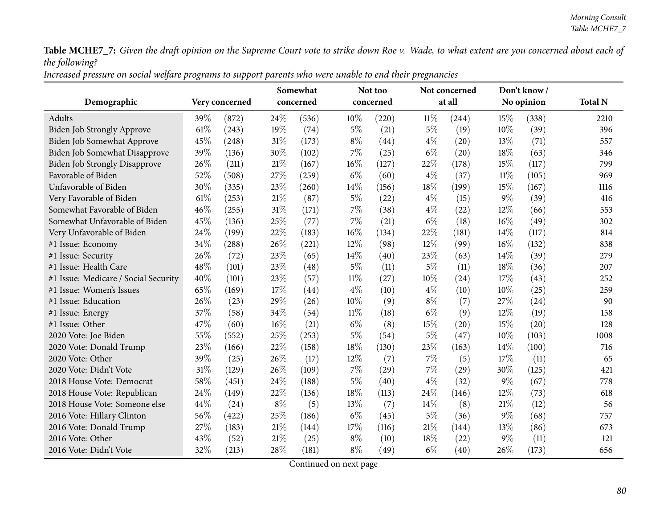Increased pressure on social welfare programs to support parents who were unable to end their pregnancies

|                                      |        |                |        | Somewhat           |        | Not too   |        | Not concerned |        | Don't know/ |                |
|--------------------------------------|--------|----------------|--------|--------------------|--------|-----------|--------|---------------|--------|-------------|----------------|
| Demographic                          |        | Very concerned |        | concerned          |        | concerned |        | at all        |        | No opinion  | <b>Total N</b> |
| Adults                               | 39%    | (872)          | 24\%   | (536)              | 10%    | (220)     | $11\%$ | (244)         | 15%    | (338)       | 2210           |
| Biden Job Strongly Approve           | 61\%   | (243)          | 19%    | (74)               | $5\%$  | (21)      | 5%     | (19)          | 10%    | (39)        | 396            |
| Biden Job Somewhat Approve           | 45%    | (248)          | 31%    | (173)              | $8\%$  | (44)      | $4\%$  | (20)          | 13%    | (71)        | 557            |
| Biden Job Somewhat Disapprove        | 39%    | (136)          | 30%    | (102)              | 7%     | (25)      | $6\%$  | (20)          | 18%    | (63)        | 346            |
| <b>Biden Job Strongly Disapprove</b> | 26%    | (211)          | 21%    | (167)              | 16%    | (127)     | 22%    | (178)         | 15%    | (117)       | 799            |
| Favorable of Biden                   | 52%    | (508)          | 27%    | (259)              | $6\%$  | (60)      | $4\%$  | (37)          | $11\%$ | (105)       | 969            |
| Unfavorable of Biden                 | 30%    | (335)          | 23%    | (260)              | 14%    | (156)     | 18%    | (199)         | 15%    | (167)       | 1116           |
| Very Favorable of Biden              | $61\%$ | (253)          | 21\%   | (87)               | $5\%$  | (22)      | $4\%$  | (15)          | $9\%$  | (39)        | 416            |
| Somewhat Favorable of Biden          | 46%    | (255)          | 31%    | (171)              | $7\%$  | (38)      | $4\%$  | (22)          | $12\%$ | (66)        | 553            |
| Somewhat Unfavorable of Biden        | 45%    | (136)          | 25%    | (77)               | 7%     | (21)      | $6\%$  | (18)          | $16\%$ | (49)        | 302            |
| Very Unfavorable of Biden            | 24%    | (199)          | 22%    | (183)              | 16%    | (134)     | 22%    | (181)         | 14%    | (117)       | 814            |
| #1 Issue: Economy                    | 34%    | (288)          | 26%    | (221)              | 12%    | (98)      | 12%    | (99)          | $16\%$ | (132)       | 838            |
| #1 Issue: Security                   | 26%    | (72)           | 23%    | (65)               | 14\%   | (40)      | 23%    | (63)          | 14%    | (39)        | 279            |
| #1 Issue: Health Care                | 48%    | (101)          | 23%    | (48)               | $5\%$  | (11)      | 5%     | (11)          | 18%    | (36)        | 207            |
| #1 Issue: Medicare / Social Security | 40%    | (101)          | 23%    | (57)               | $11\%$ | (27)      | 10%    | (24)          | 17%    | (43)        | 252            |
| #1 Issue: Women's Issues             | 65%    | (169)          | 17%    | $\left( 44\right)$ | $4\%$  | (10)      | $4\%$  | (10)          | 10%    | (25)        | 259            |
| #1 Issue: Education                  | 26%    | (23)           | 29%    | (26)               | 10%    | (9)       | $8\%$  | (7)           | 27\%   | (24)        | 90             |
| #1 Issue: Energy                     | 37%    | (58)           | 34%    | (54)               | $11\%$ | (18)      | $6\%$  | (9)           | 12%    | (19)        | 158            |
| #1 Issue: Other                      | 47\%   | (60)           | 16%    | (21)               | $6\%$  | (8)       | 15%    | (20)          | 15%    | (20)        | 128            |
| 2020 Vote: Joe Biden                 | 55%    | (552)          | 25%    | (253)              | $5\%$  | (54)      | 5%     | (47)          | 10%    | (103)       | 1008           |
| 2020 Vote: Donald Trump              | 23%    | (166)          | 22%    | (158)              | 18%    | (130)     | 23%    | (163)         | 14%    | (100)       | 716            |
| 2020 Vote: Other                     | 39%    | (25)           | 26%    | (17)               | 12%    | (7)       | 7%     | (5)           | 17\%   | (11)        | 65             |
| 2020 Vote: Didn't Vote               | 31%    | (129)          | 26%    | (109)              | 7%     | (29)      | 7%     | (29)          | 30%    | (125)       | 421            |
| 2018 House Vote: Democrat            | 58%    | (451)          | 24%    | (188)              | $5\%$  | (40)      | $4\%$  | (32)          | $9\%$  | (67)        | 778            |
| 2018 House Vote: Republican          | 24%    | (149)          | 22%    | (136)              | 18%    | (113)     | 24%    | (146)         | 12%    | (73)        | 618            |
| 2018 House Vote: Someone else        | 44%    | (24)           | $8\%$  | (5)                | 13%    | (7)       | 14%    | (8)           | 21\%   | (12)        | 56             |
| 2016 Vote: Hillary Clinton           | 56%    | (422)          | 25%    | (186)              | $6\%$  | (45)      | $5\%$  | (36)          | $9\%$  | (68)        | 757            |
| 2016 Vote: Donald Trump              | 27%    | (183)          | $21\%$ | (144)              | 17%    | (116)     | 21%    | (144)         | 13%    | (86)        | 673            |
| 2016 Vote: Other                     | 43%    | (52)           | 21%    | (25)               | $8\%$  | (10)      | 18%    | (22)          | $9\%$  | (11)        | 121            |
| 2016 Vote: Didn't Vote               | 32%    | (213)          | 28%    | (181)              | $8\%$  | (49)      | $6\%$  | (40)          | 26%    | (173)       | 656            |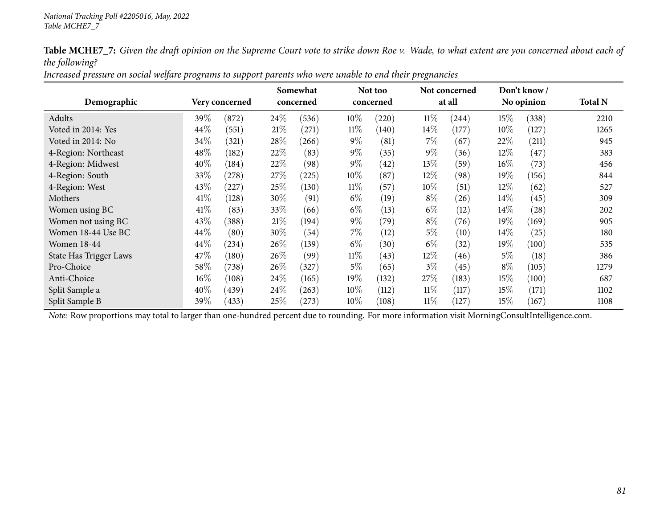| Increased pressure on social welfare programs to support parents who were unable to end their pregnancies |
|-----------------------------------------------------------------------------------------------------------|
|-----------------------------------------------------------------------------------------------------------|

|                               |        |                |        | Somewhat  |        | Not too   |        | Not concerned |        | Don't know/ |                |
|-------------------------------|--------|----------------|--------|-----------|--------|-----------|--------|---------------|--------|-------------|----------------|
| Demographic                   |        | Very concerned |        | concerned |        | concerned |        | at all        |        | No opinion  | <b>Total N</b> |
| Adults                        | 39%    | (872)          | 24\%   | (536)     | 10%    | (220)     | $11\%$ | (244)         | 15%    | (338)       | 2210           |
| Voted in 2014: Yes            | 44%    | (551)          | 21%    | (271)     | $11\%$ | (140)     | $14\%$ | (177)         | $10\%$ | (127)       | 1265           |
| Voted in 2014: No             | 34%    | (321)          | 28\%   | (266)     | $9\%$  | (81)      | $7\%$  | (67)          | 22%    | (211)       | 945            |
| 4-Region: Northeast           | 48%    | (182)          | 22\%   | (83)      | $9\%$  | (35)      | $9\%$  | (36)          | $12\%$ | (47)        | 383            |
| 4-Region: Midwest             | 40%    | (184)          | 22\%   | (98)      | $9\%$  | (42)      | 13\%   | (59)          | $16\%$ | (73)        | 456            |
| 4-Region: South               | 33%    | (278)          | 27%    | (225)     | 10%    | (87)      | 12\%   | (98)          | $19\%$ | (156)       | 844            |
| 4-Region: West                | 43%    | (227)          | $25\%$ | (130)     | $11\%$ | (57)      | $10\%$ | (51)          | 12%    | (62)        | 527            |
| Mothers                       | 41\%   | (128)          | 30\%   | (91)      | $6\%$  | (19)      | $8\%$  | (26)          | $14\%$ | (45)        | 309            |
| Women using BC                | 41\%   | (83)           | $33\%$ | (66)      | $6\%$  | (13)      | $6\%$  | (12)          | $14\%$ | (28)        | 202            |
| Women not using BC            | 43%    | (388)          | $21\%$ | (194)     | $9\%$  | (79)      | $8\%$  | (76)          | 19%    | (169)       | 905            |
| Women 18-44 Use BC            | 44%    | (80)           | 30%    | (54)      | $7\%$  | (12)      | $5\%$  | (10)          | $14\%$ | (25)        | 180            |
| <b>Women 18-44</b>            | 44%    | (234)          | 26\%   | (139)     | $6\%$  | (30)      | $6\%$  | (32)          | $19\%$ | (100)       | 535            |
| <b>State Has Trigger Laws</b> | 47\%   | (180)          | 26\%   | (99`      | $11\%$ | (43)      | $12\%$ | (46)          | $5\%$  | (18)        | 386            |
| Pro-Choice                    | 58%    | (738)          | 26\%   | (327)     | 5%     | (65)      | $3\%$  | (45)          | $8\%$  | (105)       | 1279           |
| Anti-Choice                   | $16\%$ | (108)          | 24\%   | (165)     | 19%    | (132)     | 27\%   | (183)         | 15%    | (100)       | 687            |
| Split Sample a                | 40%    | (439)          | 24\%   | (263)     | $10\%$ | (112)     | $11\%$ | (117)         | 15%    | (171)       | 1102           |
| Split Sample B                | 39%    | (433)          | $25\%$ | (273)     | 10%    | (108)     | $11\%$ | (127)         | 15%    | (167)       | 1108           |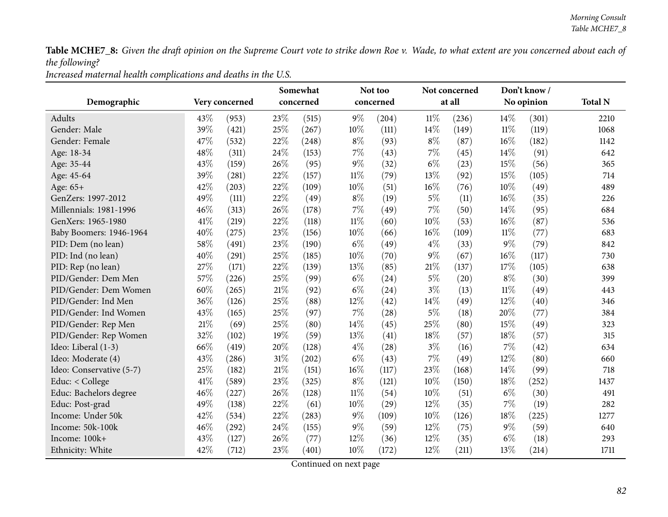*Increased maternal health complications and deaths in the U.S.*

|                          |        |                |        | Somewhat  |        | Not too   |        | Not concerned |        | Don't know/ |                |
|--------------------------|--------|----------------|--------|-----------|--------|-----------|--------|---------------|--------|-------------|----------------|
| Demographic              |        | Very concerned |        | concerned |        | concerned |        | at all        |        | No opinion  | <b>Total N</b> |
| Adults                   | 43\%   | (953)          | 23%    | (515)     | $9\%$  | (204)     | $11\%$ | (236)         | 14%    | (301)       | 2210           |
| Gender: Male             | 39%    | (421)          | 25%    | (267)     | $10\%$ | (111)     | 14%    | (149)         | $11\%$ | (119)       | 1068           |
| Gender: Female           | 47\%   | (532)          | 22%    | (248)     | $8\%$  | (93)      | $8\%$  | (87)          | 16%    | (182)       | 1142           |
| Age: 18-34               | 48%    | (311)          | 24%    | (153)     | $7\%$  | (43)      | 7%     | (45)          | 14%    | (91)        | 642            |
| Age: 35-44               | 43%    | (159)          | 26%    | (95)      | $9\%$  | (32)      | $6\%$  | (23)          | 15%    | (56)        | 365            |
| Age: 45-64               | 39%    | (281)          | 22%    | (157)     | $11\%$ | (79)      | 13%    | (92)          | 15%    | (105)       | 714            |
| Age: 65+                 | 42%    | (203)          | 22%    | (109)     | $10\%$ | (51)      | 16%    | (76)          | 10%    | (49)        | 489            |
| GenZers: 1997-2012       | 49%    | (111)          | 22%    | (49)      | $8\%$  | (19)      | $5\%$  | (11)          | 16%    | (35)        | 226            |
| Millennials: 1981-1996   | 46%    | (313)          | 26%    | (178)     | $7\%$  | (49)      | 7%     | (50)          | 14\%   | (95)        | 684            |
| GenXers: 1965-1980       | 41\%   | (219)          | 22%    | (118)     | $11\%$ | (60)      | 10%    | (53)          | 16%    | (87)        | 536            |
| Baby Boomers: 1946-1964  | 40%    | (275)          | 23%    | (156)     | $10\%$ | (66)      | 16%    | (109)         | $11\%$ | (77)        | 683            |
| PID: Dem (no lean)       | 58%    | (491)          | 23%    | (190)     | $6\%$  | (49)      | $4\%$  | (33)          | $9\%$  | (79)        | 842            |
| PID: Ind (no lean)       | 40%    | (291)          | $25\%$ | (185)     | $10\%$ | (70)      | $9\%$  | (67)          | 16%    | (117)       | 730            |
| PID: Rep (no lean)       | 27%    | (171)          | 22%    | (139)     | 13%    | (85)      | 21%    | (137)         | 17%    | (105)       | 638            |
| PID/Gender: Dem Men      | 57%    | (226)          | 25%    | (99)      | $6\%$  | (24)      | $5\%$  | (20)          | $8\%$  | (30)        | 399            |
| PID/Gender: Dem Women    | 60%    | (265)          | $21\%$ | (92)      | $6\%$  | (24)      | $3\%$  | (13)          | $11\%$ | (49)        | 443            |
| PID/Gender: Ind Men      | 36%    | (126)          | 25%    | (88)      | 12%    | (42)      | 14%    | (49)          | 12%    | (40)        | 346            |
| PID/Gender: Ind Women    | 43%    | (165)          | 25%    | (97)      | $7\%$  | (28)      | $5\%$  | (18)          | 20%    | (77)        | 384            |
| PID/Gender: Rep Men      | $21\%$ | (69)           | 25%    | (80)      | 14%    | (45)      | 25%    | (80)          | 15%    | (49)        | 323            |
| PID/Gender: Rep Women    | 32%    | (102)          | $19\%$ | (59)      | 13%    | (41)      | 18%    | (57)          | 18%    | (57)        | 315            |
| Ideo: Liberal (1-3)      | 66%    | (419)          | 20%    | (128)     | $4\%$  | (28)      | $3\%$  | (16)          | 7%     | (42)        | 634            |
| Ideo: Moderate (4)       | 43%    | (286)          | 31%    | (202)     | $6\%$  | (43)      | 7%     | (49)          | 12%    | (80)        | 660            |
| Ideo: Conservative (5-7) | 25%    | (182)          | $21\%$ | (151)     | $16\%$ | (117)     | 23%    | (168)         | 14%    | (99)        | 718            |
| Educ: < College          | 41\%   | (589)          | 23\%   | (325)     | $8\%$  | (121)     | 10%    | (150)         | 18%    | (252)       | 1437           |
| Educ: Bachelors degree   | 46%    | (227)          | 26%    | (128)     | $11\%$ | (54)      | 10%    | (51)          | $6\%$  | (30)        | 491            |
| Educ: Post-grad          | 49%    | (138)          | 22%    | (61)      | $10\%$ | (29)      | 12%    | (35)          | 7%     | (19)        | 282            |
| Income: Under 50k        | 42%    | (534)          | 22%    | (283)     | $9\%$  | (109)     | 10%    | (126)         | 18%    | (225)       | 1277           |
| Income: 50k-100k         | 46%    | (292)          | 24\%   | (155)     | $9\%$  | (59)      | 12%    | (75)          | $9\%$  | (59)        | 640            |
| Income: 100k+            | 43\%   | (127)          | 26%    | (77)      | 12%    | (36)      | 12%    | (35)          | $6\%$  | (18)        | 293            |
| Ethnicity: White         | 42%    | (712)          | 23%    | (401)     | 10%    | (172)     | 12%    | (211)         | 13%    | (214)       | 1711           |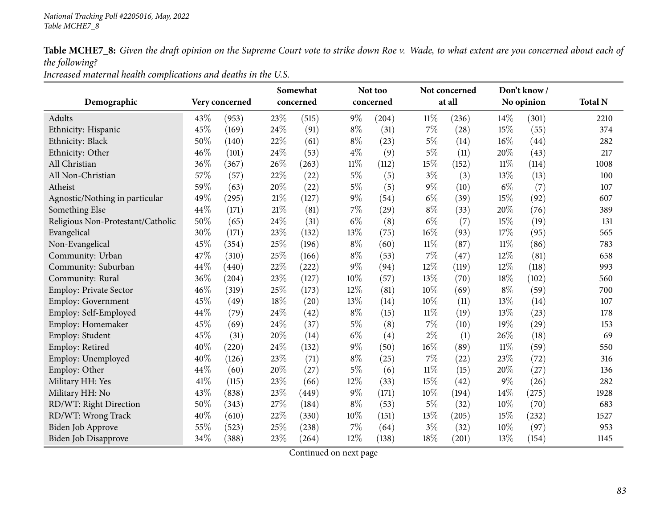*Increased maternal health complications and deaths in the U.S.*

|                                   |      |                |        | Somewhat  |        | Not too   |        | Not concerned |        | Don't know/ |                |
|-----------------------------------|------|----------------|--------|-----------|--------|-----------|--------|---------------|--------|-------------|----------------|
| Demographic                       |      | Very concerned |        | concerned |        | concerned |        | at all        |        | No opinion  | <b>Total N</b> |
| Adults                            | 43%  | (953)          | 23%    | (515)     | $9\%$  | (204)     | 11%    | (236)         | $14\%$ | (301)       | 2210           |
| Ethnicity: Hispanic               | 45%  | (169)          | 24%    | (91)      | $8\%$  | (31)      | $7\%$  | (28)          | 15%    | (55)        | 374            |
| Ethnicity: Black                  | 50%  | (140)          | 22%    | (61)      | $8\%$  | (23)      | $5\%$  | (14)          | 16%    | (44)        | 282            |
| Ethnicity: Other                  | 46%  | (101)          | 24%    | (53)      | $4\%$  | (9)       | $5\%$  | (11)          | 20%    | (43)        | 217            |
| All Christian                     | 36%  | (367)          | 26%    | (263)     | $11\%$ | (112)     | 15%    | (152)         | 11%    | (114)       | 1008           |
| All Non-Christian                 | 57%  | (57)           | 22%    | (22)      | $5\%$  | (5)       | $3\%$  | (3)           | 13%    | (13)        | 100            |
| Atheist                           | 59%  | (63)           | 20%    | (22)      | $5\%$  | (5)       | $9\%$  | (10)          | $6\%$  | (7)         | 107            |
| Agnostic/Nothing in particular    | 49%  | (295)          | $21\%$ | (127)     | $9\%$  | (54)      | $6\%$  | (39)          | 15%    | (92)        | 607            |
| Something Else                    | 44%  | (171)          | $21\%$ | (81)      | $7\%$  | (29)      | $8\%$  | (33)          | 20%    | (76)        | 389            |
| Religious Non-Protestant/Catholic | 50%  | (65)           | 24%    | (31)      | $6\%$  | (8)       | $6\%$  | (7)           | 15%    | (19)        | 131            |
| Evangelical                       | 30%  | (171)          | 23%    | (132)     | 13%    | (75)      | 16%    | (93)          | 17%    | (95)        | 565            |
| Non-Evangelical                   | 45%  | (354)          | 25%    | (196)     | $8\%$  | (60)      | $11\%$ | (87)          | $11\%$ | (86)        | 783            |
| Community: Urban                  | 47%  | (310)          | 25%    | (166)     | $8\%$  | (53)      | $7\%$  | (47)          | 12%    | (81)        | 658            |
| Community: Suburban               | 44%  | (440)          | 22%    | (222)     | 9%     | (94)      | 12%    | (119)         | 12%    | (118)       | 993            |
| Community: Rural                  | 36%  | (204)          | 23%    | (127)     | 10%    | (57)      | 13%    | (70)          | 18%    | (102)       | 560            |
| Employ: Private Sector            | 46%  | (319)          | 25%    | (173)     | 12%    | (81)      | 10%    | (69)          | $8\%$  | (59)        | 700            |
| Employ: Government                | 45%  | (49)           | 18%    | (20)      | 13%    | (14)      | 10%    | (11)          | 13%    | (14)        | 107            |
| Employ: Self-Employed             | 44%  | (79)           | 24\%   | (42)      | $8\%$  | (15)      | $11\%$ | (19)          | 13%    | (23)        | 178            |
| Employ: Homemaker                 | 45%  | (69)           | 24%    | (37)      | $5\%$  | (8)       | 7%     | (10)          | 19%    | (29)        | 153            |
| Employ: Student                   | 45%  | (31)           | 20%    | (14)      | $6\%$  | (4)       | $2\%$  | (1)           | 26%    | (18)        | 69             |
| Employ: Retired                   | 40%  | (220)          | 24%    | (132)     | $9\%$  | (50)      | $16\%$ | (89)          | $11\%$ | (59)        | 550            |
| Employ: Unemployed                | 40%  | (126)          | 23%    | (71)      | $8\%$  | (25)      | 7%     | (22)          | 23%    | (72)        | 316            |
| Employ: Other                     | 44%  | (60)           | 20%    | (27)      | $5\%$  | (6)       | $11\%$ | (15)          | 20%    | (27)        | 136            |
| Military HH: Yes                  | 41\% | (115)          | 23%    | (66)      | 12%    | (33)      | 15%    | (42)          | $9\%$  | (26)        | 282            |
| Military HH: No                   | 43%  | (838)          | 23%    | (449)     | $9\%$  | (171)     | 10%    | (194)         | 14%    | (275)       | 1928           |
| RD/WT: Right Direction            | 50%  | (343)          | 27%    | (184)     | $8\%$  | (53)      | $5\%$  | (32)          | 10%    | (70)        | 683            |
| RD/WT: Wrong Track                | 40%  | (610)          | 22%    | (330)     | 10%    | (151)     | 13%    | (205)         | 15%    | (232)       | 1527           |
| Biden Job Approve                 | 55%  | (523)          | 25%    | (238)     | 7%     | (64)      | $3\%$  | (32)          | 10%    | (97)        | 953            |
| Biden Job Disapprove              | 34%  | (388)          | 23%    | (264)     | 12%    | (138)     | 18%    | (201)         | 13%    | (154)       | 1145           |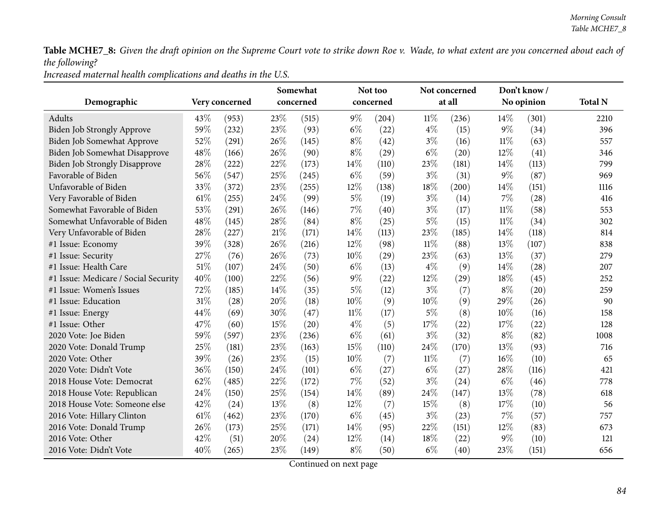*Increased maternal health complications and deaths in the U.S.*

| Demographic                          |      | Very concerned |        | Somewhat<br>concerned |        | Not too<br>concerned |        | Not concerned<br>at all |        | Don't know/<br>No opinion | <b>Total N</b> |
|--------------------------------------|------|----------------|--------|-----------------------|--------|----------------------|--------|-------------------------|--------|---------------------------|----------------|
|                                      |      |                |        |                       |        |                      |        |                         |        |                           |                |
| Adults                               | 43%  | (953)          | 23%    | (515)                 | $9\%$  | (204)                | $11\%$ | (236)                   | 14%    | (301)                     | 2210           |
| Biden Job Strongly Approve           | 59%  | (232)          | 23%    | (93)                  | $6\%$  | (22)                 | $4\%$  | (15)                    | $9\%$  | (34)                      | 396            |
| Biden Job Somewhat Approve           | 52%  | (291)          | 26%    | (145)                 | $8\%$  | (42)                 | $3\%$  | (16)                    | $11\%$ | (63)                      | 557            |
| Biden Job Somewhat Disapprove        | 48%  | (166)          | 26%    | (90)                  | $8\%$  | (29)                 | $6\%$  | (20)                    | 12%    | (41)                      | 346            |
| <b>Biden Job Strongly Disapprove</b> | 28%  | (222)          | 22%    | (173)                 | 14%    | (110)                | 23%    | (181)                   | 14%    | (113)                     | 799            |
| Favorable of Biden                   | 56%  | (547)          | 25%    | (245)                 | $6\%$  | (59)                 | $3\%$  | (31)                    | $9\%$  | (87)                      | 969            |
| Unfavorable of Biden                 | 33%  | (372)          | 23%    | (255)                 | 12%    | (138)                | 18%    | (200)                   | 14%    | (151)                     | 1116           |
| Very Favorable of Biden              | 61\% | (255)          | 24%    | (99)                  | $5\%$  | (19)                 | $3\%$  | (14)                    | $7\%$  | (28)                      | 416            |
| Somewhat Favorable of Biden          | 53%  | (291)          | 26%    | (146)                 | $7\%$  | (40)                 | $3\%$  | (17)                    | $11\%$ | (58)                      | 553            |
| Somewhat Unfavorable of Biden        | 48%  | (145)          | 28%    | (84)                  | $8\%$  | (25)                 | $5\%$  | (15)                    | $11\%$ | (34)                      | 302            |
| Very Unfavorable of Biden            | 28%  | (227)          | $21\%$ | (171)                 | 14%    | (113)                | 23%    | (185)                   | 14%    | (118)                     | 814            |
| #1 Issue: Economy                    | 39%  | (328)          | 26%    | (216)                 | 12%    | (98)                 | $11\%$ | (88)                    | 13%    | (107)                     | 838            |
| #1 Issue: Security                   | 27%  | (76)           | 26%    | (73)                  | 10%    | (29)                 | 23%    | (63)                    | 13%    | (37)                      | 279            |
| #1 Issue: Health Care                | 51%  | (107)          | 24%    | (50)                  | $6\%$  | (13)                 | $4\%$  | (9)                     | 14%    | (28)                      | 207            |
| #1 Issue: Medicare / Social Security | 40%  | (100)          | 22%    | (56)                  | $9\%$  | (22)                 | $12\%$ | (29)                    | 18%    | (45)                      | 252            |
| #1 Issue: Women's Issues             | 72%  | (185)          | 14%    | (35)                  | $5\%$  | (12)                 | $3\%$  | (7)                     | $8\%$  | (20)                      | 259            |
| #1 Issue: Education                  | 31%  | (28)           | 20%    | (18)                  | 10%    | (9)                  | 10%    | (9)                     | 29%    | (26)                      | 90             |
| #1 Issue: Energy                     | 44%  | (69)           | 30%    | (47)                  | $11\%$ | (17)                 | $5\%$  | (8)                     | 10%    | (16)                      | 158            |
| #1 Issue: Other                      | 47%  | (60)           | 15%    | (20)                  | $4\%$  | (5)                  | 17%    | (22)                    | 17%    | (22)                      | 128            |
| 2020 Vote: Joe Biden                 | 59%  | (597)          | 23%    | (236)                 | $6\%$  | (61)                 | $3\%$  | (32)                    | $8\%$  | (82)                      | 1008           |
| 2020 Vote: Donald Trump              | 25%  | (181)          | 23%    | (163)                 | 15%    | (110)                | 24\%   | (170)                   | 13%    | (93)                      | 716            |
| 2020 Vote: Other                     | 39%  | (26)           | 23%    | (15)                  | 10%    | (7)                  | $11\%$ | (7)                     | 16%    | (10)                      | 65             |
| 2020 Vote: Didn't Vote               | 36%  | (150)          | 24\%   | (101)                 | $6\%$  | (27)                 | $6\%$  | (27)                    | 28%    | (116)                     | 421            |
| 2018 House Vote: Democrat            | 62%  | (485)          | 22%    | (172)                 | 7%     | (52)                 | $3\%$  | (24)                    | $6\%$  | (46)                      | 778            |
| 2018 House Vote: Republican          | 24%  | (150)          | 25%    | (154)                 | 14%    | (89)                 | 24%    | (147)                   | 13%    | (78)                      | 618            |
| 2018 House Vote: Someone else        | 42%  | (24)           | 13%    | (8)                   | 12%    | (7)                  | 15%    | (8)                     | 17%    | (10)                      | 56             |
| 2016 Vote: Hillary Clinton           | 61%  | (462)          | 23%    | (170)                 | $6\%$  | (45)                 | $3\%$  | (23)                    | $7\%$  | (57)                      | 757            |
| 2016 Vote: Donald Trump              | 26%  | (173)          | 25%    | (171)                 | 14%    | (95)                 | 22%    | (151)                   | 12%    | (83)                      | 673            |
| 2016 Vote: Other                     | 42%  | (51)           | 20%    | (24)                  | 12%    | (14)                 | 18%    | (22)                    | $9\%$  | (10)                      | 121            |
| 2016 Vote: Didn't Vote               | 40%  | (265)          | 23%    | (149)                 | $8\%$  | (50)                 | $6\%$  | (40)                    | 23%    | (151)                     | 656            |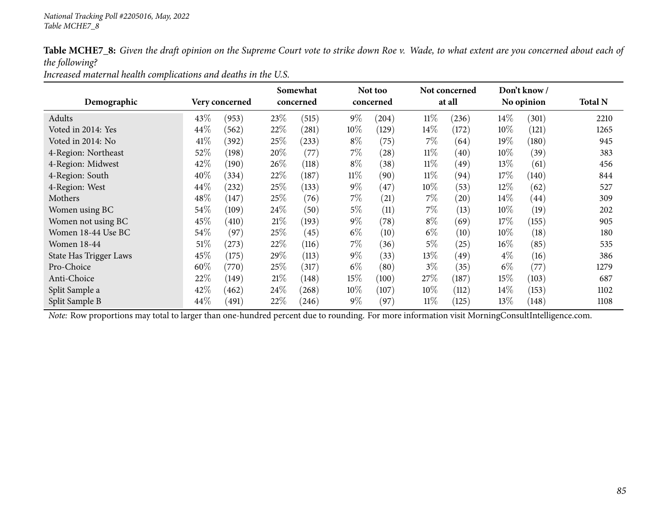*Increased maternal health complications and deaths in the U.S.*

|                               |        |                |        | Somewhat   |        | Not too   |        | Not concerned      |        | Don't know / |                |
|-------------------------------|--------|----------------|--------|------------|--------|-----------|--------|--------------------|--------|--------------|----------------|
| Demographic                   |        | Very concerned |        | concerned  |        | concerned |        | at all             |        | No opinion   | <b>Total N</b> |
| Adults                        | 43\%   | (953)          | 23\%   | (515)      | $9\%$  | (204)     | $11\%$ | (236)              | $14\%$ | (301)        | 2210           |
| Voted in 2014: Yes            | 44\%   | 562            | 22\%   | (281)      | $10\%$ | (129)     | $14\%$ | (172)              | $10\%$ | (121)        | 1265           |
| Voted in 2014: No             | 41\%   | (392)          | 25\%   | $^{(233)}$ | $8\%$  | (75)      | $7\%$  | (64)               | 19%    | (180)        | 945            |
| 4-Region: Northeast           | 52\%   | (198)          | 20%    | (77)       | $7\%$  | (28)      | $11\%$ | (40)               | $10\%$ | (39)         | 383            |
| 4-Region: Midwest             | 42%    | (190)          | 26%    | (118)      | $8\%$  | (38)      | $11\%$ | (49)               | 13\%   | (61)         | 456            |
| 4-Region: South               | 40%    | (334)          | 22\%   | (187)      | $11\%$ | (90)      | $11\%$ | (94)               | 17\%   | (140)        | 844            |
| 4-Region: West                | 44%    | (232)          | 25%    | (133)      | $9\%$  | (47)      | 10%    | (53)               | 12%    | (62)         | 527            |
| Mothers                       | 48%    | (147)          | 25%    | (76)       | $7\%$  | (21)      | $7\%$  | $\left( 20\right)$ | $14\%$ | (44)         | 309            |
| Women using BC                | 54%    | (109)          | 24\%   | (50)       | $5\%$  | (11)      | 7%     | (13)               | $10\%$ | (19)         | 202            |
| Women not using BC            | 45%    | (410)          | $21\%$ | (193)      | $9\%$  | (78)      | $8\%$  | (69)               | 17\%   | (155)        | 905            |
| Women 18-44 Use BC            | 54\%   | (97)           | 25%    | (45)       | $6\%$  | (10)      | $6\%$  | (10)               | $10\%$ | (18)         | 180            |
| <b>Women 18-44</b>            | $51\%$ | (273)          | 22%    | (116)      | 7%     | (36)      | $5\%$  | (25)               | $16\%$ | (85)         | 535            |
| <b>State Has Trigger Laws</b> | 45\%   | (175)          | 29\%   | (113)      | $9\%$  | (33)      | 13\%   | (49)               | $4\%$  | (16)         | 386            |
| Pro-Choice                    | 60%    | (770)          | 25%    | (317)      | $6\%$  | (80)      | $3\%$  | (35)               | $6\%$  | (77)         | 1279           |
| Anti-Choice                   | 22%    | (149)          | 21%    | (148)      | 15\%   | (100)     | 27\%   | (187)              | 15%    | (103)        | 687            |
| Split Sample a                | 42\%   | (462)          | 24\%   | (268)      | $10\%$ | (107)     | $10\%$ | (112)              | $14\%$ | (153)        | 1102           |
| Split Sample B                | 44\%   | (491)          | 22\%   | (246)      | $9\%$  | (97)      | $11\%$ | (125)              | 13\%   | (148)        | 1108           |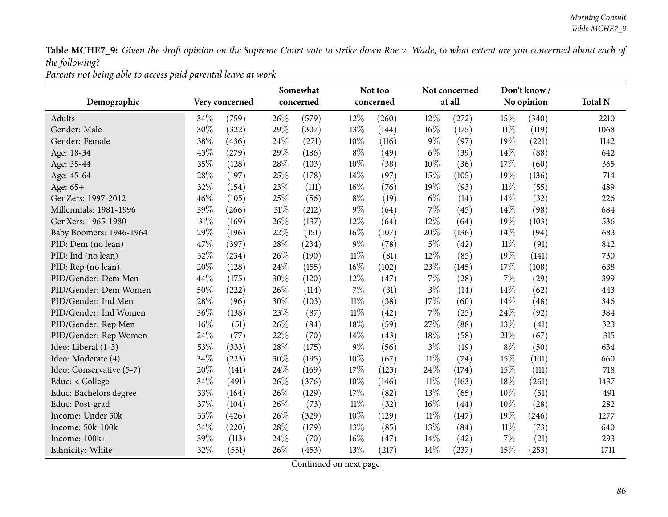*Parents not being able to access paid parental leave at work*

|                          |                | Somewhat  |       |        | Not too   |        | Not concerned |        | Don't know/ |                |
|--------------------------|----------------|-----------|-------|--------|-----------|--------|---------------|--------|-------------|----------------|
| Demographic              | Very concerned | concerned |       |        | concerned |        | at all        |        | No opinion  | <b>Total N</b> |
| Adults                   | 34%<br>(759)   | 26%       | (579) | 12%    | (260)     | 12%    | (272)         | 15%    | (340)       | 2210           |
| Gender: Male             | 30%<br>(322)   | 29%       | (307) | 13%    | (144)     | 16%    | (175)         | $11\%$ | (119)       | 1068           |
| Gender: Female           | 38%<br>(436)   | 24%       | (271) | 10%    | (116)     | $9\%$  | (97)          | 19%    | (221)       | 1142           |
| Age: 18-34               | 43%<br>(279)   | 29%       | (186) | $8\%$  | (49)      | $6\%$  | (39)          | 14%    | (88)        | 642            |
| Age: 35-44               | 35%<br>(128)   | 28%       | (103) | 10%    | (38)      | 10%    | (36)          | 17%    | (60)        | 365            |
| Age: 45-64               | 28%<br>(197)   | 25%       | (178) | 14%    | (97)      | 15%    | (105)         | 19%    | (136)       | 714            |
| Age: 65+                 | 32%<br>(154)   | 23%       | (111) | 16%    | (76)      | 19%    | (93)          | $11\%$ | (55)        | 489            |
| GenZers: 1997-2012       | 46%<br>(105)   | 25%       | (56)  | $8\%$  | (19)      | $6\%$  | (14)          | 14%    | (32)        | 226            |
| Millennials: 1981-1996   | 39%<br>(266)   | 31%       | (212) | $9\%$  | (64)      | 7%     | (45)          | 14%    | (98)        | 684            |
| GenXers: 1965-1980       | 31%<br>(169)   | 26%       | (137) | 12%    | (64)      | 12%    | (64)          | 19%    | (103)       | 536            |
| Baby Boomers: 1946-1964  | 29%<br>(196)   | 22%       | (151) | 16%    | (107)     | 20%    | (136)         | 14%    | (94)        | 683            |
| PID: Dem (no lean)       | 47%<br>(397)   | 28%       | (234) | $9\%$  | (78)      | 5%     | (42)          | 11%    | (91)        | 842            |
| PID: Ind (no lean)       | 32%<br>(234)   | 26%       | (190) | $11\%$ | (81)      | 12%    | (85)          | 19%    | (141)       | 730            |
| PID: Rep (no lean)       | 20%<br>(128)   | 24%       | (155) | 16%    | (102)     | 23%    | (145)         | 17%    | (108)       | 638            |
| PID/Gender: Dem Men      | 44\%<br>(175)  | 30%       | (120) | 12%    | (47)      | 7%     | (28)          | 7%     | (29)        | 399            |
| PID/Gender: Dem Women    | 50%<br>(222)   | 26%       | (114) | $7\%$  | (31)      | $3\%$  | (14)          | 14%    | (62)        | 443            |
| PID/Gender: Ind Men      | 28%<br>(96)    | 30%       | (103) | $11\%$ | (38)      | 17%    | (60)          | 14\%   | (48)        | 346            |
| PID/Gender: Ind Women    | 36%<br>(138)   | 23%       | (87)  | $11\%$ | (42)      | 7%     | (25)          | 24%    | (92)        | 384            |
| PID/Gender: Rep Men      | 16%<br>(51)    | 26%       | (84)  | 18%    | (59)      | 27%    | (88)          | 13%    | (41)        | 323            |
| PID/Gender: Rep Women    | 24%<br>(77)    | 22%       | (70)  | 14%    | (43)      | 18%    | (58)          | 21%    | (67)        | 315            |
| Ideo: Liberal (1-3)      | 53%<br>(333)   | 28%       | (175) | $9\%$  | (56)      | $3\%$  | (19)          | $8\%$  | (50)        | 634            |
| Ideo: Moderate (4)       | 34%<br>(223)   | 30%       | (195) | 10%    | (67)      | $11\%$ | (74)          | 15%    | (101)       | 660            |
| Ideo: Conservative (5-7) | 20%<br>(141)   | 24%       | (169) | 17%    | (123)     | 24%    | (174)         | 15%    | (111)       | 718            |
| Educ: < College          | 34%<br>(491)   | 26%       | (376) | 10%    | (146)     | 11%    | (163)         | 18%    | (261)       | 1437           |
| Educ: Bachelors degree   | 33%<br>(164)   | 26%       | (129) | 17%    | (82)      | 13%    | (65)          | 10%    | (51)        | 491            |
| Educ: Post-grad          | 37%<br>(104)   | 26%       | (73)  | $11\%$ | (32)      | 16%    | (44)          | 10%    | (28)        | 282            |
| Income: Under 50k        | 33%<br>(426)   | 26%       | (329) | 10%    | (129)     | $11\%$ | (147)         | 19%    | (246)       | 1277           |
| Income: 50k-100k         | 34%<br>(220)   | 28%       | (179) | 13%    | (85)      | 13%    | (84)          | $11\%$ | (73)        | 640            |
| Income: 100k+            | 39%<br>(113)   | 24%       | (70)  | 16%    | (47)      | 14%    | (42)          | 7%     | (21)        | 293            |
| Ethnicity: White         | 32%<br>(551)   | 26%       | (453) | 13%    | (217)     | 14%    | (237)         | 15%    | (253)       | 1711           |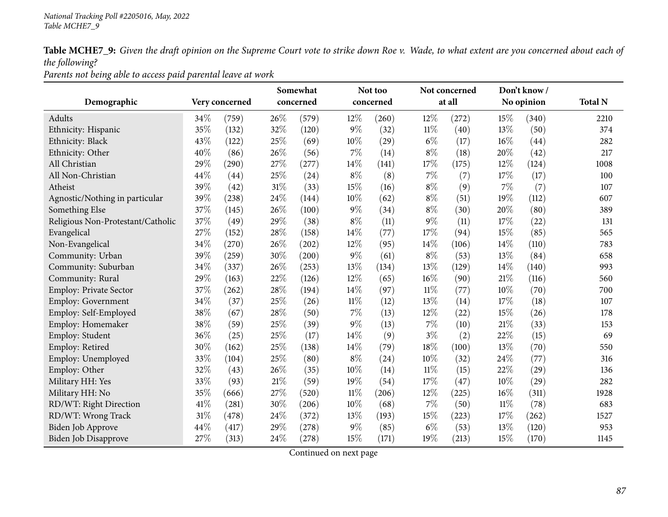*Parents not being able to access paid parental leave at work*

|                                   |      |                |        | Somewhat  |        | Not too   |        | Not concerned |        | Don't know/ |                |
|-----------------------------------|------|----------------|--------|-----------|--------|-----------|--------|---------------|--------|-------------|----------------|
| Demographic                       |      | Very concerned |        | concerned |        | concerned |        | at all        |        | No opinion  | <b>Total N</b> |
| Adults                            | 34\% | (759)          | 26\%   | (579)     | 12%    | (260)     | 12%    | (272)         | 15%    | (340)       | 2210           |
| Ethnicity: Hispanic               | 35%  | (132)          | 32%    | (120)     | $9\%$  | (32)      | $11\%$ | (40)          | 13%    | (50)        | 374            |
| Ethnicity: Black                  | 43%  | (122)          | 25%    | (69)      | 10%    | (29)      | $6\%$  | (17)          | 16%    | (44)        | 282            |
| Ethnicity: Other                  | 40%  | (86)           | 26%    | (56)      | $7\%$  | (14)      | $8\%$  | (18)          | 20%    | (42)        | 217            |
| All Christian                     | 29%  | (290)          | 27%    | (277)     | $14\%$ | (141)     | 17%    | (175)         | 12%    | (124)       | 1008           |
| All Non-Christian                 | 44%  | (44)           | 25%    | (24)      | $8\%$  | (8)       | 7%     | (7)           | 17%    | (17)        | 100            |
| Atheist                           | 39%  | (42)           | $31\%$ | (33)      | 15%    | (16)      | $8\%$  | (9)           | $7\%$  | (7)         | 107            |
| Agnostic/Nothing in particular    | 39%  | (238)          | 24\%   | (144)     | 10%    | (62)      | $8\%$  | (51)          | 19%    | (112)       | 607            |
| Something Else                    | 37%  | (145)          | 26%    | (100)     | $9\%$  | (34)      | $8\%$  | (30)          | 20%    | (80)        | 389            |
| Religious Non-Protestant/Catholic | 37%  | (49)           | 29%    | (38)      | $8\%$  | (11)      | $9\%$  | (11)          | 17%    | (22)        | 131            |
| Evangelical                       | 27%  | (152)          | 28\%   | (158)     | $14\%$ | (77)      | 17%    | (94)          | 15%    | (85)        | 565            |
| Non-Evangelical                   | 34%  | (270)          | 26%    | (202)     | 12%    | (95)      | 14%    | (106)         | 14%    | (110)       | 783            |
| Community: Urban                  | 39%  | (259)          | 30%    | (200)     | $9\%$  | (61)      | $8\%$  | (53)          | 13%    | (84)        | 658            |
| Community: Suburban               | 34%  | (337)          | 26%    | (253)     | 13%    | (134)     | 13%    | (129)         | 14\%   | (140)       | 993            |
| Community: Rural                  | 29%  | (163)          | 22%    | (126)     | 12%    | (65)      | 16%    | (90)          | 21%    | (116)       | 560            |
| Employ: Private Sector            | 37%  | (262)          | 28\%   | (194)     | 14%    | (97)      | $11\%$ | (77)          | 10%    | (70)        | 700            |
| Employ: Government                | 34%  | (37)           | 25%    | (26)      | $11\%$ | (12)      | 13%    | (14)          | 17%    | (18)        | 107            |
| Employ: Self-Employed             | 38%  | (67)           | 28%    | (50)      | $7\%$  | (13)      | 12%    | (22)          | 15%    | (26)        | 178            |
| Employ: Homemaker                 | 38%  | (59)           | 25%    | (39)      | $9\%$  | (13)      | 7%     | (10)          | 21\%   | (33)        | 153            |
| Employ: Student                   | 36%  | (25)           | 25%    | (17)      | 14%    | (9)       | $3\%$  | (2)           | 22%    | (15)        | 69             |
| Employ: Retired                   | 30%  | (162)          | $25\%$ | (138)     | $14\%$ | (79)      | 18%    | (100)         | 13%    | (70)        | 550            |
| Employ: Unemployed                | 33%  | (104)          | 25%    | (80)      | $8\%$  | (24)      | 10%    | (32)          | 24%    | (77)        | 316            |
| Employ: Other                     | 32%  | (43)           | 26%    | (35)      | 10%    | (14)      | 11%    | (15)          | 22%    | (29)        | 136            |
| Military HH: Yes                  | 33%  | (93)           | $21\%$ | (59)      | 19%    | (54)      | 17%    | (47)          | 10%    | (29)        | 282            |
| Military HH: No                   | 35%  | (666)          | 27%    | (520)     | $11\%$ | (206)     | 12%    | (225)         | 16%    | (311)       | 1928           |
| RD/WT: Right Direction            | 41%  | (281)          | 30%    | (206)     | $10\%$ | (68)      | 7%     | (50)          | $11\%$ | (78)        | 683            |
| RD/WT: Wrong Track                | 31%  | (478)          | 24\%   | (372)     | 13%    | (193)     | 15%    | (223)         | 17%    | (262)       | 1527           |
| Biden Job Approve                 | 44%  | (417)          | 29%    | (278)     | 9%     | (85)      | $6\%$  | (53)          | 13%    | (120)       | 953            |
| Biden Job Disapprove              | 27%  | (313)          | 24\%   | (278)     | 15%    | (171)     | 19%    | (213)         | 15%    | (170)       | 1145           |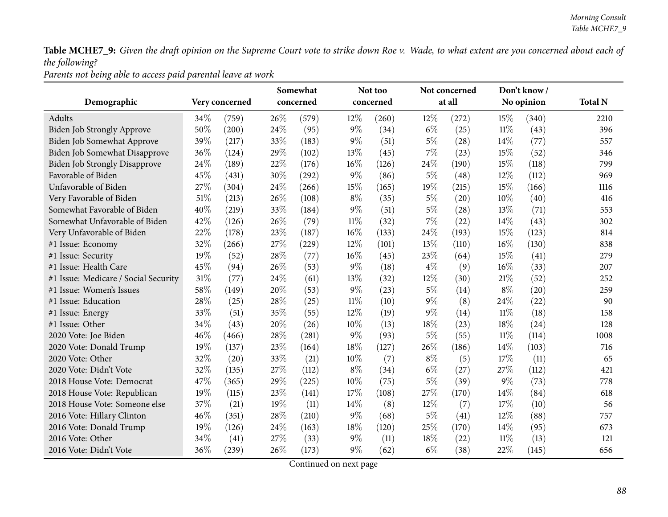*Parents not being able to access paid parental leave at work*

|                                      |      |                |      | Somewhat  |        | Not too   |        | Not concerned |        | Don't know/ |                |
|--------------------------------------|------|----------------|------|-----------|--------|-----------|--------|---------------|--------|-------------|----------------|
| Demographic                          |      | Very concerned |      | concerned |        | concerned |        | at all        |        | No opinion  | <b>Total N</b> |
| Adults                               | 34%  | (759)          | 26%  | (579)     | $12\%$ | (260)     | 12%    | (272)         | 15%    | (340)       | 2210           |
| Biden Job Strongly Approve           | 50%  | (200)          | 24%  | (95)      | $9\%$  | (34)      | $6\%$  | (25)          | $11\%$ | (43)        | 396            |
| Biden Job Somewhat Approve           | 39%  | (217)          | 33%  | (183)     | $9\%$  | (51)      | $5\%$  | (28)          | 14%    | (77)        | 557            |
| Biden Job Somewhat Disapprove        | 36%  | (124)          | 29%  | (102)     | 13%    | (45)      | 7%     | (23)          | 15%    | (52)        | 346            |
| Biden Job Strongly Disapprove        | 24\% | (189)          | 22%  | (176)     | 16%    | (126)     | 24\%   | (190)         | 15%    | (118)       | 799            |
| Favorable of Biden                   | 45%  | (431)          | 30%  | (292)     | $9\%$  | (86)      | $5\%$  | (48)          | 12%    | (112)       | 969            |
| Unfavorable of Biden                 | 27%  | (304)          | 24%  | (266)     | 15%    | (165)     | 19%    | (215)         | 15%    | (166)       | 1116           |
| Very Favorable of Biden              | 51%  | (213)          | 26%  | (108)     | $8\%$  | (35)      | $5\%$  | (20)          | 10%    | (40)        | 416            |
| Somewhat Favorable of Biden          | 40%  | (219)          | 33%  | (184)     | $9\%$  | (51)      | $5\%$  | (28)          | 13%    | (71)        | 553            |
| Somewhat Unfavorable of Biden        | 42%  | (126)          | 26%  | (79)      | 11%    | (32)      | 7%     | (22)          | 14\%   | (43)        | 302            |
| Very Unfavorable of Biden            | 22%  | (178)          | 23%  | (187)     | 16%    | (133)     | 24%    | (193)         | 15%    | (123)       | 814            |
| #1 Issue: Economy                    | 32%  | (266)          | 27%  | (229)     | 12%    | (101)     | 13%    | (110)         | 16%    | (130)       | 838            |
| #1 Issue: Security                   | 19%  | (52)           | 28%  | (77)      | 16%    | (45)      | 23%    | (64)          | 15%    | (41)        | 279            |
| #1 Issue: Health Care                | 45%  | (94)           | 26%  | (53)      | $9\%$  | (18)      | $4\%$  | (9)           | 16%    | (33)        | 207            |
| #1 Issue: Medicare / Social Security | 31%  | (77)           | 24%  | (61)      | 13%    | (32)      | $12\%$ | (30)          | 21%    | (52)        | 252            |
| #1 Issue: Women's Issues             | 58%  | (149)          | 20%  | (53)      | $9\%$  | (23)      | $5\%$  | (14)          | $8\%$  | (20)        | 259            |
| #1 Issue: Education                  | 28%  | (25)           | 28%  | (25)      | 11%    | (10)      | $9\%$  | (8)           | 24%    | (22)        | 90             |
| #1 Issue: Energy                     | 33%  | (51)           | 35%  | (55)      | 12%    | (19)      | $9\%$  | (14)          | $11\%$ | (18)        | 158            |
| #1 Issue: Other                      | 34%  | (43)           | 20%  | (26)      | 10%    | (13)      | $18\%$ | (23)          | 18%    | (24)        | 128            |
| 2020 Vote: Joe Biden                 | 46%  | (466)          | 28\% | (281)     | $9\%$  | (93)      | $5\%$  | (55)          | $11\%$ | (114)       | 1008           |
| 2020 Vote: Donald Trump              | 19%  | (137)          | 23%  | (164)     | 18%    | (127)     | 26%    | (186)         | 14%    | (103)       | 716            |
| 2020 Vote: Other                     | 32%  | (20)           | 33%  | (21)      | 10%    | (7)       | $8\%$  | (5)           | 17%    | (11)        | 65             |
| 2020 Vote: Didn't Vote               | 32%  | (135)          | 27%  | (112)     | $8\%$  | (34)      | $6\%$  | (27)          | 27%    | (112)       | 421            |
| 2018 House Vote: Democrat            | 47%  | (365)          | 29%  | (225)     | 10%    | (75)      | $5\%$  | (39)          | $9\%$  | (73)        | 778            |
| 2018 House Vote: Republican          | 19%  | (115)          | 23%  | (141)     | 17%    | (108)     | 27%    | (170)         | 14%    | (84)        | 618            |
| 2018 House Vote: Someone else        | 37%  | (21)           | 19%  | (11)      | $14\%$ | (8)       | 12%    | (7)           | 17%    | (10)        | 56             |
| 2016 Vote: Hillary Clinton           | 46%  | (351)          | 28%  | (210)     | $9\%$  | (68)      | $5\%$  | (41)          | 12%    | (88)        | 757            |
| 2016 Vote: Donald Trump              | 19%  | (126)          | 24%  | (163)     | 18%    | (120)     | 25%    | (170)         | 14\%   | (95)        | 673            |
| 2016 Vote: Other                     | 34%  | (41)           | 27%  | (33)      | $9\%$  | (11)      | 18%    | (22)          | $11\%$ | (13)        | 121            |
| 2016 Vote: Didn't Vote               | 36%  | (239)          | 26%  | (173)     | $9\%$  | (62)      | $6\%$  | (38)          | 22%    | (145)       | 656            |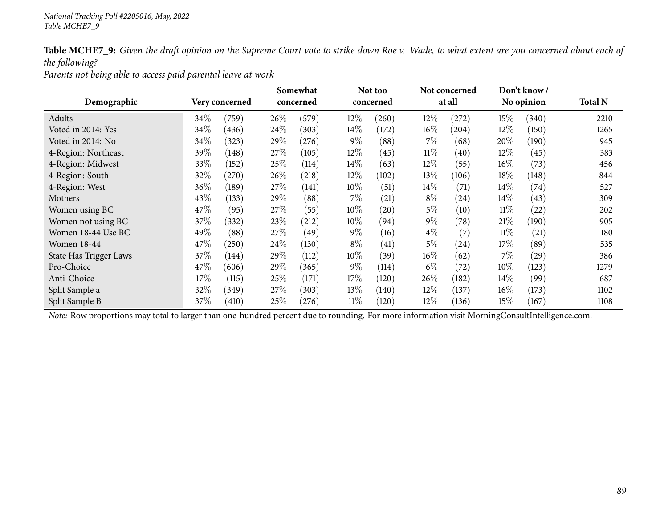*Parents not being able to access paid parental leave at work*

|                               |        |                |      | Somewhat   |        | Not too    |        | Not concerned |        | Don't know/        |                |
|-------------------------------|--------|----------------|------|------------|--------|------------|--------|---------------|--------|--------------------|----------------|
| Demographic                   |        | Very concerned |      | concerned  |        | concerned  |        | at all        |        | No opinion         | <b>Total N</b> |
| Adults                        | 34\%   | (759)          | 26\% | (579)      | 12\%   | $^{'}260)$ | 12%    | (272)         | $15\%$ | (340)              | 2210           |
| Voted in 2014: Yes            | 34\%   | (436)          | 24\% | (303)      | $14\%$ | (172)      | $16\%$ | (204)         | 12\%   | (150)              | 1265           |
| Voted in 2014: No             | 34\%   | (323)          | 29%  | $^{(276)}$ | $9\%$  | (88)       | 7%     | (68)          | 20%    | (190)              | 945            |
| 4-Region: Northeast           | 39%    | (148)          | 27%  | (105)      | $12\%$ | (45)       | $11\%$ | (40)          | 12\%   | (45)               | 383            |
| 4-Region: Midwest             | 33\%   | (152)          | 25%  | (114)      | $14\%$ | (63)       | 12%    | (55)          | $16\%$ | (73)               | 456            |
| 4-Region: South               | 32\%   | (270)          | 26\% | (218)      | $12\%$ | (102)      | 13\%   | (106)         | 18%    | (148)              | 844            |
| 4-Region: West                | 36%    | (189)          | 27\% | (141)      | 10%    | (51)       | $14\%$ | (71)          | $14\%$ | (74)               | 527            |
| Mothers                       | 43%    | (133)          | 29%  | (88)       | $7\%$  | (21)       | $8\%$  | (24)          | $14\%$ | (43)               | 309            |
| Women using BC                | 47%    | (95)           | 27\% | (55)       | 10%    | (20)       | $5\%$  | (10)          | $11\%$ | (22)               | 202            |
| Women not using BC            | 37%    | (332)          | 23%  | (212)      | 10%    | (94)       | $9\%$  | (78)          | $21\%$ | (190)              | 905            |
| Women 18-44 Use BC            | 49%    | (88)           | 27\% | (49)       | $9\%$  | (16)       | $4\%$  | (7)           | $11\%$ | (21)               | 180            |
| <b>Women 18-44</b>            | 47\%   | (250)          | 24\% | (130)      | $8\%$  | (41)       | $5\%$  | (24)          | 17%    | (89)               | 535            |
| <b>State Has Trigger Laws</b> | 37\%   | (144)          | 29%  | (112)      | 10\%   | (39)       | $16\%$ | (62)          | $7\%$  | $\left( 29\right)$ | 386            |
| Pro-Choice                    | 47\%   | 606            | 29%  | (365)      | $9\%$  | (114)      | $6\%$  | (72)          | $10\%$ | (123)              | 1279           |
| Anti-Choice                   | $17\%$ | (115)          | 25%  | (171)      | 17\%   | (120)      | 26\%   | (182)         | $14\%$ | (99)               | 687            |
| Split Sample a                | 32%    | (349)          | 27%  | (303)      | 13\%   | (140)      | $12\%$ | (137)         | $16\%$ | (173)              | 1102           |
| Split Sample B                | $37\%$ | (410)          | 25%  | $^{(276)}$ | $11\%$ | (120)      | 12%    | (136)         | $15\%$ | (167)              | 1108           |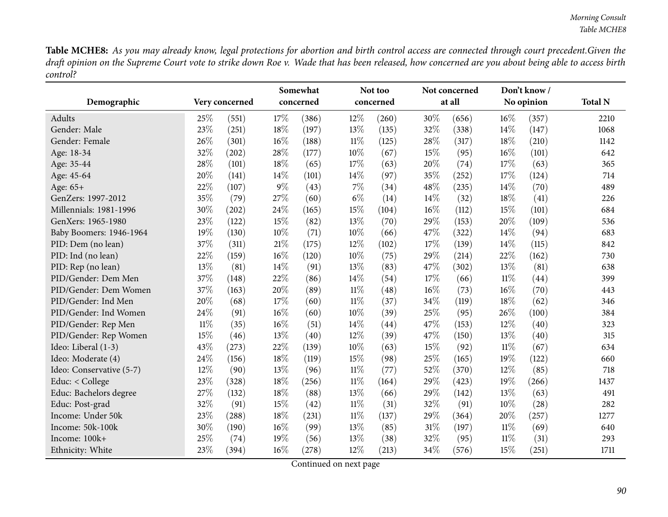|                          |        |                |        | Somewhat  |        | Not too   |        | Not concerned |        | Don't know/ |                |
|--------------------------|--------|----------------|--------|-----------|--------|-----------|--------|---------------|--------|-------------|----------------|
| Demographic              |        | Very concerned |        | concerned |        | concerned |        | at all        |        | No opinion  | <b>Total N</b> |
| Adults                   | 25%    | (551)          | 17%    | (386)     | 12%    | (260)     | 30%    | (656)         | 16%    | (357)       | 2210           |
| Gender: Male             | 23%    | (251)          | 18%    | (197)     | 13%    | (135)     | 32%    | (338)         | 14%    | (147)       | 1068           |
| Gender: Female           | 26%    | (301)          | 16%    | (188)     | $11\%$ | (125)     | 28%    | (317)         | 18%    | (210)       | 1142           |
| Age: 18-34               | 32%    | (202)          | 28\%   | (177)     | 10%    | (67)      | 15%    | (95)          | 16%    | (101)       | 642            |
| Age: 35-44               | 28%    | (101)          | 18%    | (65)      | 17%    | (63)      | 20%    | (74)          | 17%    | (63)        | 365            |
| Age: 45-64               | 20%    | (141)          | 14%    | (101)     | 14%    | (97)      | 35%    | (252)         | 17%    | (124)       | 714            |
| Age: 65+                 | 22%    | (107)          | $9\%$  | (43)      | 7%     | (34)      | 48%    | (235)         | 14%    | (70)        | 489            |
| GenZers: 1997-2012       | 35%    | (79)           | 27%    | (60)      | $6\%$  | (14)      | 14%    | (32)          | 18%    | (41)        | 226            |
| Millennials: 1981-1996   | 30%    | (202)          | 24%    | (165)     | 15%    | (104)     | $16\%$ | (112)         | 15%    | (101)       | 684            |
| GenXers: 1965-1980       | 23%    | (122)          | 15%    | (82)      | 13%    | (70)      | 29%    | (153)         | 20%    | (109)       | 536            |
| Baby Boomers: 1946-1964  | 19%    | (130)          | 10%    | (71)      | 10%    | (66)      | 47%    | (322)         | 14%    | (94)        | 683            |
| PID: Dem (no lean)       | 37%    | (311)          | $21\%$ | (175)     | 12%    | (102)     | 17%    | (139)         | 14%    | (115)       | 842            |
| PID: Ind (no lean)       | 22%    | (159)          | $16\%$ | (120)     | 10%    | (75)      | 29%    | (214)         | 22%    | (162)       | 730            |
| PID: Rep (no lean)       | 13%    | (81)           | 14%    | (91)      | 13%    | (83)      | 47%    | (302)         | 13%    | (81)        | 638            |
| PID/Gender: Dem Men      | 37%    | (148)          | 22%    | (86)      | 14%    | (54)      | 17%    | (66)          | $11\%$ | (44)        | 399            |
| PID/Gender: Dem Women    | 37%    | (163)          | 20%    | (89)      | $11\%$ | (48)      | 16%    | (73)          | 16%    | (70)        | 443            |
| PID/Gender: Ind Men      | 20%    | (68)           | 17%    | (60)      | $11\%$ | (37)      | 34%    | (119)         | 18%    | (62)        | 346            |
| PID/Gender: Ind Women    | 24%    | (91)           | $16\%$ | (60)      | 10%    | (39)      | 25%    | (95)          | 26%    | (100)       | 384            |
| PID/Gender: Rep Men      | $11\%$ | (35)           | 16%    | (51)      | 14%    | (44)      | 47%    | (153)         | 12%    | (40)        | 323            |
| PID/Gender: Rep Women    | 15%    | (46)           | 13%    | (40)      | 12%    | (39)      | 47%    | (150)         | 13%    | (40)        | 315            |
| Ideo: Liberal (1-3)      | 43%    | (273)          | 22%    | (139)     | 10%    | (63)      | 15%    | (92)          | $11\%$ | (67)        | 634            |
| Ideo: Moderate (4)       | 24%    | (156)          | 18%    | (119)     | 15%    | (98)      | 25%    | (165)         | 19%    | (122)       | 660            |
| Ideo: Conservative (5-7) | 12%    | (90)           | 13%    | (96)      | $11\%$ | (77)      | 52%    | (370)         | 12%    | (85)        | 718            |
| Educ: < College          | 23%    | (328)          | 18%    | (256)     | $11\%$ | (164)     | 29%    | (423)         | 19%    | (266)       | 1437           |
| Educ: Bachelors degree   | 27%    | (132)          | $18\%$ | (88)      | 13%    | (66)      | 29%    | (142)         | 13%    | (63)        | 491            |
| Educ: Post-grad          | 32%    | (91)           | 15%    | (42)      | $11\%$ | (31)      | 32%    | (91)          | 10%    | (28)        | 282            |
| Income: Under 50k        | 23%    | (288)          | $18\%$ | (231)     | $11\%$ | (137)     | 29%    | (364)         | 20%    | (257)       | 1277           |
| Income: 50k-100k         | 30%    | (190)          | $16\%$ | (99)      | 13%    | (85)      | $31\%$ | (197)         | $11\%$ | (69)        | 640            |
| Income: 100k+            | 25%    | (74)           | 19%    | (56)      | 13%    | (38)      | 32%    | (95)          | $11\%$ | (31)        | 293            |
| Ethnicity: White         | 23%    | (394)          | 16%    | (278)     | 12%    | (213)     | 34%    | (576)         | 15%    | (251)       | 1711           |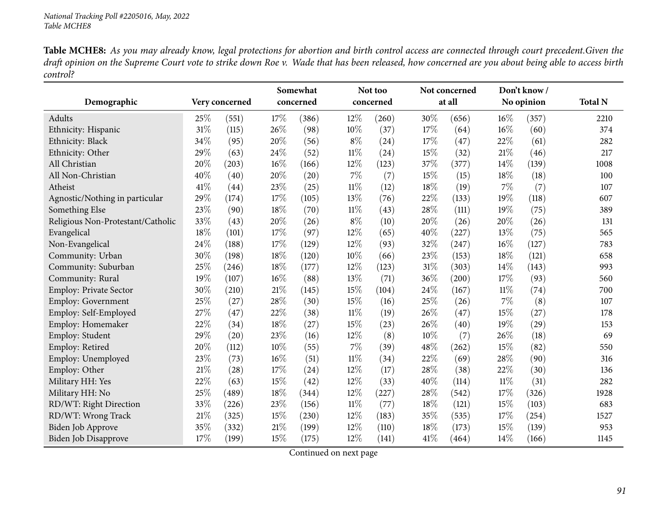| Demographic                       |        | Very concerned |        | Somewhat<br>concerned |        | Not too<br>concerned |        | Not concerned<br>at all |        | Don't know/<br>No opinion | <b>Total N</b> |
|-----------------------------------|--------|----------------|--------|-----------------------|--------|----------------------|--------|-------------------------|--------|---------------------------|----------------|
| Adults                            | 25%    | (551)          | 17%    | (386)                 | 12%    | (260)                | 30%    | (656)                   | $16\%$ | (357)                     | 2210           |
| Ethnicity: Hispanic               | $31\%$ | (115)          | 26%    | (98)                  | 10%    | (37)                 | 17\%   | (64)                    | 16%    | (60)                      | 374            |
| Ethnicity: Black                  | 34%    | (95)           | 20%    | (56)                  | $8\%$  | (24)                 | 17%    | (47)                    | 22%    | (61)                      | 282            |
| Ethnicity: Other                  | 29%    | (63)           | 24\%   | (52)                  | $11\%$ | (24)                 | 15%    | (32)                    | 21%    | (46)                      | 217            |
| All Christian                     | 20%    | (203)          | 16%    | (166)                 | 12%    | (123)                | 37%    | (377)                   | 14%    | (139)                     | 1008           |
| All Non-Christian                 | 40%    | (40)           | 20%    | (20)                  | 7%     | (7)                  | 15%    | (15)                    | 18%    | (18)                      | 100            |
| Atheist                           | 41\%   | (44)           | 23%    | (25)                  | $11\%$ | (12)                 | 18%    | (19)                    | $7\%$  | (7)                       | 107            |
| Agnostic/Nothing in particular    | 29%    | (174)          | 17%    | (105)                 | 13%    | (76)                 | 22%    | (133)                   | 19%    | (118)                     | 607            |
| Something Else                    | 23%    | (90)           | 18%    | (70)                  | $11\%$ | (43)                 | 28%    | (111)                   | 19%    | (75)                      | 389            |
| Religious Non-Protestant/Catholic | 33%    | (43)           | 20%    | (26)                  | $8\%$  | (10)                 | 20%    | (26)                    | 20%    | (26)                      | 131            |
| Evangelical                       | 18%    | (101)          | 17%    | (97)                  | 12%    | (65)                 | 40%    | (227)                   | 13%    | (75)                      | 565            |
| Non-Evangelical                   | 24%    | (188)          | 17%    | (129)                 | 12%    | (93)                 | 32%    | (247)                   | 16%    | (127)                     | 783            |
| Community: Urban                  | 30%    | (198)          | 18%    | (120)                 | 10%    | (66)                 | 23%    | (153)                   | 18%    | (121)                     | 658            |
| Community: Suburban               | 25%    | (246)          | $18\%$ | (177)                 | 12%    | (123)                | $31\%$ | (303)                   | 14%    | (143)                     | 993            |
| Community: Rural                  | 19%    | (107)          | $16\%$ | (88)                  | 13%    | (71)                 | 36%    | (200)                   | 17%    | (93)                      | 560            |
| <b>Employ: Private Sector</b>     | 30%    | (210)          | 21\%   | (145)                 | 15%    | (104)                | 24%    | (167)                   | $11\%$ | (74)                      | 700            |
| <b>Employ: Government</b>         | 25%    | (27)           | 28%    | (30)                  | 15%    | (16)                 | 25%    | (26)                    | $7\%$  | (8)                       | 107            |
| Employ: Self-Employed             | 27%    | (47)           | 22%    | (38)                  | $11\%$ | (19)                 | 26%    | (47)                    | 15%    | (27)                      | 178            |
| Employ: Homemaker                 | 22%    | (34)           | 18%    | (27)                  | 15%    | (23)                 | 26%    | (40)                    | 19%    | (29)                      | 153            |
| Employ: Student                   | 29%    | (20)           | 23%    | (16)                  | 12%    | (8)                  | 10%    | (7)                     | 26%    | (18)                      | 69             |
| Employ: Retired                   | 20%    | (112)          | 10%    | (55)                  | 7%     | (39)                 | 48%    | (262)                   | 15%    | (82)                      | 550            |
| Employ: Unemployed                | 23%    | (73)           | $16\%$ | (51)                  | $11\%$ | (34)                 | 22%    | (69)                    | 28%    | (90)                      | 316            |
| Employ: Other                     | 21%    | (28)           | 17%    | (24)                  | 12%    | (17)                 | 28%    | (38)                    | 22%    | (30)                      | 136            |
| Military HH: Yes                  | 22%    | (63)           | 15%    | (42)                  | 12%    | (33)                 | 40%    | (114)                   | $11\%$ | (31)                      | 282            |
| Military HH: No                   | 25%    | (489)          | 18%    | (344)                 | 12%    | (227)                | 28%    | (542)                   | 17%    | (326)                     | 1928           |
| RD/WT: Right Direction            | 33%    | (226)          | 23%    | (156)                 | $11\%$ | (77)                 | 18%    | (121)                   | 15%    | (103)                     | 683            |
| RD/WT: Wrong Track                | 21\%   | (325)          | 15%    | (230)                 | 12%    | (183)                | 35%    | (535)                   | 17%    | (254)                     | 1527           |
| Biden Job Approve                 | 35%    | (332)          | $21\%$ | (199)                 | 12%    | (110)                | 18%    | (173)                   | 15%    | (139)                     | 953            |
| <b>Biden Job Disapprove</b>       | 17%    | (199)          | 15%    | (175)                 | 12%    | (141)                | 41\%   | (464)                   | 14%    | (166)                     | 1145           |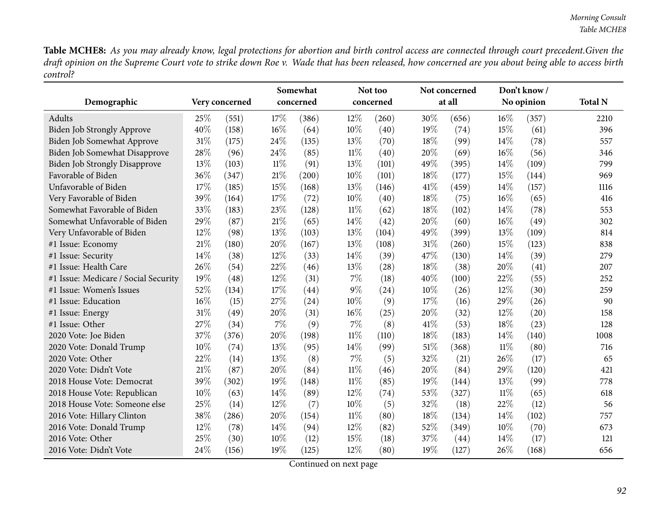|                                      |        |                |        | Somewhat  |        | Not too   |      | Not concerned |        | Don't know/ |                |
|--------------------------------------|--------|----------------|--------|-----------|--------|-----------|------|---------------|--------|-------------|----------------|
| Demographic                          |        | Very concerned |        | concerned |        | concerned |      | at all        |        | No opinion  | <b>Total N</b> |
| Adults                               | 25%    | (551)          | 17%    | (386)     | $12\%$ | (260)     | 30%  | (656)         | 16%    | (357)       | 2210           |
| <b>Biden Job Strongly Approve</b>    | 40%    | (158)          | $16\%$ | (64)      | 10%    | (40)      | 19%  | (74)          | 15%    | (61)        | 396            |
| Biden Job Somewhat Approve           | 31%    | (175)          | 24%    | (135)     | 13%    | (70)      | 18%  | (99)          | 14%    | (78)        | 557            |
| Biden Job Somewhat Disapprove        | 28%    | (96)           | 24\%   | (85)      | $11\%$ | (40)      | 20%  | (69)          | 16%    | (56)        | 346            |
| Biden Job Strongly Disapprove        | 13%    | (103)          | $11\%$ | (91)      | 13%    | (101)     | 49%  | (395)         | 14\%   | (109)       | 799            |
| Favorable of Biden                   | 36%    | (347)          | $21\%$ | (200)     | 10%    | (101)     | 18%  | (177)         | 15%    | (144)       | 969            |
| Unfavorable of Biden                 | 17%    | (185)          | 15%    | (168)     | 13%    | (146)     | 41%  | (459)         | 14\%   | (157)       | 1116           |
| Very Favorable of Biden              | 39%    | (164)          | 17%    | (72)      | 10%    | (40)      | 18%  | (75)          | 16%    | (65)        | 416            |
| Somewhat Favorable of Biden          | 33%    | (183)          | 23%    | (128)     | $11\%$ | (62)      | 18%  | (102)         | 14%    | (78)        | 553            |
| Somewhat Unfavorable of Biden        | 29%    | (87)           | $21\%$ | (65)      | 14%    | (42)      | 20%  | (60)          | 16%    | (49)        | 302            |
| Very Unfavorable of Biden            | 12%    | (98)           | 13%    | (103)     | 13%    | (104)     | 49%  | (399)         | 13%    | (109)       | 814            |
| #1 Issue: Economy                    | 21%    | (180)          | 20%    | (167)     | 13%    | (108)     | 31%  | (260)         | 15%    | (123)       | 838            |
| #1 Issue: Security                   | 14%    | (38)           | $12\%$ | (33)      | 14%    | (39)      | 47%  | (130)         | 14%    | (39)        | 279            |
| #1 Issue: Health Care                | 26%    | (54)           | 22%    | (46)      | 13%    | (28)      | 18%  | (38)          | 20%    | (41)        | 207            |
| #1 Issue: Medicare / Social Security | 19%    | (48)           | 12%    | (31)      | $7\%$  | (18)      | 40%  | (100)         | 22%    | (55)        | 252            |
| #1 Issue: Women's Issues             | 52%    | (134)          | 17%    | (44)      | $9\%$  | (24)      | 10%  | (26)          | 12%    | (30)        | 259            |
| #1 Issue: Education                  | $16\%$ | (15)           | 27%    | (24)      | 10%    | (9)       | 17%  | (16)          | 29%    | (26)        | 90             |
| #1 Issue: Energy                     | 31%    | (49)           | 20%    | (31)      | 16%    | (25)      | 20%  | (32)          | 12%    | (20)        | 158            |
| #1 Issue: Other                      | 27%    | (34)           | 7%     | (9)       | 7%     | (8)       | 41\% | (53)          | 18%    | (23)        | 128            |
| 2020 Vote: Joe Biden                 | 37%    | (376)          | 20%    | (198)     | $11\%$ | (110)     | 18%  | (183)         | 14%    | (140)       | 1008           |
| 2020 Vote: Donald Trump              | 10%    | (74)           | 13%    | (95)      | 14\%   | (99)      | 51%  | (368)         | $11\%$ | (80)        | 716            |
| 2020 Vote: Other                     | 22%    | (14)           | 13%    | (8)       | $7\%$  | (5)       | 32%  | (21)          | 26%    | (17)        | 65             |
| 2020 Vote: Didn't Vote               | 21%    | (87)           | 20%    | (84)      | $11\%$ | (46)      | 20%  | (84)          | 29%    | (120)       | 421            |
| 2018 House Vote: Democrat            | 39%    | (302)          | 19%    | (148)     | $11\%$ | (85)      | 19%  | (144)         | 13%    | (99)        | 778            |
| 2018 House Vote: Republican          | 10%    | (63)           | 14\%   | (89)      | 12%    | (74)      | 53%  | (327)         | $11\%$ | (65)        | 618            |
| 2018 House Vote: Someone else        | 25%    | (14)           | 12%    | (7)       | 10%    | (5)       | 32%  | (18)          | 22%    | (12)        | 56             |
| 2016 Vote: Hillary Clinton           | 38%    | (286)          | 20%    | (154)     | $11\%$ | (80)      | 18%  | (134)         | 14%    | (102)       | 757            |
| 2016 Vote: Donald Trump              | 12%    | (78)           | 14\%   | (94)      | 12%    | (82)      | 52%  | (349)         | 10%    | (70)        | 673            |
| 2016 Vote: Other                     | 25%    | (30)           | 10%    | (12)      | 15%    | (18)      | 37%  | (44)          | 14%    | (17)        | 121            |
| 2016 Vote: Didn't Vote               | 24%    | (156)          | 19%    | (125)     | 12%    | (80)      | 19%  | (127)         | 26%    | (168)       | 656            |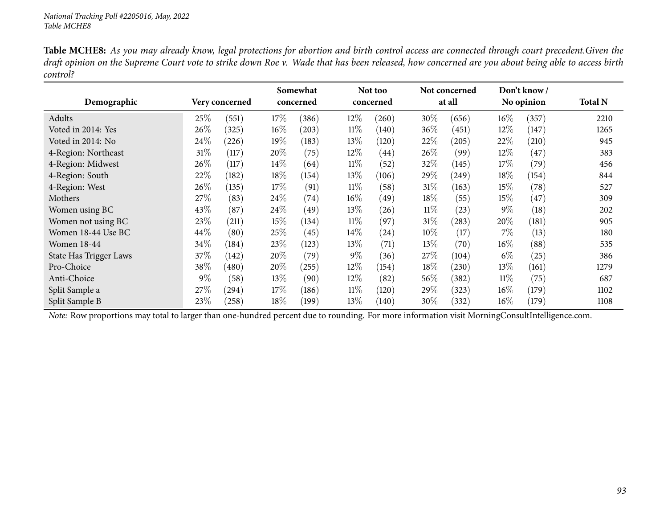|                               |        |                | Somewhat |           |        | Not too            |        | Not concerned |        | Don't know/ |                |
|-------------------------------|--------|----------------|----------|-----------|--------|--------------------|--------|---------------|--------|-------------|----------------|
| Demographic                   |        | Very concerned |          | concerned |        | concerned          |        | at all        |        | No opinion  | <b>Total N</b> |
| Adults                        | 25\%   | (551)          | $17\%$   | (386)     | $12\%$ | (260)              | 30\%   | (656)         | $16\%$ | (357)       | 2210           |
| Voted in 2014: Yes            | 26\%   | (325)          | $16\%$   | (203)     | $11\%$ | (140)              | $36\%$ | (451)         | 12%    | (147)       | 1265           |
| Voted in 2014: No             | 24\%   | (226)          | $19\%$   | (183)     | 13\%   | (120)              | 22\%   | (205)         | 22\%   | (210)       | 945            |
| 4-Region: Northeast           | $31\%$ | (117)          | 20%      | (75)      | $12\%$ | $\left( 44\right)$ | $26\%$ | (99)          | $12\%$ | (47)        | 383            |
| 4-Region: Midwest             | 26%    | (117)          | $14\%$   | (64)      | $11\%$ | (52)               | 32%    | (145)         | $17\%$ | (79)        | 456            |
| 4-Region: South               | 22%    | (182)          | $18\%$   | (154)     | 13\%   | (106)              | 29%    | (249)         | $18\%$ | (154)       | 844            |
| 4-Region: West                | 26\%   | (135)          | 17%      | (91)      | $11\%$ | (58)               | 31%    | (163)         | $15\%$ | (78)        | 527            |
| Mothers                       | 27%    | (83)           | 24\%     | (74)      | $16\%$ | (49)               | 18\%   | (55)          | $15\%$ | (47)        | 309            |
| Women using BC                | 43\%   | (87)           | $24\%$   | (49)      | 13\%   | (26)               | $11\%$ | (23)          | $9\%$  | (18)        | 202            |
| Women not using BC            | 23%    | (211)          | $15\%$   | (134)     | $11\%$ | (97)               | $31\%$ | (283)         | 20%    | (181)       | 905            |
| Women 18-44 Use BC            | 44%    | (80)           | 25\%     | (45)      | $14\%$ | (24)               | $10\%$ | (17)          | $7\%$  | (13)        | 180            |
| <b>Women 18-44</b>            | 34%    | (184)          | 23\%     | (123)     | 13\%   | (71)               | $13\%$ | (70)          | $16\%$ | (88)        | 535            |
| <b>State Has Trigger Laws</b> | 37\%   | (142)          | $20\%$   | (79)      | $9\%$  | (36)               | 27\%   | (104)         | $6\%$  | (25)        | 386            |
| Pro-Choice                    | 38\%   | (480)          | 20%      | (255)     | $12\%$ | (154)              | 18%    | (230)         | $13\%$ | (161)       | 1279           |
| Anti-Choice                   | $9\%$  | (58)           | 13\%     | (90)      | $12\%$ | (82)               | 56\%   | (382)         | $11\%$ | (75)        | 687            |
| Split Sample a                | 27\%   | $^{(294)}$     | 17%      | (186)     | $11\%$ | (120)              | 29\%   | (323)         | $16\%$ | (179)       | 1102           |
| Split Sample B                | 23%    | (258)          | $18\%$   | (199)     | 13\%   | (140)              | 30\%   | (332)         | $16\%$ | (179)       | 1108           |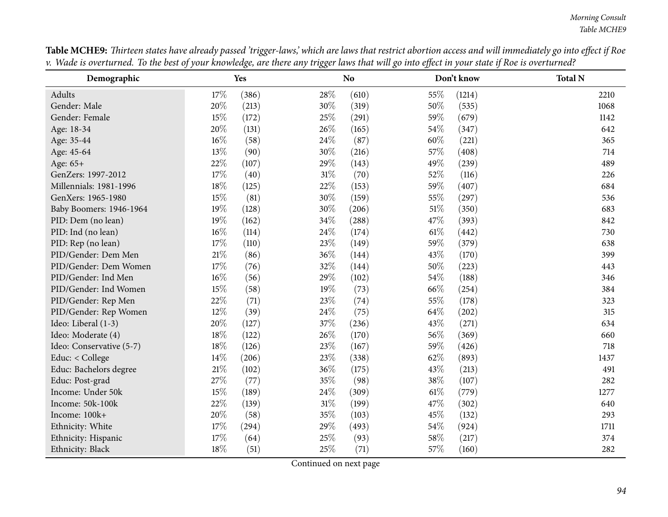| Demographic              |        | Yes   |        | N <sub>o</sub> |        | Don't know | <b>Total N</b> |
|--------------------------|--------|-------|--------|----------------|--------|------------|----------------|
| Adults                   | 17%    | (386) | 28%    | (610)          | 55%    | (1214)     | 2210           |
| Gender: Male             | 20%    | (213) | 30%    | (319)          | 50%    | (535)      | 1068           |
| Gender: Female           | 15%    | (172) | 25%    | (291)          | 59%    | (679)      | 1142           |
| Age: 18-34               | 20%    | (131) | 26\%   | (165)          | 54\%   | (347)      | 642            |
| Age: 35-44               | 16%    | (58)  | 24%    | (87)           | 60%    | (221)      | 365            |
| Age: 45-64               | 13%    | (90)  | 30%    | (216)          | 57%    | (408)      | 714            |
| Age: 65+                 | 22%    | (107) | 29%    | (143)          | 49%    | (239)      | 489            |
| GenZers: 1997-2012       | $17\%$ | (40)  | $31\%$ | (70)           | 52%    | (116)      | 226            |
| Millennials: 1981-1996   | $18\%$ | (125) | 22%    | (153)          | 59%    | (407)      | 684            |
| GenXers: 1965-1980       | 15%    | (81)  | 30%    | (159)          | 55%    | (297)      | 536            |
| Baby Boomers: 1946-1964  | 19%    | (128) | 30%    | (206)          | $51\%$ | (350)      | 683            |
| PID: Dem (no lean)       | 19%    | (162) | 34%    | (288)          | 47%    | (393)      | 842            |
| PID: Ind (no lean)       | $16\%$ | (114) | 24\%   | (174)          | $61\%$ | (442)      | 730            |
| PID: Rep (no lean)       | 17%    | (110) | 23%    | (149)          | 59%    | (379)      | 638            |
| PID/Gender: Dem Men      | 21\%   | (86)  | 36%    | (144)          | 43%    | (170)      | 399            |
| PID/Gender: Dem Women    | 17%    | (76)  | 32%    | (144)          | 50%    | (223)      | 443            |
| PID/Gender: Ind Men      | $16\%$ | (56)  | 29%    | (102)          | 54%    | (188)      | 346            |
| PID/Gender: Ind Women    | $15\%$ | (58)  | 19%    | (73)           | 66%    | (254)      | 384            |
| PID/Gender: Rep Men      | 22%    | (71)  | 23%    | (74)           | 55%    | (178)      | 323            |
| PID/Gender: Rep Women    | 12%    | (39)  | 24\%   | (75)           | 64%    | (202)      | 315            |
| Ideo: Liberal (1-3)      | 20%    | (127) | 37%    | (236)          | 43%    | (271)      | 634            |
| Ideo: Moderate (4)       | $18\%$ | (122) | 26%    | (170)          | 56%    | (369)      | 660            |
| Ideo: Conservative (5-7) | $18\%$ | (126) | 23%    | (167)          | 59%    | (426)      | 718            |
| Educ: < College          | $14\%$ | (206) | 23%    | (338)          | 62%    | (893)      | 1437           |
| Educ: Bachelors degree   | $21\%$ | (102) | 36%    | (175)          | 43%    | (213)      | 491            |
| Educ: Post-grad          | 27%    | (77)  | 35%    | (98)           | 38%    | (107)      | 282            |
| Income: Under 50k        | 15%    | (189) | 24%    | (309)          | $61\%$ | (779)      | 1277           |
| Income: 50k-100k         | $22\%$ | (139) | $31\%$ | (199)          | 47%    | (302)      | 640            |
| Income: 100k+            | 20%    | (58)  | 35%    | (103)          | 45%    | (132)      | 293            |
| Ethnicity: White         | $17\%$ | (294) | $29\%$ | (493)          | $54\%$ | (924)      | 1711           |
| Ethnicity: Hispanic      | $17\%$ | (64)  | 25%    | (93)           | 58%    | (217)      | 374            |
| Ethnicity: Black         | $18\%$ | (51)  | 25%    | (71)           | 57%    | (160)      | 282            |

Table MCHE9: Thirteen states have already passed 'trigger-laws,' which are laws that restrict abortion access and will immediately go into effect if Roe v. Wade is overturned. To the best of your knowledge, are there any trigger laws that will go into effect in your state if Roe is overturned?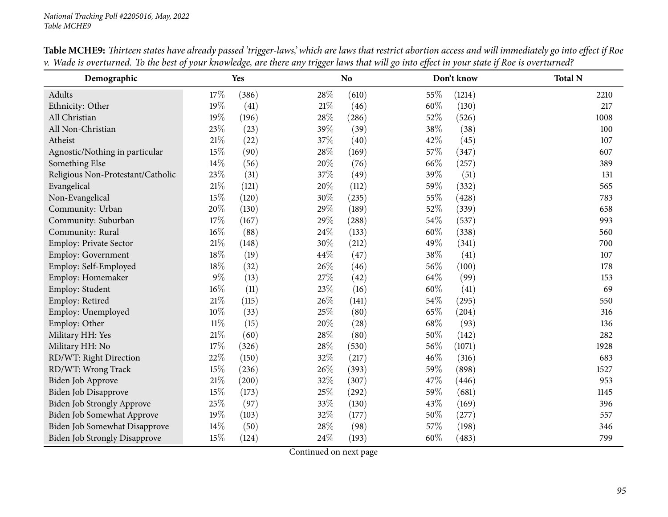| Demographic                          |        | Yes   |      | N <sub>o</sub> |      | Don't know | <b>Total N</b> |
|--------------------------------------|--------|-------|------|----------------|------|------------|----------------|
| Adults                               | 17%    | (386) | 28%  | (610)          | 55%  | (1214)     | 2210           |
| Ethnicity: Other                     | 19%    | (41)  | 21\% | (46)           | 60%  | (130)      | 217            |
| All Christian                        | 19%    | (196) | 28\% | (286)          | 52%  | (526)      | 1008           |
| All Non-Christian                    | 23%    | (23)  | 39%  | (39)           | 38%  | (38)       | 100            |
| Atheist                              | $21\%$ | (22)  | 37%  | (40)           | 42%  | (45)       | 107            |
| Agnostic/Nothing in particular       | 15%    | (90)  | 28%  | (169)          | 57%  | (347)      | 607            |
| Something Else                       | 14%    | (56)  | 20%  | (76)           | 66%  | (257)      | 389            |
| Religious Non-Protestant/Catholic    | 23%    | (31)  | 37%  | (49)           | 39%  | (51)       | 131            |
| Evangelical                          | $21\%$ | (121) | 20%  | (112)          | 59%  | (332)      | 565            |
| Non-Evangelical                      | 15%    | (120) | 30%  | (235)          | 55%  | (428)      | 783            |
| Community: Urban                     | 20%    | (130) | 29%  | (189)          | 52%  | (339)      | 658            |
| Community: Suburban                  | 17%    | (167) | 29%  | (288)          | 54%  | (537)      | 993            |
| Community: Rural                     | 16%    | (88)  | 24%  | (133)          | 60%  | (338)      | 560            |
| Employ: Private Sector               | $21\%$ | (148) | 30%  | (212)          | 49%  | (341)      | 700            |
| Employ: Government                   | $18\%$ | (19)  | 44%  | (47)           | 38%  | (41)       | 107            |
| Employ: Self-Employed                | 18%    | (32)  | 26%  | (46)           | 56%  | (100)      | 178            |
| Employ: Homemaker                    | $9\%$  | (13)  | 27%  | (42)           | 64%  | (99)       | 153            |
| Employ: Student                      | 16%    | (11)  | 23\% | (16)           | 60%  | (41)       | 69             |
| Employ: Retired                      | $21\%$ | (115) | 26%  | (141)          | 54\% | (295)      | 550            |
| Employ: Unemployed                   | 10%    | (33)  | 25%  | (80)           | 65%  | (204)      | 316            |
| Employ: Other                        | $11\%$ | (15)  | 20%  | (28)           | 68%  | (93)       | 136            |
| Military HH: Yes                     | $21\%$ | (60)  | 28%  | (80)           | 50%  | (142)      | 282            |
| Military HH: No                      | $17\%$ | (326) | 28\% | (530)          | 56%  | (1071)     | 1928           |
| RD/WT: Right Direction               | 22%    | (150) | 32%  | (217)          | 46%  | (316)      | 683            |
| RD/WT: Wrong Track                   | 15%    | (236) | 26%  | (393)          | 59%  | (898)      | 1527           |
| Biden Job Approve                    | $21\%$ | (200) | 32%  | (307)          | 47\% | (446)      | 953            |
| <b>Biden Job Disapprove</b>          | 15%    | (173) | 25%  | (292)          | 59%  | (681)      | 1145           |
| Biden Job Strongly Approve           | $25\%$ | (97)  | 33%  | (130)          | 43%  | (169)      | 396            |
| <b>Biden Job Somewhat Approve</b>    | 19%    | (103) | 32%  | (177)          | 50%  | (277)      | 557            |
| Biden Job Somewhat Disapprove        | 14%    | (50)  | 28%  | (98)           | 57\% | (198)      | 346            |
| <b>Biden Job Strongly Disapprove</b> | 15%    | (124) | 24%  | (193)          | 60%  | (483)      | 799            |

Table MCHE9: Thirteen states have already passed 'trigger-laws,' which are laws that restrict abortion access and will immediately go into effect if Roe v. Wade is overturned. To the best of your knowledge, are there any trigger laws that will go into effect in your state if Roe is overturned?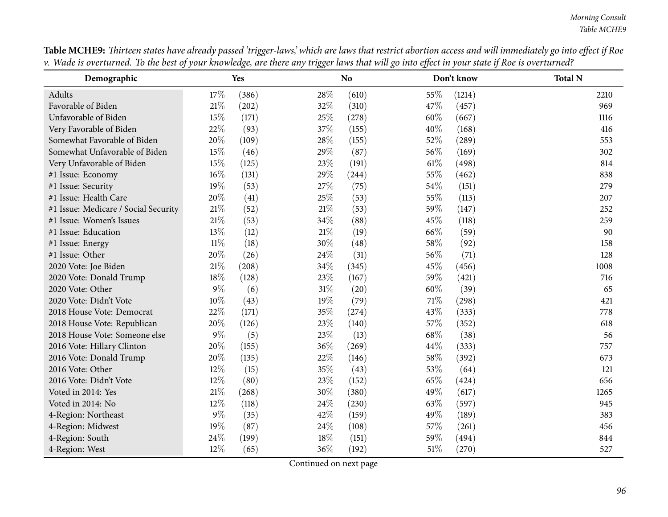| Demographic                          |        | Yes   |        | N <sub>o</sub> |        | Don't know | <b>Total N</b> |
|--------------------------------------|--------|-------|--------|----------------|--------|------------|----------------|
| Adults                               | 17%    | (386) | 28%    | (610)          | 55%    | (1214)     | 2210           |
| Favorable of Biden                   | $21\%$ | (202) | 32%    | (310)          | 47%    | (457)      | 969            |
| Unfavorable of Biden                 | 15%    | (171) | 25%    | (278)          | 60%    | (667)      | 1116           |
| Very Favorable of Biden              | 22%    | (93)  | 37%    | (155)          | 40%    | (168)      | 416            |
| Somewhat Favorable of Biden          | 20%    | (109) | 28\%   | (155)          | 52%    | (289)      | 553            |
| Somewhat Unfavorable of Biden        | 15%    | (46)  | 29%    | (87)           | 56%    | (169)      | 302            |
| Very Unfavorable of Biden            | 15%    | (125) | 23%    | (191)          | $61\%$ | (498)      | 814            |
| #1 Issue: Economy                    | $16\%$ | (131) | 29%    | (244)          | 55%    | (462)      | 838            |
| #1 Issue: Security                   | 19%    | (53)  | 27%    | (75)           | 54\%   | (151)      | 279            |
| #1 Issue: Health Care                | 20%    | (41)  | 25%    | (53)           | 55%    | (113)      | 207            |
| #1 Issue: Medicare / Social Security | 21\%   | (52)  | 21\%   | (53)           | 59%    | (147)      | 252            |
| #1 Issue: Women's Issues             | $21\%$ | (53)  | 34%    | (88)           | 45%    | (118)      | 259            |
| #1 Issue: Education                  | 13%    | (12)  | $21\%$ | (19)           | 66%    | (59)       | 90             |
| #1 Issue: Energy                     | $11\%$ | (18)  | 30%    | (48)           | 58%    | (92)       | 158            |
| #1 Issue: Other                      | 20%    | (26)  | 24%    | (31)           | 56%    | (71)       | 128            |
| 2020 Vote: Joe Biden                 | 21%    | (208) | 34\%   | (345)          | 45%    | (456)      | 1008           |
| 2020 Vote: Donald Trump              | 18%    | (128) | 23%    | (167)          | 59%    | (421)      | 716            |
| 2020 Vote: Other                     | $9\%$  | (6)   | $31\%$ | (20)           | 60%    | (39)       | 65             |
| 2020 Vote: Didn't Vote               | 10%    | (43)  | 19%    | (79)           | 71\%   | (298)      | 421            |
| 2018 House Vote: Democrat            | 22%    | (171) | $35\%$ | (274)          | 43%    | (333)      | 778            |
| 2018 House Vote: Republican          | 20%    | (126) | 23%    | (140)          | 57%    | (352)      | 618            |
| 2018 House Vote: Someone else        | $9\%$  | (5)   | 23%    | (13)           | 68%    | (38)       | 56             |
| 2016 Vote: Hillary Clinton           | 20%    | (155) | 36%    | (269)          | 44%    | (333)      | 757            |
| 2016 Vote: Donald Trump              | 20%    | (135) | 22%    | (146)          | 58%    | (392)      | 673            |
| 2016 Vote: Other                     | 12%    | (15)  | 35%    | (43)           | 53%    | (64)       | 121            |
| 2016 Vote: Didn't Vote               | 12%    | (80)  | 23%    | (152)          | 65%    | (424)      | 656            |
| Voted in 2014: Yes                   | 21%    | (268) | 30%    | (380)          | 49%    | (617)      | 1265           |
| Voted in 2014: No                    | 12%    | (118) | 24\%   | (230)          | 63%    | (597)      | 945            |
| 4-Region: Northeast                  | $9\%$  | (35)  | 42%    | (159)          | 49%    | (189)      | 383            |
| 4-Region: Midwest                    | 19%    | (87)  | 24\%   | (108)          | 57%    | (261)      | 456            |
| 4-Region: South                      | 24%    | (199) | 18%    | (151)          | 59%    | (494)      | 844            |
| 4-Region: West                       | 12%    | (65)  | 36%    | (192)          | 51%    | (270)      | 527            |

Table MCHE9: Thirteen states have already passed 'trigger-laws,' which are laws that restrict abortion access and will immediately go into effect if Roe v. Wade is overturned. To the best of your knowledge, are there any trigger laws that will go into effect in your state if Roe is overturned?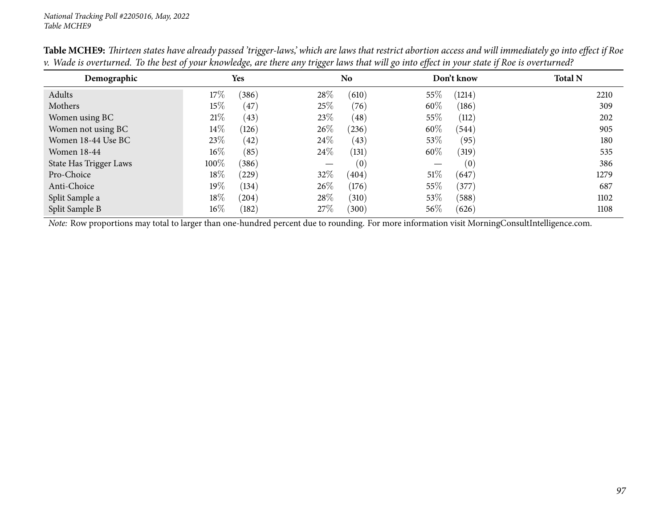| Demographic            | Yes    |            |        | N <sub>o</sub> |        | Don't know | <b>Total N</b> |
|------------------------|--------|------------|--------|----------------|--------|------------|----------------|
| Adults                 | $17\%$ | (386)      | 28\%   | (610)          | 55\%   | (1214)     | 2210           |
| Mothers                | $15\%$ | (47)       | 25%    | (76)           | 60%    | (186)      | 309            |
| Women using BC         | 21%    | (43)       | 23\%   | (48)           | 55%    | (112)      | 202            |
| Women not using BC     | $14\%$ | (126)      | $26\%$ | (236)          | $60\%$ | (544)      | 905            |
| Women 18-44 Use BC     | 23\%   | (42)       | 24\%   | (43)           | 53\%   | (95)       | 180            |
| Women 18-44            | $16\%$ | (85)       | 24\%   | (131)          | 60%    | (319)      | 535            |
| State Has Trigger Laws | 100%   | (386)      |        | (0)            |        | (0)        | 386            |
| Pro-Choice             | $18\%$ | (229)      | 32%    | (404)          | $51\%$ | (647)      | 1279           |
| Anti-Choice            | $19\%$ | (134)      | $26\%$ | (176)          | 55%    | (377)      | 687            |
| Split Sample a         | $18\%$ | $^{(204)}$ | 28\%   | (310)          | 53\%   | (588)      | 1102           |
| Split Sample B         | $16\%$ | (182)      | 27%    | (300)          | $56\%$ | (626)      | 1108           |

Table MCHE9: Thirteen states have already passed 'trigger-laws,' which are laws that restrict abortion access and will immediately go into effect if Roe v. Wade is overturned. To the best of your knowledge, are there any trigger laws that will go into effect in your state if Roe is overturned?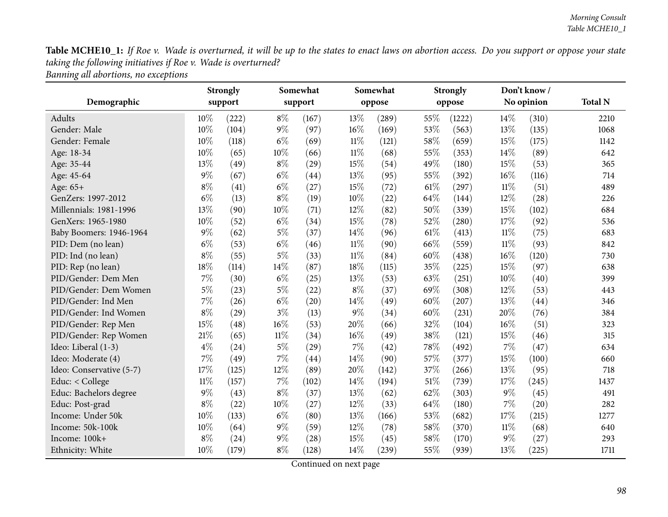Table MCHE10\_1: If Roe v. Wade is overturned, it will be up to the states to enact laws on abortion access. Do you support or oppose your state *taking the following initiatives if Roe v. Wade is overturned? Banning all abortions, no exceptions*

| Demographic              |        | <b>Strongly</b><br>support |        | Somewhat<br>support |        | Somewhat<br>oppose |      | <b>Strongly</b><br>oppose |        | Don't know/<br>No opinion | <b>Total N</b> |
|--------------------------|--------|----------------------------|--------|---------------------|--------|--------------------|------|---------------------------|--------|---------------------------|----------------|
| <b>Adults</b>            | 10%    | (222)                      | $8\%$  | (167)               | 13%    | (289)              | 55%  | (1222)                    | 14%    | (310)                     | 2210           |
| Gender: Male             | 10%    | (104)                      | $9\%$  | (97)                | 16%    | (169)              | 53%  | (563)                     | 13%    | (135)                     | 1068           |
| Gender: Female           | 10%    | (118)                      | $6\%$  | (69)                | $11\%$ | (121)              | 58%  | (659)                     | 15%    | (175)                     | 1142           |
| Age: 18-34               | 10%    | (65)                       | $10\%$ | (66)                | $11\%$ | (68)               | 55%  | (353)                     | 14%    | (89)                      | 642            |
| Age: 35-44               | 13%    | (49)                       | $8\%$  | (29)                | 15%    | (54)               | 49%  | (180)                     | 15%    | (53)                      | 365            |
| Age: 45-64               | $9\%$  | (67)                       | $6\%$  | (44)                | 13%    | (95)               | 55%  | (392)                     | 16%    | (116)                     | 714            |
| Age: 65+                 | $8\%$  | (41)                       | $6\%$  | (27)                | 15%    | (72)               | 61\% | (297)                     | $11\%$ | (51)                      | 489            |
| GenZers: 1997-2012       | $6\%$  | (13)                       | $8\%$  | (19)                | 10%    | (22)               | 64%  | (144)                     | 12%    | (28)                      | 226            |
| Millennials: 1981-1996   | 13%    | (90)                       | 10%    | (71)                | 12%    | (82)               | 50%  | (339)                     | 15%    | (102)                     | 684            |
| GenXers: 1965-1980       | 10%    | (52)                       | $6\%$  | (34)                | 15%    | (78)               | 52%  | (280)                     | 17%    | (92)                      | 536            |
| Baby Boomers: 1946-1964  | $9\%$  | (62)                       | $5\%$  | (37)                | 14%    | (96)               | 61\% | (413)                     | 11%    | (75)                      | 683            |
| PID: Dem (no lean)       | $6\%$  | (53)                       | $6\%$  | (46)                | $11\%$ | (90)               | 66%  | (559)                     | $11\%$ | (93)                      | 842            |
| PID: Ind (no lean)       | $8\%$  | (55)                       | $5\%$  | (33)                | $11\%$ | (84)               | 60%  | (438)                     | 16%    | (120)                     | 730            |
| PID: Rep (no lean)       | 18%    | (114)                      | 14%    | (87)                | 18%    | (115)              | 35%  | (225)                     | 15%    | (97)                      | 638            |
| PID/Gender: Dem Men      | $7\%$  | (30)                       | $6\%$  | (25)                | 13%    | (53)               | 63%  | (251)                     | 10%    | (40)                      | 399            |
| PID/Gender: Dem Women    | $5\%$  | (23)                       | $5\%$  | (22)                | $8\%$  | (37)               | 69%  | (308)                     | 12%    | (53)                      | 443            |
| PID/Gender: Ind Men      | $7\%$  | (26)                       | $6\%$  | $\left( 20\right)$  | 14%    | (49)               | 60%  | (207)                     | 13%    | (44)                      | 346            |
| PID/Gender: Ind Women    | $8\%$  | (29)                       | $3\%$  | (13)                | $9\%$  | (34)               | 60%  | (231)                     | 20%    | (76)                      | 384            |
| PID/Gender: Rep Men      | 15%    | (48)                       | 16%    | (53)                | 20%    | (66)               | 32%  | (104)                     | 16%    | (51)                      | 323            |
| PID/Gender: Rep Women    | 21%    | (65)                       | $11\%$ | (34)                | 16%    | (49)               | 38%  | (121)                     | 15%    | (46)                      | 315            |
| Ideo: Liberal (1-3)      | $4\%$  | (24)                       | $5\%$  | (29)                | $7\%$  | (42)               | 78%  | (492)                     | 7%     | (47)                      | 634            |
| Ideo: Moderate (4)       | $7\%$  | (49)                       | 7%     | (44)                | 14%    | (90)               | 57%  | (377)                     | 15%    | (100)                     | 660            |
| Ideo: Conservative (5-7) | 17%    | (125)                      | 12%    | (89)                | 20%    | (142)              | 37%  | (266)                     | 13%    | (95)                      | 718            |
| Educ: < College          | $11\%$ | (157)                      | 7%     | (102)               | 14%    | (194)              | 51%  | (739)                     | 17%    | (245)                     | 1437           |
| Educ: Bachelors degree   | $9\%$  | (43)                       | $8\%$  | (37)                | 13%    | (62)               | 62%  | (303)                     | 9%     | (45)                      | 491            |
| Educ: Post-grad          | $8\%$  | (22)                       | 10%    | (27)                | 12%    | (33)               | 64%  | (180)                     | 7%     | (20)                      | 282            |
| Income: Under 50k        | 10%    | (133)                      | $6\%$  | (80)                | 13%    | (166)              | 53%  | (682)                     | 17%    | (215)                     | 1277           |
| Income: 50k-100k         | 10%    | (64)                       | $9\%$  | (59)                | 12%    | (78)               | 58%  | (370)                     | $11\%$ | (68)                      | 640            |
| Income: 100k+            | $8\%$  | (24)                       | $9\%$  | (28)                | 15%    | (45)               | 58%  | (170)                     | 9%     | (27)                      | 293            |
| Ethnicity: White         | 10%    | (179)                      | $8\%$  | (128)               | 14%    | (239)              | 55%  | (939)                     | 13%    | (225)                     | 1711           |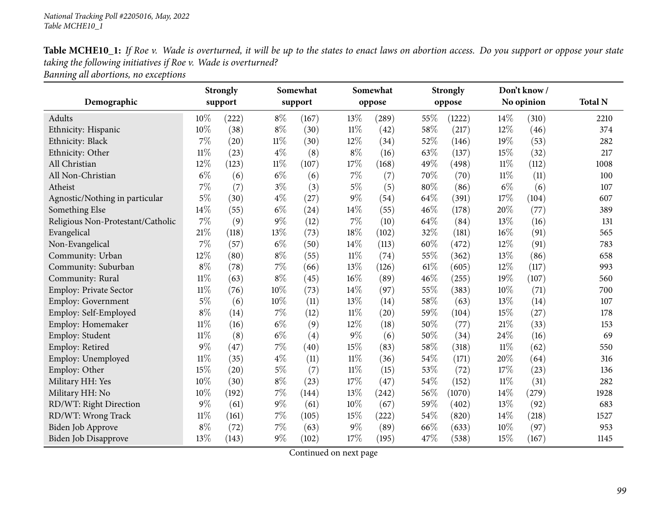| Table MCHE10_1: If Roe v. Wade is overturned, it will be up to the states to enact laws on abortion access. Do you support or oppose your state |
|-------------------------------------------------------------------------------------------------------------------------------------------------|
| taking the following initiatives if Roe v. Wade is overturned?                                                                                  |
| Ranning all ahortions no exceptions                                                                                                             |

*Banning all abortions, no exceptions*

|                                   | <b>Strongly</b> |         |        | Somewhat |        | Somewhat |     | <b>Strongly</b> |        | Don't know/ |                |
|-----------------------------------|-----------------|---------|--------|----------|--------|----------|-----|-----------------|--------|-------------|----------------|
| Demographic                       |                 | support |        | support  |        | oppose   |     | oppose          |        | No opinion  | <b>Total N</b> |
| Adults                            | 10%             | (222)   | $8\%$  | (167)    | 13%    | (289)    | 55% | (1222)          | 14%    | (310)       | 2210           |
| Ethnicity: Hispanic               | 10%             | (38)    | $8\%$  | (30)     | $11\%$ | (42)     | 58% | (217)           | 12%    | (46)        | 374            |
| Ethnicity: Black                  | 7%              | (20)    | $11\%$ | (30)     | 12%    | (34)     | 52% | (146)           | 19%    | (53)        | 282            |
| Ethnicity: Other                  | $11\%$          | (23)    | $4\%$  | (8)      | $8\%$  | (16)     | 63% | (137)           | 15%    | (32)        | 217            |
| All Christian                     | 12%             | (123)   | $11\%$ | (107)    | 17%    | (168)    | 49% | (498)           | $11\%$ | (112)       | 1008           |
| All Non-Christian                 | $6\%$           | (6)     | $6\%$  | (6)      | $7\%$  | (7)      | 70% | (70)            | $11\%$ | (11)        | 100            |
| Atheist                           | $7\%$           | (7)     | $3\%$  | (3)      | $5\%$  | (5)      | 80% | (86)            | $6\%$  | (6)         | 107            |
| Agnostic/Nothing in particular    | $5\%$           | (30)    | $4\%$  | (27)     | $9\%$  | (54)     | 64% | (391)           | 17%    | (104)       | 607            |
| Something Else                    | 14\%            | (55)    | $6\%$  | (24)     | 14%    | (55)     | 46% | (178)           | 20%    | (77)        | 389            |
| Religious Non-Protestant/Catholic | 7%              | (9)     | $9\%$  | (12)     | $7\%$  | (10)     | 64% | (84)            | 13%    | (16)        | 131            |
| Evangelical                       | 21%             | (118)   | 13%    | (73)     | 18%    | (102)    | 32% | (181)           | 16%    | (91)        | 565            |
| Non-Evangelical                   | 7%              | (57)    | $6\%$  | (50)     | 14%    | (113)    | 60% | (472)           | 12%    | (91)        | 783            |
| Community: Urban                  | 12%             | (80)    | $8\%$  | (55)     | $11\%$ | (74)     | 55% | (362)           | 13%    | (86)        | 658            |
| Community: Suburban               | $8\%$           | (78)    | 7%     | (66)     | 13%    | (126)    | 61% | (605)           | 12%    | (117)       | 993            |
| Community: Rural                  | 11%             | (63)    | $8\%$  | (45)     | 16%    | (89)     | 46% | (255)           | 19%    | (107)       | 560            |
| Employ: Private Sector            | $11\%$          | (76)    | $10\%$ | (73)     | 14%    | (97)     | 55% | (383)           | 10%    | (71)        | 700            |
| Employ: Government                | $5\%$           | (6)     | $10\%$ | (11)     | 13%    | (14)     | 58% | (63)            | 13%    | (14)        | 107            |
| Employ: Self-Employed             | $8\%$           | (14)    | $7\%$  | (12)     | $11\%$ | (20)     | 59% | (104)           | 15%    | (27)        | 178            |
| Employ: Homemaker                 | $11\%$          | (16)    | $6\%$  | (9)      | 12%    | (18)     | 50% | (77)            | 21%    | (33)        | 153            |
| Employ: Student                   | $11\%$          | (8)     | $6\%$  | (4)      | $9\%$  | (6)      | 50% | (34)            | 24%    | (16)        | 69             |
| Employ: Retired                   | $9\%$           | (47)    | $7\%$  | (40)     | 15%    | (83)     | 58% | (318)           | $11\%$ | (62)        | 550            |
| Employ: Unemployed                | $11\%$          | (35)    | $4\%$  | (11)     | $11\%$ | (36)     | 54% | (171)           | 20%    | (64)        | 316            |
| Employ: Other                     | 15%             | (20)    | $5\%$  | (7)      | $11\%$ | (15)     | 53% | (72)            | 17%    | (23)        | 136            |
| Military HH: Yes                  | 10%             | (30)    | $8\%$  | (23)     | 17%    | (47)     | 54% | (152)           | $11\%$ | (31)        | 282            |
| Military HH: No                   | 10%             | (192)   | $7\%$  | (144)    | 13%    | (242)    | 56% | (1070)          | 14%    | (279)       | 1928           |
| RD/WT: Right Direction            | 9%              | (61)    | $9\%$  | (61)     | 10%    | (67)     | 59% | (402)           | 13%    | (92)        | 683            |
| RD/WT: Wrong Track                | $11\%$          | (161)   | $7\%$  | (105)    | 15%    | (222)    | 54% | (820)           | 14%    | (218)       | 1527           |
| Biden Job Approve                 | $8\%$           | (72)    | $7\%$  | (63)     | $9\%$  | (89)     | 66% | (633)           | 10%    | (97)        | 953            |
| <b>Biden Job Disapprove</b>       | 13%             | (143)   | $9\%$  | (102)    | 17%    | (195)    | 47% | (538)           | 15%    | (167)       | 1145           |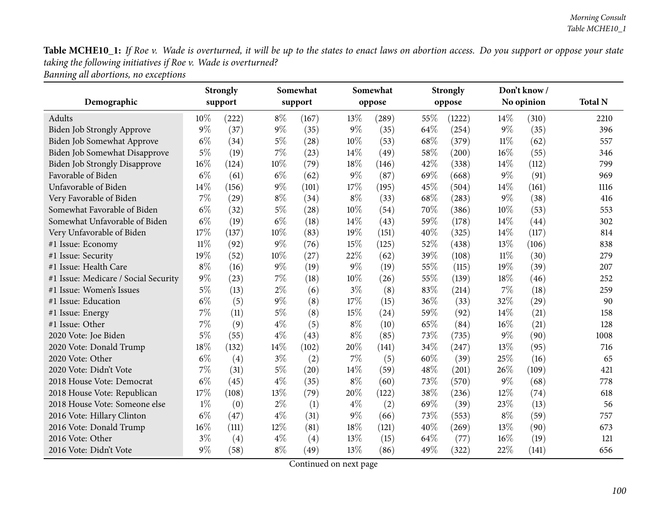|                                      | <b>Strongly</b> |         | Somewhat |         |       | Somewhat |      | <b>Strongly</b> |        | Don't know/ |                |
|--------------------------------------|-----------------|---------|----------|---------|-------|----------|------|-----------------|--------|-------------|----------------|
| Demographic                          |                 | support |          | support |       | oppose   |      | oppose          |        | No opinion  | <b>Total N</b> |
| Adults                               | 10%             | (222)   | $8\%$    | (167)   | 13%   | (289)    | 55%  | (1222)          | 14%    | (310)       | 2210           |
| Biden Job Strongly Approve           | 9%              | (37)    | $9\%$    | (35)    | $9\%$ | (35)     | 64\% | (254)           | $9\%$  | (35)        | 396            |
| Biden Job Somewhat Approve           | $6\%$           | (34)    | $5\%$    | (28)    | 10%   | (53)     | 68\% | (379)           | $11\%$ | (62)        | 557            |
| Biden Job Somewhat Disapprove        | $5\%$           | (19)    | $7\%$    | (23)    | 14%   | (49)     | 58%  | (200)           | 16%    | (55)        | 346            |
| <b>Biden Job Strongly Disapprove</b> | 16%             | (124)   | 10%      | (79)    | 18%   | (146)    | 42%  | (338)           | 14%    | (112)       | 799            |
| Favorable of Biden                   | $6\%$           | (61)    | $6\%$    | (62)    | $9\%$ | (87)     | 69%  | (668)           | $9\%$  | (91)        | 969            |
| Unfavorable of Biden                 | 14%             | (156)   | $9\%$    | (101)   | 17%   | (195)    | 45%  | (504)           | 14%    | (161)       | 1116           |
| Very Favorable of Biden              | 7%              | (29)    | $8\%$    | (34)    | $8\%$ | (33)     | 68\% | (283)           | $9\%$  | (38)        | 416            |
| Somewhat Favorable of Biden          | $6\%$           | (32)    | $5\%$    | (28)    | 10%   | (54)     | 70%  | (386)           | 10%    | (53)        | 553            |
| Somewhat Unfavorable of Biden        | $6\%$           | (19)    | $6\%$    | (18)    | 14%   | (43)     | 59%  | (178)           | 14%    | (44)        | 302            |
| Very Unfavorable of Biden            | 17%             | (137)   | 10%      | (83)    | 19%   | (151)    | 40%  | (325)           | 14%    | (117)       | 814            |
| #1 Issue: Economy                    | $11\%$          | (92)    | $9\%$    | (76)    | 15%   | (125)    | 52%  | (438)           | 13%    | (106)       | 838            |
| #1 Issue: Security                   | 19%             | (52)    | 10%      | (27)    | 22%   | (62)     | 39%  | (108)           | $11\%$ | (30)        | 279            |
| #1 Issue: Health Care                | $8\%$           | (16)    | $9\%$    | (19)    | $9\%$ | (19)     | 55%  | (115)           | 19%    | (39)        | 207            |
| #1 Issue: Medicare / Social Security | $9\%$           | (23)    | $7\%$    | (18)    | 10%   | (26)     | 55%  | (139)           | 18%    | (46)        | 252            |
| #1 Issue: Women's Issues             | $5\%$           | (13)    | $2\%$    | (6)     | $3\%$ | (8)      | 83%  | (214)           | $7\%$  | (18)        | 259            |
| #1 Issue: Education                  | $6\%$           | (5)     | $9\%$    | (8)     | 17%   | (15)     | 36%  | (33)            | 32%    | (29)        | 90             |
| #1 Issue: Energy                     | 7%              | (11)    | $5\%$    | (8)     | 15%   | (24)     | 59%  | (92)            | 14%    | (21)        | 158            |
| #1 Issue: Other                      | 7%              | (9)     | $4\%$    | (5)     | $8\%$ | (10)     | 65%  | (84)            | 16%    | (21)        | 128            |
| 2020 Vote: Joe Biden                 | $5\%$           | (55)    | $4\%$    | (43)    | $8\%$ | (85)     | 73%  | (735)           | 9%     | (90)        | 1008           |
| 2020 Vote: Donald Trump              | 18%             | (132)   | 14%      | (102)   | 20%   | (141)    | 34%  | (247)           | 13%    | (95)        | 716            |
| 2020 Vote: Other                     | $6\%$           | (4)     | $3\%$    | (2)     | $7\%$ | (5)      | 60%  | (39)            | 25%    | (16)        | 65             |
| 2020 Vote: Didn't Vote               | 7%              | (31)    | $5\%$    | (20)    | 14\%  | (59)     | 48%  | (201)           | 26%    | (109)       | 421            |
| 2018 House Vote: Democrat            | $6\%$           | (45)    | $4\%$    | (35)    | $8\%$ | (60)     | 73%  | (570)           | $9\%$  | (68)        | 778            |
| 2018 House Vote: Republican          | 17%             | (108)   | 13%      | (79)    | 20%   | (122)    | 38%  | (236)           | $12\%$ | (74)        | 618            |
| 2018 House Vote: Someone else        | $1\%$           | (0)     | $2\%$    | (1)     | $4\%$ | (2)      | 69%  | (39)            | 23%    | (13)        | 56             |
| 2016 Vote: Hillary Clinton           | $6\%$           | (47)    | $4\%$    | (31)    | $9\%$ | (66)     | 73%  | (553)           | $8\%$  | (59)        | 757            |
| 2016 Vote: Donald Trump              | 16%             | (111)   | 12%      | (81)    | 18%   | (121)    | 40%  | (269)           | 13%    | (90)        | 673            |
| 2016 Vote: Other                     | $3\%$           | (4)     | $4\%$    | (4)     | 13%   | (15)     | 64\% | (77)            | 16%    | (19)        | 121            |
| 2016 Vote: Didn't Vote               | $9\%$           | (58)    | $8\%$    | (49)    | 13%   | (86)     | 49%  | (322)           | 22%    | (141)       | 656            |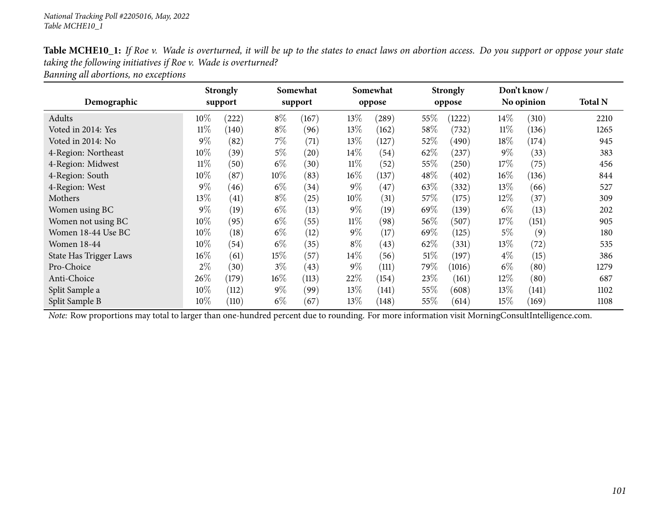| Table MCHE10_1: If Roe v. Wade is overturned, it will be up to the states to enact laws on abortion access. Do you support or oppose your state |
|-------------------------------------------------------------------------------------------------------------------------------------------------|
| taking the following initiatives if Roe v. Wade is overturned?                                                                                  |
| Banning all abortions, no exceptions                                                                                                            |

|                        | <b>Strongly</b><br>Somewhat |         |        | Somewhat |        | <b>Strongly</b> |        | Don't know/ |        |            |                |
|------------------------|-----------------------------|---------|--------|----------|--------|-----------------|--------|-------------|--------|------------|----------------|
| Demographic            |                             | support |        | support  |        | oppose          |        | oppose      |        | No opinion | <b>Total N</b> |
| Adults                 | $10\%$                      | (222)   | $8\%$  | (167)    | 13\%   | (289)           | 55%    | 1222)       | $14\%$ | (310)      | 2210           |
| Voted in 2014: Yes     | $11\%$                      | (140)   | $8\%$  | (96)     | 13\%   | (162)           | 58%    | (732)       | $11\%$ | (136)      | 1265           |
| Voted in 2014: No      | $9\%$                       | (82)    | 7%     | (71)     | 13%    | (127)           | 52\%   | (490)       | 18%    | (174)      | 945            |
| 4-Region: Northeast    | $10\%$                      | (39)    | 5%     | (20)     | $14\%$ | (54)            | 62\%   | $^{'}237)$  | $9\%$  | (33)       | 383            |
| 4-Region: Midwest      | $11\%$                      | (50)    | $6\%$  | (30)     | $11\%$ | (52)            | 55%    | (250)       | 17%    | (75)       | 456            |
| 4-Region: South        | $10\%$                      | (87)    | $10\%$ | (83)     | $16\%$ | (137)           | 48\%   | (402)       | $16\%$ | (136)      | 844            |
| 4-Region: West         | $9\%$                       | (46)    | $6\%$  | (34)     | $9\%$  | (47)            | 63\%   | (332)       | 13\%   | (66)       | 527            |
| Mothers                | 13\%                        | (41)    | $8\%$  | (25)     | 10%    | (31)            | 57\%   | (175)       | $12\%$ | (37)       | 309            |
| Women using BC         | $9\%$                       | (19)    | $6\%$  | (13)     | $9\%$  | (19)            | 69%    | (139)       | $6\%$  | (13)       | 202            |
| Women not using BC     | 10%                         | (95)    | $6\%$  | (55)     | $11\%$ | (98)            | 56\%   | (507)       | 17%    | (151)      | 905            |
| Women 18-44 Use BC     | 10\%                        | (18)    | $6\%$  | (12)     | $9\%$  | (17)            | 69%    | (125)       | $5\%$  | (9)        | 180            |
| <b>Women 18-44</b>     | 10%                         | (54)    | $6\%$  | (35)     | $8\%$  | (43)            | 62\%   | (331)       | 13%    | (72)       | 535            |
| State Has Trigger Laws | $16\%$                      | (61)    | 15%    | (57)     | $14\%$ | (56)            | $51\%$ | (197)       | $4\%$  | (15)       | 386            |
| Pro-Choice             | $2\%$                       | (30)    | $3\%$  | (43)     | $9\%$  | (111)           | 79%    | (1016)      | $6\%$  | (80)       | 1279           |
| Anti-Choice            | 26\%                        | (179)   | $16\%$ | (113)    | 22%    | (154)           | 23\%   | (161)       | 12%    | (80)       | 687            |
| Split Sample a         | $10\%$                      | (112)   | $9\%$  | (99)     | $13\%$ | (141)           | 55%    | (608)       | $13\%$ | (141)      | 1102           |
| Split Sample B         | $10\%$                      | (110)   | $6\%$  | (67)     | 13\%   | (148)           | 55\%   | (614)       | 15%    | (169)      | 1108           |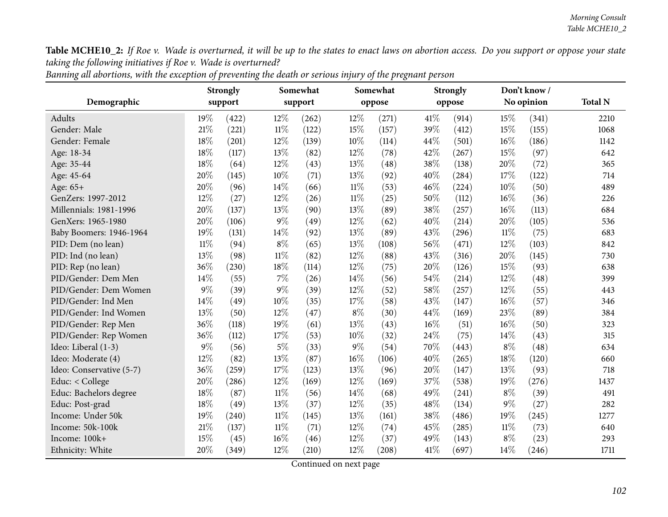|                          | <b>Strongly</b> |       |        | Somewhat |        | Somewhat |      | <b>Strongly</b> |        | Don't know / |                |
|--------------------------|-----------------|-------|--------|----------|--------|----------|------|-----------------|--------|--------------|----------------|
| Demographic              | support         |       |        | support  |        | oppose   |      | oppose          |        | No opinion   | <b>Total N</b> |
| Adults                   | 19%             | (422) | 12%    | (262)    | $12\%$ | (271)    | 41\% | (914)           | 15%    | (341)        | 2210           |
| Gender: Male             | 21%             | (221) | $11\%$ | (122)    | 15%    | (157)    | 39%  | (412)           | 15%    | (155)        | 1068           |
| Gender: Female           | 18%             | (201) | $12\%$ | (139)    | $10\%$ | (114)    | 44%  | (501)           | 16%    | (186)        | 1142           |
| Age: 18-34               | 18%             | (117) | 13%    | (82)     | 12%    | (78)     | 42%  | (267)           | 15%    | (97)         | 642            |
| Age: 35-44               | 18%             | (64)  | 12%    | (43)     | 13%    | (48)     | 38%  | (138)           | 20%    | (72)         | 365            |
| Age: 45-64               | 20%             | (145) | 10%    | (71)     | 13%    | (92)     | 40%  | (284)           | 17%    | (122)        | 714            |
| Age: 65+                 | 20%             | (96)  | 14%    | (66)     | $11\%$ | (53)     | 46%  | (224)           | $10\%$ | (50)         | 489            |
| GenZers: 1997-2012       | 12%             | (27)  | 12%    | (26)     | $11\%$ | (25)     | 50%  | (112)           | 16%    | (36)         | 226            |
| Millennials: 1981-1996   | 20%             | (137) | 13%    | (90)     | 13%    | (89)     | 38%  | (257)           | 16%    | (113)        | 684            |
| GenXers: 1965-1980       | 20%             | (106) | $9\%$  | (49)     | 12%    | (62)     | 40%  | (214)           | 20%    | (105)        | 536            |
| Baby Boomers: 1946-1964  | 19%             | (131) | 14%    | (92)     | 13%    | (89)     | 43%  | (296)           | $11\%$ | (75)         | 683            |
| PID: Dem (no lean)       | 11%             | (94)  | $8\%$  | (65)     | 13%    | (108)    | 56%  | (471)           | 12%    | (103)        | 842            |
| PID: Ind (no lean)       | 13%             | (98)  | $11\%$ | (82)     | 12%    | (88)     | 43%  | (316)           | 20%    | (145)        | 730            |
| PID: Rep (no lean)       | 36%             | (230) | 18%    | (114)    | 12%    | (75)     | 20%  | (126)           | 15%    | (93)         | 638            |
| PID/Gender: Dem Men      | 14%             | (55)  | 7%     | (26)     | 14%    | (56)     | 54%  | (214)           | 12%    | (48)         | 399            |
| PID/Gender: Dem Women    | $9\%$           | (39)  | $9\%$  | (39)     | 12%    | (52)     | 58%  | (257)           | 12%    | (55)         | 443            |
| PID/Gender: Ind Men      | 14\%            | (49)  | 10%    | (35)     | 17%    | (58)     | 43%  | (147)           | 16%    | (57)         | 346            |
| PID/Gender: Ind Women    | 13%             | (50)  | 12%    | (47)     | $8\%$  | (30)     | 44%  | (169)           | 23%    | (89)         | 384            |
| PID/Gender: Rep Men      | 36%             | (118) | 19%    | (61)     | 13%    | (43)     | 16%  | (51)            | 16%    | (50)         | 323            |
| PID/Gender: Rep Women    | 36%             | (112) | 17%    | (53)     | 10%    | (32)     | 24%  | (75)            | 14\%   | (43)         | 315            |
| Ideo: Liberal (1-3)      | $9\%$           | (56)  | $5\%$  | (33)     | 9%     | (54)     | 70%  | (443)           | $8\%$  | (48)         | 634            |
| Ideo: Moderate (4)       | 12%             | (82)  | 13%    | (87)     | 16%    | (106)    | 40%  | (265)           | 18%    | (120)        | 660            |
| Ideo: Conservative (5-7) | 36%             | (259) | 17%    | (123)    | 13%    | (96)     | 20%  | (147)           | 13\%   | (93)         | 718            |
| Educ: < College          | 20%             | (286) | 12%    | (169)    | 12%    | (169)    | 37%  | (538)           | 19%    | (276)        | 1437           |
| Educ: Bachelors degree   | 18%             | (87)  | $11\%$ | (56)     | 14%    | (68)     | 49%  | (241)           | $8\%$  | (39)         | 491            |
| Educ: Post-grad          | 18%             | (49)  | 13%    | (37)     | 12%    | (35)     | 48%  | (134)           | $9\%$  | (27)         | 282            |
| Income: Under 50k        | 19%             | (240) | $11\%$ | (145)    | 13%    | (161)    | 38%  | (486)           | 19%    | (245)        | 1277           |
| Income: 50k-100k         | 21%             | (137) | $11\%$ | (71)     | 12%    | (74)     | 45%  | (285)           | $11\%$ | (73)         | 640            |
| Income: 100k+            | 15%             | (45)  | 16%    | (46)     | 12%    | (37)     | 49%  | (143)           | $8\%$  | (23)         | 293            |
| Ethnicity: White         | 20%             | (349) | 12%    | (210)    | 12%    | (208)    | 41%  | (697)           | $14\%$ | (246)        | 1711           |

Banning all abortions, with the exception of preventing the death or serious injury of the pregnant person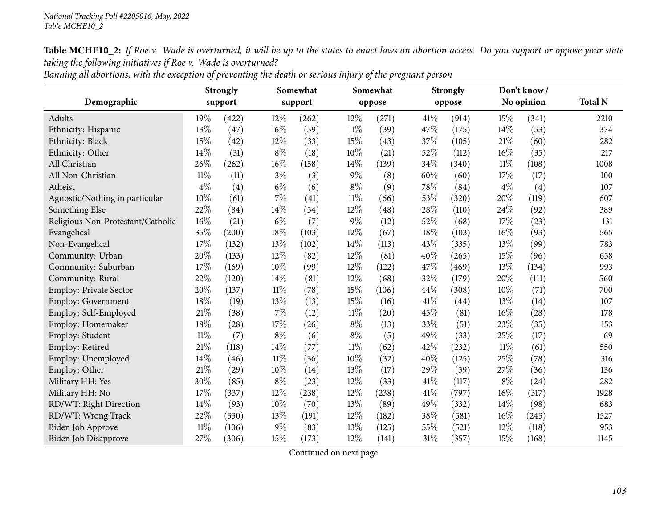|                                   | <b>Strongly</b> |                    |        | Somewhat |        | Somewhat |      | <b>Strongly</b> |        | Don't know / |                |  |
|-----------------------------------|-----------------|--------------------|--------|----------|--------|----------|------|-----------------|--------|--------------|----------------|--|
| Demographic                       | support         |                    |        | support  |        | oppose   |      | oppose          |        | No opinion   | <b>Total N</b> |  |
| Adults                            | 19%             | (422)              | 12%    | (262)    | 12%    | (271)    | 41%  | (914)           | 15%    | (341)        | 2210           |  |
| Ethnicity: Hispanic               | 13%             | (47)               | 16%    | (59)     | $11\%$ | (39)     | 47%  | (175)           | 14%    | (53)         | 374            |  |
| Ethnicity: Black                  | 15%             | (42)               | 12%    | (33)     | 15%    | (43)     | 37%  | (105)           | 21%    | (60)         | 282            |  |
| Ethnicity: Other                  | 14%             | (31)               | $8\%$  | (18)     | 10%    | (21)     | 52%  | (112)           | 16%    | (35)         | 217            |  |
| All Christian                     | 26%             | (262)              | 16%    | (158)    | 14%    | (139)    | 34%  | (340)           | $11\%$ | (108)        | 1008           |  |
| All Non-Christian                 | $11\%$          | (11)               | $3\%$  | (3)      | $9\%$  | (8)      | 60%  | (60)            | 17%    | (17)         | 100            |  |
| Atheist                           | $4\%$           | (4)                | $6\%$  | (6)      | $8\%$  | (9)      | 78%  | (84)            | $4\%$  | (4)          | 107            |  |
| Agnostic/Nothing in particular    | 10%             | (61)               | 7%     | (41)     | $11\%$ | (66)     | 53%  | (320)           | 20%    | (119)        | 607            |  |
| Something Else                    | 22%             | (84)               | 14%    | (54)     | 12%    | (48)     | 28%  | (110)           | 24%    | (92)         | 389            |  |
| Religious Non-Protestant/Catholic | 16%             | (21)               | $6\%$  | (7)      | $9\%$  | (12)     | 52%  | (68)            | 17%    | (23)         | 131            |  |
| Evangelical                       | 35%             | (200)              | 18%    | (103)    | 12%    | (67)     | 18%  | (103)           | 16%    | (93)         | 565            |  |
| Non-Evangelical                   | 17%             | (132)              | 13%    | (102)    | 14%    | (113)    | 43%  | (335)           | 13%    | (99)         | 783            |  |
| Community: Urban                  | 20%             | (133)              | 12%    | (82)     | 12%    | (81)     | 40%  | (265)           | 15%    | (96)         | 658            |  |
| Community: Suburban               | 17%             | (169)              | 10%    | (99)     | 12%    | (122)    | 47%  | (469)           | 13%    | (134)        | 993            |  |
| Community: Rural                  | 22%             | (120)              | 14%    | (81)     | 12%    | (68)     | 32%  | (179)           | 20%    | (111)        | 560            |  |
| Employ: Private Sector            | 20%             | (137)              | $11\%$ | (78)     | 15%    | (106)    | 44%  | (308)           | 10%    | (71)         | 700            |  |
| Employ: Government                | 18%             | (19)               | 13%    | (13)     | 15%    | (16)     | 41%  | (44)            | 13%    | (14)         | 107            |  |
| Employ: Self-Employed             | $21\%$          | (38)               | 7%     | (12)     | $11\%$ | (20)     | 45%  | (81)            | 16%    | (28)         | 178            |  |
| Employ: Homemaker                 | 18%             | (28)               | 17%    | (26)     | $8\%$  | (13)     | 33%  | (51)            | 23%    | (35)         | 153            |  |
| Employ: Student                   | $11\%$          | (7)                | $8\%$  | (6)      | $8\%$  | (5)      | 49%  | (33)            | 25%    | (17)         | 69             |  |
| Employ: Retired                   | $21\%$          | (118)              | 14%    | (77)     | $11\%$ | (62)     | 42%  | (232)           | $11\%$ | (61)         | 550            |  |
| Employ: Unemployed                | 14%             | (46)               | $11\%$ | (36)     | 10%    | (32)     | 40%  | (125)           | 25%    | (78)         | 316            |  |
| Employ: Other                     | $21\%$          | $\left( 29\right)$ | 10%    | (14)     | 13%    | (17)     | 29%  | (39)            | 27%    | (36)         | 136            |  |
| Military HH: Yes                  | 30%             | (85)               | $8\%$  | (23)     | 12%    | (33)     | 41\% | (117)           | $8\%$  | (24)         | 282            |  |
| Military HH: No                   | 17%             | (337)              | 12%    | (238)    | 12%    | (238)    | 41%  | (797)           | 16%    | (317)        | 1928           |  |
| RD/WT: Right Direction            | 14%             | (93)               | 10%    | (70)     | 13%    | (89)     | 49%  | (332)           | 14\%   | (98)         | 683            |  |
| RD/WT: Wrong Track                | 22%             | (330)              | 13%    | (191)    | 12%    | (182)    | 38%  | (581)           | 16%    | (243)        | 1527           |  |
| Biden Job Approve                 | $11\%$          | (106)              | 9%     | (83)     | 13%    | (125)    | 55%  | (521)           | 12%    | (118)        | 953            |  |
| Biden Job Disapprove              | 27%             | (306)              | 15%    | (173)    | 12%    | (141)    | 31%  | (357)           | 15%    | (168)        | 1145           |  |

Banning all abortions, with the exception of preventing the death or serious injury of the pregnant person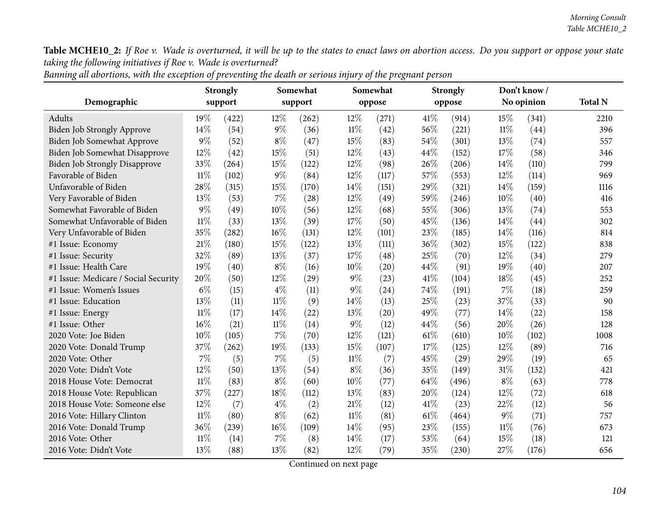|                                      | <b>Strongly</b> |       |        | Somewhat |        | Somewhat |      | <b>Strongly</b> |        | Don't know/ |                |
|--------------------------------------|-----------------|-------|--------|----------|--------|----------|------|-----------------|--------|-------------|----------------|
| Demographic                          | support         |       |        | support  |        | oppose   |      | oppose          |        | No opinion  | <b>Total N</b> |
| Adults                               | 19%             | (422) | 12%    | (262)    | 12%    | (271)    | 41\% | (914)           | 15%    | (341)       | 2210           |
| Biden Job Strongly Approve           | 14%             | (54)  | $9\%$  | (36)     | $11\%$ | (42)     | 56%  | (221)           | $11\%$ | (44)        | 396            |
| Biden Job Somewhat Approve           | 9%              | (52)  | $8\%$  | (47)     | 15%    | (83)     | 54%  | (301)           | 13%    | (74)        | 557            |
| Biden Job Somewhat Disapprove        | 12%             | (42)  | 15%    | (51)     | 12%    | (43)     | 44%  | (152)           | 17%    | (58)        | 346            |
| <b>Biden Job Strongly Disapprove</b> | 33%             | (264) | 15%    | (122)    | 12%    | (98)     | 26%  | (206)           | 14%    | (110)       | 799            |
| Favorable of Biden                   | $11\%$          | (102) | $9\%$  | (84)     | 12%    | (117)    | 57%  | (553)           | 12%    | (114)       | 969            |
| Unfavorable of Biden                 | 28%             | (315) | 15%    | (170)    | 14%    | (151)    | 29%  | (321)           | 14%    | (159)       | 1116           |
| Very Favorable of Biden              | 13%             | (53)  | $7\%$  | (28)     | 12%    | (49)     | 59%  | (246)           | 10%    | (40)        | 416            |
| Somewhat Favorable of Biden          | 9%              | (49)  | 10%    | (56)     | 12%    | (68)     | 55%  | (306)           | 13%    | (74)        | 553            |
| Somewhat Unfavorable of Biden        | $11\%$          | (33)  | 13%    | (39)     | 17%    | (50)     | 45%  | (136)           | 14%    | (44)        | 302            |
| Very Unfavorable of Biden            | 35%             | (282) | 16%    | (131)    | 12%    | (101)    | 23%  | (185)           | 14%    | (116)       | 814            |
| #1 Issue: Economy                    | 21%             | (180) | 15%    | (122)    | 13%    | (111)    | 36%  | (302)           | 15%    | (122)       | 838            |
| #1 Issue: Security                   | 32%             | (89)  | 13%    | (37)     | 17%    | (48)     | 25%  | (70)            | 12%    | (34)        | 279            |
| #1 Issue: Health Care                | 19%             | (40)  | $8\%$  | (16)     | 10%    | (20)     | 44%  | (91)            | 19%    | (40)        | 207            |
| #1 Issue: Medicare / Social Security | 20%             | (50)  | 12%    | (29)     | $9\%$  | (23)     | 41\% | (104)           | 18%    | (45)        | 252            |
| #1 Issue: Women's Issues             | $6\%$           | (15)  | $4\%$  | (11)     | $9\%$  | (24)     | 74%  | (191)           | $7\%$  | (18)        | 259            |
| #1 Issue: Education                  | 13%             | (11)  | $11\%$ | (9)      | 14%    | (13)     | 25%  | (23)            | 37%    | (33)        | 90             |
| #1 Issue: Energy                     | $11\%$          | (17)  | 14%    | (22)     | 13%    | (20)     | 49%  | (77)            | 14%    | (22)        | 158            |
| #1 Issue: Other                      | 16%             | (21)  | $11\%$ | (14)     | $9\%$  | (12)     | 44%  | (56)            | 20%    | (26)        | 128            |
| 2020 Vote: Joe Biden                 | 10%             | (105) | $7\%$  | (70)     | 12%    | (121)    | 61%  | (610)           | 10%    | (102)       | 1008           |
| 2020 Vote: Donald Trump              | 37%             | (262) | 19%    | (133)    | 15%    | (107)    | 17%  | (125)           | 12%    | (89)        | 716            |
| 2020 Vote: Other                     | 7%              | (5)   | 7%     | (5)      | $11\%$ | (7)      | 45%  | (29)            | 29%    | (19)        | 65             |
| 2020 Vote: Didn't Vote               | $12\%$          | (50)  | 13%    | (54)     | $8\%$  | (36)     | 35%  | (149)           | 31%    | (132)       | 421            |
| 2018 House Vote: Democrat            | $11\%$          | (83)  | $8\%$  | (60)     | 10%    | (77)     | 64%  | (496)           | $8\%$  | (63)        | 778            |
| 2018 House Vote: Republican          | 37%             | (227) | 18%    | (112)    | 13%    | (83)     | 20%  | (124)           | 12%    | (72)        | 618            |
| 2018 House Vote: Someone else        | 12%             | (7)   | $4\%$  | (2)      | 21%    | (12)     | 41\% | (23)            | 22%    | (12)        | 56             |
| 2016 Vote: Hillary Clinton           | $11\%$          | (80)  | $8\%$  | (62)     | $11\%$ | (81)     | 61%  | (464)           | $9\%$  | (71)        | 757            |
| 2016 Vote: Donald Trump              | 36%             | (239) | 16%    | (109)    | 14%    | (95)     | 23%  | (155)           | $11\%$ | (76)        | 673            |
| 2016 Vote: Other                     | 11%             | (14)  | 7%     | (8)      | 14\%   | (17)     | 53%  | (64)            | 15%    | (18)        | 121            |
| 2016 Vote: Didn't Vote               | 13%             | (88)  | 13%    | (82)     | 12%    | (79)     | 35%  | (230)           | 27%    | (176)       | 656            |

Banning all abortions, with the exception of preventing the death or serious injury of the pregnant person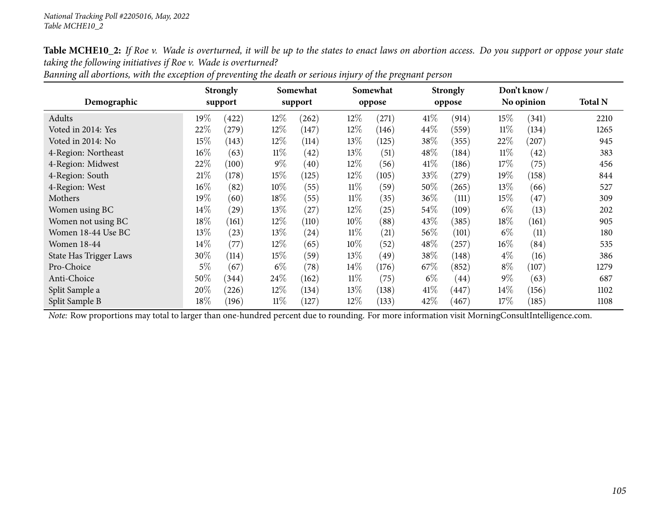|                        | <b>Strongly</b><br>Somewhat |                    |        | Somewhat  |        | <b>Strongly</b> |        | Don't know / |        |            |                |
|------------------------|-----------------------------|--------------------|--------|-----------|--------|-----------------|--------|--------------|--------|------------|----------------|
| Demographic            |                             | support            |        | support   |        | oppose          |        | oppose       |        | No opinion | <b>Total N</b> |
| Adults                 | $19\%$                      | (422)              | $12\%$ | (262)     | $12\%$ | (271)           | $41\%$ | (914)        | 15%    | (341)      | 2210           |
| Voted in 2014: Yes     | 22%                         | $^{'}279)$         | $12\%$ | (147)     | $12\%$ | (146)           | 44\%   | (559)        | $11\%$ | (134)      | 1265           |
| Voted in 2014: No      | 15%                         | (143)              | $12\%$ | (114)     | 13\%   | (125)           | 38\%   | (355)        | 22%    | $^{'}207)$ | 945            |
| 4-Region: Northeast    | $16\%$                      | (63)               | $11\%$ | $^{(42)}$ | $13\%$ | (51)            | 48\%   | (184)        | $11\%$ | (42)       | 383            |
| 4-Region: Midwest      | 22%                         | (100)              | $9\%$  | (40)      | 12%    | (56)            | 41\%   | (186)        | 17%    | (75)       | 456            |
| 4-Region: South        | 21%                         | (178)              | $15\%$ | (125)     | $12\%$ | (105)           | 33\%   | $^{'}279)$   | 19%    | (158)      | 844            |
| 4-Region: West         | $16\%$                      | (82)               | 10%    | (55)      | $11\%$ | (59)            | $50\%$ | (265)        | 13%    | (66)       | 527            |
| Mothers                | 19%                         | (60)               | 18%    | (55)      | $11\%$ | (35)            | 36\%   | (111)        | 15%    | (47)       | 309            |
| Women using BC         | $14\%$                      | $\left( 29\right)$ | 13\%   | (27)      | 12\%   | (25)            | 54\%   | (109)        | $6\%$  | (13)       | 202            |
| Women not using BC     | $18\%$                      | (161)              | $12\%$ | (110)     | 10%    | (88)            | 43\%   | (385)        | 18%    | (161)      | 905            |
| Women 18-44 Use BC     | 13%                         | (23)               | 13\%   | (24)      | $11\%$ | (21)            | 56\%   | (101)        | $6\%$  | (11)       | 180            |
| <b>Women 18-44</b>     | 14%                         | (77)               | $12\%$ | (65)      | 10%    | (52)            | 48\%   | (257)        | $16\%$ | (84)       | 535            |
| State Has Trigger Laws | 30%                         | (114)              | $15\%$ | (59)      | 13\%   | (49)            | 38\%   | (148)        | $4\%$  | (16)       | 386            |
| Pro-Choice             | $5\%$                       | (67)               | $6\%$  | (78)      | $14\%$ | (176)           | 67\%   | (852)        | $8\%$  | (107)      | 1279           |
| Anti-Choice            | 50%                         | (344)              | 24\%   | (162)     | $11\%$ | (75)            | $6\%$  | (44)         | $9\%$  | (63)       | 687            |
| Split Sample a         | 20%                         | (226)              | $12\%$ | (134)     | $13\%$ | (138)           | $41\%$ | (447)        | $14\%$ | (156)      | 1102           |
| Split Sample B         | 18%                         | (196)              | $11\%$ | (127)     | 12\%   | (133)           | 42%    | (467)        | 17%    | (185)      | 1108           |

Banning all abortions, with the exception of preventing the death or serious injury of the pregnant person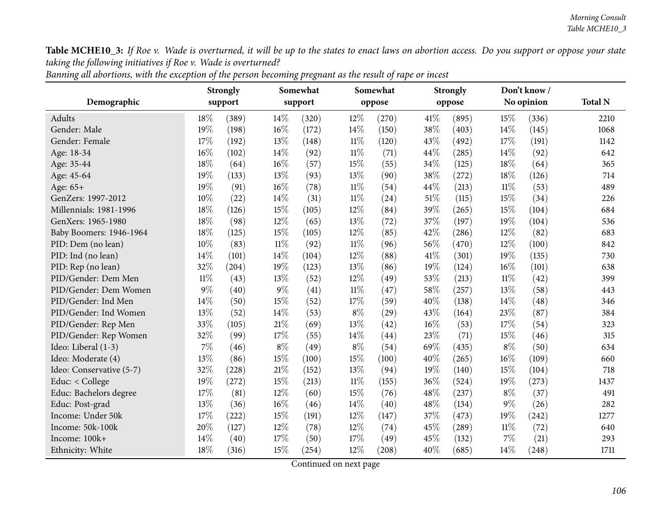|                          |        | <b>Strongly</b> | Somewhat |       |        | Somewhat |      | <b>Strongly</b> |        | Don't know / |                |
|--------------------------|--------|-----------------|----------|-------|--------|----------|------|-----------------|--------|--------------|----------------|
| Demographic              |        | support         | support  |       |        | oppose   |      | oppose          |        | No opinion   | <b>Total N</b> |
| Adults                   | 18%    | (389)           | 14\%     | (320) | 12%    | (270)    | 41\% | (895)           | 15%    | (336)        | 2210           |
| Gender: Male             | 19%    | (198)           | 16%      | (172) | 14%    | (150)    | 38%  | (403)           | 14%    | (145)        | 1068           |
| Gender: Female           | 17%    | (192)           | 13%      | (148) | $11\%$ | (120)    | 43%  | (492)           | 17%    | (191)        | 1142           |
| Age: 18-34               | 16%    | (102)           | 14\%     | (92)  | $11\%$ | (71)     | 44%  | (285)           | $14\%$ | (92)         | 642            |
| Age: 35-44               | 18%    | (64)            | 16%      | (57)  | 15%    | (55)     | 34%  | (125)           | 18%    | (64)         | 365            |
| Age: 45-64               | 19%    | (133)           | 13%      | (93)  | 13%    | (90)     | 38%  | (272)           | 18%    | (126)        | 714            |
| Age: $65+$               | 19%    | (91)            | 16%      | (78)  | $11\%$ | (54)     | 44%  | (213)           | $11\%$ | (53)         | 489            |
| GenZers: 1997-2012       | 10%    | (22)            | 14%      | (31)  | $11\%$ | (24)     | 51%  | (115)           | 15%    | (34)         | 226            |
| Millennials: 1981-1996   | 18%    | (126)           | 15%      | (105) | 12%    | (84)     | 39%  | (265)           | 15%    | (104)        | 684            |
| GenXers: 1965-1980       | 18%    | (98)            | 12%      | (65)  | 13%    | (72)     | 37%  | (197)           | 19%    | (104)        | 536            |
| Baby Boomers: 1946-1964  | 18%    | (125)           | 15%      | (105) | 12%    | (85)     | 42%  | (286)           | $12\%$ | (82)         | 683            |
| PID: Dem (no lean)       | 10%    | (83)            | $11\%$   | (92)  | $11\%$ | (96)     | 56%  | (470)           | 12%    | (100)        | 842            |
| PID: Ind (no lean)       | 14%    | (101)           | 14%      | (104) | 12%    | (88)     | 41%  | (301)           | 19%    | (135)        | 730            |
| PID: Rep (no lean)       | 32%    | (204)           | 19%      | (123) | 13%    | (86)     | 19%  | (124)           | $16\%$ | (101)        | 638            |
| PID/Gender: Dem Men      | $11\%$ | (43)            | 13%      | (52)  | 12%    | (49)     | 53%  | (213)           | $11\%$ | (42)         | 399            |
| PID/Gender: Dem Women    | $9\%$  | (40)            | $9\%$    | (41)  | $11\%$ | (47)     | 58%  | (257)           | 13\%   | (58)         | 443            |
| PID/Gender: Ind Men      | 14%    | (50)            | 15%      | (52)  | 17%    | (59)     | 40%  | (138)           | 14%    | (48)         | 346            |
| PID/Gender: Ind Women    | 13%    | (52)            | 14%      | (53)  | $8\%$  | (29)     | 43%  | (164)           | 23%    | (87)         | 384            |
| PID/Gender: Rep Men      | 33%    | (105)           | 21\%     | (69)  | 13%    | (42)     | 16%  | (53)            | 17%    | (54)         | 323            |
| PID/Gender: Rep Women    | 32%    | (99)            | 17%      | (55)  | 14%    | (44)     | 23%  | (71)            | 15%    | (46)         | 315            |
| Ideo: Liberal (1-3)      | 7%     | (46)            | $8\%$    | (49)  | $8\%$  | (54)     | 69%  | (435)           | $8\%$  | (50)         | 634            |
| Ideo: Moderate (4)       | 13%    | (86)            | 15%      | (100) | 15%    | (100)    | 40%  | (265)           | 16%    | (109)        | 660            |
| Ideo: Conservative (5-7) | 32%    | (228)           | $21\%$   | (152) | 13%    | (94)     | 19%  | (140)           | 15%    | (104)        | 718            |
| Educ: < College          | 19%    | (272)           | 15%      | (213) | $11\%$ | (155)    | 36%  | (524)           | 19%    | (273)        | 1437           |
| Educ: Bachelors degree   | 17%    | (81)            | 12%      | (60)  | 15%    | (76)     | 48%  | (237)           | $8\%$  | (37)         | 491            |
| Educ: Post-grad          | 13%    | (36)            | 16%      | (46)  | 14%    | (40)     | 48%  | (134)           | $9\%$  | (26)         | 282            |
| Income: Under 50k        | 17%    | (222)           | 15%      | (191) | 12%    | (147)    | 37%  | (473)           | 19%    | (242)        | 1277           |
| Income: 50k-100k         | 20%    | (127)           | $12\%$   | (78)  | 12%    | (74)     | 45%  | (289)           | $11\%$ | (72)         | 640            |
| Income: 100k+            | 14%    | (40)            | 17%      | (50)  | 17%    | (49)     | 45%  | (132)           | 7%     | (21)         | 293            |
| Ethnicity: White         | 18%    | (316)           | 15%      | (254) | 12%    | (208)    | 40%  | (685)           | 14%    | (248)        | 1711           |

| Banning all abortions, with the exception of the person becoming pregnant as the result of rape or incest |
|-----------------------------------------------------------------------------------------------------------|
|-----------------------------------------------------------------------------------------------------------|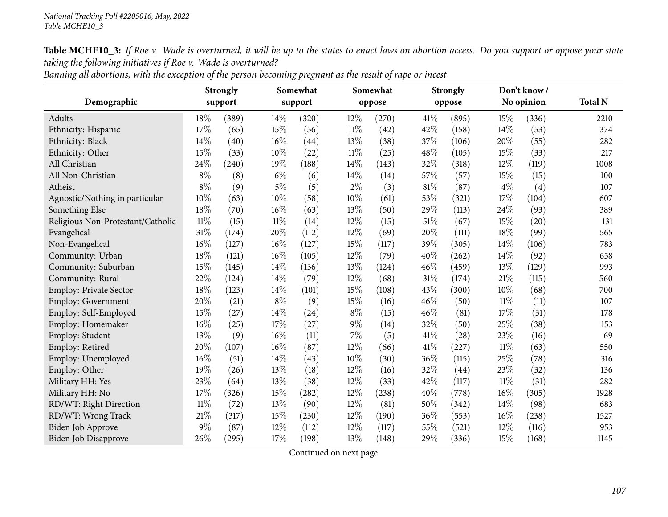| Demographic                       | <b>Strongly</b><br>support |       |        | Somewhat<br>support |        | Somewhat<br>oppose |        | <b>Strongly</b><br>oppose |        | Don't know/<br>No opinion | <b>Total N</b> |
|-----------------------------------|----------------------------|-------|--------|---------------------|--------|--------------------|--------|---------------------------|--------|---------------------------|----------------|
| Adults                            | 18%                        | (389) | 14\%   | (320)               | 12%    | (270)              | 41%    | (895)                     | 15%    | (336)                     | 2210           |
| Ethnicity: Hispanic               | 17%                        | (65)  | 15%    | (56)                | $11\%$ | (42)               | 42%    | (158)                     | 14%    | (53)                      | 374            |
| Ethnicity: Black                  | 14%                        | (40)  | 16%    | (44)                | 13%    | (38)               | 37%    | (106)                     | 20%    | (55)                      | 282            |
| Ethnicity: Other                  | 15%                        | (33)  | 10%    | (22)                | $11\%$ | (25)               | 48%    | (105)                     | 15%    | (33)                      | 217            |
| All Christian                     | 24\%                       | (240) | 19%    | (188)               | 14%    | (143)              | 32%    | (318)                     | 12%    | (119)                     | 1008           |
| All Non-Christian                 | $8\%$                      | (8)   | $6\%$  | (6)                 | 14%    | (14)               | 57%    | (57)                      | 15%    | (15)                      | 100            |
| Atheist                           | $8\%$                      | (9)   | $5\%$  | (5)                 | $2\%$  | (3)                | 81%    | (87)                      | $4\%$  | (4)                       | 107            |
| Agnostic/Nothing in particular    | 10%                        | (63)  | $10\%$ | (58)                | 10%    | (61)               | 53%    | (321)                     | 17%    | (104)                     | 607            |
| Something Else                    | 18%                        | (70)  | 16%    | (63)                | 13%    | (50)               | 29%    | (113)                     | 24\%   | (93)                      | 389            |
| Religious Non-Protestant/Catholic | $11\%$                     | (15)  | $11\%$ | (14)                | 12%    | (15)               | $51\%$ | (67)                      | 15%    | (20)                      | 131            |
| Evangelical                       | 31%                        | (174) | 20%    | (112)               | 12%    | (69)               | 20%    | (111)                     | 18%    | (99)                      | 565            |
| Non-Evangelical                   | 16%                        | (127) | 16%    | (127)               | 15%    | (117)              | 39%    | (305)                     | 14\%   | (106)                     | 783            |
| Community: Urban                  | 18%                        | (121) | 16%    | (105)               | 12%    | (79)               | 40%    | (262)                     | 14\%   | (92)                      | 658            |
| Community: Suburban               | 15%                        | (145) | 14%    | (136)               | 13%    | (124)              | 46%    | (459)                     | 13%    | (129)                     | 993            |
| Community: Rural                  | 22%                        | (124) | 14%    | (79)                | 12%    | (68)               | 31%    | (174)                     | 21\%   | (115)                     | 560            |
| <b>Employ: Private Sector</b>     | 18%                        | (123) | 14%    | (101)               | 15%    | (108)              | 43%    | (300)                     | 10%    | (68)                      | 700            |
| Employ: Government                | 20%                        | (21)  | $8\%$  | (9)                 | 15%    | (16)               | 46%    | (50)                      | $11\%$ | (11)                      | 107            |
| Employ: Self-Employed             | 15%                        | (27)  | 14%    | (24)                | $8\%$  | (15)               | 46%    | (81)                      | 17%    | (31)                      | 178            |
| Employ: Homemaker                 | 16%                        | (25)  | 17%    | (27)                | $9\%$  | (14)               | 32%    | (50)                      | 25%    | (38)                      | 153            |
| Employ: Student                   | 13%                        | (9)   | 16%    | (11)                | $7\%$  | (5)                | 41\%   | (28)                      | 23%    | (16)                      | 69             |
| Employ: Retired                   | 20%                        | (107) | 16%    | (87)                | 12%    | (66)               | 41\%   | (227)                     | $11\%$ | (63)                      | 550            |
| Employ: Unemployed                | 16%                        | (51)  | 14%    | (43)                | 10%    | (30)               | 36%    | (115)                     | 25%    | (78)                      | 316            |
| Employ: Other                     | 19%                        | (26)  | 13%    | (18)                | 12%    | (16)               | 32%    | (44)                      | 23%    | (32)                      | 136            |
| Military HH: Yes                  | 23%                        | (64)  | 13%    | (38)                | 12%    | (33)               | 42%    | (117)                     | 11%    | (31)                      | 282            |
| Military HH: No                   | 17%                        | (326) | 15%    | (282)               | 12%    | (238)              | 40%    | (778)                     | 16%    | (305)                     | 1928           |
| RD/WT: Right Direction            | $11\%$                     | (72)  | 13%    | (90)                | 12%    | (81)               | 50%    | (342)                     | 14%    | (98)                      | 683            |
| RD/WT: Wrong Track                | 21%                        | (317) | 15%    | (230)               | 12%    | (190)              | 36%    | (553)                     | 16%    | (238)                     | 1527           |
| Biden Job Approve                 | 9%                         | (87)  | 12%    | (112)               | 12%    | (117)              | 55%    | (521)                     | 12%    | (116)                     | 953            |
| Biden Job Disapprove              | 26%                        | (295) | 17%    | (198)               | 13%    | (148)              | 29%    | (336)                     | 15%    | (168)                     | 1145           |

Banning all abortions, with the exception of the person becoming pregnant as the result of rape or incest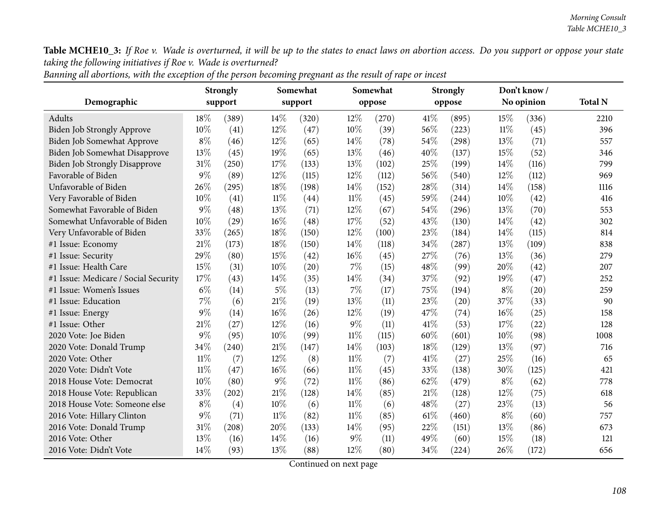|                                      | <b>Strongly</b><br>support |       |        | Somewhat<br>support |        | Somewhat<br>oppose |      | <b>Strongly</b><br>oppose |        | Don't know / | <b>Total N</b> |
|--------------------------------------|----------------------------|-------|--------|---------------------|--------|--------------------|------|---------------------------|--------|--------------|----------------|
| Demographic                          |                            |       |        |                     |        |                    |      |                           |        | No opinion   |                |
| Adults                               | 18\%                       | (389) | 14%    | (320)               | 12%    | (270)              | 41\% | (895)                     | 15%    | (336)        | 2210           |
| <b>Biden Job Strongly Approve</b>    | 10%                        | (41)  | 12%    | (47)                | 10%    | (39)               | 56%  | (223)                     | $11\%$ | (45)         | 396            |
| Biden Job Somewhat Approve           | $8\%$                      | (46)  | $12\%$ | (65)                | 14\%   | (78)               | 54%  | (298)                     | 13%    | (71)         | 557            |
| <b>Biden Job Somewhat Disapprove</b> | 13%                        | (45)  | 19%    | (65)                | 13%    | (46)               | 40%  | (137)                     | 15%    | (52)         | 346            |
| <b>Biden Job Strongly Disapprove</b> | $31\%$                     | (250) | 17%    | (133)               | 13%    | (102)              | 25%  | (199)                     | 14%    | (116)        | 799            |
| Favorable of Biden                   | $9\%$                      | (89)  | 12%    | (115)               | 12%    | (112)              | 56%  | (540)                     | $12\%$ | (112)        | 969            |
| Unfavorable of Biden                 | 26%                        | (295) | 18%    | (198)               | 14%    | (152)              | 28%  | (314)                     | $14\%$ | (158)        | 1116           |
| Very Favorable of Biden              | 10%                        | (41)  | $11\%$ | (44)                | $11\%$ | (45)               | 59%  | (244)                     | 10%    | (42)         | 416            |
| Somewhat Favorable of Biden          | $9\%$                      | (48)  | 13%    | (71)                | 12%    | (67)               | 54%  | (296)                     | 13%    | (70)         | 553            |
| Somewhat Unfavorable of Biden        | 10%                        | (29)  | 16%    | (48)                | 17%    | (52)               | 43%  | (130)                     | $14\%$ | (42)         | 302            |
| Very Unfavorable of Biden            | 33%                        | (265) | $18\%$ | (150)               | 12%    | (100)              | 23%  | (184)                     | 14%    | (115)        | 814            |
| #1 Issue: Economy                    | 21%                        | (173) | 18%    | (150)               | 14%    | (118)              | 34%  | (287)                     | 13%    | (109)        | 838            |
| #1 Issue: Security                   | 29%                        | (80)  | 15%    | (42)                | 16%    | (45)               | 27%  | (76)                      | 13%    | (36)         | 279            |
| #1 Issue: Health Care                | 15%                        | (31)  | $10\%$ | $\left( 20\right)$  | 7%     | (15)               | 48%  | (99)                      | 20%    | (42)         | 207            |
| #1 Issue: Medicare / Social Security | 17%                        | (43)  | 14%    | (35)                | 14%    | (34)               | 37%  | (92)                      | 19%    | (47)         | 252            |
| #1 Issue: Women's Issues             | $6\%$                      | (14)  | $5\%$  | (13)                | 7%     | (17)               | 75%  | (194)                     | $8\%$  | (20)         | 259            |
| #1 Issue: Education                  | 7%                         | (6)   | $21\%$ | (19)                | 13%    | (11)               | 23%  | (20)                      | 37%    | (33)         | 90             |
| #1 Issue: Energy                     | $9\%$                      | (14)  | 16%    | (26)                | 12%    | (19)               | 47%  | (74)                      | 16%    | (25)         | 158            |
| #1 Issue: Other                      | 21\%                       | (27)  | 12%    | (16)                | $9\%$  | (11)               | 41\% | (53)                      | 17%    | (22)         | 128            |
| 2020 Vote: Joe Biden                 | 9%                         | (95)  | 10%    | (99)                | $11\%$ | (115)              | 60%  | (601)                     | $10\%$ | (98)         | 1008           |
| 2020 Vote: Donald Trump              | 34%                        | (240) | $21\%$ | (147)               | 14%    | (103)              | 18%  | (129)                     | 13%    | (97)         | 716            |
| 2020 Vote: Other                     | $11\%$                     | (7)   | 12%    | (8)                 | $11\%$ | (7)                | 41%  | (27)                      | 25%    | (16)         | 65             |
| 2020 Vote: Didn't Vote               | $11\%$                     | (47)  | 16%    | (66)                | $11\%$ | (45)               | 33%  | (138)                     | 30%    | (125)        | 421            |
| 2018 House Vote: Democrat            | 10%                        | (80)  | $9\%$  | (72)                | $11\%$ | (86)               | 62%  | (479)                     | $8\%$  | (62)         | 778            |
| 2018 House Vote: Republican          | 33%                        | (202) | $21\%$ | (128)               | 14%    | (85)               | 21%  | (128)                     | 12%    | (75)         | 618            |
| 2018 House Vote: Someone else        | $8\%$                      | (4)   | 10%    | (6)                 | $11\%$ | (6)                | 48%  | (27)                      | 23%    | (13)         | 56             |
| 2016 Vote: Hillary Clinton           | $9\%$                      | (71)  | $11\%$ | (82)                | $11\%$ | (85)               | 61\% | (460)                     | $8\%$  | (60)         | 757            |
| 2016 Vote: Donald Trump              | $31\%$                     | (208) | 20%    | (133)               | 14%    | (95)               | 22%  | (151)                     | 13%    | (86)         | 673            |
| 2016 Vote: Other                     | 13%                        | (16)  | 14\%   | (16)                | $9\%$  | (11)               | 49%  | (60)                      | 15%    | (18)         | 121            |
| 2016 Vote: Didn't Vote               | 14%                        | (93)  | 13%    | (88)                | 12%    | (80)               | 34%  | (224)                     | 26%    | (172)        | 656            |

Banning all abortions, with the exception of the person becoming pregnant as the result of rape or incest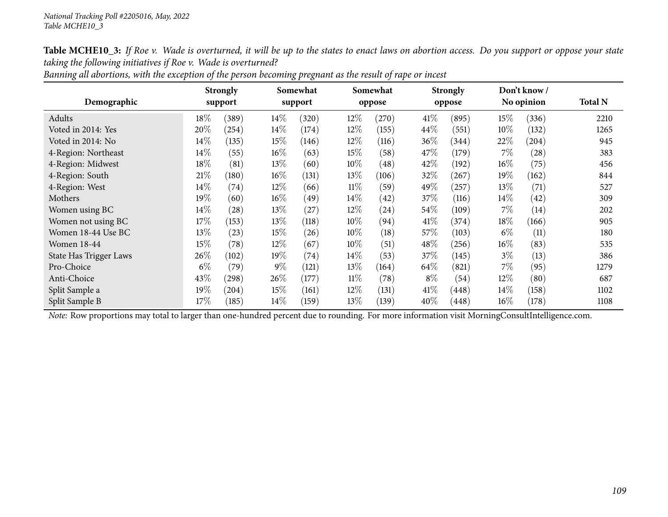| Demographic                   |        | <b>Strongly</b><br>support | Somewhat<br>support |                    |        | Somewhat<br>oppose |       | <b>Strongly</b><br>oppose |        | Don't know /<br>No opinion | <b>Total N</b> |
|-------------------------------|--------|----------------------------|---------------------|--------------------|--------|--------------------|-------|---------------------------|--------|----------------------------|----------------|
| Adults                        | $18\%$ | (389)                      | $14\%$              |                    |        | (270)              | 41\%  | (895)                     | 15%    | (336)                      | 2210           |
|                               |        |                            |                     | (320)              | 12%    |                    |       |                           |        |                            |                |
| Voted in 2014: Yes            | 20%    | (254)                      | 14%                 | (174)              | 12%    | (155)              | 44%   | (551)                     | 10%    | (132)                      | 1265           |
| Voted in 2014: No             | $14\%$ | (135)                      | 15%                 | (146)              | $12\%$ | (116)              | 36%   | (344)                     | 22%    | (204)                      | 945            |
| 4-Region: Northeast           | $14\%$ | (55)                       | 16%                 | (63)               | 15%    | (58)               | 47\%  | (179)                     | $7\%$  | (28)                       | 383            |
| 4-Region: Midwest             | $18\%$ | (81)                       | 13%                 | (60)               | 10%    | $\left( 48\right)$ | 42%   | (192)                     | $16\%$ | (75)                       | 456            |
| 4-Region: South               | 21%    | (180)                      | $16\%$              | (131)              | 13%    | (106)              | 32%   | (267)                     | 19%    | (162)                      | 844            |
| 4-Region: West                | $14\%$ | (74)                       | 12%                 | (66)               | $11\%$ | (59)               | 49%   | (257)                     | 13\%   | (71)                       | 527            |
| Mothers                       | 19%    | (60)                       | $16\%$              | (49)               | $14\%$ | (42)               | 37%   | (116)                     | $14\%$ | (42)                       | 309            |
| Women using BC                | $14\%$ | (28)                       | 13%                 | (27)               | 12%    | (24)               | 54\%  | (109)                     | $7\%$  | (14)                       | 202            |
| Women not using BC            | $17\%$ | (153)                      | 13\%                | (118)              | $10\%$ | (94)               | 41\%  | (374)                     | $18\%$ | (166)                      | 905            |
| Women 18-44 Use BC            | 13\%   | (23)                       | 15%                 | (26)               | 10%    | (18)               | 57%   | (103)                     | $6\%$  | (11)                       | 180            |
| <b>Women 18-44</b>            | $15\%$ | (78)                       | 12%                 | (67)               | 10%    | (51)               | 48%   | (256)                     | $16\%$ | (83)                       | 535            |
| <b>State Has Trigger Laws</b> | 26\%   | (102)                      | 19%                 | $\left( 74\right)$ | $14\%$ | (53)               | 37%   | (145)                     | $3\%$  | (13)                       | 386            |
| Pro-Choice                    | $6\%$  | (79)                       | $9\%$               | (121)              | 13%    | (164)              | 64\%  | (821)                     | $7\%$  | (95)                       | 1279           |
| Anti-Choice                   | 43\%   | (298)                      | 26\%                | (177)              | $11\%$ | (78)               | $8\%$ | (54)                      | 12\%   | (80)                       | 687            |
| Split Sample a                | $19\%$ | (204)                      | 15%                 | (161)              | 12%    | (131)              | 41\%  | (448)                     | $14\%$ | (158)                      | 1102           |
| Split Sample B                | $17\%$ | (185)                      | $14\%$              | (159)              | 13%    | (139)              | 40%   | (448)                     | $16\%$ | (178)                      | 1108           |

Banning all abortions, with the exception of the person becoming pregnant as the result of rape or incest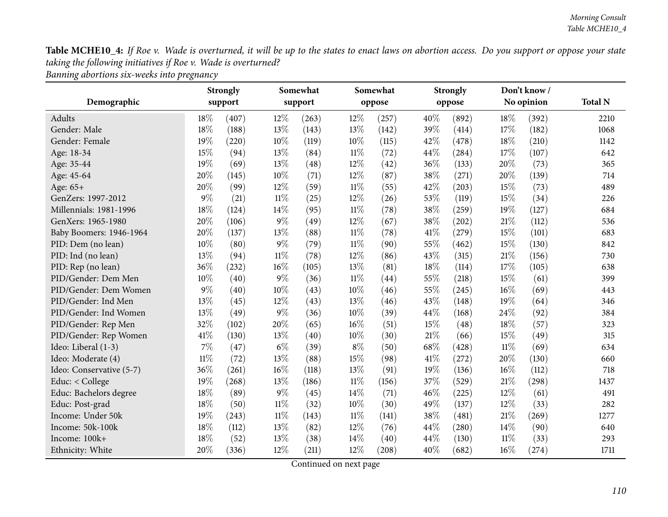*Banning abortions six-weeks into pregnancy*

|                          |        | <b>Strongly</b>              |        | Somewhat |        | Somewhat |      | <b>Strongly</b> |            | Don't know/ |                |
|--------------------------|--------|------------------------------|--------|----------|--------|----------|------|-----------------|------------|-------------|----------------|
| Demographic              |        | support                      |        | support  |        | oppose   |      | oppose          | No opinion |             | <b>Total N</b> |
| <b>Adults</b>            | 18%    | 12%<br>(407)<br>12%<br>(263) |        | (257)    | 40%    | (892)    | 18%  | (392)           | 2210       |             |                |
| Gender: Male             | 18%    | (188)                        | 13%    | (143)    | 13%    | (142)    | 39%  | (414)           | 17%        | (182)       | 1068           |
| Gender: Female           | 19%    | (220)                        | 10%    | (119)    | 10%    | (115)    | 42%  | (478)           | 18%        | (210)       | 1142           |
| Age: 18-34               | 15%    | (94)                         | 13%    | (84)     | $11\%$ | (72)     | 44%  | (284)           | 17%        | (107)       | 642            |
| Age: 35-44               | 19%    | (69)                         | 13%    | (48)     | 12%    | (42)     | 36%  | (133)           | 20%        | (73)        | 365            |
| Age: 45-64               | $20\%$ | (145)                        | 10%    | (71)     | 12%    | (87)     | 38%  | (271)           | 20%        | (139)       | 714            |
| Age: 65+                 | 20%    | (99)                         | 12%    | (59)     | $11\%$ | (55)     | 42%  | (203)           | 15%        | (73)        | 489            |
| GenZers: 1997-2012       | $9\%$  | (21)                         | $11\%$ | (25)     | 12%    | (26)     | 53%  | (119)           | 15%        | (34)        | 226            |
| Millennials: 1981-1996   | 18%    | (124)                        | 14%    | (95)     | $11\%$ | (78)     | 38%  | (259)           | 19%        | (127)       | 684            |
| GenXers: 1965-1980       | 20%    | (106)                        | $9\%$  | (49)     | 12%    | (67)     | 38%  | (202)           | 21%        | (112)       | 536            |
| Baby Boomers: 1946-1964  | 20%    | (137)                        | 13%    | (88)     | $11\%$ | (78)     | 41\% | (279)           | 15%        | (101)       | 683            |
| PID: Dem (no lean)       | 10%    | (80)                         | $9\%$  | (79)     | $11\%$ | (90)     | 55%  | (462)           | 15%        | (130)       | 842            |
| PID: Ind (no lean)       | 13%    | (94)                         | $11\%$ | (78)     | 12%    | (86)     | 43%  | (315)           | 21%        | (156)       | 730            |
| PID: Rep (no lean)       | 36%    | (232)                        | 16%    | (105)    | 13%    | (81)     | 18%  | (114)           | 17%        | (105)       | 638            |
| PID/Gender: Dem Men      | 10%    | (40)                         | $9\%$  | (36)     | $11\%$ | (44)     | 55%  | (218)           | 15%        | (61)        | 399            |
| PID/Gender: Dem Women    | $9\%$  | (40)                         | 10%    | (43)     | 10%    | (46)     | 55%  | (245)           | 16%        | (69)        | 443            |
| PID/Gender: Ind Men      | 13%    | (45)                         | 12%    | (43)     | 13%    | (46)     | 43%  | (148)           | 19%        | (64)        | 346            |
| PID/Gender: Ind Women    | 13%    | (49)                         | 9%     | (36)     | 10%    | (39)     | 44%  | (168)           | 24%        | (92)        | 384            |
| PID/Gender: Rep Men      | 32%    | (102)                        | 20%    | (65)     | 16%    | (51)     | 15%  | (48)            | 18%        | (57)        | 323            |
| PID/Gender: Rep Women    | 41\%   | (130)                        | 13%    | (40)     | 10%    | (30)     | 21%  | (66)            | 15%        | (49)        | 315            |
| Ideo: Liberal (1-3)      | $7\%$  | (47)                         | $6\%$  | (39)     | $8\%$  | (50)     | 68%  | (428)           | $11\%$     | (69)        | 634            |
| Ideo: Moderate (4)       | $11\%$ | (72)                         | 13%    | (88)     | 15%    | (98)     | 41%  | (272)           | $20\%$     | (130)       | 660            |
| Ideo: Conservative (5-7) | 36%    | (261)                        | 16%    | (118)    | 13%    | (91)     | 19%  | (136)           | 16%        | (112)       | 718            |
| Educ: < College          | 19%    | (268)                        | 13%    | (186)    | $11\%$ | (156)    | 37%  | (529)           | 21%        | (298)       | 1437           |
| Educ: Bachelors degree   | 18%    | (89)                         | $9\%$  | (45)     | 14%    | (71)     | 46%  | (225)           | 12%        | (61)        | 491            |
| Educ: Post-grad          | 18%    | (50)                         | $11\%$ | (32)     | 10%    | (30)     | 49%  | (137)           | 12%        | (33)        | 282            |
| Income: Under 50k        | 19%    | (243)                        | $11\%$ | (143)    | $11\%$ | (141)    | 38%  | (481)           | 21%        | (269)       | 1277           |
| Income: 50k-100k         | 18%    | (112)                        | 13%    | (82)     | 12%    | (76)     | 44%  | (280)           | 14%        | (90)        | 640            |
| Income: 100k+            | 18%    | (52)                         | 13%    | (38)     | 14%    | (40)     | 44%  | (130)           | 11%        | (33)        | 293            |
| Ethnicity: White         | 20%    | (336)                        | 12%    | (211)    | 12%    | (208)    | 40%  | (682)           | 16%        | (274)       | 1711           |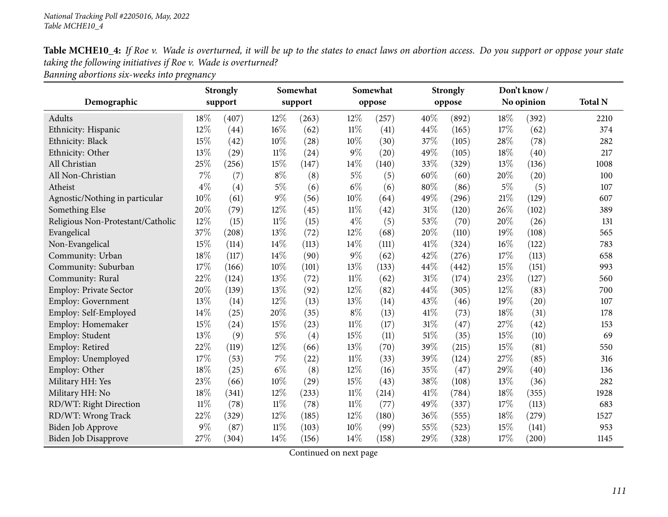| Table MCHE10_4: If Roe v. Wade is overturned, it will be up to the states to enact laws on abortion access. Do you support or oppose your state |
|-------------------------------------------------------------------------------------------------------------------------------------------------|
| taking the following initiatives if Roe v. Wade is overturned?                                                                                  |
|                                                                                                                                                 |

*Banning abortions six-weeks into pregnancy*

|                                   |        | <b>Strongly</b> |        | Somewhat |        | Somewhat |      | <b>Strongly</b> | Don't know/ |            |                |
|-----------------------------------|--------|-----------------|--------|----------|--------|----------|------|-----------------|-------------|------------|----------------|
| Demographic                       |        | support         |        | support  |        | oppose   |      | oppose          |             | No opinion | <b>Total N</b> |
| Adults                            | 18%    | (407)           | 12%    | (263)    | 12%    | (257)    | 40%  | (892)           | 18%         | (392)      | 2210           |
| Ethnicity: Hispanic               | 12%    | (44)            | 16%    | (62)     | $11\%$ | (41)     | 44%  | (165)           | 17%         | (62)       | 374            |
| Ethnicity: Black                  | 15%    | (42)            | 10%    | (28)     | 10%    | (30)     | 37%  | (105)           | 28%         | (78)       | 282            |
| Ethnicity: Other                  | 13%    | (29)            | $11\%$ | (24)     | $9\%$  | (20)     | 49%  | (105)           | 18%         | (40)       | 217            |
| All Christian                     | 25%    | (256)           | 15%    | (147)    | 14%    | (140)    | 33%  | (329)           | 13%         | (136)      | 1008           |
| All Non-Christian                 | $7\%$  | (7)             | $8\%$  | (8)      | $5\%$  | (5)      | 60%  | (60)            | 20%         | (20)       | 100            |
| Atheist                           | $4\%$  | (4)             | $5\%$  | (6)      | $6\%$  | (6)      | 80%  | (86)            | $5\%$       | (5)        | 107            |
| Agnostic/Nothing in particular    | 10%    | (61)            | $9\%$  | (56)     | 10%    | (64)     | 49%  | (296)           | 21%         | (129)      | 607            |
| Something Else                    | 20%    | (79)            | 12%    | (45)     | $11\%$ | (42)     | 31%  | (120)           | 26%         | (102)      | 389            |
| Religious Non-Protestant/Catholic | 12%    | (15)            | $11\%$ | (15)     | $4\%$  | (5)      | 53%  | (70)            | 20%         | (26)       | 131            |
| Evangelical                       | 37%    | (208)           | 13%    | (72)     | 12%    | (68)     | 20%  | (110)           | 19%         | (108)      | 565            |
| Non-Evangelical                   | 15%    | (114)           | 14%    | (113)    | 14%    | (111)    | 41%  | (324)           | 16%         | (122)      | 783            |
| Community: Urban                  | 18%    | (117)           | 14%    | (90)     | $9\%$  | (62)     | 42%  | (276)           | 17%         | (113)      | 658            |
| Community: Suburban               | 17%    | (166)           | 10%    | (101)    | 13%    | (133)    | 44%  | (442)           | 15%         | (151)      | 993            |
| Community: Rural                  | 22%    | (124)           | 13%    | (72)     | $11\%$ | (62)     | 31%  | (174)           | 23%         | (127)      | 560            |
| <b>Employ: Private Sector</b>     | 20%    | (139)           | 13%    | (92)     | 12%    | (82)     | 44%  | (305)           | 12%         | (83)       | 700            |
| Employ: Government                | 13%    | (14)            | 12%    | (13)     | 13%    | (14)     | 43%  | (46)            | 19%         | (20)       | 107            |
| Employ: Self-Employed             | 14%    | (25)            | 20%    | (35)     | $8\%$  | (13)     | 41\% | (73)            | 18%         | (31)       | 178            |
| Employ: Homemaker                 | 15%    | (24)            | 15%    | (23)     | $11\%$ | (17)     | 31%  | (47)            | 27\%        | (42)       | 153            |
| Employ: Student                   | 13%    | (9)             | $5\%$  | (4)      | 15%    | (11)     | 51%  | (35)            | 15%         | (10)       | 69             |
| Employ: Retired                   | 22%    | (119)           | 12%    | (66)     | 13%    | (70)     | 39%  | (215)           | 15%         | (81)       | 550            |
| Employ: Unemployed                | 17%    | (53)            | 7%     | (22)     | $11\%$ | (33)     | 39%  | (124)           | 27\%        | (85)       | 316            |
| Employ: Other                     | 18%    | (25)            | $6\%$  | (8)      | 12%    | (16)     | 35%  | (47)            | 29%         | (40)       | 136            |
| Military HH: Yes                  | 23%    | (66)            | 10%    | (29)     | 15%    | (43)     | 38%  | (108)           | 13%         | (36)       | 282            |
| Military HH: No                   | 18%    | (341)           | 12%    | (233)    | $11\%$ | (214)    | 41%  | (784)           | 18%         | (355)      | 1928           |
| RD/WT: Right Direction            | $11\%$ | (78)            | $11\%$ | (78)     | $11\%$ | (77)     | 49%  | (337)           | 17%         | (113)      | 683            |
| RD/WT: Wrong Track                | 22%    | (329)           | 12%    | (185)    | 12%    | (180)    | 36%  | (555)           | 18%         | (279)      | 1527           |
| Biden Job Approve                 | 9%     | (87)            | $11\%$ | (103)    | 10%    | (99)     | 55%  | (523)           | 15%         | (141)      | 953            |
| <b>Biden Job Disapprove</b>       | 27%    | (304)           | 14%    | (156)    | 14%    | (158)    | 29%  | (328)           | 17%         | (200)      | 1145           |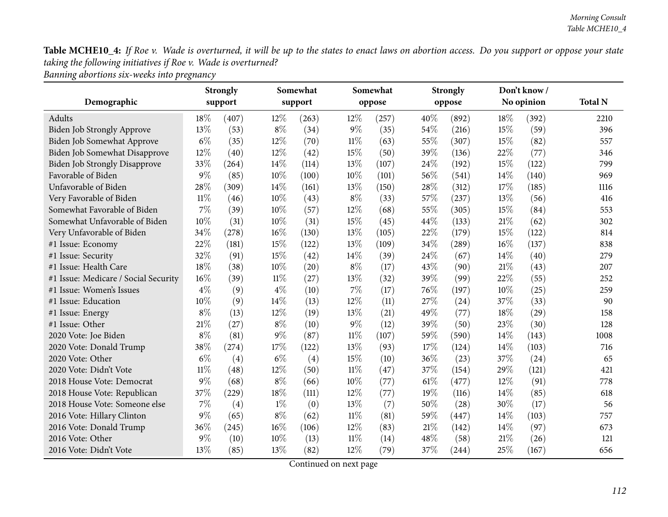*Banning abortions six-weeks into pregnancy*

|                                      |        | Somewhat<br><b>Strongly</b> |        |         | Somewhat |        | <b>Strongly</b> |        | Don't know/ |            |                |
|--------------------------------------|--------|-----------------------------|--------|---------|----------|--------|-----------------|--------|-------------|------------|----------------|
| Demographic                          |        | support                     |        | support |          | oppose |                 | oppose |             | No opinion | <b>Total N</b> |
| Adults                               | 18%    | (407)                       | $12\%$ | (263)   | 12%      | (257)  | 40%             | (892)  | 18%         | (392)      | 2210           |
| Biden Job Strongly Approve           | 13%    | (53)                        | $8\%$  | (34)    | $9\%$    | (35)   | 54%             | (216)  | 15%         | (59)       | 396            |
| Biden Job Somewhat Approve           | $6\%$  | (35)                        | $12\%$ | (70)    | $11\%$   | (63)   | 55%             | (307)  | 15%         | (82)       | 557            |
| Biden Job Somewhat Disapprove        | 12%    | (40)                        | $12\%$ | (42)    | 15%      | (50)   | 39%             | (136)  | 22%         | (77)       | 346            |
| <b>Biden Job Strongly Disapprove</b> | 33%    | (264)                       | 14\%   | (114)   | 13%      | (107)  | 24%             | (192)  | 15%         | (122)      | 799            |
| Favorable of Biden                   | $9\%$  | (85)                        | $10\%$ | (100)   | 10%      | (101)  | 56%             | (541)  | 14%         | (140)      | 969            |
| Unfavorable of Biden                 | 28%    | (309)                       | 14\%   | (161)   | 13%      | (150)  | 28%             | (312)  | 17%         | (185)      | 1116           |
| Very Favorable of Biden              | $11\%$ | (46)                        | 10%    | (43)    | $8\%$    | (33)   | 57%             | (237)  | 13\%        | (56)       | 416            |
| Somewhat Favorable of Biden          | $7\%$  | (39)                        | $10\%$ | (57)    | 12%      | (68)   | 55%             | (305)  | 15%         | (84)       | 553            |
| Somewhat Unfavorable of Biden        | 10%    | (31)                        | $10\%$ | (31)    | 15%      | (45)   | 44%             | (133)  | 21%         | (62)       | 302            |
| Very Unfavorable of Biden            | 34%    | (278)                       | $16\%$ | (130)   | 13%      | (105)  | 22%             | (179)  | 15%         | (122)      | 814            |
| #1 Issue: Economy                    | 22%    | (181)                       | 15%    | (122)   | 13%      | (109)  | 34%             | (289)  | 16%         | (137)      | 838            |
| #1 Issue: Security                   | 32%    | (91)                        | 15%    | (42)    | 14%      | (39)   | 24\%            | (67)   | 14%         | (40)       | 279            |
| #1 Issue: Health Care                | 18%    | (38)                        | $10\%$ | (20)    | $8\%$    | (17)   | 43%             | (90)   | 21%         | (43)       | 207            |
| #1 Issue: Medicare / Social Security | 16%    | (39)                        | $11\%$ | (27)    | 13%      | (32)   | 39%             | (99)   | 22%         | (55)       | 252            |
| #1 Issue: Women's Issues             | $4\%$  | (9)                         | $4\%$  | (10)    | $7\%$    | (17)   | 76%             | (197)  | 10%         | (25)       | 259            |
| #1 Issue: Education                  | 10%    | (9)                         | 14\%   | (13)    | 12%      | (11)   | 27%             | (24)   | 37%         | (33)       | 90             |
| #1 Issue: Energy                     | $8\%$  | (13)                        | 12%    | (19)    | 13%      | (21)   | 49%             | (77)   | 18%         | (29)       | 158            |
| #1 Issue: Other                      | 21\%   | (27)                        | $8\%$  | (10)    | $9\%$    | (12)   | 39%             | (50)   | 23%         | (30)       | 128            |
| 2020 Vote: Joe Biden                 | $8\%$  | (81)                        | $9\%$  | (87)    | $11\%$   | (107)  | 59%             | (590)  | 14%         | (143)      | 1008           |
| 2020 Vote: Donald Trump              | 38%    | (274)                       | 17%    | (122)   | 13%      | (93)   | 17%             | (124)  | 14\%        | (103)      | 716            |
| 2020 Vote: Other                     | $6\%$  | (4)                         | $6\%$  | (4)     | 15%      | (10)   | 36%             | (23)   | 37%         | (24)       | 65             |
| 2020 Vote: Didn't Vote               | $11\%$ | (48)                        | 12%    | (50)    | $11\%$   | (47)   | 37%             | (154)  | 29%         | (121)      | 421            |
| 2018 House Vote: Democrat            | $9\%$  | (68)                        | $8\%$  | (66)    | 10%      | (77)   | 61%             | (477)  | 12%         | (91)       | 778            |
| 2018 House Vote: Republican          | 37%    | (229)                       | $18\%$ | (111)   | 12%      | (77)   | 19%             | (116)  | 14%         | (85)       | 618            |
| 2018 House Vote: Someone else        | 7%     | (4)                         | $1\%$  | (0)     | 13%      | (7)    | 50%             | (28)   | 30%         | (17)       | 56             |
| 2016 Vote: Hillary Clinton           | $9\%$  | (65)                        | $8\%$  | (62)    | $11\%$   | (81)   | 59%             | (447)  | 14\%        | (103)      | 757            |
| 2016 Vote: Donald Trump              | 36%    | (245)                       | $16\%$ | (106)   | 12%      | (83)   | 21\%            | (142)  | 14%         | (97)       | 673            |
| 2016 Vote: Other                     | $9\%$  | (10)                        | 10%    | (13)    | $11\%$   | (14)   | 48%             | (58)   | 21%         | (26)       | 121            |
| 2016 Vote: Didn't Vote               | 13%    | (85)                        | 13%    | (82)    | 12%      | (79)   | 37%             | (244)  | 25%         | (167)      | 656            |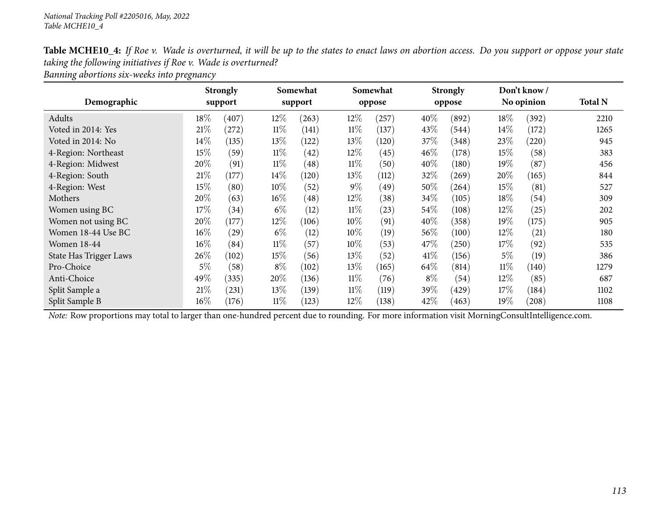| Table MCHE10_4: If Roe v. Wade is overturned, it will be up to the states to enact laws on abortion access. Do you support or oppose your state |
|-------------------------------------------------------------------------------------------------------------------------------------------------|
| taking the following initiatives if Roe v. Wade is overturned?                                                                                  |
|                                                                                                                                                 |

*Banning abortions six-weeks into pregnancy*

|                        |        | <b>Strongly</b> |        | Somewhat |        | Somewhat |        | <b>Strongly</b> |        | Don't know / |                |
|------------------------|--------|-----------------|--------|----------|--------|----------|--------|-----------------|--------|--------------|----------------|
| Demographic            |        | support         |        | support  |        | oppose   |        | oppose          |        | No opinion   | <b>Total N</b> |
| Adults                 | $18\%$ | (407)           | 12%    | (263)    | $12\%$ | (257)    | 40%    | (892)           | $18\%$ | (392)        | 2210           |
| Voted in 2014: Yes     | 21%    | (272)           | $11\%$ | (141)    | $11\%$ | (137)    | 43\%   | (544)           | $14\%$ | (172)        | 1265           |
| Voted in 2014: No      | $14\%$ | (135)           | 13%    | (122)    | 13%    | (120)    | 37%    | (348)           | 23%    | (220)        | 945            |
| 4-Region: Northeast    | $15\%$ | (59)            | $11\%$ | (42)     | $12\%$ | (45)     | $46\%$ | (178)           | 15\%   | (58)         | 383            |
| 4-Region: Midwest      | 20%    | (91)            | $11\%$ | (48)     | $11\%$ | (50)     | 40%    | (180)           | 19%    | (87)         | 456            |
| 4-Region: South        | 21%    | (177)           | $14\%$ | (120)    | 13\%   | (112)    | 32\%   | $^{'}269)$      | 20%    | (165)        | 844            |
| 4-Region: West         | 15%    | (80)            | 10%    | (52)     | $9\%$  | (49)     | 50%    | (264)           | 15\%   | (81)         | 527            |
| Mothers                | 20%    | (63)            | $16\%$ | (48)     | 12%    | (38)     | $34\%$ | (105)           | $18\%$ | (54)         | 309            |
| Women using BC         | 17%    | (34)            | $6\%$  | (12)     | $11\%$ | (23)     | $54\%$ | (108)           | $12\%$ | (25)         | 202            |
| Women not using BC     | 20%    | (177)           | 12%    | (106)    | 10%    | (91)     | 40%    | (358)           | 19%    | (175)        | 905            |
| Women 18-44 Use BC     | $16\%$ | (29)            | $6\%$  | (12)     | 10\%   | (19)     | $56\%$ | (100)           | $12\%$ | (21)         | 180            |
| <b>Women 18-44</b>     | $16\%$ | (84)            | $11\%$ | (57)     | 10%    | (53)     | 47%    | (250)           | 17%    | (92)         | 535            |
| State Has Trigger Laws | 26\%   | (102)           | 15%    | (56)     | 13\%   | (52)     | $41\%$ | (156)           | $5\%$  | (19)         | 386            |
| Pro-Choice             | $5\%$  | (58)            | $8\%$  | (102)    | 13\%   | (165)    | 64\%   | (814)           | $11\%$ | (140)        | 1279           |
| Anti-Choice            | 49%    | (335)           | 20%    | (136)    | $11\%$ | (76)     | $8\%$  | (54)            | 12%    | (85)         | 687            |
| Split Sample a         | 21%    | (231)           | $13\%$ | (139)    | $11\%$ | (119)    | 39\%   | (429)           | 17%    | (184)        | 1102           |
| Split Sample B         | $16\%$ | (176)           | $11\%$ | (123)    | $12\%$ | (138)    | 42\%   | (463)           | $19\%$ | $^{'}208)$   | 1108           |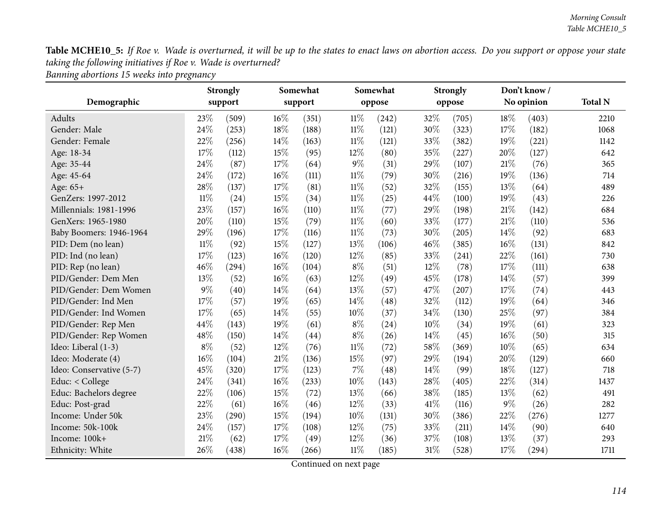*Banning abortions <sup>15</sup> weeks into pregnancy*

|                          |        | <b>Strongly</b>          |        | Somewhat |        | Somewhat |       | <b>Strongly</b> |       | Don't know/ |                |
|--------------------------|--------|--------------------------|--------|----------|--------|----------|-------|-----------------|-------|-------------|----------------|
| Demographic              |        | support                  |        | support  |        | oppose   |       | oppose          |       | No opinion  | <b>Total N</b> |
| Adults                   | 23%    | (509)<br>$16\%$<br>(351) |        | $11\%$   | (242)  | 32%      | (705) | 18%             | (403) | 2210        |                |
| Gender: Male             | 24%    | (253)                    | 18%    | (188)    | $11\%$ | (121)    | 30%   | (323)           | 17%   | (182)       | 1068           |
| Gender: Female           | 22%    | (256)                    | 14%    | (163)    | $11\%$ | (121)    | 33%   | (382)           | 19%   | (221)       | 1142           |
| Age: 18-34               | 17%    | (112)                    | 15%    | (95)     | 12%    | (80)     | 35%   | (227)           | 20%   | (127)       | 642            |
| Age: 35-44               | 24\%   | (87)                     | 17%    | (64)     | $9\%$  | (31)     | 29%   | (107)           | 21\%  | (76)        | 365            |
| Age: 45-64               | 24%    | (172)                    | $16\%$ | (111)    | $11\%$ | (79)     | 30%   | (216)           | 19%   | (136)       | 714            |
| Age: 65+                 | 28%    | (137)                    | 17%    | (81)     | $11\%$ | (52)     | 32%   | (155)           | 13%   | (64)        | 489            |
| GenZers: 1997-2012       | $11\%$ | (24)                     | 15%    | (34)     | $11\%$ | (25)     | 44%   | (100)           | 19%   | (43)        | 226            |
| Millennials: 1981-1996   | 23%    | (157)                    | $16\%$ | (110)    | $11\%$ | (77)     | 29%   | (198)           | 21%   | (142)       | 684            |
| GenXers: 1965-1980       | 20%    | (110)                    | 15%    | (79)     | $11\%$ | (60)     | 33%   | (177)           | 21%   | (110)       | 536            |
| Baby Boomers: 1946-1964  | 29%    | (196)                    | 17%    | (116)    | $11\%$ | (73)     | 30%   | (205)           | 14%   | (92)        | 683            |
| PID: Dem (no lean)       | $11\%$ | (92)                     | 15%    | (127)    | 13%    | (106)    | 46%   | (385)           | 16%   | (131)       | 842            |
| PID: Ind (no lean)       | 17%    | (123)                    | 16%    | (120)    | 12%    | (85)     | 33%   | (241)           | 22%   | (161)       | 730            |
| PID: Rep (no lean)       | 46%    | (294)                    | 16%    | (104)    | $8\%$  | (51)     | 12%   | (78)            | 17%   | (111)       | 638            |
| PID/Gender: Dem Men      | 13%    | (52)                     | 16%    | (63)     | 12%    | (49)     | 45%   | (178)           | 14%   | (57)        | 399            |
| PID/Gender: Dem Women    | $9\%$  | (40)                     | 14%    | (64)     | 13%    | (57)     | 47%   | (207)           | 17%   | (74)        | 443            |
| PID/Gender: Ind Men      | 17%    | (57)                     | 19%    | (65)     | 14%    | (48)     | 32%   | (112)           | 19%   | (64)        | 346            |
| PID/Gender: Ind Women    | 17%    | (65)                     | 14%    | (55)     | 10%    | (37)     | 34%   | (130)           | 25%   | (97)        | 384            |
| PID/Gender: Rep Men      | 44%    | (143)                    | 19%    | (61)     | $8\%$  | (24)     | 10%   | (34)            | 19%   | (61)        | 323            |
| PID/Gender: Rep Women    | 48%    | (150)                    | 14%    | (44)     | $8\%$  | (26)     | 14%   | (45)            | 16%   | (50)        | 315            |
| Ideo: Liberal (1-3)      | $8\%$  | (52)                     | 12%    | (76)     | $11\%$ | (72)     | 58%   | (369)           | 10%   | (65)        | 634            |
| Ideo: Moderate (4)       | 16%    | (104)                    | 21%    | (136)    | 15%    | (97)     | 29%   | (194)           | 20%   | (129)       | 660            |
| Ideo: Conservative (5-7) | 45%    | (320)                    | 17%    | (123)    | $7\%$  | (48)     | 14%   | (99)            | 18%   | (127)       | 718            |
| Educ: < College          | 24\%   | (341)                    | $16\%$ | (233)    | 10%    | (143)    | 28%   | (405)           | 22%   | (314)       | 1437           |
| Educ: Bachelors degree   | 22%    | (106)                    | 15%    | (72)     | 13%    | (66)     | 38%   | (185)           | 13%   | (62)        | 491            |
| Educ: Post-grad          | 22%    | (61)                     | $16\%$ | (46)     | 12%    | (33)     | 41\%  | (116)           | 9%    | (26)        | 282            |
| Income: Under 50k        | 23%    | (290)                    | 15%    | (194)    | 10%    | (131)    | 30%   | (386)           | 22%   | (276)       | 1277           |
| Income: 50k-100k         | 24%    | (157)                    | 17%    | (108)    | 12%    | (75)     | 33%   | (211)           | 14%   | (90)        | 640            |
| Income: 100k+            | 21%    | (62)                     | 17%    | (49)     | 12%    | (36)     | 37%   | (108)           | 13%   | (37)        | 293            |
| Ethnicity: White         | 26%    | (438)                    | 16%    | (266)    | $11\%$ | (185)    | 31%   | (528)           | 17%   | (294)       | 1711           |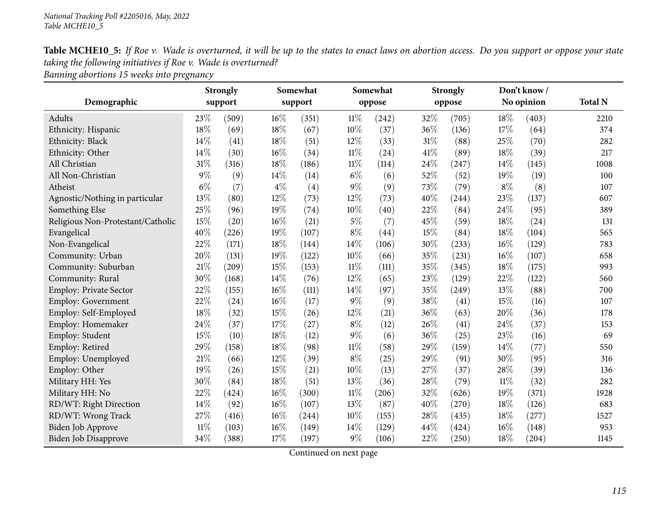| Table MCHE10_5: If Roe v. Wade is overturned, it will be up to the states to enact laws on abortion access. Do you support or oppose your state |
|-------------------------------------------------------------------------------------------------------------------------------------------------|
| taking the following initiatives if Roe v. Wade is overturned?                                                                                  |
|                                                                                                                                                 |

*Banning abortions <sup>15</sup> weeks into pregnancy*

|                                   |        | <b>Strongly</b> |        | Somewhat |        | Somewhat |      | <b>Strongly</b> | Don't know/ |            |                |
|-----------------------------------|--------|-----------------|--------|----------|--------|----------|------|-----------------|-------------|------------|----------------|
| Demographic                       |        | support         |        | support  |        | oppose   |      | oppose          |             | No opinion | <b>Total N</b> |
| Adults                            | 23%    | (509)           | 16%    | (351)    | $11\%$ | (242)    | 32%  | (705)           | 18%         | (403)      | 2210           |
| Ethnicity: Hispanic               | 18%    | (69)            | 18%    | (67)     | 10%    | (37)     | 36%  | (136)           | 17%         | (64)       | 374            |
| Ethnicity: Black                  | 14%    | (41)            | 18%    | (51)     | 12%    | (33)     | 31%  | (88)            | 25%         | (70)       | 282            |
| Ethnicity: Other                  | 14%    | (30)            | 16%    | (34)     | $11\%$ | (24)     | 41\% | (89)            | 18%         | (39)       | 217            |
| All Christian                     | 31%    | (316)           | 18%    | (186)    | $11\%$ | (114)    | 24%  | (247)           | 14%         | (145)      | 1008           |
| All Non-Christian                 | $9\%$  | (9)             | 14%    | (14)     | $6\%$  | (6)      | 52%  | (52)            | 19%         | (19)       | 100            |
| Atheist                           | $6\%$  | (7)             | $4\%$  | (4)      | $9\%$  | (9)      | 73%  | (79)            | $8\%$       | (8)        | 107            |
| Agnostic/Nothing in particular    | 13%    | (80)            | 12%    | (73)     | 12%    | (73)     | 40%  | (244)           | 23%         | (137)      | 607            |
| Something Else                    | 25%    | (96)            | 19%    | (74)     | $10\%$ | (40)     | 22%  | (84)            | 24%         | (95)       | 389            |
| Religious Non-Protestant/Catholic | 15%    | (20)            | $16\%$ | (21)     | $5\%$  | (7)      | 45%  | (59)            | 18%         | (24)       | 131            |
| Evangelical                       | 40%    | (226)           | 19%    | (107)    | $8\%$  | (44)     | 15%  | (84)            | 18%         | (104)      | 565            |
| Non-Evangelical                   | 22%    | (171)           | 18%    | (144)    | 14%    | (106)    | 30%  | (233)           | 16%         | (129)      | 783            |
| Community: Urban                  | 20%    | (131)           | 19%    | (122)    | 10%    | (66)     | 35%  | (231)           | 16%         | (107)      | 658            |
| Community: Suburban               | $21\%$ | (209)           | 15%    | (153)    | $11\%$ | (111)    | 35%  | (345)           | 18%         | (175)      | 993            |
| Community: Rural                  | 30%    | (168)           | 14%    | (76)     | 12%    | (65)     | 23%  | (129)           | 22%         | (122)      | 560            |
| Employ: Private Sector            | 22%    | (155)           | 16%    | (111)    | $14\%$ | (97)     | 35%  | (249)           | 13%         | (88)       | 700            |
| Employ: Government                | 22%    | (24)            | 16%    | (17)     | $9\%$  | (9)      | 38%  | (41)            | 15%         | (16)       | 107            |
| Employ: Self-Employed             | 18%    | (32)            | 15%    | (26)     | $12\%$ | (21)     | 36%  | (63)            | 20%         | (36)       | 178            |
| Employ: Homemaker                 | 24\%   | (37)            | $17\%$ | (27)     | $8\%$  | (12)     | 26%  | (41)            | 24%         | (37)       | 153            |
| Employ: Student                   | 15%    | (10)            | 18%    | (12)     | $9\%$  | (6)      | 36%  | (25)            | 23%         | (16)       | 69             |
| Employ: Retired                   | 29%    | (158)           | $18\%$ | (98)     | $11\%$ | (58)     | 29%  | (159)           | 14%         | (77)       | 550            |
| Employ: Unemployed                | $21\%$ | (66)            | 12%    | (39)     | $8\%$  | (25)     | 29%  | (91)            | 30%         | (95)       | 316            |
| Employ: Other                     | 19%    | (26)            | 15%    | (21)     | 10%    | (13)     | 27%  | (37)            | 28%         | (39)       | 136            |
| Military HH: Yes                  | 30%    | (84)            | 18%    | (51)     | 13%    | (36)     | 28%  | (79)            | 11%         | (32)       | 282            |
| Military HH: No                   | 22%    | (424)           | 16%    | (300)    | $11\%$ | (206)    | 32%  | (626)           | 19%         | (371)      | 1928           |
| RD/WT: Right Direction            | 14%    | (92)            | 16%    | (107)    | 13%    | (87)     | 40%  | (270)           | 18%         | (126)      | 683            |
| RD/WT: Wrong Track                | 27%    | (416)           | $16\%$ | (244)    | $10\%$ | (155)    | 28%  | (435)           | 18%         | (277)      | 1527           |
| Biden Job Approve                 | $11\%$ | (103)           | 16%    | (149)    | 14%    | (129)    | 44%  | (424)           | 16%         | (148)      | 953            |
| Biden Job Disapprove              | 34%    | (388)           | 17%    | (197)    | $9\%$  | (106)    | 22%  | (250)           | 18%         | (204)      | 1145           |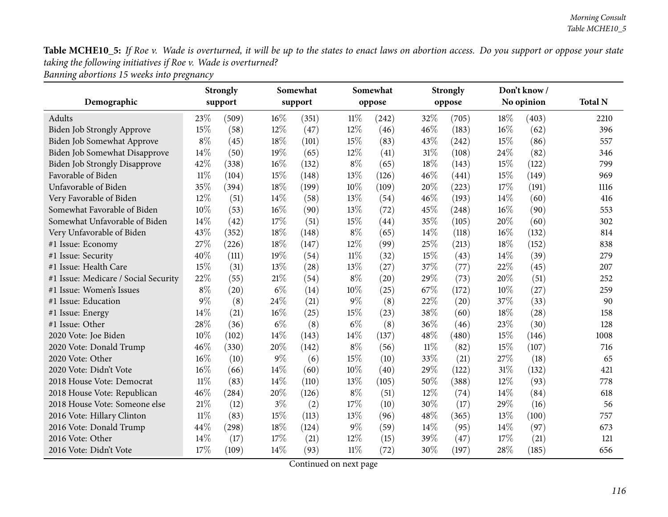*Banning abortions <sup>15</sup> weeks into pregnancy*

|                                      | <b>Strongly</b> |         | Somewhat |         |        | Somewhat |        | <b>Strongly</b>     |      | Don't know / |                |
|--------------------------------------|-----------------|---------|----------|---------|--------|----------|--------|---------------------|------|--------------|----------------|
| Demographic                          |                 | support |          | support |        | oppose   |        | oppose              |      | No opinion   | <b>Total N</b> |
| Adults                               | 23\%            | (509)   | $16\%$   | (351)   | $11\%$ | (242)    | 32%    | (705)               | 18%  | (403)        | 2210           |
| Biden Job Strongly Approve           | 15%             | (58)    | 12%      | (47)    | 12%    | (46)     | 46%    | (183)               | 16%  | (62)         | 396            |
| Biden Job Somewhat Approve           | $8\%$           | (45)    | 18%      | (101)   | 15%    | (83)     | 43\%   | (242)               | 15%  | (86)         | 557            |
| Biden Job Somewhat Disapprove        | 14%             | (50)    | 19%      | (65)    | 12%    | (41)     | 31%    | (108)               | 24%  | (82)         | 346            |
| <b>Biden Job Strongly Disapprove</b> | 42%             | (338)   | 16%      | (132)   | $8\%$  | (65)     | 18%    | (143)               | 15%  | (122)        | 799            |
| Favorable of Biden                   | $11\%$          | (104)   | 15%      | (148)   | 13%    | (126)    | 46%    | (441)               | 15%  | (149)        | 969            |
| Unfavorable of Biden                 | 35%             | (394)   | $18\%$   | (199)   | 10%    | (109)    | 20%    | (223)               | 17%  | (191)        | 1116           |
| Very Favorable of Biden              | 12%             | (51)    | 14\%     | (58)    | 13%    | (54)     | 46%    | (193)               | 14\% | (60)         | 416            |
| Somewhat Favorable of Biden          | 10%             | (53)    | $16\%$   | (90)    | 13%    | (72)     | 45%    | (248)               | 16%  | (90)         | 553            |
| Somewhat Unfavorable of Biden        | 14%             | (42)    | 17%      | (51)    | 15%    | (44)     | 35%    | (105)               | 20%  | (60)         | 302            |
| Very Unfavorable of Biden            | 43%             | (352)   | 18%      | (148)   | $8\%$  | (65)     | 14\%   | (118)               | 16%  | (132)        | 814            |
| #1 Issue: Economy                    | 27%             | (226)   | 18%      | (147)   | 12%    | (99)     | 25%    | (213)               | 18%  | (152)        | 838            |
| #1 Issue: Security                   | 40%             | (111)   | 19%      | (54)    | $11\%$ | (32)     | 15%    | (43)                | 14%  | (39)         | 279            |
| #1 Issue: Health Care                | 15%             | (31)    | 13%      | (28)    | 13%    | (27)     | 37%    | (77)                | 22%  | (45)         | 207            |
| #1 Issue: Medicare / Social Security | 22%             | (55)    | 21\%     | (54)    | $8\%$  | (20)     | 29%    | (73)                | 20%  | (51)         | 252            |
| #1 Issue: Women's Issues             | $8\%$           | (20)    | $6\%$    | (14)    | 10%    | (25)     | 67%    | (172)               | 10%  | (27)         | 259            |
| #1 Issue: Education                  | $9\%$           | (8)     | 24\%     | (21)    | $9\%$  | (8)      | 22%    | (20)                | 37%  | (33)         | 90             |
| #1 Issue: Energy                     | 14%             | (21)    | $16\%$   | (25)    | 15%    | (23)     | 38%    | (60)                | 18%  | (28)         | 158            |
| #1 Issue: Other                      | 28%             | (36)    | $6\%$    | (8)     | $6\%$  | (8)      | 36%    | (46)                | 23%  | (30)         | 128            |
| 2020 Vote: Joe Biden                 | 10%             | (102)   | 14\%     | (143)   | 14%    | (137)    | 48%    | (480)               | 15%  | (146)        | 1008           |
| 2020 Vote: Donald Trump              | 46%             | (330)   | 20%      | (142)   | $8\%$  | (56)     | $11\%$ | (82)                | 15%  | (107)        | 716            |
| 2020 Vote: Other                     | 16%             | (10)    | $9\%$    | (6)     | 15%    | (10)     | 33%    | (21)                | 27%  | (18)         | 65             |
| 2020 Vote: Didn't Vote               | 16%             | (66)    | $14\%$   | (60)    | 10%    | (40)     | 29%    | (122)               | 31%  | (132)        | 421            |
| 2018 House Vote: Democrat            | $11\%$          | (83)    | $14\%$   | (110)   | 13%    | (105)    | 50%    | $\left( 388\right)$ | 12%  | (93)         | 778            |
| 2018 House Vote: Republican          | 46%             | (284)   | 20%      | (126)   | $8\%$  | (51)     | 12%    | (74)                | 14%  | (84)         | 618            |
| 2018 House Vote: Someone else        | 21%             | (12)    | $3\%$    | (2)     | 17%    | (10)     | 30%    | (17)                | 29%  | (16)         | 56             |
| 2016 Vote: Hillary Clinton           | $11\%$          | (83)    | $15\%$   | (113)   | 13%    | (96)     | 48%    | (365)               | 13%  | (100)        | 757            |
| 2016 Vote: Donald Trump              | 44%             | (298)   | $18\%$   | (124)   | $9\%$  | (59)     | 14\%   | (95)                | 14%  | (97)         | 673            |
| 2016 Vote: Other                     | 14\%            | (17)    | 17%      | (21)    | 12%    | (15)     | 39%    | (47)                | 17\% | (21)         | 121            |
| 2016 Vote: Didn't Vote               | 17%             | (109)   | 14\%     | (93)    | $11\%$ | (72)     | 30%    | (197)               | 28%  | (185)        | 656            |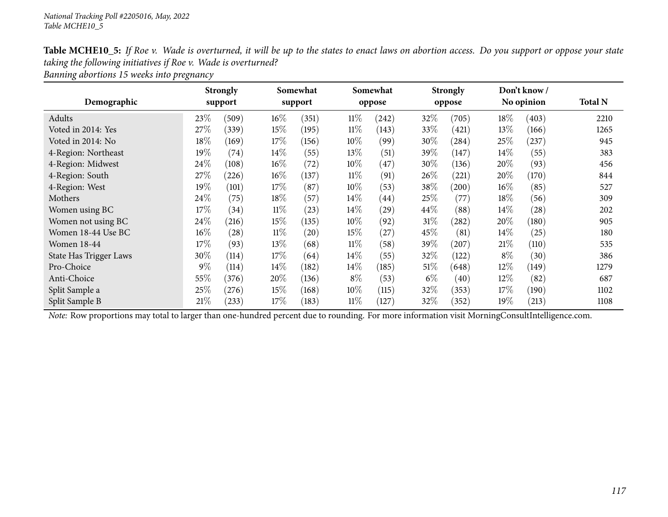| Table MCHE10_5: If Roe v. Wade is overturned, it will be up to the states to enact laws on abortion access. Do you support or oppose your state |
|-------------------------------------------------------------------------------------------------------------------------------------------------|
| taking the following initiatives if Roe v. Wade is overturned?                                                                                  |
|                                                                                                                                                 |

*Banning abortions <sup>15</sup> weeks into pregnancy*

|                        |        | <b>Strongly</b> |        | Somewhat |        | Somewhat |        | <b>Strongly</b> |        | Don't know / |                |
|------------------------|--------|-----------------|--------|----------|--------|----------|--------|-----------------|--------|--------------|----------------|
| Demographic            |        | support         |        | support  |        | oppose   |        | oppose          |        | No opinion   | <b>Total N</b> |
| Adults                 | 23\%   | (509)           | $16\%$ | (351)    | $11\%$ | (242)    | 32\%   | (705)           | $18\%$ | (403)        | 2210           |
| Voted in 2014: Yes     | 27%    | (339)           | 15%    | (195)    | $11\%$ | (143)    | 33\%   | (421)           | 13\%   | (166)        | 1265           |
| Voted in 2014: No      | 18%    | (169)           | 17\%   | (156)    | 10%    | (99)     | 30\%   | (284)           | 25%    | (237)        | 945            |
| 4-Region: Northeast    | $19\%$ | (74)            | 14\%   | (55)     | 13\%   | (51)     | 39\%   | (147)           | $14\%$ | (55)         | 383            |
| 4-Region: Midwest      | 24\%   | (108)           | 16%    | (72)     | 10%    | (47)     | 30%    | (136)           | 20%    | (93)         | 456            |
| 4-Region: South        | 27\%   | (226)           | $16\%$ | (137)    | $11\%$ | (91)     | $26\%$ | (221)           | 20%    | (170)        | 844            |
| 4-Region: West         | 19%    | (101)           | 17%    | (87)     | 10%    | (53)     | 38\%   | (200)           | $16\%$ | (85)         | 527            |
| Mothers                | 24\%   | (75)            | 18%    | (57)     | $14\%$ | (44)     | 25%    | (77)            | $18\%$ | (56)         | 309            |
| Women using BC         | 17%    | (34)            | $11\%$ | (23)     | 14\%   | (29)     | 44\%   | (88)            | $14\%$ | (28)         | 202            |
| Women not using BC     | 24\%   | (216)           | 15%    | (135)    | 10%    | (92)     | $31\%$ | (282)           | 20%    | (180)        | 905            |
| Women 18-44 Use BC     | $16\%$ | (28)            | $11\%$ | (20)     | 15\%   | (27)     | $45\%$ | (81)            | $14\%$ | (25)         | 180            |
| <b>Women 18-44</b>     | 17%    | (93)            | 13%    | (68)     | $11\%$ | (58)     | 39%    | (207)           | 21%    | (110)        | 535            |
| State Has Trigger Laws | $30\%$ | (114)           | 17\%   | (64)     | $14\%$ | (55)     | 32%    | (122)           | $8\%$  | (30)         | 386            |
| Pro-Choice             | $9\%$  | (114)           | 14\%   | (182)    | $14\%$ | (185)    | $51\%$ | (648)           | $12\%$ | (149)        | 1279           |
| Anti-Choice            | 55\%   | (376)           | 20%    | (136)    | $8\%$  | (53)     | $6\%$  | (40)            | 12%    | (82)         | 687            |
| Split Sample a         | 25%    | (276)           | $15\%$ | (168)    | 10\%   | (115)    | 32\%   | (353)           | 17%    | (190)        | 1102           |
| Split Sample B         | 21%    | (233)           | 17\%   | (183)    | $11\%$ | (127)    | 32\%   | (352)           | $19\%$ | (213)        | 1108           |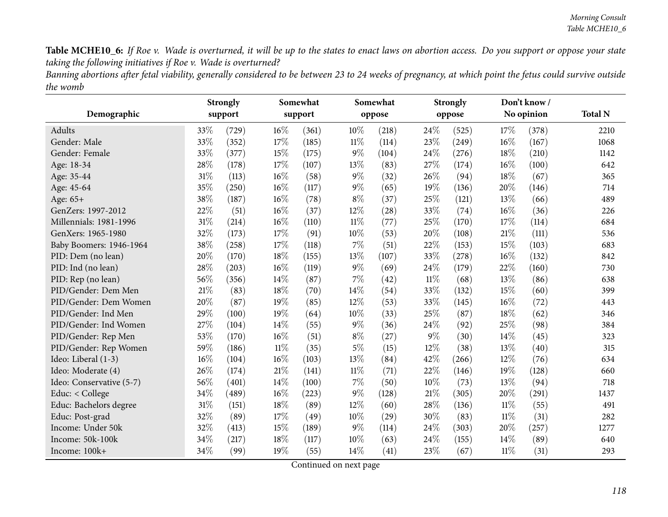Banning abortions after fetal viability, generally considered to be between 23 to 24 weeks of pregnancy, at which point the fetus could survive outside *the womb*

|                          |      | <b>Strongly</b>     |        | Somewhat |        | Somewhat |        | <b>Strongly</b> |        | Don't know/ |                |
|--------------------------|------|---------------------|--------|----------|--------|----------|--------|-----------------|--------|-------------|----------------|
| Demographic              |      | support             |        | support  |        | oppose   |        | oppose          |        | No opinion  | <b>Total N</b> |
| Adults                   | 33\% | (729)               | 16%    | (361)    | 10%    | (218)    | 24%    | (525)           | 17%    | (378)       | 2210           |
| Gender: Male             | 33%  | (352)               | 17%    | (185)    | $11\%$ | (114)    | 23%    | (249)           | 16%    | (167)       | 1068           |
| Gender: Female           | 33%  | (377)               | 15%    | (175)    | $9\%$  | (104)    | 24%    | (276)           | 18%    | (210)       | 1142           |
| Age: 18-34               | 28%  | (178)               | $17\%$ | (107)    | 13%    | (83)     | 27%    | (174)           | 16%    | (100)       | 642            |
| Age: 35-44               | 31%  | (113)               | 16%    | (58)     | 9%     | (32)     | 26%    | (94)            | 18%    | (67)        | 365            |
| Age: 45-64               | 35%  | (250)               | $16\%$ | (117)    | $9\%$  | (65)     | 19%    | (136)           | 20%    | (146)       | 714            |
| Age: 65+                 | 38%  | (187)               | 16%    | (78)     | $8\%$  | (37)     | 25%    | (121)           | 13%    | (66)        | 489            |
| GenZers: 1997-2012       | 22%  | (51)                | $16\%$ | (37)     | 12%    | (28)     | 33%    | (74)            | 16%    | (36)        | 226            |
| Millennials: 1981-1996   | 31%  | (214)               | 16%    | (110)    | $11\%$ | (77)     | 25%    | (170)           | 17%    | (114)       | 684            |
| GenXers: 1965-1980       | 32%  | (173)               | 17%    | (91)     | 10%    | (53)     | 20%    | (108)           | $21\%$ | (111)       | 536            |
| Baby Boomers: 1946-1964  | 38%  | (258)               | 17%    | (118)    | 7%     | (51)     | $22\%$ | (153)           | 15%    | (103)       | 683            |
| PID: Dem (no lean)       | 20%  | (170)               | 18%    | (155)    | 13%    | (107)    | 33%    | (278)           | 16%    | (132)       | 842            |
| PID: Ind (no lean)       | 28%  | (203)               | 16%    | (119)    | 9%     | (69)     | 24%    | (179)           | 22%    | (160)       | 730            |
| PID: Rep (no lean)       | 56%  | (356)               | 14%    | (87)     | 7%     | (42)     | $11\%$ | (68)            | 13%    | (86)        | 638            |
| PID/Gender: Dem Men      | 21%  | (83)                | $18\%$ | (70)     | 14%    | (54)     | 33%    | (132)           | 15%    | (60)        | 399            |
| PID/Gender: Dem Women    | 20%  | (87)                | 19%    | (85)     | 12%    | (53)     | 33%    | (145)           | 16%    | (72)        | 443            |
| PID/Gender: Ind Men      | 29%  | (100)               | 19%    | (64)     | 10%    | (33)     | 25%    | (87)            | 18%    | (62)        | 346            |
| PID/Gender: Ind Women    | 27%  | (104)               | 14\%   | (55)     | $9\%$  | (36)     | 24%    | (92)            | 25%    | (98)        | 384            |
| PID/Gender: Rep Men      | 53%  | (170)               | 16%    | (51)     | $8\%$  | (27)     | $9\%$  | (30)            | 14%    | (45)        | 323            |
| PID/Gender: Rep Women    | 59%  | (186)               | $11\%$ | (35)     | $5\%$  | (15)     | 12%    | (38)            | 13%    | (40)        | 315            |
| Ideo: Liberal (1-3)      | 16%  | (104)               | $16\%$ | (103)    | 13%    | (84)     | 42%    | (266)           | 12%    | (76)        | 634            |
| Ideo: Moderate (4)       | 26%  | (174)               | $21\%$ | (141)    | $11\%$ | (71)     | 22%    | (146)           | 19%    | (128)       | 660            |
| Ideo: Conservative (5-7) | 56%  | (401)               | 14%    | (100)    | $7\%$  | (50)     | 10%    | (73)            | 13%    | (94)        | 718            |
| Educ: < College          | 34%  | $\left( 489\right)$ | $16\%$ | (223)    | $9\%$  | (128)    | $21\%$ | (305)           | 20%    | (291)       | 1437           |
| Educ: Bachelors degree   | 31%  | (151)               | 18%    | (89)     | 12%    | (60)     | 28%    | (136)           | $11\%$ | (55)        | 491            |
| Educ: Post-grad          | 32%  | (89)                | 17%    | (49)     | 10%    | (29)     | 30%    | (83)            | $11\%$ | (31)        | 282            |
| Income: Under 50k        | 32%  | (413)               | 15%    | (189)    | 9%     | (114)    | 24%    | (303)           | 20%    | (257)       | 1277           |
| Income: 50k-100k         | 34%  | (217)               | 18%    | (117)    | 10%    | (63)     | 24\%   | (155)           | 14\%   | (89)        | 640            |
| Income: 100k+            | 34%  | (99)                | 19%    | (55)     | 14%    | (41)     | 23%    | (67)            | $11\%$ | (31)        | 293            |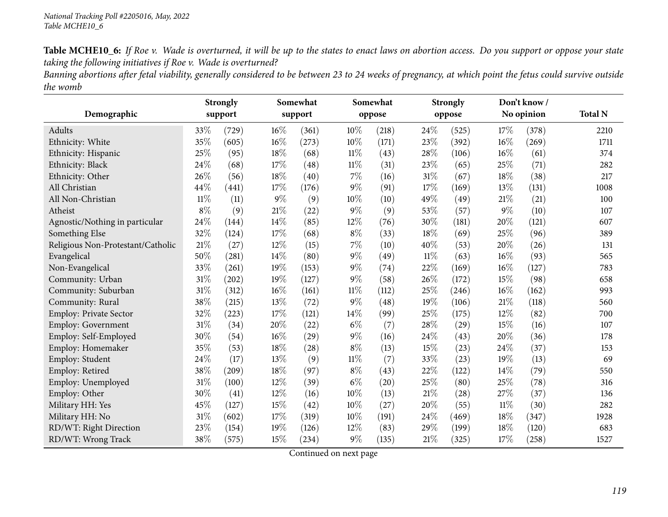Banning abortions after fetal viability, generally considered to be between 23 to 24 weeks of pregnancy, at which point the fetus could survive outside *the womb*

| Demographic                       |        | <b>Strongly</b><br>support |        | Somewhat<br>support |        | Somewhat<br>oppose |        | <b>Strongly</b><br>oppose |       | Don't know/<br>No opinion | <b>Total N</b> |
|-----------------------------------|--------|----------------------------|--------|---------------------|--------|--------------------|--------|---------------------------|-------|---------------------------|----------------|
| Adults                            | 33\%   | (729)                      | $16\%$ | (361)               | 10%    | (218)              | 24%    | (525)                     | 17%   | (378)                     | 2210           |
| Ethnicity: White                  | 35%    | (605)                      | $16\%$ | (273)               | 10%    | (171)              | 23%    | (392)                     | 16%   | (269)                     | 1711           |
| Ethnicity: Hispanic               | 25%    | (95)                       | 18%    | (68)                | $11\%$ | (43)               | 28%    | (106)                     | 16%   | (61)                      | 374            |
| Ethnicity: Black                  | 24%    | (68)                       | 17%    | (48)                | $11\%$ | (31)               | 23%    | (65)                      | 25%   | (71)                      | 282            |
| Ethnicity: Other                  | 26%    | (56)                       | 18%    | (40)                | $7\%$  | (16)               | 31%    | (67)                      | 18%   | (38)                      | 217            |
| All Christian                     | 44%    | (441)                      | 17%    | (176)               | $9\%$  | (91)               | 17%    | (169)                     | 13%   | (131)                     | 1008           |
| All Non-Christian                 | $11\%$ | (11)                       | $9\%$  | (9)                 | $10\%$ | (10)               | 49%    | (49)                      | 21\%  | (21)                      | 100            |
| Atheist                           | $8\%$  | (9)                        | $21\%$ | (22)                | $9\%$  | (9)                | 53%    | (57)                      | $9\%$ | (10)                      | 107            |
| Agnostic/Nothing in particular    | 24%    | (144)                      | 14%    | (85)                | 12%    | (76)               | 30%    | (181)                     | 20%   | (121)                     | 607            |
| Something Else                    | 32%    | (124)                      | 17%    | (68)                | $8\%$  | (33)               | 18%    | (69)                      | 25%   | (96)                      | 389            |
| Religious Non-Protestant/Catholic | $21\%$ | (27)                       | $12\%$ | (15)                | $7\%$  | (10)               | 40%    | (53)                      | 20%   | (26)                      | 131            |
| Evangelical                       | 50%    | (281)                      | 14\%   | (80)                | $9\%$  | (49)               | $11\%$ | (63)                      | 16%   | (93)                      | 565            |
| Non-Evangelical                   | 33%    | (261)                      | 19%    | (153)               | $9\%$  | (74)               | 22%    | (169)                     | 16%   | (127)                     | 783            |
| Community: Urban                  | 31%    | (202)                      | 19%    | (127)               | $9\%$  | (58)               | 26%    | (172)                     | 15%   | (98)                      | 658            |
| Community: Suburban               | 31%    | (312)                      | $16\%$ | (161)               | $11\%$ | (112)              | 25%    | (246)                     | 16%   | (162)                     | 993            |
| Community: Rural                  | 38%    | (215)                      | 13%    | (72)                | $9\%$  | (48)               | 19%    | (106)                     | 21%   | (118)                     | 560            |
| Employ: Private Sector            | 32%    | (223)                      | 17%    | (121)               | 14%    | (99)               | 25%    | (175)                     | 12%   | (82)                      | 700            |
| Employ: Government                | 31%    | (34)                       | 20%    | (22)                | $6\%$  | (7)                | 28%    | (29)                      | 15%   | (16)                      | 107            |
| Employ: Self-Employed             | 30%    | (54)                       | $16\%$ | (29)                | $9\%$  | (16)               | 24%    | (43)                      | 20%   | (36)                      | 178            |
| Employ: Homemaker                 | 35%    | (53)                       | $18\%$ | (28)                | $8\%$  | (13)               | 15%    | (23)                      | 24%   | (37)                      | 153            |
| Employ: Student                   | 24%    | (17)                       | 13%    | (9)                 | $11\%$ | (7)                | 33%    | (23)                      | 19%   | (13)                      | 69             |
| Employ: Retired                   | 38%    | (209)                      | 18%    | (97)                | $8\%$  | (43)               | 22%    | (122)                     | 14%   | (79)                      | 550            |
| Employ: Unemployed                | 31%    | (100)                      | 12%    | (39)                | $6\%$  | (20)               | 25%    | (80)                      | 25%   | (78)                      | 316            |
| Employ: Other                     | 30%    | (41)                       | $12\%$ | (16)                | 10%    | (13)               | 21%    | (28)                      | 27\%  | (37)                      | 136            |
| Military HH: Yes                  | 45%    | (127)                      | 15%    | (42)                | 10%    | (27)               | 20%    | (55)                      | 11%   | (30)                      | 282            |
| Military HH: No                   | 31%    | (602)                      | $17\%$ | (319)               | 10%    | (191)              | 24%    | (469)                     | 18%   | (347)                     | 1928           |
| RD/WT: Right Direction            | 23%    | (154)                      | 19%    | (126)               | 12%    | (83)               | 29%    | (199)                     | 18%   | (120)                     | 683            |
| RD/WT: Wrong Track                | 38%    | (575)                      | 15%    | (234)               | $9\%$  | (135)              | 21%    | (325)                     | 17%   | (258)                     | 1527           |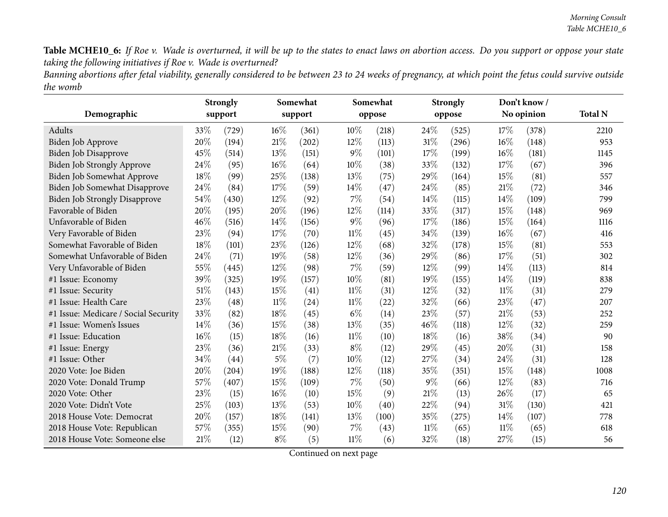Banning abortions after fetal viability, generally considered to be between 23 to 24 weeks of pregnancy, at which point the fetus could survive outside *the womb*

|                                      |      | <b>Strongly</b> |        | Somewhat |        | Somewhat |        | <b>Strongly</b> |        | Don't know/ |                |
|--------------------------------------|------|-----------------|--------|----------|--------|----------|--------|-----------------|--------|-------------|----------------|
| Demographic                          |      | support         |        | support  |        | oppose   |        | oppose          |        | No opinion  | <b>Total N</b> |
| <b>Adults</b>                        | 33\% | (729)           | $16\%$ | (361)    | $10\%$ | (218)    | 24\%   | (525)           | 17%    | (378)       | 2210           |
| <b>Biden Job Approve</b>             | 20%  | (194)           | 21\%   | (202)    | 12%    | (113)    | 31%    | (296)           | 16%    | (148)       | 953            |
| Biden Job Disapprove                 | 45%  | (514)           | 13%    | (151)    | $9\%$  | (101)    | 17%    | (199)           | 16%    | (181)       | 1145           |
| Biden Job Strongly Approve           | 24%  | (95)            | 16%    | (64)     | 10%    | (38)     | 33%    | (132)           | 17%    | (67)        | 396            |
| Biden Job Somewhat Approve           | 18%  | (99)            | 25%    | (138)    | 13%    | (75)     | 29%    | (164)           | 15%    | (81)        | 557            |
| Biden Job Somewhat Disapprove        | 24%  | (84)            | $17\%$ | (59)     | 14%    | (47)     | 24%    | (85)            | 21%    | (72)        | 346            |
| Biden Job Strongly Disapprove        | 54%  | (430)           | 12%    | (92)     | 7%     | (54)     | 14%    | (115)           | 14%    | (109)       | 799            |
| Favorable of Biden                   | 20%  | (195)           | 20%    | (196)    | 12%    | (114)    | 33%    | (317)           | 15%    | (148)       | 969            |
| Unfavorable of Biden                 | 46%  | (516)           | 14\%   | (156)    | $9\%$  | (96)     | 17%    | (186)           | 15%    | (164)       | 1116           |
| Very Favorable of Biden              | 23%  | (94)            | 17%    | (70)     | 11%    | (45)     | 34%    | (139)           | 16%    | (67)        | 416            |
| Somewhat Favorable of Biden          | 18%  | (101)           | 23%    | (126)    | 12%    | (68)     | 32%    | (178)           | 15%    | (81)        | 553            |
| Somewhat Unfavorable of Biden        | 24%  | (71)            | 19%    | (58)     | 12%    | (36)     | 29%    | (86)            | 17%    | (51)        | 302            |
| Very Unfavorable of Biden            | 55%  | (445)           | 12%    | (98)     | 7%     | (59)     | $12\%$ | (99)            | 14\%   | (113)       | 814            |
| #1 Issue: Economy                    | 39%  | (325)           | 19%    | (157)    | 10%    | (81)     | 19%    | (155)           | 14\%   | (119)       | 838            |
| #1 Issue: Security                   | 51%  | (143)           | 15%    | (41)     | $11\%$ | (31)     | 12%    | (32)            | $11\%$ | (31)        | 279            |
| #1 Issue: Health Care                | 23%  | (48)            | $11\%$ | (24)     | 11%    | (22)     | 32%    | (66)            | 23%    | (47)        | 207            |
| #1 Issue: Medicare / Social Security | 33%  | (82)            | 18%    | (45)     | $6\%$  | (14)     | 23%    | (57)            | 21%    | (53)        | 252            |
| #1 Issue: Women's Issues             | 14%  | (36)            | 15%    | (38)     | 13%    | (35)     | 46%    | (118)           | 12%    | (32)        | 259            |
| #1 Issue: Education                  | 16%  | (15)            | 18%    | (16)     | 11%    | (10)     | 18%    | (16)            | 38%    | (34)        | 90             |
| #1 Issue: Energy                     | 23%  | (36)            | $21\%$ | (33)     | $8\%$  | (12)     | 29%    | (45)            | 20%    | (31)        | 158            |
| #1 Issue: Other                      | 34%  | (44)            | $5\%$  | (7)      | 10%    | (12)     | 27\%   | (34)            | 24%    | (31)        | 128            |
| 2020 Vote: Joe Biden                 | 20%  | (204)           | 19%    | (188)    | 12%    | (118)    | 35%    | (351)           | 15%    | (148)       | 1008           |
| 2020 Vote: Donald Trump              | 57%  | (407)           | 15%    | (109)    | 7%     | (50)     | $9\%$  | (66)            | 12%    | (83)        | 716            |
| 2020 Vote: Other                     | 23%  | (15)            | 16%    | (10)     | 15%    | (9)      | 21\%   | (13)            | 26%    | (17)        | 65             |
| 2020 Vote: Didn't Vote               | 25%  | (103)           | 13%    | (53)     | 10%    | (40)     | 22%    | (94)            | 31%    | (130)       | 421            |
| 2018 House Vote: Democrat            | 20%  | (157)           | 18%    | (141)    | 13%    | (100)    | 35%    | (275)           | 14%    | (107)       | 778            |
| 2018 House Vote: Republican          | 57%  | (355)           | 15%    | (90)     | 7%     | (43)     | $11\%$ | (65)            | 11%    | (65)        | 618            |
| 2018 House Vote: Someone else        | 21%  | (12)            | $8\%$  | (5)      | 11%    | (6)      | 32%    | (18)            | 27%    | (15)        | 56             |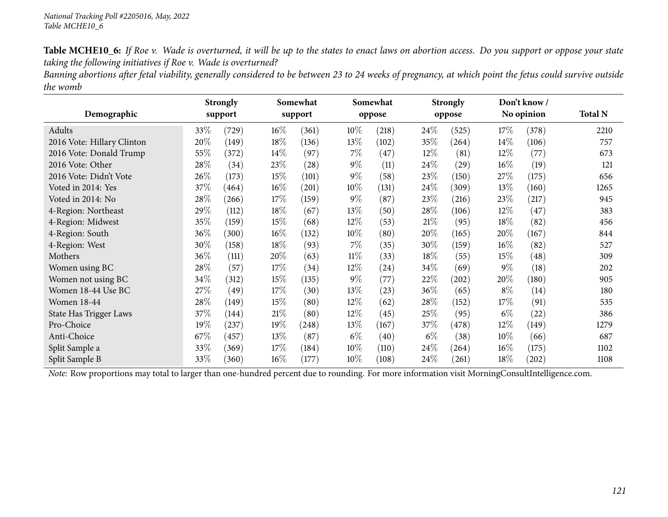Banning abortions after fetal viability, generally considered to be between 23 to 24 weeks of pregnancy, at which point the fetus could survive outside *the womb*

|                            |        | <b>Strongly</b> |        | Somewhat |        | Somewhat |        | <b>Strongly</b> |        | Don't know/ |                |
|----------------------------|--------|-----------------|--------|----------|--------|----------|--------|-----------------|--------|-------------|----------------|
| Demographic                |        | support         |        | support  |        | oppose   |        | oppose          |        | No opinion  | <b>Total N</b> |
| Adults                     | 33\%   | (729)           | $16\%$ | (361)    | 10%    | (218)    | 24\%   | (525)           | 17%    | (378)       | 2210           |
| 2016 Vote: Hillary Clinton | 20%    | (149)           | 18\%   | (136)    | 13\%   | (102)    | 35%    | (264)           | 14%    | (106)       | 757            |
| 2016 Vote: Donald Trump    | 55%    | (372)           | 14\%   | (97)     | $7\%$  | (47)     | $12\%$ | (81)            | $12\%$ | (77)        | 673            |
| 2016 Vote: Other           | 28%    | (34)            | 23%    | (28)     | $9\%$  | (11)     | $24\%$ | (29)            | $16\%$ | (19)        | 121            |
| 2016 Vote: Didn't Vote     | 26\%   | (173)           | $15\%$ | (101)    | $9\%$  | (58)     | 23\%   | (150)           | 27\%   | (175)       | 656            |
| Voted in 2014: Yes         | 37\%   | (464)           | $16\%$ | (201)    | $10\%$ | (131)    | 24\%   | (309)           | 13%    | (160)       | 1265           |
| Voted in 2014: No          | 28%    | (266)           | 17%    | (159)    | $9\%$  | (87)     | 23\%   | (216)           | 23%    | (217)       | 945            |
| 4-Region: Northeast        | 29%    | (112)           | 18%    | (67)     | 13%    | (50)     | 28\%   | (106)           | $12\%$ | (47)        | 383            |
| 4-Region: Midwest          | 35%    | (159)           | $15\%$ | (68)     | $12\%$ | (53)     | 21%    | (95)            | 18%    | (82)        | 456            |
| 4-Region: South            | $36\%$ | (300)           | $16\%$ | (132)    | $10\%$ | (80)     | 20%    | (165)           | 20%    | (167)       | 844            |
| 4-Region: West             | 30%    | (158)           | 18%    | (93)     | $7\%$  | (35)     | 30%    | (159)           | $16\%$ | (82)        | 527            |
| Mothers                    | 36%    | (111)           | 20%    | (63)     | $11\%$ | (33)     | 18%    | (55)            | $15\%$ | (48)        | 309            |
| Women using BC             | 28\%   | (57)            | 17\%   | (34)     | 12%    | (24)     | 34\%   | (69)            | $9\%$  | (18)        | 202            |
| Women not using BC         | 34%    | (312)           | $15\%$ | (135)    | $9\%$  | (77)     | 22%    | $^{'}202)$      | 20%    | (180)       | 905            |
| Women 18-44 Use BC         | 27\%   | (49)            | 17\%   | (30)     | 13%    | (23)     | 36\%   | (65)            | $8\%$  | (14)        | 180            |
| <b>Women 18-44</b>         | 28%    | (149)           | 15%    | (80)     | 12%    | (62)     | 28\%   | (152)           | 17%    | (91)        | 535            |
| State Has Trigger Laws     | 37\%   | (144)           | 21%    | (80)     | $12\%$ | (45)     | 25%    | (95)            | $6\%$  | (22)        | 386            |
| Pro-Choice                 | 19%    | (237)           | 19%    | (248)    | 13\%   | (167)    | 37\%   | (478)           | 12\%   | (149)       | 1279           |
| Anti-Choice                | 67\%   | (457)           | 13\%   | (87)     | $6\%$  | (40)     | $6\%$  | (38)            | $10\%$ | (66)        | 687            |
| Split Sample a             | 33\%   | (369)           | 17\%   | (184)    | 10%    | (110)    | 24\%   | (264)           | $16\%$ | (175)       | 1102           |
| Split Sample B             | 33\%   | (360)           | $16\%$ | (177)    | $10\%$ | (108)    | 24\%   | (261)           | 18%    | (202)       | 1108           |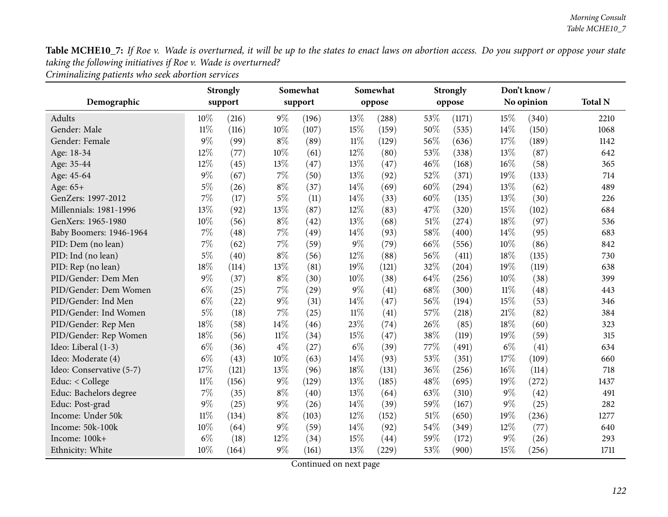*Criminalizing patients who seek abortion services*

|                          |        | <b>Strongly</b> |        | Somewhat           |        | Somewhat |      | <b>Strongly</b> |       | Don't know/ |                |
|--------------------------|--------|-----------------|--------|--------------------|--------|----------|------|-----------------|-------|-------------|----------------|
| Demographic              |        | support         |        | support            |        | oppose   |      | oppose          |       | No opinion  | <b>Total N</b> |
| Adults                   | $10\%$ | (216)           | $9\%$  | (196)              | 13%    | (288)    | 53%  | (1171)          | 15%   | (340)       | 2210           |
| Gender: Male             | $11\%$ | (116)           | 10%    | (107)              | 15%    | (159)    | 50%  | (535)           | 14%   | (150)       | 1068           |
| Gender: Female           | 9%     | (99)            | $8\%$  | (89)               | $11\%$ | (129)    | 56%  | (636)           | 17%   | (189)       | 1142           |
| Age: 18-34               | 12%    | (77)            | 10%    | (61)               | 12%    | (80)     | 53%  | (338)           | 13%   | (87)        | 642            |
| Age: 35-44               | 12%    | (45)            | 13%    | (47)               | 13%    | (47)     | 46%  | (168)           | 16%   | (58)        | 365            |
| Age: 45-64               | $9\%$  | (67)            | $7\%$  | (50)               | 13%    | (92)     | 52%  | (371)           | 19%   | (133)       | 714            |
| Age: 65+                 | $5\%$  | (26)            | $8\%$  | (37)               | 14%    | (69)     | 60%  | (294)           | 13%   | (62)        | 489            |
| GenZers: 1997-2012       | 7%     | (17)            | $5\%$  | (11)               | 14%    | (33)     | 60%  | (135)           | 13%   | (30)        | 226            |
| Millennials: 1981-1996   | 13%    | (92)            | 13%    | (87)               | 12%    | (83)     | 47%  | (320)           | 15%   | (102)       | 684            |
| GenXers: 1965-1980       | 10%    | (56)            | $8\%$  | (42)               | 13%    | (68)     | 51%  | (274)           | 18%   | (97)        | 536            |
| Baby Boomers: 1946-1964  | $7\%$  | (48)            | 7%     | (49)               | 14%    | (93)     | 58%  | (400)           | 14\%  | (95)        | 683            |
| PID: Dem (no lean)       | 7%     | (62)            | $7\%$  | (59)               | $9\%$  | (79)     | 66%  | (556)           | 10%   | (86)        | 842            |
| PID: Ind (no lean)       | $5\%$  | (40)            | $8\%$  | (56)               | 12%    | (88)     | 56%  | (411)           | 18%   | (135)       | 730            |
| PID: Rep (no lean)       | 18%    | (114)           | 13%    | (81)               | 19%    | (121)    | 32%  | (204)           | 19%   | (119)       | 638            |
| PID/Gender: Dem Men      | $9\%$  | (37)            | $8\%$  | (30)               | 10%    | (38)     | 64%  | (256)           | 10%   | (38)        | 399            |
| PID/Gender: Dem Women    | $6\%$  | (25)            | 7%     | $\left( 29\right)$ | $9\%$  | (41)     | 68\% | (300)           | 11%   | (48)        | 443            |
| PID/Gender: Ind Men      | $6\%$  | (22)            | $9\%$  | (31)               | 14%    | (47)     | 56%  | (194)           | 15%   | (53)        | 346            |
| PID/Gender: Ind Women    | $5\%$  | (18)            | $7\%$  | (25)               | $11\%$ | (41)     | 57%  | (218)           | 21%   | (82)        | 384            |
| PID/Gender: Rep Men      | 18%    | (58)            | 14%    | (46)               | 23%    | (74)     | 26%  | (85)            | 18%   | (60)        | 323            |
| PID/Gender: Rep Women    | 18%    | (56)            | $11\%$ | (34)               | 15%    | (47)     | 38%  | (119)           | 19%   | (59)        | 315            |
| Ideo: Liberal (1-3)      | $6\%$  | (36)            | $4\%$  | (27)               | $6\%$  | (39)     | 77%  | (491)           | $6\%$ | (41)        | 634            |
| Ideo: Moderate (4)       | $6\%$  | (43)            | 10%    | (63)               | 14%    | (93)     | 53%  | (351)           | 17%   | (109)       | 660            |
| Ideo: Conservative (5-7) | 17%    | (121)           | 13%    | (96)               | 18%    | (131)    | 36%  | (256)           | 16%   | (114)       | 718            |
| Educ: $<$ College        | 11%    | (156)           | $9\%$  | (129)              | 13%    | (185)    | 48%  | (695)           | 19%   | (272)       | 1437           |
| Educ: Bachelors degree   | $7\%$  | (35)            | $8\%$  | (40)               | 13%    | (64)     | 63%  | (310)           | $9\%$ | (42)        | 491            |
| Educ: Post-grad          | 9%     | (25)            | $9\%$  | (26)               | 14%    | (39)     | 59%  | (167)           | $9\%$ | (25)        | 282            |
| Income: Under 50k        | $11\%$ | (134)           | $8\%$  | (103)              | 12%    | (152)    | 51%  | (650)           | 19%   | (236)       | 1277           |
| Income: 50k-100k         | 10%    | (64)            | $9\%$  | (59)               | 14%    | (92)     | 54%  | (349)           | 12%   | (77)        | 640            |
| Income: 100k+            | $6\%$  | (18)            | 12%    | (34)               | 15%    | (44)     | 59%  | (172)           | $9\%$ | (26)        | 293            |
| Ethnicity: White         | 10%    | (164)           | $9\%$  | (161)              | 13%    | (229)    | 53%  | (900)           | 15%   | (256)       | 1711           |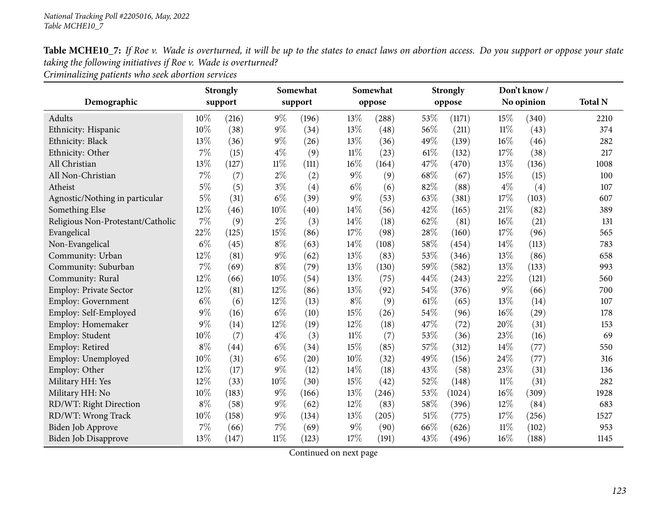| Table MCHE10_7: If Roe v. Wade is overturned, it will be up to the states to enact laws on abortion access. Do you support or oppose your state |  |  |
|-------------------------------------------------------------------------------------------------------------------------------------------------|--|--|
| taking the following initiatives if Roe v. Wade is overturned?                                                                                  |  |  |

*Criminalizing patients who seek abortion services*

|                                   |       | <b>Strongly</b> |        | Somewhat |        | Somewhat |      | <b>Strongly</b> |        | Don't know/ |                |
|-----------------------------------|-------|-----------------|--------|----------|--------|----------|------|-----------------|--------|-------------|----------------|
| Demographic                       |       | support         |        | support  |        | oppose   |      | oppose          |        | No opinion  | <b>Total N</b> |
| Adults                            | 10%   | (216)           | $9\%$  | (196)    | 13%    | (288)    | 53%  | (1171)          | 15%    | (340)       | 2210           |
| Ethnicity: Hispanic               | 10%   | (38)            | $9\%$  | (34)     | 13%    | (48)     | 56%  | (211)           | $11\%$ | (43)        | 374            |
| Ethnicity: Black                  | 13%   | (36)            | $9\%$  | (26)     | 13%    | (36)     | 49%  | (139)           | 16%    | (46)        | 282            |
| Ethnicity: Other                  | 7%    | (15)            | $4\%$  | (9)      | $11\%$ | (23)     | 61\% | (132)           | 17%    | (38)        | 217            |
| All Christian                     | 13%   | (127)           | $11\%$ | (111)    | $16\%$ | (164)    | 47%  | (470)           | 13%    | (136)       | 1008           |
| All Non-Christian                 | 7%    | (7)             | $2\%$  | (2)      | $9\%$  | (9)      | 68%  | (67)            | 15%    | (15)        | 100            |
| Atheist                           | $5\%$ | (5)             | $3\%$  | (4)      | $6\%$  | (6)      | 82%  | (88)            | $4\%$  | (4)         | 107            |
| Agnostic/Nothing in particular    | $5\%$ | (31)            | $6\%$  | (39)     | $9\%$  | (53)     | 63%  | (381)           | 17%    | (103)       | 607            |
| Something Else                    | 12%   | (46)            | 10%    | (40)     | 14%    | (56)     | 42%  | (165)           | 21%    | (82)        | 389            |
| Religious Non-Protestant/Catholic | $7\%$ | (9)             | $2\%$  | (3)      | 14%    | (18)     | 62%  | (81)            | 16%    | (21)        | 131            |
| Evangelical                       | 22%   | (125)           | 15%    | (86)     | 17%    | (98)     | 28%  | (160)           | 17%    | (96)        | 565            |
| Non-Evangelical                   | $6\%$ | (45)            | $8\%$  | (63)     | 14%    | (108)    | 58%  | (454)           | 14%    | (113)       | 783            |
| Community: Urban                  | 12%   | (81)            | $9\%$  | (62)     | 13%    | (83)     | 53%  | (346)           | 13%    | (86)        | 658            |
| Community: Suburban               | 7%    | (69)            | $8\%$  | (79)     | 13%    | (130)    | 59%  | (582)           | 13%    | (133)       | 993            |
| Community: Rural                  | 12%   | (66)            | 10%    | (54)     | 13%    | (75)     | 44%  | (243)           | 22%    | (121)       | 560            |
| <b>Employ: Private Sector</b>     | 12%   | (81)            | 12%    | (86)     | 13%    | (92)     | 54%  | (376)           | $9\%$  | (66)        | 700            |
| <b>Employ: Government</b>         | $6\%$ | (6)             | 12%    | (13)     | $8\%$  | (9)      | 61\% | (65)            | 13%    | (14)        | 107            |
| Employ: Self-Employed             | $9\%$ | (16)            | $6\%$  | (10)     | 15%    | (26)     | 54%  | (96)            | 16%    | (29)        | 178            |
| Employ: Homemaker                 | $9\%$ | (14)            | 12%    | (19)     | 12%    | (18)     | 47%  | (72)            | 20%    | (31)        | 153            |
| Employ: Student                   | 10%   | (7)             | $4\%$  | (3)      | $11\%$ | (7)      | 53%  | (36)            | 23%    | (16)        | 69             |
| Employ: Retired                   | $8\%$ | (44)            | $6\%$  | (34)     | 15%    | (85)     | 57%  | (312)           | 14%    | (77)        | 550            |
| Employ: Unemployed                | 10%   | (31)            | $6\%$  | (20)     | 10%    | (32)     | 49%  | (156)           | 24%    | (77)        | 316            |
| Employ: Other                     | 12%   | (17)            | $9\%$  | (12)     | 14%    | (18)     | 43%  | (58)            | 23%    | (31)        | 136            |
| Military HH: Yes                  | 12%   | (33)            | 10%    | (30)     | 15%    | (42)     | 52%  | (148)           | $11\%$ | (31)        | 282            |
| Military HH: No                   | 10%   | (183)           | $9\%$  | (166)    | 13%    | (246)    | 53%  | (1024)          | 16%    | (309)       | 1928           |
| RD/WT: Right Direction            | $8\%$ | (58)            | $9\%$  | (62)     | 12%    | (83)     | 58%  | (396)           | 12%    | (84)        | 683            |
| RD/WT: Wrong Track                | 10%   | (158)           | $9\%$  | (134)    | 13%    | (205)    | 51%  | (775)           | 17%    | (256)       | 1527           |
| Biden Job Approve                 | 7%    | (66)            | 7%     | (69)     | $9\%$  | (90)     | 66%  | (626)           | $11\%$ | (102)       | 953            |
| <b>Biden Job Disapprove</b>       | 13%   | (147)           | $11\%$ | (123)    | 17%    | (191)    | 43%  | (496)           | 16%    | (188)       | 1145           |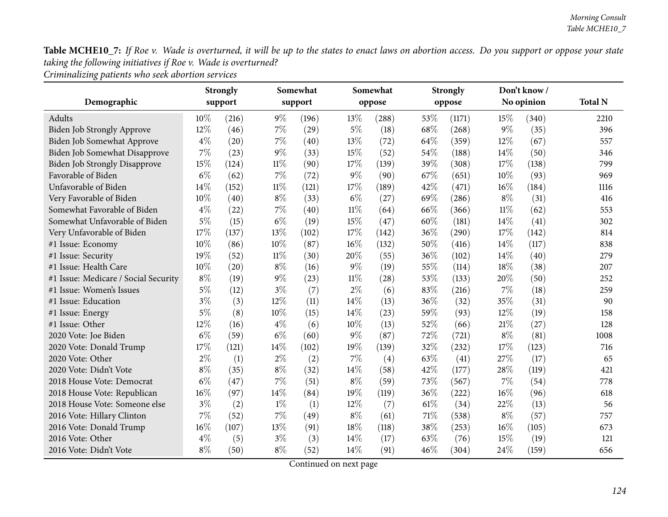*Criminalizing patients who seek abortion services*

|                                      |        | <b>Strongly</b> |        | Somewhat |        | Somewhat |      | <b>Strongly</b> |        | Don't know/ |                |
|--------------------------------------|--------|-----------------|--------|----------|--------|----------|------|-----------------|--------|-------------|----------------|
| Demographic                          |        | support         |        | support  |        | oppose   |      | oppose          |        | No opinion  | <b>Total N</b> |
| Adults                               | $10\%$ | (216)           | $9\%$  | (196)    | 13%    | (288)    | 53%  | (1171)          | 15%    | (340)       | 2210           |
| Biden Job Strongly Approve           | 12%    | (46)            | $7\%$  | (29)     | $5\%$  | (18)     | 68%  | (268)           | $9\%$  | (35)        | 396            |
| Biden Job Somewhat Approve           | $4\%$  | (20)            | 7%     | (40)     | 13%    | (72)     | 64%  | (359)           | 12%    | (67)        | 557            |
| Biden Job Somewhat Disapprove        | 7%     | (23)            | $9\%$  | (33)     | 15%    | (52)     | 54%  | (188)           | 14\%   | (50)        | 346            |
| <b>Biden Job Strongly Disapprove</b> | 15%    | (124)           | $11\%$ | (90)     | 17%    | (139)    | 39%  | (308)           | 17%    | (138)       | 799            |
| Favorable of Biden                   | $6\%$  | (62)            | $7\%$  | (72)     | $9\%$  | (90)     | 67%  | (651)           | 10%    | (93)        | 969            |
| Unfavorable of Biden                 | 14%    | (152)           | $11\%$ | (121)    | 17%    | (189)    | 42%  | (471)           | 16%    | (184)       | 1116           |
| Very Favorable of Biden              | 10%    | (40)            | $8\%$  | (33)     | $6\%$  | (27)     | 69%  | (286)           | $8\%$  | (31)        | 416            |
| Somewhat Favorable of Biden          | $4\%$  | (22)            | $7\%$  | (40)     | $11\%$ | (64)     | 66\% | (366)           | $11\%$ | (62)        | 553            |
| Somewhat Unfavorable of Biden        | $5\%$  | (15)            | $6\%$  | (19)     | 15%    | (47)     | 60%  | (181)           | 14%    | (41)        | 302            |
| Very Unfavorable of Biden            | 17%    | (137)           | 13%    | (102)    | $17\%$ | (142)    | 36%  | (290)           | 17%    | (142)       | 814            |
| #1 Issue: Economy                    | 10%    | (86)            | 10%    | (87)     | 16%    | (132)    | 50%  | (416)           | 14\%   | (117)       | 838            |
| #1 Issue: Security                   | 19%    | (52)            | $11\%$ | (30)     | 20%    | (55)     | 36%  | (102)           | 14\%   | (40)        | 279            |
| #1 Issue: Health Care                | 10%    | (20)            | $8\%$  | (16)     | $9\%$  | (19)     | 55%  | (114)           | 18%    | (38)        | 207            |
| #1 Issue: Medicare / Social Security | $8\%$  | (19)            | $9\%$  | (23)     | $11\%$ | (28)     | 53%  | (133)           | 20%    | (50)        | 252            |
| #1 Issue: Women's Issues             | $5\%$  | (12)            | $3\%$  | (7)      | $2\%$  | (6)      | 83%  | (216)           | 7%     | (18)        | 259            |
| #1 Issue: Education                  | $3\%$  | (3)             | 12%    | (11)     | 14%    | (13)     | 36%  | (32)            | 35%    | (31)        | 90             |
| #1 Issue: Energy                     | $5\%$  | (8)             | 10%    | (15)     | 14%    | (23)     | 59%  | (93)            | 12%    | (19)        | 158            |
| #1 Issue: Other                      | 12%    | (16)            | $4\%$  | (6)      | 10%    | (13)     | 52%  | (66)            | 21%    | (27)        | 128            |
| 2020 Vote: Joe Biden                 | $6\%$  | (59)            | $6\%$  | (60)     | $9\%$  | (87)     | 72%  | (721)           | $8\%$  | (81)        | 1008           |
| 2020 Vote: Donald Trump              | 17%    | (121)           | 14%    | (102)    | 19%    | (139)    | 32%  | (232)           | 17%    | (123)       | 716            |
| 2020 Vote: Other                     | $2\%$  | (1)             | $2\%$  | (2)      | $7\%$  | (4)      | 63%  | (41)            | 27%    | (17)        | 65             |
| 2020 Vote: Didn't Vote               | $8\%$  | (35)            | $8\%$  | (32)     | 14%    | (58)     | 42%  | (177)           | 28%    | (119)       | 421            |
| 2018 House Vote: Democrat            | $6\%$  | (47)            | 7%     | (51)     | $8\%$  | (59)     | 73%  | (567)           | 7%     | (54)        | 778            |
| 2018 House Vote: Republican          | $16\%$ | (97)            | 14%    | (84)     | 19%    | (119)    | 36%  | (222)           | 16%    | (96)        | 618            |
| 2018 House Vote: Someone else        | $3\%$  | (2)             | $1\%$  | (1)      | 12%    | (7)      | 61\% | (34)            | 22%    | (13)        | 56             |
| 2016 Vote: Hillary Clinton           | 7%     | (52)            | $7\%$  | (49)     | $8\%$  | (61)     | 71%  | (538)           | $8\%$  | (57)        | 757            |
| 2016 Vote: Donald Trump              | 16%    | (107)           | 13%    | (91)     | 18%    | (118)    | 38%  | (253)           | 16%    | (105)       | 673            |
| 2016 Vote: Other                     | $4\%$  | (5)             | $3\%$  | (3)      | 14%    | (17)     | 63%  | (76)            | 15%    | (19)        | 121            |
| 2016 Vote: Didn't Vote               | $8\%$  | (50)            | $8\%$  | (52)     | 14%    | (91)     | 46%  | (304)           | 24%    | (159)       | 656            |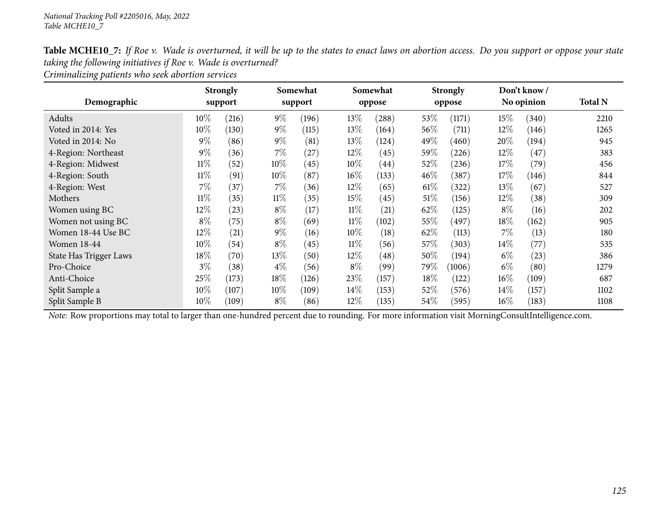|                                                                |  | Table MCHE10_7: If Roe v. Wade is overturned, it will be up to the states to enact laws on abortion access. Do you support or oppose your state |
|----------------------------------------------------------------|--|-------------------------------------------------------------------------------------------------------------------------------------------------|
| taking the following initiatives if Roe v. Wade is overturned? |  |                                                                                                                                                 |

*Criminalizing patients who seek abortion services*

|                        |        | <b>Strongly</b> |        | Somewhat |        | Somewhat |         | <b>Strongly</b> |        | Don't know/ |                |
|------------------------|--------|-----------------|--------|----------|--------|----------|---------|-----------------|--------|-------------|----------------|
| Demographic            |        | support         |        | support  |        | oppose   |         | oppose          |        | No opinion  | <b>Total N</b> |
| Adults                 | 10%    | (216)           | $9\%$  | (196)    | 13\%   | (288)    | 53%     | (1171)          | $15\%$ | (340)       | 2210           |
| Voted in 2014: Yes     | 10%    | (130)           | $9\%$  | (115)    | 13\%   | (164)    | 56\%    | (711)           | 12%    | (146)       | 1265           |
| Voted in 2014: No      | $9\%$  | (86)            | $9\%$  | (81)     | 13\%   | (124)    | 49 $\%$ | (460)           | 20%    | (194)       | 945            |
| 4-Region: Northeast    | $9\%$  | (36)            | $7\%$  | (27)     | 12%    | (45)     | 59%     | (226)           | 12\%   | (47)        | 383            |
| 4-Region: Midwest      | $11\%$ | (52)            | 10\%   | (45)     | 10\%   | (44)     | 52%     | (236)           | 17%    | (79)        | 456            |
| 4-Region: South        | $11\%$ | (91)            | $10\%$ | (87)     | $16\%$ | (133)    | $46\%$  | (387)           | $17\%$ | (146)       | 844            |
| 4-Region: West         | 7%     | (37)            | $7\%$  | (36)     | 12%    | (65)     | $61\%$  | (322)           | 13\%   | (67)        | 527            |
| Mothers                | $11\%$ | (35)            | $11\%$ | (35)     | $15\%$ | (45)     | $51\%$  | (156)           | $12\%$ | (38)        | 309            |
| Women using BC         | 12%    | (23)            | $8\%$  | (17)     | $11\%$ | (21)     | 62%     | (125)           | $8\%$  | (16)        | 202            |
| Women not using BC     | $8\%$  | (75)            | $8\%$  | (69)     | $11\%$ | (102)    | 55%     | (497)           | 18\%   | (162)       | 905            |
| Women 18-44 Use BC     | $12\%$ | (21)            | $9\%$  | (16)     | $10\%$ | (18)     | 62%     | (113)           | $7\%$  | (13)        | 180            |
| <b>Women 18-44</b>     | 10%    | (54)            | $8\%$  | (45)     | $11\%$ | (56)     | 57\%    | (303)           | $14\%$ | (77)        | 535            |
| State Has Trigger Laws | 18%    | (70)            | $13\%$ | (50)     | $12\%$ | (48)     | 50%     | (194)           | $6\%$  | (23)        | 386            |
| Pro-Choice             | $3\%$  | (38)            | $4\%$  | (56)     | $8\%$  | (99)     | 79%     | (1006)          | $6\%$  | (80)        | 1279           |
| Anti-Choice            | 25%    | (173)           | 18%    | (126)    | 23%    | (157)    | 18%     | (122)           | $16\%$ | (109)       | 687            |
| Split Sample a         | 10%    | (107)           | 10\%   | (109)    | $14\%$ | (153)    | 52%     | (576)           | $14\%$ | (157)       | 1102           |
| Split Sample B         | 10%    | (109)           | $8\%$  | (86)     | 12%    | (135)    | 54\%    | (595)           | $16\%$ | (183)       | 1108           |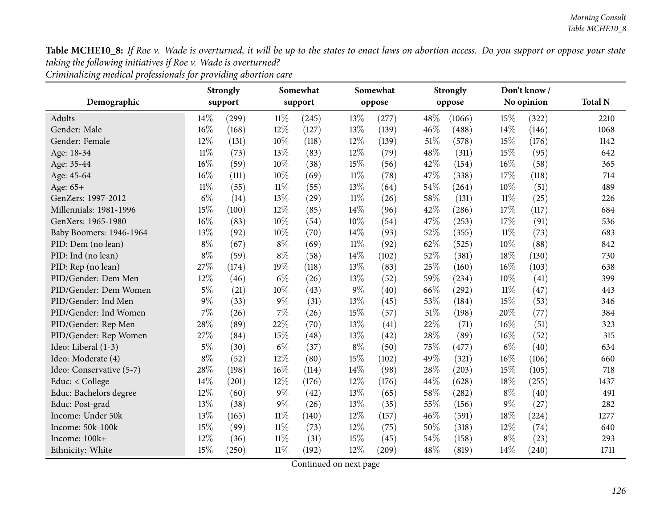*Criminalizing medical professionals for providing abortion care*

|                          |        | <b>Strongly</b> |        | Somewhat           |        | Somewhat |     | <b>Strongly</b> |        | Don't know/ |                |
|--------------------------|--------|-----------------|--------|--------------------|--------|----------|-----|-----------------|--------|-------------|----------------|
| Demographic              |        | support         |        | support            |        | oppose   |     | oppose          |        | No opinion  | <b>Total N</b> |
| Adults                   | 14%    | (299)           | 11%    | (245)              | 13%    | (277)    | 48% | (1066)          | 15%    | (322)       | 2210           |
| Gender: Male             | 16%    | (168)           | 12%    | (127)              | 13%    | (139)    | 46% | (488)           | 14%    | (146)       | 1068           |
| Gender: Female           | 12%    | (131)           | 10%    | (118)              | 12%    | (139)    | 51% | (578)           | 15%    | (176)       | 1142           |
| Age: 18-34               | $11\%$ | (73)            | 13%    | (83)               | 12%    | (79)     | 48% | (311)           | 15%    | (95)        | 642            |
| Age: 35-44               | 16%    | (59)            | 10%    | (38)               | 15%    | (56)     | 42% | (154)           | 16%    | (58)        | 365            |
| Age: 45-64               | 16%    | (111)           | 10%    | (69)               | $11\%$ | (78)     | 47% | (338)           | 17%    | (118)       | 714            |
| Age: 65+                 | $11\%$ | (55)            | $11\%$ | (55)               | 13%    | (64)     | 54% | (264)           | $10\%$ | (51)        | 489            |
| GenZers: 1997-2012       | $6\%$  | (14)            | 13%    | (29)               | $11\%$ | (26)     | 58% | (131)           | $11\%$ | (25)        | 226            |
| Millennials: 1981-1996   | 15%    | (100)           | 12%    | (85)               | 14%    | (96)     | 42% | (286)           | 17%    | (117)       | 684            |
| GenXers: 1965-1980       | 16%    | (83)            | 10%    | (54)               | 10%    | (54)     | 47% | (253)           | 17%    | (91)        | 536            |
| Baby Boomers: 1946-1964  | 13%    | (92)            | 10%    | (70)               | 14%    | (93)     | 52% | (355)           | $11\%$ | (73)        | 683            |
| PID: Dem (no lean)       | $8\%$  | (67)            | $8\%$  | (69)               | $11\%$ | (92)     | 62% | (525)           | 10%    | (88)        | 842            |
| PID: Ind (no lean)       | $8\%$  | (59)            | $8\%$  | (58)               | 14%    | (102)    | 52% | (381)           | 18%    | (130)       | 730            |
| PID: Rep (no lean)       | 27%    | (174)           | 19%    | (118)              | 13%    | (83)     | 25% | (160)           | 16%    | (103)       | 638            |
| PID/Gender: Dem Men      | 12%    | (46)            | $6\%$  | (26)               | 13%    | (52)     | 59% | (234)           | 10%    | (41)        | 399            |
| PID/Gender: Dem Women    | $5\%$  | (21)            | 10%    | (43)               | $9\%$  | (40)     | 66% | (292)           | $11\%$ | (47)        | 443            |
| PID/Gender: Ind Men      | $9\%$  | (33)            | $9\%$  | (31)               | 13%    | (45)     | 53% | (184)           | 15%    | (53)        | 346            |
| PID/Gender: Ind Women    | 7%     | (26)            | 7%     | (26)               | 15%    | (57)     | 51% | (198)           | 20%    | (77)        | 384            |
| PID/Gender: Rep Men      | 28%    | (89)            | 22%    | (70)               | 13%    | (41)     | 22% | (71)            | 16%    | (51)        | 323            |
| PID/Gender: Rep Women    | 27%    | (84)            | 15%    | $\left( 48\right)$ | 13%    | (42)     | 28% | (89)            | 16%    | (52)        | 315            |
| Ideo: Liberal (1-3)      | $5\%$  | (30)            | $6\%$  | (37)               | $8\%$  | (50)     | 75% | (477)           | $6\%$  | (40)        | 634            |
| Ideo: Moderate (4)       | $8\%$  | (52)            | 12%    | (80)               | 15%    | (102)    | 49% | (321)           | 16%    | (106)       | 660            |
| Ideo: Conservative (5-7) | 28%    | (198)           | 16%    | (114)              | 14%    | (98)     | 28% | (203)           | 15%    | (105)       | 718            |
| Educ: < College          | 14%    | (201)           | 12%    | (176)              | 12%    | (176)    | 44% | (628)           | 18%    | (255)       | 1437           |
| Educ: Bachelors degree   | 12%    | (60)            | $9\%$  | (42)               | 13%    | (65)     | 58% | (282)           | $8\%$  | (40)        | 491            |
| Educ: Post-grad          | 13%    | (38)            | $9\%$  | (26)               | 13%    | (35)     | 55% | (156)           | $9\%$  | (27)        | 282            |
| Income: Under 50k        | 13%    | (165)           | $11\%$ | (140)              | 12%    | (157)    | 46% | (591)           | 18%    | (224)       | 1277           |
| Income: 50k-100k         | 15%    | (99)            | $11\%$ | (73)               | 12%    | (75)     | 50% | (318)           | 12%    | (74)        | 640            |
| Income: 100k+            | 12%    | (36)            | $11\%$ | (31)               | 15%    | (45)     | 54% | (158)           | $8\%$  | (23)        | 293            |
| Ethnicity: White         | 15%    | (250)           | $11\%$ | (192)              | 12%    | (209)    | 48% | (819)           | 14%    | (240)       | 1711           |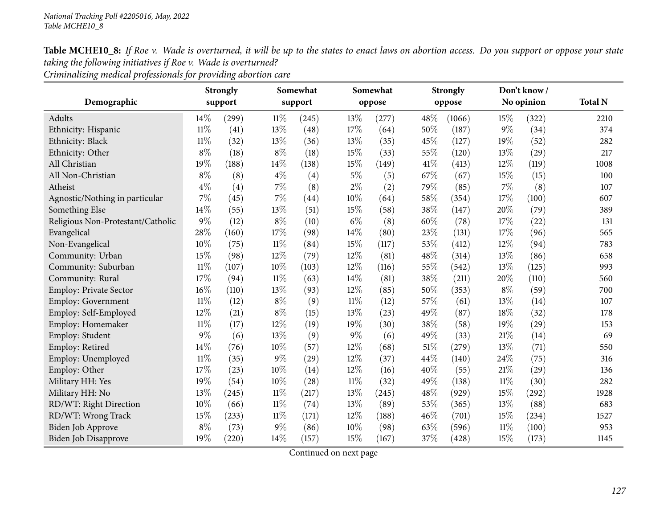*Criminalizing medical professionals for providing abortion care*

|                                   |        | <b>Strongly</b> |        | Somewhat           |        | Somewhat |        | <b>Strongly</b> |        | Don't know/ |                |
|-----------------------------------|--------|-----------------|--------|--------------------|--------|----------|--------|-----------------|--------|-------------|----------------|
| Demographic                       |        | support         |        | support            |        | oppose   |        | oppose          |        | No opinion  | <b>Total N</b> |
| Adults                            | 14%    | (299)           | $11\%$ | (245)              | 13%    | (277)    | 48%    | (1066)          | 15%    | (322)       | 2210           |
| Ethnicity: Hispanic               | $11\%$ | (41)            | 13%    | (48)               | 17%    | (64)     | 50%    | (187)           | $9\%$  | (34)        | 374            |
| Ethnicity: Black                  | $11\%$ | (32)            | 13%    | (36)               | 13%    | (35)     | 45%    | (127)           | 19%    | (52)        | 282            |
| Ethnicity: Other                  | $8\%$  | (18)            | $8\%$  | (18)               | 15%    | (33)     | 55%    | (120)           | 13%    | (29)        | 217            |
| All Christian                     | 19%    | (188)           | $14\%$ | (138)              | 15%    | (149)    | 41\%   | (413)           | 12%    | (119)       | 1008           |
| All Non-Christian                 | $8\%$  | (8)             | $4\%$  | (4)                | $5\%$  | (5)      | 67%    | (67)            | 15%    | (15)        | 100            |
| Atheist                           | $4\%$  | (4)             | $7\%$  | (8)                | $2\%$  | (2)      | 79%    | (85)            | 7%     | (8)         | 107            |
| Agnostic/Nothing in particular    | 7%     | (45)            | $7\%$  | (44)               | $10\%$ | (64)     | 58%    | (354)           | 17%    | (100)       | 607            |
| Something Else                    | 14%    | (55)            | 13%    | (51)               | 15%    | (58)     | 38%    | (147)           | 20%    | (79)        | 389            |
| Religious Non-Protestant/Catholic | $9\%$  | (12)            | $8\%$  | (10)               | $6\%$  | (8)      | 60%    | (78)            | 17%    | (22)        | 131            |
| Evangelical                       | 28%    | (160)           | 17%    | (98)               | 14%    | (80)     | 23%    | (131)           | 17%    | (96)        | 565            |
| Non-Evangelical                   | 10%    | (75)            | $11\%$ | (84)               | 15%    | (117)    | 53%    | (412)           | 12%    | (94)        | 783            |
| Community: Urban                  | 15%    | (98)            | 12%    | (79)               | 12%    | (81)     | 48%    | (314)           | 13%    | (86)        | 658            |
| Community: Suburban               | $11\%$ | (107)           | $10\%$ | (103)              | 12%    | (116)    | 55%    | (542)           | 13%    | (125)       | 993            |
| Community: Rural                  | 17%    | (94)            | $11\%$ | (63)               | $14\%$ | (81)     | 38%    | (211)           | 20%    | (110)       | 560            |
| Employ: Private Sector            | 16%    | (110)           | 13%    | (93)               | 12%    | (85)     | 50%    | (353)           | $8\%$  | (59)        | 700            |
| <b>Employ: Government</b>         | $11\%$ | (12)            | $8\%$  | (9)                | $11\%$ | (12)     | 57%    | (61)            | 13%    | (14)        | 107            |
| Employ: Self-Employed             | 12%    | (21)            | $8\%$  | (15)               | 13%    | (23)     | 49%    | (87)            | 18%    | (32)        | 178            |
| Employ: Homemaker                 | $11\%$ | (17)            | 12%    | (19)               | 19%    | (30)     | 38%    | (58)            | 19%    | (29)        | 153            |
| Employ: Student                   | $9\%$  | (6)             | 13%    | (9)                | $9\%$  | (6)      | 49%    | (33)            | 21%    | (14)        | 69             |
| Employ: Retired                   | 14\%   | (76)            | $10\%$ | (57)               | 12%    | (68)     | $51\%$ | (279)           | 13%    | (71)        | 550            |
| Employ: Unemployed                | $11\%$ | (35)            | $9\%$  | (29)               | 12%    | (37)     | 44%    | (140)           | 24%    | (75)        | 316            |
| Employ: Other                     | 17%    | (23)            | 10%    | (14)               | 12%    | (16)     | 40%    | (55)            | 21%    | (29)        | 136            |
| Military HH: Yes                  | 19%    | (54)            | $10\%$ | $\left( 28\right)$ | $11\%$ | (32)     | 49%    | (138)           | $11\%$ | (30)        | 282            |
| Military HH: No                   | 13%    | (245)           | $11\%$ | (217)              | 13%    | (245)    | 48%    | (929)           | 15%    | (292)       | 1928           |
| RD/WT: Right Direction            | 10%    | (66)            | $11\%$ | (74)               | 13%    | (89)     | 53%    | (365)           | 13%    | (88)        | 683            |
| RD/WT: Wrong Track                | 15%    | (233)           | $11\%$ | (171)              | 12%    | (188)    | 46%    | (701)           | 15%    | (234)       | 1527           |
| Biden Job Approve                 | $8\%$  | (73)            | $9\%$  | (86)               | 10%    | (98)     | 63%    | (596)           | 11%    | (100)       | 953            |
| <b>Biden Job Disapprove</b>       | 19%    | (220)           | 14%    | (157)              | 15%    | (167)    | 37%    | (428)           | 15%    | (173)       | 1145           |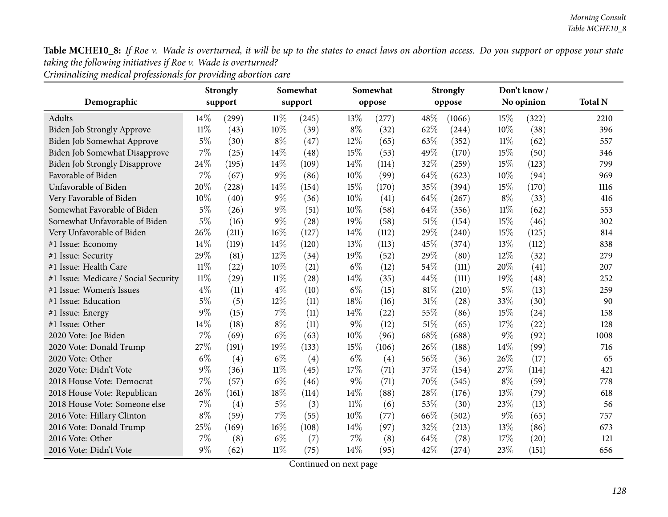*Criminalizing medical professionals for providing abortion care*

|                                      |        | <b>Strongly</b> |        | Somewhat |        | Somewhat |      | <b>Strongly</b> |        | Don't know / |                |
|--------------------------------------|--------|-----------------|--------|----------|--------|----------|------|-----------------|--------|--------------|----------------|
| Demographic                          |        | support         |        | support  |        | oppose   |      | oppose          |        | No opinion   | <b>Total N</b> |
| Adults                               | 14\%   | (299)           | $11\%$ | (245)    | 13%    | (277)    | 48%  | (1066)          | 15%    | (322)        | 2210           |
| Biden Job Strongly Approve           | $11\%$ | (43)            | 10%    | (39)     | $8\%$  | (32)     | 62%  | (244)           | 10%    | (38)         | 396            |
| Biden Job Somewhat Approve           | $5\%$  | (30)            | $8\%$  | (47)     | 12%    | (65)     | 63%  | (352)           | $11\%$ | (62)         | 557            |
| Biden Job Somewhat Disapprove        | 7%     | (25)            | 14%    | (48)     | 15%    | (53)     | 49%  | (170)           | 15%    | (50)         | 346            |
| <b>Biden Job Strongly Disapprove</b> | 24\%   | (195)           | 14%    | (109)    | 14\%   | (114)    | 32%  | (259)           | 15%    | (123)        | 799            |
| Favorable of Biden                   | 7%     | (67)            | $9\%$  | (86)     | 10%    | (99)     | 64%  | (623)           | 10%    | (94)         | 969            |
| Unfavorable of Biden                 | 20%    | (228)           | 14%    | (154)    | 15%    | (170)    | 35%  | (394)           | 15%    | (170)        | 1116           |
| Very Favorable of Biden              | 10%    | (40)            | $9\%$  | (36)     | 10%    | (41)     | 64%  | (267)           | $8\%$  | (33)         | 416            |
| Somewhat Favorable of Biden          | 5%     | (26)            | $9\%$  | (51)     | 10%    | (58)     | 64%  | (356)           | $11\%$ | (62)         | 553            |
| Somewhat Unfavorable of Biden        | $5\%$  | (16)            | $9\%$  | (28)     | 19%    | (58)     | 51%  | (154)           | 15%    | (46)         | 302            |
| Very Unfavorable of Biden            | 26%    | (211)           | $16\%$ | (127)    | 14\%   | (112)    | 29%  | (240)           | 15%    | (125)        | 814            |
| #1 Issue: Economy                    | 14\%   | (119)           | 14\%   | (120)    | 13%    | (113)    | 45%  | (374)           | 13%    | (112)        | 838            |
| #1 Issue: Security                   | 29%    | (81)            | 12%    | (34)     | 19%    | (52)     | 29%  | (80)            | 12%    | (32)         | 279            |
| #1 Issue: Health Care                | $11\%$ | (22)            | 10%    | (21)     | $6\%$  | (12)     | 54%  | (111)           | 20%    | (41)         | 207            |
| #1 Issue: Medicare / Social Security | $11\%$ | (29)            | $11\%$ | (28)     | 14%    | (35)     | 44%  | (111)           | 19%    | (48)         | 252            |
| #1 Issue: Women's Issues             | $4\%$  | (11)            | $4\%$  | (10)     | $6\%$  | (15)     | 81%  | (210)           | $5\%$  | (13)         | 259            |
| #1 Issue: Education                  | $5\%$  | (5)             | 12\%   | (11)     | 18%    | (16)     | 31%  | (28)            | 33%    | (30)         | 90             |
| #1 Issue: Energy                     | 9%     | (15)            | $7\%$  | (11)     | 14%    | (22)     | 55%  | (86)            | 15%    | (24)         | 158            |
| #1 Issue: Other                      | 14%    | (18)            | $8\%$  | (11)     | $9\%$  | (12)     | 51%  | (65)            | 17%    | (22)         | 128            |
| 2020 Vote: Joe Biden                 | 7%     | (69)            | $6\%$  | (63)     | 10%    | (96)     | 68%  | (688)           | $9\%$  | (92)         | 1008           |
| 2020 Vote: Donald Trump              | 27%    | (191)           | 19%    | (133)    | 15%    | (106)    | 26%  | (188)           | 14%    | (99)         | 716            |
| 2020 Vote: Other                     | $6\%$  | (4)             | $6\%$  | (4)      | $6\%$  | (4)      | 56%  | (36)            | 26%    | (17)         | 65             |
| 2020 Vote: Didn't Vote               | $9\%$  | (36)            | $11\%$ | (45)     | 17%    | (71)     | 37%  | (154)           | 27%    | (114)        | 421            |
| 2018 House Vote: Democrat            | 7%     | (57)            | $6\%$  | (46)     | $9\%$  | (71)     | 70%  | (545)           | $8\%$  | (59)         | 778            |
| 2018 House Vote: Republican          | 26%    | (161)           | 18%    | (114)    | 14%    | (88)     | 28%  | (176)           | 13%    | (79)         | 618            |
| 2018 House Vote: Someone else        | 7%     | (4)             | $5\%$  | (3)      | $11\%$ | (6)      | 53%  | (30)            | 23%    | (13)         | 56             |
| 2016 Vote: Hillary Clinton           | $8\%$  | (59)            | 7%     | (55)     | 10%    | (77)     | 66%  | (502)           | $9\%$  | (65)         | 757            |
| 2016 Vote: Donald Trump              | 25%    | (169)           | $16\%$ | (108)    | 14%    | (97)     | 32%  | (213)           | 13%    | (86)         | 673            |
| 2016 Vote: Other                     | 7%     | (8)             | $6\%$  | (7)      | $7\%$  | (8)      | 64\% | (78)            | 17%    | (20)         | 121            |
| 2016 Vote: Didn't Vote               | $9\%$  | (62)            | $11\%$ | (75)     | 14%    | (95)     | 42%  | (274)           | 23%    | (151)        | 656            |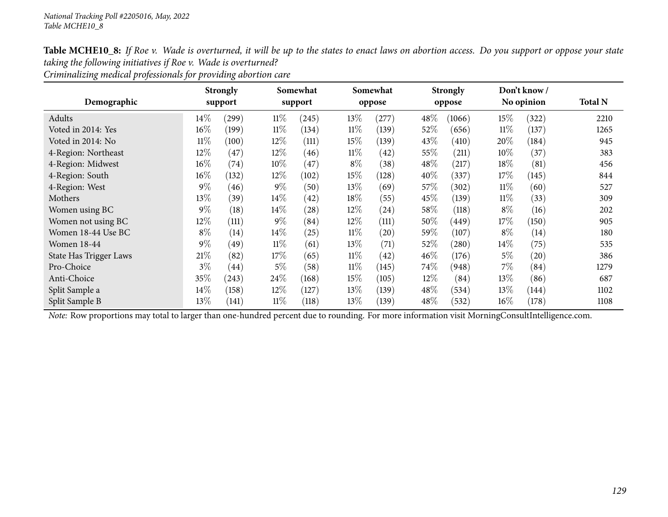*Criminalizing medical professionals for providing abortion care*

|                        |        | <b>Strongly</b> |        | Somewhat |        | Somewhat |        | <b>Strongly</b> |        | Don't know/ |                |
|------------------------|--------|-----------------|--------|----------|--------|----------|--------|-----------------|--------|-------------|----------------|
| Demographic            |        | support         |        | support  |        | oppose   |        | oppose          |        | No opinion  | <b>Total N</b> |
| Adults                 | $14\%$ | (299)           | $11\%$ | (245)    | 13\%   | (277)    | 48\%   | (1066)          | $15\%$ | (322)       | 2210           |
| Voted in 2014: Yes     | $16\%$ | (199)           | $11\%$ | (134)    | $11\%$ | (139)    | $52\%$ | (656)           | $11\%$ | (137)       | 1265           |
| Voted in 2014: No      | $11\%$ | (100)           | $12\%$ | (111)    | 15\%   | (139)    | 43\%   | (410)           | 20%    | (184)       | 945            |
| 4-Region: Northeast    | $12\%$ | (47)            | 12%    | (46)     | $11\%$ | (42)     | $55\%$ | (211)           | $10\%$ | (37)        | 383            |
| 4-Region: Midwest      | $16\%$ | (74)            | 10\%   | (47)     | $8\%$  | (38)     | 48\%   | (217)           | 18%    | (81)        | 456            |
| 4-Region: South        | $16\%$ | (132)           | $12\%$ | (102)    | 15\%   | (128)    | 40\%   | (337)           | 17\%   | (145)       | 844            |
| 4-Region: West         | $9\%$  | (46)            | $9\%$  | (50)     | 13%    | (69)     | 57\%   | (302)           | $11\%$ | (60)        | 527            |
| Mothers                | $13\%$ | (39)            | $14\%$ | (42)     | 18%    | (55)     | 45\%   | (139)           | $11\%$ | (33)        | 309            |
| Women using BC         | $9\%$  | (18)            | 14\%   | (28)     | 12%    | (24)     | 58\%   | (118)           | $8\%$  | (16)        | 202            |
| Women not using BC     | $12\%$ | (111)           | $9\%$  | (84)     | 12%    | (111)    | $50\%$ | (449)           | 17\%   | (150)       | 905            |
| Women 18-44 Use BC     | $8\%$  | (14)            | 14\%   | (25)     | $11\%$ | (20)     | 59%    | (107)           | $8\%$  | (14)        | 180            |
| <b>Women 18-44</b>     | $9\%$  | (49)            | $11\%$ | (61)     | 13%    | (71)     | 52\%   | (280)           | $14\%$ | (75)        | 535            |
| State Has Trigger Laws | $21\%$ | (82)            | 17\%   | (65)     | $11\%$ | (42)     | 46%    | (176)           | $5\%$  | (20)        | 386            |
| Pro-Choice             | $3\%$  | (44)            | $5\%$  | (58)     | $11\%$ | (145)    | $74\%$ | (948)           | 7%     | (84)        | 1279           |
| Anti-Choice            | 35%    | (243)           | 24\%   | (168)    | 15\%   | (105)    | 12\%   | (84)            | 13%    | (86)        | 687            |
| Split Sample a         | $14\%$ | (158)           | $12\%$ | (127)    | 13\%   | (139)    | 48\%   | (534)           | 13%    | (144)       | 1102           |
| Split Sample B         | $13\%$ | (141)           | $11\%$ | (118)    | 13\%   | (139)    | 48\%   | (532)           | $16\%$ | (178)       | 1108           |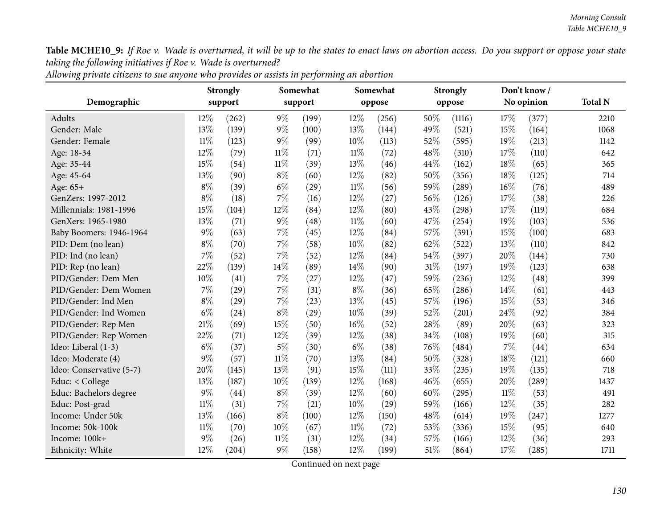| Allowing private citizens to sue anyone who provides or assists in performing an abortion |  |
|-------------------------------------------------------------------------------------------|--|
|-------------------------------------------------------------------------------------------|--|

|                          |        | <b>Strongly</b> |        | Somewhat |        | Somewhat |     | <b>Strongly</b> |        | Don't know/ |                |
|--------------------------|--------|-----------------|--------|----------|--------|----------|-----|-----------------|--------|-------------|----------------|
| Demographic              |        | support         |        | support  |        | oppose   |     | oppose          |        | No opinion  | <b>Total N</b> |
| <b>Adults</b>            | 12%    | (262)           | $9\%$  | (199)    | 12%    | (256)    | 50% | (1116)          | 17%    | (377)       | 2210           |
| Gender: Male             | 13%    | (139)           | $9\%$  | (100)    | 13%    | (144)    | 49% | (521)           | 15%    | (164)       | 1068           |
| Gender: Female           | $11\%$ | (123)           | $9\%$  | (99)     | $10\%$ | (113)    | 52% | (595)           | 19%    | (213)       | 1142           |
| Age: 18-34               | 12%    | (79)            | $11\%$ | (71)     | $11\%$ | (72)     | 48% | (310)           | 17%    | (110)       | 642            |
| Age: 35-44               | 15%    | (54)            | $11\%$ | (39)     | 13%    | (46)     | 44% | (162)           | 18%    | (65)        | 365            |
| Age: 45-64               | 13%    | (90)            | $8\%$  | (60)     | 12%    | (82)     | 50% | (356)           | 18%    | (125)       | 714            |
| Age: 65+                 | $8\%$  | (39)            | $6\%$  | (29)     | $11\%$ | (56)     | 59% | (289)           | 16%    | (76)        | 489            |
| GenZers: 1997-2012       | $8\%$  | (18)            | $7\%$  | (16)     | 12%    | (27)     | 56% | (126)           | 17%    | (38)        | 226            |
| Millennials: 1981-1996   | 15%    | (104)           | 12%    | (84)     | 12%    | (80)     | 43% | (298)           | 17%    | (119)       | 684            |
| GenXers: 1965-1980       | 13%    | (71)            | $9\%$  | (48)     | $11\%$ | (60)     | 47% | (254)           | 19%    | (103)       | 536            |
| Baby Boomers: 1946-1964  | $9\%$  | (63)            | 7%     | (45)     | 12%    | (84)     | 57% | (391)           | 15%    | (100)       | 683            |
| PID: Dem (no lean)       | $8\%$  | (70)            | $7\%$  | (58)     | 10%    | (82)     | 62% | (522)           | 13%    | (110)       | 842            |
| PID: Ind (no lean)       | 7%     | (52)            | 7%     | (52)     | 12%    | (84)     | 54% | (397)           | 20%    | (144)       | 730            |
| PID: Rep (no lean)       | 22%    | (139)           | 14%    | (89)     | 14%    | (90)     | 31% | (197)           | 19%    | (123)       | 638            |
| PID/Gender: Dem Men      | 10%    | (41)            | $7\%$  | (27)     | 12%    | (47)     | 59% | (236)           | 12%    | (48)        | 399            |
| PID/Gender: Dem Women    | 7%     | (29)            | 7%     | (31)     | $8\%$  | (36)     | 65% | (286)           | 14%    | (61)        | 443            |
| PID/Gender: Ind Men      | $8\%$  | (29)            | $7\%$  | (23)     | 13%    | (45)     | 57% | (196)           | 15%    | (53)        | 346            |
| PID/Gender: Ind Women    | $6\%$  | (24)            | $8\%$  | (29)     | 10%    | (39)     | 52% | (201)           | 24\%   | (92)        | 384            |
| PID/Gender: Rep Men      | $21\%$ | (69)            | 15%    | (50)     | 16%    | (52)     | 28% | (89)            | 20%    | (63)        | 323            |
| PID/Gender: Rep Women    | 22%    | (71)            | 12%    | (39)     | 12%    | (38)     | 34% | (108)           | 19%    | (60)        | 315            |
| Ideo: Liberal (1-3)      | $6\%$  | (37)            | $5\%$  | (30)     | $6\%$  | (38)     | 76% | (484)           | 7%     | (44)        | 634            |
| Ideo: Moderate (4)       | $9\%$  | (57)            | $11\%$ | (70)     | 13%    | (84)     | 50% | (328)           | 18%    | (121)       | 660            |
| Ideo: Conservative (5-7) | 20%    | (145)           | 13%    | (91)     | 15%    | (111)    | 33% | (235)           | 19%    | (135)       | 718            |
| Educ: < College          | 13%    | (187)           | 10%    | (139)    | 12%    | (168)    | 46% | (655)           | 20%    | (289)       | 1437           |
| Educ: Bachelors degree   | $9\%$  | (44)            | $8\%$  | (39)     | 12%    | (60)     | 60% | (295)           | $11\%$ | (53)        | 491            |
| Educ: Post-grad          | 11%    | (31)            | $7\%$  | (21)     | 10%    | (29)     | 59% | (166)           | 12%    | (35)        | 282            |
| Income: Under 50k        | 13%    | (166)           | $8\%$  | (100)    | 12%    | (150)    | 48% | (614)           | 19%    | (247)       | 1277           |
| Income: 50k-100k         | $11\%$ | (70)            | 10%    | (67)     | $11\%$ | (72)     | 53% | (336)           | 15%    | (95)        | 640            |
| Income: 100k+            | 9%     | (26)            | $11\%$ | (31)     | 12%    | (34)     | 57% | (166)           | 12%    | (36)        | 293            |
| Ethnicity: White         | 12%    | (204)           | 9%     | (158)    | 12%    | (199)    | 51% | (864)           | 17%    | (285)       | 1711           |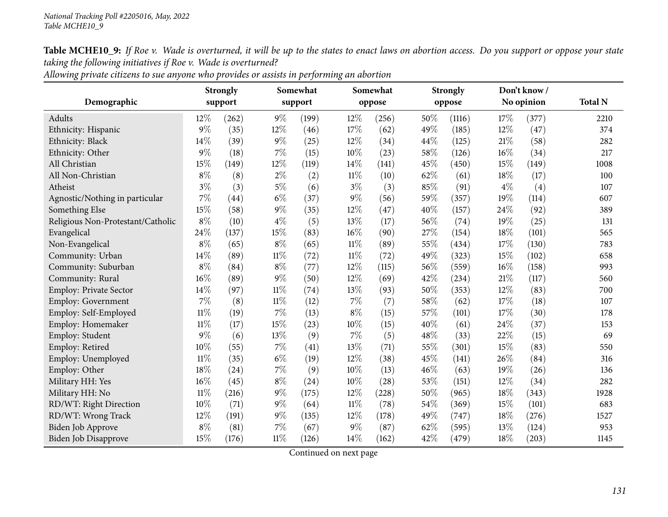|                                   |        | <b>Strongly</b> |        | Somewhat |        | Somewhat |      | <b>Strongly</b> |        | Don't know / |                |
|-----------------------------------|--------|-----------------|--------|----------|--------|----------|------|-----------------|--------|--------------|----------------|
| Demographic                       |        | support         |        | support  |        | oppose   |      | oppose          |        | No opinion   | <b>Total N</b> |
| Adults                            | $12\%$ | (262)           | $9\%$  | (199)    | $12\%$ | (256)    | 50%  | (1116)          | 17%    | (377)        | 2210           |
| Ethnicity: Hispanic               | $9\%$  | (35)            | 12%    | (46)     | 17%    | (62)     | 49%  | (185)           | 12%    | (47)         | 374            |
| Ethnicity: Black                  | 14\%   | (39)            | 9%     | (25)     | 12%    | (34)     | 44\% | (125)           | 21%    | (58)         | 282            |
| Ethnicity: Other                  | $9\%$  | (18)            | 7%     | (15)     | 10%    | (23)     | 58%  | (126)           | 16%    | (34)         | 217            |
| All Christian                     | 15%    | (149)           | 12%    | (119)    | 14%    | (141)    | 45%  | (450)           | 15%    | (149)        | 1008           |
| All Non-Christian                 | $8\%$  | (8)             | $2\%$  | (2)      | $11\%$ | (10)     | 62%  | (61)            | 18%    | (17)         | 100            |
| Atheist                           | $3\%$  | (3)             | $5\%$  | (6)      | $3\%$  | (3)      | 85%  | (91)            | $4\%$  | (4)          | 107            |
| Agnostic/Nothing in particular    | 7%     | (44)            | $6\%$  | (37)     | $9\%$  | (56)     | 59%  | (357)           | 19%    | (114)        | 607            |
| Something Else                    | 15%    | (58)            | $9\%$  | (35)     | $12\%$ | (47)     | 40%  | (157)           | 24%    | (92)         | 389            |
| Religious Non-Protestant/Catholic | $8\%$  | (10)            | $4\%$  | (5)      | 13%    | (17)     | 56%  | (74)            | 19%    | (25)         | 131            |
| Evangelical                       | 24%    | (137)           | 15%    | (83)     | $16\%$ | (90)     | 27%  | (154)           | 18%    | (101)        | 565            |
| Non-Evangelical                   | $8\%$  | (65)            | $8\%$  | (65)     | $11\%$ | (89)     | 55%  | (434)           | 17%    | (130)        | 783            |
| Community: Urban                  | 14%    | (89)            | $11\%$ | (72)     | $11\%$ | (72)     | 49%  | (323)           | 15%    | (102)        | 658            |
| Community: Suburban               | $8\%$  | (84)            | $8\%$  | (77)     | $12\%$ | (115)    | 56%  | (559)           | 16%    | (158)        | 993            |
| Community: Rural                  | 16%    | (89)            | 9%     | (50)     | 12%    | (69)     | 42%  | (234)           | 21%    | (117)        | 560            |
| <b>Employ: Private Sector</b>     | 14%    | (97)            | $11\%$ | (74)     | $13\%$ | (93)     | 50%  | (353)           | $12\%$ | (83)         | 700            |
| <b>Employ: Government</b>         | 7%     | (8)             | $11\%$ | (12)     | $7\%$  | (7)      | 58%  | (62)            | 17%    | (18)         | 107            |
| Employ: Self-Employed             | $11\%$ | (19)            | 7%     | (13)     | $8\%$  | (15)     | 57%  | (101)           | 17%    | (30)         | 178            |
| Employ: Homemaker                 | 11%    | (17)            | 15%    | (23)     | 10%    | (15)     | 40%  | (61)            | 24%    | (37)         | 153            |
| Employ: Student                   | $9\%$  | (6)             | 13%    | (9)      | $7\%$  | (5)      | 48%  | (33)            | 22%    | (15)         | 69             |
| Employ: Retired                   | 10%    | (55)            | 7%     | (41)     | 13%    | (71)     | 55%  | (301)           | 15%    | (83)         | 550            |
| Employ: Unemployed                | $11\%$ | (35)            | $6\%$  | (19)     | 12%    | (38)     | 45%  | (141)           | 26%    | (84)         | 316            |
| Employ: Other                     | 18%    | (24)            | 7%     | (9)      | $10\%$ | (13)     | 46%  | (63)            | 19%    | (26)         | 136            |
| Military HH: Yes                  | 16%    | (45)            | $8\%$  | (24)     | $10\%$ | (28)     | 53%  | (151)           | 12%    | (34)         | 282            |
| Military HH: No                   | $11\%$ | (216)           | $9\%$  | (175)    | 12%    | (228)    | 50%  | (965)           | 18%    | (343)        | 1928           |
| RD/WT: Right Direction            | 10%    | (71)            | 9%     | (64)     | $11\%$ | (78)     | 54\% | (369)           | 15%    | (101)        | 683            |
| RD/WT: Wrong Track                | 12%    | (191)           | $9\%$  | (135)    | 12%    | (178)    | 49%  | (747)           | 18%    | (276)        | 1527           |
| Biden Job Approve                 | $8\%$  | (81)            | 7%     | (67)     | 9%     | (87)     | 62%  | (595)           | 13%    | (124)        | 953            |
| <b>Biden Job Disapprove</b>       | 15%    | (176)           | $11\%$ | (126)    | 14%    | (162)    | 42%  | (479)           | 18%    | (203)        | 1145           |

Allowing private citizens to sue anyone who provides or assists in performing an abortion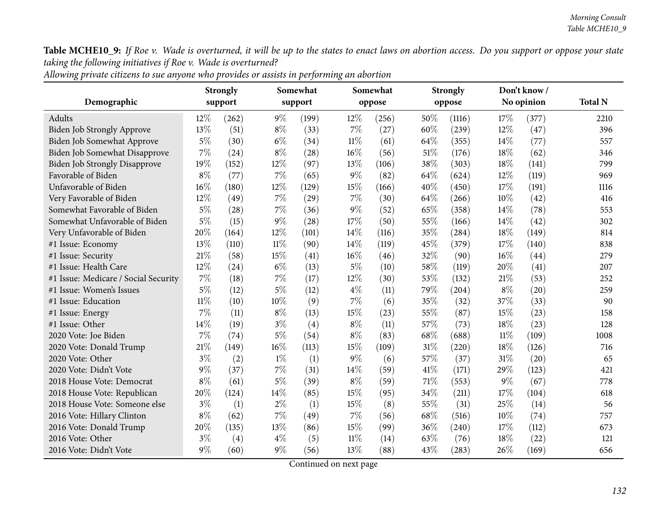396

Table MCHE10\_9: If Roe v. Wade is overturned, it will be up to the states to enact laws on abortion access. Do you support or oppose your state *taking the following initiatives if Roe v. Wade is overturned?*

| Demographic                          |        | <b>Strongly</b><br>support |        | Somewhat<br>support |        | Somewhat<br>oppose |        | <b>Strongly</b><br>oppose |        | Don't know/<br>No opinion | <b>Total N</b> |
|--------------------------------------|--------|----------------------------|--------|---------------------|--------|--------------------|--------|---------------------------|--------|---------------------------|----------------|
| Adults                               | $12\%$ | (262)                      | $9\%$  | (199)               | $12\%$ | (256)              | 50%    | (1116)                    | 17%    | (377)                     | 2210           |
| <b>Biden Job Strongly Approve</b>    | 13%    | (51)                       | $8\%$  | (33)                | 7%     | (27)               | 60%    | (239)                     | $12\%$ | (47)                      | 396            |
| Biden Job Somewhat Approve           | $5\%$  | (30)                       | $6\%$  | (34)                | 11%    | (61)               | 64\%   | (355)                     | $14\%$ | (77)                      | 557            |
| Biden Job Somewhat Disapprove        | $7\%$  | (24)                       | $8\%$  | (28)                | 16%    | (56)               | 51%    | (176)                     | 18%    | (62)                      | 346            |
| <b>Biden Job Strongly Disapprove</b> | 19%    | (152)                      | 12%    | (97)                | 13%    | (106)              | 38%    | (303)                     | 18%    | (141)                     | 799            |
| Favorable of Biden                   | $8\%$  | (77)                       | 7%     | (65)                | $9\%$  | (82)               | 64\%   | (624)                     | 12%    | (119)                     | 969            |
| Unfavorable of Biden                 | 16%    | (180)                      | 12%    | (129)               | 15%    | (166)              | 40%    | (450)                     | 17%    | (191)                     | 1116           |
| Very Favorable of Biden              | 12%    | (49)                       | 7%     | (29)                | 7%     | (30)               | 64\%   | (266)                     | 10%    | (42)                      | 416            |
| Somewhat Favorable of Biden          | $5\%$  | (28)                       | 7%     | (36)                | $9\%$  | (52)               | 65%    | (358)                     | 14%    | (78)                      | 553            |
| Somewhat Unfavorable of Biden        | $5\%$  | (15)                       | $9\%$  | (28)                | 17%    | (50)               | 55%    | (166)                     | 14\%   | (42)                      | 302            |
| Very Unfavorable of Biden            | 20%    | (164)                      | 12%    | (101)               | 14\%   | (116)              | 35\%   | (284)                     | 18%    | (149)                     | 814            |
| #1 Issue: Economy                    | 13%    | (110)                      | $11\%$ | (90)                | 14\%   | (119)              | 45%    | (379)                     | 17%    | (140)                     | 838            |
| #1 Issue: Security                   | 21\%   | (58)                       | 15%    | (41)                | 16%    | (46)               | 32%    | (90)                      | 16%    | (44)                      | 279            |
| #1 Issue: Health Care                | 12%    | (24)                       | $6\%$  | (13)                | $5\%$  | (10)               | 58\%   | (119)                     | 20%    | (41)                      | 207            |
| #1 Issue: Medicare / Social Security | 7%     | (18)                       | 7%     | (17)                | 12%    | (30)               | 53%    | (132)                     | 21\%   | (53)                      | 252            |
| #1 Issue: Women's Issues             | $5\%$  | (12)                       | $5\%$  | (12)                | $4\%$  | (11)               | 79%    | (204)                     | $8\%$  | (20)                      | 259            |
| #1 Issue: Education                  | $11\%$ | (10)                       | 10%    | (9)                 | 7%     | (6)                | 35%    | (32)                      | 37\%   | (33)                      | 90             |
| #1 Issue: Energy                     | $7\%$  | (11)                       | $8\%$  | (13)                | 15%    | (23)               | 55%    | (87)                      | 15%    | (23)                      | 158            |
| #1 Issue: Other                      | 14\%   | (19)                       | $3\%$  | (4)                 | $8\%$  | (11)               | 57%    | (73)                      | 18%    | (23)                      | 128            |
| 2020 Vote: Joe Biden                 | 7%     | (74)                       | $5\%$  | (54)                | $8\%$  | (83)               | 68%    | (688)                     | 11%    | (109)                     | 1008           |
| 2020 Vote: Donald Trump              | $21\%$ | (149)                      | 16%    | (113)               | 15%    | (109)              | $31\%$ | (220)                     | 18%    | (126)                     | 716            |
| 2020 Vote: Other                     | $3\%$  | (2)                        | $1\%$  | (1)                 | $9\%$  | (6)                | 57%    | (37)                      | $31\%$ | (20)                      | 65             |
| 2020 Vote: Didn't Vote               | $9\%$  | (37)                       | 7%     | (31)                | 14\%   | (59)               | 41\%   | (171)                     | 29%    | (123)                     | 421            |
| 2018 House Vote: Democrat            | $8\%$  | (61)                       | $5\%$  | (39)                | $8\%$  | (59)               | 71\%   | (553)                     | $9\%$  | (67)                      | 778            |
| 2018 House Vote: Republican          | 20%    | (124)                      | 14%    | (85)                | 15%    | (95)               | 34\%   | (211)                     | 17%    | (104)                     | 618            |
| 2018 House Vote: Someone else        | $3\%$  | (1)                        | $2\%$  | (1)                 | 15%    | (8)                | $55\%$ | (31)                      | 25%    | (14)                      | 56             |
| 2016 Vote: Hillary Clinton           | $8\%$  | (62)                       | 7%     | (49)                | 7%     | (56)               | 68%    | (516)                     | 10%    | (74)                      | 757            |
| 2016 Vote: Donald Trump              | 20%    | (135)                      | 13%    | (86)                | 15%    | (99)               | 36%    | (240)                     | 17%    | (112)                     | 673            |
| 2016 Vote: Other                     | $3\%$  | (4)                        | $4\%$  | (5)                 | $11\%$ | (14)               | 63%    | (76)                      | 18%    | (22)                      | 121            |
|                                      |        |                            |        |                     |        |                    |        |                           |        |                           |                |

Allowing private citizens to sue anyone who provides or assists in performing an abortion

Continued on next page

<sup>2016</sup> Vote: Didn't Vote <sup>9</sup>% (60) <sup>9</sup>% (56) <sup>13</sup>% (88) <sup>43</sup>% (283) <sup>26</sup>% (169) <sup>656</sup>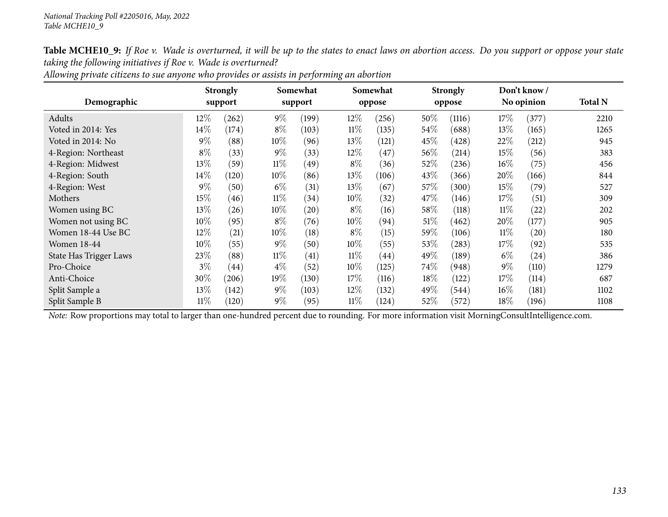|                               |        | <b>Strongly</b>    |        | Somewhat           |        | Somewhat           |         | <b>Strongly</b> |        | Don't know /       |                |
|-------------------------------|--------|--------------------|--------|--------------------|--------|--------------------|---------|-----------------|--------|--------------------|----------------|
| Demographic                   |        | support            |        | support            |        | oppose             |         | oppose          |        | No opinion         | <b>Total N</b> |
| Adults                        | $12\%$ | (262)              | $9\%$  | (199)              | $12\%$ | (256)              | $50\%$  | (1116)          | 17\%   | 377                | 2210           |
| Voted in 2014: Yes            | 14%    | (174)              | $8\%$  | (103)              | $11\%$ | (135)              | $54\%$  | (688)           | 13\%   | (165)              | 1265           |
| Voted in 2014: No             | $9\%$  | (88)               | 10%    | (96)               | 13%    | (121)              | $45\%$  | (428)           | 22\%   | (212)              | 945            |
| 4-Region: Northeast           | $8\%$  | (33)               | $9\%$  | (33)               | $12\%$ | (47)               | $56\%$  | (214)           | 15%    | (56)               | 383            |
| 4-Region: Midwest             | 13\%   | (59)               | $11\%$ | (49)               | $8\%$  | (36)               | 52%     | (236)           | $16\%$ | (75)               | 456            |
| 4-Region: South               | $14\%$ | (120)              | $10\%$ | (86)               | $13\%$ | (106)              | 43\%    | (366)           | $20\%$ | (166)              | 844            |
| 4-Region: West                | $9\%$  | (50)               | $6\%$  | (31)               | 13%    | (67)               | 57\%    | (300)           | 15\%   | (79)               | 527            |
| Mothers                       | $15\%$ | (46)               | $11\%$ | (34)               | 10%    | (32)               | 47\%    | (146)           | 17\%   | (51)               | 309            |
| Women using BC                | 13\%   | (26)               | 10%    | $\left( 20\right)$ | $8\%$  | (16)               | 58%     | (118)           | $11\%$ | (22)               | 202            |
| Women not using BC            | 10%    | (95)               | $8\%$  | (76)               | 10%    | (94)               | $51\%$  | (462)           | 20%    | (177)              | 905            |
| Women 18-44 Use BC            | $12\%$ | (21)               | 10%    | (18)               | $8\%$  | (15)               | $59\%$  | (106)           | $11\%$ | $\left( 20\right)$ | 180            |
| <b>Women 18-44</b>            | 10%    | (55)               | $9\%$  | (50)               | 10%    | (55)               | 53%     | (283)           | $17\%$ | (92)               | 535            |
| <b>State Has Trigger Laws</b> | 23\%   | (88)               | $11\%$ | (41)               | $11\%$ | $\left( 44\right)$ | 49 $\%$ | (189)           | $6\%$  | (24)               | 386            |
| Pro-Choice                    | $3\%$  | $\left( 44\right)$ | $4\%$  | (52)               | $10\%$ | (125)              | 74\%    | (948)           | $9\%$  | (110)              | 1279           |
| Anti-Choice                   | 30%    | (206)              | 19%    | (130)              | 17\%   | (116)              | 18%     | (122)           | 17%    | (114)              | 687            |
| Split Sample a                | 13\%   | (142)              | $9\%$  | (103)              | $12\%$ | (132)              | 49%     | (544)           | $16\%$ | (181)              | 1102           |
| Split Sample B                | $11\%$ | (120)              | $9\%$  | (95)               | $11\%$ | (124)              | 52%     | (572)           | $18\%$ | (196)              | 1108           |

Allowing private citizens to sue anyone who provides or assists in performing an abortion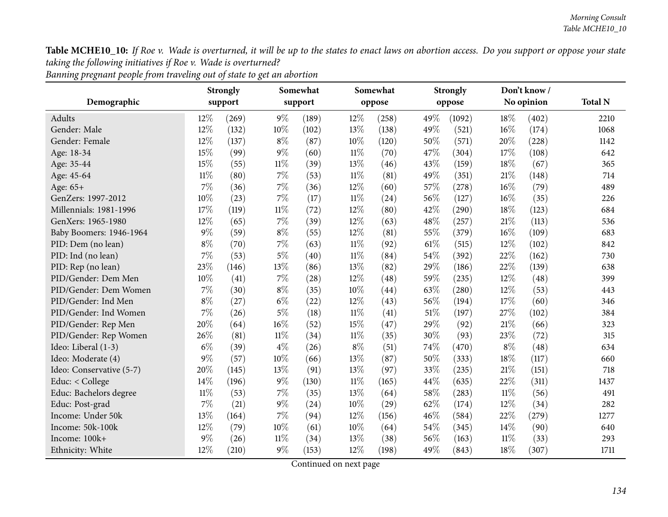| Banning pregnant people from traveling out of state to get an abortion |
|------------------------------------------------------------------------|
|------------------------------------------------------------------------|

|                          |        | <b>Strongly</b> |        | Somewhat |        | Somewhat |      | <b>Strongly</b> |        | Don't know/ |                |
|--------------------------|--------|-----------------|--------|----------|--------|----------|------|-----------------|--------|-------------|----------------|
| Demographic              |        | support         |        | support  |        | oppose   |      | oppose          |        | No opinion  | <b>Total N</b> |
| Adults                   | 12%    | (269)           | $9\%$  | (189)    | 12%    | (258)    | 49%  | (1092)          | 18%    | (402)       | 2210           |
| Gender: Male             | 12%    | (132)           | 10%    | (102)    | 13%    | (138)    | 49%  | (521)           | 16%    | (174)       | 1068           |
| Gender: Female           | 12%    | (137)           | $8\%$  | (87)     | $10\%$ | (120)    | 50%  | (571)           | 20%    | (228)       | 1142           |
| Age: 18-34               | 15%    | (99)            | $9\%$  | (60)     | $11\%$ | (70)     | 47%  | (304)           | 17%    | (108)       | 642            |
| Age: 35-44               | 15%    | (55)            | $11\%$ | (39)     | 13%    | (46)     | 43%  | (159)           | 18%    | (67)        | 365            |
| Age: 45-64               | $11\%$ | (80)            | $7\%$  | (53)     | $11\%$ | (81)     | 49%  | (351)           | 21%    | (148)       | 714            |
| Age: 65+                 | 7%     | (36)            | 7%     | (36)     | 12%    | (60)     | 57%  | (278)           | 16%    | (79)        | 489            |
| GenZers: 1997-2012       | 10%    | (23)            | $7\%$  | (17)     | $11\%$ | (24)     | 56%  | (127)           | 16%    | (35)        | 226            |
| Millennials: 1981-1996   | 17%    | (119)           | $11\%$ | (72)     | 12%    | (80)     | 42%  | (290)           | 18%    | (123)       | 684            |
| GenXers: 1965-1980       | 12%    | (65)            | $7\%$  | (39)     | 12%    | (63)     | 48%  | (257)           | 21%    | (113)       | 536            |
| Baby Boomers: 1946-1964  | $9\%$  | (59)            | $8\%$  | (55)     | 12%    | (81)     | 55%  | (379)           | 16%    | (109)       | 683            |
| PID: Dem (no lean)       | $8\%$  | (70)            | 7%     | (63)     | $11\%$ | (92)     | 61\% | (515)           | 12%    | (102)       | 842            |
| PID: Ind (no lean)       | 7%     | (53)            | $5\%$  | (40)     | $11\%$ | (84)     | 54%  | (392)           | 22%    | (162)       | 730            |
| PID: Rep (no lean)       | 23%    | (146)           | 13%    | (86)     | 13%    | (82)     | 29%  | (186)           | 22%    | (139)       | 638            |
| PID/Gender: Dem Men      | 10%    | (41)            | $7\%$  | (28)     | 12%    | (48)     | 59%  | (235)           | 12%    | (48)        | 399            |
| PID/Gender: Dem Women    | 7%     | (30)            | $8\%$  | (35)     | 10%    | (44)     | 63%  | (280)           | 12%    | (53)        | 443            |
| PID/Gender: Ind Men      | $8\%$  | (27)            | $6\%$  | (22)     | 12%    | (43)     | 56%  | (194)           | 17%    | (60)        | 346            |
| PID/Gender: Ind Women    | 7%     | (26)            | $5\%$  | (18)     | $11\%$ | (41)     | 51%  | (197)           | 27%    | (102)       | 384            |
| PID/Gender: Rep Men      | 20%    | (64)            | 16%    | (52)     | 15%    | (47)     | 29%  | (92)            | 21%    | (66)        | 323            |
| PID/Gender: Rep Women    | 26%    | (81)            | $11\%$ | (34)     | $11\%$ | (35)     | 30%  | (93)            | 23%    | (72)        | 315            |
| Ideo: Liberal (1-3)      | $6\%$  | (39)            | $4\%$  | (26)     | $8\%$  | (51)     | 74%  | (470)           | $8\%$  | (48)        | 634            |
| Ideo: Moderate (4)       | $9\%$  | (57)            | 10%    | (66)     | 13%    | (87)     | 50%  | (333)           | 18%    | (117)       | 660            |
| Ideo: Conservative (5-7) | 20%    | (145)           | 13%    | (91)     | 13%    | (97)     | 33%  | (235)           | 21%    | (151)       | 718            |
| Educ: $<$ College        | 14%    | (196)           | $9\%$  | (130)    | $11\%$ | (165)    | 44%  | (635)           | 22%    | (311)       | 1437           |
| Educ: Bachelors degree   | $11\%$ | (53)            | 7%     | (35)     | 13%    | (64)     | 58%  | (283)           | $11\%$ | (56)        | 491            |
| Educ: Post-grad          | 7%     | (21)            | $9\%$  | (24)     | 10%    | (29)     | 62%  | (174)           | 12%    | (34)        | 282            |
| Income: Under 50k        | 13%    | (164)           | 7%     | (94)     | 12%    | (156)    | 46%  | (584)           | 22%    | (279)       | 1277           |
| Income: 50k-100k         | 12%    | (79)            | 10%    | (61)     | 10%    | (64)     | 54%  | (345)           | 14\%   | (90)        | 640            |
| Income: 100k+            | $9\%$  | (26)            | $11\%$ | (34)     | 13%    | (38)     | 56%  | (163)           | $11\%$ | (33)        | 293            |
| Ethnicity: White         | 12%    | (210)           | $9\%$  | (153)    | 12%    | (198)    | 49%  | (843)           | 18%    | (307)       | 1711           |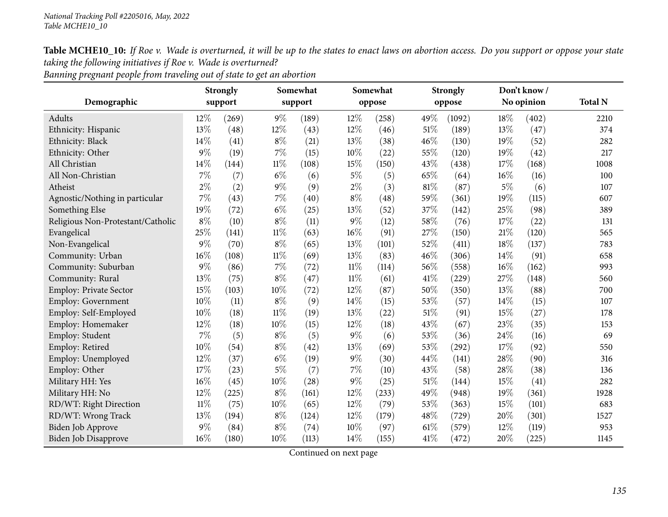Banning pregnant people from traveling out of state to get an abortion

| Demographic                       |        | <b>Strongly</b><br>support |        | Somewhat<br>support |        | Somewhat<br>oppose |      | <b>Strongly</b><br>oppose |       | Don't know/<br>No opinion | <b>Total N</b> |
|-----------------------------------|--------|----------------------------|--------|---------------------|--------|--------------------|------|---------------------------|-------|---------------------------|----------------|
|                                   |        |                            |        |                     |        |                    |      |                           |       |                           |                |
| Adults                            | 12\%   | (269)                      | $9\%$  | (189)               | 12%    | (258)              | 49%  | (1092)                    | 18%   | (402)                     | 2210           |
| Ethnicity: Hispanic               | 13%    | (48)                       | 12%    | (43)                | 12%    | (46)               | 51\% | (189)                     | 13%   | (47)                      | 374            |
| Ethnicity: Black                  | 14%    | (41)                       | $8\%$  | (21)                | 13%    | (38)               | 46%  | (130)                     | 19%   | (52)                      | 282            |
| Ethnicity: Other                  | $9\%$  | (19)                       | $7\%$  | (15)                | 10%    | (22)               | 55%  | (120)                     | 19%   | (42)                      | 217            |
| All Christian                     | 14%    | (144)                      | $11\%$ | (108)               | 15%    | (150)              | 43%  | (438)                     | 17%   | (168)                     | 1008           |
| All Non-Christian                 | 7%     | (7)                        | $6\%$  | (6)                 | $5\%$  | (5)                | 65%  | (64)                      | 16%   | (16)                      | 100            |
| Atheist                           | $2\%$  | (2)                        | $9\%$  | (9)                 | $2\%$  | (3)                | 81%  | (87)                      | $5\%$ | (6)                       | 107            |
| Agnostic/Nothing in particular    | 7%     | (43)                       | 7%     | (40)                | $8\%$  | (48)               | 59%  | (361)                     | 19%   | (115)                     | 607            |
| Something Else                    | 19%    | (72)                       | $6\%$  | (25)                | 13%    | (52)               | 37%  | (142)                     | 25%   | (98)                      | 389            |
| Religious Non-Protestant/Catholic | $8\%$  | (10)                       | $8\%$  | (11)                | $9\%$  | (12)               | 58%  | (76)                      | 17%   | (22)                      | 131            |
| Evangelical                       | 25%    | (141)                      | $11\%$ | (63)                | $16\%$ | (91)               | 27%  | (150)                     | 21%   | (120)                     | 565            |
| Non-Evangelical                   | $9\%$  | (70)                       | $8\%$  | (65)                | 13%    | (101)              | 52%  | (411)                     | 18%   | (137)                     | 783            |
| Community: Urban                  | 16%    | (108)                      | $11\%$ | (69)                | 13%    | (83)               | 46%  | (306)                     | 14\%  | (91)                      | 658            |
| Community: Suburban               | 9%     | (86)                       | $7\%$  | (72)                | $11\%$ | (114)              | 56%  | (558)                     | 16%   | (162)                     | 993            |
| Community: Rural                  | 13%    | (75)                       | $8\%$  | (47)                | $11\%$ | (61)               | 41\% | (229)                     | 27%   | (148)                     | 560            |
| Employ: Private Sector            | 15%    | (103)                      | $10\%$ | (72)                | 12%    | (87)               | 50%  | (350)                     | 13%   | (88)                      | 700            |
| Employ: Government                | $10\%$ | (11)                       | $8\%$  | (9)                 | 14%    | (15)               | 53%  | (57)                      | 14\%  | (15)                      | 107            |
| Employ: Self-Employed             | 10%    | (18)                       | $11\%$ | (19)                | 13%    | (22)               | 51%  | (91)                      | 15%   | (27)                      | 178            |
| Employ: Homemaker                 | 12%    | (18)                       | 10%    | (15)                | 12%    | (18)               | 43%  | (67)                      | 23%   | (35)                      | 153            |
| Employ: Student                   | 7%     | (5)                        | $8\%$  | (5)                 | $9\%$  | (6)                | 53%  | (36)                      | 24%   | (16)                      | 69             |
| Employ: Retired                   | 10%    | (54)                       | $8\%$  | (42)                | 13%    | (69)               | 53%  | (292)                     | 17%   | (92)                      | 550            |
| Employ: Unemployed                | 12%    | (37)                       | $6\%$  | (19)                | $9\%$  | (30)               | 44%  | (141)                     | 28%   | (90)                      | 316            |
| Employ: Other                     | 17%    | (23)                       | $5\%$  | (7)                 | 7%     | (10)               | 43%  | (58)                      | 28%   | (38)                      | 136            |
| Military HH: Yes                  | 16%    | (45)                       | 10%    | (28)                | $9\%$  | (25)               | 51%  | (144)                     | 15%   | (41)                      | 282            |
| Military HH: No                   | 12%    | (225)                      | $8\%$  | (161)               | 12%    | (233)              | 49%  | (948)                     | 19%   | (361)                     | 1928           |
| RD/WT: Right Direction            | 11%    | (75)                       | 10%    | (65)                | 12%    | (79)               | 53%  | (363)                     | 15%   | (101)                     | 683            |
| RD/WT: Wrong Track                | 13%    | (194)                      | $8\%$  | (124)               | 12%    | (179)              | 48%  | (729)                     | 20%   | (301)                     | 1527           |
| Biden Job Approve                 | $9\%$  | (84)                       | $8\%$  | (74)                | 10%    | (97)               | 61\% | (579)                     | 12%   | (119)                     | 953            |
| <b>Biden Job Disapprove</b>       | 16%    | (180)                      | 10%    | (113)               | 14%    | (155)              | 41\% | (472)                     | 20%   | (225)                     | 1145           |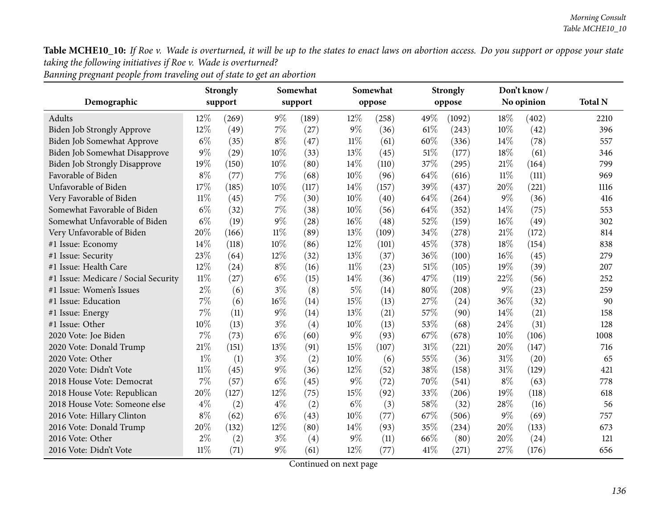|  | Banning pregnant people from traveling out of state to get an abortion |  |  |  |
|--|------------------------------------------------------------------------|--|--|--|
|--|------------------------------------------------------------------------|--|--|--|

|                                      | <b>Strongly</b> |         |        | Somewhat |        | Somewhat |      | <b>Strongly</b> |        | Don't know/ |                |
|--------------------------------------|-----------------|---------|--------|----------|--------|----------|------|-----------------|--------|-------------|----------------|
| Demographic                          |                 | support |        | support  |        | oppose   |      | oppose          |        | No opinion  | <b>Total N</b> |
| Adults                               | 12%             | (269)   | $9\%$  | (189)    | 12%    | (258)    | 49%  | (1092)          | 18%    | (402)       | 2210           |
| Biden Job Strongly Approve           | $12\%$          | (49)    | 7%     | (27)     | $9\%$  | (36)     | 61%  | (243)           | 10%    | (42)        | 396            |
| Biden Job Somewhat Approve           | $6\%$           | (35)    | $8\%$  | (47)     | $11\%$ | (61)     | 60%  | (336)           | 14%    | (78)        | 557            |
| Biden Job Somewhat Disapprove        | $9\%$           | (29)    | 10%    | (33)     | 13%    | (45)     | 51%  | (177)           | 18%    | (61)        | 346            |
| <b>Biden Job Strongly Disapprove</b> | 19%             | (150)   | 10%    | (80)     | 14%    | (110)    | 37%  | (295)           | 21%    | (164)       | 799            |
| Favorable of Biden                   | $8\%$           | (77)    | 7%     | (68)     | 10%    | (96)     | 64%  | (616)           | $11\%$ | (111)       | 969            |
| Unfavorable of Biden                 | 17%             | (185)   | 10%    | (117)    | 14%    | (157)    | 39%  | (437)           | 20%    | (221)       | 1116           |
| Very Favorable of Biden              | $11\%$          | (45)    | 7%     | (30)     | 10%    | (40)     | 64%  | (264)           | $9\%$  | (36)        | 416            |
| Somewhat Favorable of Biden          | $6\%$           | (32)    | 7%     | (38)     | 10%    | (56)     | 64%  | (352)           | 14\%   | (75)        | 553            |
| Somewhat Unfavorable of Biden        | $6\%$           | (19)    | $9\%$  | (28)     | 16%    | (48)     | 52%  | (159)           | 16%    | (49)        | 302            |
| Very Unfavorable of Biden            | 20%             | (166)   | $11\%$ | (89)     | 13%    | (109)    | 34%  | (278)           | 21%    | (172)       | 814            |
| #1 Issue: Economy                    | 14\%            | (118)   | 10%    | (86)     | 12%    | (101)    | 45%  | (378)           | 18%    | (154)       | 838            |
| #1 Issue: Security                   | 23%             | (64)    | 12%    | (32)     | 13%    | (37)     | 36%  | (100)           | 16%    | (45)        | 279            |
| #1 Issue: Health Care                | 12%             | (24)    | $8\%$  | (16)     | $11\%$ | (23)     | 51%  | (105)           | 19%    | (39)        | 207            |
| #1 Issue: Medicare / Social Security | $11\%$          | (27)    | $6\%$  | (15)     | 14%    | (36)     | 47%  | (119)           | 22%    | (56)        | 252            |
| #1 Issue: Women's Issues             | $2\%$           | (6)     | $3\%$  | (8)      | $5\%$  | (14)     | 80%  | (208)           | $9\%$  | (23)        | 259            |
| #1 Issue: Education                  | 7%              | (6)     | 16%    | (14)     | 15%    | (13)     | 27%  | (24)            | 36%    | (32)        | 90             |
| #1 Issue: Energy                     | 7%              | (11)    | $9\%$  | (14)     | 13%    | (21)     | 57%  | (90)            | 14%    | (21)        | 158            |
| #1 Issue: Other                      | 10%             | (13)    | $3\%$  | (4)      | 10%    | (13)     | 53%  | (68)            | 24%    | (31)        | 128            |
| 2020 Vote: Joe Biden                 | 7%              | (73)    | $6\%$  | (60)     | $9\%$  | (93)     | 67%  | (678)           | 10%    | (106)       | 1008           |
| 2020 Vote: Donald Trump              | 21%             | (151)   | 13%    | (91)     | 15%    | (107)    | 31%  | (221)           | 20%    | (147)       | 716            |
| 2020 Vote: Other                     | $1\%$           | (1)     | $3\%$  | (2)      | 10%    | (6)      | 55%  | (36)            | 31%    | (20)        | 65             |
| 2020 Vote: Didn't Vote               | $11\%$          | (45)    | $9\%$  | (36)     | 12%    | (52)     | 38%  | (158)           | 31%    | (129)       | 421            |
| 2018 House Vote: Democrat            | 7%              | (57)    | $6\%$  | (45)     | $9\%$  | (72)     | 70%  | (541)           | $8\%$  | (63)        | 778            |
| 2018 House Vote: Republican          | 20%             | (127)   | 12%    | (75)     | 15%    | (92)     | 33%  | (206)           | 19%    | (118)       | 618            |
| 2018 House Vote: Someone else        | $4\%$           | (2)     | $4\%$  | (2)      | $6\%$  | (3)      | 58%  | (32)            | 28%    | (16)        | 56             |
| 2016 Vote: Hillary Clinton           | $8\%$           | (62)    | $6\%$  | (43)     | 10%    | (77)     | 67%  | (506)           | $9\%$  | (69)        | 757            |
| 2016 Vote: Donald Trump              | 20%             | (132)   | 12%    | (80)     | 14%    | (93)     | 35%  | (234)           | 20%    | (133)       | 673            |
| 2016 Vote: Other                     | $2\%$           | (2)     | $3\%$  | (4)      | $9\%$  | (11)     | 66\% | (80)            | 20%    | (24)        | 121            |
| 2016 Vote: Didn't Vote               | $11\%$          | (71)    | $9\%$  | (61)     | 12%    | (77)     | 41%  | (271)           | 27%    | (176)       | 656            |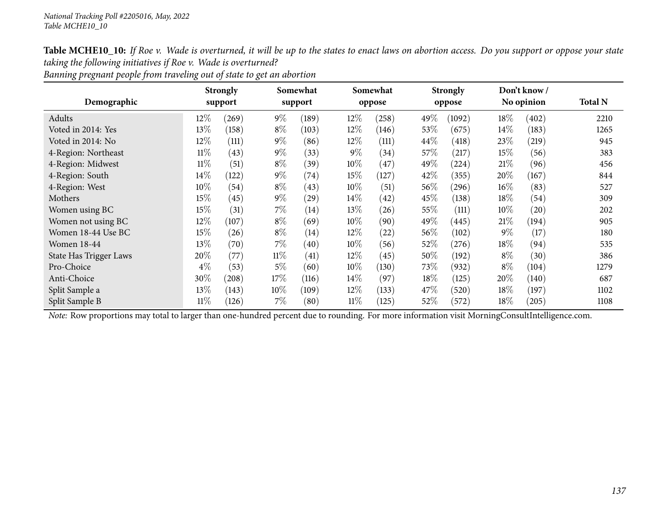|  | Banning pregnant people from traveling out of state to get an abortion |
|--|------------------------------------------------------------------------|
|  |                                                                        |

|                        |        | <b>Strongly</b> |        | Somewhat |        | Somewhat |        | <b>Strongly</b> |            | Don't know/ |                |  |
|------------------------|--------|-----------------|--------|----------|--------|----------|--------|-----------------|------------|-------------|----------------|--|
| Demographic            |        | support         |        | support  |        | oppose   |        | oppose          | No opinion |             | <b>Total N</b> |  |
| Adults                 | $12\%$ | (269)           | $9\%$  | (189)    | 12\%   | (258)    | 49%    | (1092)          | 18%        | (402)       | 2210           |  |
| Voted in 2014: Yes     | 13\%   | (158)           | $8\%$  | (103)    | $12\%$ | (146)    | 53\%   | (675)           | $14\%$     | (183)       | 1265           |  |
| Voted in 2014: No      | $12\%$ | (111)           | $9\%$  | (86)     | $12\%$ | (111)    | 44\%   | (418)           | 23\%       | (219)       | 945            |  |
| 4-Region: Northeast    | $11\%$ | (43)            | $9\%$  | (33)     | $9\%$  | (34)     | $57\%$ | (217)           | 15\%       | (56)        | 383            |  |
| 4-Region: Midwest      | $11\%$ | (51)            | $8\%$  | (39)     | 10%    | 47       | 49%    | $^{'}224)$      | 21%        | (96)        | 456            |  |
| 4-Region: South        | $14\%$ | (122)           | $9\%$  | (74)     | 15\%   | (127)    | 42\%   | (355)           | $20\%$     | (167)       | 844            |  |
| 4-Region: West         | 10\%   | (54)            | $8\%$  | (43)     | $10\%$ | (51)     | 56%    | (296)           | $16\%$     | (83)        | 527            |  |
| Mothers                | $15\%$ | (45)            | $9\%$  | (29)     | $14\%$ | (42)     | 45%    | (138)           | 18%        | (54)        | 309            |  |
| Women using BC         | $15\%$ | (31)            | $7\%$  | (14)     | 13\%   | (26)     | $55\%$ | (111)           | $10\%$     | (20)        | 202            |  |
| Women not using BC     | $12\%$ | (107)           | $8\%$  | (69)     | $10\%$ | (90)     | 49%    | (445)           | 21%        | (194)       | 905            |  |
| Women 18-44 Use BC     | $15\%$ | (26)            | $8\%$  | (14)     | $12\%$ | (22)     | 56%    | (102)           | $9\%$      | (17)        | 180            |  |
| <b>Women 18-44</b>     | $13\%$ | (70)            | $7\%$  | (40)     | $10\%$ | (56)     | $52\%$ | (276)           | 18%        | (94)        | 535            |  |
| State Has Trigger Laws | 20%    | (77             | $11\%$ | (41)     | $12\%$ | (45)     | $50\%$ | (192)           | $8\%$      | (30)        | 386            |  |
| Pro-Choice             | $4\%$  | (53)            | $5\%$  | (60)     | $10\%$ | (130)    | 73%    | (932)           | $8\%$      | (104)       | 1279           |  |
| Anti-Choice            | 30%    | (208)           | 17%    | (116)    | $14\%$ | (97)     | 18%    | (125)           | $20\%$     | (140)       | 687            |  |
| Split Sample a         | 13\%   | (143)           | $10\%$ | (109)    | $12\%$ | (133)    | 47\%   | (520)           | 18%        | (197)       | 1102           |  |
| Split Sample B         | $11\%$ | (126)           | 7%     | (80)     | $11\%$ | (125)    | $52\%$ | (572)           | 18%        | (205)       | 1108           |  |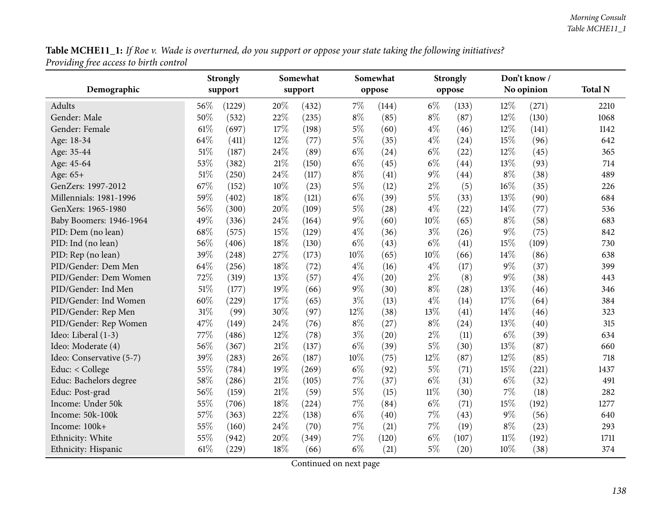${\bf Table~MCHE11\_1:}$  If Roe v. Wade is overturned, do you support or oppose your state taking the following initiatives? *Providing free access to birth control*

|                          | Somewhat<br><b>Strongly</b> |         |        |         | Somewhat |        | <b>Strongly</b> |        | Don't know/ |            |                |
|--------------------------|-----------------------------|---------|--------|---------|----------|--------|-----------------|--------|-------------|------------|----------------|
| Demographic              |                             | support |        | support |          | oppose |                 | oppose |             | No opinion | <b>Total N</b> |
| Adults                   | 56\%                        | (1229)  | 20%    | (432)   | 7%       | (144)  | $6\%$           | (133)  | 12%         | (271)      | 2210           |
| Gender: Male             | 50%                         | (532)   | 22%    | (235)   | $8\%$    | (85)   | $8\%$           | (87)   | 12%         | (130)      | 1068           |
| Gender: Female           | 61%                         | (697)   | $17\%$ | (198)   | $5\%$    | (60)   | $4\%$           | (46)   | 12%         | (141)      | 1142           |
| Age: 18-34               | 64%                         | (411)   | 12%    | (77)    | $5\%$    | (35)   | $4\%$           | (24)   | 15%         | (96)       | 642            |
| Age: 35-44               | 51%                         | (187)   | 24%    | (89)    | $6\%$    | (24)   | $6\%$           | (22)   | 12%         | (45)       | 365            |
| Age: 45-64               | 53%                         | (382)   | $21\%$ | (150)   | $6\%$    | (45)   | $6\%$           | (44)   | 13%         | (93)       | 714            |
| Age: $65+$               | $51\%$                      | (250)   | 24\%   | (117)   | $8\%$    | (41)   | $9\%$           | (44)   | $8\%$       | (38)       | 489            |
| GenZers: 1997-2012       | 67%                         | (152)   | $10\%$ | (23)    | $5\%$    | (12)   | $2\%$           | (5)    | 16%         | (35)       | 226            |
| Millennials: 1981-1996   | 59%                         | (402)   | $18\%$ | (121)   | $6\%$    | (39)   | $5\%$           | (33)   | 13%         | (90)       | 684            |
| GenXers: 1965-1980       | 56%                         | (300)   | 20%    | (109)   | $5\%$    | (28)   | $4\%$           | (22)   | 14%         | (77)       | 536            |
| Baby Boomers: 1946-1964  | 49%                         | (336)   | 24%    | (164)   | $9\%$    | (60)   | 10%             | (65)   | $8\%$       | (58)       | 683            |
| PID: Dem (no lean)       | 68%                         | (575)   | 15%    | (129)   | $4\%$    | (36)   | $3\%$           | (26)   | $9\%$       | (75)       | 842            |
| PID: Ind (no lean)       | 56%                         | (406)   | $18\%$ | (130)   | $6\%$    | (43)   | $6\%$           | (41)   | 15%         | (109)      | 730            |
| PID: Rep (no lean)       | 39%                         | (248)   | 27%    | (173)   | 10%      | (65)   | 10%             | (66)   | 14%         | (86)       | 638            |
| PID/Gender: Dem Men      | 64%                         | (256)   | 18%    | (72)    | $4\%$    | (16)   | $4\%$           | (17)   | $9\%$       | (37)       | 399            |
| PID/Gender: Dem Women    | 72%                         | (319)   | 13%    | (57)    | $4\%$    | (20)   | $2\%$           | (8)    | $9\%$       | (38)       | 443            |
| PID/Gender: Ind Men      | 51%                         | (177)   | 19%    | (66)    | $9\%$    | (30)   | $8\%$           | (28)   | 13%         | (46)       | 346            |
| PID/Gender: Ind Women    | 60%                         | (229)   | $17\%$ | (65)    | $3\%$    | (13)   | $4\%$           | (14)   | 17%         | (64)       | 384            |
| PID/Gender: Rep Men      | $31\%$                      | (99)    | 30%    | (97)    | 12%      | (38)   | 13%             | (41)   | 14%         | (46)       | 323            |
| PID/Gender: Rep Women    | 47%                         | (149)   | 24%    | (76)    | $8\%$    | (27)   | $8\%$           | (24)   | 13%         | (40)       | 315            |
| Ideo: Liberal (1-3)      | 77%                         | (486)   | 12%    | (78)    | $3\%$    | (20)   | $2\%$           | (11)   | $6\%$       | (39)       | 634            |
| Ideo: Moderate (4)       | 56%                         | (367)   | $21\%$ | (137)   | $6\%$    | (39)   | $5\%$           | (30)   | 13%         | (87)       | 660            |
| Ideo: Conservative (5-7) | 39%                         | (283)   | 26%    | (187)   | $10\%$   | (75)   | 12%             | (87)   | 12%         | (85)       | 718            |
| Educ: < College          | 55%                         | (784)   | 19%    | (269)   | $6\%$    | (92)   | $5\%$           | (71)   | 15%         | (221)      | 1437           |
| Educ: Bachelors degree   | 58%                         | (286)   | $21\%$ | (105)   | $7\%$    | (37)   | $6\%$           | (31)   | $6\%$       | (32)       | 491            |
| Educ: Post-grad          | 56%                         | (159)   | $21\%$ | (59)    | $5\%$    | (15)   | $11\%$          | (30)   | 7%          | (18)       | 282            |
| Income: Under 50k        | 55%                         | (706)   | $18\%$ | (224)   | $7\%$    | (84)   | $6\%$           | (71)   | 15%         | (192)      | 1277           |
| Income: 50k-100k         | 57%                         | (363)   | 22%    | (138)   | $6\%$    | (40)   | 7%              | (43)   | $9\%$       | (56)       | 640            |
| Income: 100k+            | 55%                         | (160)   | 24\%   | (70)    | $7\%$    | (21)   | $7\%$           | (19)   | $8\%$       | (23)       | 293            |
| Ethnicity: White         | 55%                         | (942)   | 20%    | (349)   | 7%       | (120)  | $6\%$           | (107)  | 11%         | (192)      | 1711           |
| Ethnicity: Hispanic      | 61\%                        | (229)   | 18%    | (66)    | $6\%$    | (21)   | $5\%$           | (20)   | 10%         | (38)       | 374            |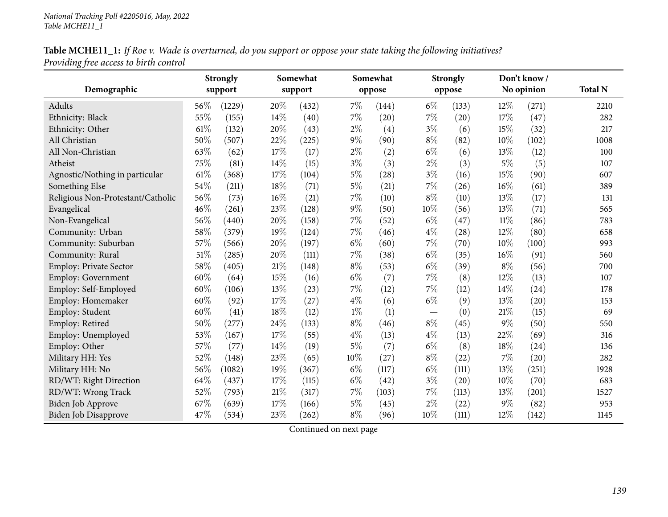## Table MCHE11\_1: If Roe v. Wade is overturned, do you support or oppose your state taking the following initiatives? *Providing free access to birth control*

|                                   | <b>Strongly</b><br>Somewhat |         |        | Somewhat |        | <b>Strongly</b> |       | Don't know/ |        |            |                |
|-----------------------------------|-----------------------------|---------|--------|----------|--------|-----------------|-------|-------------|--------|------------|----------------|
| Demographic                       |                             | support |        | support  |        | oppose          |       | oppose      |        | No opinion | <b>Total N</b> |
| Adults                            | 56%                         | (1229)  | 20%    | (432)    | 7%     | (144)           | $6\%$ | (133)       | 12%    | (271)      | 2210           |
| Ethnicity: Black                  | 55%                         | (155)   | 14%    | (40)     | $7\%$  | (20)            | $7\%$ | (20)        | 17%    | (47)       | 282            |
| Ethnicity: Other                  | 61%                         | (132)   | 20%    | (43)     | $2\%$  | (4)             | $3\%$ | (6)         | 15%    | (32)       | 217            |
| All Christian                     | 50%                         | (507)   | 22%    | (225)    | $9\%$  | (90)            | $8\%$ | (82)        | 10%    | (102)      | 1008           |
| All Non-Christian                 | 63%                         | (62)    | 17%    | (17)     | $2\%$  | (2)             | $6\%$ | (6)         | 13%    | (12)       | 100            |
| Atheist                           | 75%                         | (81)    | 14%    | (15)     | $3\%$  | (3)             | $2\%$ | (3)         | $5\%$  | (5)        | 107            |
| Agnostic/Nothing in particular    | 61%                         | (368)   | 17%    | (104)    | $5\%$  | (28)            | $3\%$ | (16)        | 15%    | (90)       | 607            |
| Something Else                    | 54%                         | (211)   | 18%    | (71)     | $5\%$  | (21)            | $7\%$ | (26)        | 16%    | (61)       | 389            |
| Religious Non-Protestant/Catholic | 56%                         | (73)    | 16%    | (21)     | 7%     | (10)            | $8\%$ | (10)        | 13%    | (17)       | 131            |
| Evangelical                       | 46%                         | (261)   | 23%    | (128)    | $9\%$  | (50)            | 10%   | (56)        | 13%    | (71)       | 565            |
| Non-Evangelical                   | 56%                         | (440)   | 20%    | (158)    | $7\%$  | (52)            | $6\%$ | (47)        | $11\%$ | (86)       | 783            |
| Community: Urban                  | 58%                         | (379)   | $19\%$ | (124)    | $7\%$  | (46)            | $4\%$ | (28)        | 12%    | (80)       | 658            |
| Community: Suburban               | 57%                         | (566)   | 20%    | (197)    | $6\%$  | (60)            | $7\%$ | (70)        | 10%    | (100)      | 993            |
| Community: Rural                  | 51%                         | (285)   | 20%    | (111)    | 7%     | (38)            | $6\%$ | (35)        | 16%    | (91)       | 560            |
| Employ: Private Sector            | 58%                         | (405)   | 21%    | (148)    | $8\%$  | (53)            | $6\%$ | (39)        | $8\%$  | (56)       | 700            |
| Employ: Government                | 60%                         | (64)    | 15%    | (16)     | $6\%$  | (7)             | 7%    | (8)         | 12%    | (13)       | 107            |
| Employ: Self-Employed             | 60%                         | (106)   | 13%    | (23)     | 7%     | (12)            | 7%    | (12)        | 14%    | (24)       | 178            |
| Employ: Homemaker                 | 60%                         | (92)    | 17%    | (27)     | $4\%$  | (6)             | $6\%$ | (9)         | 13%    | (20)       | 153            |
| Employ: Student                   | 60%                         | (41)    | 18%    | (12)     | $1\%$  | (1)             |       | (0)         | 21%    | (15)       | 69             |
| Employ: Retired                   | 50%                         | (277)   | 24%    | (133)    | $8\%$  | (46)            | $8\%$ | (45)        | 9%     | (50)       | 550            |
| Employ: Unemployed                | 53%                         | (167)   | 17%    | (55)     | $4\%$  | (13)            | $4\%$ | (13)        | 22%    | (69)       | 316            |
| Employ: Other                     | 57%                         | (77)    | 14%    | (19)     | $5\%$  | (7)             | $6\%$ | (8)         | 18%    | (24)       | 136            |
| Military HH: Yes                  | 52%                         | (148)   | 23%    | (65)     | $10\%$ | (27)            | $8\%$ | (22)        | 7%     | (20)       | 282            |
| Military HH: No                   | 56%                         | (1082)  | 19%    | (367)    | $6\%$  | (117)           | $6\%$ | (111)       | 13%    | (251)      | 1928           |
| RD/WT: Right Direction            | 64%                         | (437)   | $17\%$ | (115)    | $6\%$  | (42)            | $3\%$ | (20)        | 10%    | (70)       | 683            |
| RD/WT: Wrong Track                | 52%                         | (793)   | 21%    | (317)    | $7\%$  | (103)           | $7\%$ | (113)       | 13%    | (201)      | 1527           |
| Biden Job Approve                 | 67%                         | (639)   | 17%    | (166)    | $5\%$  | (45)            | $2\%$ | (22)        | 9%     | (82)       | 953            |
| Biden Job Disapprove              | 47%                         | (534)   | 23\%   | (262)    | $8\%$  | (96)            | 10%   | (111)       | 12%    | (142)      | 1145           |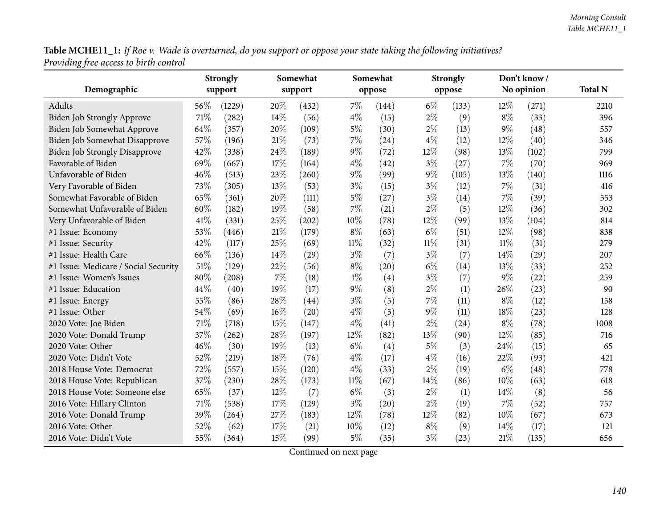Table MCHE11\_1: If Roe v. Wade is overturned, do you support or oppose your state taking the following initiatives? *Providing free access to birth control*

|                                      |      | Somewhat<br><b>Strongly</b> |        |         | Somewhat |        | <b>Strongly</b> |        | Don't know/ |            |                |
|--------------------------------------|------|-----------------------------|--------|---------|----------|--------|-----------------|--------|-------------|------------|----------------|
| Demographic                          |      | support                     |        | support |          | oppose |                 | oppose |             | No opinion | <b>Total N</b> |
| Adults                               | 56\% | (1229)                      | 20%    | (432)   | $7\%$    | (144)  | $6\%$           | (133)  | 12%         | (271)      | 2210           |
| <b>Biden Job Strongly Approve</b>    | 71\% | (282)                       | 14\%   | (56)    | $4\%$    | (15)   | $2\%$           | (9)    | $8\%$       | (33)       | 396            |
| Biden Job Somewhat Approve           | 64%  | (357)                       | 20%    | (109)   | $5\%$    | (30)   | $2\%$           | (13)   | $9\%$       | (48)       | 557            |
| Biden Job Somewhat Disapprove        | 57%  | (196)                       | $21\%$ | (73)    | 7%       | (24)   | $4\%$           | (12)   | 12%         | (40)       | 346            |
| <b>Biden Job Strongly Disapprove</b> | 42%  | (338)                       | 24%    | (189)   | $9\%$    | (72)   | 12%             | (98)   | 13%         | (102)      | 799            |
| Favorable of Biden                   | 69%  | (667)                       | 17%    | (164)   | $4\%$    | (42)   | $3\%$           | (27)   | $7\%$       | (70)       | 969            |
| Unfavorable of Biden                 | 46%  | (513)                       | 23%    | (260)   | 9%       | (99)   | 9%              | (105)  | 13%         | (140)      | 1116           |
| Very Favorable of Biden              | 73%  | (305)                       | 13%    | (53)    | $3\%$    | (15)   | $3\%$           | (12)   | 7%          | (31)       | 416            |
| Somewhat Favorable of Biden          | 65%  | (361)                       | 20%    | (111)   | $5\%$    | (27)   | $3\%$           | (14)   | 7%          | (39)       | 553            |
| Somewhat Unfavorable of Biden        | 60%  | (182)                       | 19%    | (58)    | 7%       | (21)   | $2\%$           | (5)    | 12%         | (36)       | 302            |
| Very Unfavorable of Biden            | 41%  | (331)                       | 25%    | (202)   | 10%      | (78)   | 12%             | (99)   | 13%         | (104)      | 814            |
| #1 Issue: Economy                    | 53%  | (446)                       | 21%    | (179)   | $8\%$    | (63)   | $6\%$           | (51)   | 12%         | (98)       | 838            |
| #1 Issue: Security                   | 42%  | (117)                       | 25%    | (69)    | $11\%$   | (32)   | $11\%$          | (31)   | $11\%$      | (31)       | 279            |
| #1 Issue: Health Care                | 66%  | (136)                       | 14%    | (29)    | $3\%$    | (7)    | $3\%$           | (7)    | 14%         | (29)       | 207            |
| #1 Issue: Medicare / Social Security | 51%  | (129)                       | 22%    | (56)    | $8\%$    | (20)   | $6\%$           | (14)   | 13%         | (33)       | 252            |
| #1 Issue: Women's Issues             | 80%  | (208)                       | 7%     | (18)    | $1\%$    | (4)    | $3\%$           | (7)    | $9\%$       | (22)       | 259            |
| #1 Issue: Education                  | 44%  | (40)                        | 19%    | (17)    | $9\%$    | (8)    | $2\%$           | (1)    | 26%         | (23)       | 90             |
| #1 Issue: Energy                     | 55%  | (86)                        | 28%    | (44)    | $3\%$    | (5)    | $7\%$           | (11)   | $8\%$       | (12)       | 158            |
| #1 Issue: Other                      | 54%  | (69)                        | 16%    | (20)    | $4\%$    | (5)    | $9\%$           | (11)   | 18%         | (23)       | 128            |
| 2020 Vote: Joe Biden                 | 71%  | (718)                       | 15%    | (147)   | $4\%$    | (41)   | $2\%$           | (24)   | $8\%$       | (78)       | 1008           |
| 2020 Vote: Donald Trump              | 37%  | (262)                       | 28%    | (197)   | 12%      | (82)   | 13%             | (90)   | 12%         | (85)       | 716            |
| 2020 Vote: Other                     | 46%  | (30)                        | 19%    | (13)    | $6\%$    | (4)    | $5\%$           | (3)    | 24%         | (15)       | 65             |
| 2020 Vote: Didn't Vote               | 52%  | (219)                       | 18%    | (76)    | $4\%$    | (17)   | $4\%$           | (16)   | 22%         | (93)       | 421            |
| 2018 House Vote: Democrat            | 72%  | (557)                       | 15%    | (120)   | $4\%$    | (33)   | $2\%$           | (19)   | $6\%$       | (48)       | 778            |
| 2018 House Vote: Republican          | 37%  | (230)                       | 28%    | (173)   | $11\%$   | (67)   | 14%             | (86)   | 10%         | (63)       | 618            |
| 2018 House Vote: Someone else        | 65%  | (37)                        | 12%    | (7)     | $6\%$    | (3)    | $2\%$           | (1)    | 14%         | (8)        | 56             |
| 2016 Vote: Hillary Clinton           | 71\% | (538)                       | 17%    | (129)   | $3\%$    | (20)   | $2\%$           | (19)   | 7%          | (52)       | 757            |
| 2016 Vote: Donald Trump              | 39%  | (264)                       | 27%    | (183)   | 12%      | (78)   | 12%             | (82)   | 10%         | (67)       | 673            |
| 2016 Vote: Other                     | 52%  | (62)                        | 17%    | (21)    | 10%      | (12)   | $8\%$           | (9)    | 14%         | (17)       | 121            |
| 2016 Vote: Didn't Vote               | 55%  | (364)                       | 15%    | (99)    | $5\%$    | (35)   | $3\%$           | (23)   | 21%         | (135)      | 656            |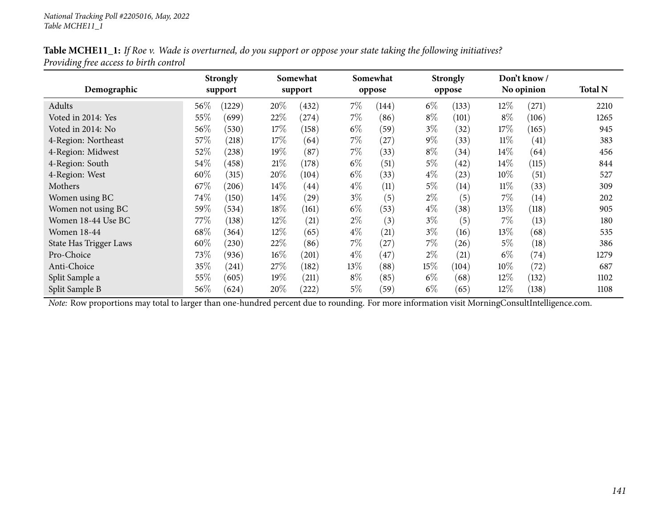| Table MCHE11_1: If Roe v. Wade is overturned, do you support or oppose your state taking the following initiatives? |
|---------------------------------------------------------------------------------------------------------------------|
| Providing free access to birth control                                                                              |

| Demographic            |      | <b>Strongly</b><br>support | Somewhat<br>support |       |       | Somewhat<br>oppose |       | <b>Strongly</b><br>oppose |        | Don't know/<br>No opinion | <b>Total N</b> |
|------------------------|------|----------------------------|---------------------|-------|-------|--------------------|-------|---------------------------|--------|---------------------------|----------------|
| Adults                 | 56%  | (1229)                     | 20%                 | (432) | $7\%$ | (144)              | $6\%$ | (133)                     | 12%    | (271)                     | 2210           |
| Voted in 2014: Yes     | 55%  | (699)                      | 22%                 | (274) | $7\%$ | (86)               | $8\%$ | (101)                     | $8\%$  | (106)                     | 1265           |
| Voted in 2014: No      | 56%  | (530)                      | 17\%                | (158) | $6\%$ | (59)               | $3\%$ | (32)                      | 17%    | (165)                     | 945            |
|                        |      |                            |                     |       |       |                    |       |                           |        |                           |                |
| 4-Region: Northeast    | 57%  | (218)                      | 17\%                | (64)  | 7%    | (27)               | $9\%$ | (33)                      | $11\%$ | (41)                      | 383            |
| 4-Region: Midwest      | 52%  | (238)                      | 19%                 | (87)  | $7\%$ | (33)               | $8\%$ | (34)                      | $14\%$ | (64)                      | 456            |
| 4-Region: South        | 54\% | (458)                      | 21%                 | (178) | $6\%$ | (51)               | $5\%$ | (42)                      | $14\%$ | (115)                     | 844            |
| 4-Region: West         | 60%  | (315)                      | 20%                 | (104) | $6\%$ | (33)               | $4\%$ | (23)                      | 10%    | (51)                      | 527            |
| Mothers                | 67\% | (206)                      | $14\%$              | (44)  | $4\%$ | (11)               | $5\%$ | (14)                      | $11\%$ | (33)                      | 309            |
| Women using BC         | 74\% | (150)                      | $14\%$              | (29)  | $3\%$ | (5)                | 2%    | (5)                       | $7\%$  | (14)                      | 202            |
| Women not using BC     | 59%  | (534)                      | 18%                 | (161) | $6\%$ | (53)               | $4\%$ | (38)                      | 13\%   | (118)                     | 905            |
| Women 18-44 Use BC     | 77\% | (138)                      | 12%                 | (21)  | $2\%$ | (3)                | $3\%$ | (5)                       | $7\%$  | (13)                      | 180            |
| <b>Women 18-44</b>     | 68\% | (364)                      | 12%                 | (65)  | $4\%$ | (21)               | $3\%$ | (16)                      | 13%    | (68)                      | 535            |
| State Has Trigger Laws | 60%  | (230)                      | 22%                 | (86)  | 7%    | (27)               | $7\%$ | (26)                      | $5\%$  | (18)                      | 386            |
| Pro-Choice             | 73\% | (936)                      | $16\%$              | (201) | $4\%$ | (47)               | $2\%$ | (21)                      | $6\%$  | (74)                      | 1279           |
| Anti-Choice            | 35%  | (241)                      | 27\%                | (182) | 13%   | (88)               | 15%   | (104)                     | $10\%$ | (72)                      | 687            |
| Split Sample a         | 55%  | (605)                      | 19%                 | (211) | $8\%$ | (85)               | $6\%$ | (68)                      | 12%    | (132)                     | 1102           |
| Split Sample B         | 56\% | (624)                      | 20%                 | (222) | 5%    | (59)               | $6\%$ | (65)                      | 12%    | (138)                     | 1108           |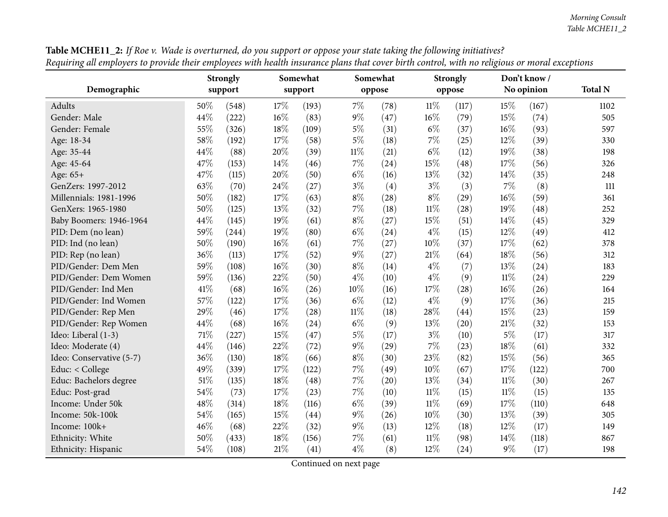|                          |      | <b>Strongly</b> | Somewhat |       |        | Somewhat |        | <b>Strongly</b> |        | Don't know / |                |
|--------------------------|------|-----------------|----------|-------|--------|----------|--------|-----------------|--------|--------------|----------------|
| Demographic              |      | support         | support  |       |        | oppose   |        | oppose          |        | No opinion   | <b>Total N</b> |
| <b>Adults</b>            | 50%  | (548)           | 17%      | (193) | $7\%$  | (78)     | $11\%$ | (117)           | 15%    | (167)        | 1102           |
| Gender: Male             | 44%  | (222)           | 16%      | (83)  | $9\%$  | (47)     | $16\%$ | (79)            | 15%    | (74)         | 505            |
| Gender: Female           | 55%  | (326)           | 18%      | (109) | $5\%$  | (31)     | $6\%$  | (37)            | 16%    | (93)         | 597            |
| Age: 18-34               | 58%  | (192)           | 17%      | (58)  | $5\%$  | (18)     | 7%     | (25)            | 12%    | (39)         | 330            |
| Age: 35-44               | 44%  | (88)            | 20%      | (39)  | $11\%$ | (21)     | $6\%$  | (12)            | 19%    | (38)         | 198            |
| Age: 45-64               | 47%  | (153)           | 14%      | (46)  | $7\%$  | (24)     | 15%    | (48)            | 17%    | (56)         | 326            |
| Age: 65+                 | 47%  | (115)           | 20%      | (50)  | $6\%$  | (16)     | 13%    | (32)            | 14%    | (35)         | 248            |
| GenZers: 1997-2012       | 63%  | (70)            | 24%      | (27)  | $3\%$  | (4)      | $3\%$  | (3)             | 7%     | (8)          | 111            |
| Millennials: 1981-1996   | 50%  | (182)           | 17%      | (63)  | $8\%$  | (28)     | $8\%$  | (29)            | 16%    | (59)         | 361            |
| GenXers: 1965-1980       | 50%  | (125)           | 13%      | (32)  | 7%     | (18)     | $11\%$ | (28)            | 19%    | (48)         | 252            |
| Baby Boomers: 1946-1964  | 44%  | (145)           | 19%      | (61)  | $8\%$  | (27)     | 15%    | (51)            | 14%    | (45)         | 329            |
| PID: Dem (no lean)       | 59%  | (244)           | 19%      | (80)  | $6\%$  | (24)     | $4\%$  | (15)            | 12%    | (49)         | 412            |
| PID: Ind (no lean)       | 50%  | (190)           | $16\%$   | (61)  | 7%     | (27)     | 10%    | (37)            | 17%    | (62)         | 378            |
| PID: Rep (no lean)       | 36%  | (113)           | 17%      | (52)  | $9\%$  | (27)     | $21\%$ | (64)            | 18%    | (56)         | 312            |
| PID/Gender: Dem Men      | 59%  | (108)           | $16\%$   | (30)  | $8\%$  | (14)     | $4\%$  | (7)             | 13%    | (24)         | 183            |
| PID/Gender: Dem Women    | 59%  | (136)           | 22%      | (50)  | $4\%$  | (10)     | $4\%$  | (9)             | $11\%$ | (24)         | 229            |
| PID/Gender: Ind Men      | 41\% | (68)            | $16\%$   | (26)  | $10\%$ | (16)     | 17%    | (28)            | 16%    | (26)         | 164            |
| PID/Gender: Ind Women    | 57%  | (122)           | 17%      | (36)  | $6\%$  | (12)     | $4\%$  | (9)             | 17%    | (36)         | 215            |
| PID/Gender: Rep Men      | 29%  | (46)            | $17\%$   | (28)  | $11\%$ | (18)     | 28%    | (44)            | 15%    | (23)         | 159            |
| PID/Gender: Rep Women    | 44%  | (68)            | 16%      | (24)  | $6\%$  | (9)      | 13%    | (20)            | 21%    | (32)         | 153            |
| Ideo: Liberal (1-3)      | 71\% | (227)           | 15%      | (47)  | $5\%$  | (17)     | $3\%$  | (10)            | $5\%$  | (17)         | 317            |
| Ideo: Moderate (4)       | 44%  | (146)           | 22%      | (72)  | $9\%$  | (29)     | 7%     | (23)            | 18%    | (61)         | 332            |
| Ideo: Conservative (5-7) | 36%  | (130)           | $18\%$   | (66)  | $8\%$  | (30)     | 23%    | (82)            | 15%    | (56)         | 365            |
| Educ: < College          | 49%  | (339)           | 17%      | (122) | 7%     | (49)     | 10%    | (67)            | 17%    | (122)        | 700            |
| Educ: Bachelors degree   | 51%  | (135)           | $18\%$   | (48)  | 7%     | (20)     | 13%    | (34)            | $11\%$ | (30)         | 267            |
| Educ: Post-grad          | 54%  | (73)            | $17\%$   | (23)  | $7\%$  | (10)     | $11\%$ | (15)            | $11\%$ | (15)         | 135            |
| Income: Under 50k        | 48%  | (314)           | $18\%$   | (116) | $6\%$  | (39)     | $11\%$ | (69)            | 17%    | (110)        | 648            |
| Income: 50k-100k         | 54%  | (165)           | $15\%$   | (44)  | $9\%$  | (26)     | 10%    | (30)            | 13%    | (39)         | 305            |
| Income: 100k+            | 46%  | (68)            | 22%      | (32)  | $9\%$  | (13)     | 12%    | (18)            | 12%    | (17)         | 149            |
| Ethnicity: White         | 50%  | (433)           | 18%      | (156) | 7%     | (61)     | $11\%$ | (98)            | 14%    | (118)        | 867            |
| Ethnicity: Hispanic      | 54%  | (108)           | 21\%     | (41)  | $4\%$  | (8)      | 12%    | (24)            | 9%     | (17)         | 198            |

**Table MCHE11\_2:** If Roe v. Wade is overturned, do you support or oppose your state taking the following initiatives? Requiring all employers to provide their employees with health insurance plans that cover birth control, with no religious or moral exceptions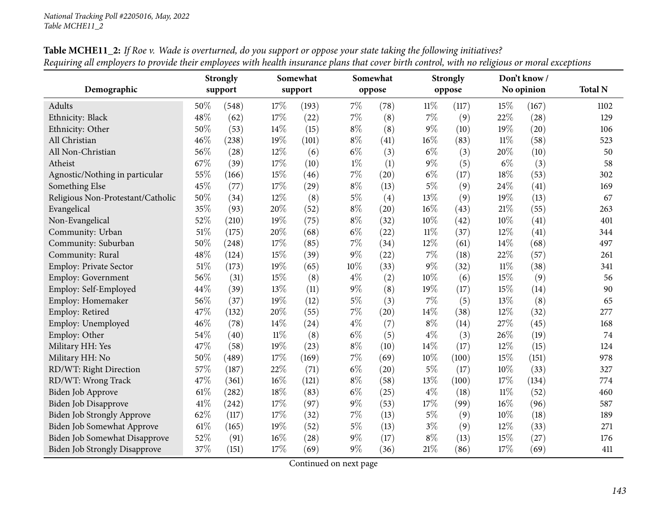|                                      | <b>Strongly</b> |       |        | Somewhat |       | Somewhat |        | <b>Strongly</b> |        | Don't know / |                |
|--------------------------------------|-----------------|-------|--------|----------|-------|----------|--------|-----------------|--------|--------------|----------------|
| Demographic                          | support         |       |        | support  |       | oppose   |        | oppose          |        | No opinion   | <b>Total N</b> |
| Adults                               | 50%             | (548) | 17%    | (193)    | 7%    | (78)     | $11\%$ | (117)           | 15%    | (167)        | 1102           |
| Ethnicity: Black                     | 48%             | (62)  | 17%    | (22)     | $7\%$ | (8)      | 7%     | (9)             | 22%    | (28)         | 129            |
| Ethnicity: Other                     | 50%             | (53)  | 14\%   | (15)     | $8\%$ | (8)      | 9%     | (10)            | 19%    | (20)         | 106            |
| All Christian                        | 46%             | (238) | 19%    | (101)    | $8\%$ | (41)     | 16%    | (83)            | $11\%$ | (58)         | 523            |
| All Non-Christian                    | 56%             | (28)  | $12\%$ | (6)      | $6\%$ | (3)      | $6\%$  | (3)             | 20%    | (10)         | 50             |
| Atheist                              | 67%             | (39)  | $17\%$ | (10)     | $1\%$ | (1)      | $9\%$  | (5)             | $6\%$  | (3)          | 58             |
| Agnostic/Nothing in particular       | 55%             | (166) | 15%    | (46)     | $7\%$ | (20)     | $6\%$  | (17)            | 18%    | (53)         | 302            |
| Something Else                       | 45%             | (77)  | 17%    | (29)     | $8\%$ | (13)     | $5\%$  | (9)             | 24%    | (41)         | 169            |
| Religious Non-Protestant/Catholic    | 50%             | (34)  | $12\%$ | (8)      | $5\%$ | (4)      | 13%    | (9)             | 19%    | (13)         | 67             |
| Evangelical                          | 35%             | (93)  | 20%    | (52)     | $8\%$ | (20)     | 16%    | (43)            | 21%    | (55)         | 263            |
| Non-Evangelical                      | 52%             | (210) | 19%    | (75)     | $8\%$ | (32)     | 10%    | (42)            | 10%    | (41)         | 401            |
| Community: Urban                     | 51\%            | (175) | 20%    | (68)     | $6\%$ | (22)     | $11\%$ | (37)            | 12%    | (41)         | 344            |
| Community: Suburban                  | 50%             | (248) | 17%    | (85)     | 7%    | (34)     | 12%    | (61)            | 14%    | (68)         | 497            |
| Community: Rural                     | 48%             | (124) | 15%    | (39)     | $9\%$ | (22)     | 7%     | (18)            | 22%    | (57)         | 261            |
| <b>Employ: Private Sector</b>        | 51%             | (173) | 19%    | (65)     | 10%   | (33)     | $9\%$  | (32)            | $11\%$ | (38)         | 341            |
| <b>Employ: Government</b>            | 56%             | (31)  | $15\%$ | (8)      | $4\%$ | (2)      | 10%    | (6)             | 15%    | (9)          | 56             |
| Employ: Self-Employed                | 44%             | (39)  | $13\%$ | (11)     | $9\%$ | (8)      | 19%    | (17)            | 15%    | (14)         | 90             |
| Employ: Homemaker                    | 56%             | (37)  | 19%    | (12)     | $5\%$ | (3)      | 7%     | (5)             | 13%    | (8)          | 65             |
| Employ: Retired                      | 47%             | (132) | 20%    | (55)     | $7\%$ | (20)     | 14%    | (38)            | 12%    | (32)         | 277            |
| Employ: Unemployed                   | 46%             | (78)  | 14\%   | (24)     | $4\%$ | (7)      | $8\%$  | (14)            | 27%    | (45)         | 168            |
| Employ: Other                        | 54%             | (40)  | $11\%$ | (8)      | $6\%$ | (5)      | $4\%$  | (3)             | 26%    | (19)         | 74             |
| Military HH: Yes                     | 47%             | (58)  | $19\%$ | (23)     | $8\%$ | (10)     | 14%    | (17)            | 12%    | (15)         | 124            |
| Military HH: No                      | 50%             | (489) | 17%    | (169)    | 7%    | (69)     | 10%    | (100)           | 15%    | (151)        | 978            |
| RD/WT: Right Direction               | 57%             | (187) | 22%    | (71)     | $6\%$ | (20)     | $5\%$  | (17)            | 10%    | (33)         | 327            |
| RD/WT: Wrong Track                   | 47%             | (361) | $16\%$ | (121)    | $8\%$ | (58)     | 13%    | (100)           | 17%    | (134)        | 774            |
| Biden Job Approve                    | 61\%            | (282) | 18%    | (83)     | $6\%$ | (25)     | $4\%$  | (18)            | $11\%$ | (52)         | 460            |
| Biden Job Disapprove                 | 41%             | (242) | 17%    | (97)     | $9\%$ | (53)     | 17%    | (99)            | 16%    | (96)         | 587            |
| Biden Job Strongly Approve           | 62%             | (117) | 17%    | (32)     | 7%    | (13)     | $5\%$  | (9)             | 10%    | (18)         | 189            |
| <b>Biden Job Somewhat Approve</b>    | $61\%$          | (165) | 19%    | (52)     | $5\%$ | (13)     | $3\%$  | (9)             | 12%    | (33)         | 271            |
| <b>Biden Job Somewhat Disapprove</b> | 52%             | (91)  | 16%    | (28)     | $9\%$ | (17)     | $8\%$  | (13)            | 15%    | (27)         | 176            |
| <b>Biden Job Strongly Disapprove</b> | 37%             | (151) | 17%    | (69)     | $9\%$ | (36)     | 21%    | (86)            | 17%    | (69)         | 411            |

Table MCHE11\_2: If Roe v. Wade is overturned, do you support or oppose your state taking the following initiatives? Requiring all employers to provide their employees with health insurance plans that cover birth control, with no religious or moral exceptions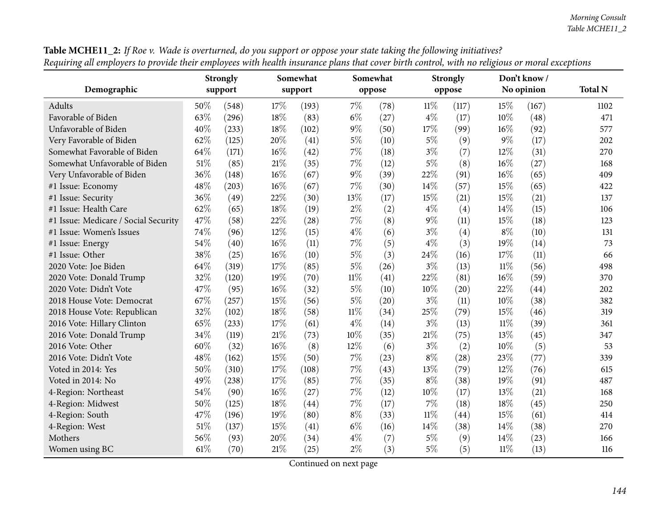|                                      | <b>Strongly</b> |         |        | Somewhat |        | Somewhat |        | <b>Strongly</b> |        | Don't know/ |                |
|--------------------------------------|-----------------|---------|--------|----------|--------|----------|--------|-----------------|--------|-------------|----------------|
| Demographic                          |                 | support |        | support  |        | oppose   |        | oppose          |        | No opinion  | <b>Total N</b> |
| Adults                               | 50%             | (548)   | 17%    | (193)    | $7\%$  | (78)     | 11%    | (117)           | 15%    | (167)       | 1102           |
| Favorable of Biden                   | 63%             | (296)   | 18%    | (83)     | $6\%$  | (27)     | $4\%$  | (17)            | 10%    | (48)        | 471            |
| Unfavorable of Biden                 | 40%             | (233)   | 18%    | (102)    | $9\%$  | (50)     | 17%    | (99)            | 16%    | (92)        | 577            |
| Very Favorable of Biden              | 62%             | (125)   | 20%    | (41)     | $5\%$  | (10)     | $5\%$  | (9)             | 9%     | (17)        | 202            |
| Somewhat Favorable of Biden          | 64%             | (171)   | $16\%$ | (42)     | $7\%$  | (18)     | $3\%$  | (7)             | 12%    | (31)        | 270            |
| Somewhat Unfavorable of Biden        | 51%             | (85)    | $21\%$ | (35)     | $7\%$  | (12)     | $5\%$  | (8)             | 16%    | (27)        | 168            |
| Very Unfavorable of Biden            | 36%             | (148)   | $16\%$ | (67)     | $9\%$  | (39)     | 22%    | (91)            | 16%    | (65)        | 409            |
| #1 Issue: Economy                    | 48%             | (203)   | 16%    | (67)     | 7%     | (30)     | 14%    | (57)            | 15%    | (65)        | 422            |
| #1 Issue: Security                   | 36%             | (49)    | 22%    | (30)     | 13%    | (17)     | 15%    | (21)            | 15%    | (21)        | 137            |
| #1 Issue: Health Care                | 62%             | (65)    | 18%    | (19)     | $2\%$  | (2)      | $4\%$  | (4)             | 14\%   | (15)        | 106            |
| #1 Issue: Medicare / Social Security | 47%             | (58)    | 22%    | (28)     | $7\%$  | (8)      | $9\%$  | (11)            | 15%    | (18)        | 123            |
| #1 Issue: Women's Issues             | 74%             | (96)    | 12%    | (15)     | $4\%$  | (6)      | $3\%$  | (4)             | $8\%$  | (10)        | 131            |
| #1 Issue: Energy                     | 54%             | (40)    | 16%    | (11)     | 7%     | (5)      | $4\%$  | (3)             | 19%    | (14)        | 73             |
| #1 Issue: Other                      | 38%             | (25)    | $16\%$ | (10)     | $5\%$  | (3)      | 24%    | (16)            | 17%    | (11)        | 66             |
| 2020 Vote: Joe Biden                 | 64%             | (319)   | 17%    | (85)     | $5\%$  | (26)     | $3\%$  | (13)            | $11\%$ | (56)        | 498            |
| 2020 Vote: Donald Trump              | 32%             | (120)   | 19%    | (70)     | $11\%$ | (41)     | 22%    | (81)            | 16%    | (59)        | 370            |
| 2020 Vote: Didn't Vote               | 47%             | (95)    | $16\%$ | (32)     | $5\%$  | (10)     | 10%    | (20)            | 22%    | (44)        | 202            |
| 2018 House Vote: Democrat            | 67%             | (257)   | 15%    | (56)     | $5\%$  | (20)     | $3\%$  | (11)            | 10%    | (38)        | 382            |
| 2018 House Vote: Republican          | 32%             | (102)   | 18%    | (58)     | $11\%$ | (34)     | 25%    | (79)            | 15%    | (46)        | 319            |
| 2016 Vote: Hillary Clinton           | 65%             | (233)   | 17%    | (61)     | $4\%$  | (14)     | $3\%$  | (13)            | $11\%$ | (39)        | 361            |
| 2016 Vote: Donald Trump              | 34%             | (119)   | $21\%$ | (73)     | 10%    | (35)     | $21\%$ | (75)            | 13%    | (45)        | 347            |
| 2016 Vote: Other                     | 60%             | (32)    | 16%    | (8)      | 12%    | (6)      | $3\%$  | (2)             | 10%    | (5)         | 53             |
| 2016 Vote: Didn't Vote               | 48%             | (162)   | 15%    | (50)     | 7%     | (23)     | $8\%$  | (28)            | 23%    | (77)        | 339            |
| Voted in 2014: Yes                   | 50%             | (310)   | 17%    | (108)    | 7%     | (43)     | 13%    | (79)            | 12%    | (76)        | 615            |
| Voted in 2014: No                    | 49%             | (238)   | 17%    | (85)     | $7\%$  | (35)     | $8\%$  | (38)            | 19%    | (91)        | 487            |
| 4-Region: Northeast                  | 54%             | (90)    | $16\%$ | (27)     | $7\%$  | (12)     | $10\%$ | (17)            | 13%    | (21)        | 168            |
| 4-Region: Midwest                    | 50%             | (125)   | $18\%$ | (44)     | $7\%$  | (17)     | $7\%$  | (18)            | 18%    | (45)        | 250            |
| 4-Region: South                      | 47%             | (196)   | 19%    | (80)     | $8\%$  | (33)     | $11\%$ | (44)            | 15%    | (61)        | 414            |
| 4-Region: West                       | $51\%$          | (137)   | 15%    | (41)     | $6\%$  | (16)     | 14%    | (38)            | 14%    | (38)        | 270            |
| Mothers                              | 56%             | (93)    | 20%    | (34)     | $4\%$  | (7)      | $5\%$  | (9)             | 14%    | (23)        | 166            |
| Women using BC                       | 61\%            | (70)    | $21\%$ | (25)     | $2\%$  | (3)      | $5\%$  | (5)             | $11\%$ | (13)        | 116            |

Table MCHE11\_2: If Roe v. Wade is overturned, do you support or oppose your state taking the following initiatives? Requiring all employers to provide their employees with health insurance plans that cover birth control, with no religious or moral exceptions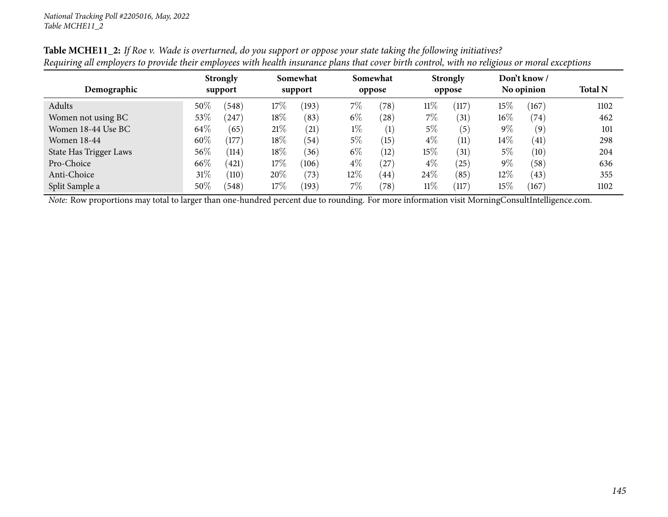|                        |        | <b>Strongly</b> |        | Somewhat |       | Somewhat          |        | <b>Strongly</b> |        | Don't know /    |                |
|------------------------|--------|-----------------|--------|----------|-------|-------------------|--------|-----------------|--------|-----------------|----------------|
| Demographic            |        | support         |        | support  |       | oppose            |        | oppose          |        | No opinion      | <b>Total N</b> |
| Adults                 | 50%    | (548)           | 17\%   | (193)    | 7%    | $^{\prime}78)$    | $11\%$ | (117)           | $15\%$ | (167)           | 1102           |
| Women not using BC     | $53\%$ | 247             | $18\%$ | (83)     | $6\%$ | $^{'}28)$         | $7\%$  | (31)            | $16\%$ | (74)            | 462            |
| Women 18-44 Use BC     | 64\%   | (65)            | 21%    | (21)     | $1\%$ | (1)               | 5%     | (5)             | $9\%$  | (9)             | 101            |
| <b>Women 18-44</b>     | 60%    | (177)           | $18\%$ | (54)     | $5\%$ | (15)              | $4\%$  | (11)            | $14\%$ | (41)            | 298            |
| State Has Trigger Laws | 56\%   | (114)           | 18%    | (36)     | $6\%$ | (12)              | 15\%   | (31)            | $5\%$  | (10)            | 204            |
| Pro-Choice             | 66\%   | (421)           | $17\%$ | (106)    | $4\%$ | (27)              | $4\%$  | (25)            | $9\%$  | (58)            | 636            |
| Anti-Choice            | $31\%$ | (110)           | 20%    | (73)     | 12%   | $\left(44\right)$ | 24\%   | (85)            | 12%    | (43)            | 355            |
| Split Sample a         | 50%    | (548)           | 17%    | (193)    | 7%    | $^{\prime}78)$    | $11\%$ | (117)           | $15\%$ | $^{\prime}167)$ | 1102           |

Table MCHE11\_2: If Roe v. Wade is overturned, do you support or oppose your state taking the following initiatives? Requiring all employers to provide their employees with health insurance plans that cover birth control, with no religious or moral exceptions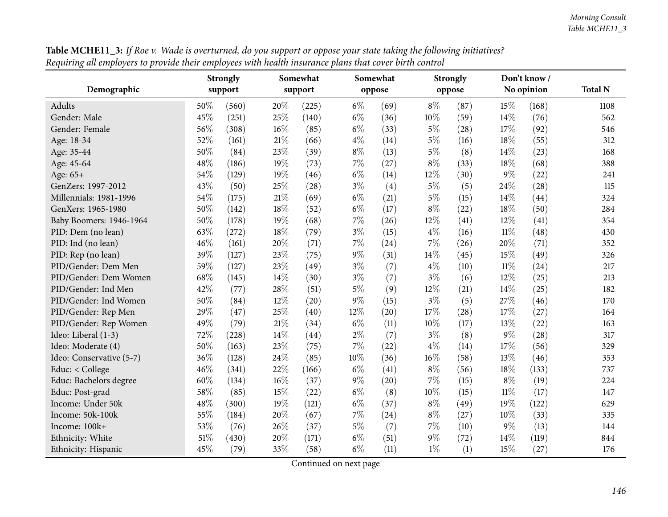|                          |     | <b>Strongly</b> |     | Somewhat |       | Somewhat |       | <b>Strongly</b> |        | Don't know / |                |
|--------------------------|-----|-----------------|-----|----------|-------|----------|-------|-----------------|--------|--------------|----------------|
| Demographic              |     | support         |     | support  |       | oppose   |       | oppose          |        | No opinion   | <b>Total N</b> |
| Adults                   | 50% | (560)           | 20% | (225)    | $6\%$ | (69)     | $8\%$ | (87)            | 15%    | (168)        | 1108           |
| Gender: Male             | 45% | (251)           | 25% | (140)    | $6\%$ | (36)     | 10%   | (59)            | 14%    | (76)         | 562            |
| Gender: Female           | 56% | (308)           | 16% | (85)     | $6\%$ | (33)     | $5\%$ | (28)            | 17%    | (92)         | 546            |
| Age: 18-34               | 52% | (161)           | 21% | (66)     | $4\%$ | (14)     | $5\%$ | (16)            | 18%    | (55)         | 312            |
| Age: 35-44               | 50% | (84)            | 23% | (39)     | $8\%$ | (13)     | $5\%$ | (8)             | 14\%   | (23)         | 168            |
| Age: 45-64               | 48% | (186)           | 19% | (73)     | $7\%$ | (27)     | $8\%$ | (33)            | 18%    | (68)         | 388            |
| Age: 65+                 | 54% | (129)           | 19% | (46)     | $6\%$ | (14)     | 12%   | (30)            | $9\%$  | (22)         | 241            |
| GenZers: 1997-2012       | 43% | (50)            | 25% | (28)     | $3\%$ | (4)      | $5\%$ | (5)             | 24%    | (28)         | 115            |
| Millennials: 1981-1996   | 54% | (175)           | 21% | (69)     | $6\%$ | (21)     | $5\%$ | (15)            | 14%    | (44)         | 324            |
| GenXers: 1965-1980       | 50% | (142)           | 18% | (52)     | $6\%$ | (17)     | $8\%$ | (22)            | 18%    | (50)         | 284            |
| Baby Boomers: 1946-1964  | 50% | (178)           | 19% | (68)     | $7\%$ | (26)     | 12%   | (41)            | 12%    | (41)         | 354            |
| PID: Dem (no lean)       | 63% | (272)           | 18% | (79)     | $3\%$ | (15)     | $4\%$ | (16)            | $11\%$ | (48)         | 430            |
| PID: Ind (no lean)       | 46% | (161)           | 20% | (71)     | $7\%$ | (24)     | 7%    | (26)            | 20%    | (71)         | 352            |
| PID: Rep (no lean)       | 39% | (127)           | 23% | (75)     | $9\%$ | (31)     | 14%   | (45)            | 15%    | (49)         | 326            |
| PID/Gender: Dem Men      | 59% | (127)           | 23% | (49)     | $3\%$ | (7)      | $4\%$ | (10)            | $11\%$ | (24)         | 217            |
| PID/Gender: Dem Women    | 68% | (145)           | 14% | (30)     | $3\%$ | (7)      | $3\%$ | (6)             | 12%    | (25)         | 213            |
| PID/Gender: Ind Men      | 42% | (77)            | 28% | (51)     | $5\%$ | (9)      | 12%   | (21)            | 14%    | (25)         | 182            |
| PID/Gender: Ind Women    | 50% | (84)            | 12% | (20)     | $9\%$ | (15)     | $3\%$ | (5)             | 27%    | (46)         | 170            |
| PID/Gender: Rep Men      | 29% | (47)            | 25% | (40)     | 12%   | (20)     | 17%   | (28)            | 17%    | (27)         | 164            |
| PID/Gender: Rep Women    | 49% | (79)            | 21% | (34)     | $6\%$ | (11)     | 10%   | (17)            | 13%    | (22)         | 163            |
| Ideo: Liberal (1-3)      | 72% | (228)           | 14% | (44)     | $2\%$ | (7)      | $3\%$ | (8)             | $9\%$  | (28)         | 317            |
| Ideo: Moderate (4)       | 50% | (163)           | 23% | (75)     | 7%    | (22)     | $4\%$ | (14)            | 17%    | (56)         | 329            |
| Ideo: Conservative (5-7) | 36% | (128)           | 24% | (85)     | 10%   | (36)     | 16%   | (58)            | 13%    | (46)         | 353            |
| Educ: < College          | 46% | (341)           | 22% | (166)    | $6\%$ | (41)     | $8\%$ | (56)            | 18%    | (133)        | 737            |
| Educ: Bachelors degree   | 60% | (134)           | 16% | (37)     | $9\%$ | (20)     | 7%    | (15)            | $8\%$  | (19)         | 224            |
| Educ: Post-grad          | 58% | (85)            | 15% | (22)     | $6\%$ | (8)      | 10%   | (15)            | $11\%$ | (17)         | 147            |
| Income: Under 50k        | 48% | (300)           | 19% | (121)    | $6\%$ | (37)     | $8\%$ | (49)            | 19%    | (122)        | 629            |
| Income: 50k-100k         | 55% | (184)           | 20% | (67)     | $7\%$ | (24)     | $8\%$ | (27)            | 10%    | (33)         | 335            |
| Income: 100k+            | 53% | (76)            | 26% | (37)     | $5\%$ | (7)      | $7\%$ | (10)            | $9\%$  | (13)         | 144            |
| Ethnicity: White         | 51% | (430)           | 20% | (171)    | $6\%$ | (51)     | $9\%$ | (72)            | 14%    | (119)        | 844            |
| Ethnicity: Hispanic      | 45% | (79)            | 33% | (58)     | $6\%$ | (11)     | $1\%$ | (1)             | 15%    | (27)         | 176            |

**Table MCHE11\_3:** If Roe v. Wade is overturned, do you support or oppose your state taking the following initiatives? Requiring all employers to provide their employees with health insurance plans that cover birth control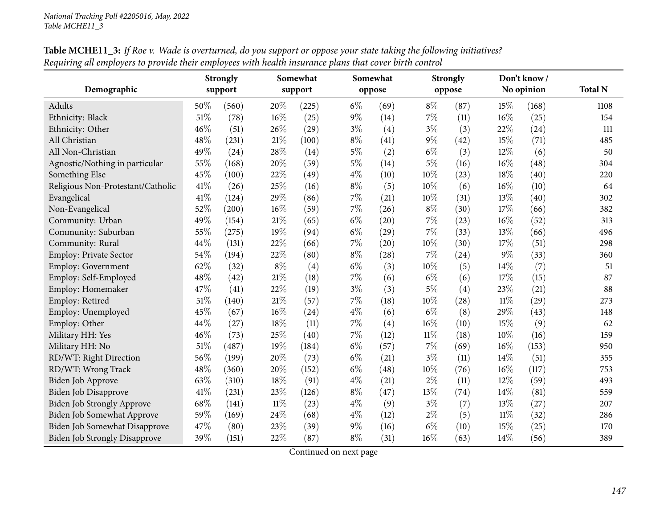|                                   |        | <b>Strongly</b> |        | Somewhat |       | Somewhat |        | <b>Strongly</b> |        | Don't know / |                |
|-----------------------------------|--------|-----------------|--------|----------|-------|----------|--------|-----------------|--------|--------------|----------------|
| Demographic                       |        | support         |        | support  |       | oppose   |        | oppose          |        | No opinion   | <b>Total N</b> |
| Adults                            | 50%    | (560)           | 20%    | (225)    | $6\%$ | (69)     | $8\%$  | (87)            | 15%    | (168)        | 1108           |
| Ethnicity: Black                  | 51%    | (78)            | 16%    | (25)     | $9\%$ | (14)     | $7\%$  | (11)            | 16%    | (25)         | 154            |
| Ethnicity: Other                  | 46%    | (51)            | 26%    | (29)     | $3\%$ | (4)      | $3\%$  | (3)             | 22%    | (24)         | 111            |
| All Christian                     | 48%    | (231)           | $21\%$ | (100)    | $8\%$ | (41)     | 9%     | (42)            | 15%    | (71)         | 485            |
| All Non-Christian                 | 49%    | (24)            | 28%    | (14)     | $5\%$ | (2)      | $6\%$  | (3)             | 12%    | (6)          | 50             |
| Agnostic/Nothing in particular    | 55%    | (168)           | 20%    | (59)     | $5\%$ | (14)     | 5%     | (16)            | 16%    | (48)         | 304            |
| Something Else                    | 45%    | (100)           | 22%    | (49)     | $4\%$ | (10)     | 10%    | (23)            | 18%    | (40)         | 220            |
| Religious Non-Protestant/Catholic | 41\%   | (26)            | 25%    | (16)     | $8\%$ | (5)      | 10%    | (6)             | 16%    | (10)         | 64             |
| Evangelical                       | 41\%   | (124)           | 29%    | (86)     | $7\%$ | (21)     | 10%    | (31)            | 13%    | (40)         | 302            |
| Non-Evangelical                   | 52%    | (200)           | 16%    | (59)     | $7\%$ | (26)     | $8\%$  | (30)            | 17%    | (66)         | 382            |
| Community: Urban                  | 49%    | (154)           | $21\%$ | (65)     | $6\%$ | (20)     | $7\%$  | (23)            | 16%    | (52)         | 313            |
| Community: Suburban               | 55%    | (275)           | 19%    | (94)     | $6\%$ | (29)     | $7\%$  | (33)            | 13%    | (66)         | 496            |
| Community: Rural                  | 44%    | (131)           | 22%    | (66)     | $7\%$ | (20)     | 10%    | (30)            | 17%    | (51)         | 298            |
| <b>Employ: Private Sector</b>     | 54%    | (194)           | 22%    | (80)     | $8\%$ | (28)     | 7%     | (24)            | $9\%$  | (33)         | 360            |
| <b>Employ: Government</b>         | 62%    | (32)            | $8\%$  | (4)      | $6\%$ | (3)      | 10%    | (5)             | 14%    | (7)          | 51             |
| Employ: Self-Employed             | 48%    | (42)            | $21\%$ | (18)     | 7%    | (6)      | $6\%$  | (6)             | 17%    | (15)         | 87             |
| Employ: Homemaker                 | 47%    | (41)            | 22%    | (19)     | $3\%$ | (3)      | 5%     | (4)             | 23%    | (21)         | 88             |
| Employ: Retired                   | $51\%$ | (140)           | $21\%$ | (57)     | $7\%$ | (18)     | 10%    | (28)            | $11\%$ | (29)         | 273            |
| Employ: Unemployed                | 45%    | (67)            | 16%    | (24)     | $4\%$ | (6)      | $6\%$  | (8)             | 29%    | (43)         | 148            |
| Employ: Other                     | 44%    | (27)            | 18%    | (11)     | $7\%$ | (4)      | 16%    | (10)            | 15%    | (9)          | 62             |
| Military HH: Yes                  | 46%    | (73)            | 25%    | (40)     | $7\%$ | (12)     | $11\%$ | (18)            | 10%    | (16)         | 159            |
| Military HH: No                   | 51%    | (487)           | 19%    | (184)    | $6\%$ | (57)     | 7%     | (69)            | $16\%$ | (153)        | 950            |
| RD/WT: Right Direction            | 56%    | (199)           | 20%    | (73)     | $6\%$ | (21)     | $3\%$  | (11)            | 14%    | (51)         | 355            |
| RD/WT: Wrong Track                | 48%    | (360)           | 20%    | (152)    | $6\%$ | (48)     | 10%    | (76)            | 16%    | (117)        | 753            |
| Biden Job Approve                 | 63%    | (310)           | 18%    | (91)     | $4\%$ | (21)     | $2\%$  | (11)            | 12%    | (59)         | 493            |
| Biden Job Disapprove              | 41%    | (231)           | 23%    | (126)    | $8\%$ | (47)     | 13%    | (74)            | 14%    | (81)         | 559            |
| Biden Job Strongly Approve        | 68%    | (141)           | $11\%$ | (23)     | $4\%$ | (9)      | $3\%$  | (7)             | 13%    | (27)         | 207            |
| Biden Job Somewhat Approve        | 59%    | (169)           | 24%    | (68)     | $4\%$ | (12)     | $2\%$  | (5)             | $11\%$ | (32)         | 286            |
| Biden Job Somewhat Disapprove     | 47%    | (80)            | 23%    | (39)     | $9\%$ | (16)     | $6\%$  | (10)            | 15%    | (25)         | 170            |
| Biden Job Strongly Disapprove     | 39%    | (151)           | 22%    | (87)     | $8\%$ | (31)     | 16%    | (63)            | 14\%   | (56)         | 389            |

**Table MCHE11\_3:** If Roe v. Wade is overturned, do you support or oppose your state taking the following initiatives? Requiring all employers to provide their employees with health insurance plans that cover birth control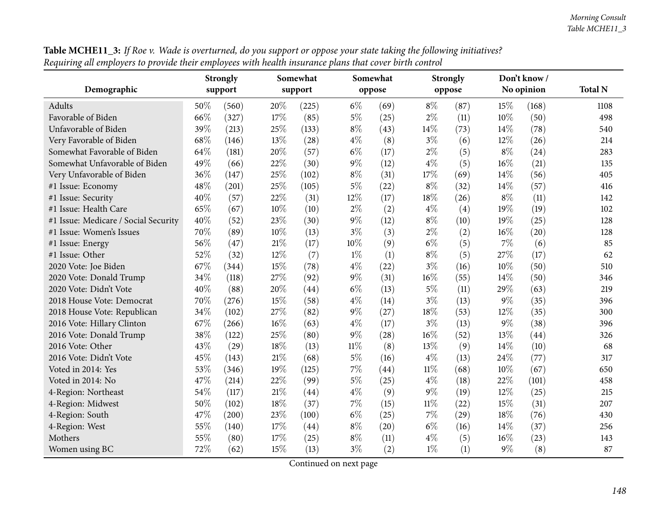| equality and employers to provide and chiptoyees what neaman answere pains and cover on an control |      | <b>Strongly</b> |        | Somewhat |        | Somewhat |        | <b>Strongly</b> |        | Don't know / |                |
|----------------------------------------------------------------------------------------------------|------|-----------------|--------|----------|--------|----------|--------|-----------------|--------|--------------|----------------|
| Demographic                                                                                        |      | support         |        | support  |        | oppose   |        | oppose          |        | No opinion   | <b>Total N</b> |
| <b>Adults</b>                                                                                      | 50%  | (560)           | 20%    | (225)    | $6\%$  | (69)     | $8\%$  | (87)            | 15%    | (168)        | 1108           |
| Favorable of Biden                                                                                 | 66%  | (327)           | 17%    | (85)     | $5\%$  | (25)     | $2\%$  | (11)            | $10\%$ | (50)         | 498            |
| Unfavorable of Biden                                                                               | 39%  | (213)           | 25%    | (133)    | $8\%$  | (43)     | 14%    | (73)            | 14\%   | (78)         | 540            |
| Very Favorable of Biden                                                                            | 68\% | (146)           | 13%    | (28)     | $4\%$  | (8)      | $3\%$  | (6)             | 12%    | (26)         | 214            |
| Somewhat Favorable of Biden                                                                        | 64%  | (181)           | 20%    | (57)     | $6\%$  | (17)     | $2\%$  | (5)             | $8\%$  | (24)         | 283            |
| Somewhat Unfavorable of Biden                                                                      | 49%  | (66)            | 22%    | (30)     | $9\%$  | (12)     | $4\%$  | (5)             | $16\%$ | (21)         | 135            |
| Very Unfavorable of Biden                                                                          | 36%  | (147)           | 25%    | (102)    | $8\%$  | (31)     | 17%    | (69)            | 14\%   | (56)         | 405            |
| #1 Issue: Economy                                                                                  | 48%  | (201)           | 25%    | (105)    | $5\%$  | (22)     | $8\%$  | (32)            | 14%    | (57)         | 416            |
| #1 Issue: Security                                                                                 | 40%  | (57)            | 22%    | (31)     | 12%    | (17)     | 18%    | (26)            | $8\%$  | (11)         | 142            |
| #1 Issue: Health Care                                                                              | 65%  | (67)            | 10%    | (10)     | $2\%$  | (2)      | $4\%$  | (4)             | 19%    | (19)         | 102            |
| #1 Issue: Medicare / Social Security                                                               | 40%  | (52)            | 23%    | (30)     | 9%     | (12)     | $8\%$  | (10)            | 19%    | (25)         | 128            |
| #1 Issue: Women's Issues                                                                           | 70%  | (89)            | 10%    | (13)     | $3\%$  | (3)      | $2\%$  | (2)             | $16\%$ | (20)         | 128            |
| #1 Issue: Energy                                                                                   | 56%  | (47)            | $21\%$ | (17)     | 10%    | (9)      | $6\%$  | (5)             | $7\%$  | (6)          | 85             |
| #1 Issue: Other                                                                                    | 52%  | (32)            | 12%    | (7)      | $1\%$  | (1)      | $8\%$  | (5)             | 27\%   | (17)         | 62             |
| 2020 Vote: Joe Biden                                                                               | 67%  | (344)           | 15%    | (78)     | $4\%$  | (22)     | $3\%$  | (16)            | 10%    | (50)         | 510            |
| 2020 Vote: Donald Trump                                                                            | 34%  | (118)           | 27%    | (92)     | 9%     | (31)     | 16%    | (55)            | 14\%   | (50)         | 346            |
| 2020 Vote: Didn't Vote                                                                             | 40%  | (88)            | 20%    | (44)     | $6\%$  | (13)     | $5\%$  | (11)            | 29%    | (63)         | 219            |
| 2018 House Vote: Democrat                                                                          | 70%  | (276)           | 15%    | (58)     | $4\%$  | (14)     | $3\%$  | (13)            | $9\%$  | (35)         | 396            |
| 2018 House Vote: Republican                                                                        | 34%  | (102)           | 27%    | (82)     | 9%     | (27)     | 18%    | (53)            | 12%    | (35)         | 300            |
| 2016 Vote: Hillary Clinton                                                                         | 67%  | (266)           | 16%    | (63)     | $4\%$  | (17)     | $3\%$  | (13)            | $9\%$  | (38)         | 396            |
| 2016 Vote: Donald Trump                                                                            | 38%  | (122)           | 25%    | (80)     | $9\%$  | (28)     | $16\%$ | (52)            | 13%    | (44)         | 326            |
| 2016 Vote: Other                                                                                   | 43%  | (29)            | $18\%$ | (13)     | $11\%$ | (8)      | 13%    | (9)             | 14\%   | (10)         | 68             |
| 2016 Vote: Didn't Vote                                                                             | 45%  | (143)           | $21\%$ | (68)     | $5\%$  | (16)     | $4\%$  | (13)            | 24\%   | (77)         | 317            |
| Voted in 2014: Yes                                                                                 | 53%  | (346)           | 19%    | (125)    | 7%     | (44)     | $11\%$ | (68)            | 10%    | (67)         | 650            |
| Voted in 2014: No                                                                                  | 47%  | (214)           | 22%    | (99)     | $5\%$  | (25)     | $4\%$  | (18)            | 22%    | (101)        | 458            |
| 4-Region: Northeast                                                                                | 54%  | (117)           | 21%    | (44)     | $4\%$  | (9)      | $9\%$  | (19)            | 12%    | (25)         | 215            |
| 4-Region: Midwest                                                                                  | 50%  | (102)           | 18%    | (37)     | 7%     | (15)     | $11\%$ | (22)            | 15%    | (31)         | 207            |
| 4-Region: South                                                                                    | 47%  | (200)           | 23%    | (100)    | $6\%$  | (25)     | $7\%$  | (29)            | 18%    | (76)         | 430            |
| 4-Region: West                                                                                     | 55%  | (140)           | 17%    | (44)     | $8\%$  | (20)     | $6\%$  | (16)            | 14%    | (37)         | 256            |
| Mothers                                                                                            | 55%  | (80)            | 17%    | (25)     | $8\%$  | (11)     | $4\%$  | (5)             | $16\%$ | (23)         | 143            |
| Women using BC                                                                                     | 72%  | (62)            | 15%    | (13)     | $3\%$  | (2)      | $1\%$  | (1)             | $9\%$  | (8)          | 87             |

Table MCHE11\_3: If Roe v. Wade is overturned, do you support or oppose your state taking the following initiatives? Requiring all employers to provide their employees with health insurance plans that cover birth control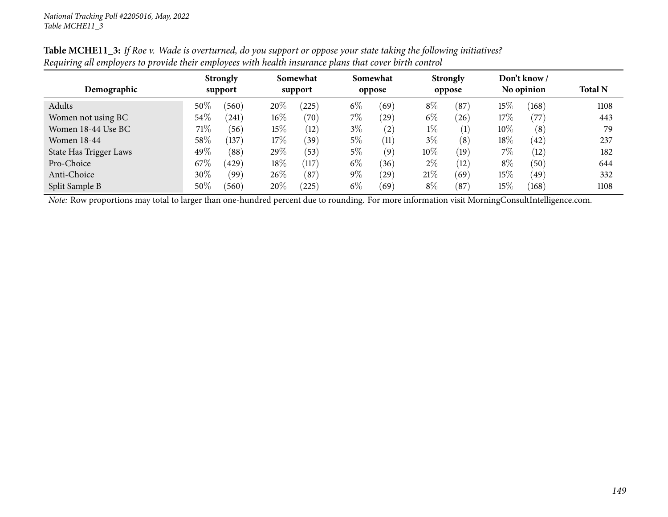| Demographic                   |        | <b>Strongly</b><br>support |        | Somewhat<br>support |       | Somewhat<br>oppose |        | <b>Strongly</b><br>oppose |        | Don't know /<br>No opinion | <b>Total N</b> |
|-------------------------------|--------|----------------------------|--------|---------------------|-------|--------------------|--------|---------------------------|--------|----------------------------|----------------|
| Adults                        | $50\%$ | (560)                      | 20%    | (225)               | $6\%$ | (69)               | $8\%$  | (87)                      | $15\%$ | (168)                      | 1108           |
| Women not using BC            | $54\%$ | (241)                      | $16\%$ | (70)                | $7\%$ | (29)               | $6\%$  | (26)                      | 17%    | (77)                       | 443            |
| Women 18-44 Use BC            | 71\%   | (56)                       | 15%    | (12)                | $3\%$ | (2)                | $1\%$  | $\left( 1\right)$         | $10\%$ | (8)                        | 79             |
| Women 18-44                   | 58\%   | (137)                      | 17\%   | (39)                | $5\%$ | (11)               | $3\%$  | (8)                       | 18%    | (42)                       | 237            |
| <b>State Has Trigger Laws</b> | 49%    | (88)                       | 29%    | (53)                | $5\%$ | (9)                | $10\%$ | (19)                      | $7\%$  | (12)                       | 182            |
| Pro-Choice                    | 67%    | (429)                      | 18%    | (117)               | $6\%$ | (36)               | $2\%$  | (12)                      | $8\%$  | (50)                       | 644            |
| Anti-Choice                   | $30\%$ | (99)                       | 26%    | (87)                | $9\%$ | (29)               | 21%    | (69)                      | $15\%$ | (49)                       | 332            |
| Split Sample B                | $50\%$ | (560)                      | 20%    | (225)               | $6\%$ | (69)               | $8\%$  | (87)                      | 15%    | (168)                      | 1108           |

Table MCHE11\_3: If Roe v. Wade is overturned, do you support or oppose your state taking the following initiatives? Requiring all employers to provide their employees with health insurance plans that cover birth control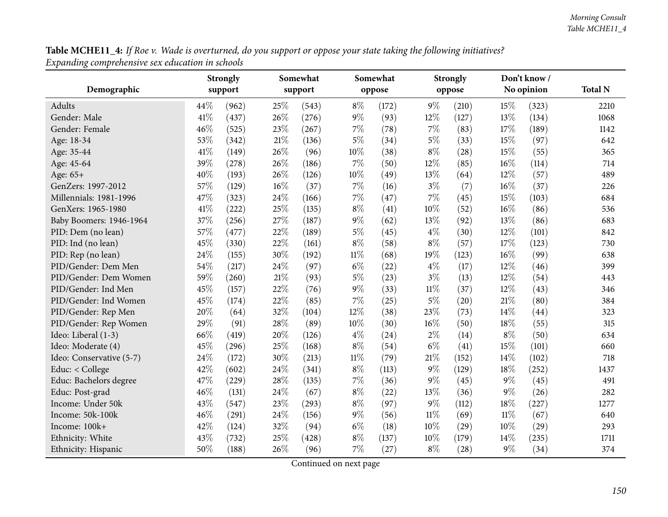| Table MCHE11_4: If Roe v. Wade is overturned, do you support or oppose your state taking the following initiatives? |  |
|---------------------------------------------------------------------------------------------------------------------|--|
| Expanding comprehensive sex education in schools                                                                    |  |

| o                        |      | <b>Strongly</b> |        | Somewhat |        | Somewhat |        | <b>Strongly</b> |        | Don't know / |                |
|--------------------------|------|-----------------|--------|----------|--------|----------|--------|-----------------|--------|--------------|----------------|
| Demographic              |      | support         |        | support  |        | oppose   |        | oppose          |        | No opinion   | <b>Total N</b> |
| Adults                   | 44%  | (962)           | 25%    | (543)    | $8\%$  | (172)    | $9\%$  | (210)           | 15%    | (323)        | 2210           |
| Gender: Male             | 41%  | (437)           | 26%    | (276)    | $9\%$  | (93)     | 12%    | (127)           | 13%    | (134)        | 1068           |
| Gender: Female           | 46%  | (525)           | 23%    | (267)    | 7%     | (78)     | 7%     | (83)            | 17%    | (189)        | 1142           |
| Age: 18-34               | 53%  | (342)           | 21%    | (136)    | $5\%$  | (34)     | $5\%$  | (33)            | 15%    | (97)         | 642            |
| Age: 35-44               | 41\% | (149)           | 26%    | (96)     | 10%    | (38)     | $8\%$  | (28)            | 15%    | (55)         | 365            |
| Age: 45-64               | 39%  | (278)           | 26%    | (186)    | 7%     | (50)     | 12%    | (85)            | 16%    | (114)        | 714            |
| Age: 65+                 | 40%  | (193)           | 26%    | (126)    | 10%    | (49)     | 13%    | (64)            | 12%    | (57)         | 489            |
| GenZers: 1997-2012       | 57%  | (129)           | 16%    | (37)     | 7%     | (16)     | $3\%$  | (7)             | 16%    | (37)         | 226            |
| Millennials: 1981-1996   | 47%  | (323)           | 24%    | (166)    | 7%     | (47)     | 7%     | (45)            | 15%    | (103)        | 684            |
| GenXers: 1965-1980       | 41\% | (222)           | 25%    | (135)    | $8\%$  | (41)     | 10%    | (52)            | 16%    | (86)         | 536            |
| Baby Boomers: 1946-1964  | 37%  | (256)           | 27%    | (187)    | $9\%$  | (62)     | 13%    | (92)            | 13%    | (86)         | 683            |
| PID: Dem (no lean)       | 57%  | (477)           | 22%    | (189)    | $5\%$  | (45)     | $4\%$  | (30)            | 12%    | (101)        | 842            |
| PID: Ind (no lean)       | 45%  | (330)           | 22%    | (161)    | $8\%$  | (58)     | $8\%$  | (57)            | 17%    | (123)        | 730            |
| PID: Rep (no lean)       | 24%  | (155)           | 30%    | (192)    | $11\%$ | (68)     | 19%    | (123)           | 16%    | (99)         | 638            |
| PID/Gender: Dem Men      | 54%  | (217)           | 24%    | (97)     | $6\%$  | (22)     | $4\%$  | (17)            | 12%    | (46)         | 399            |
| PID/Gender: Dem Women    | 59%  | (260)           | $21\%$ | (93)     | $5\%$  | (23)     | $3\%$  | (13)            | 12%    | (54)         | 443            |
| PID/Gender: Ind Men      | 45%  | (157)           | 22%    | (76)     | $9\%$  | (33)     | $11\%$ | (37)            | 12%    | (43)         | 346            |
| PID/Gender: Ind Women    | 45%  | (174)           | 22%    | (85)     | 7%     | (25)     | $5\%$  | (20)            | 21%    | (80)         | 384            |
| PID/Gender: Rep Men      | 20%  | (64)            | 32%    | (104)    | 12%    | (38)     | 23%    | (73)            | 14%    | (44)         | 323            |
| PID/Gender: Rep Women    | 29%  | (91)            | 28%    | (89)     | 10%    | (30)     | 16%    | (50)            | 18%    | (55)         | 315            |
| Ideo: Liberal (1-3)      | 66%  | (419)           | 20%    | (126)    | $4\%$  | (24)     | $2\%$  | (14)            | $8\%$  | (50)         | 634            |
| Ideo: Moderate (4)       | 45%  | (296)           | 25%    | (168)    | $8\%$  | (54)     | $6\%$  | (41)            | 15%    | (101)        | 660            |
| Ideo: Conservative (5-7) | 24%  | (172)           | 30%    | (213)    | $11\%$ | (79)     | 21%    | (152)           | 14%    | (102)        | 718            |
| Educ: < College          | 42%  | (602)           | 24%    | (341)    | $8\%$  | (113)    | $9\%$  | (129)           | 18%    | (252)        | 1437           |
| Educ: Bachelors degree   | 47%  | (229)           | 28%    | (135)    | $7\%$  | (36)     | $9\%$  | (45)            | $9\%$  | (45)         | 491            |
| Educ: Post-grad          | 46%  | (131)           | 24%    | (67)     | $8\%$  | (22)     | 13%    | (36)            | 9%     | (26)         | 282            |
| Income: Under 50k        | 43%  | (547)           | 23%    | (293)    | $8\%$  | (97)     | $9\%$  | (112)           | 18%    | (227)        | 1277           |
| Income: 50k-100k         | 46%  | (291)           | 24%    | (156)    | $9\%$  | (56)     | $11\%$ | (69)            | $11\%$ | (67)         | 640            |
| Income: 100k+            | 42%  | (124)           | 32%    | (94)     | $6\%$  | (18)     | 10%    | (29)            | 10%    | (29)         | 293            |
| Ethnicity: White         | 43%  | (732)           | 25%    | (428)    | $8\%$  | (137)    | 10%    | (179)           | 14%    | (235)        | 1711           |
| Ethnicity: Hispanic      | 50%  | (188)           | 26%    | (96)     | $7\%$  | (27)     | $8\%$  | (28)            | $9\%$  | (34)         | 374            |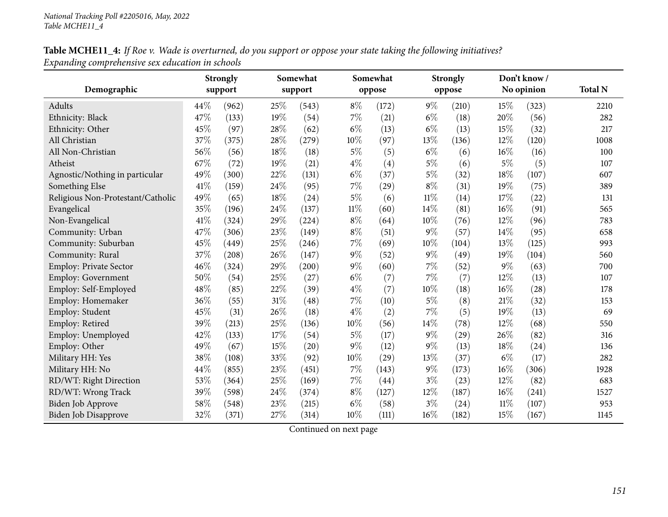# Table MCHE11\_4: If Roe v. Wade is overturned, do you support or oppose your state taking the following initiatives? *Expanding comprehensive sex education in schools*

|                                   |      | <b>Strongly</b> |        | Somewhat |        | Somewhat |        | <b>Strongly</b> |        | Don't know/ |                |
|-----------------------------------|------|-----------------|--------|----------|--------|----------|--------|-----------------|--------|-------------|----------------|
| Demographic                       |      | support         |        | support  |        | oppose   |        | oppose          |        | No opinion  | <b>Total N</b> |
| Adults                            | 44%  | (962)           | 25%    | (543)    | $8\%$  | (172)    | $9\%$  | (210)           | 15%    | (323)       | 2210           |
| Ethnicity: Black                  | 47%  | (133)           | 19%    | (54)     | $7\%$  | (21)     | $6\%$  | (18)            | 20%    | (56)        | 282            |
| Ethnicity: Other                  | 45%  | (97)            | 28%    | (62)     | $6\%$  | (13)     | $6\%$  | (13)            | 15%    | (32)        | 217            |
| All Christian                     | 37%  | (375)           | 28%    | (279)    | 10%    | (97)     | 13%    | (136)           | 12%    | (120)       | 1008           |
| All Non-Christian                 | 56%  | (56)            | 18%    | (18)     | $5\%$  | (5)      | $6\%$  | (6)             | 16%    | (16)        | 100            |
| Atheist                           | 67%  | (72)            | 19%    | (21)     | $4\%$  | (4)      | 5%     | (6)             | $5\%$  | (5)         | 107            |
| Agnostic/Nothing in particular    | 49%  | (300)           | $22\%$ | (131)    | $6\%$  | (37)     | 5%     | (32)            | 18%    | (107)       | 607            |
| Something Else                    | 41\% | (159)           | $24\%$ | (95)     | $7\%$  | (29)     | $8\%$  | (31)            | 19%    | (75)        | 389            |
| Religious Non-Protestant/Catholic | 49%  | (65)            | 18%    | (24)     | $5\%$  | (6)      | 11%    | (14)            | 17%    | (22)        | 131            |
| Evangelical                       | 35%  | (196)           | 24%    | (137)    | $11\%$ | (60)     | 14%    | (81)            | 16%    | (91)        | 565            |
| Non-Evangelical                   | 41\% | (324)           | 29%    | (224)    | $8\%$  | (64)     | 10%    | (76)            | 12%    | (96)        | 783            |
| Community: Urban                  | 47%  | (306)           | $23\%$ | (149)    | $8\%$  | (51)     | 9%     | (57)            | 14%    | (95)        | 658            |
| Community: Suburban               | 45%  | (449)           | 25%    | (246)    | $7\%$  | (69)     | 10%    | (104)           | 13%    | (125)       | 993            |
| Community: Rural                  | 37%  | (208)           | 26%    | (147)    | $9\%$  | (52)     | $9\%$  | (49)            | 19%    | (104)       | 560            |
| Employ: Private Sector            | 46%  | (324)           | 29%    | (200)    | $9\%$  | (60)     | 7%     | (52)            | $9\%$  | (63)        | 700            |
| Employ: Government                | 50%  | (54)            | 25%    | (27)     | $6\%$  | (7)      | 7%     | (7)             | 12%    | (13)        | 107            |
| Employ: Self-Employed             | 48%  | (85)            | 22%    | (39)     | $4\%$  | (7)      | 10%    | (18)            | 16%    | (28)        | 178            |
| Employ: Homemaker                 | 36%  | (55)            | $31\%$ | (48)     | 7%     | (10)     | $5\%$  | (8)             | 21%    | (32)        | 153            |
| Employ: Student                   | 45%  | (31)            | $26\%$ | (18)     | $4\%$  | (2)      | 7%     | (5)             | 19%    | (13)        | 69             |
| Employ: Retired                   | 39%  | (213)           | 25%    | (136)    | 10%    | (56)     | 14%    | (78)            | 12%    | (68)        | 550            |
| Employ: Unemployed                | 42%  | (133)           | 17%    | (54)     | $5\%$  | (17)     | $9\%$  | (29)            | 26%    | (82)        | 316            |
| Employ: Other                     | 49%  | (67)            | 15%    | (20)     | 9%     | (12)     | 9%     | (13)            | 18%    | (24)        | 136            |
| Military HH: Yes                  | 38%  | (108)           | 33%    | (92)     | 10%    | (29)     | 13%    | (37)            | $6\%$  | (17)        | 282            |
| Military HH: No                   | 44%  | (855)           | 23%    | (451)    | 7%     | (143)    | 9%     | (173)           | 16%    | (306)       | 1928           |
| RD/WT: Right Direction            | 53%  | (364)           | 25%    | (169)    | $7\%$  | (44)     | $3\%$  | (23)            | 12%    | (82)        | 683            |
| RD/WT: Wrong Track                | 39%  | (598)           | $24\%$ | (374)    | $8\%$  | (127)    | $12\%$ | (187)           | 16%    | (241)       | 1527           |
| Biden Job Approve                 | 58%  | (548)           | 23%    | (215)    | $6\%$  | (58)     | $3\%$  | (24)            | $11\%$ | (107)       | 953            |
| Biden Job Disapprove              | 32%  | (371)           | $27\%$ | (314)    | 10%    | (111)    | 16%    | (182)           | 15%    | (167)       | 1145           |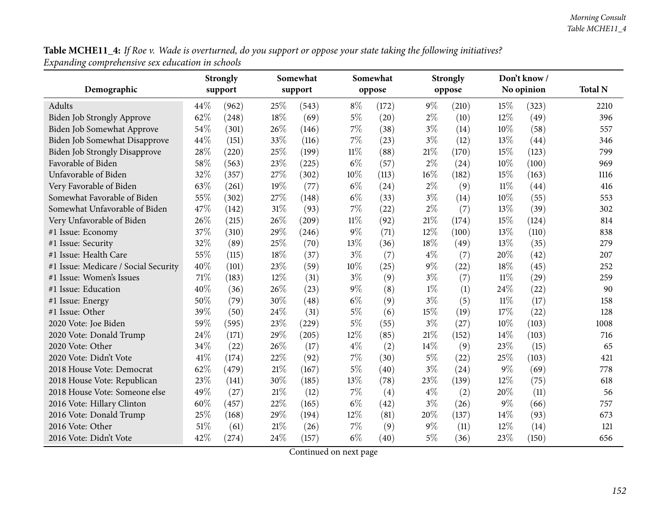Table MCHE11\_4: If Roe v. Wade is overturned, do you support or oppose your state taking the following initiatives? *Expanding comprehensive sex education in schools*

|                                      |      | <b>Strongly</b> |        | Somewhat |        | Somewhat |       | <b>Strongly</b> |        | Don't know / |                |
|--------------------------------------|------|-----------------|--------|----------|--------|----------|-------|-----------------|--------|--------------|----------------|
| Demographic                          |      | support         |        | support  |        | oppose   |       | oppose          |        | No opinion   | <b>Total N</b> |
| Adults                               | 44\% | (962)           | 25%    | (543)    | $8\%$  | (172)    | $9\%$ | (210)           | 15%    | (323)        | 2210           |
| Biden Job Strongly Approve           | 62%  | (248)           | 18%    | (69)     | $5\%$  | (20)     | $2\%$ | (10)            | 12%    | (49)         | 396            |
| Biden Job Somewhat Approve           | 54%  | (301)           | 26%    | (146)    | $7\%$  | (38)     | $3\%$ | (14)            | 10%    | (58)         | 557            |
| Biden Job Somewhat Disapprove        | 44%  | (151)           | 33%    | (116)    | $7\%$  | (23)     | $3\%$ | (12)            | 13%    | (44)         | 346            |
| <b>Biden Job Strongly Disapprove</b> | 28\% | (220)           | 25%    | (199)    | $11\%$ | (88)     | 21\%  | (170)           | 15%    | (123)        | 799            |
| Favorable of Biden                   | 58%  | (563)           | 23%    | (225)    | $6\%$  | (57)     | $2\%$ | (24)            | 10%    | (100)        | 969            |
| Unfavorable of Biden                 | 32%  | (357)           | 27%    | (302)    | 10%    | (113)    | 16%   | (182)           | 15%    | (163)        | 1116           |
| Very Favorable of Biden              | 63%  | (261)           | 19%    | (77)     | $6\%$  | (24)     | $2\%$ | (9)             | $11\%$ | (44)         | 416            |
| Somewhat Favorable of Biden          | 55%  | (302)           | 27%    | (148)    | $6\%$  | (33)     | $3\%$ | (14)            | $10\%$ | (55)         | 553            |
| Somewhat Unfavorable of Biden        | 47%  | (142)           | $31\%$ | (93)     | $7\%$  | (22)     | $2\%$ | (7)             | 13%    | (39)         | 302            |
| Very Unfavorable of Biden            | 26%  | (215)           | 26%    | (209)    | $11\%$ | (92)     | 21\%  | (174)           | 15%    | (124)        | 814            |
| #1 Issue: Economy                    | 37%  | (310)           | 29%    | (246)    | $9\%$  | (71)     | 12%   | (100)           | 13%    | (110)        | 838            |
| #1 Issue: Security                   | 32%  | (89)            | 25%    | (70)     | 13%    | (36)     | 18%   | (49)            | 13%    | (35)         | 279            |
| #1 Issue: Health Care                | 55%  | (115)           | 18%    | (37)     | $3\%$  | (7)      | $4\%$ | (7)             | 20%    | (42)         | 207            |
| #1 Issue: Medicare / Social Security | 40%  | (101)           | 23%    | (59)     | 10%    | (25)     | $9\%$ | (22)            | 18%    | (45)         | 252            |
| #1 Issue: Women's Issues             | 71%  | (183)           | 12%    | (31)     | $3\%$  | (9)      | $3\%$ | (7)             | $11\%$ | (29)         | 259            |
| #1 Issue: Education                  | 40%  | (36)            | 26%    | (23)     | $9\%$  | (8)      | $1\%$ | (1)             | 24%    | (22)         | 90             |
| #1 Issue: Energy                     | 50%  | (79)            | 30%    | (48)     | $6\%$  | (9)      | $3\%$ | (5)             | $11\%$ | (17)         | 158            |
| #1 Issue: Other                      | 39%  | (50)            | 24\%   | (31)     | $5\%$  | (6)      | 15%   | (19)            | 17%    | (22)         | 128            |
| 2020 Vote: Joe Biden                 | 59%  | (595)           | 23%    | (229)    | $5\%$  | (55)     | $3\%$ | (27)            | 10%    | (103)        | 1008           |
| 2020 Vote: Donald Trump              | 24%  | (171)           | 29%    | (205)    | 12%    | (85)     | 21\%  | (152)           | 14%    | (103)        | 716            |
| 2020 Vote: Other                     | 34%  | (22)            | 26%    | (17)     | $4\%$  | (2)      | 14%   | (9)             | 23%    | (15)         | 65             |
| 2020 Vote: Didn't Vote               | 41%  | (174)           | 22%    | (92)     | 7%     | (30)     | $5\%$ | (22)            | 25%    | (103)        | 421            |
| 2018 House Vote: Democrat            | 62%  | (479)           | $21\%$ | (167)    | $5\%$  | (40)     | $3\%$ | (24)            | 9%     | (69)         | 778            |
| 2018 House Vote: Republican          | 23%  | (141)           | 30%    | (185)    | 13%    | (78)     | 23%   | (139)           | 12%    | (75)         | 618            |
| 2018 House Vote: Someone else        | 49%  | (27)            | $21\%$ | (12)     | $7\%$  | (4)      | $4\%$ | (2)             | 20%    | (11)         | 56             |
| 2016 Vote: Hillary Clinton           | 60%  | (457)           | 22%    | (165)    | $6\%$  | (42)     | $3\%$ | (26)            | $9\%$  | (66)         | 757            |
| 2016 Vote: Donald Trump              | 25%  | (168)           | 29%    | (194)    | 12%    | (81)     | 20%   | (137)           | 14\%   | (93)         | 673            |
| 2016 Vote: Other                     | 51%  | (61)            | $21\%$ | (26)     | $7\%$  | (9)      | $9\%$ | (11)            | 12%    | (14)         | 121            |
| 2016 Vote: Didn't Vote               | 42%  | (274)           | 24\%   | (157)    | $6\%$  | (40)     | $5\%$ | (36)            | 23%    | (150)        | 656            |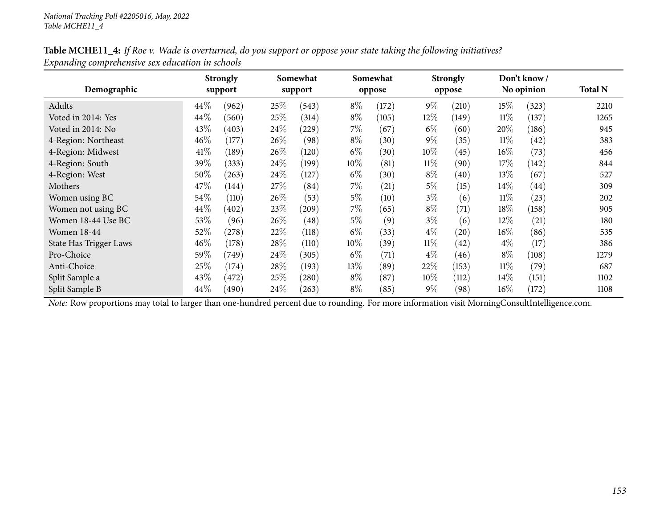# Table MCHE11\_4: If Roe v. Wade is overturned, do you support or oppose your state taking the following initiatives? *Expanding comprehensive sex education in schools*

| Demographic                   |        | <b>Strongly</b><br>support |        | Somewhat<br>support |        | Somewhat<br>oppose |        | <b>Strongly</b><br>oppose |        | Don't know/<br>No opinion | <b>Total N</b> |
|-------------------------------|--------|----------------------------|--------|---------------------|--------|--------------------|--------|---------------------------|--------|---------------------------|----------------|
| Adults                        | $44\%$ | (962)                      | 25\%   | (543)               | $8\%$  | (172)              | $9\%$  | (210)                     | 15%    | (323)                     | 2210           |
| Voted in 2014: Yes            | 44\%   | (560)                      | 25\%   | (314)               | $8\%$  | (105)              | 12%    | (149)                     | $11\%$ | (137)                     | 1265           |
| Voted in 2014: No             | 43\%   | (403)                      | 24\%   | $^{'}229)$          | $7\%$  | (67)               | $6\%$  | (60)                      | 20%    | (186)                     | 945            |
| 4-Region: Northeast           | 46%    | (177)                      | 26\%   | (98)                | $8\%$  | (30)               | $9\%$  | (35)                      | $11\%$ | (42)                      | 383            |
| 4-Region: Midwest             | 41\%   | (189)                      | $26\%$ | (120)               | $6\%$  | (30)               | $10\%$ | (45)                      | $16\%$ | (73)                      | 456            |
| 4-Region: South               | 39%    | (333)                      | 24\%   | (199)               | 10%    | (81)               | $11\%$ | (90)                      | 17%    | (142)                     | 844            |
| 4-Region: West                | 50%    | (263)                      | 24\%   | (127)               | $6\%$  | (30)               | $8\%$  | (40)                      | 13\%   | (67)                      | 527            |
| Mothers                       | 47\%   | (144)                      | 27\%   | (84)                | $7\%$  | (21)               | $5\%$  | (15)                      | $14\%$ | $\left( 44\right)$        | 309            |
| Women using BC                | 54\%   | (110)                      | $26\%$ | (53)                | 5%     | (10)               | $3\%$  | (6)                       | $11\%$ | (23)                      | 202            |
| Women not using BC            | $44\%$ | (402)                      | 23%    | (209)               | $7\%$  | (65)               | $8\%$  | (71)                      | 18%    | (158)                     | 905            |
| Women 18-44 Use BC            | 53%    | (96)                       | 26%    | (48)                | $5\%$  | (9)                | $3\%$  | (6)                       | 12%    | (21)                      | 180            |
| <b>Women 18-44</b>            | 52%    | $^{'}278)$                 | 22%    | (118)               | $6\%$  | (33)               | $4\%$  | (20)                      | $16\%$ | (86)                      | 535            |
| <b>State Has Trigger Laws</b> | 46%    | (178)                      | 28\%   | (110)               | $10\%$ | (39)               | $11\%$ | (42)                      | $4\%$  | (17)                      | 386            |
| Pro-Choice                    | 59%    | (749)                      | 24\%   | (305)               | $6\%$  | (71)               | $4\%$  | (46)                      | $8\%$  | (108)                     | 1279           |
| Anti-Choice                   | 25\%   | (174)                      | 28\%   | (193)               | 13\%   | (89)               | 22%    | (153)                     | $11\%$ | (79)                      | 687            |
| Split Sample a                | 43\%   | (472)                      | 25\%   | (280)               | $8\%$  | (87)               | $10\%$ | (112)                     | 14%    | (151)                     | 1102           |
| Split Sample B                | 44\%   | (490)                      | 24\%   | (263)               | $8\%$  | (85)               | $9\%$  | (98)                      | $16\%$ | (172)                     | 1108           |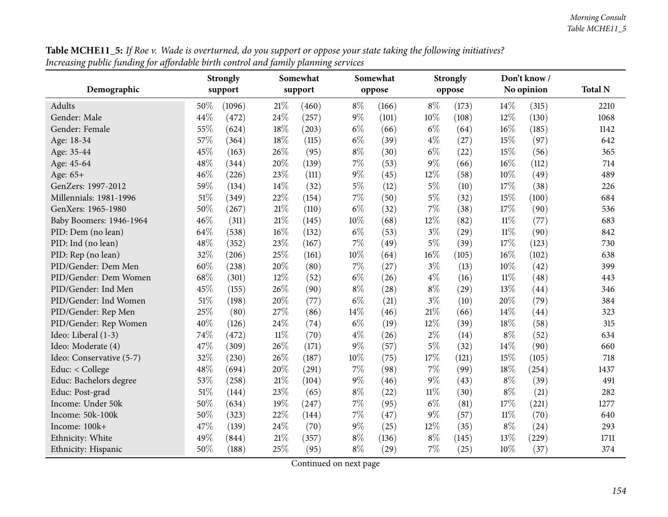|                          |        | <b>Strongly</b> |        | Somewhat |        | Somewhat |        | <b>Strongly</b> |        | Don't know/ |                |
|--------------------------|--------|-----------------|--------|----------|--------|----------|--------|-----------------|--------|-------------|----------------|
| Demographic              |        | support         |        | support  |        | oppose   |        | oppose          |        | No opinion  | <b>Total N</b> |
| Adults                   | 50%    | (1096)          | $21\%$ | (460)    | $8\%$  | (166)    | $8\%$  | (173)           | 14%    | (315)       | 2210           |
| Gender: Male             | 44%    | (472)           | 24%    | (257)    | $9\%$  | (101)    | 10%    | (108)           | 12%    | (130)       | 1068           |
| Gender: Female           | 55%    | (624)           | 18%    | (203)    | $6\%$  | (66)     | $6\%$  | (64)            | 16%    | (185)       | 1142           |
| Age: 18-34               | 57%    | (364)           | 18%    | (115)    | $6\%$  | (39)     | $4\%$  | (27)            | 15%    | (97)        | 642            |
| Age: 35-44               | 45%    | (163)           | 26%    | (95)     | $8\%$  | (30)     | $6\%$  | (22)            | 15%    | (56)        | 365            |
| Age: 45-64               | 48%    | (344)           | 20%    | (139)    | $7\%$  | (53)     | 9%     | (66)            | 16%    | (112)       | 714            |
| Age: 65+                 | 46%    | (226)           | 23%    | (111)    | $9\%$  | (45)     | 12%    | (58)            | 10%    | (49)        | 489            |
| GenZers: 1997-2012       | 59%    | (134)           | 14%    | (32)     | $5\%$  | (12)     | $5\%$  | (10)            | 17%    | (38)        | 226            |
| Millennials: 1981-1996   | 51\%   | (349)           | 22%    | (154)    | $7\%$  | (50)     | $5\%$  | (32)            | 15%    | (100)       | 684            |
| GenXers: 1965-1980       | 50%    | (267)           | $21\%$ | (110)    | $6\%$  | (32)     | 7%     | (38)            | 17%    | (90)        | 536            |
| Baby Boomers: 1946-1964  | 46%    | (311)           | 21\%   | (145)    | 10%    | (68)     | 12%    | (82)            | $11\%$ | (77)        | 683            |
| PID: Dem (no lean)       | 64%    | (538)           | $16\%$ | (132)    | $6\%$  | (53)     | $3\%$  | (29)            | $11\%$ | (90)        | 842            |
| PID: Ind (no lean)       | 48%    | (352)           | 23%    | (167)    | 7%     | (49)     | $5\%$  | (39)            | 17%    | (123)       | 730            |
| PID: Rep (no lean)       | 32%    | (206)           | 25%    | (161)    | 10%    | (64)     | 16%    | (105)           | 16%    | (102)       | 638            |
| PID/Gender: Dem Men      | 60%    | (238)           | 20%    | (80)     | $7\%$  | (27)     | $3\%$  | (13)            | 10%    | (42)        | 399            |
| PID/Gender: Dem Women    | 68%    | (301)           | 12%    | (52)     | $6\%$  | (26)     | 4%     | (16)            | $11\%$ | (48)        | 443            |
| PID/Gender: Ind Men      | 45%    | (155)           | 26%    | (90)     | $8\%$  | (28)     | $8\%$  | (29)            | 13%    | (44)        | 346            |
| PID/Gender: Ind Women    | $51\%$ | (198)           | $20\%$ | (77)     | $6\%$  | (21)     | $3\%$  | (10)            | 20%    | (79)        | 384            |
| PID/Gender: Rep Men      | 25%    | (80)            | 27%    | (86)     | 14%    | (46)     | 21%    | (66)            | 14%    | (44)        | 323            |
| PID/Gender: Rep Women    | 40%    | (126)           | 24%    | (74)     | $6\%$  | (19)     | 12%    | (39)            | 18%    | (58)        | 315            |
| Ideo: Liberal (1-3)      | 74%    | (472)           | $11\%$ | (70)     | $4\%$  | (26)     | $2\%$  | (14)            | $8\%$  | (52)        | 634            |
| Ideo: Moderate (4)       | 47\%   | (309)           | 26%    | (171)    | $9\%$  | (57)     | 5%     | (32)            | 14%    | (90)        | 660            |
| Ideo: Conservative (5-7) | 32%    | (230)           | 26%    | (187)    | $10\%$ | (75)     | 17%    | (121)           | 15%    | (105)       | 718            |
| Educ: < College          | 48%    | (694)           | 20%    | (291)    | 7%     | (98)     | 7%     | (99)            | 18%    | (254)       | 1437           |
| Educ: Bachelors degree   | 53%    | (258)           | $21\%$ | (104)    | $9\%$  | (46)     | 9%     | (43)            | $8\%$  | (39)        | 491            |
| Educ: Post-grad          | 51\%   | (144)           | 23%    | (65)     | $8\%$  | (22)     | $11\%$ | (30)            | $8\%$  | (21)        | 282            |
| Income: Under 50k        | 50%    | (634)           | 19%    | (247)    | $7\%$  | (95)     | $6\%$  | (81)            | 17%    | (221)       | 1277           |
| Income: 50k-100k         | 50%    | (323)           | 22%    | (144)    | 7%     | (47)     | $9\%$  | (57)            | $11\%$ | (70)        | 640            |
| Income: 100k+            | 47%    | (139)           | 24%    | (70)     | $9\%$  | (25)     | 12%    | (35)            | $8\%$  | (24)        | 293            |
| Ethnicity: White         | 49%    | (844)           | 21\%   | (357)    | $8\%$  | (136)    | $8\%$  | (145)           | 13%    | (229)       | 1711           |
| Ethnicity: Hispanic      | 50%    | (188)           | 25%    | (95)     | $8\%$  | (29)     | 7%     | (25)            | 10%    | (37)        | 374            |

**Table MCHE11\_5:** If Roe v. Wade is overturned, do you support or oppose your state taking the following initiatives? Increasing public funding for affordable birth control and family planning services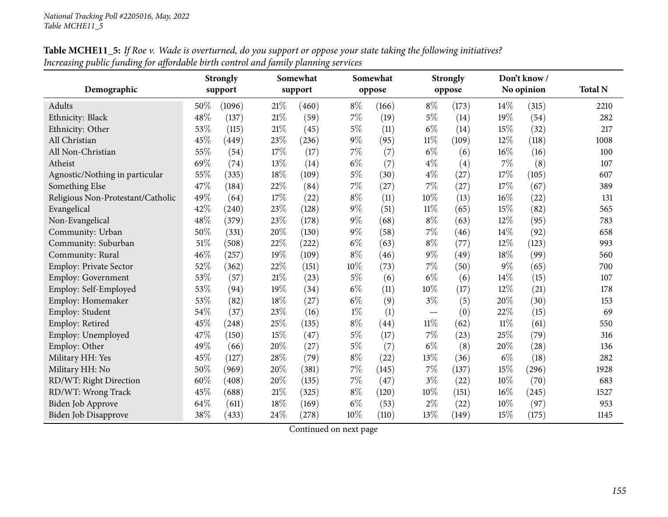|                                   |        | <b>Strongly</b> |        | Somewhat |        | Somewhat |        | <b>Strongly</b> |        | Don't know/ |                |
|-----------------------------------|--------|-----------------|--------|----------|--------|----------|--------|-----------------|--------|-------------|----------------|
| Demographic                       |        | support         |        | support  |        | oppose   |        | oppose          |        | No opinion  | <b>Total N</b> |
| Adults                            | 50%    | (1096)          | 21%    | (460)    | $8\%$  | (166)    | $8\%$  | (173)           | $14\%$ | (315)       | 2210           |
| Ethnicity: Black                  | 48%    | (137)           | 21%    | (59)     | 7%     | (19)     | $5\%$  | (14)            | 19%    | (54)        | 282            |
| Ethnicity: Other                  | 53%    | (115)           | 21\%   | (45)     | $5\%$  | (11)     | $6\%$  | (14)            | 15%    | (32)        | 217            |
| All Christian                     | 45%    | (449)           | 23%    | (236)    | $9\%$  | (95)     | $11\%$ | (109)           | 12%    | (118)       | 1008           |
| All Non-Christian                 | 55%    | (54)            | 17%    | (17)     | 7%     | (7)      | $6\%$  | (6)             | 16%    | (16)        | 100            |
| Atheist                           | 69%    | (74)            | $13\%$ | (14)     | $6\%$  | (7)      | $4\%$  | (4)             | 7%     | (8)         | 107            |
| Agnostic/Nothing in particular    | 55%    | (335)           | $18\%$ | (109)    | $5\%$  | (30)     | $4\%$  | (27)            | 17%    | (105)       | 607            |
| Something Else                    | 47%    | (184)           | 22%    | (84)     | $7\%$  | (27)     | 7%     | (27)            | 17%    | (67)        | 389            |
| Religious Non-Protestant/Catholic | 49%    | (64)            | 17%    | (22)     | $8\%$  | (11)     | 10%    | (13)            | 16%    | (22)        | 131            |
| Evangelical                       | 42%    | (240)           | 23%    | (128)    | $9\%$  | (51)     | $11\%$ | (65)            | 15%    | (82)        | 565            |
| Non-Evangelical                   | 48%    | (379)           | 23%    | (178)    | $9\%$  | (68)     | $8\%$  | (63)            | 12%    | (95)        | 783            |
| Community: Urban                  | 50%    | (331)           | 20%    | (130)    | $9\%$  | (58)     | $7\%$  | (46)            | 14%    | (92)        | 658            |
| Community: Suburban               | $51\%$ | (508)           | $22\%$ | (222)    | $6\%$  | (63)     | $8\%$  | (77)            | 12%    | (123)       | 993            |
| Community: Rural                  | 46%    | (257)           | 19%    | (109)    | $8\%$  | (46)     | $9\%$  | (49)            | 18%    | (99)        | 560            |
| <b>Employ: Private Sector</b>     | 52%    | (362)           | $22\%$ | (151)    | $10\%$ | (73)     | 7%     | (50)            | 9%     | (65)        | 700            |
| <b>Employ: Government</b>         | 53%    | (57)            | $21\%$ | (23)     | $5\%$  | (6)      | $6\%$  | (6)             | 14%    | (15)        | 107            |
| Employ: Self-Employed             | 53%    | (94)            | 19%    | (34)     | $6\%$  | (11)     | 10%    | (17)            | 12%    | (21)        | 178            |
| Employ: Homemaker                 | 53%    | (82)            | 18%    | (27)     | $6\%$  | (9)      | $3\%$  | (5)             | 20%    | (30)        | 153            |
| Employ: Student                   | 54%    | (37)            | 23%    | (16)     | $1\%$  | (1)      |        | (0)             | 22%    | (15)        | 69             |
| Employ: Retired                   | 45%    | (248)           | 25%    | (135)    | $8\%$  | (44)     | $11\%$ | (62)            | $11\%$ | (61)        | 550            |
| Employ: Unemployed                | 47%    | (150)           | 15%    | (47)     | $5\%$  | (17)     | $7\%$  | (23)            | 25%    | (79)        | 316            |
| Employ: Other                     | 49%    | (66)            | $20\%$ | (27)     | $5\%$  | (7)      | $6\%$  | (8)             | 20%    | (28)        | 136            |
| Military HH: Yes                  | 45%    | (127)           | 28%    | (79)     | $8\%$  | (22)     | 13%    | (36)            | $6\%$  | (18)        | 282            |
| Military HH: No                   | 50%    | (969)           | 20%    | (381)    | $7\%$  | (145)    | 7%     | (137)           | 15%    | (296)       | 1928           |
| RD/WT: Right Direction            | 60%    | (408)           | 20%    | (135)    | 7%     | (47)     | $3\%$  | (22)            | 10%    | (70)        | 683            |
| RD/WT: Wrong Track                | 45%    | (688)           | $21\%$ | (325)    | $8\%$  | (120)    | 10%    | (151)           | 16%    | (245)       | 1527           |
| Biden Job Approve                 | 64%    | (611)           | 18%    | (169)    | $6\%$  | (53)     | $2\%$  | (22)            | 10%    | (97)        | 953            |
| Biden Job Disapprove              | 38%    | (433)           | 24\%   | (278)    | 10%    | (110)    | 13%    | (149)           | 15%    | (175)       | 1145           |

Table MCHE11\_5: If Roe v. Wade is overturned, do you support or oppose your state taking the following initiatives? Increasing public funding for affordable birth control and family planning services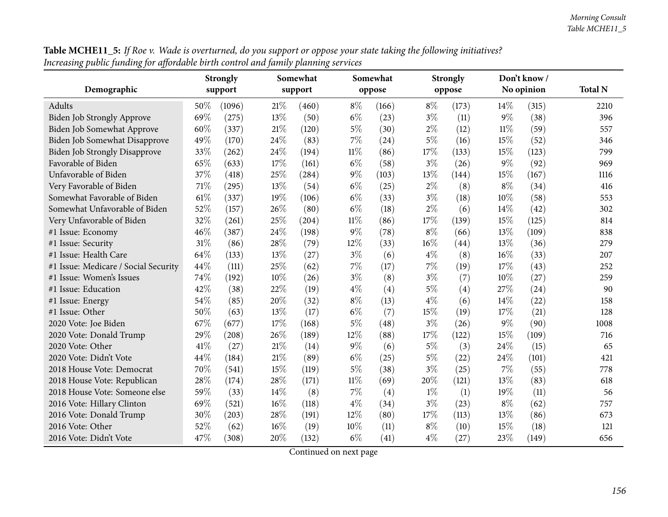| <b>Table MCHE11_5:</b> If Roe v. Wade is overturned, do you support or oppose your state taking the following initiatives? |  |
|----------------------------------------------------------------------------------------------------------------------------|--|
| Increasing public funding for affordable birth control and family planning services                                        |  |

| $\bullet$ .<br>o,                    | Somewhat<br><b>Strongly</b> |         |        | o       | Somewhat |        | <b>Strongly</b> |        | Don't know / |            |                |
|--------------------------------------|-----------------------------|---------|--------|---------|----------|--------|-----------------|--------|--------------|------------|----------------|
| Demographic                          |                             | support |        | support |          | oppose |                 | oppose |              | No opinion | <b>Total N</b> |
| Adults                               | 50%                         | (1096)  | 21\%   | (460)   | $8\%$    | (166)  | $8\%$           | (173)  | 14%          | (315)      | 2210           |
| Biden Job Strongly Approve           | 69%                         | (275)   | 13%    | (50)    | $6\%$    | (23)   | $3\%$           | (11)   | $9\%$        | (38)       | 396            |
| Biden Job Somewhat Approve           | 60%                         | (337)   | $21\%$ | (120)   | $5\%$    | (30)   | $2\%$           | (12)   | $11\%$       | (59)       | 557            |
| Biden Job Somewhat Disapprove        | 49%                         | (170)   | 24%    | (83)    | 7%       | (24)   | $5\%$           | (16)   | 15%          | (52)       | 346            |
| <b>Biden Job Strongly Disapprove</b> | 33%                         | (262)   | 24%    | (194)   | $11\%$   | (86)   | 17%             | (133)  | 15%          | (123)      | 799            |
| Favorable of Biden                   | 65%                         | (633)   | 17%    | (161)   | $6\%$    | (58)   | $3\%$           | (26)   | $9\%$        | (92)       | 969            |
| Unfavorable of Biden                 | 37%                         | (418)   | 25%    | (284)   | $9\%$    | (103)  | 13%             | (144)  | 15%          | (167)      | 1116           |
| Very Favorable of Biden              | 71%                         | (295)   | 13%    | (54)    | $6\%$    | (25)   | $2\%$           | (8)    | $8\%$        | (34)       | 416            |
| Somewhat Favorable of Biden          | 61\%                        | (337)   | 19%    | (106)   | $6\%$    | (33)   | $3\%$           | (18)   | 10%          | (58)       | 553            |
| Somewhat Unfavorable of Biden        | 52%                         | (157)   | 26%    | (80)    | $6\%$    | (18)   | $2\%$           | (6)    | 14%          | (42)       | 302            |
| Very Unfavorable of Biden            | 32%                         | (261)   | 25%    | (204)   | $11\%$   | (86)   | 17%             | (139)  | 15%          | (125)      | 814            |
| #1 Issue: Economy                    | 46%                         | (387)   | 24%    | (198)   | 9%       | (78)   | $8\%$           | (66)   | 13%          | (109)      | 838            |
| #1 Issue: Security                   | $31\%$                      | (86)    | 28%    | (79)    | 12%      | (33)   | 16%             | (44)   | 13%          | (36)       | 279            |
| #1 Issue: Health Care                | 64%                         | (133)   | 13%    | (27)    | $3\%$    | (6)    | $4\%$           | (8)    | 16%          | (33)       | 207            |
| #1 Issue: Medicare / Social Security | 44%                         | (111)   | 25%    | (62)    | 7%       | (17)   | $7\%$           | (19)   | 17%          | (43)       | 252            |
| #1 Issue: Women's Issues             | 74%                         | (192)   | 10%    | (26)    | $3\%$    | (8)    | $3\%$           | (7)    | 10%          | (27)       | 259            |
| #1 Issue: Education                  | 42%                         | (38)    | 22%    | (19)    | $4\%$    | (4)    | $5\%$           | (4)    | 27%          | (24)       | 90             |
| #1 Issue: Energy                     | 54%                         | (85)    | 20%    | (32)    | $8\%$    | (13)   | $4\%$           | (6)    | 14%          | (22)       | 158            |
| #1 Issue: Other                      | 50%                         | (63)    | 13%    | (17)    | $6\%$    | (7)    | 15%             | (19)   | 17%          | (21)       | 128            |
| 2020 Vote: Joe Biden                 | 67%                         | (677)   | 17%    | (168)   | 5%       | (48)   | $3\%$           | (26)   | 9%           | (90)       | 1008           |
| 2020 Vote: Donald Trump              | 29%                         | (208)   | 26%    | (189)   | 12%      | (88)   | 17%             | (122)  | 15%          | (109)      | 716            |
| 2020 Vote: Other                     | 41\%                        | (27)    | 21%    | (14)    | $9\%$    | (6)    | $5\%$           | (3)    | 24%          | (15)       | 65             |
| 2020 Vote: Didn't Vote               | 44%                         | (184)   | $21\%$ | (89)    | $6\%$    | (25)   | $5\%$           | (22)   | 24%          | (101)      | 421            |
| 2018 House Vote: Democrat            | 70%                         | (541)   | 15%    | (119)   | $5\%$    | (38)   | $3\%$           | (25)   | 7%           | (55)       | 778            |
| 2018 House Vote: Republican          | 28%                         | (174)   | 28%    | (171)   | $11\%$   | (69)   | 20%             | (121)  | 13%          | (83)       | 618            |
| 2018 House Vote: Someone else        | 59%                         | (33)    | 14%    | (8)     | 7%       | (4)    | $1\%$           | (1)    | 19%          | (11)       | 56             |
| 2016 Vote: Hillary Clinton           | 69%                         | (521)   | 16%    | (118)   | $4\%$    | (34)   | $3\%$           | (23)   | $8\%$        | (62)       | 757            |
| 2016 Vote: Donald Trump              | 30%                         | (203)   | 28%    | (191)   | 12%      | (80)   | 17%             | (113)  | 13%          | (86)       | 673            |
| 2016 Vote: Other                     | 52%                         | (62)    | 16%    | (19)    | 10%      | (11)   | $8\%$           | (10)   | 15%          | (18)       | 121            |
| 2016 Vote: Didn't Vote               | 47%                         | (308)   | 20%    | (132)   | $6\%$    | (41)   | $4\%$           | (27)   | 23%          | (149)      | 656            |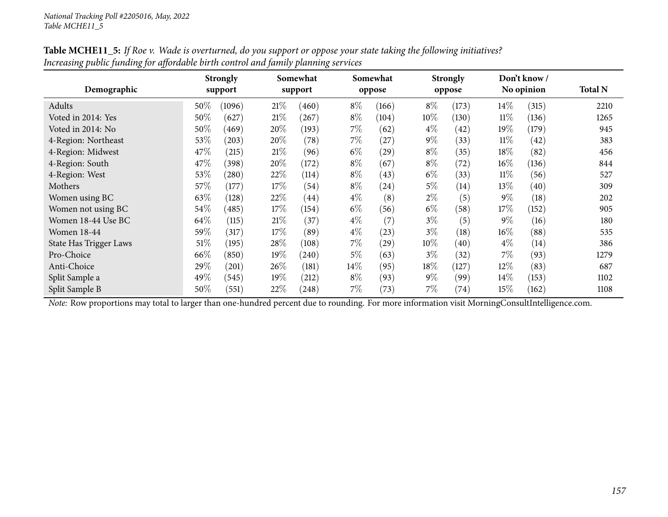| Demographic                   |        | <b>Strongly</b><br>support |        | Somewhat<br>support |        | Somewhat<br>oppose |        | <b>Strongly</b><br>oppose |        | Don't know /<br>No opinion | <b>Total N</b> |
|-------------------------------|--------|----------------------------|--------|---------------------|--------|--------------------|--------|---------------------------|--------|----------------------------|----------------|
| Adults                        | 50%    | (1096)                     | 21%    | (460)               | $8\%$  | (166)              | $8\%$  | (173)                     | $14\%$ | (315)                      | 2210           |
| Voted in 2014: Yes            | 50%    | (627)                      | 21%    | (267)               | $8\%$  | (104)              | $10\%$ | (130)                     | $11\%$ | (136)                      | 1265           |
| Voted in 2014: No             | 50%    | (469)                      | 20%    | (193)               | 7%     | (62)               | $4\%$  | (42)                      | 19%    | (179)                      | 945            |
| 4-Region: Northeast           | 53\%   | (203)                      | 20%    | (78)                | $7\%$  | (27)               | $9\%$  | (33)                      | $11\%$ | (42)                       | 383            |
| 4-Region: Midwest             | 47\%   | $^{'}215)$                 | 21%    | (96)                | $6\%$  | (29)               | $8\%$  | (35)                      | $18\%$ | (82)                       | 456            |
| 4-Region: South               | 47\%   | (398)                      | 20%    | (172)               | $8\%$  | (67)               | $8\%$  | (72)                      | $16\%$ | (136)                      | 844            |
| 4-Region: West                | 53%    | $^{'}280$                  | 22\%   | (114)               | $8\%$  | (43)               | $6\%$  | (33)                      | $11\%$ | (56)                       | 527            |
| Mothers                       | 57\%   | (177)                      | 17%    | (54)                | $8\%$  | (24)               | $5\%$  | (14)                      | 13\%   | (40)                       | 309            |
| Women using BC                | 63%    | (128)                      | 22%    | $\left( 44\right)$  | $4\%$  | (8)                | 2%     | (5)                       | $9\%$  | (18)                       | 202            |
| Women not using BC            | 54\%   | (485)                      | 17%    | (154)               | $6\%$  | (56)               | $6\%$  | (58)                      | 17%    | (152)                      | 905            |
| Women 18-44 Use BC            | 64\%   | (115)                      | 21\%   | (37)                | $4\%$  | (7)                | $3\%$  | (5)                       | $9\%$  | (16)                       | 180            |
| <b>Women 18-44</b>            | 59%    | (317)                      | 17%    | (89)                | $4\%$  | (23)               | $3\%$  | (18)                      | $16\%$ | (88)                       | 535            |
| <b>State Has Trigger Laws</b> | $51\%$ | (195)                      | 28\%   | (108)               | $7\%$  | (29)               | $10\%$ | $\left( 40\right)$        | $4\%$  | (14)                       | 386            |
| Pro-Choice                    | 66\%   | (850)                      | 19%    | (240)               | $5\%$  | (63)               | $3\%$  | (32)                      | $7\%$  | (93)                       | 1279           |
| Anti-Choice                   | 29%    | (201)                      | $26\%$ | (181)               | $14\%$ | (95)               | 18%    | (127)                     | 12%    | (83)                       | 687            |
| Split Sample a                | 49\%   | (545)                      | 19%    | (212)               | $8\%$  | (93)               | $9\%$  | (99)                      | 14%    | (153)                      | 1102           |
| Split Sample B                | 50%    | (551)                      | 22%    | (248)               | $7\%$  | (73)               | $7\%$  | (74)                      | 15%    | (162)                      | 1108           |

Table MCHE11\_5: If Roe v. Wade is overturned, do you support or oppose your state taking the following initiatives? Increasing public funding for affordable birth control and family planning services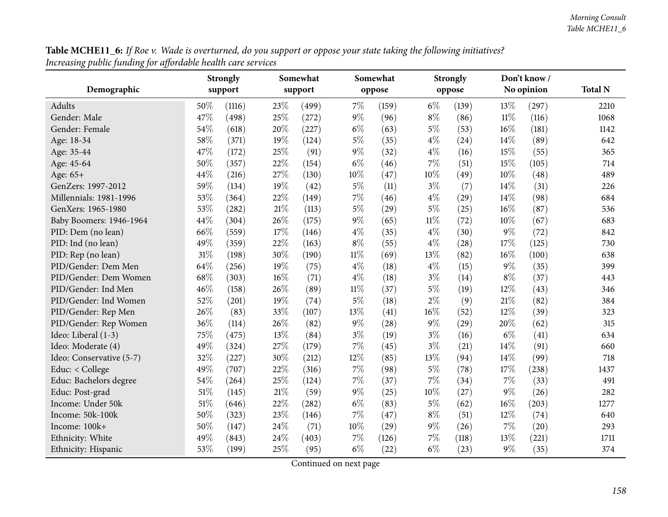**Table MCHE11\_6:** If Roe v. Wade is overturned, do you support or oppose your state taking the following initiatives? *Increasing public funding for affordable health care services*

|                          |        | <b>Strongly</b> | Somewhat |         |        | Somewhat |        | <b>Strongly</b> |        | Don't know/ |                |
|--------------------------|--------|-----------------|----------|---------|--------|----------|--------|-----------------|--------|-------------|----------------|
| Demographic              |        | support         |          | support |        | oppose   |        | oppose          |        | No opinion  | <b>Total N</b> |
| Adults                   | 50%    | (1116)          | 23%      | (499)   | 7%     | (159)    | $6\%$  | (139)           | 13%    | (297)       | 2210           |
| Gender: Male             | 47%    | (498)           | 25%      | (272)   | $9\%$  | (96)     | $8\%$  | (86)            | $11\%$ | (116)       | 1068           |
| Gender: Female           | 54%    | (618)           | 20%      | (227)   | $6\%$  | (63)     | 5%     | (53)            | 16%    | (181)       | 1142           |
| Age: 18-34               | 58%    | (371)           | 19%      | (124)   | $5\%$  | (35)     | 4%     | (24)            | 14%    | (89)        | 642            |
| Age: 35-44               | 47%    | (172)           | 25%      | (91)    | $9\%$  | (32)     | 4%     | (16)            | 15%    | (55)        | 365            |
| Age: 45-64               | 50%    | (357)           | 22%      | (154)   | $6\%$  | (46)     | 7%     | (51)            | 15%    | (105)       | 714            |
| Age: 65+                 | 44%    | (216)           | 27%      | (130)   | $10\%$ | (47)     | $10\%$ | (49)            | 10%    | (48)        | 489            |
| GenZers: 1997-2012       | 59%    | (134)           | 19%      | (42)    | $5\%$  | (11)     | $3\%$  | (7)             | 14%    | (31)        | 226            |
| Millennials: 1981-1996   | 53%    | (364)           | 22%      | (149)   | 7%     | (46)     | 4%     | (29)            | 14%    | (98)        | 684            |
| GenXers: 1965-1980       | 53%    | (282)           | 21\%     | (113)   | $5\%$  | (29)     | 5%     | (25)            | 16%    | (87)        | 536            |
| Baby Boomers: 1946-1964  | 44%    | (304)           | 26%      | (175)   | $9\%$  | (65)     | $11\%$ | (72)            | 10%    | (67)        | 683            |
| PID: Dem (no lean)       | 66%    | (559)           | 17%      | (146)   | $4\%$  | (35)     | $4\%$  | (30)            | 9%     | (72)        | 842            |
| PID: Ind (no lean)       | 49%    | (359)           | 22%      | (163)   | $8\%$  | (55)     | 4%     | (28)            | 17%    | (125)       | 730            |
| PID: Rep (no lean)       | $31\%$ | (198)           | 30%      | (190)   | $11\%$ | (69)     | 13%    | (82)            | 16%    | (100)       | 638            |
| PID/Gender: Dem Men      | 64%    | (256)           | 19%      | (75)    | $4\%$  | (18)     | 4%     | (15)            | $9\%$  | (35)        | 399            |
| PID/Gender: Dem Women    | 68%    | (303)           | 16%      | (71)    | $4\%$  | (18)     | $3\%$  | (14)            | $8\%$  | (37)        | 443            |
| PID/Gender: Ind Men      | 46%    | (158)           | 26%      | (89)    | $11\%$ | (37)     | $5\%$  | (19)            | 12%    | (43)        | 346            |
| PID/Gender: Ind Women    | 52%    | (201)           | 19%      | (74)    | $5\%$  | (18)     | 2%     | (9)             | 21%    | (82)        | 384            |
| PID/Gender: Rep Men      | 26%    | (83)            | 33%      | (107)   | 13%    | (41)     | 16%    | (52)            | 12%    | (39)        | 323            |
| PID/Gender: Rep Women    | 36%    | (114)           | 26%      | (82)    | $9\%$  | (28)     | $9\%$  | (29)            | 20%    | (62)        | 315            |
| Ideo: Liberal (1-3)      | 75%    | (475)           | 13%      | (84)    | $3\%$  | (19)     | $3\%$  | (16)            | $6\%$  | (41)        | 634            |
| Ideo: Moderate (4)       | 49%    | (324)           | $27\%$   | (179)   | 7%     | (45)     | $3\%$  | (21)            | 14%    | (91)        | 660            |
| Ideo: Conservative (5-7) | 32%    | (227)           | 30%      | (212)   | 12%    | (85)     | 13%    | (94)            | 14%    | (99)        | 718            |
| Educ: < College          | 49%    | (707)           | 22%      | (316)   | 7%     | (98)     | 5%     | (78)            | 17%    | (238)       | 1437           |
| Educ: Bachelors degree   | 54%    | (264)           | 25%      | (124)   | $7\%$  | (37)     | 7%     | (34)            | 7%     | (33)        | 491            |
| Educ: Post-grad          | 51%    | (145)           | $21\%$   | (59)    | $9\%$  | (25)     | $10\%$ | (27)            | 9%     | (26)        | 282            |
| Income: Under 50k        | 51\%   | (646)           | 22%      | (282)   | $6\%$  | (83)     | $5\%$  | (62)            | 16%    | (203)       | 1277           |
| Income: 50k-100k         | 50%    | (323)           | 23%      | (146)   | $7\%$  | (47)     | $8\%$  | (51)            | 12%    | (74)        | 640            |
| Income: 100k+            | 50%    | (147)           | 24%      | (71)    | 10%    | (29)     | 9%     | (26)            | 7%     | (20)        | 293            |
| Ethnicity: White         | 49%    | (843)           | 24%      | (403)   | 7%     | (126)    | 7%     | (118)           | 13%    | (221)       | 1711           |
| Ethnicity: Hispanic      | 53%    | (199)           | 25%      | (95)    | $6\%$  | (22)     | $6\%$  | (23)            | $9\%$  | (35)        | 374            |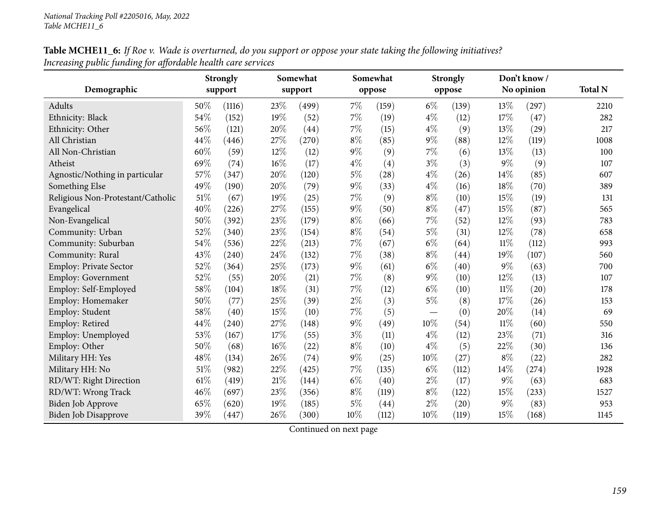# Table MCHE11\_6: If Roe v. Wade is overturned, do you support or oppose your state taking the following initiatives? *Increasing public funding for affordable health care services*

|                                   |        | <b>Strongly</b> | Somewhat |         |       | Somewhat |       | <b>Strongly</b> |        | Don't know/ |                |
|-----------------------------------|--------|-----------------|----------|---------|-------|----------|-------|-----------------|--------|-------------|----------------|
| Demographic                       |        | support         |          | support |       | oppose   |       | oppose          |        | No opinion  | <b>Total N</b> |
| Adults                            | 50%    | (1116)          | 23%      | (499)   | 7%    | (159)    | $6\%$ | (139)           | 13%    | (297)       | 2210           |
| Ethnicity: Black                  | 54%    | (152)           | 19%      | (52)    | $7\%$ | (19)     | $4\%$ | (12)            | 17%    | (47)        | 282            |
| Ethnicity: Other                  | 56%    | (121)           | 20%      | (44)    | 7%    | (15)     | $4\%$ | (9)             | 13%    | (29)        | 217            |
| All Christian                     | 44%    | (446)           | 27%      | (270)   | $8\%$ | (85)     | 9%    | (88)            | 12%    | (119)       | 1008           |
| All Non-Christian                 | 60%    | (59)            | 12%      | (12)    | $9\%$ | (9)      | 7%    | (6)             | 13%    | (13)        | 100            |
| Atheist                           | 69%    | (74)            | 16%      | (17)    | $4\%$ | (4)      | $3\%$ | (3)             | $9\%$  | (9)         | 107            |
| Agnostic/Nothing in particular    | 57%    | (347)           | 20%      | (120)   | $5\%$ | (28)     | $4\%$ | (26)            | 14%    | (85)        | 607            |
| Something Else                    | 49%    | (190)           | 20%      | (79)    | $9\%$ | (33)     | $4\%$ | (16)            | 18%    | (70)        | 389            |
| Religious Non-Protestant/Catholic | 51%    | (67)            | 19%      | (25)    | 7%    | (9)      | $8\%$ | (10)            | 15%    | (19)        | 131            |
| Evangelical                       | 40%    | (226)           | 27%      | (155)   | $9\%$ | (50)     | $8\%$ | (47)            | 15%    | (87)        | 565            |
| Non-Evangelical                   | 50%    | (392)           | 23%      | (179)   | $8\%$ | (66)     | $7\%$ | (52)            | 12%    | (93)        | 783            |
| Community: Urban                  | 52%    | (340)           | 23%      | (154)   | $8\%$ | (54)     | 5%    | (31)            | 12%    | (78)        | 658            |
| Community: Suburban               | 54%    | (536)           | 22%      | (213)   | 7%    | (67)     | $6\%$ | (64)            | $11\%$ | (112)       | 993            |
| Community: Rural                  | 43%    | (240)           | 24%      | (132)   | 7%    | (38)     | $8\%$ | (44)            | 19%    | (107)       | 560            |
| Employ: Private Sector            | 52%    | (364)           | 25%      | (173)   | $9\%$ | (61)     | $6\%$ | (40)            | $9\%$  | (63)        | 700            |
| Employ: Government                | 52%    | (55)            | 20%      | (21)    | 7%    | (8)      | $9\%$ | (10)            | 12%    | (13)        | 107            |
| Employ: Self-Employed             | 58%    | (104)           | 18%      | (31)    | 7%    | (12)     | $6\%$ | (10)            | $11\%$ | (20)        | 178            |
| Employ: Homemaker                 | 50%    | (77)            | 25%      | (39)    | $2\%$ | (3)      | $5\%$ | (8)             | 17%    | (26)        | 153            |
| Employ: Student                   | 58%    | (40)            | 15%      | (10)    | 7%    | (5)      |       | (0)             | 20%    | (14)        | 69             |
| Employ: Retired                   | 44%    | (240)           | 27%      | (148)   | $9\%$ | (49)     | 10%   | (54)            | $11\%$ | (60)        | 550            |
| Employ: Unemployed                | 53%    | (167)           | 17%      | (55)    | $3\%$ | (11)     | $4\%$ | (12)            | 23%    | (71)        | 316            |
| Employ: Other                     | 50%    | (68)            | 16%      | (22)    | $8\%$ | (10)     | $4\%$ | (5)             | 22%    | (30)        | 136            |
| Military HH: Yes                  | 48%    | (134)           | 26%      | (74)    | $9\%$ | (25)     | 10%   | (27)            | $8\%$  | (22)        | 282            |
| Military HH: No                   | 51%    | (982)           | 22%      | (425)   | 7%    | (135)    | $6\%$ | (112)           | 14%    | (274)       | 1928           |
| RD/WT: Right Direction            | $61\%$ | (419)           | 21%      | (144)   | $6\%$ | (40)     | $2\%$ | (17)            | 9%     | (63)        | 683            |
| RD/WT: Wrong Track                | 46%    | (697)           | 23%      | (356)   | $8\%$ | (119)    | $8\%$ | (122)           | 15%    | (233)       | 1527           |
| <b>Biden Job Approve</b>          | 65%    | (620)           | 19%      | (185)   | $5\%$ | (44)     | $2\%$ | (20)            | $9\%$  | (83)        | 953            |
| <b>Biden Job Disapprove</b>       | 39%    | (447)           | 26%      | (300)   | 10%   | (112)    | 10%   | (119)           | 15%    | (168)       | 1145           |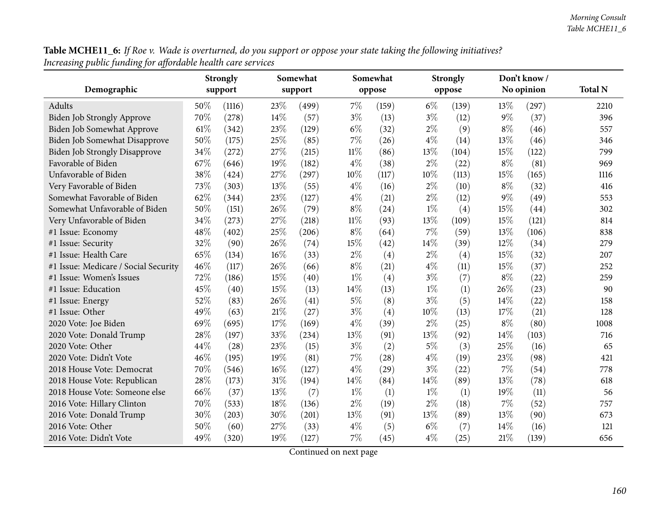**Table MCHE11\_6:** If Roe v. Wade is overturned, do you support or oppose your state taking the following initiatives? *Increasing public funding for affordable health care services*

|                                      |      | Strongly | Somewhat |         |        | Somewhat |        | <b>Strongly</b> |       | Don't know / |                |
|--------------------------------------|------|----------|----------|---------|--------|----------|--------|-----------------|-------|--------------|----------------|
| Demographic                          |      | support  |          | support |        | oppose   |        | oppose          |       | No opinion   | <b>Total N</b> |
| Adults                               | 50%  | (1116)   | 23\%     | (499)   | $7\%$  | (159)    | $6\%$  | (139)           | 13%   | (297)        | 2210           |
| Biden Job Strongly Approve           | 70%  | (278)    | 14\%     | (57)    | $3\%$  | (13)     | $3\%$  | (12)            | $9\%$ | (37)         | 396            |
| Biden Job Somewhat Approve           | 61\% | (342)    | 23%      | (129)   | $6\%$  | (32)     | $2\%$  | (9)             | $8\%$ | (46)         | 557            |
| Biden Job Somewhat Disapprove        | 50%  | (175)    | 25%      | (85)    | 7%     | (26)     | $4\%$  | (14)            | 13%   | (46)         | 346            |
| <b>Biden Job Strongly Disapprove</b> | 34%  | (272)    | 27%      | (215)   | $11\%$ | (86)     | 13%    | (104)           | 15%   | (122)        | 799            |
| Favorable of Biden                   | 67%  | (646)    | 19%      | (182)   | $4\%$  | (38)     | $2\%$  | (22)            | $8\%$ | (81)         | 969            |
| Unfavorable of Biden                 | 38%  | (424)    | 27%      | (297)   | 10%    | (117)    | 10%    | (113)           | 15%   | (165)        | 1116           |
| Very Favorable of Biden              | 73%  | (303)    | 13%      | (55)    | $4\%$  | (16)     | $2\%$  | (10)            | $8\%$ | (32)         | 416            |
| Somewhat Favorable of Biden          | 62%  | (344)    | 23%      | (127)   | $4\%$  | (21)     | $2\%$  | (12)            | $9\%$ | (49)         | 553            |
| Somewhat Unfavorable of Biden        | 50%  | (151)    | 26%      | (79)    | $8\%$  | (24)     | $1\%$  | (4)             | 15%   | (44)         | 302            |
| Very Unfavorable of Biden            | 34%  | (273)    | 27%      | (218)   | $11\%$ | (93)     | 13%    | (109)           | 15%   | (121)        | 814            |
| #1 Issue: Economy                    | 48%  | (402)    | 25%      | (206)   | $8\%$  | (64)     | $7\%$  | (59)            | 13%   | (106)        | 838            |
| #1 Issue: Security                   | 32%  | (90)     | 26%      | (74)    | 15%    | (42)     | $14\%$ | (39)            | 12%   | (34)         | 279            |
| #1 Issue: Health Care                | 65%  | (134)    | 16%      | (33)    | $2\%$  | (4)      | $2\%$  | (4)             | 15%   | (32)         | 207            |
| #1 Issue: Medicare / Social Security | 46%  | (117)    | 26%      | (66)    | $8\%$  | (21)     | $4\%$  | (11)            | 15%   | (37)         | 252            |
| #1 Issue: Women's Issues             | 72%  | (186)    | 15%      | (40)    | $1\%$  | (4)      | $3\%$  | (7)             | $8\%$ | (22)         | 259            |
| #1 Issue: Education                  | 45%  | (40)     | 15%      | (13)    | 14%    | (13)     | $1\%$  | (1)             | 26%   | (23)         | 90             |
| #1 Issue: Energy                     | 52%  | (83)     | 26%      | (41)    | $5\%$  | (8)      | $3\%$  | (5)             | 14%   | (22)         | 158            |
| #1 Issue: Other                      | 49%  | (63)     | $21\%$   | (27)    | $3\%$  | (4)      | 10%    | (13)            | 17%   | (21)         | 128            |
| 2020 Vote: Joe Biden                 | 69%  | (695)    | 17%      | (169)   | $4\%$  | (39)     | $2\%$  | (25)            | $8\%$ | (80)         | 1008           |
| 2020 Vote: Donald Trump              | 28%  | (197)    | 33%      | (234)   | 13%    | (91)     | 13%    | (92)            | 14%   | (103)        | 716            |
| 2020 Vote: Other                     | 44%  | (28)     | 23%      | (15)    | $3\%$  | (2)      | $5\%$  | (3)             | 25%   | (16)         | 65             |
| 2020 Vote: Didn't Vote               | 46%  | (195)    | 19%      | (81)    | 7%     | (28)     | $4\%$  | (19)            | 23%   | (98)         | 421            |
| 2018 House Vote: Democrat            | 70%  | (546)    | 16%      | (127)   | $4\%$  | (29)     | $3\%$  | (22)            | 7%    | (54)         | 778            |
| 2018 House Vote: Republican          | 28%  | (173)    | $31\%$   | (194)   | 14%    | (84)     | 14%    | (89)            | 13%   | (78)         | 618            |
| 2018 House Vote: Someone else        | 66%  | (37)     | 13%      | (7)     | $1\%$  | (1)      | $1\%$  | (1)             | 19%   | (11)         | 56             |
| 2016 Vote: Hillary Clinton           | 70%  | (533)    | $18\%$   | (136)   | $2\%$  | (19)     | $2\%$  | (18)            | 7%    | (52)         | 757            |
| 2016 Vote: Donald Trump              | 30%  | (203)    | 30%      | (201)   | $13\%$ | (91)     | 13%    | (89)            | 13%   | (90)         | 673            |
| 2016 Vote: Other                     | 50%  | (60)     | 27%      | (33)    | $4\%$  | (5)      | $6\%$  | (7)             | 14\%  | (16)         | 121            |
| 2016 Vote: Didn't Vote               | 49%  | (320)    | 19%      | (127)   | 7%     | (45)     | $4\%$  | (25)            | 21%   | (139)        | 656            |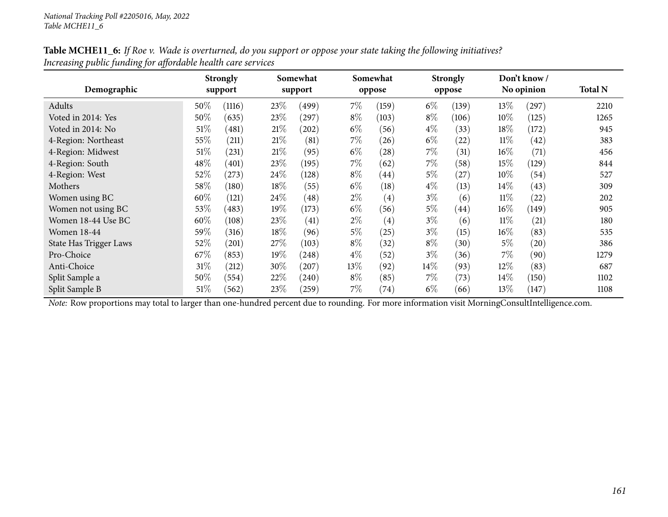| Table MCHE11_6: If Roe v. Wade is overturned, do you support or oppose your state taking the following initiatives? |  |
|---------------------------------------------------------------------------------------------------------------------|--|
| Increasing public funding for affordable health care services                                                       |  |

| Demographic                   |      | <b>Strongly</b><br>support |        | Somewhat<br>support |       | Somewhat<br>oppose |       | <b>Strongly</b><br>oppose |        | Don't know/<br>No opinion | <b>Total N</b> |
|-------------------------------|------|----------------------------|--------|---------------------|-------|--------------------|-------|---------------------------|--------|---------------------------|----------------|
| Adults                        | 50\% | (1116)                     | 23\%   | (499)               | $7\%$ | (159)              | $6\%$ | (139)                     | 13%    | (297)                     | 2210           |
| Voted in 2014: Yes            | 50%  | (635)                      | 23%    | $^{'}297)$          | $8\%$ | (103)              | $8\%$ | (106)                     | $10\%$ | (125)                     | 1265           |
| Voted in 2014: No             | 51\% | (481)                      | 21%    | $^{'}202)$          | $6\%$ | (56)               | $4\%$ | (33)                      | 18%    | (172)                     | 945            |
| 4-Region: Northeast           | 55%  | (211)                      | 21%    | (81)                | $7\%$ | (26)               | $6\%$ | (22)                      | $11\%$ | (42)                      | 383            |
| 4-Region: Midwest             | 51\% | (231)                      | 21%    | (95)                | $6\%$ | (28)               | $7\%$ | (31)                      | $16\%$ | (71)                      | 456            |
| 4-Region: South               | 48\% | (401)                      | 23\%   | (195)               | $7\%$ | (62)               | $7\%$ | (58)                      | 15%    | (129)                     | 844            |
| 4-Region: West                | 52%  | (273)                      | 24\%   | (128)               | $8\%$ | (44)               | $5\%$ | (27)                      | 10%    | (54)                      | 527            |
| Mothers                       | 58\% | (180)                      | 18%    | (55)                | $6\%$ | (18)               | $4\%$ | (13)                      | 14\%   | (43)                      | 309            |
| Women using BC                | 60%  | (121)                      | 24\%   | $\left( 48\right)$  | $2\%$ | $\left( 4\right)$  | $3\%$ | (6)                       | $11\%$ | (22)                      | 202            |
| Women not using BC            | 53\% | (483)                      | 19%    | (173)               | $6\%$ | (56)               | $5\%$ | (44)                      | $16\%$ | (149)                     | 905            |
| Women 18-44 Use BC            | 60%  | (108)                      | 23%    | (41)                | $2\%$ | (4)                | $3\%$ | (6)                       | $11\%$ | (21)                      | 180            |
| <b>Women 18-44</b>            | 59%  | (316)                      | $18\%$ | (96)                | $5\%$ | (25)               | $3\%$ | (15)                      | $16\%$ | (83)                      | 535            |
| <b>State Has Trigger Laws</b> | 52%  | (201)                      | 27\%   | (103)               | $8\%$ | (32)               | $8\%$ | (30)                      | $5\%$  | (20)                      | 386            |
| Pro-Choice                    | 67\% | (853)                      | 19%    | (248)               | $4\%$ | (52)               | $3\%$ | (36)                      | $7\%$  | (90)                      | 1279           |
| Anti-Choice                   | 31%  | (212)                      | 30%    | (207)               | 13%   | (92)               | 14%   | (93)                      | 12%    | (83)                      | 687            |
| Split Sample a                | 50%  | (554)                      | 22\%   | (240)               | $8\%$ | (85)               | $7\%$ | (73)                      | $14\%$ | (150)                     | 1102           |
| Split Sample B                | 51%  | (562)                      | 23\%   | (259)               | $7\%$ | (74)               | $6\%$ | (66)                      | 13%    | (147)                     | 1108           |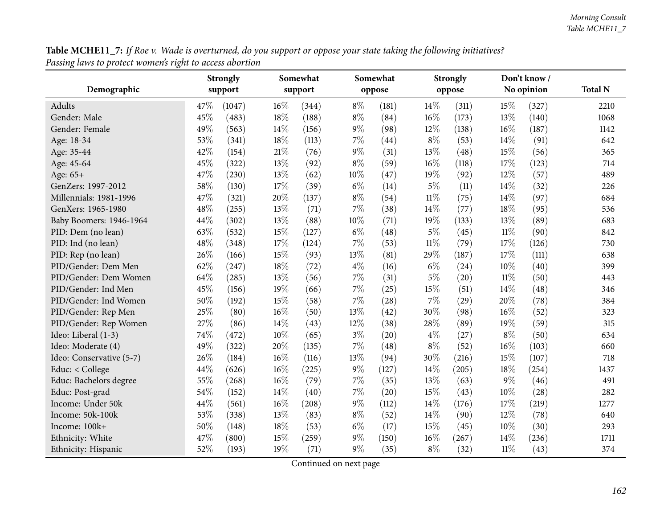**Table MCHE11\_7:** If Roe v. Wade is overturned, do you support or oppose your state taking the following initiatives? *Passing laws to protect women's right to access abortion*

|                          |      | <b>Strongly</b> | Somewhat |         |        | Somewhat |        | <b>Strongly</b> |        | Don't know / |                |
|--------------------------|------|-----------------|----------|---------|--------|----------|--------|-----------------|--------|--------------|----------------|
| Demographic              |      | support         |          | support |        | oppose   |        | oppose          |        | No opinion   | <b>Total N</b> |
| Adults                   | 47\% | (1047)          | 16%      | (344)   | $8\%$  | (181)    | 14%    | (311)           | 15%    | (327)        | 2210           |
| Gender: Male             | 45%  | (483)           | 18%      | (188)   | $8\%$  | (84)     | 16%    | (173)           | 13%    | (140)        | 1068           |
| Gender: Female           | 49%  | (563)           | 14%      | (156)   | $9\%$  | (98)     | 12%    | (138)           | $16\%$ | (187)        | 1142           |
| Age: 18-34               | 53%  | (341)           | 18%      | (113)   | $7\%$  | (44)     | $8\%$  | (53)            | $14\%$ | (91)         | 642            |
| Age: 35-44               | 42%  | (154)           | 21%      | (76)    | $9\%$  | (31)     | 13%    | (48)            | 15%    | (56)         | 365            |
| Age: 45-64               | 45%  | (322)           | 13%      | (92)    | $8\%$  | (59)     | 16%    | (118)           | 17%    | (123)        | 714            |
| Age: 65+                 | 47%  | (230)           | 13%      | (62)    | $10\%$ | (47)     | 19%    | (92)            | 12%    | (57)         | 489            |
| GenZers: 1997-2012       | 58%  | (130)           | 17%      | (39)    | $6\%$  | (14)     | $5\%$  | (11)            | 14%    | (32)         | 226            |
| Millennials: 1981-1996   | 47%  | (321)           | 20%      | (137)   | $8\%$  | (54)     | $11\%$ | (75)            | 14%    | (97)         | 684            |
| GenXers: 1965-1980       | 48%  | (255)           | 13%      | (71)    | $7\%$  | (38)     | 14%    | (77)            | 18%    | (95)         | 536            |
| Baby Boomers: 1946-1964  | 44%  | (302)           | 13%      | (88)    | 10%    | (71)     | 19%    | (133)           | 13%    | (89)         | 683            |
| PID: Dem (no lean)       | 63%  | (532)           | 15%      | (127)   | $6\%$  | (48)     | $5\%$  | (45)            | $11\%$ | (90)         | 842            |
| PID: Ind (no lean)       | 48%  | (348)           | 17%      | (124)   | $7\%$  | (53)     | $11\%$ | (79)            | 17%    | (126)        | 730            |
| PID: Rep (no lean)       | 26%  | (166)           | 15%      | (93)    | 13%    | (81)     | 29%    | (187)           | 17%    | (111)        | 638            |
| PID/Gender: Dem Men      | 62%  | (247)           | 18%      | (72)    | $4\%$  | (16)     | $6\%$  | (24)            | 10%    | (40)         | 399            |
| PID/Gender: Dem Women    | 64%  | (285)           | 13%      | (56)    | $7\%$  | (31)     | $5\%$  | (20)            | $11\%$ | (50)         | 443            |
| PID/Gender: Ind Men      | 45%  | (156)           | 19%      | (66)    | $7\%$  | (25)     | 15%    | (51)            | 14%    | (48)         | 346            |
| PID/Gender: Ind Women    | 50%  | (192)           | 15%      | (58)    | $7\%$  | (28)     | 7%     | (29)            | 20%    | (78)         | 384            |
| PID/Gender: Rep Men      | 25%  | (80)            | 16%      | (50)    | 13%    | (42)     | 30%    | (98)            | $16\%$ | (52)         | 323            |
| PID/Gender: Rep Women    | 27%  | (86)            | 14%      | (43)    | 12%    | (38)     | 28%    | (89)            | 19%    | (59)         | 315            |
| Ideo: Liberal (1-3)      | 74%  | (472)           | $10\%$   | (65)    | $3\%$  | (20)     | $4\%$  | (27)            | $8\%$  | (50)         | 634            |
| Ideo: Moderate (4)       | 49%  | (322)           | 20%      | (135)   | $7\%$  | (48)     | $8\%$  | (52)            | 16%    | (103)        | 660            |
| Ideo: Conservative (5-7) | 26%  | (184)           | 16%      | (116)   | 13%    | (94)     | 30%    | (216)           | 15%    | (107)        | 718            |
| Educ: < College          | 44%  | (626)           | 16%      | (225)   | $9\%$  | (127)    | 14%    | (205)           | 18%    | (254)        | 1437           |
| Educ: Bachelors degree   | 55%  | (268)           | 16%      | (79)    | $7\%$  | (35)     | 13%    | (63)            | $9\%$  | (46)         | 491            |
| Educ: Post-grad          | 54%  | (152)           | 14%      | (40)    | $7\%$  | (20)     | 15%    | (43)            | $10\%$ | (28)         | 282            |
| Income: Under 50k        | 44%  | (561)           | 16%      | (208)   | $9\%$  | (112)    | 14%    | (176)           | 17%    | (219)        | 1277           |
| Income: 50k-100k         | 53%  | (338)           | 13%      | (83)    | $8\%$  | (52)     | 14%    | (90)            | 12%    | (78)         | 640            |
| Income: 100k+            | 50%  | (148)           | 18%      | (53)    | $6\%$  | (17)     | 15%    | (45)            | 10%    | (30)         | 293            |
| Ethnicity: White         | 47%  | (800)           | 15%      | (259)   | 9%     | (150)    | 16%    | (267)           | 14\%   | (236)        | 1711           |
| Ethnicity: Hispanic      | 52%  | (193)           | 19%      | (71)    | $9\%$  | (35)     | $8\%$  | (32)            | $11\%$ | (43)         | 374            |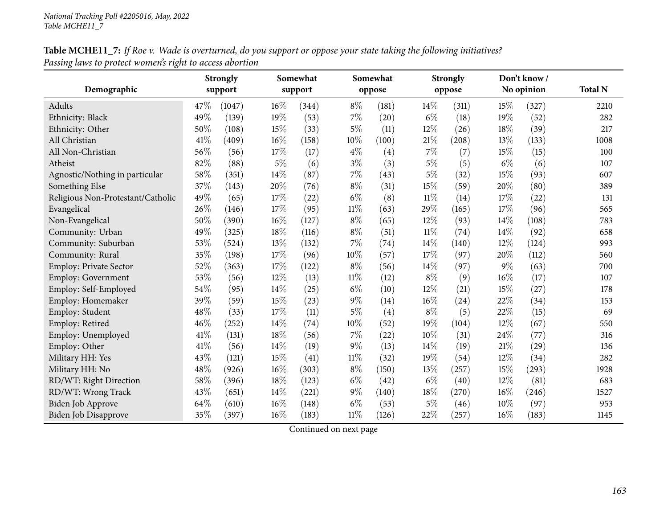# Table MCHE11\_7: If Roe v. Wade is overturned, do you support or oppose your state taking the following initiatives? *Passing laws to protect women's right to access abortion*

|                                   |      | <b>Strongly</b> | Somewhat |         |        | Somewhat |        | <b>Strongly</b> |        | Don't know/ |                |
|-----------------------------------|------|-----------------|----------|---------|--------|----------|--------|-----------------|--------|-------------|----------------|
| Demographic                       |      | support         |          | support |        | oppose   |        | oppose          |        | No opinion  | <b>Total N</b> |
| Adults                            | 47\% | (1047)          | 16%      | (344)   | $8\%$  | (181)    | 14%    | (311)           | 15%    | (327)       | 2210           |
| Ethnicity: Black                  | 49%  | (139)           | 19%      | (53)    | 7%     | (20)     | $6\%$  | (18)            | 19%    | (52)        | 282            |
| Ethnicity: Other                  | 50%  | (108)           | 15%      | (33)    | $5\%$  | (11)     | 12%    | (26)            | 18%    | (39)        | 217            |
| All Christian                     | 41%  | (409)           | 16%      | (158)   | 10%    | (100)    | $21\%$ | (208)           | 13%    | (133)       | 1008           |
| All Non-Christian                 | 56%  | (56)            | 17%      | (17)    | $4\%$  | (4)      | $7\%$  | (7)             | 15%    | (15)        | 100            |
| Atheist                           | 82%  | (88)            | $5\%$    | (6)     | $3\%$  | (3)      | 5%     | (5)             | $6\%$  | (6)         | 107            |
| Agnostic/Nothing in particular    | 58%  | (351)           | 14%      | (87)    | $7\%$  | (43)     | 5%     | (32)            | 15%    | (93)        | 607            |
| Something Else                    | 37%  | (143)           | 20%      | (76)    | $8\%$  | (31)     | 15%    | (59)            | 20%    | (80)        | 389            |
| Religious Non-Protestant/Catholic | 49%  | (65)            | 17%      | (22)    | $6\%$  | (8)      | $11\%$ | (14)            | 17%    | (22)        | 131            |
| Evangelical                       | 26%  | (146)           | 17%      | (95)    | $11\%$ | (63)     | 29%    | (165)           | 17%    | (96)        | 565            |
| Non-Evangelical                   | 50%  | (390)           | 16%      | (127)   | $8\%$  | (65)     | 12%    | (93)            | 14%    | (108)       | 783            |
| Community: Urban                  | 49%  | (325)           | 18%      | (116)   | $8\%$  | (51)     | $11\%$ | (74)            | 14%    | (92)        | 658            |
| Community: Suburban               | 53%  | (524)           | 13%      | (132)   | 7%     | (74)     | 14%    | (140)           | 12%    | (124)       | 993            |
| Community: Rural                  | 35%  | (198)           | 17%      | (96)    | 10%    | (57)     | 17%    | (97)            | 20%    | (112)       | 560            |
| Employ: Private Sector            | 52%  | (363)           | 17%      | (122)   | $8\%$  | (56)     | 14%    | (97)            | $9\%$  | (63)        | 700            |
| Employ: Government                | 53%  | (56)            | 12%      | (13)    | $11\%$ | (12)     | $8\%$  | (9)             | $16\%$ | (17)        | 107            |
| Employ: Self-Employed             | 54%  | (95)            | 14%      | (25)    | $6\%$  | (10)     | 12%    | (21)            | 15%    | (27)        | 178            |
| Employ: Homemaker                 | 39%  | (59)            | 15%      | (23)    | $9\%$  | (14)     | 16%    | (24)            | 22%    | (34)        | 153            |
| Employ: Student                   | 48%  | (33)            | 17%      | (11)    | $5\%$  | (4)      | $8\%$  | (5)             | 22%    | (15)        | 69             |
| Employ: Retired                   | 46%  | (252)           | 14%      | (74)    | 10%    | (52)     | 19%    | (104)           | 12%    | (67)        | 550            |
| Employ: Unemployed                | 41\% | (131)           | 18%      | (56)    | $7\%$  | (22)     | 10%    | (31)            | 24%    | (77)        | 316            |
| Employ: Other                     | 41\% | (56)            | 14%      | (19)    | 9%     | (13)     | 14%    | (19)            | 21\%   | (29)        | 136            |
| Military HH: Yes                  | 43%  | (121)           | 15%      | (41)    | $11\%$ | (32)     | 19%    | (54)            | 12%    | (34)        | 282            |
| Military HH: No                   | 48%  | (926)           | 16%      | (303)   | $8\%$  | (150)    | 13%    | (257)           | 15%    | (293)       | 1928           |
| RD/WT: Right Direction            | 58%  | (396)           | 18%      | (123)   | $6\%$  | (42)     | $6\%$  | (40)            | 12%    | (81)        | 683            |
| RD/WT: Wrong Track                | 43%  | (651)           | 14%      | (221)   | $9\%$  | (140)    | 18%    | (270)           | $16\%$ | (246)       | 1527           |
| <b>Biden Job Approve</b>          | 64%  | (610)           | 16%      | (148)   | $6\%$  | (53)     | $5\%$  | (46)            | 10%    | (97)        | 953            |
| <b>Biden Job Disapprove</b>       | 35%  | (397)           | 16%      | (183)   | $11\%$ | (126)    | 22%    | (257)           | 16%    | (183)       | 1145           |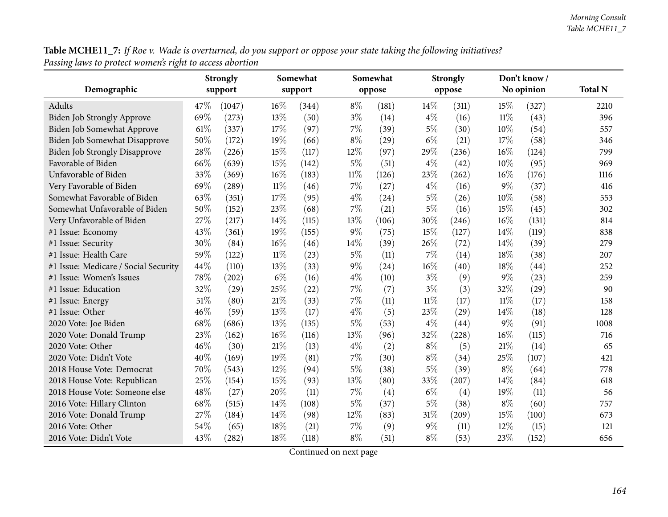**Table MCHE11\_7:** If Roe v. Wade is overturned, do you support or oppose your state taking the following initiatives? *Passing laws to protect women's right to access abortion*

|                                      |      | <b>Strongly</b> | Somewhat |         |        | Somewhat |        | <b>Strongly</b> |        | Don't know / |                |
|--------------------------------------|------|-----------------|----------|---------|--------|----------|--------|-----------------|--------|--------------|----------------|
| Demographic                          |      | support         |          | support |        | oppose   |        | oppose          |        | No opinion   | <b>Total N</b> |
| Adults                               | 47\% | (1047)          | 16%      | (344)   | $8\%$  | (181)    | 14%    | (311)           | 15%    | (327)        | 2210           |
| Biden Job Strongly Approve           | 69%  | (273)           | 13%      | (50)    | $3\%$  | (14)     | $4\%$  | (16)            | $11\%$ | (43)         | 396            |
| Biden Job Somewhat Approve           | 61%  | (337)           | 17%      | (97)    | $7\%$  | (39)     | $5\%$  | (30)            | 10%    | (54)         | 557            |
| Biden Job Somewhat Disapprove        | 50%  | (172)           | 19%      | (66)    | $8\%$  | (29)     | $6\%$  | (21)            | 17%    | (58)         | 346            |
| <b>Biden Job Strongly Disapprove</b> | 28\% | (226)           | 15%      | (117)   | 12%    | (97)     | 29%    | (236)           | 16%    | (124)        | 799            |
| Favorable of Biden                   | 66%  | (639)           | 15%      | (142)   | $5\%$  | (51)     | $4\%$  | (42)            | 10%    | (95)         | 969            |
| Unfavorable of Biden                 | 33%  | (369)           | 16%      | (183)   | $11\%$ | (126)    | 23%    | (262)           | 16%    | (176)        | 1116           |
| Very Favorable of Biden              | 69%  | (289)           | $11\%$   | (46)    | 7%     | (27)     | $4\%$  | (16)            | $9\%$  | (37)         | 416            |
| Somewhat Favorable of Biden          | 63%  | (351)           | 17%      | (95)    | $4\%$  | (24)     | $5\%$  | (26)            | 10%    | (58)         | 553            |
| Somewhat Unfavorable of Biden        | 50%  | (152)           | 23%      | (68)    | 7%     | (21)     | $5\%$  | (16)            | 15%    | (45)         | 302            |
| Very Unfavorable of Biden            | 27%  | (217)           | 14%      | (115)   | 13%    | (106)    | 30%    | (246)           | 16%    | (131)        | 814            |
| #1 Issue: Economy                    | 43%  | (361)           | 19%      | (155)   | $9\%$  | (75)     | 15%    | (127)           | 14%    | (119)        | 838            |
| #1 Issue: Security                   | 30%  | (84)            | 16%      | (46)    | 14%    | (39)     | 26%    | (72)            | 14\%   | (39)         | 279            |
| #1 Issue: Health Care                | 59%  | (122)           | $11\%$   | (23)    | $5\%$  | (11)     | 7%     | (14)            | 18%    | (38)         | 207            |
| #1 Issue: Medicare / Social Security | 44%  | (110)           | 13%      | (33)    | $9\%$  | (24)     | 16%    | (40)            | 18%    | (44)         | 252            |
| #1 Issue: Women's Issues             | 78%  | (202)           | $6\%$    | (16)    | $4\%$  | (10)     | $3\%$  | (9)             | $9\%$  | (23)         | 259            |
| #1 Issue: Education                  | 32%  | (29)            | 25%      | (22)    | $7\%$  | (7)      | $3\%$  | (3)             | 32%    | (29)         | 90             |
| #1 Issue: Energy                     | 51%  | (80)            | $21\%$   | (33)    | 7%     | (11)     | $11\%$ | (17)            | $11\%$ | (17)         | 158            |
| #1 Issue: Other                      | 46%  | (59)            | 13%      | (17)    | $4\%$  | (5)      | 23%    | (29)            | 14%    | (18)         | 128            |
| 2020 Vote: Joe Biden                 | 68%  | (686)           | 13%      | (135)   | $5\%$  | (53)     | $4\%$  | (44)            | $9\%$  | (91)         | 1008           |
| 2020 Vote: Donald Trump              | 23%  | (162)           | 16%      | (116)   | 13%    | (96)     | 32%    | (228)           | 16%    | (115)        | 716            |
| 2020 Vote: Other                     | 46%  | (30)            | $21\%$   | (13)    | $4\%$  | (2)      | $8\%$  | (5)             | 21%    | (14)         | 65             |
| 2020 Vote: Didn't Vote               | 40%  | (169)           | 19%      | (81)    | 7%     | (30)     | $8\%$  | (34)            | 25%    | (107)        | 421            |
| 2018 House Vote: Democrat            | 70%  | (543)           | 12%      | (94)    | $5\%$  | (38)     | 5%     | (39)            | $8\%$  | (64)         | 778            |
| 2018 House Vote: Republican          | 25%  | (154)           | 15%      | (93)    | 13%    | (80)     | 33%    | (207)           | 14%    | (84)         | 618            |
| 2018 House Vote: Someone else        | 48%  | (27)            | 20%      | (11)    | $7\%$  | (4)      | $6\%$  | (4)             | 19%    | (11)         | 56             |
| 2016 Vote: Hillary Clinton           | 68%  | (515)           | 14%      | (108)   | $5\%$  | (37)     | $5\%$  | (38)            | $8\%$  | (60)         | 757            |
| 2016 Vote: Donald Trump              | 27%  | (184)           | 14\%     | (98)    | 12%    | (83)     | $31\%$ | (209)           | 15%    | (100)        | 673            |
| 2016 Vote: Other                     | 54%  | (65)            | 18%      | (21)    | $7\%$  | (9)      | $9\%$  | (11)            | 12%    | (15)         | 121            |
| 2016 Vote: Didn't Vote               | 43%  | (282)           | 18%      | (118)   | $8\%$  | (51)     | $8\%$  | (53)            | 23%    | (152)        | 656            |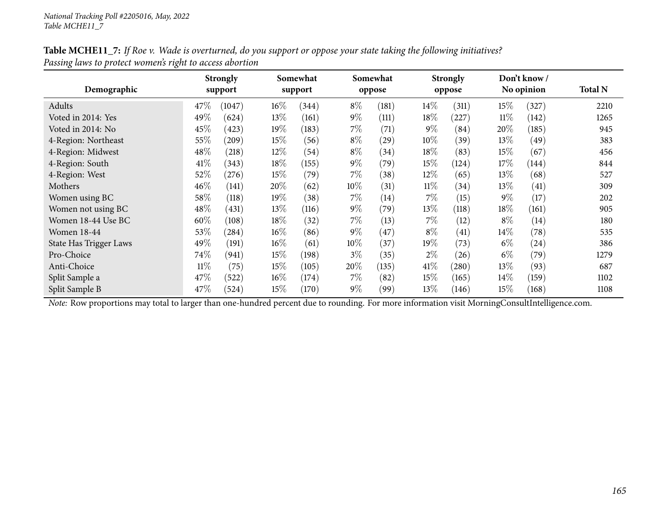| Table MCHE11_7: If Roe v. Wade is overturned, do you support or oppose your state taking the following initiatives? |  |
|---------------------------------------------------------------------------------------------------------------------|--|
| Passing laws to protect women's right to access abortion                                                            |  |

| Demographic            |        | <b>Strongly</b><br>support |        | Somewhat<br>support |       | Somewhat<br>oppose |        | <b>Strongly</b><br>oppose |        | Don't know/<br>No opinion | <b>Total N</b> |
|------------------------|--------|----------------------------|--------|---------------------|-------|--------------------|--------|---------------------------|--------|---------------------------|----------------|
|                        |        |                            |        |                     |       |                    |        |                           |        |                           |                |
| Adults                 | 47\%   | (1047)                     | $16\%$ | (344)               | $8\%$ | (181)              | $14\%$ | (311)                     | 15%    | (327)                     | 2210           |
| Voted in 2014: Yes     | 49%    | (624)                      | 13%    | (161)               | $9\%$ | (111)              | 18%    | (227)                     | $11\%$ | (142)                     | 1265           |
| Voted in 2014: No      | 45%    | (423)                      | 19%    | (183)               | 7%    | (71)               | $9\%$  | (84)                      | 20%    | (185)                     | 945            |
| 4-Region: Northeast    | 55%    | (209)                      | $15\%$ | (56)                | $8\%$ | (29)               | 10%    | (39)                      | 13\%   | (49)                      | 383            |
| 4-Region: Midwest      | 48%    | (218)                      | 12%    | (54)                | $8\%$ | (34)               | 18%    | (83)                      | $15\%$ | (67)                      | 456            |
| 4-Region: South        | 41\%   | (343)                      | $18\%$ | (155)               | $9\%$ | (79)               | 15%    | (124)                     | $17\%$ | (144)                     | 844            |
| 4-Region: West         | 52%    | (276)                      | $15\%$ | (79)                | $7\%$ | (38)               | 12%    | (65)                      | 13\%   | (68)                      | 527            |
| Mothers                | 46%    | (141)                      | 20%    | (62)                | 10%   | (31)               | $11\%$ | (34)                      | 13\%   | (41)                      | 309            |
| Women using BC         | 58%    | (118)                      | 19%    | (38)                | $7\%$ | (14)               | $7\%$  | (15)                      | $9\%$  | (17)                      | 202            |
| Women not using BC     | 48\%   | (431)                      | 13%    | (116)               | $9\%$ | (79)               | 13\%   | (118)                     | $18\%$ | (161)                     | 905            |
| Women 18-44 Use BC     | 60%    | (108)                      | 18%    | (32)                | $7\%$ | (13)               | $7\%$  | (12)                      | $8\%$  | (14)                      | 180            |
| <b>Women 18-44</b>     | 53%    | (284)                      | $16\%$ | (86)                | $9\%$ | (47)               | $8\%$  | (41)                      | $14\%$ | (78)                      | 535            |
| State Has Trigger Laws | 49%    | (191)                      | 16%    | (61)                | 10%   | (37)               | 19%    | (73)                      | $6\%$  | $\left( 24\right)$        | 386            |
| Pro-Choice             | 74\%   | (941)                      | $15\%$ | (198)               | $3\%$ | (35)               | $2\%$  | (26)                      | $6\%$  | (79)                      | 1279           |
| Anti-Choice            | $11\%$ | (75)                       | $15\%$ | (105)               | 20%   | (135)              | 41\%   | (280)                     | 13\%   | (93)                      | 687            |
| Split Sample a         | 47%    | (522)                      | $16\%$ | (174)               | $7\%$ | (82)               | 15%    | (165)                     | $14\%$ | (159)                     | 1102           |
| Split Sample B         | 47%    | (524)                      | $15\%$ | (170)               | $9\%$ | (99)               | 13%    | (146)                     | $15\%$ | (168)                     | 1108           |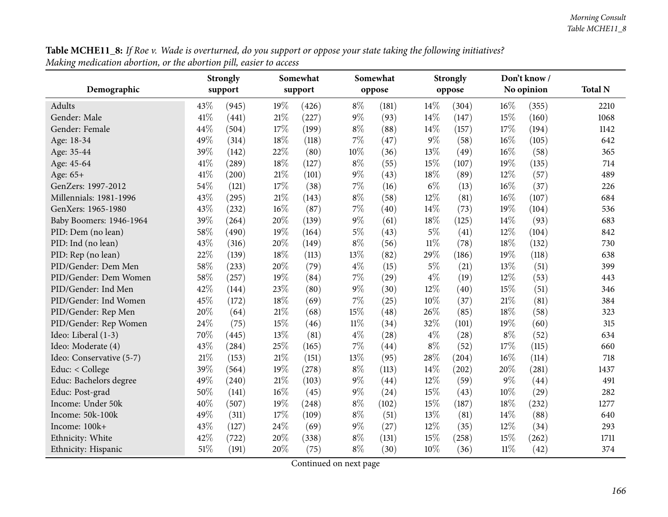| Table MCHE11_8: If Roe v. Wade is overturned, do you support or oppose your state taking the following initiatives? |  |
|---------------------------------------------------------------------------------------------------------------------|--|
| Making medication abortion, or the abortion pill, easier to access                                                  |  |

| o                        | Somewhat<br><b>Strongly</b> |         |     |         | Somewhat |        | <b>Strongly</b> |        | Don't know / |            |                |
|--------------------------|-----------------------------|---------|-----|---------|----------|--------|-----------------|--------|--------------|------------|----------------|
| Demographic              |                             | support |     | support |          | oppose |                 | oppose |              | No opinion | <b>Total N</b> |
| Adults                   | 43\%                        | (945)   | 19% | (426)   | $8\%$    | (181)  | 14\%            | (304)  | $16\%$       | (355)      | 2210           |
| Gender: Male             | 41\%                        | (441)   | 21% | (227)   | $9\%$    | (93)   | 14%             | (147)  | 15%          | (160)      | 1068           |
| Gender: Female           | 44%                         | (504)   | 17% | (199)   | $8\%$    | (88)   | 14%             | (157)  | 17%          | (194)      | 1142           |
| Age: 18-34               | 49%                         | (314)   | 18% | (118)   | 7%       | (47)   | $9\%$           | (58)   | 16%          | (105)      | 642            |
| Age: 35-44               | 39%                         | (142)   | 22% | (80)    | 10%      | (36)   | 13%             | (49)   | 16%          | (58)       | 365            |
| Age: 45-64               | 41\%                        | (289)   | 18% | (127)   | $8\%$    | (55)   | 15%             | (107)  | 19%          | (135)      | 714            |
| Age: 65+                 | 41\%                        | (200)   | 21% | (101)   | $9\%$    | (43)   | 18%             | (89)   | 12%          | (57)       | 489            |
| GenZers: 1997-2012       | 54%                         | (121)   | 17% | (38)    | 7%       | (16)   | $6\%$           | (13)   | 16%          | (37)       | 226            |
| Millennials: 1981-1996   | 43%                         | (295)   | 21% | (143)   | $8\%$    | (58)   | 12%             | (81)   | 16%          | (107)      | 684            |
| GenXers: 1965-1980       | 43%                         | (232)   | 16% | (87)    | 7%       | (40)   | 14%             | (73)   | 19%          | (104)      | 536            |
| Baby Boomers: 1946-1964  | 39%                         | (264)   | 20% | (139)   | $9\%$    | (61)   | 18%             | (125)  | 14%          | (93)       | 683            |
| PID: Dem (no lean)       | 58%                         | (490)   | 19% | (164)   | $5\%$    | (43)   | $5\%$           | (41)   | 12%          | (104)      | 842            |
| PID: Ind (no lean)       | 43%                         | (316)   | 20% | (149)   | $8\%$    | (56)   | $11\%$          | (78)   | 18%          | (132)      | 730            |
| PID: Rep (no lean)       | 22%                         | (139)   | 18% | (113)   | 13%      | (82)   | 29%             | (186)  | 19%          | (118)      | 638            |
| PID/Gender: Dem Men      | 58%                         | (233)   | 20% | (79)    | $4\%$    | (15)   | $5\%$           | (21)   | 13%          | (51)       | 399            |
| PID/Gender: Dem Women    | 58%                         | (257)   | 19% | (84)    | $7\%$    | (29)   | $4\%$           | (19)   | 12%          | (53)       | 443            |
| PID/Gender: Ind Men      | 42%                         | (144)   | 23% | (80)    | $9\%$    | (30)   | 12%             | (40)   | 15%          | (51)       | 346            |
| PID/Gender: Ind Women    | 45%                         | (172)   | 18% | (69)    | 7%       | (25)   | 10%             | (37)   | 21%          | (81)       | 384            |
| PID/Gender: Rep Men      | 20%                         | (64)    | 21% | (68)    | 15%      | (48)   | 26%             | (85)   | 18%          | (58)       | 323            |
| PID/Gender: Rep Women    | 24%                         | (75)    | 15% | (46)    | $11\%$   | (34)   | 32%             | (101)  | 19%          | (60)       | 315            |
| Ideo: Liberal (1-3)      | 70%                         | (445)   | 13% | (81)    | $4\%$    | (28)   | $4\%$           | (28)   | $8\%$        | (52)       | 634            |
| Ideo: Moderate (4)       | 43%                         | (284)   | 25% | (165)   | 7%       | (44)   | $8\%$           | (52)   | 17%          | (115)      | 660            |
| Ideo: Conservative (5-7) | 21\%                        | (153)   | 21% | (151)   | 13%      | (95)   | 28%             | (204)  | 16%          | (114)      | 718            |
| Educ: < College          | 39%                         | (564)   | 19% | (278)   | $8\%$    | (113)  | 14%             | (202)  | 20%          | (281)      | 1437           |
| Educ: Bachelors degree   | 49%                         | (240)   | 21% | (103)   | $9\%$    | (44)   | 12%             | (59)   | 9%           | (44)       | 491            |
| Educ: Post-grad          | 50%                         | (141)   | 16% | (45)    | $9\%$    | (24)   | 15%             | (43)   | 10%          | (29)       | 282            |
| Income: Under 50k        | 40%                         | (507)   | 19% | (248)   | $8\%$    | (102)  | 15%             | (187)  | 18%          | (232)      | 1277           |
| Income: 50k-100k         | 49%                         | (311)   | 17% | (109)   | $8\%$    | (51)   | 13%             | (81)   | 14%          | (88)       | 640            |
| Income: 100k+            | 43%                         | (127)   | 24% | (69)    | $9\%$    | (27)   | 12%             | (35)   | 12%          | (34)       | 293            |
| Ethnicity: White         | 42%                         | (722)   | 20% | (338)   | $8\%$    | (131)  | 15%             | (258)  | 15%          | (262)      | 1711           |
| Ethnicity: Hispanic      | 51\%                        | (191)   | 20% | (75)    | $8\%$    | (30)   | 10%             | (36)   | $11\%$       | (42)       | 374            |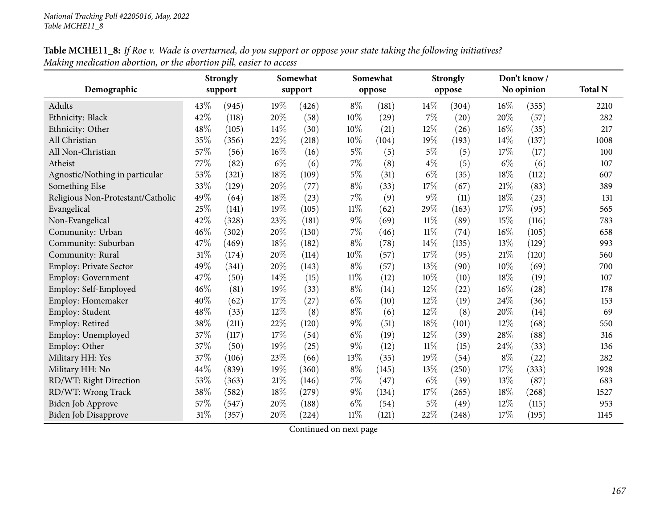| Table MCHE11_8: If Roe v. Wade is overturned, do you support or oppose your state taking the following initiatives? |
|---------------------------------------------------------------------------------------------------------------------|
| Making medication abortion, or the abortion pill, easier to access                                                  |

|                                   |     | <b>Strongly</b> | Somewhat |         |        | Somewhat |        | <b>Strongly</b> | Don't know/ |            |                |
|-----------------------------------|-----|-----------------|----------|---------|--------|----------|--------|-----------------|-------------|------------|----------------|
| Demographic                       |     | support         |          | support |        | oppose   |        | oppose          |             | No opinion | <b>Total N</b> |
| Adults                            | 43% | (945)           | $19\%$   | (426)   | $8\%$  | (181)    | 14%    | (304)           | $16\%$      | (355)      | 2210           |
| Ethnicity: Black                  | 42% | (118)           | 20%      | (58)    | 10%    | (29)     | 7%     | (20)            | 20%         | (57)       | 282            |
| Ethnicity: Other                  | 48% | (105)           | 14\%     | (30)    | 10%    | (21)     | 12%    | (26)            | 16%         | (35)       | 217            |
| All Christian                     | 35% | (356)           | 22%      | (218)   | 10%    | (104)    | 19%    | (193)           | 14%         | (137)      | 1008           |
| All Non-Christian                 | 57% | (56)            | $16\%$   | (16)    | $5\%$  | (5)      | $5\%$  | (5)             | 17%         | (17)       | 100            |
| Atheist                           | 77% | (82)            | $6\%$    | (6)     | $7\%$  | (8)      | $4\%$  | (5)             | $6\%$       | (6)        | 107            |
| Agnostic/Nothing in particular    | 53% | (321)           | $18\%$   | (109)   | $5\%$  | (31)     | $6\%$  | (35)            | 18%         | (112)      | 607            |
| Something Else                    | 33% | (129)           | 20%      | (77)    | $8\%$  | (33)     | 17%    | (67)            | 21%         | (83)       | 389            |
| Religious Non-Protestant/Catholic | 49% | (64)            | 18%      | (23)    | 7%     | (9)      | $9\%$  | (11)            | 18%         | (23)       | 131            |
| Evangelical                       | 25% | (141)           | 19%      | (105)   | $11\%$ | (62)     | 29%    | (163)           | 17%         | (95)       | 565            |
| Non-Evangelical                   | 42% | (328)           | 23%      | (181)   | $9\%$  | (69)     | $11\%$ | (89)            | 15%         | (116)      | 783            |
| Community: Urban                  | 46% | (302)           | 20%      | (130)   | $7\%$  | (46)     | $11\%$ | (74)            | 16%         | (105)      | 658            |
| Community: Suburban               | 47% | (469)           | 18%      | (182)   | $8\%$  | (78)     | 14%    | (135)           | 13%         | (129)      | 993            |
| Community: Rural                  | 31% | (174)           | 20%      | (114)   | 10%    | (57)     | 17%    | (95)            | 21%         | (120)      | 560            |
| Employ: Private Sector            | 49% | (341)           | 20%      | (143)   | $8\%$  | (57)     | 13%    | (90)            | 10%         | (69)       | 700            |
| <b>Employ: Government</b>         | 47% | (50)            | 14%      | (15)    | $11\%$ | (12)     | 10%    | (10)            | 18%         | (19)       | 107            |
| Employ: Self-Employed             | 46% | (81)            | 19%      | (33)    | $8\%$  | (14)     | 12%    | (22)            | 16%         | (28)       | 178            |
| Employ: Homemaker                 | 40% | (62)            | 17%      | (27)    | $6\%$  | (10)     | 12%    | (19)            | 24%         | (36)       | 153            |
| Employ: Student                   | 48% | (33)            | $12\%$   | (8)     | $8\%$  | (6)      | 12%    | (8)             | 20%         | (14)       | 69             |
| Employ: Retired                   | 38% | (211)           | 22%      | (120)   | $9\%$  | (51)     | 18%    | (101)           | $12\%$      | (68)       | 550            |
| Employ: Unemployed                | 37% | (117)           | 17%      | (54)    | $6\%$  | (19)     | 12%    | (39)            | 28%         | (88)       | 316            |
| Employ: Other                     | 37% | (50)            | 19%      | (25)    | $9\%$  | (12)     | $11\%$ | (15)            | 24%         | (33)       | 136            |
| Military HH: Yes                  | 37% | (106)           | 23%      | (66)    | 13%    | (35)     | 19%    | (54)            | $8\%$       | (22)       | 282            |
| Military HH: No                   | 44% | (839)           | 19%      | (360)   | $8\%$  | (145)    | 13%    | (250)           | 17%         | (333)      | 1928           |
| RD/WT: Right Direction            | 53% | (363)           | $21\%$   | (146)   | $7\%$  | (47)     | $6\%$  | (39)            | 13%         | (87)       | 683            |
| RD/WT: Wrong Track                | 38% | (582)           | 18%      | (279)   | $9\%$  | (134)    | 17%    | (265)           | 18%         | (268)      | 1527           |
| Biden Job Approve                 | 57% | (547)           | 20%      | (188)   | $6\%$  | (54)     | $5\%$  | (49)            | 12%         | (115)      | 953            |
| <b>Biden Job Disapprove</b>       | 31% | (357)           | 20%      | (224)   | $11\%$ | (121)    | 22%    | (248)           | 17%         | (195)      | 1145           |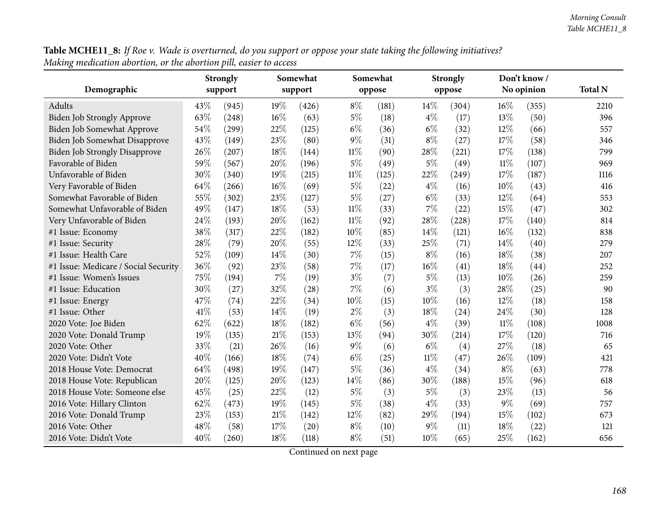Table MCHE11\_8: If Roe v. Wade is overturned, do you support or oppose your state taking the following initiatives? *Making medication abortion, or the abortion <sup>p</sup>ill, easier to access*

|                                      |      | <b>Strongly</b> | Somewhat |         |        | Somewhat |        | <b>Strongly</b> |        | Don't know / |                |
|--------------------------------------|------|-----------------|----------|---------|--------|----------|--------|-----------------|--------|--------------|----------------|
| Demographic                          |      | support         |          | support |        | oppose   |        | oppose          |        | No opinion   | <b>Total N</b> |
| Adults                               | 43%  | (945)           | $19\%$   | (426)   | $8\%$  | (181)    | 14%    | (304)           | 16%    | (355)        | 2210           |
| <b>Biden Job Strongly Approve</b>    | 63%  | (248)           | 16%      | (63)    | $5\%$  | (18)     | $4\%$  | (17)            | 13%    | (50)         | 396            |
| Biden Job Somewhat Approve           | 54%  | (299)           | 22%      | (125)   | $6\%$  | (36)     | $6\%$  | (32)            | 12%    | (66)         | 557            |
| Biden Job Somewhat Disapprove        | 43%  | (149)           | 23%      | (80)    | $9\%$  | (31)     | $8\%$  | (27)            | 17%    | (58)         | 346            |
| <b>Biden Job Strongly Disapprove</b> | 26%  | (207)           | 18%      | (144)   | $11\%$ | (90)     | 28%    | (221)           | 17%    | (138)        | 799            |
| Favorable of Biden                   | 59%  | (567)           | 20%      | (196)   | $5\%$  | (49)     | $5\%$  | (49)            | $11\%$ | (107)        | 969            |
| Unfavorable of Biden                 | 30%  | (340)           | 19%      | (215)   | 11%    | (125)    | 22%    | (249)           | 17%    | (187)        | 1116           |
| Very Favorable of Biden              | 64\% | (266)           | $16\%$   | (69)    | $5\%$  | (22)     | $4\%$  | (16)            | 10%    | (43)         | 416            |
| Somewhat Favorable of Biden          | 55%  | (302)           | 23%      | (127)   | $5\%$  | (27)     | $6\%$  | (33)            | 12%    | (64)         | 553            |
| Somewhat Unfavorable of Biden        | 49%  | (147)           | 18%      | (53)    | $11\%$ | (33)     | 7%     | (22)            | 15%    | (47)         | 302            |
| Very Unfavorable of Biden            | 24%  | (193)           | 20%      | (162)   | $11\%$ | (92)     | 28%    | (228)           | 17%    | (140)        | 814            |
| #1 Issue: Economy                    | 38%  | (317)           | 22%      | (182)   | 10%    | (85)     | 14%    | (121)           | 16%    | (132)        | 838            |
| #1 Issue: Security                   | 28%  | (79)            | 20%      | (55)    | 12%    | (33)     | 25%    | (71)            | 14\%   | (40)         | 279            |
| #1 Issue: Health Care                | 52%  | (109)           | 14\%     | (30)    | 7%     | (15)     | $8\%$  | (16)            | 18%    | (38)         | 207            |
| #1 Issue: Medicare / Social Security | 36%  | (92)            | 23%      | (58)    | 7%     | (17)     | 16%    | (41)            | 18%    | (44)         | 252            |
| #1 Issue: Women's Issues             | 75%  | (194)           | $7\%$    | (19)    | $3\%$  | (7)      | $5\%$  | (13)            | 10%    | (26)         | 259            |
| #1 Issue: Education                  | 30%  | (27)            | 32%      | (28)    | 7%     | (6)      | $3\%$  | (3)             | 28%    | (25)         | 90             |
| #1 Issue: Energy                     | 47%  | (74)            | 22%      | (34)    | 10%    | (15)     | 10%    | (16)            | 12%    | (18)         | 158            |
| #1 Issue: Other                      | 41\% | (53)            | 14\%     | (19)    | $2\%$  | (3)      | 18%    | (24)            | 24%    | (30)         | 128            |
| 2020 Vote: Joe Biden                 | 62%  | (622)           | 18%      | (182)   | $6\%$  | (56)     | $4\%$  | (39)            | $11\%$ | (108)        | 1008           |
| 2020 Vote: Donald Trump              | 19%  | (135)           | $21\%$   | (153)   | 13%    | (94)     | 30%    | (214)           | 17%    | (120)        | 716            |
| 2020 Vote: Other                     | 33%  | (21)            | 26%      | (16)    | 9%     | (6)      | $6\%$  | (4)             | 27%    | (18)         | 65             |
| 2020 Vote: Didn't Vote               | 40%  | (166)           | 18%      | (74)    | $6\%$  | (25)     | $11\%$ | (47)            | 26%    | (109)        | 421            |
| 2018 House Vote: Democrat            | 64\% | (498)           | 19%      | (147)   | $5\%$  | (36)     | $4\%$  | (34)            | $8\%$  | (63)         | 778            |
| 2018 House Vote: Republican          | 20%  | (125)           | 20%      | (123)   | 14%    | (86)     | 30%    | (188)           | 15%    | (96)         | 618            |
| 2018 House Vote: Someone else        | 45%  | (25)            | 22%      | (12)    | $5\%$  | (3)      | $5\%$  | (3)             | 23%    | (13)         | 56             |
| 2016 Vote: Hillary Clinton           | 62%  | (473)           | 19%      | (145)   | $5\%$  | (38)     | $4\%$  | (33)            | $9\%$  | (69)         | 757            |
| 2016 Vote: Donald Trump              | 23%  | (153)           | $21\%$   | (142)   | 12%    | (82)     | 29%    | (194)           | 15%    | (102)        | 673            |
| 2016 Vote: Other                     | 48%  | (58)            | 17%      | (20)    | $8\%$  | (10)     | $9\%$  | (11)            | 18%    | (22)         | 121            |
| 2016 Vote: Didn't Vote               | 40%  | (260)           | 18%      | (118)   | $8\%$  | (51)     | 10%    | (65)            | 25%    | (162)        | 656            |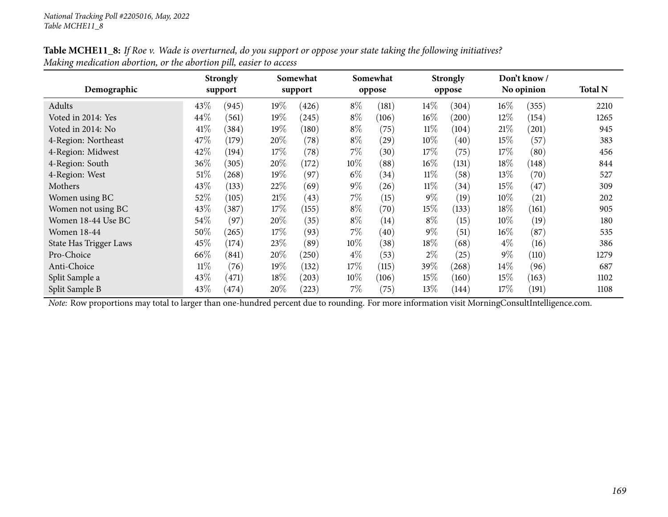| Demographic            |        | <b>Strongly</b><br>support |      | Somewhat<br>support |        | Somewhat<br>oppose |        | <b>Strongly</b><br>oppose |        | Don't know/<br>No opinion | <b>Total N</b> |
|------------------------|--------|----------------------------|------|---------------------|--------|--------------------|--------|---------------------------|--------|---------------------------|----------------|
| Adults                 | 43\%   | (945)                      | 19%  | (426)               | $8\%$  | (181)              | $14\%$ | (304)                     | $16\%$ | (355)                     | 2210           |
| Voted in 2014: Yes     | 44\%   | (561)                      | 19%  | (245)               | $8\%$  | (106)              | $16\%$ | (200)                     | 12\%   | (154)                     | 1265           |
| Voted in 2014: No      | 41\%   | (384)                      | 19%  | (180)               | $8\%$  | (75)               | $11\%$ | (104)                     | 21%    | (201)                     | 945            |
| 4-Region: Northeast    | 47%    | (179)                      | 20%  | (78)                | $8\%$  | $\left( 29\right)$ | 10%    | (40)                      | 15%    | (57)                      | 383            |
| 4-Region: Midwest      | 42%    | (194)                      | 17%  | (78)                | $7\%$  | (30)               | 17%    | (75)                      | 17\%   | (80)                      | 456            |
| 4-Region: South        | 36\%   | (305)                      | 20%  | (172)               | $10\%$ | (88)               | $16\%$ | (131)                     | $18\%$ | (148)                     | 844            |
| 4-Region: West         | $51\%$ | (268)                      | 19%  | (97)                | $6\%$  | (34)               | $11\%$ | (58)                      | 13\%   | (70)                      | 527            |
| Mothers                | 43%    | (133)                      | 22\% | (69)                | $9\%$  | (26)               | $11\%$ | (34)                      | 15\%   | (47)                      | 309            |
| Women using BC         | 52%    | (105)                      | 21%  | (43)                | $7\%$  | (15)               | $9\%$  | (19)                      | $10\%$ | (21)                      | 202            |
| Women not using BC     | 43%    | 387                        | 17\% | (155)               | $8\%$  | (70)               | 15%    | (133)                     | $18\%$ | (161)                     | 905            |
| Women 18-44 Use BC     | 54\%   | (97)                       | 20%  | (35)                | $8\%$  | (14)               | $8\%$  | (15)                      | $10\%$ | (19)                      | 180            |
| <b>Women 18-44</b>     | 50%    | (265)                      | 17%  | (93)                | $7\%$  | (40)               | $9\%$  | (51)                      | $16\%$ | (87)                      | 535            |
| State Has Trigger Laws | 45%    | (174)                      | 23\% | (89)                | $10\%$ | (38)               | 18%    | (68)                      | $4\%$  | (16)                      | 386            |
| Pro-Choice             | 66%    | (841)                      | 20%  | (250)               | $4\%$  | (53)               | $2\%$  | (25)                      | $9\%$  | (110)                     | 1279           |
| Anti-Choice            | $11\%$ | (76)                       | 19%  | (132)               | 17\%   | (115)              | 39%    | (268)                     | $14\%$ | (96)                      | 687            |
| Split Sample a         | 43%    | (471)                      | 18\% | (203)               | 10%    | (106)              | 15%    | (160)                     | 15%    | (163)                     | 1102           |
| Split Sample B         | 43%    | 474)                       | 20%  | (223)               | 7%     | (75)               | 13%    | (144)                     | $17\%$ | (191)                     | 1108           |

Table MCHE11\_8: If Roe v. Wade is overturned, do you support or oppose your state taking the following initiatives? *Making medication abortion, or the abortion <sup>p</sup>ill, easier to access*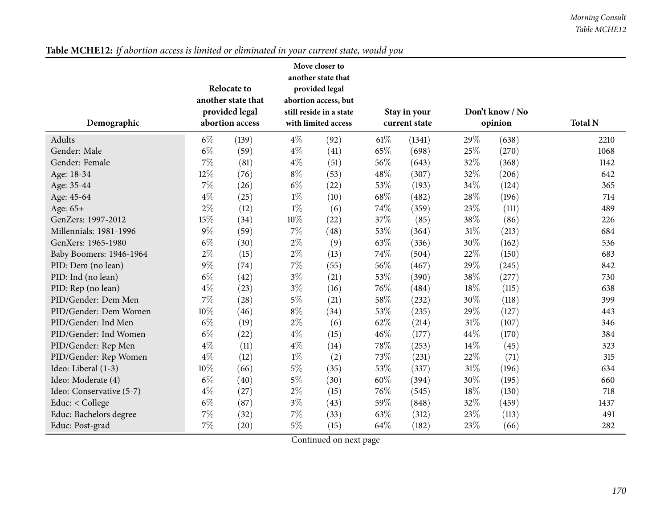| Demographic              |       | <b>Relocate to</b><br>another state that<br>provided legal<br>abortion access |       | Move closer to<br>another state that<br>provided legal<br>abortion access, but<br>still reside in a state<br>with limited access |        |        |        | Stay in your<br>current state |      | Don't know / No<br>opinion | <b>Total N</b> |
|--------------------------|-------|-------------------------------------------------------------------------------|-------|----------------------------------------------------------------------------------------------------------------------------------|--------|--------|--------|-------------------------------|------|----------------------------|----------------|
| Adults                   | $6\%$ | (139)                                                                         | $4\%$ | (92)                                                                                                                             | $61\%$ | (1341) | 29%    | (638)                         | 2210 |                            |                |
| Gender: Male             | $6\%$ | (59)                                                                          | $4\%$ | (41)                                                                                                                             | 65%    | (698)  | 25%    | (270)                         | 1068 |                            |                |
| Gender: Female           | 7%    | (81)                                                                          | $4\%$ | (51)                                                                                                                             | 56%    | (643)  | 32%    | (368)                         | 1142 |                            |                |
| Age: 18-34               | 12%   | (76)                                                                          | $8\%$ | (53)                                                                                                                             | 48%    | (307)  | 32%    | (206)                         | 642  |                            |                |
| Age: 35-44               | 7%    | (26)                                                                          | $6\%$ | (22)                                                                                                                             | 53%    | (193)  | 34%    | (124)                         | 365  |                            |                |
| Age: 45-64               | $4\%$ | (25)                                                                          | $1\%$ | (10)                                                                                                                             | 68%    | (482)  | 28\%   | (196)                         | 714  |                            |                |
| Age: 65+                 | $2\%$ | (12)                                                                          | $1\%$ | (6)                                                                                                                              | 74%    | (359)  | 23%    | (111)                         | 489  |                            |                |
| GenZers: 1997-2012       | 15%   | (34)                                                                          | 10%   | (22)                                                                                                                             | 37%    | (85)   | 38%    | (86)                          | 226  |                            |                |
| Millennials: 1981-1996   | $9\%$ | (59)                                                                          | 7%    | (48)                                                                                                                             | 53%    | (364)  | 31%    | (213)                         | 684  |                            |                |
| GenXers: 1965-1980       | $6\%$ | (30)                                                                          | $2\%$ | (9)                                                                                                                              | 63%    | (336)  | 30%    | (162)                         | 536  |                            |                |
| Baby Boomers: 1946-1964  | $2\%$ | (15)                                                                          | $2\%$ | (13)                                                                                                                             | 74%    | (504)  | 22%    | (150)                         | 683  |                            |                |
| PID: Dem (no lean)       | $9\%$ | (74)                                                                          | $7\%$ | (55)                                                                                                                             | 56%    | (467)  | 29%    | (245)                         | 842  |                            |                |
| PID: Ind (no lean)       | $6\%$ | (42)                                                                          | $3\%$ | (21)                                                                                                                             | 53%    | (390)  | 38\%   | (277)                         | 730  |                            |                |
| PID: Rep (no lean)       | $4\%$ | (23)                                                                          | $3\%$ | (16)                                                                                                                             | 76\%   | (484)  | $18\%$ | (115)                         | 638  |                            |                |
| PID/Gender: Dem Men      | 7%    | (28)                                                                          | $5\%$ | (21)                                                                                                                             | 58%    | (232)  | 30%    | (118)                         | 399  |                            |                |
| PID/Gender: Dem Women    | 10%   | (46)                                                                          | $8\%$ | (34)                                                                                                                             | 53%    | (235)  | 29%    | (127)                         | 443  |                            |                |
| PID/Gender: Ind Men      | $6\%$ | (19)                                                                          | $2\%$ | (6)                                                                                                                              | 62%    | (214)  | $31\%$ | (107)                         | 346  |                            |                |
| PID/Gender: Ind Women    | $6\%$ | (22)                                                                          | $4\%$ | (15)                                                                                                                             | 46%    | (177)  | 44\%   | (170)                         | 384  |                            |                |
| PID/Gender: Rep Men      | $4\%$ | (11)                                                                          | $4\%$ | (14)                                                                                                                             | 78%    | (253)  | 14%    | (45)                          | 323  |                            |                |
| PID/Gender: Rep Women    | $4\%$ | (12)                                                                          | $1\%$ | (2)                                                                                                                              | 73%    | (231)  | 22%    | (71)                          | 315  |                            |                |
| Ideo: Liberal (1-3)      | 10%   | (66)                                                                          | $5\%$ | (35)                                                                                                                             | 53%    | (337)  | $31\%$ | (196)                         | 634  |                            |                |
| Ideo: Moderate (4)       | $6\%$ | (40)                                                                          | $5\%$ | (30)                                                                                                                             | 60%    | (394)  | 30%    | (195)                         | 660  |                            |                |
| Ideo: Conservative (5-7) | $4\%$ | (27)                                                                          | $2\%$ | (15)                                                                                                                             | 76%    | (545)  | 18%    | (130)                         | 718  |                            |                |
| Educ: < College          | $6\%$ | (87)                                                                          | $3\%$ | (43)                                                                                                                             | 59%    | (848)  | 32%    | (459)                         | 1437 |                            |                |
| Educ: Bachelors degree   | 7%    | (32)                                                                          | 7%    | (33)                                                                                                                             | 63%    | (312)  | 23\%   | (113)                         | 491  |                            |                |
| Educ: Post-grad          | $7\%$ | $\left( 20\right)$                                                            | $5\%$ | (15)                                                                                                                             | 64%    | (182)  | 23\%   | (66)                          | 282  |                            |                |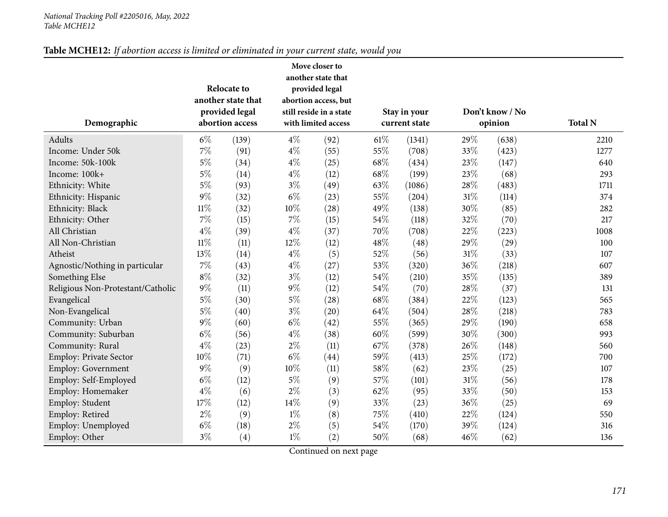| Demographic                       |        | <b>Relocate to</b><br>another state that<br>provided legal<br>abortion access |        | Move closer to<br>another state that<br>provided legal<br>abortion access, but<br>still reside in a state<br>with limited access |        | Stay in your<br>current state |      | Don't know / No<br>opinion | <b>Total N</b> |
|-----------------------------------|--------|-------------------------------------------------------------------------------|--------|----------------------------------------------------------------------------------------------------------------------------------|--------|-------------------------------|------|----------------------------|----------------|
| Adults                            | $6\%$  | (139)                                                                         | $4\%$  | (92)                                                                                                                             | $61\%$ | (1341)                        | 29%  | (638)                      | 2210           |
| Income: Under 50k                 | 7%     | (91)                                                                          | $4\%$  | (55)                                                                                                                             | 55%    | (708)                         | 33%  | (423)                      | 1277           |
| Income: 50k-100k                  | $5\%$  | (34)                                                                          | $4\%$  | (25)                                                                                                                             | $68\%$ | (434)                         | 23%  | (147)                      | 640            |
| Income: 100k+                     | $5\%$  | (14)                                                                          | $4\%$  | (12)                                                                                                                             | 68%    | (199)                         | 23%  | (68)                       | 293            |
| Ethnicity: White                  | $5\%$  | (93)                                                                          | $3\%$  | (49)                                                                                                                             | 63%    | (1086)                        | 28\% | (483)                      | 1711           |
| Ethnicity: Hispanic               | $9\%$  | (32)                                                                          | $6\%$  | (23)                                                                                                                             | 55%    | (204)                         | 31%  | (114)                      | 374            |
| Ethnicity: Black                  | $11\%$ | (32)                                                                          | $10\%$ | (28)                                                                                                                             | 49%    | (138)                         | 30%  | (85)                       | 282            |
| Ethnicity: Other                  | $7\%$  | (15)                                                                          | $7\%$  | (15)                                                                                                                             | 54%    | (118)                         | 32%  | (70)                       | 217            |
| All Christian                     | $4\%$  | (39)                                                                          | $4\%$  | (37)                                                                                                                             | 70%    | (708)                         | 22%  | (223)                      | 1008           |
| All Non-Christian                 | $11\%$ | (11)                                                                          | 12%    | (12)                                                                                                                             | 48%    | (48)                          | 29%  | (29)                       | 100            |
| Atheist                           | 13%    | (14)                                                                          | $4\%$  | (5)                                                                                                                              | 52%    | (56)                          | 31%  | (33)                       | 107            |
| Agnostic/Nothing in particular    | $7\%$  | (43)                                                                          | $4\%$  | (27)                                                                                                                             | 53%    | (320)                         | 36%  | (218)                      | 607            |
| Something Else                    | $8\%$  | (32)                                                                          | $3\%$  | (12)                                                                                                                             | 54%    | (210)                         | 35%  | (135)                      | 389            |
| Religious Non-Protestant/Catholic | $9\%$  | (11)                                                                          | $9\%$  | (12)                                                                                                                             | 54%    | (70)                          | 28%  | (37)                       | 131            |
| Evangelical                       | $5\%$  | (30)                                                                          | $5\%$  | (28)                                                                                                                             | 68%    | (384)                         | 22%  | (123)                      | 565            |
| Non-Evangelical                   | $5\%$  | (40)                                                                          | $3\%$  | (20)                                                                                                                             | 64%    | (504)                         | 28%  | (218)                      | 783            |
| Community: Urban                  | $9\%$  | (60)                                                                          | $6\%$  | (42)                                                                                                                             | 55%    | (365)                         | 29%  | (190)                      | 658            |
| Community: Suburban               | $6\%$  | (56)                                                                          | $4\%$  | (38)                                                                                                                             | 60%    | (599)                         | 30%  | (300)                      | 993            |
| Community: Rural                  | $4\%$  | (23)                                                                          | $2\%$  | (11)                                                                                                                             | 67%    | (378)                         | 26%  | (148)                      | 560            |
| Employ: Private Sector            | 10%    | (71)                                                                          | $6\%$  | (44)                                                                                                                             | 59%    | (413)                         | 25%  | (172)                      | 700            |
| Employ: Government                | $9\%$  | (9)                                                                           | $10\%$ | (11)                                                                                                                             | 58%    | (62)                          | 23%  | (25)                       | 107            |
| Employ: Self-Employed             | $6\%$  | (12)                                                                          | $5\%$  | (9)                                                                                                                              | 57%    | (101)                         | 31%  | (56)                       | 178            |
| Employ: Homemaker                 | $4\%$  | (6)                                                                           | $2\%$  | (3)                                                                                                                              | 62%    | (95)                          | 33%  | (50)                       | 153            |
| Employ: Student                   | 17%    | (12)                                                                          | 14%    | (9)                                                                                                                              | 33%    | (23)                          | 36%  | (25)                       | 69             |
| Employ: Retired                   | $2\%$  | (9)                                                                           | $1\%$  | (8)                                                                                                                              | 75%    | (410)                         | 22%  | (124)                      | 550            |
| Employ: Unemployed                | $6\%$  | (18)                                                                          | $2\%$  | (5)                                                                                                                              | 54%    | (170)                         | 39%  | (124)                      | 316            |
| Employ: Other                     | $3\%$  | (4)                                                                           | $1\%$  | (2)                                                                                                                              | 50%    | (68)                          | 46%  | (62)                       | 136            |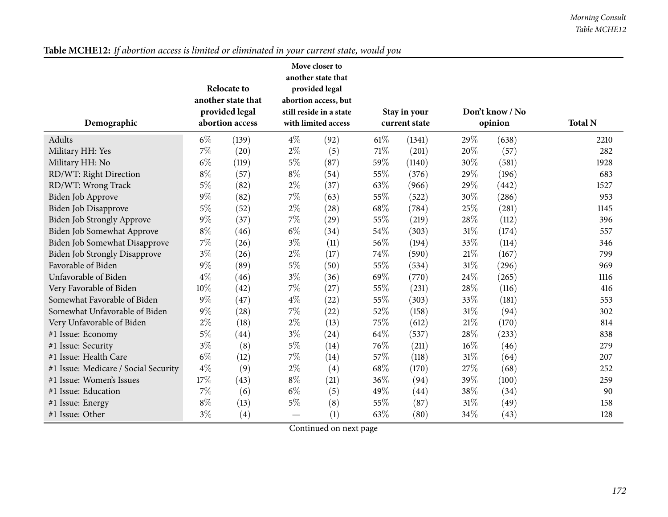| Demographic                          | <b>Relocate to</b><br>another state that<br>provided legal<br>abortion access |       | Move closer to<br>another state that<br>provided legal<br>abortion access, but<br>still reside in a state<br>with limited access |      | Stay in your<br>current state |        |      | Don't know / No<br>opinion | <b>Total N</b> |
|--------------------------------------|-------------------------------------------------------------------------------|-------|----------------------------------------------------------------------------------------------------------------------------------|------|-------------------------------|--------|------|----------------------------|----------------|
| Adults                               | $6\%$                                                                         | (139) | $4\%$                                                                                                                            | (92) | 61%                           | (1341) | 29%  | (638)                      | 2210           |
| Military HH: Yes                     | $7\%$                                                                         | (20)  | $2\%$                                                                                                                            | (5)  | 71%                           | (201)  | 20%  | (57)                       | 282            |
| Military HH: No                      | $6\%$                                                                         | (119) | $5\%$                                                                                                                            | (87) | 59%                           | (1140) | 30%  | (581)                      | 1928           |
| RD/WT: Right Direction               | $8\%$                                                                         | (57)  | $8\%$                                                                                                                            | (54) | 55%                           | (376)  | 29%  | (196)                      | 683            |
| RD/WT: Wrong Track                   | $5\%$                                                                         | (82)  | $2\%$                                                                                                                            | (37) | 63%                           | (966)  | 29%  | (442)                      | 1527           |
| Biden Job Approve                    | $9\%$                                                                         | (82)  | 7%                                                                                                                               | (63) | 55%                           | (522)  | 30%  | (286)                      | 953            |
| Biden Job Disapprove                 | $5\%$                                                                         | (52)  | $2\%$                                                                                                                            | (28) | 68%                           | (784)  | 25%  | (281)                      | 1145           |
| Biden Job Strongly Approve           | $9\%$                                                                         | (37)  | 7%                                                                                                                               | (29) | 55%                           | (219)  | 28%  | (112)                      | 396            |
| Biden Job Somewhat Approve           | $8\%$                                                                         | (46)  | $6\%$                                                                                                                            | (34) | 54%                           | (303)  | 31%  | (174)                      | 557            |
| Biden Job Somewhat Disapprove        | 7%                                                                            | (26)  | $3\%$                                                                                                                            | (11) | 56%                           | (194)  | 33%  | (114)                      | 346            |
| <b>Biden Job Strongly Disapprove</b> | $3\%$                                                                         | (26)  | $2\%$                                                                                                                            | (17) | 74%                           | (590)  | 21%  | (167)                      | 799            |
| Favorable of Biden                   | $9\%$                                                                         | (89)  | $5\%$                                                                                                                            | (50) | 55%                           | (534)  | 31%  | (296)                      | 969            |
| Unfavorable of Biden                 | $4\%$                                                                         | (46)  | $3\%$                                                                                                                            | (36) | 69%                           | (770)  | 24%  | (265)                      | 1116           |
| Very Favorable of Biden              | 10%                                                                           | (42)  | 7%                                                                                                                               | (27) | 55%                           | (231)  | 28%  | (116)                      | 416            |
| Somewhat Favorable of Biden          | $9\%$                                                                         | (47)  | $4\%$                                                                                                                            | (22) | 55%                           | (303)  | 33%  | (181)                      | 553            |
| Somewhat Unfavorable of Biden        | $9\%$                                                                         | (28)  | 7%                                                                                                                               | (22) | 52%                           | (158)  | 31%  | (94)                       | 302            |
| Very Unfavorable of Biden            | $2\%$                                                                         | (18)  | $2\%$                                                                                                                            | (13) | 75%                           | (612)  | 21%  | (170)                      | 814            |
| #1 Issue: Economy                    | $5\%$                                                                         | (44)  | $3\%$                                                                                                                            | (24) | 64\%                          | (537)  | 28\% | (233)                      | 838            |
| #1 Issue: Security                   | $3\%$                                                                         | (8)   | $5\%$                                                                                                                            | (14) | 76%                           | (211)  | 16%  | (46)                       | 279            |
| #1 Issue: Health Care                | $6\%$                                                                         | (12)  | 7%                                                                                                                               | (14) | 57%                           | (118)  | 31%  | (64)                       | 207            |
| #1 Issue: Medicare / Social Security | $4\%$                                                                         | (9)   | $2\%$                                                                                                                            | (4)  | 68%                           | (170)  | 27%  | (68)                       | 252            |
| #1 Issue: Women's Issues             | 17%                                                                           | (43)  | $8\%$                                                                                                                            | (21) | 36%                           | (94)   | 39%  | (100)                      | 259            |
| #1 Issue: Education                  | $7\%$                                                                         | (6)   | $6\%$                                                                                                                            | (5)  | 49%                           | (44)   | 38%  | (34)                       | 90             |
| #1 Issue: Energy                     | $8\%$                                                                         | (13)  | $5\%$                                                                                                                            | (8)  | 55%                           | (87)   | 31%  | (49)                       | 158            |
| #1 Issue: Other                      | $3\%$                                                                         | (4)   |                                                                                                                                  | (1)  | 63%                           | (80)   | 34%  | (43)                       | 128            |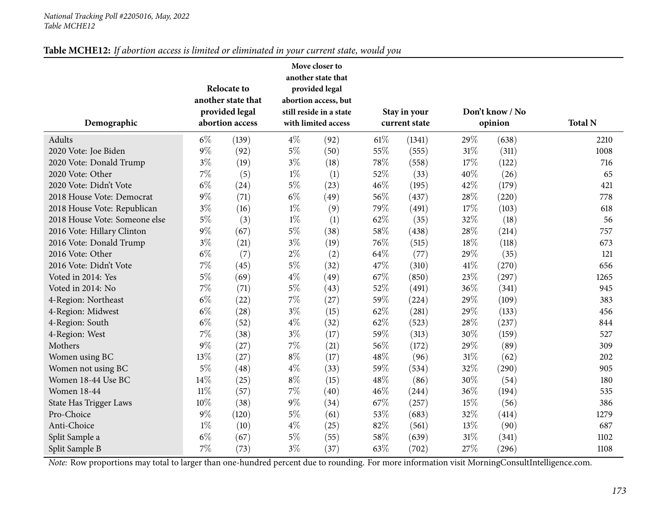| Demographic                   | Move closer to<br>another state that<br><b>Relocate to</b><br>provided legal<br>another state that<br>abortion access, but<br>provided legal<br>still reside in a state<br>abortion access<br>with limited access<br>$6\%$<br>$4\%$<br>(139)<br>(92) |       |       |      | Stay in your<br>current state |        | Don't know / No<br>opinion | <b>Total N</b> |      |
|-------------------------------|------------------------------------------------------------------------------------------------------------------------------------------------------------------------------------------------------------------------------------------------------|-------|-------|------|-------------------------------|--------|----------------------------|----------------|------|
| Adults                        |                                                                                                                                                                                                                                                      |       |       |      | 61%                           | (1341) | 29%                        | (638)          | 2210 |
| 2020 Vote: Joe Biden          | $9\%$                                                                                                                                                                                                                                                | (92)  | $5\%$ | (50) | 55%                           | (555)  | 31%                        | (311)          | 1008 |
| 2020 Vote: Donald Trump       | $3\%$                                                                                                                                                                                                                                                | (19)  | $3\%$ | (18) | 78%                           | (558)  | 17%                        | (122)          | 716  |
| 2020 Vote: Other              | 7%                                                                                                                                                                                                                                                   | (5)   | $1\%$ | (1)  | 52%                           | (33)   | 40%                        | (26)           | 65   |
| 2020 Vote: Didn't Vote        | $6\%$                                                                                                                                                                                                                                                | (24)  | $5\%$ | (23) | 46%                           | (195)  | 42%                        | (179)          | 421  |
| 2018 House Vote: Democrat     | 9%                                                                                                                                                                                                                                                   | (71)  | $6\%$ | (49) | 56%                           | (437)  | 28%                        | (220)          | 778  |
| 2018 House Vote: Republican   | $3\%$                                                                                                                                                                                                                                                | (16)  | $1\%$ | (9)  | 79%                           | (491)  | 17%                        | (103)          | 618  |
| 2018 House Vote: Someone else | $5\%$                                                                                                                                                                                                                                                | (3)   | $1\%$ | (1)  | 62%                           | (35)   | 32%                        | (18)           | 56   |
| 2016 Vote: Hillary Clinton    | $9\%$                                                                                                                                                                                                                                                | (67)  | $5\%$ | (38) | 58%                           | (438)  | 28%                        | (214)          | 757  |
| 2016 Vote: Donald Trump       | $3\%$                                                                                                                                                                                                                                                | (21)  | $3\%$ | (19) | 76%                           | (515)  | 18%                        | (118)          | 673  |
| 2016 Vote: Other              | $6\%$                                                                                                                                                                                                                                                | (7)   | $2\%$ | (2)  | 64%                           | (77)   | 29%                        | (35)           | 121  |
| 2016 Vote: Didn't Vote        | 7%                                                                                                                                                                                                                                                   | (45)  | $5\%$ | (32) | 47%                           | (310)  | 41\%                       | (270)          | 656  |
| Voted in 2014: Yes            | $5\%$                                                                                                                                                                                                                                                | (69)  | $4\%$ | (49) | 67%                           | (850)  | 23%                        | (297)          | 1265 |
| Voted in 2014: No             | 7%                                                                                                                                                                                                                                                   | (71)  | $5\%$ | (43) | 52%                           | (491)  | 36%                        | (341)          | 945  |
| 4-Region: Northeast           | $6\%$                                                                                                                                                                                                                                                | (22)  | 7%    | (27) | 59%                           | (224)  | 29%                        | (109)          | 383  |
| 4-Region: Midwest             | $6\%$                                                                                                                                                                                                                                                | (28)  | $3\%$ | (15) | 62%                           | (281)  | 29%                        | (133)          | 456  |
| 4-Region: South               | $6\%$                                                                                                                                                                                                                                                | (52)  | $4\%$ | (32) | 62%                           | (523)  | 28%                        | (237)          | 844  |
| 4-Region: West                | 7%                                                                                                                                                                                                                                                   | (38)  | $3\%$ | (17) | 59%                           | (313)  | $30\%$                     | (159)          | 527  |
| Mothers                       | 9%                                                                                                                                                                                                                                                   | (27)  | 7%    | (21) | 56%                           | (172)  | 29%                        | (89)           | 309  |
| Women using BC                | 13%                                                                                                                                                                                                                                                  | (27)  | $8\%$ | (17) | 48%                           | (96)   | $31\%$                     | (62)           | 202  |
| Women not using BC            | 5%                                                                                                                                                                                                                                                   | (48)  | $4\%$ | (33) | 59%                           | (534)  | 32%                        | (290)          | 905  |
| Women 18-44 Use BC            | 14%                                                                                                                                                                                                                                                  | (25)  | $8\%$ | (15) | 48%                           | (86)   | 30%                        | (54)           | 180  |
| <b>Women 18-44</b>            | $11\%$                                                                                                                                                                                                                                               | (57)  | 7%    | (40) | 46%                           | (244)  | 36%                        | (194)          | 535  |
| State Has Trigger Laws        | 10%                                                                                                                                                                                                                                                  | (38)  | $9\%$ | (34) | 67%                           | (257)  | 15%                        | (56)           | 386  |
| Pro-Choice                    | $9\%$                                                                                                                                                                                                                                                | (120) | $5\%$ | (61) | 53%                           | (683)  | 32%                        | (414)          | 1279 |
| Anti-Choice                   | $1\%$                                                                                                                                                                                                                                                | (10)  | $4\%$ | (25) | 82%                           | (561)  | 13%                        | (90)           | 687  |
| Split Sample a                | $6\%$                                                                                                                                                                                                                                                | (67)  | $5\%$ | (55) | 58%                           | (639)  | $31\%$                     | (341)          | 1102 |
| Split Sample B                | 7%                                                                                                                                                                                                                                                   | (73)  | $3\%$ | (37) | 63%                           | (702)  | 27%                        | (296)          | 1108 |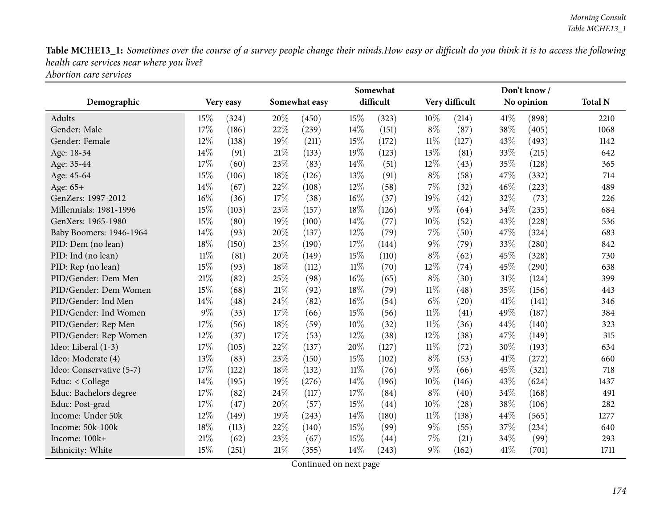*Abortion care services*

|                          |        |           | Somewhat |               |        |           |        |                |      | Don't know/ |                |  |
|--------------------------|--------|-----------|----------|---------------|--------|-----------|--------|----------------|------|-------------|----------------|--|
| Demographic              |        | Very easy |          | Somewhat easy |        | difficult |        | Very difficult |      | No opinion  | <b>Total N</b> |  |
| Adults                   | 15%    | (324)     | 20%      | (450)         | 15%    | (323)     | 10%    | (214)          | 41\% | (898)       | 2210           |  |
| Gender: Male             | 17%    | (186)     | 22%      | (239)         | 14%    | (151)     | $8\%$  | (87)           | 38%  | (405)       | 1068           |  |
| Gender: Female           | 12%    | (138)     | 19%      | (211)         | 15%    | (172)     | $11\%$ | (127)          | 43%  | (493)       | 1142           |  |
| Age: 18-34               | 14\%   | (91)      | $21\%$   | (133)         | 19%    | (123)     | 13%    | (81)           | 33%  | (215)       | 642            |  |
| Age: 35-44               | 17%    | (60)      | 23%      | (83)          | 14%    | (51)      | 12%    | (43)           | 35%  | (128)       | 365            |  |
| Age: 45-64               | 15%    | (106)     | 18%      | (126)         | 13%    | (91)      | $8\%$  | (58)           | 47%  | (332)       | 714            |  |
| Age: 65+                 | 14%    | (67)      | 22%      | (108)         | 12%    | (58)      | 7%     | (32)           | 46%  | (223)       | 489            |  |
| GenZers: 1997-2012       | 16%    | (36)      | 17%      | (38)          | 16%    | (37)      | 19%    | (42)           | 32%  | (73)        | 226            |  |
| Millennials: 1981-1996   | 15%    | (103)     | 23%      | (157)         | 18%    | (126)     | $9\%$  | (64)           | 34%  | (235)       | 684            |  |
| GenXers: 1965-1980       | 15%    | (80)      | 19%      | (100)         | 14%    | (77)      | 10%    | (52)           | 43%  | (228)       | 536            |  |
| Baby Boomers: 1946-1964  | 14\%   | (93)      | 20%      | (137)         | 12%    | (79)      | 7%     | (50)           | 47%  | (324)       | 683            |  |
| PID: Dem (no lean)       | 18%    | (150)     | 23%      | (190)         | 17%    | (144)     | $9\%$  | (79)           | 33%  | (280)       | 842            |  |
| PID: Ind (no lean)       | $11\%$ | (81)      | 20%      | (149)         | 15%    | (110)     | $8\%$  | (62)           | 45%  | (328)       | 730            |  |
| PID: Rep (no lean)       | 15%    | (93)      | 18%      | (112)         | $11\%$ | (70)      | 12%    | (74)           | 45%  | (290)       | 638            |  |
| PID/Gender: Dem Men      | 21%    | (82)      | 25%      | (98)          | 16%    | (65)      | $8\%$  | (30)           | 31%  | (124)       | 399            |  |
| PID/Gender: Dem Women    | 15%    | (68)      | $21\%$   | (92)          | 18%    | (79)      | $11\%$ | (48)           | 35%  | (156)       | 443            |  |
| PID/Gender: Ind Men      | 14%    | (48)      | 24\%     | (82)          | 16%    | (54)      | $6\%$  | (20)           | 41%  | (141)       | 346            |  |
| PID/Gender: Ind Women    | $9\%$  | (33)      | 17%      | (66)          | 15%    | (56)      | $11\%$ | (41)           | 49%  | (187)       | 384            |  |
| PID/Gender: Rep Men      | 17%    | (56)      | 18%      | (59)          | 10%    | (32)      | $11\%$ | (36)           | 44%  | (140)       | 323            |  |
| PID/Gender: Rep Women    | 12%    | (37)      | $17\%$   | (53)          | 12%    | (38)      | 12%    | (38)           | 47%  | (149)       | 315            |  |
| Ideo: Liberal (1-3)      | 17%    | (105)     | 22%      | (137)         | 20%    | (127)     | $11\%$ | (72)           | 30%  | (193)       | 634            |  |
| Ideo: Moderate (4)       | 13%    | (83)      | 23%      | (150)         | 15%    | (102)     | $8\%$  | (53)           | 41%  | (272)       | 660            |  |
| Ideo: Conservative (5-7) | 17%    | (122)     | 18%      | (132)         | $11\%$ | (76)      | 9%     | (66)           | 45%  | (321)       | 718            |  |
| Educ: < College          | 14%    | (195)     | 19%      | (276)         | 14%    | (196)     | 10%    | (146)          | 43%  | (624)       | 1437           |  |
| Educ: Bachelors degree   | 17%    | (82)      | 24%      | (117)         | 17%    | (84)      | $8\%$  | (40)           | 34%  | (168)       | 491            |  |
| Educ: Post-grad          | 17%    | (47)      | 20%      | (57)          | 15%    | (44)      | 10%    | (28)           | 38%  | (106)       | 282            |  |
| Income: Under 50k        | 12%    | (149)     | 19%      | (243)         | 14%    | (180)     | $11\%$ | (138)          | 44%  | (565)       | 1277           |  |
| Income: 50k-100k         | 18%    | (113)     | 22%      | (140)         | 15%    | (99)      | $9\%$  | (55)           | 37%  | (234)       | 640            |  |
| Income: 100k+            | 21%    | (62)      | 23\%     | (67)          | 15%    | (44)      | 7%     | (21)           | 34%  | (99)        | 293            |  |
| Ethnicity: White         | 15%    | (251)     | $21\%$   | (355)         | 14%    | (243)     | $9\%$  | (162)          | 41%  | (701)       | 1711           |  |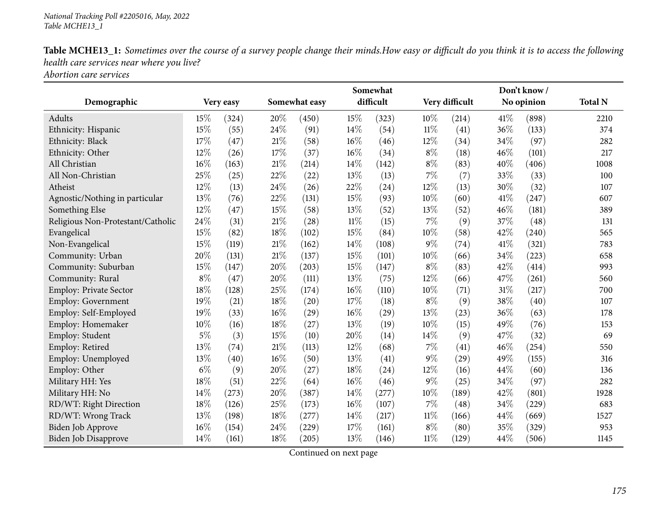*Abortion care services*

|                                   |       |           |               |                    |        | Somewhat  |        |                |      | Don't know / |                |
|-----------------------------------|-------|-----------|---------------|--------------------|--------|-----------|--------|----------------|------|--------------|----------------|
| Demographic                       |       | Very easy | Somewhat easy |                    |        | difficult |        | Very difficult |      | No opinion   | <b>Total N</b> |
| Adults                            | 15%   | (324)     | 20%           | (450)              | 15%    | (323)     | 10%    | (214)          | 41\% | (898)        | 2210           |
| Ethnicity: Hispanic               | 15%   | (55)      | 24%           | (91)               | $14\%$ | (54)      | $11\%$ | (41)           | 36%  | (133)        | 374            |
| Ethnicity: Black                  | 17%   | (47)      | $21\%$        | (58)               | 16%    | (46)      | 12%    | (34)           | 34%  | (97)         | 282            |
| Ethnicity: Other                  | 12%   | (26)      | 17%           | (37)               | 16%    | (34)      | $8\%$  | (18)           | 46%  | (101)        | 217            |
| All Christian                     | 16%   | (163)     | $21\%$        | (214)              | $14\%$ | (142)     | $8\%$  | (83)           | 40%  | (406)        | 1008           |
| All Non-Christian                 | 25%   | (25)      | 22%           | (22)               | 13%    | (13)      | 7%     | (7)            | 33%  | (33)         | 100            |
| Atheist                           | 12%   | (13)      | 24%           | (26)               | 22%    | (24)      | 12%    | (13)           | 30%  | (32)         | 107            |
| Agnostic/Nothing in particular    | 13%   | (76)      | 22%           | (131)              | 15%    | (93)      | 10%    | (60)           | 41\% | (247)        | 607            |
| Something Else                    | 12%   | (47)      | 15%           | (58)               | 13%    | (52)      | 13%    | (52)           | 46%  | (181)        | 389            |
| Religious Non-Protestant/Catholic | 24%   | (31)      | $21\%$        | $\left( 28\right)$ | $11\%$ | (15)      | $7\%$  | (9)            | 37%  | (48)         | 131            |
| Evangelical                       | 15%   | (82)      | 18%           | (102)              | 15%    | (84)      | 10%    | (58)           | 42%  | (240)        | 565            |
| Non-Evangelical                   | 15%   | (119)     | $21\%$        | (162)              | 14%    | (108)     | $9\%$  | (74)           | 41\% | (321)        | 783            |
| Community: Urban                  | 20%   | (131)     | $21\%$        | (137)              | 15%    | (101)     | 10%    | (66)           | 34%  | (223)        | 658            |
| Community: Suburban               | 15%   | (147)     | 20%           | (203)              | 15%    | (147)     | $8\%$  | (83)           | 42%  | (414)        | 993            |
| Community: Rural                  | $8\%$ | (47)      | 20%           | (111)              | 13%    | (75)      | 12%    | (66)           | 47%  | (261)        | 560            |
| Employ: Private Sector            | 18%   | (128)     | 25%           | (174)              | $16\%$ | (110)     | 10%    | (71)           | 31%  | (217)        | 700            |
| Employ: Government                | 19%   | (21)      | 18%           | (20)               | 17%    | (18)      | $8\%$  | (9)            | 38%  | (40)         | 107            |
| Employ: Self-Employed             | 19%   | (33)      | 16%           | (29)               | 16%    | (29)      | 13%    | (23)           | 36%  | (63)         | 178            |
| Employ: Homemaker                 | 10%   | (16)      | 18%           | (27)               | 13%    | (19)      | 10%    | (15)           | 49%  | (76)         | 153            |
| Employ: Student                   | $5\%$ | (3)       | 15%           | (10)               | 20%    | (14)      | 14%    | (9)            | 47%  | (32)         | 69             |
| Employ: Retired                   | 13%   | (74)      | $21\%$        | (113)              | $12\%$ | (68)      | $7\%$  | (41)           | 46%  | (254)        | 550            |
| Employ: Unemployed                | 13%   | (40)      | 16%           | (50)               | 13%    | (41)      | $9\%$  | (29)           | 49%  | (155)        | 316            |
| Employ: Other                     | $6\%$ | (9)       | 20%           | (27)               | 18%    | (24)      | 12%    | (16)           | 44%  | (60)         | 136            |
| Military HH: Yes                  | 18%   | (51)      | 22%           | (64)               | $16\%$ | (46)      | $9\%$  | (25)           | 34%  | (97)         | 282            |
| Military HH: No                   | 14\%  | (273)     | 20%           | (387)              | 14%    | (277)     | 10%    | (189)          | 42%  | (801)        | 1928           |
| RD/WT: Right Direction            | 18%   | (126)     | 25%           | (173)              | 16%    | (107)     | $7\%$  | (48)           | 34%  | (229)        | 683            |
| RD/WT: Wrong Track                | 13%   | (198)     | $18\%$        | (277)              | $14\%$ | (217)     | $11\%$ | (166)          | 44%  | (669)        | 1527           |
| Biden Job Approve                 | 16%   | (154)     | 24\%          | (229)              | 17%    | (161)     | $8\%$  | (80)           | 35%  | (329)        | 953            |
| <b>Biden Job Disapprove</b>       | 14%   | (161)     | 18%           | (205)              | 13%    | (146)     | $11\%$ | (129)          | 44%  | (506)        | 1145           |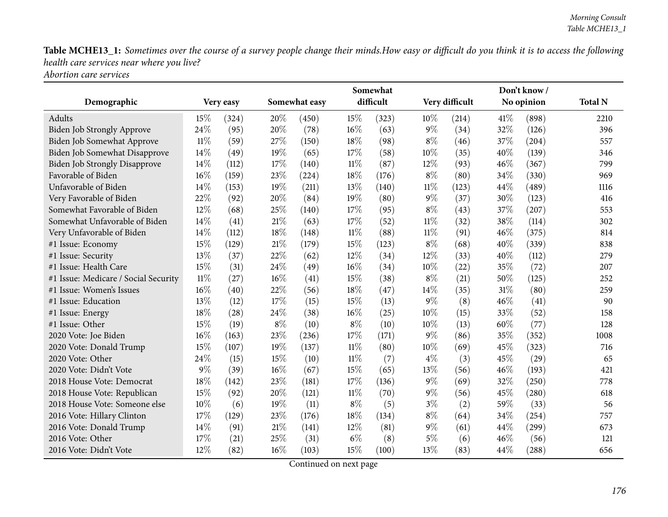*Abortion care services*

|                                      |        |           |               |       |           | Somewhat |                |       |            | Don't know/ |                |  |
|--------------------------------------|--------|-----------|---------------|-------|-----------|----------|----------------|-------|------------|-------------|----------------|--|
| Demographic                          |        | Very easy | Somewhat easy |       | difficult |          | Very difficult |       | No opinion |             | <b>Total N</b> |  |
| Adults                               | 15%    | (324)     | 20%           | (450) | 15%       | (323)    | 10%            | (214) | 41\%       | (898)       | 2210           |  |
| Biden Job Strongly Approve           | 24%    | (95)      | 20%           | (78)  | 16%       | (63)     | 9%             | (34)  | 32%        | (126)       | 396            |  |
| Biden Job Somewhat Approve           | $11\%$ | (59)      | 27%           | (150) | 18%       | (98)     | $8\%$          | (46)  | 37%        | (204)       | 557            |  |
| Biden Job Somewhat Disapprove        | 14%    | (49)      | 19%           | (65)  | 17%       | (58)     | 10%            | (35)  | 40%        | (139)       | 346            |  |
| <b>Biden Job Strongly Disapprove</b> | 14%    | (112)     | 17%           | (140) | $11\%$    | (87)     | 12%            | (93)  | 46%        | (367)       | 799            |  |
| Favorable of Biden                   | 16%    | (159)     | 23%           | (224) | 18%       | (176)    | $8\%$          | (80)  | 34%        | (330)       | 969            |  |
| Unfavorable of Biden                 | 14%    | (153)     | 19%           | (211) | 13%       | (140)    | $11\%$         | (123) | 44%        | (489)       | 1116           |  |
| Very Favorable of Biden              | 22%    | (92)      | 20%           | (84)  | 19%       | (80)     | 9%             | (37)  | 30%        | (123)       | 416            |  |
| Somewhat Favorable of Biden          | 12%    | (68)      | 25%           | (140) | 17%       | (95)     | $8\%$          | (43)  | 37%        | (207)       | 553            |  |
| Somewhat Unfavorable of Biden        | 14%    | (41)      | $21\%$        | (63)  | 17%       | (52)     | $11\%$         | (32)  | 38%        | (114)       | 302            |  |
| Very Unfavorable of Biden            | 14%    | (112)     | 18%           | (148) | $11\%$    | (88)     | $11\%$         | (91)  | 46%        | (375)       | 814            |  |
| #1 Issue: Economy                    | 15%    | (129)     | $21\%$        | (179) | 15%       | (123)    | $8\%$          | (68)  | 40%        | (339)       | 838            |  |
| #1 Issue: Security                   | 13%    | (37)      | 22%           | (62)  | 12%       | (34)     | 12%            | (33)  | 40%        | (112)       | 279            |  |
| #1 Issue: Health Care                | 15%    | (31)      | 24\%          | (49)  | 16%       | (34)     | 10%            | (22)  | 35%        | (72)        | 207            |  |
| #1 Issue: Medicare / Social Security | $11\%$ | (27)      | $16\%$        | (41)  | 15%       | (38)     | $8\%$          | (21)  | 50%        | (125)       | 252            |  |
| #1 Issue: Women's Issues             | 16%    | (40)      | 22%           | (56)  | 18%       | (47)     | $14\%$         | (35)  | 31%        | (80)        | 259            |  |
| #1 Issue: Education                  | 13%    | (12)      | 17%           | (15)  | 15%       | (13)     | 9%             | (8)   | 46%        | (41)        | 90             |  |
| #1 Issue: Energy                     | 18%    | (28)      | 24%           | (38)  | 16%       | (25)     | 10%            | (15)  | 33%        | (52)        | 158            |  |
| #1 Issue: Other                      | 15%    | (19)      | $8\%$         | (10)  | $8\%$     | (10)     | 10%            | (13)  | 60%        | (77)        | 128            |  |
| 2020 Vote: Joe Biden                 | 16%    | (163)     | 23\%          | (236) | 17%       | (171)    | 9%             | (86)  | 35%        | (352)       | 1008           |  |
| 2020 Vote: Donald Trump              | 15%    | (107)     | 19%           | (137) | $11\%$    | (80)     | 10%            | (69)  | 45%        | (323)       | 716            |  |
| 2020 Vote: Other                     | 24%    | (15)      | 15%           | (10)  | $11\%$    | (7)      | $4\%$          | (3)   | 45%        | (29)        | 65             |  |
| 2020 Vote: Didn't Vote               | 9%     | (39)      | $16\%$        | (67)  | 15%       | (65)     | 13%            | (56)  | 46%        | (193)       | 421            |  |
| 2018 House Vote: Democrat            | 18%    | (142)     | 23%           | (181) | 17%       | (136)    | 9%             | (69)  | 32%        | (250)       | 778            |  |
| 2018 House Vote: Republican          | 15%    | (92)      | 20%           | (121) | $11\%$    | (70)     | $9\%$          | (56)  | 45%        | (280)       | 618            |  |
| 2018 House Vote: Someone else        | $10\%$ | (6)       | 19%           | (11)  | $8\%$     | (5)      | $3\%$          | (2)   | 59%        | (33)        | 56             |  |
| 2016 Vote: Hillary Clinton           | 17%    | (129)     | 23%           | (176) | 18%       | (134)    | $8\%$          | (64)  | 34%        | (254)       | 757            |  |
| 2016 Vote: Donald Trump              | 14%    | (91)      | $21\%$        | (141) | 12%       | (81)     | 9%             | (61)  | 44%        | (299)       | 673            |  |
| 2016 Vote: Other                     | 17%    | (21)      | 25%           | (31)  | $6\%$     | (8)      | $5\%$          | (6)   | 46%        | (56)        | 121            |  |
| 2016 Vote: Didn't Vote               | 12%    | (82)      | 16%           | (103) | 15%       | (100)    | 13%            | (83)  | 44%        | (288)       | 656            |  |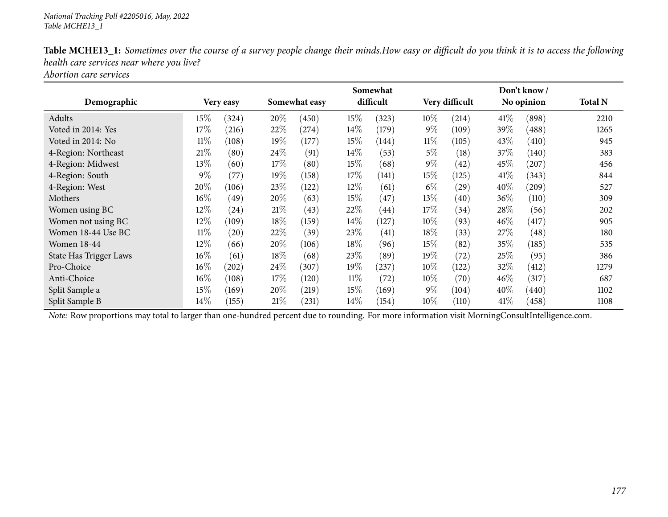|                        |           |                    |               |       |        | Somewhat  |        |                |        | Don't know/     |                |
|------------------------|-----------|--------------------|---------------|-------|--------|-----------|--------|----------------|--------|-----------------|----------------|
| Demographic            | Very easy |                    | Somewhat easy |       |        | difficult |        | Very difficult |        | No opinion      | <b>Total N</b> |
| Adults                 | $15\%$    | (324)              | 20%           | (450) | 15\%   | (323)     | $10\%$ | (214)          | 41\%   | (898)           | 2210           |
| Voted in 2014: Yes     | 17%       | (216)              | 22\%          | (274) | $14\%$ | (179)     | $9\%$  | (109)          | 39\%   | $^{\prime}488)$ | 1265           |
| Voted in 2014: No      | $11\%$    | (108)              | 19%           | (177) | 15\%   | (144)     | $11\%$ | (105)          | 43\%   | (410)           | 945            |
| 4-Region: Northeast    | 21%       | (80)               | 24\%          | (91)  | 14%    | (53)      | $5\%$  | (18)           | 37\%   | (140)           | 383            |
| 4-Region: Midwest      | 13\%      | (60)               | $17\%$        | (80)  | 15\%   | (68)      | $9\%$  | (42)           | $45\%$ | (207)           | 456            |
| 4-Region: South        | $9\%$     | (77)               | $19\%$        | (158) | 17\%   | (141)     | 15%    | (125)          | 41\%   | (343)           | 844            |
| 4-Region: West         | 20%       | (106)              | 23\%          | (122) | 12\%   | (61)      | $6\%$  | (29)           | $40\%$ | (209)           | 527            |
| Mothers                | $16\%$    | (49)               | $20\%$        | (63)  | 15\%   | (47)      | 13\%   | (40)           | $36\%$ | (110)           | 309            |
| Women using BC         | 12%       | $\left( 24\right)$ | 21%           | (43)  | 22%    | (44)      | 17%    | (34)           | 28\%   | (56)            | 202            |
| Women not using BC     | $12\%$    | (109)              | $18\%$        | (159) | $14\%$ | (127)     | $10\%$ | (93)           | $46\%$ | (417)           | 905            |
| Women 18-44 Use BC     | $11\%$    | (20)               | 22%           | (39)  | 23%    | (41)      | 18%    | (33)           | 27\%   | (48)            | 180            |
| <b>Women 18-44</b>     | 12%       | (66)               | 20%           | (106) | 18%    | (96)      | 15%    | (82)           | 35\%   | (185)           | 535            |
| State Has Trigger Laws | 16%       | (61)               | $18\%$        | (68)  | 23\%   | (89)      | 19%    | (72)           | 25\%   | (95)            | 386            |
| Pro-Choice             | $16\%$    | (202)              | 24\%          | (307) | $19\%$ | (237)     | $10\%$ | (122)          | 32%    | (412)           | 1279           |
| Anti-Choice            | 16%       | (108)              | $17\%$        | (120) | $11\%$ | (72)      | $10\%$ | (70)           | $46\%$ | (317)           | 687            |
| Split Sample a         | 15%       | (169)              | $20\%$        | (219) | 15\%   | (169)     | $9\%$  | (104)          | $40\%$ | (440)           | 1102           |
| Split Sample B         | 14\%      | (155)              | 21%           | (231) | $14\%$ | (154)     | $10\%$ | (110)          | 41\%   | (458)           | 1108           |

*Abortion care services*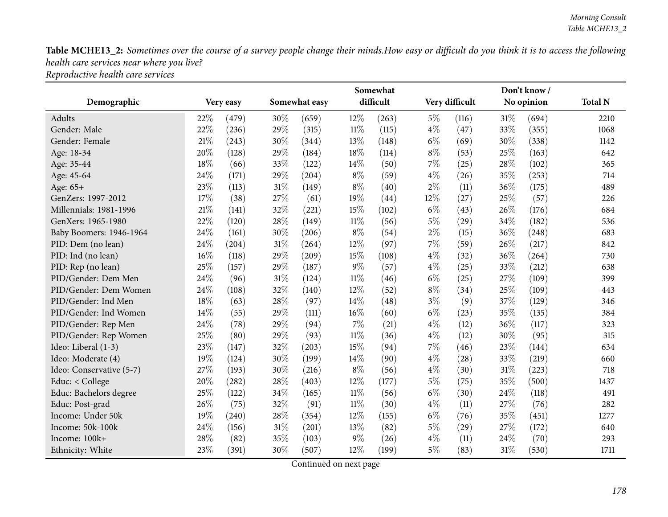|                          |        |           |               |       |        | Somewhat  |       | Don't know /   |     |            |                |  |  |
|--------------------------|--------|-----------|---------------|-------|--------|-----------|-------|----------------|-----|------------|----------------|--|--|
| Demographic              |        | Very easy | Somewhat easy |       |        | difficult |       | Very difficult |     | No opinion | <b>Total N</b> |  |  |
| Adults                   | 22%    | (479)     | 30%           | (659) | 12%    | (263)     | $5\%$ | (116)          | 31% | (694)      | 2210           |  |  |
| Gender: Male             | 22%    | (236)     | 29%           | (315) | $11\%$ | (115)     | $4\%$ | (47)           | 33% | (355)      | 1068           |  |  |
| Gender: Female           | 21%    | (243)     | 30%           | (344) | 13%    | (148)     | $6\%$ | (69)           | 30% | (338)      | 1142           |  |  |
| Age: 18-34               | 20%    | (128)     | 29%           | (184) | 18%    | (114)     | $8\%$ | (53)           | 25% | (163)      | 642            |  |  |
| Age: 35-44               | 18%    | (66)      | 33%           | (122) | 14%    | (50)      | 7%    | (25)           | 28% | (102)      | 365            |  |  |
| Age: 45-64               | 24%    | (171)     | 29%           | (204) | $8\%$  | (59)      | $4\%$ | (26)           | 35% | (253)      | 714            |  |  |
| Age: 65+                 | 23%    | (113)     | 31%           | (149) | $8\%$  | (40)      | $2\%$ | (11)           | 36% | (175)      | 489            |  |  |
| GenZers: 1997-2012       | 17%    | (38)      | 27%           | (61)  | 19%    | (44)      | 12%   | (27)           | 25% | (57)       | 226            |  |  |
| Millennials: 1981-1996   | $21\%$ | (141)     | 32%           | (221) | 15%    | (102)     | $6\%$ | (43)           | 26% | (176)      | 684            |  |  |
| GenXers: 1965-1980       | 22%    | (120)     | 28\%          | (149) | $11\%$ | (56)      | $5\%$ | (29)           | 34% | (182)      | 536            |  |  |
| Baby Boomers: 1946-1964  | 24%    | (161)     | 30%           | (206) | $8\%$  | (54)      | $2\%$ | (15)           | 36% | (248)      | 683            |  |  |
| PID: Dem (no lean)       | 24%    | (204)     | $31\%$        | (264) | 12%    | (97)      | 7%    | (59)           | 26% | (217)      | 842            |  |  |
| PID: Ind (no lean)       | 16%    | (118)     | 29%           | (209) | 15%    | (108)     | $4\%$ | (32)           | 36% | (264)      | 730            |  |  |
| PID: Rep (no lean)       | 25%    | (157)     | 29%           | (187) | $9\%$  | (57)      | $4\%$ | (25)           | 33% | (212)      | 638            |  |  |
| PID/Gender: Dem Men      | 24%    | (96)      | 31%           | (124) | $11\%$ | (46)      | $6\%$ | (25)           | 27% | (109)      | 399            |  |  |
| PID/Gender: Dem Women    | 24%    | (108)     | 32%           | (140) | 12%    | (52)      | $8\%$ | (34)           | 25% | (109)      | 443            |  |  |
| PID/Gender: Ind Men      | 18%    | (63)      | 28\%          | (97)  | 14%    | (48)      | $3\%$ | (9)            | 37% | (129)      | 346            |  |  |
| PID/Gender: Ind Women    | 14%    | (55)      | 29%           | (111) | 16%    | (60)      | $6\%$ | (23)           | 35% | (135)      | 384            |  |  |
| PID/Gender: Rep Men      | 24%    | (78)      | 29%           | (94)  | 7%     | (21)      | $4\%$ | (12)           | 36% | (117)      | 323            |  |  |
| PID/Gender: Rep Women    | 25%    | (80)      | 29%           | (93)  | $11\%$ | (36)      | $4\%$ | (12)           | 30% | (95)       | 315            |  |  |
| Ideo: Liberal (1-3)      | 23%    | (147)     | 32%           | (203) | 15%    | (94)      | 7%    | (46)           | 23% | (144)      | 634            |  |  |
| Ideo: Moderate (4)       | 19%    | (124)     | 30%           | (199) | 14%    | (90)      | $4\%$ | (28)           | 33% | (219)      | 660            |  |  |
| Ideo: Conservative (5-7) | 27%    | (193)     | 30%           | (216) | $8\%$  | (56)      | $4\%$ | (30)           | 31% | (223)      | 718            |  |  |
| Educ: < College          | 20%    | (282)     | 28\%          | (403) | 12%    | (177)     | $5\%$ | (75)           | 35% | (500)      | 1437           |  |  |
| Educ: Bachelors degree   | 25%    | (122)     | 34%           | (165) | $11\%$ | (56)      | $6\%$ | (30)           | 24% | (118)      | 491            |  |  |
| Educ: Post-grad          | 26%    | (75)      | 32%           | (91)  | $11\%$ | (30)      | $4\%$ | (11)           | 27% | (76)       | 282            |  |  |
| Income: Under 50k        | 19%    | (240)     | 28\%          | (354) | 12%    | (155)     | $6\%$ | (76)           | 35% | (451)      | 1277           |  |  |
| Income: 50k-100k         | 24%    | (156)     | $31\%$        | (201) | 13%    | (82)      | $5\%$ | (29)           | 27% | (172)      | 640            |  |  |
| Income: 100k+            | 28%    | (82)      | 35%           | (103) | $9\%$  | (26)      | $4\%$ | (11)           | 24% | (70)       | 293            |  |  |
| Ethnicity: White         | 23%    | (391)     | 30%           | (507) | 12%    | (199)     | $5\%$ | (83)           | 31% | (530)      | 1711           |  |  |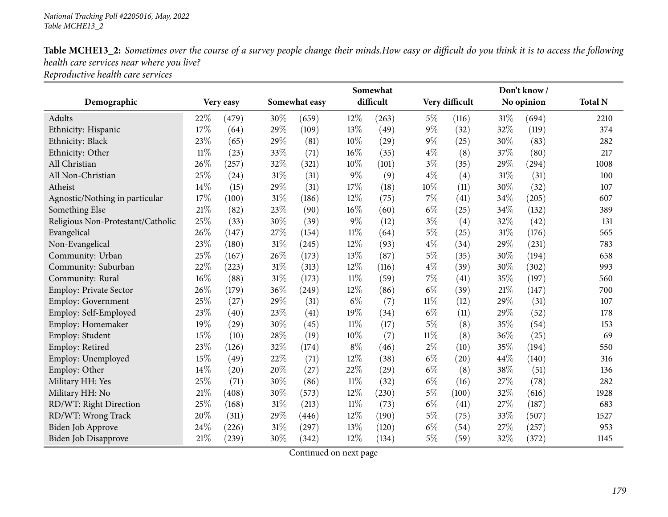|                                   |        |           |        |               |        | Somewhat  |        | Don't know/<br>No opinion |        |       | <b>Total N</b> |
|-----------------------------------|--------|-----------|--------|---------------|--------|-----------|--------|---------------------------|--------|-------|----------------|
| Demographic                       |        | Very easy |        | Somewhat easy |        | difficult |        | Very difficult            |        |       |                |
| Adults                            | 22\%   | (479)     | 30%    | (659)         | 12%    | (263)     | $5\%$  | (116)                     | $31\%$ | (694) | 2210           |
| Ethnicity: Hispanic               | 17%    | (64)      | 29%    | (109)         | 13%    | (49)      | $9\%$  | (32)                      | 32%    | (119) | 374            |
| Ethnicity: Black                  | 23%    | (65)      | 29%    | (81)          | 10%    | (29)      | $9\%$  | (25)                      | 30%    | (83)  | 282            |
| Ethnicity: Other                  | $11\%$ | (23)      | 33%    | (71)          | 16%    | (35)      | $4\%$  | (8)                       | 37%    | (80)  | 217            |
| All Christian                     | 26%    | (257)     | 32%    | (321)         | 10%    | (101)     | $3\%$  | (35)                      | 29%    | (294) | 1008           |
| All Non-Christian                 | 25%    | (24)      | 31%    | (31)          | $9\%$  | (9)       | $4\%$  | (4)                       | 31%    | (31)  | 100            |
| Atheist                           | 14%    | (15)      | 29%    | (31)          | 17%    | (18)      | 10%    | (11)                      | 30%    | (32)  | 107            |
| Agnostic/Nothing in particular    | 17%    | (100)     | $31\%$ | (186)         | 12%    | (75)      | $7\%$  | (41)                      | 34%    | (205) | 607            |
| Something Else                    | 21%    | (82)      | 23%    | (90)          | 16%    | (60)      | $6\%$  | (25)                      | 34%    | (132) | 389            |
| Religious Non-Protestant/Catholic | 25%    | (33)      | 30%    | (39)          | $9\%$  | (12)      | $3\%$  | (4)                       | 32%    | (42)  | 131            |
| Evangelical                       | 26%    | (147)     | 27%    | (154)         | $11\%$ | (64)      | $5\%$  | (25)                      | 31%    | (176) | 565            |
| Non-Evangelical                   | 23%    | (180)     | $31\%$ | (245)         | 12%    | (93)      | $4\%$  | (34)                      | 29%    | (231) | 783            |
| Community: Urban                  | 25%    | (167)     | 26%    | (173)         | 13%    | (87)      | $5\%$  | (35)                      | 30%    | (194) | 658            |
| Community: Suburban               | 22%    | (223)     | $31\%$ | (313)         | 12%    | (116)     | $4\%$  | (39)                      | 30%    | (302) | 993            |
| Community: Rural                  | 16%    | (88)      | $31\%$ | (173)         | $11\%$ | (59)      | $7\%$  | (41)                      | 35%    | (197) | 560            |
| Employ: Private Sector            | 26%    | (179)     | 36%    | (249)         | 12%    | (86)      | $6\%$  | (39)                      | 21%    | (147) | 700            |
| Employ: Government                | 25%    | (27)      | 29%    | (31)          | 6%     | (7)       | $11\%$ | (12)                      | 29%    | (31)  | 107            |
| Employ: Self-Employed             | 23%    | (40)      | 23%    | (41)          | 19%    | (34)      | $6\%$  | (11)                      | 29%    | (52)  | 178            |
| Employ: Homemaker                 | 19%    | (29)      | 30%    | (45)          | $11\%$ | (17)      | $5\%$  | (8)                       | 35%    | (54)  | 153            |
| Employ: Student                   | 15%    | (10)      | 28%    | (19)          | 10%    | (7)       | $11\%$ | (8)                       | 36%    | (25)  | 69             |
| Employ: Retired                   | 23%    | (126)     | 32%    | (174)         | $8\%$  | (46)      | $2\%$  | (10)                      | 35%    | (194) | 550            |
| Employ: Unemployed                | 15%    | (49)      | 22%    | (71)          | 12%    | (38)      | $6\%$  | (20)                      | 44%    | (140) | 316            |
| Employ: Other                     | 14%    | (20)      | 20%    | (27)          | 22%    | (29)      | $6\%$  | (8)                       | 38%    | (51)  | 136            |
| Military HH: Yes                  | 25%    | (71)      | 30%    | (86)          | $11\%$ | (32)      | $6\%$  | (16)                      | 27%    | (78)  | 282            |
| Military HH: No                   | 21%    | (408)     | 30%    | (573)         | 12%    | (230)     | $5\%$  | (100)                     | 32%    | (616) | 1928           |
| RD/WT: Right Direction            | 25%    | (168)     | 31%    | (213)         | $11\%$ | (73)      | $6\%$  | (41)                      | 27%    | (187) | 683            |
| RD/WT: Wrong Track                | 20%    | (311)     | 29%    | (446)         | 12%    | (190)     | $5\%$  | (75)                      | 33%    | (507) | 1527           |
| Biden Job Approve                 | 24%    | (226)     | 31%    | (297)         | 13%    | (120)     | $6\%$  | (54)                      | 27%    | (257) | 953            |
| Biden Job Disapprove              | 21%    | (239)     | 30%    | (342)         | 12%    | (134)     | $5\%$  | (59)                      | 32%    | (372) | 1145           |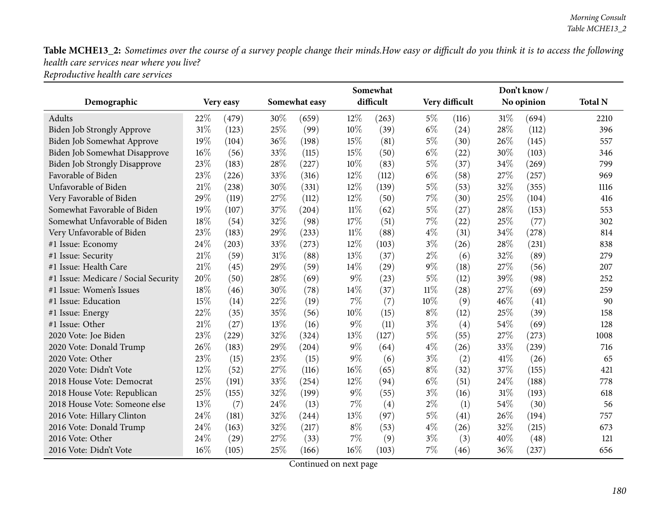|                                      |      |           |     | Somewhat      |        | Don't know/ |        |                |     |            |                |
|--------------------------------------|------|-----------|-----|---------------|--------|-------------|--------|----------------|-----|------------|----------------|
| Demographic                          |      | Very easy |     | Somewhat easy |        | difficult   |        | Very difficult |     | No opinion | <b>Total N</b> |
| Adults                               | 22%  | (479)     | 30% | (659)         | 12%    | (263)       | $5\%$  | (116)          | 31% | (694)      | 2210           |
| Biden Job Strongly Approve           | 31%  | (123)     | 25% | (99)          | 10%    | (39)        | $6\%$  | (24)           | 28% | (112)      | 396            |
| Biden Job Somewhat Approve           | 19%  | (104)     | 36% | (198)         | 15%    | (81)        | $5\%$  | (30)           | 26% | (145)      | 557            |
| Biden Job Somewhat Disapprove        | 16%  | (56)      | 33% | (115)         | 15%    | (50)        | $6\%$  | (22)           | 30% | (103)      | 346            |
| <b>Biden Job Strongly Disapprove</b> | 23%  | (183)     | 28% | (227)         | 10%    | (83)        | $5\%$  | (37)           | 34% | (269)      | 799            |
| Favorable of Biden                   | 23%  | (226)     | 33% | (316)         | 12%    | (112)       | $6\%$  | (58)           | 27% | (257)      | 969            |
| Unfavorable of Biden                 | 21%  | (238)     | 30% | (331)         | 12%    | (139)       | $5\%$  | (53)           | 32% | (355)      | 1116           |
| Very Favorable of Biden              | 29%  | (119)     | 27% | (112)         | 12%    | (50)        | $7\%$  | (30)           | 25% | (104)      | 416            |
| Somewhat Favorable of Biden          | 19%  | (107)     | 37% | (204)         | $11\%$ | (62)        | $5\%$  | (27)           | 28% | (153)      | 553            |
| Somewhat Unfavorable of Biden        | 18%  | (54)      | 32% | (98)          | 17%    | (51)        | 7%     | (22)           | 25% | (77)       | 302            |
| Very Unfavorable of Biden            | 23%  | (183)     | 29% | (233)         | $11\%$ | (88)        | $4\%$  | (31)           | 34% | (278)      | 814            |
| #1 Issue: Economy                    | 24%  | (203)     | 33% | (273)         | 12%    | (103)       | $3\%$  | (26)           | 28% | (231)      | 838            |
| #1 Issue: Security                   | 21%  | (59)      | 31% | (88)          | 13%    | (37)        | $2\%$  | (6)            | 32% | (89)       | 279            |
| #1 Issue: Health Care                | 21%  | (45)      | 29% | (59)          | 14%    | (29)        | 9%     | (18)           | 27% | (56)       | 207            |
| #1 Issue: Medicare / Social Security | 20%  | (50)      | 28% | (69)          | $9\%$  | (23)        | $5\%$  | (12)           | 39% | (98)       | 252            |
| #1 Issue: Women's Issues             | 18%  | (46)      | 30% | (78)          | 14\%   | (37)        | $11\%$ | (28)           | 27% | (69)       | 259            |
| #1 Issue: Education                  | 15%  | (14)      | 22% | (19)          | 7%     | (7)         | 10%    | (9)            | 46% | (41)       | 90             |
| #1 Issue: Energy                     | 22%  | (35)      | 35% | (56)          | 10%    | (15)        | $8\%$  | (12)           | 25% | (39)       | 158            |
| #1 Issue: Other                      | 21%  | (27)      | 13% | (16)          | $9\%$  | (11)        | $3\%$  | (4)            | 54% | (69)       | 128            |
| 2020 Vote: Joe Biden                 | 23%  | (229)     | 32% | (324)         | 13%    | (127)       | $5\%$  | (55)           | 27% | (273)      | 1008           |
| 2020 Vote: Donald Trump              | 26%  | (183)     | 29% | (204)         | 9%     | (64)        | $4\%$  | (26)           | 33% | (239)      | 716            |
| 2020 Vote: Other                     | 23%  | (15)      | 23% | (15)          | $9\%$  | (6)         | $3\%$  | (2)            | 41% | (26)       | 65             |
| 2020 Vote: Didn't Vote               | 12%  | (52)      | 27% | (116)         | 16%    | (65)        | $8\%$  | (32)           | 37% | (155)      | 421            |
| 2018 House Vote: Democrat            | 25%  | (191)     | 33% | (254)         | 12%    | (94)        | $6\%$  | (51)           | 24% | (188)      | 778            |
| 2018 House Vote: Republican          | 25%  | (155)     | 32% | (199)         | $9\%$  | (55)        | $3\%$  | (16)           | 31% | (193)      | 618            |
| 2018 House Vote: Someone else        | 13%  | (7)       | 24% | (13)          | $7\%$  | (4)         | $2\%$  | (1)            | 54% | (30)       | 56             |
| 2016 Vote: Hillary Clinton           | 24\% | (181)     | 32% | (244)         | 13%    | (97)        | $5\%$  | (41)           | 26% | (194)      | 757            |
| 2016 Vote: Donald Trump              | 24%  | (163)     | 32% | (217)         | $8\%$  | (53)        | $4\%$  | (26)           | 32% | (215)      | 673            |
| 2016 Vote: Other                     | 24%  | (29)      | 27% | (33)          | 7%     | (9)         | $3\%$  | (3)            | 40% | (48)       | 121            |
| 2016 Vote: Didn't Vote               | 16%  | (105)     | 25% | (166)         | 16%    | (103)       | $7\%$  | (46)           | 36% | (237)      | 656            |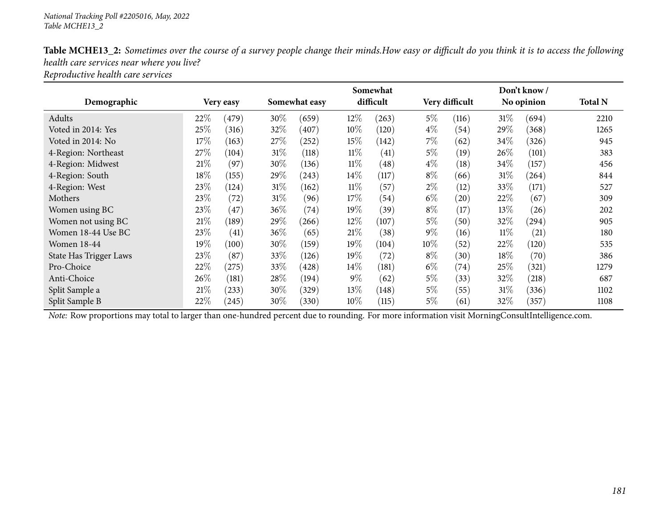|                               |        |           |        |               |        | Somewhat  |        |                |        | Don't know / |                |
|-------------------------------|--------|-----------|--------|---------------|--------|-----------|--------|----------------|--------|--------------|----------------|
| Demographic                   |        | Very easy |        | Somewhat easy |        | difficult |        | Very difficult |        | No opinion   | <b>Total N</b> |
| Adults                        | 22%    | (479)     | 30\%   | (659)         | $12\%$ | (263)     | $5\%$  | (116)          | $31\%$ | (694)        | 2210           |
| Voted in 2014: Yes            | 25\%   | (316)     | 32\%   | (407)         | 10\%   | (120)     | $4\%$  | (54)           | 29%    | (368)        | 1265           |
| Voted in 2014: No             | 17%    | (163)     | 27\%   | (252)         | $15\%$ | (142)     | 7%     | (62)           | 34\%   | (326)        | 945            |
| 4-Region: Northeast           | 27%    | (104)     | $31\%$ | (118)         | $11\%$ | (41)      | $5\%$  | (19)           | 26\%   | (101)        | 383            |
| 4-Region: Midwest             | $21\%$ | (97)      | 30%    | (136)         | $11\%$ | (48)      | $4\%$  | (18)           | 34\%   | (157)        | 456            |
| 4-Region: South               | 18%    | (155)     | 29\%   | (243)         | $14\%$ | (117)     | $8\%$  | (66)           | $31\%$ | (264)        | 844            |
| 4-Region: West                | 23\%   | (124)     | $31\%$ | (162)         | $11\%$ | (57)      | $2\%$  | (12)           | 33\%   | (171)        | 527            |
| Mothers                       | 23%    | (72)      | $31\%$ | (96)          | 17%    | (54)      | $6\%$  | (20)           | 22\%   | (67)         | 309            |
| Women using BC                | 23%    | (47)      | $36\%$ | (74)          | 19%    | (39)      | $8\%$  | (17)           | 13\%   | (26)         | 202            |
| Women not using BC            | 21%    | (189)     | 29\%   | (266)         | $12\%$ | (107)     | $5\%$  | (50)           | 32\%   | $^{'}294)$   | 905            |
| Women 18-44 Use BC            | 23%    | (41)      | 36\%   | (65)          | 21%    | (38)      | $9\%$  | (16)           | $11\%$ | (21)         | 180            |
| <b>Women 18-44</b>            | 19%    | (100)     | 30%    | (159)         | 19%    | (104)     | $10\%$ | (52)           | 22\%   | (120)        | 535            |
| <b>State Has Trigger Laws</b> | 23%    | (87)      | 33\%   | (126)         | 19%    | (72)      | $8\%$  | (30)           | 18%    | (70)         | 386            |
| Pro-Choice                    | 22%    | (275)     | 33\%   | (428)         | $14\%$ | (181)     | $6\%$  | (74)           | 25%    | (321)        | 1279           |
| Anti-Choice                   | 26%    | (181)     | 28\%   | (194)         | $9\%$  | (62)      | $5\%$  | (33)           | 32%    | (218)        | 687            |
| Split Sample a                | 21%    | (233)     | 30\%   | (329)         | 13\%   | (148)     | $5\%$  | (55)           | $31\%$ | (336)        | 1102           |
| Split Sample B                | 22%    | (245)     | 30\%   | (330)         | $10\%$ | (115)     | $5\%$  | (61)           | 32\%   | (357)        | 1108           |

Table MCHE13\_2: Sometimes over the course of a survey people change their minds. How easy or difficult do you think it is to access the following *health care services near where you live?*

*Reproductive health care services*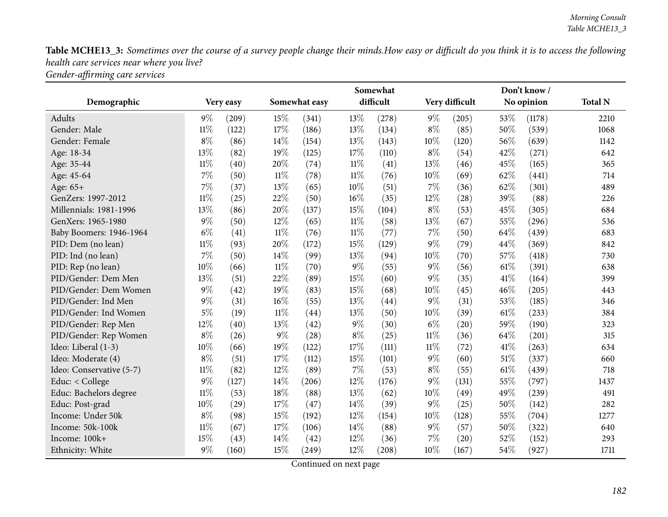Table MCHE13\_3: Sometimes over the course of a survey people change their minds. How easy or difficult do you think it is to access the following *health care services near where you live? Gender-affirming care services*

|                          |        |           |        |               |        | Somewhat  |        |                |      | Don't know/ |                |
|--------------------------|--------|-----------|--------|---------------|--------|-----------|--------|----------------|------|-------------|----------------|
| Demographic              |        | Very easy |        | Somewhat easy |        | difficult |        | Very difficult |      | No opinion  | <b>Total N</b> |
| <b>Adults</b>            | $9\%$  | (209)     | 15%    | (341)         | 13%    | (278)     | $9\%$  | (205)          | 53%  | (1178)      | 2210           |
| Gender: Male             | $11\%$ | (122)     | 17%    | (186)         | 13%    | (134)     | $8\%$  | (85)           | 50%  | (539)       | 1068           |
| Gender: Female           | $8\%$  | (86)      | 14%    | (154)         | 13%    | (143)     | 10%    | (120)          | 56%  | (639)       | 1142           |
| Age: 18-34               | 13%    | (82)      | 19%    | (125)         | 17%    | (110)     | $8\%$  | (54)           | 42%  | (271)       | 642            |
| Age: 35-44               | $11\%$ | (40)      | 20%    | (74)          | $11\%$ | (41)      | 13%    | (46)           | 45%  | (165)       | 365            |
| Age: 45-64               | 7%     | (50)      | $11\%$ | (78)          | $11\%$ | (76)      | 10%    | (69)           | 62%  | (441)       | 714            |
| Age: 65+                 | $7\%$  | (37)      | 13%    | (65)          | 10%    | (51)      | 7%     | (36)           | 62%  | (301)       | 489            |
| GenZers: 1997-2012       | $11\%$ | (25)      | 22%    | (50)          | 16%    | (35)      | 12%    | (28)           | 39%  | (88)        | 226            |
| Millennials: 1981-1996   | 13%    | (86)      | 20%    | (137)         | 15%    | (104)     | $8\%$  | (53)           | 45%  | (305)       | 684            |
| GenXers: 1965-1980       | $9\%$  | (50)      | 12%    | (65)          | $11\%$ | (58)      | 13%    | (67)           | 55%  | (296)       | 536            |
| Baby Boomers: 1946-1964  | $6\%$  | (41)      | $11\%$ | (76)          | $11\%$ | (77)      | 7%     | (50)           | 64%  | (439)       | 683            |
| PID: Dem (no lean)       | $11\%$ | (93)      | 20%    | (172)         | 15%    | (129)     | $9\%$  | (79)           | 44%  | (369)       | 842            |
| PID: Ind (no lean)       | 7%     | (50)      | 14%    | (99)          | 13%    | (94)      | 10%    | (70)           | 57%  | (418)       | 730            |
| PID: Rep (no lean)       | 10%    | (66)      | $11\%$ | (70)          | $9\%$  | (55)      | $9\%$  | (56)           | 61%  | (391)       | 638            |
| PID/Gender: Dem Men      | 13%    | (51)      | 22%    | (89)          | 15%    | (60)      | $9\%$  | (35)           | 41%  | (164)       | 399            |
| PID/Gender: Dem Women    | $9\%$  | (42)      | 19%    | (83)          | 15%    | (68)      | 10%    | (45)           | 46%  | (205)       | 443            |
| PID/Gender: Ind Men      | $9\%$  | (31)      | 16%    | (55)          | 13%    | (44)      | $9\%$  | (31)           | 53%  | (185)       | 346            |
| PID/Gender: Ind Women    | $5\%$  | (19)      | $11\%$ | (44)          | 13%    | (50)      | 10%    | (39)           | 61\% | (233)       | 384            |
| PID/Gender: Rep Men      | 12%    | (40)      | 13%    | (42)          | $9\%$  | (30)      | $6\%$  | (20)           | 59%  | (190)       | 323            |
| PID/Gender: Rep Women    | $8\%$  | (26)      | $9\%$  | (28)          | $8\%$  | (25)      | $11\%$ | (36)           | 64%  | (201)       | 315            |
| Ideo: Liberal (1-3)      | 10%    | (66)      | 19%    | (122)         | 17%    | (111)     | $11\%$ | (72)           | 41%  | (263)       | 634            |
| Ideo: Moderate (4)       | $8\%$  | (51)      | 17%    | (112)         | 15%    | (101)     | $9\%$  | (60)           | 51%  | (337)       | 660            |
| Ideo: Conservative (5-7) | $11\%$ | (82)      | 12%    | (89)          | 7%     | (53)      | $8\%$  | (55)           | 61%  | (439)       | 718            |
| Educ: < College          | 9%     | (127)     | 14%    | (206)         | 12%    | (176)     | $9\%$  | (131)          | 55%  | (797)       | 1437           |
| Educ: Bachelors degree   | $11\%$ | (53)      | 18%    | (88)          | 13%    | (62)      | 10%    | (49)           | 49%  | (239)       | 491            |
| Educ: Post-grad          | 10%    | (29)      | 17%    | (47)          | 14%    | (39)      | $9\%$  | (25)           | 50%  | (142)       | 282            |
| Income: Under 50k        | $8\%$  | (98)      | 15%    | (192)         | 12%    | (154)     | 10%    | (128)          | 55%  | (704)       | 1277           |
| Income: 50k-100k         | $11\%$ | (67)      | 17%    | (106)         | 14%    | (88)      | $9\%$  | (57)           | 50%  | (322)       | 640            |
| Income: 100k+            | 15%    | (43)      | 14%    | (42)          | 12%    | (36)      | 7%     | (20)           | 52%  | (152)       | 293            |
| Ethnicity: White         | 9%     | (160)     | 15%    | (249)         | 12%    | (208)     | 10%    | (167)          | 54%  | (927)       | 1711           |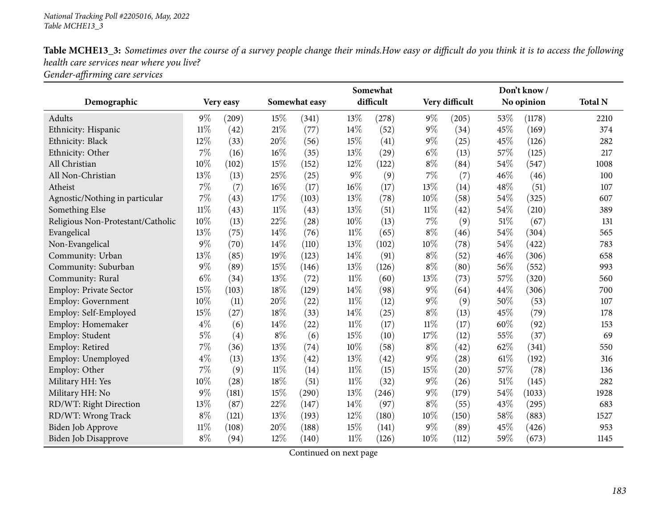Table MCHE13\_3: Sometimes over the course of a survey people change their minds. How easy or difficult do you think it is to access the following *health care services near where you live? Gender-affirming care services*

|                                   |        |           |        |               |        | Somewhat  |        |                    |        | Don't know/ |                |
|-----------------------------------|--------|-----------|--------|---------------|--------|-----------|--------|--------------------|--------|-------------|----------------|
| Demographic                       |        | Very easy |        | Somewhat easy |        | difficult |        | Very difficult     |        | No opinion  | <b>Total N</b> |
| Adults                            | $9\%$  | (209)     | 15%    | (341)         | 13%    | (278)     | $9\%$  | (205)              | $53\%$ | (1178)      | 2210           |
| Ethnicity: Hispanic               | $11\%$ | (42)      | 21%    | (77)          | 14%    | (52)      | $9\%$  | (34)               | 45%    | (169)       | 374            |
| Ethnicity: Black                  | 12%    | (33)      | 20%    | (56)          | 15%    | (41)      | $9\%$  | (25)               | 45%    | (126)       | 282            |
| Ethnicity: Other                  | 7%     | (16)      | 16%    | (35)          | 13%    | (29)      | $6\%$  | (13)               | 57%    | (125)       | 217            |
| All Christian                     | 10%    | (102)     | 15%    | (152)         | 12%    | (122)     | $8\%$  | (84)               | 54%    | (547)       | 1008           |
| All Non-Christian                 | 13%    | (13)      | 25%    | (25)          | $9\%$  | (9)       | $7\%$  | (7)                | 46%    | (46)        | 100            |
| Atheist                           | $7\%$  | (7)       | 16%    | (17)          | $16\%$ | (17)      | 13%    | (14)               | 48%    | (51)        | 107            |
| Agnostic/Nothing in particular    | 7%     | (43)      | 17%    | (103)         | 13%    | (78)      | 10%    | (58)               | 54%    | (325)       | 607            |
| Something Else                    | $11\%$ | (43)      | $11\%$ | (43)          | 13%    | (51)      | $11\%$ | (42)               | 54%    | (210)       | 389            |
| Religious Non-Protestant/Catholic | 10%    | (13)      | 22%    | (28)          | $10\%$ | (13)      | 7%     | (9)                | 51%    | (67)        | 131            |
| Evangelical                       | 13%    | (75)      | 14%    | (76)          | $11\%$ | (65)      | $8\%$  | (46)               | 54%    | (304)       | 565            |
| Non-Evangelical                   | 9%     | (70)      | 14%    | (110)         | 13%    | (102)     | 10%    | (78)               | 54%    | (422)       | 783            |
| Community: Urban                  | 13%    | (85)      | 19%    | (123)         | 14%    | (91)      | $8\%$  | (52)               | 46%    | (306)       | 658            |
| Community: Suburban               | $9\%$  | (89)      | 15%    | (146)         | 13%    | (126)     | $8\%$  | (80)               | 56%    | (552)       | 993            |
| Community: Rural                  | $6\%$  | (34)      | 13%    | (72)          | $11\%$ | (60)      | 13%    | (73)               | 57%    | (320)       | 560            |
| Employ: Private Sector            | 15%    | (103)     | 18%    | (129)         | 14%    | (98)      | $9\%$  | (64)               | 44%    | (306)       | 700            |
| <b>Employ: Government</b>         | 10%    | (11)      | 20%    | (22)          | $11\%$ | (12)      | $9\%$  | (9)                | 50%    | (53)        | 107            |
| Employ: Self-Employed             | 15%    | (27)      | 18%    | (33)          | 14%    | (25)      | $8\%$  | (13)               | 45%    | (79)        | 178            |
| Employ: Homemaker                 | $4\%$  | (6)       | 14%    | (22)          | $11\%$ | (17)      | $11\%$ | (17)               | 60%    | (92)        | 153            |
| Employ: Student                   | $5\%$  | (4)       | $8\%$  | (6)           | 15%    | (10)      | 17%    | (12)               | 55%    | (37)        | 69             |
| Employ: Retired                   | 7%     | (36)      | 13%    | (74)          | $10\%$ | (58)      | $8\%$  | (42)               | 62%    | (341)       | 550            |
| Employ: Unemployed                | $4\%$  | (13)      | 13%    | (42)          | 13%    | (42)      | $9\%$  | (28)               | 61%    | (192)       | 316            |
| Employ: Other                     | 7%     | (9)       | $11\%$ | (14)          | $11\%$ | (15)      | 15%    | $\left( 20\right)$ | 57%    | (78)        | 136            |
| Military HH: Yes                  | 10%    | (28)      | 18%    | (51)          | $11\%$ | (32)      | $9\%$  | (26)               | 51%    | (145)       | 282            |
| Military HH: No                   | $9\%$  | (181)     | 15%    | (290)         | 13%    | (246)     | $9\%$  | (179)              | 54%    | (1033)      | 1928           |
| RD/WT: Right Direction            | 13%    | (87)      | 22%    | (147)         | 14%    | (97)      | $8\%$  | (55)               | 43%    | (295)       | 683            |
| RD/WT: Wrong Track                | $8\%$  | (121)     | 13%    | (193)         | 12%    | (180)     | 10%    | (150)              | 58%    | (883)       | 1527           |
| Biden Job Approve                 | 11%    | (108)     | 20%    | (188)         | 15%    | (141)     | $9\%$  | (89)               | 45%    | (426)       | 953            |
| Biden Job Disapprove              | $8\%$  | (94)      | 12%    | (140)         | $11\%$ | (126)     | 10%    | (112)              | 59%    | (673)       | 1145           |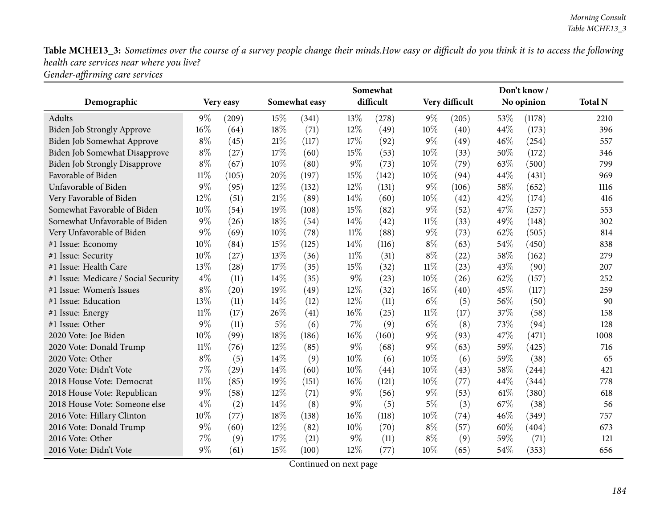Table MCHE13\_3: Sometimes over the course of a survey people change their minds. How easy or difficult do you think it is to access the following *health care services near where you live? Gender-affirming care services*

|                                      |        |           |        |               |        | Somewhat  |        |                |      | Don't know/ |                |
|--------------------------------------|--------|-----------|--------|---------------|--------|-----------|--------|----------------|------|-------------|----------------|
| Demographic                          |        | Very easy |        | Somewhat easy |        | difficult |        | Very difficult |      | No opinion  | <b>Total N</b> |
| Adults                               | $9\%$  | (209)     | 15%    | (341)         | 13%    | (278)     | $9\%$  | (205)          | 53%  | (1178)      | 2210           |
| Biden Job Strongly Approve           | 16%    | (64)      | $18\%$ | (71)          | 12%    | (49)      | 10%    | (40)           | 44%  | (173)       | 396            |
| Biden Job Somewhat Approve           | $8\%$  | (45)      | 21\%   | (117)         | 17%    | (92)      | $9\%$  | (49)           | 46%  | (254)       | 557            |
| Biden Job Somewhat Disapprove        | $8\%$  | (27)      | 17%    | (60)          | 15%    | (53)      | 10%    | (33)           | 50%  | (172)       | 346            |
| <b>Biden Job Strongly Disapprove</b> | $8\%$  | (67)      | $10\%$ | (80)          | $9\%$  | (73)      | 10%    | (79)           | 63%  | (500)       | 799            |
| Favorable of Biden                   | $11\%$ | (105)     | 20%    | (197)         | 15%    | (142)     | 10%    | (94)           | 44%  | (431)       | 969            |
| Unfavorable of Biden                 | $9\%$  | (95)      | 12%    | (132)         | 12%    | (131)     | 9%     | (106)          | 58%  | (652)       | 1116           |
| Very Favorable of Biden              | $12\%$ | (51)      | 21\%   | (89)          | 14%    | (60)      | 10%    | (42)           | 42%  | (174)       | 416            |
| Somewhat Favorable of Biden          | 10%    | (54)      | 19%    | (108)         | 15%    | (82)      | $9\%$  | (52)           | 47%  | (257)       | 553            |
| Somewhat Unfavorable of Biden        | $9\%$  | (26)      | $18\%$ | (54)          | 14\%   | (42)      | $11\%$ | (33)           | 49%  | (148)       | 302            |
| Very Unfavorable of Biden            | 9%     | (69)      | 10%    | (78)          | $11\%$ | (88)      | $9\%$  | (73)           | 62%  | (505)       | 814            |
| #1 Issue: Economy                    | 10%    | (84)      | 15%    | (125)         | 14%    | (116)     | $8\%$  | (63)           | 54%  | (450)       | 838            |
| #1 Issue: Security                   | 10%    | (27)      | 13%    | (36)          | $11\%$ | (31)      | $8\%$  | (22)           | 58%  | (162)       | 279            |
| #1 Issue: Health Care                | 13%    | (28)      | 17%    | (35)          | 15%    | (32)      | $11\%$ | (23)           | 43%  | (90)        | 207            |
| #1 Issue: Medicare / Social Security | $4\%$  | (11)      | 14\%   | (35)          | $9\%$  | (23)      | 10%    | (26)           | 62%  | (157)       | 252            |
| #1 Issue: Women's Issues             | $8\%$  | (20)      | 19%    | (49)          | 12%    | (32)      | 16%    | (40)           | 45%  | (117)       | 259            |
| #1 Issue: Education                  | 13%    | (11)      | 14\%   | (12)          | 12%    | (11)      | $6\%$  | (5)            | 56%  | (50)        | 90             |
| #1 Issue: Energy                     | $11\%$ | (17)      | 26%    | (41)          | 16%    | (25)      | $11\%$ | (17)           | 37%  | (58)        | 158            |
| #1 Issue: Other                      | 9%     | (11)      | $5\%$  | (6)           | $7\%$  | (9)       | $6\%$  | (8)            | 73%  | (94)        | 128            |
| 2020 Vote: Joe Biden                 | 10%    | (99)      | 18%    | (186)         | 16%    | (160)     | $9\%$  | (93)           | 47%  | (471)       | 1008           |
| 2020 Vote: Donald Trump              | $11\%$ | (76)      | 12%    | (85)          | 9%     | (68)      | $9\%$  | (63)           | 59%  | (425)       | 716            |
| 2020 Vote: Other                     | $8\%$  | (5)       | 14\%   | (9)           | 10%    | (6)       | 10%    | (6)            | 59%  | (38)        | 65             |
| 2020 Vote: Didn't Vote               | 7%     | (29)      | 14\%   | (60)          | 10%    | (44)      | 10%    | (43)           | 58%  | (244)       | 421            |
| 2018 House Vote: Democrat            | $11\%$ | (85)      | 19%    | (151)         | 16%    | (121)     | 10%    | (77)           | 44%  | (344)       | 778            |
| 2018 House Vote: Republican          | $9\%$  | (58)      | $12\%$ | (71)          | $9\%$  | (56)      | $9\%$  | (53)           | 61\% | (380)       | 618            |
| 2018 House Vote: Someone else        | $4\%$  | (2)       | 14%    | (8)           | 9%     | (5)       | $5\%$  | (3)            | 67%  | (38)        | 56             |
| 2016 Vote: Hillary Clinton           | 10%    | (77)      | 18%    | (138)         | 16%    | (118)     | 10%    | (74)           | 46%  | (349)       | 757            |
| 2016 Vote: Donald Trump              | $9\%$  | (60)      | 12%    | (82)          | 10%    | (70)      | $8\%$  | (57)           | 60%  | (404)       | 673            |
| 2016 Vote: Other                     | 7%     | (9)       | 17%    | (21)          | $9\%$  | (11)      | $8\%$  | (9)            | 59%  | (71)        | 121            |
| 2016 Vote: Didn't Vote               | $9\%$  | (61)      | 15%    | (100)         | 12%    | (77)      | 10%    | (65)           | 54%  | (353)       | 656            |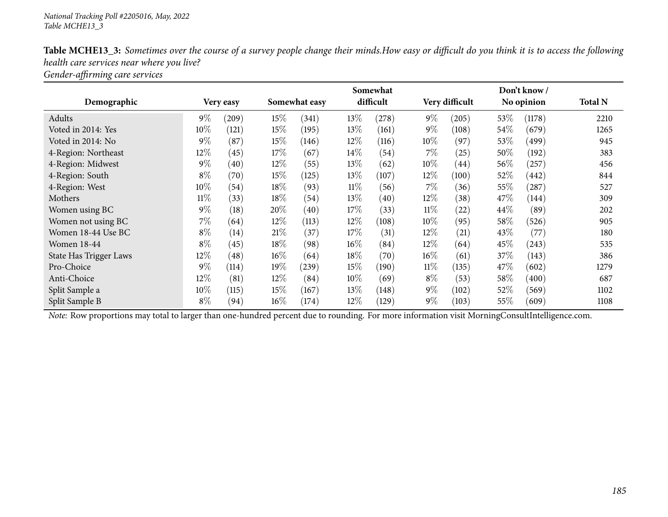|                        |        |           |        |               |        | Somewhat  |        |                    |        | Don't know/ |                |
|------------------------|--------|-----------|--------|---------------|--------|-----------|--------|--------------------|--------|-------------|----------------|
| Demographic            |        | Very easy |        | Somewhat easy |        | difficult |        | Very difficult     |        | No opinion  | <b>Total N</b> |
| Adults                 | $9\%$  | (209)     | 15%    | (341)         | 13\%   | (278)     | $9\%$  | (205)              | 53\%   | (1178)      | 2210           |
| Voted in 2014: Yes     | $10\%$ | (121)     | 15%    | (195)         | 13%    | (161)     | $9\%$  | (108)              | 54\%   | (679)       | 1265           |
| Voted in 2014: No      | $9\%$  | (87)      | $15\%$ | (146)         | $12\%$ | (116)     | $10\%$ | (97)               | 53\%   | (499)       | 945            |
| 4-Region: Northeast    | $12\%$ | (45)      | 17\%   | (67)          | $14\%$ | (54)      | $7\%$  | (25)               | $50\%$ | (192)       | 383            |
| 4-Region: Midwest      | $9\%$  | (40)      | $12\%$ | (55)          | 13\%   | (62)      | $10\%$ | (44)               | 56\%   | (257)       | 456            |
| 4-Region: South        | $8\%$  | (70)      | $15\%$ | (125)         | 13\%   | (107)     | 12\%   | (100)              | $52\%$ | (442)       | 844            |
| 4-Region: West         | $10\%$ | (54)      | 18%    | (93)          | $11\%$ | (56)      | $7\%$  | (36)               | $55\%$ | (287)       | 527            |
| Mothers                | $11\%$ | (33)      | $18\%$ | (54)          | 13\%   | (40)      | $12\%$ | (38)               | 47\%   | (144)       | 309            |
| Women using BC         | $9\%$  | (18)      | 20%    | (40)          | 17%    | (33)      | $11\%$ | $\left( 22\right)$ | 44\%   | (89)        | 202            |
| Women not using BC     | $7\%$  | (64)      | $12\%$ | (113)         | $12\%$ | (108)     | $10\%$ | (95)               | $58\%$ | (526)       | 905            |
| Women 18-44 Use BC     | $8\%$  | (14)      | $21\%$ | (37)          | 17%    | (31)      | $12\%$ | (21)               | $43\%$ | (77)        | 180            |
| <b>Women 18-44</b>     | $8\%$  | (45)      | $18\%$ | (98)          | $16\%$ | (84)      | $12\%$ | (64)               | 45\%   | (243)       | 535            |
| State Has Trigger Laws | $12\%$ | (48)      | $16\%$ | (64)          | 18%    | (70)      | $16\%$ | (61)               | 37%    | (143)       | 386            |
| Pro-Choice             | $9\%$  | (114)     | 19%    | (239)         | $15\%$ | (190)     | $11\%$ | (135)              | 47\%   | (602)       | 1279           |
| Anti-Choice            | $12\%$ | (81)      | $12\%$ | (84)          | 10%    | (69)      | $8\%$  | (53)               | $58\%$ | (400)       | 687            |
| Split Sample a         | $10\%$ | (115)     | $15\%$ | (167)         | 13\%   | (148)     | $9\%$  | (102)              | $52\%$ | (569)       | 1102           |
| Split Sample B         | $8\%$  | (94)      | $16\%$ | (174)         | $12\%$ | (129)     | $9\%$  | (103)              | $55\%$ | (609)       | 1108           |

Table MCHE13\_3: Sometimes over the course of a survey people change their minds. How easy or difficult do you think it is to access the following *health care services near where you live?*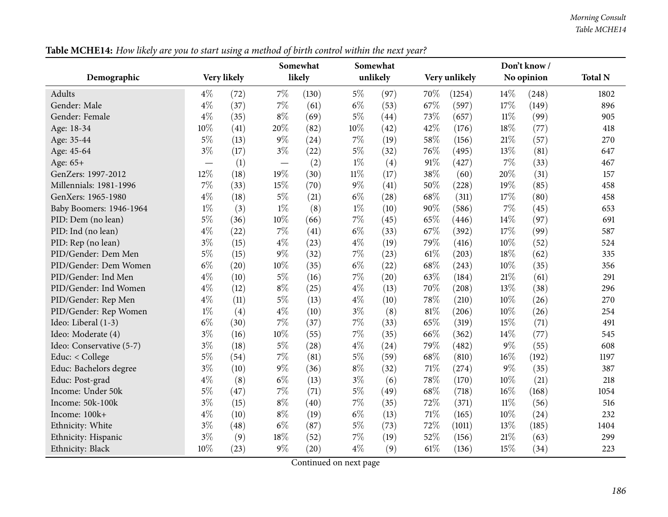|                          |        |             |                          | Somewhat |        | Somewhat |     |               |        | Don't know/ |                |
|--------------------------|--------|-------------|--------------------------|----------|--------|----------|-----|---------------|--------|-------------|----------------|
| Demographic              |        | Very likely |                          | likely   |        | unlikely |     | Very unlikely |        | No opinion  | <b>Total N</b> |
| Adults                   | $4\%$  | (72)        | $7\%$                    | (130)    | $5\%$  | (97)     | 70% | (1254)        | 14\%   | (248)       | 1802           |
| Gender: Male             | $4\%$  | (37)        | $7\%$                    | (61)     | $6\%$  | (53)     | 67% | (597)         | 17%    | (149)       | 896            |
| Gender: Female           | $4\%$  | (35)        | $8\%$                    | (69)     | $5\%$  | (44)     | 73% | (657)         | $11\%$ | (99)        | 905            |
| Age: 18-34               | 10%    | (41)        | 20%                      | (82)     | 10%    | (42)     | 42% | (176)         | 18%    | (77)        | 418            |
| Age: 35-44               | $5\%$  | (13)        | $9\%$                    | (24)     | 7%     | (19)     | 58% | (156)         | $21\%$ | (57)        | 270            |
| Age: 45-64               | $3\%$  | (17)        | $3\%$                    | (22)     | $5\%$  | (32)     | 76% | (495)         | 13%    | (81)        | 647            |
| Age: 65+                 |        | (1)         | $\overline{\phantom{0}}$ | (2)      | $1\%$  | (4)      | 91% | (427)         | 7%     | (33)        | 467            |
| GenZers: 1997-2012       | $12\%$ | (18)        | 19%                      | (30)     | $11\%$ | (17)     | 38% | (60)          | 20%    | (31)        | 157            |
| Millennials: 1981-1996   | $7\%$  | (33)        | 15%                      | (70)     | $9\%$  | (41)     | 50% | (228)         | 19%    | (85)        | 458            |
| GenXers: 1965-1980       | $4\%$  | (18)        | $5\%$                    | (21)     | $6\%$  | (28)     | 68% | (311)         | 17%    | (80)        | 458            |
| Baby Boomers: 1946-1964  | $1\%$  | (3)         | $1\%$                    | (8)      | $1\%$  | (10)     | 90% | (586)         | 7%     | (45)        | 653            |
| PID: Dem (no lean)       | $5\%$  | (36)        | 10%                      | (66)     | 7%     | (45)     | 65% | (446)         | 14%    | (97)        | 691            |
| PID: Ind (no lean)       | $4\%$  | (22)        | $7\%$                    | (41)     | $6\%$  | (33)     | 67% | (392)         | 17%    | (99)        | 587            |
| PID: Rep (no lean)       | $3\%$  | (15)        | $4\%$                    | (23)     | $4\%$  | (19)     | 79% | (416)         | 10%    | (52)        | 524            |
| PID/Gender: Dem Men      | $5\%$  | (15)        | $9\%$                    | (32)     | 7%     | (23)     | 61% | (203)         | 18%    | (62)        | 335            |
| PID/Gender: Dem Women    | $6\%$  | (20)        | 10%                      | (35)     | $6\%$  | (22)     | 68% | (243)         | 10%    | (35)        | 356            |
| PID/Gender: Ind Men      | $4\%$  | (10)        | $5\%$                    | (16)     | $7\%$  | (20)     | 63% | (184)         | $21\%$ | (61)        | 291            |
| PID/Gender: Ind Women    | $4\%$  | (12)        | $8\%$                    | (25)     | $4\%$  | (13)     | 70% | (208)         | 13%    | (38)        | 296            |
| PID/Gender: Rep Men      | $4\%$  | (11)        | $5\%$                    | (13)     | $4\%$  | (10)     | 78% | (210)         | 10%    | (26)        | 270            |
| PID/Gender: Rep Women    | $1\%$  | (4)         | $4\%$                    | (10)     | $3\%$  | (8)      | 81% | (206)         | 10%    | (26)        | 254            |
| Ideo: Liberal (1-3)      | $6\%$  | (30)        | 7%                       | (37)     | 7%     | (33)     | 65% | (319)         | 15%    | (71)        | 491            |
| Ideo: Moderate (4)       | $3\%$  | (16)        | 10%                      | (55)     | 7%     | (35)     | 66% | (362)         | 14%    | (77)        | 545            |
| Ideo: Conservative (5-7) | $3\%$  | (18)        | $5\%$                    | (28)     | $4\%$  | (24)     | 79% | (482)         | 9%     | (55)        | 608            |
| Educ: < College          | $5\%$  | (54)        | $7\%$                    | (81)     | $5\%$  | (59)     | 68% | (810)         | 16%    | (192)       | 1197           |
| Educ: Bachelors degree   | $3\%$  | (10)        | $9\%$                    | (36)     | $8\%$  | (32)     | 71% | (274)         | $9\%$  | (35)        | 387            |
| Educ: Post-grad          | $4\%$  | (8)         | $6\%$                    | (13)     | $3\%$  | (6)      | 78% | (170)         | 10%    | (21)        | 218            |
| Income: Under 50k        | $5\%$  | (47)        | $7\%$                    | (71)     | $5\%$  | (49)     | 68% | (718)         | 16%    | (168)       | 1054           |
| Income: 50k-100k         | $3\%$  | (15)        | $8\%$                    | (40)     | 7%     | (35)     | 72% | (371)         | $11\%$ | (56)        | 516            |
| Income: 100k+            | $4\%$  | (10)        | $8\%$                    | (19)     | $6\%$  | (13)     | 71% | (165)         | 10%    | (24)        | 232            |
| Ethnicity: White         | $3\%$  | (48)        | $6\%$                    | (87)     | $5\%$  | (73)     | 72% | (1011)        | 13%    | (185)       | 1404           |
| Ethnicity: Hispanic      | $3\%$  | (9)         | 18%                      | (52)     | 7%     | (19)     | 52% | (156)         | 21%    | (63)        | 299            |
| Ethnicity: Black         | 10%    | (23)        | $9\%$                    | (20)     | $4\%$  | (9)      | 61% | (136)         | 15%    | (34)        | 223            |

Table MCHE14: How likely are you to start using a method of birth control within the next year?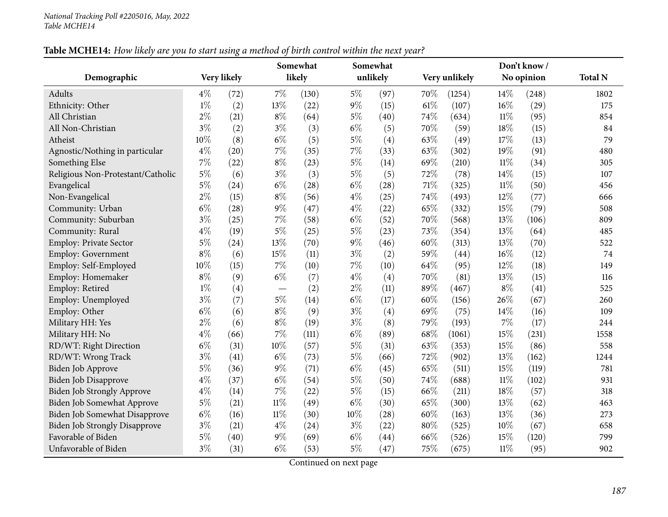| Table MCHE14: How likely are you to start using a method of birth control within the next year? |
|-------------------------------------------------------------------------------------------------|
|-------------------------------------------------------------------------------------------------|

|                                      |       |             |        | Somewhat |       | Somewhat |     |               |        | Don't know / |                |
|--------------------------------------|-------|-------------|--------|----------|-------|----------|-----|---------------|--------|--------------|----------------|
| Demographic                          |       | Very likely |        | likely   |       | unlikely |     | Very unlikely |        | No opinion   | <b>Total N</b> |
| Adults                               | $4\%$ | (72)        | 7%     | (130)    | $5\%$ | (97)     | 70% | (1254)        | 14%    | (248)        | 1802           |
| Ethnicity: Other                     | $1\%$ | (2)         | 13%    | (22)     | $9\%$ | (15)     | 61% | (107)         | 16%    | (29)         | 175            |
| All Christian                        | $2\%$ | (21)        | $8\%$  | (64)     | $5\%$ | (40)     | 74% | (634)         | $11\%$ | (95)         | 854            |
| All Non-Christian                    | $3\%$ | (2)         | $3\%$  | (3)      | $6\%$ | (5)      | 70% | (59)          | 18%    | (15)         | 84             |
| Atheist                              | 10%   | (8)         | $6\%$  | (5)      | $5\%$ | (4)      | 63% | (49)          | 17%    | (13)         | 79             |
| Agnostic/Nothing in particular       | $4\%$ | (20)        | $7\%$  | (35)     | $7\%$ | (33)     | 63% | (302)         | 19%    | (91)         | 480            |
| Something Else                       | $7\%$ | (22)        | $8\%$  | (23)     | $5\%$ | (14)     | 69% | (210)         | $11\%$ | (34)         | 305            |
| Religious Non-Protestant/Catholic    | $5\%$ | (6)         | $3\%$  | (3)      | $5\%$ | (5)      | 72% | (78)          | 14%    | (15)         | 107            |
| Evangelical                          | $5\%$ | (24)        | $6\%$  | (28)     | $6\%$ | (28)     | 71% | (325)         | $11\%$ | (50)         | 456            |
| Non-Evangelical                      | $2\%$ | (15)        | $8\%$  | (56)     | $4\%$ | (25)     | 74% | (493)         | 12%    | (77)         | 666            |
| Community: Urban                     | $6\%$ | (28)        | $9\%$  | (47)     | $4\%$ | (22)     | 65% | (332)         | 15%    | (79)         | 508            |
| Community: Suburban                  | $3\%$ | (25)        | $7\%$  | (58)     | $6\%$ | (52)     | 70% | (568)         | 13%    | (106)        | 809            |
| Community: Rural                     | $4\%$ | (19)        | $5\%$  | (25)     | $5\%$ | (23)     | 73% | (354)         | 13%    | (64)         | 485            |
| <b>Employ: Private Sector</b>        | $5\%$ | (24)        | 13%    | (70)     | $9\%$ | (46)     | 60% | (313)         | 13%    | (70)         | 522            |
| Employ: Government                   | $8\%$ | (6)         | 15%    | (11)     | $3\%$ | (2)      | 59% | (44)          | 16%    | (12)         | 74             |
| Employ: Self-Employed                | 10%   | (15)        | 7%     | (10)     | 7%    | (10)     | 64% | (95)          | 12%    | (18)         | 149            |
| Employ: Homemaker                    | $8\%$ | (9)         | $6\%$  | (7)      | $4\%$ | (4)      | 70% | (81)          | 13%    | (15)         | 116            |
| Employ: Retired                      | $1\%$ | (4)         |        | (2)      | $2\%$ | (11)     | 89% | (467)         | $8\%$  | (41)         | 525            |
| Employ: Unemployed                   | $3\%$ | (7)         | $5\%$  | (14)     | $6\%$ | (17)     | 60% | (156)         | 26%    | (67)         | 260            |
| Employ: Other                        | $6\%$ | (6)         | $8\%$  | (9)      | $3\%$ | (4)      | 69% | (75)          | 14%    | (16)         | 109            |
| Military HH: Yes                     | $2\%$ | (6)         | $8\%$  | (19)     | $3\%$ | (8)      | 79% | (193)         | $7\%$  | (17)         | 244            |
| Military HH: No                      | $4\%$ | (66)        | 7%     | (111)    | $6\%$ | (89)     | 68% | (1061)        | $15\%$ | (231)        | 1558           |
| RD/WT: Right Direction               | $6\%$ | (31)        | 10%    | (57)     | $5\%$ | (31)     | 63% | (353)         | 15%    | (86)         | 558            |
| RD/WT: Wrong Track                   | $3\%$ | (41)        | $6\%$  | (73)     | $5\%$ | (66)     | 72% | (902)         | 13%    | (162)        | 1244           |
| Biden Job Approve                    | $5\%$ | (36)        | $9\%$  | (71)     | $6\%$ | (45)     | 65% | (511)         | 15%    | (119)        | 781            |
| Biden Job Disapprove                 | $4\%$ | (37)        | $6\%$  | (54)     | $5\%$ | (50)     | 74% | (688)         | $11\%$ | (102)        | 931            |
| <b>Biden Job Strongly Approve</b>    | $4\%$ | (14)        | 7%     | (22)     | $5\%$ | (15)     | 66% | (211)         | 18%    | (57)         | 318            |
| <b>Biden Job Somewhat Approve</b>    | $5\%$ | (21)        | $11\%$ | (49)     | $6\%$ | (30)     | 65% | (300)         | 13%    | (62)         | 463            |
| <b>Biden Job Somewhat Disapprove</b> | $6\%$ | (16)        | $11\%$ | (30)     | 10%   | (28)     | 60% | (163)         | 13%    | (36)         | 273            |
| <b>Biden Job Strongly Disapprove</b> | $3\%$ | (21)        | $4\%$  | (24)     | $3\%$ | (22)     | 80% | (525)         | 10%    | (67)         | 658            |
| Favorable of Biden                   | $5\%$ | (40)        | $9\%$  | (69)     | $6\%$ | (44)     | 66% | (526)         | 15%    | (120)        | 799            |
| Unfavorable of Biden                 | $3\%$ | (31)        | $6\%$  | (53)     | $5\%$ | (47)     | 75% | (675)         | $11\%$ | (95)         | 902            |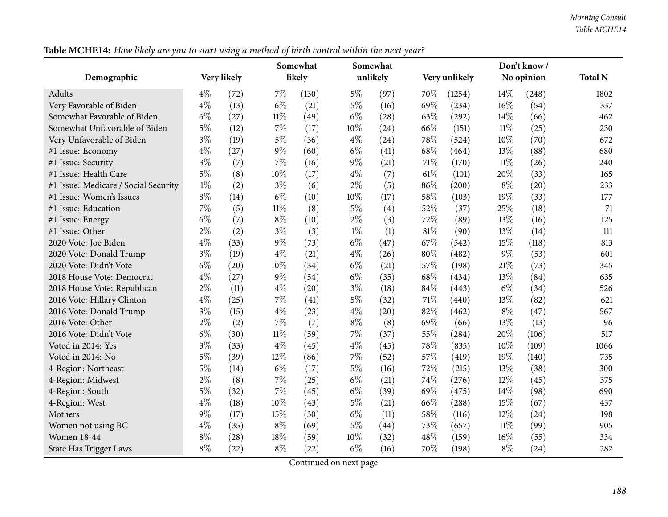| Table MCHE14: How likely are you to start using a method of birth control within the next year? |
|-------------------------------------------------------------------------------------------------|
|-------------------------------------------------------------------------------------------------|

|                                      |       | o           |        | Somewhat |        | Somewhat |     |               |        | Don't know / |                |
|--------------------------------------|-------|-------------|--------|----------|--------|----------|-----|---------------|--------|--------------|----------------|
| Demographic                          |       | Very likely |        | likely   |        | unlikely |     | Very unlikely |        | No opinion   | <b>Total N</b> |
| Adults                               | $4\%$ | (72)        | 7%     | (130)    | $5\%$  | (97)     | 70% | (1254)        | 14\%   | (248)        | 1802           |
| Very Favorable of Biden              | $4\%$ | (13)        | $6\%$  | (21)     | $5\%$  | (16)     | 69% | (234)         | 16%    | (54)         | 337            |
| Somewhat Favorable of Biden          | $6\%$ | (27)        | $11\%$ | (49)     | $6\%$  | (28)     | 63% | (292)         | 14%    | (66)         | 462            |
| Somewhat Unfavorable of Biden        | $5\%$ | (12)        | $7\%$  | (17)     | 10%    | (24)     | 66% | (151)         | $11\%$ | (25)         | 230            |
| Very Unfavorable of Biden            | $3\%$ | (19)        | $5\%$  | (36)     | $4\%$  | (24)     | 78% | (524)         | 10%    | (70)         | 672            |
| #1 Issue: Economy                    | $4\%$ | (27)        | $9\%$  | (60)     | $6\%$  | (41)     | 68% | (464)         | 13%    | (88)         | 680            |
| #1 Issue: Security                   | $3\%$ | (7)         | $7\%$  | (16)     | $9\%$  | (21)     | 71% | (170)         | $11\%$ | (26)         | 240            |
| #1 Issue: Health Care                | $5\%$ | (8)         | 10%    | (17)     | $4\%$  | (7)      | 61% | (101)         | 20%    | (33)         | 165            |
| #1 Issue: Medicare / Social Security | $1\%$ | (2)         | $3\%$  | (6)      | $2\%$  | (5)      | 86% | (200)         | $8\%$  | (20)         | 233            |
| #1 Issue: Women's Issues             | $8\%$ | (14)        | $6\%$  | (10)     | $10\%$ | (17)     | 58% | (103)         | 19%    | (33)         | 177            |
| #1 Issue: Education                  | $7\%$ | (5)         | $11\%$ | (8)      | $5\%$  | (4)      | 52% | (37)          | 25%    | (18)         | 71             |
| #1 Issue: Energy                     | $6\%$ | (7)         | $8\%$  | (10)     | $2\%$  | (3)      | 72% | (89)          | 13%    | (16)         | 125            |
| #1 Issue: Other                      | $2\%$ | (2)         | $3\%$  | (3)      | $1\%$  | (1)      | 81% | (90)          | 13%    | (14)         | 111            |
| 2020 Vote: Joe Biden                 | $4\%$ | (33)        | $9\%$  | (73)     | $6\%$  | (47)     | 67% | (542)         | 15%    | (118)        | 813            |
| 2020 Vote: Donald Trump              | $3\%$ | (19)        | $4\%$  | (21)     | $4\%$  | (26)     | 80% | (482)         | $9\%$  | (53)         | 601            |
| 2020 Vote: Didn't Vote               | $6\%$ | (20)        | 10%    | (34)     | $6\%$  | (21)     | 57% | (198)         | 21\%   | (73)         | 345            |
| 2018 House Vote: Democrat            | $4\%$ | (27)        | $9\%$  | (54)     | $6\%$  | (35)     | 68% | (434)         | 13%    | (84)         | 635            |
| 2018 House Vote: Republican          | $2\%$ | (11)        | $4\%$  | (20)     | $3\%$  | (18)     | 84% | (443)         | $6\%$  | (34)         | 526            |
| 2016 Vote: Hillary Clinton           | $4\%$ | (25)        | $7\%$  | (41)     | $5\%$  | (32)     | 71% | (440)         | 13%    | (82)         | 621            |
| 2016 Vote: Donald Trump              | $3\%$ | (15)        | $4\%$  | (23)     | $4\%$  | (20)     | 82% | (462)         | $8\%$  | (47)         | 567            |
| 2016 Vote: Other                     | $2\%$ | (2)         | $7\%$  | (7)      | $8\%$  | (8)      | 69% | (66)          | 13%    | (13)         | 96             |
| 2016 Vote: Didn't Vote               | $6\%$ | (30)        | $11\%$ | (59)     | $7\%$  | (37)     | 55% | (284)         | 20%    | (106)        | 517            |
| Voted in 2014: Yes                   | $3\%$ | (33)        | $4\%$  | (45)     | $4\%$  | (45)     | 78% | (835)         | 10%    | (109)        | 1066           |
| Voted in 2014: No                    | $5\%$ | (39)        | 12%    | (86)     | $7\%$  | (52)     | 57% | (419)         | 19%    | (140)        | 735            |
| 4-Region: Northeast                  | $5\%$ | (14)        | $6\%$  | (17)     | $5\%$  | (16)     | 72% | (215)         | 13%    | (38)         | 300            |
| 4-Region: Midwest                    | $2\%$ | (8)         | $7\%$  | (25)     | $6\%$  | (21)     | 74% | (276)         | 12%    | (45)         | 375            |
| 4-Region: South                      | $5\%$ | (32)        | $7\%$  | (45)     | $6\%$  | (39)     | 69% | (475)         | 14%    | (98)         | 690            |
| 4-Region: West                       | $4\%$ | (18)        | $10\%$ | (43)     | $5\%$  | (21)     | 66% | (288)         | 15%    | (67)         | 437            |
| Mothers                              | $9\%$ | (17)        | 15%    | (30)     | $6\%$  | (11)     | 58% | (116)         | 12%    | (24)         | 198            |
| Women not using BC                   | $4\%$ | (35)        | $8\%$  | (69)     | $5\%$  | (44)     | 73% | (657)         | $11\%$ | (99)         | 905            |
| <b>Women 18-44</b>                   | $8\%$ | (28)        | 18%    | (59)     | 10%    | (32)     | 48% | (159)         | 16%    | (55)         | 334            |
| State Has Trigger Laws               | $8\%$ | (22)        | $8\%$  | (22)     | $6\%$  | (16)     | 70% | (198)         | $8\%$  | (24)         | 282            |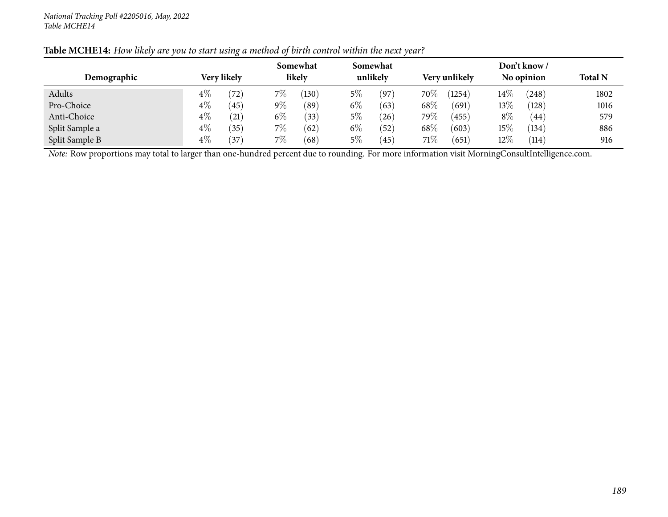|                | Somewhat<br>Somewhat |               |       |             |       |           |               | Don't know / |        |            |                |
|----------------|----------------------|---------------|-------|-------------|-------|-----------|---------------|--------------|--------|------------|----------------|
| Demographic    |                      | Very likely   |       | likely      |       | unlikely  | Very unlikely |              |        | No opinion | <b>Total N</b> |
| Adults         | $4\%$                | $^{\prime}72$ | $7\%$ | $130^\circ$ | 5%    | (97)      | 70\%          | (1254)       | $14\%$ | $^{'}248)$ | 1802           |
| Pro-Choice     | 4%                   | (45)          | $9\%$ | (89)        | $6\%$ | (63)      | 68\%          | (691)        | $13\%$ | (128)      | 1016           |
| Anti-Choice    | $4\%$                | (21)          | $6\%$ | (33)        | $5\%$ | (26)      | 79 $\%$       | (455)        | $8\%$  | (44)       | 579            |
| Split Sample a | $4\%$                | (35)          | 7%    | (62)        | $6\%$ | (52)      | 68\%          | (603)        | $15\%$ | (134)      | 886            |
| Split Sample B | $4\%$                | 37            | $7\%$ | (68)        | $5\%$ | $^{(45)}$ | 71\%          | (651)        | $12\%$ | (114)      | 916            |

#### Table MCHE14: How likely are you to start using a method of birth control within the next year?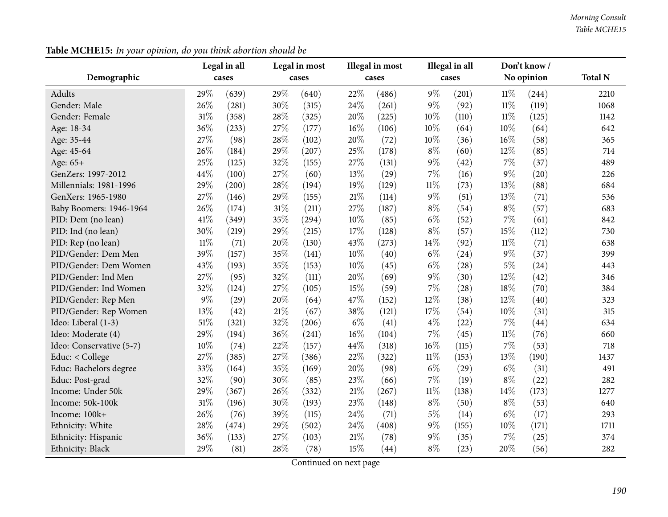| Demographic              |        | Legal in all<br>cases |        | Legal in most<br>cases |       | Illegal in most<br>cases |        | Illegal in all<br>cases |        | Don't know /<br>No opinion | <b>Total N</b> |
|--------------------------|--------|-----------------------|--------|------------------------|-------|--------------------------|--------|-------------------------|--------|----------------------------|----------------|
| Adults                   | 29%    | (639)                 | 29%    | (640)                  | 22%   | (486)                    | 9%     | (201)                   | $11\%$ | (244)                      | 2210           |
| Gender: Male             | 26%    | (281)                 | 30%    | (315)                  | 24%   | (261)                    | $9\%$  | (92)                    | $11\%$ | (119)                      | 1068           |
| Gender: Female           | 31%    | (358)                 | 28%    | (325)                  | 20%   | (225)                    | 10%    | (110)                   | $11\%$ | (125)                      | 1142           |
| Age: 18-34               | 36%    | (233)                 | 27%    | (177)                  | 16%   | (106)                    | 10%    | (64)                    | $10\%$ | (64)                       | 642            |
| Age: 35-44               | 27%    | (98)                  | 28%    | (102)                  | 20%   | (72)                     | 10%    | (36)                    | $16\%$ | (58)                       | 365            |
| Age: 45-64               | 26%    | (184)                 | 29%    | (207)                  | 25%   | (178)                    | $8\%$  | (60)                    | 12%    | (85)                       | 714            |
| Age: 65+                 | 25%    | (125)                 | 32%    | (155)                  | 27%   | (131)                    | $9\%$  | (42)                    | 7%     | (37)                       | 489            |
| GenZers: 1997-2012       | 44%    | (100)                 | 27%    | (60)                   | 13%   | (29)                     | 7%     | (16)                    | $9\%$  | (20)                       | 226            |
| Millennials: 1981-1996   | 29%    | (200)                 | 28%    | (194)                  | 19%   | (129)                    | $11\%$ | (73)                    | 13%    | (88)                       | 684            |
| GenXers: 1965-1980       | 27%    | (146)                 | 29%    | (155)                  | 21%   | (114)                    | $9\%$  | (51)                    | 13%    | (71)                       | 536            |
| Baby Boomers: 1946-1964  | 26%    | (174)                 | 31%    | (211)                  | 27%   | (187)                    | $8\%$  | (54)                    | $8\%$  | (57)                       | 683            |
| PID: Dem (no lean)       | 41%    | (349)                 | 35%    | (294)                  | 10%   | (85)                     | $6\%$  | (52)                    | $7\%$  | (61)                       | 842            |
| PID: Ind (no lean)       | 30%    | (219)                 | 29%    | (215)                  | 17%   | (128)                    | $8\%$  | (57)                    | 15%    | (112)                      | 730            |
| PID: Rep (no lean)       | $11\%$ | (71)                  | 20%    | (130)                  | 43%   | (273)                    | 14%    | (92)                    | $11\%$ | (71)                       | 638            |
| PID/Gender: Dem Men      | 39%    | (157)                 | 35%    | (141)                  | 10%   | (40)                     | $6\%$  | (24)                    | $9\%$  | (37)                       | 399            |
| PID/Gender: Dem Women    | 43%    | (193)                 | 35%    | (153)                  | 10%   | (45)                     | $6\%$  | (28)                    | $5\%$  | (24)                       | 443            |
| PID/Gender: Ind Men      | 27%    | (95)                  | 32%    | (111)                  | 20%   | (69)                     | $9\%$  | (30)                    | 12%    | (42)                       | 346            |
| PID/Gender: Ind Women    | 32%    | (124)                 | 27%    | (105)                  | 15%   | (59)                     | 7%     | (28)                    | 18%    | (70)                       | 384            |
| PID/Gender: Rep Men      | 9%     | (29)                  | 20%    | (64)                   | 47%   | (152)                    | 12%    | (38)                    | 12%    | (40)                       | 323            |
| PID/Gender: Rep Women    | 13%    | (42)                  | $21\%$ | (67)                   | 38%   | (121)                    | 17%    | (54)                    | $10\%$ | (31)                       | 315            |
| Ideo: Liberal (1-3)      | 51%    | (321)                 | 32%    | (206)                  | $6\%$ | (41)                     | $4\%$  | (22)                    | $7\%$  | (44)                       | 634            |
| Ideo: Moderate (4)       | 29%    | (194)                 | 36%    | (241)                  | 16%   | (104)                    | 7%     | (45)                    | $11\%$ | (76)                       | 660            |
| Ideo: Conservative (5-7) | 10%    | (74)                  | 22%    | (157)                  | 44%   | (318)                    | 16%    | (115)                   | $7\%$  | (53)                       | 718            |
| Educ: < College          | 27%    | (385)                 | 27%    | (386)                  | 22%   | (322)                    | $11\%$ | (153)                   | 13%    | (190)                      | 1437           |
| Educ: Bachelors degree   | 33%    | (164)                 | 35%    | (169)                  | 20%   | (98)                     | $6\%$  | (29)                    | $6\%$  | (31)                       | 491            |
| Educ: Post-grad          | 32%    | (90)                  | 30%    | (85)                   | 23%   | (66)                     | 7%     | (19)                    | $8\%$  | (22)                       | 282            |
| Income: Under 50k        | 29%    | (367)                 | 26%    | (332)                  | 21%   | (267)                    | $11\%$ | (138)                   | 14%    | (173)                      | 1277           |
| Income: 50k-100k         | 31%    | (196)                 | 30%    | (193)                  | 23%   | (148)                    | $8\%$  | (50)                    | $8\%$  | (53)                       | 640            |
| Income: 100k+            | 26%    | (76)                  | 39%    | (115)                  | 24%   | (71)                     | $5\%$  | (14)                    | $6\%$  | (17)                       | 293            |
| Ethnicity: White         | 28%    | (474)                 | 29%    | (502)                  | 24%   | (408)                    | $9\%$  | (155)                   | 10%    | (171)                      | 1711           |
| Ethnicity: Hispanic      | 36%    | (133)                 | 27%    | (103)                  | 21%   | (78)                     | $9\%$  | (35)                    | $7\%$  | (25)                       | 374            |
| Ethnicity: Black         | 29%    | (81)                  | 28%    | (78)                   | 15%   | (44)                     | $8\%$  | (23)                    | 20%    | (56)                       | 282            |

**Table MCHE15:** *In your opinion, do you think abortion should be*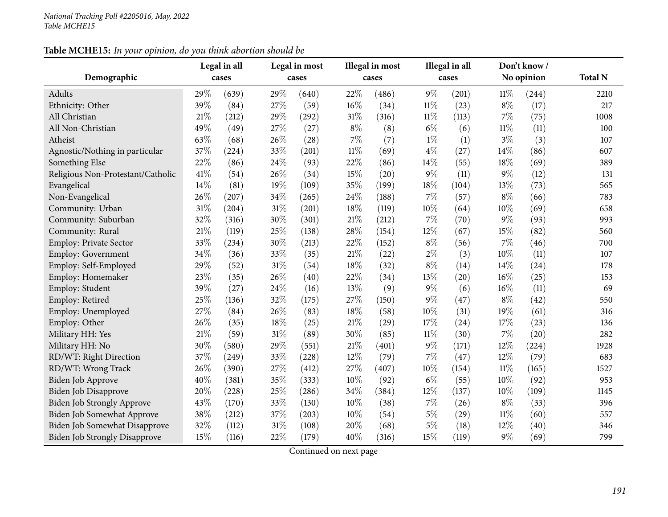## **Table MCHE15:** *In your opinion, do you think abortion should be*

|                                      |      | Legal in all |        | Legal in most |        | Illegal in most |        | Illegal in all |        | Don't know/ |                |
|--------------------------------------|------|--------------|--------|---------------|--------|-----------------|--------|----------------|--------|-------------|----------------|
| Demographic                          |      | cases        |        | cases         |        | cases           |        | cases          |        | No opinion  | <b>Total N</b> |
| Adults                               | 29%  | (639)        | 29%    | (640)         | 22%    | (486)           | $9\%$  | (201)          | $11\%$ | (244)       | 2210           |
| Ethnicity: Other                     | 39%  | (84)         | 27%    | (59)          | $16\%$ | (34)            | $11\%$ | (23)           | $8\%$  | (17)        | 217            |
| All Christian                        | 21%  | (212)        | 29%    | (292)         | $31\%$ | (316)           | $11\%$ | (113)          | $7\%$  | (75)        | 1008           |
| All Non-Christian                    | 49%  | (49)         | 27\%   | (27)          | $8\%$  | (8)             | $6\%$  | (6)            | $11\%$ | (11)        | 100            |
| Atheist                              | 63%  | (68)         | 26%    | (28)          | $7\%$  | (7)             | $1\%$  | (1)            | $3\%$  | (3)         | 107            |
| Agnostic/Nothing in particular       | 37%  | (224)        | 33%    | (201)         | $11\%$ | (69)            | $4\%$  | (27)           | 14%    | (86)        | 607            |
| Something Else                       | 22%  | (86)         | 24%    | (93)          | 22%    | (86)            | 14%    | (55)           | 18%    | (69)        | 389            |
| Religious Non-Protestant/Catholic    | 41\% | (54)         | 26%    | (34)          | 15%    | (20)            | $9\%$  | (11)           | $9\%$  | (12)        | 131            |
| Evangelical                          | 14%  | (81)         | 19%    | (109)         | 35%    | (199)           | 18%    | (104)          | 13%    | (73)        | 565            |
| Non-Evangelical                      | 26%  | (207)        | 34\%   | (265)         | 24%    | (188)           | 7%     | (57)           | $8\%$  | (66)        | 783            |
| Community: Urban                     | 31%  | (204)        | $31\%$ | (201)         | 18%    | (119)           | 10%    | (64)           | 10%    | (69)        | 658            |
| Community: Suburban                  | 32%  | (316)        | 30%    | (301)         | $21\%$ | (212)           | 7%     | (70)           | $9\%$  | (93)        | 993            |
| Community: Rural                     | 21%  | (119)        | 25%    | (138)         | 28\%   | (154)           | 12%    | (67)           | 15%    | (82)        | 560            |
| Employ: Private Sector               | 33%  | (234)        | 30%    | (213)         | 22%    | (152)           | $8\%$  | (56)           | 7%     | (46)        | 700            |
| Employ: Government                   | 34%  | (36)         | 33%    | (35)          | $21\%$ | (22)            | $2\%$  | (3)            | 10%    | (11)        | 107            |
| Employ: Self-Employed                | 29%  | (52)         | $31\%$ | (54)          | $18\%$ | (32)            | $8\%$  | (14)           | 14%    | (24)        | 178            |
| Employ: Homemaker                    | 23%  | (35)         | 26%    | (40)          | 22%    | (34)            | 13%    | (20)           | 16%    | (25)        | 153            |
| Employ: Student                      | 39%  | (27)         | 24\%   | (16)          | 13%    | (9)             | $9\%$  | (6)            | 16%    | (11)        | 69             |
| Employ: Retired                      | 25%  | (136)        | 32%    | (175)         | 27%    | (150)           | 9%     | (47)           | $8\%$  | (42)        | 550            |
| Employ: Unemployed                   | 27%  | (84)         | 26%    | (83)          | 18%    | (58)            | 10%    | (31)           | 19%    | (61)        | 316            |
| Employ: Other                        | 26%  | (35)         | 18%    | (25)          | $21\%$ | (29)            | 17%    | (24)           | 17%    | (23)        | 136            |
| Military HH: Yes                     | 21\% | (59)         | $31\%$ | (89)          | 30%    | (85)            | $11\%$ | (30)           | $7\%$  | (20)        | 282            |
| Military HH: No                      | 30%  | (580)        | 29%    | (551)         | 21%    | (401)           | $9\%$  | (171)          | 12%    | (224)       | 1928           |
| RD/WT: Right Direction               | 37%  | (249)        | 33%    | (228)         | 12%    | (79)            | 7%     | (47)           | 12%    | (79)        | 683            |
| RD/WT: Wrong Track                   | 26%  | (390)        | 27\%   | (412)         | 27%    | (407)           | 10%    | (154)          | $11\%$ | (165)       | 1527           |
| Biden Job Approve                    | 40%  | (381)        | 35%    | (333)         | 10%    | (92)            | $6\%$  | (55)           | 10%    | (92)        | 953            |
| <b>Biden Job Disapprove</b>          | 20%  | (228)        | 25%    | (286)         | 34%    | (384)           | 12%    | (137)          | 10%    | (109)       | 1145           |
| Biden Job Strongly Approve           | 43%  | (170)        | 33%    | (130)         | 10%    | (38)            | 7%     | (26)           | $8\%$  | (33)        | 396            |
| Biden Job Somewhat Approve           | 38%  | (212)        | 37%    | (203)         | 10%    | (54)            | 5%     | (29)           | $11\%$ | (60)        | 557            |
| Biden Job Somewhat Disapprove        | 32%  | (112)        | $31\%$ | (108)         | 20%    | (68)            | 5%     | (18)           | 12%    | (40)        | 346            |
| <b>Biden Job Strongly Disapprove</b> | 15%  | (116)        | 22%    | (179)         | 40%    | (316)           | 15%    | (119)          | $9\%$  | (69)        | 799            |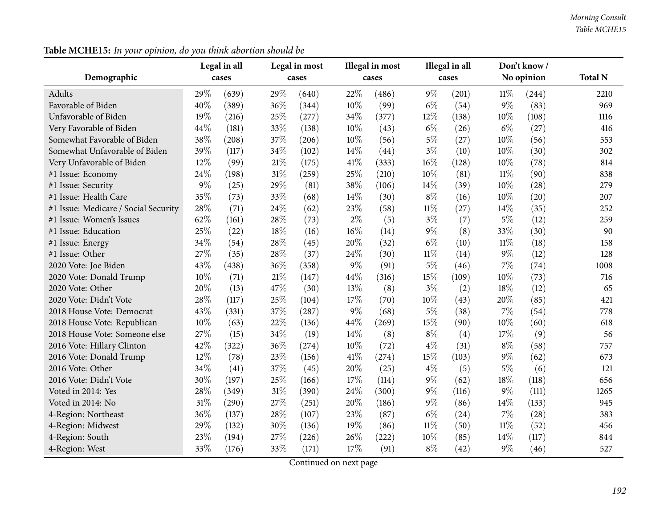|                                      |       | Legal in all |        | Legal in most |        | Illegal in most |        | Illegal in all |        | Don't know/ |                |
|--------------------------------------|-------|--------------|--------|---------------|--------|-----------------|--------|----------------|--------|-------------|----------------|
| Demographic                          |       | cases        |        | cases         |        | cases           |        | cases          |        | No opinion  | <b>Total N</b> |
| Adults                               | 29%   | (639)        | 29%    | (640)         | 22%    | (486)           | $9\%$  | (201)          | $11\%$ | (244)       | 2210           |
| Favorable of Biden                   | 40%   | (389)        | 36%    | (344)         | 10%    | (99)            | $6\%$  | (54)           | 9%     | (83)        | 969            |
| Unfavorable of Biden                 | 19%   | (216)        | 25%    | (277)         | 34%    | (377)           | 12%    | (138)          | 10%    | (108)       | 1116           |
| Very Favorable of Biden              | 44%   | (181)        | 33%    | (138)         | 10%    | (43)            | $6\%$  | (26)           | $6\%$  | (27)        | 416            |
| Somewhat Favorable of Biden          | 38%   | (208)        | 37%    | (206)         | 10%    | (56)            | $5\%$  | (27)           | 10%    | (56)        | 553            |
| Somewhat Unfavorable of Biden        | 39%   | (117)        | 34%    | (102)         | 14\%   | (44)            | $3\%$  | (10)           | 10%    | (30)        | 302            |
| Very Unfavorable of Biden            | 12%   | (99)         | 21%    | (175)         | 41%    | (333)           | $16\%$ | (128)          | 10%    | (78)        | 814            |
| #1 Issue: Economy                    | 24%   | (198)        | $31\%$ | (259)         | 25%    | (210)           | 10%    | (81)           | $11\%$ | (90)        | 838            |
| #1 Issue: Security                   | $9\%$ | (25)         | 29%    | (81)          | 38%    | (106)           | 14%    | (39)           | 10%    | (28)        | 279            |
| #1 Issue: Health Care                | 35%   | (73)         | 33%    | (68)          | 14%    | (30)            | $8\%$  | (16)           | 10%    | (20)        | 207            |
| #1 Issue: Medicare / Social Security | 28%   | (71)         | 24%    | (62)          | 23%    | (58)            | $11\%$ | (27)           | 14%    | (35)        | 252            |
| #1 Issue: Women's Issues             | 62%   | (161)        | 28%    | (73)          | $2\%$  | (5)             | $3\%$  | (7)            | 5%     | (12)        | 259            |
| #1 Issue: Education                  | 25%   | (22)         | 18%    | (16)          | $16\%$ | (14)            | $9\%$  | (8)            | 33%    | (30)        | 90             |
| #1 Issue: Energy                     | 34%   | (54)         | 28%    | (45)          | 20%    | (32)            | $6\%$  | (10)           | $11\%$ | (18)        | 158            |
| #1 Issue: Other                      | 27%   | (35)         | 28%    | (37)          | 24%    | (30)            | $11\%$ | (14)           | 9%     | (12)        | 128            |
| 2020 Vote: Joe Biden                 | 43%   | (438)        | 36%    | (358)         | $9\%$  | (91)            | $5\%$  | (46)           | 7%     | (74)        | 1008           |
| 2020 Vote: Donald Trump              | 10%   | (71)         | $21\%$ | (147)         | 44%    | (316)           | 15%    | (109)          | 10%    | (73)        | 716            |
| 2020 Vote: Other                     | 20%   | (13)         | 47%    | (30)          | 13%    | (8)             | $3\%$  | (2)            | 18%    | (12)        | 65             |
| 2020 Vote: Didn't Vote               | 28%   | (117)        | 25%    | (104)         | 17%    | (70)            | 10%    | (43)           | 20%    | (85)        | 421            |
| 2018 House Vote: Democrat            | 43%   | (331)        | 37%    | (287)         | $9\%$  | (68)            | $5\%$  | (38)           | 7%     | (54)        | 778            |
| 2018 House Vote: Republican          | 10%   | (63)         | 22%    | (136)         | 44%    | (269)           | 15%    | (90)           | 10%    | (60)        | 618            |
| 2018 House Vote: Someone else        | 27%   | (15)         | 34%    | (19)          | 14%    | (8)             | $8\%$  | (4)            | 17%    | (9)         | 56             |
| 2016 Vote: Hillary Clinton           | 42%   | (322)        | 36%    | (274)         | 10%    | (72)            | $4\%$  | (31)           | $8\%$  | (58)        | 757            |
| 2016 Vote: Donald Trump              | 12%   | (78)         | 23%    | (156)         | 41\%   | (274)           | 15%    | (103)          | $9\%$  | (62)        | 673            |
| 2016 Vote: Other                     | 34%   | (41)         | 37%    | (45)          | 20%    | (25)            | $4\%$  | (5)            | $5\%$  | (6)         | 121            |
| 2016 Vote: Didn't Vote               | 30%   | (197)        | 25%    | (166)         | 17%    | (114)           | $9\%$  | (62)           | 18%    | (118)       | 656            |
| Voted in 2014: Yes                   | 28%   | (349)        | 31%    | (390)         | 24%    | (300)           | $9\%$  | (116)          | $9\%$  | (111)       | 1265           |
| Voted in 2014: No                    | 31%   | (290)        | 27%    | (251)         | 20%    | (186)           | $9\%$  | (86)           | 14%    | (133)       | 945            |
| 4-Region: Northeast                  | 36%   | (137)        | 28%    | (107)         | 23%    | (87)            | $6\%$  | (24)           | 7%     | (28)        | 383            |
| 4-Region: Midwest                    | 29%   | (132)        | 30%    | (136)         | 19%    | (86)            | $11\%$ | (50)           | $11\%$ | (52)        | 456            |
| 4-Region: South                      | 23%   | (194)        | 27%    | (226)         | 26%    | (222)           | 10%    | (85)           | 14%    | (117)       | 844            |
| 4-Region: West                       | 33%   | (176)        | 33%    | (171)         | 17%    | (91)            | $8\%$  | (42)           | $9\%$  | (46)        | 527            |

**Table MCHE15:** *In your opinion, do you think abortion should be*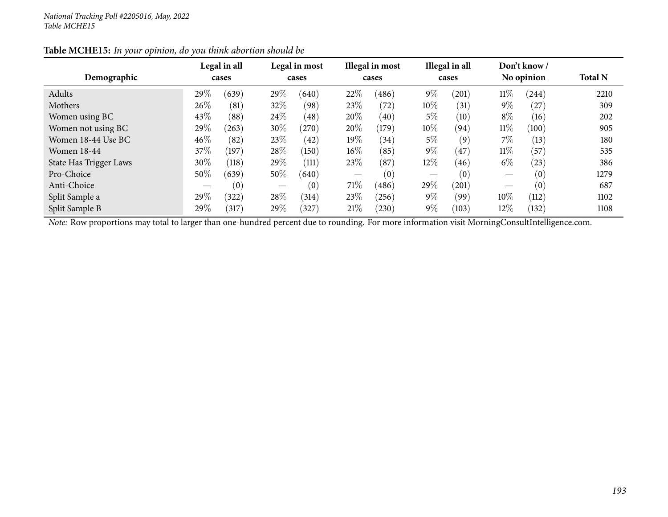|                        |        | Legal in all     |        | Legal in most |        | Illegal in most |        | Illegal in all    |        | Don't know / |                |
|------------------------|--------|------------------|--------|---------------|--------|-----------------|--------|-------------------|--------|--------------|----------------|
| Demographic            |        | cases            |        | cases         |        | cases           |        | cases             |        | No opinion   | <b>Total N</b> |
| Adults                 | 29%    | (639)            | 29\%   | (640)         | 22%    | (486)           | $9\%$  | (201)             | $11\%$ | (244)        | 2210           |
| Mothers                | 26%    | (81)             | 32%    | (98)          | 23%    | (72)            | $10\%$ | (31)              | $9\%$  | (27)         | 309            |
| Women using BC         | 43\%   | (88)             | 24\%   | (48)          | 20%    | (40)            | $5\%$  | $\left(10\right)$ | $8\%$  | (16)         | 202            |
| Women not using BC     | 29%    | (263)            | $30\%$ | (270)         | 20%    | (179)           | $10\%$ | (94)              | $11\%$ | (100)        | 905            |
| Women 18-44 Use BC     | $46\%$ | (82)             | 23\%   | (42)          | $19\%$ | (34)            | $5\%$  | (9)               | $7\%$  | (13)         | 180            |
| Women 18-44            | 37\%   | $^{\prime}$ 197) | 28\%   | (150)         | $16\%$ | (85)            | $9\%$  | (47)              | $11\%$ | (57)         | 535            |
| State Has Trigger Laws | 30%    | (118)            | 29\%   | (111)         | 23%    | (87)            | $12\%$ | (46)              | $6\%$  | (23)         | 386            |
| Pro-Choice             | 50%    | (639)            | $50\%$ | (640)         |        | (0)             | —      | (0)               |        | (0)          | 1279           |
| Anti-Choice            |        | (0)              |        | (0)           | 71\%   | (486)           | 29%    | (201)             |        | (0)          | 687            |
| Split Sample a         | 29%    | (322)            | 28%    | (314)         | 23%    | (256)           | $9\%$  | (99)              | 10%    | (112)        | 1102           |
| Split Sample B         | 29%    | 317              | 29\%   | (327)         | 21%    | (230)           | $9\%$  | (103)             | 12%    | (132)        | 1108           |

## **Table MCHE15:** *In your opinion, do you think abortion should be*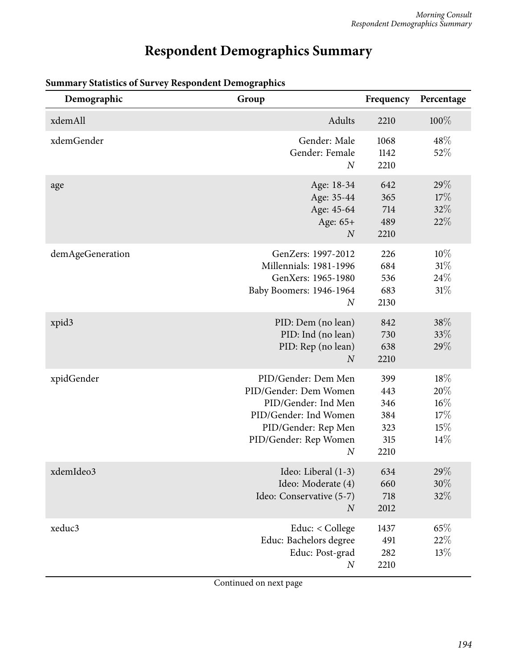# **Respondent Demographics Summary**

| Demographic      | Group                                                                                                                                                            | Frequency                                      | Percentage                                 |
|------------------|------------------------------------------------------------------------------------------------------------------------------------------------------------------|------------------------------------------------|--------------------------------------------|
| xdemAll          | Adults                                                                                                                                                           | 2210                                           | $100\%$                                    |
| xdemGender       | Gender: Male<br>Gender: Female<br>$\boldsymbol{N}$                                                                                                               | 1068<br>1142<br>2210                           | 48%<br>52%                                 |
| age              | Age: 18-34<br>Age: 35-44<br>Age: 45-64<br>Age: 65+<br>$\boldsymbol{N}$                                                                                           | 642<br>365<br>714<br>489<br>2210               | 29\%<br>17%<br>32%<br>22%                  |
| demAgeGeneration | GenZers: 1997-2012<br>Millennials: 1981-1996<br>GenXers: 1965-1980<br>Baby Boomers: 1946-1964<br>$\overline{N}$                                                  | 226<br>684<br>536<br>683<br>2130               | 10%<br>31%<br>24\%<br>31%                  |
| xpid3            | PID: Dem (no lean)<br>PID: Ind (no lean)<br>PID: Rep (no lean)<br>$\overline{N}$                                                                                 | 842<br>730<br>638<br>2210                      | 38%<br>33%<br>29%                          |
| xpidGender       | PID/Gender: Dem Men<br>PID/Gender: Dem Women<br>PID/Gender: Ind Men<br>PID/Gender: Ind Women<br>PID/Gender: Rep Men<br>PID/Gender: Rep Women<br>$\boldsymbol{N}$ | 399<br>443<br>346<br>384<br>323<br>315<br>2210 | 18%<br>20%<br>$16\%$<br>17%<br>15%<br>14\% |
| xdemIdeo3        | Ideo: Liberal (1-3)<br>Ideo: Moderate (4)<br>Ideo: Conservative (5-7)<br>$\boldsymbol{N}$                                                                        | 634<br>660<br>718<br>2012                      | 29%<br>$30\%$<br>32%                       |
| xeduc3           | Educ: < College<br>Educ: Bachelors degree<br>Educ: Post-grad<br>$\boldsymbol{N}$                                                                                 | 1437<br>491<br>282<br>2210                     | 65%<br>22%<br>13%                          |

## **Summary Statistics of Survey Respondent Demographics**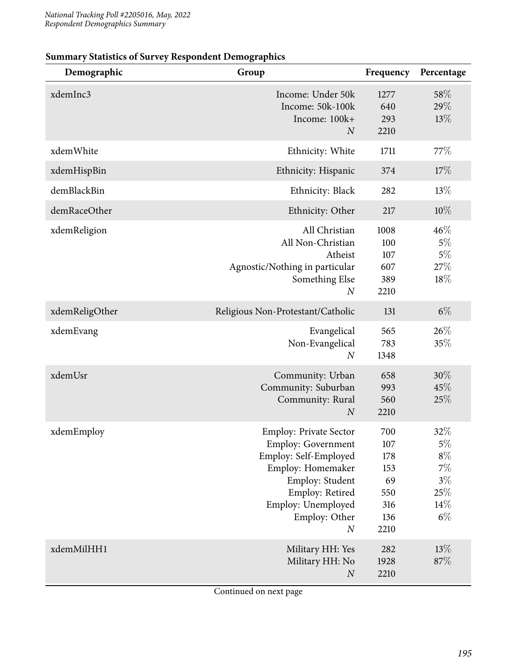| Demographic    | Group                                                                                                                                                                                                     | Frequency                                                   | Percentage                                                     |
|----------------|-----------------------------------------------------------------------------------------------------------------------------------------------------------------------------------------------------------|-------------------------------------------------------------|----------------------------------------------------------------|
| xdemInc3       | Income: Under 50k<br>Income: 50k-100k<br>Income: 100k+<br>$\boldsymbol{N}$                                                                                                                                | 1277<br>640<br>293<br>2210                                  | 58%<br>29%<br>13%                                              |
| xdemWhite      | Ethnicity: White                                                                                                                                                                                          | 1711                                                        | 77\%                                                           |
| xdemHispBin    | Ethnicity: Hispanic                                                                                                                                                                                       | 374                                                         | 17%                                                            |
| demBlackBin    | Ethnicity: Black                                                                                                                                                                                          | 282                                                         | 13%                                                            |
| demRaceOther   | Ethnicity: Other                                                                                                                                                                                          | 217                                                         | 10%                                                            |
| xdemReligion   | All Christian<br>All Non-Christian<br>Atheist<br>Agnostic/Nothing in particular<br>Something Else<br>$\boldsymbol{N}$                                                                                     | 1008<br>100<br>107<br>607<br>389<br>2210                    | 46%<br>$5\%$<br>$5\%$<br>27%<br>18%                            |
| xdemReligOther | Religious Non-Protestant/Catholic                                                                                                                                                                         | 131                                                         | $6\%$                                                          |
| xdemEvang      | Evangelical<br>Non-Evangelical<br>$\boldsymbol{N}$                                                                                                                                                        | 565<br>783<br>1348                                          | 26%<br>35%                                                     |
| xdemUsr        | Community: Urban<br>Community: Suburban<br>Community: Rural<br>$\boldsymbol{N}$                                                                                                                           | 658<br>993<br>560<br>2210                                   | 30%<br>45%<br>25%                                              |
| xdemEmploy     | <b>Employ: Private Sector</b><br><b>Employ: Government</b><br>Employ: Self-Employed<br>Employ: Homemaker<br>Employ: Student<br>Employ: Retired<br>Employ: Unemployed<br>Employ: Other<br>$\boldsymbol{N}$ | 700<br>107<br>178<br>153<br>69<br>550<br>316<br>136<br>2210 | 32%<br>$5\%$<br>$8\%$<br>$7\%$<br>$3\%$<br>25%<br>14%<br>$6\%$ |
| xdemMilHH1     | Military HH: Yes<br>Military HH: No<br>$\cal N$                                                                                                                                                           | 282<br>1928<br>2210                                         | 13%<br>87%                                                     |

#### **Summary Statistics of Survey Respondent Demographics**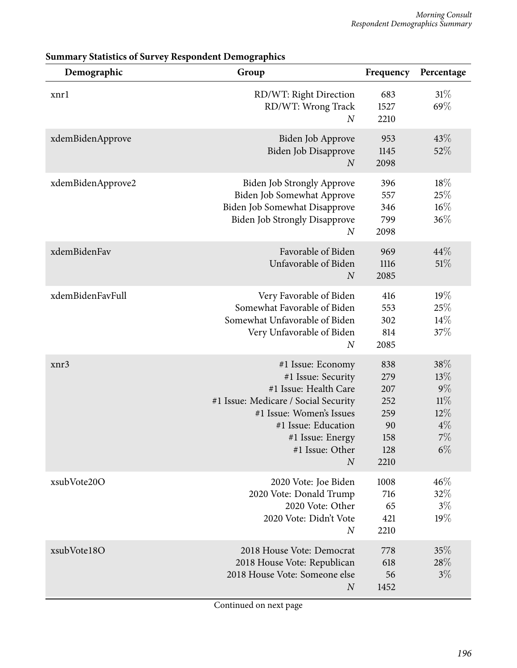| Demographic       | Group                                                                                                                                                                                                                  | Frequency                                                   | Percentage                                                   |
|-------------------|------------------------------------------------------------------------------------------------------------------------------------------------------------------------------------------------------------------------|-------------------------------------------------------------|--------------------------------------------------------------|
| xnrl              | RD/WT: Right Direction<br>RD/WT: Wrong Track<br>$\overline{N}$                                                                                                                                                         | 683<br>1527<br>2210                                         | 31%<br>69%                                                   |
| xdemBidenApprove  | Biden Job Approve<br>Biden Job Disapprove<br>$\boldsymbol{N}$                                                                                                                                                          | 953<br>1145<br>2098                                         | 43\%<br>52%                                                  |
| xdemBidenApprove2 | <b>Biden Job Strongly Approve</b><br>Biden Job Somewhat Approve<br>Biden Job Somewhat Disapprove<br><b>Biden Job Strongly Disapprove</b><br>$\boldsymbol{N}$                                                           | 396<br>557<br>346<br>799<br>2098                            | 18%<br>25%<br>$16\%$<br>36%                                  |
| xdemBidenFav      | Favorable of Biden<br>Unfavorable of Biden<br>$\boldsymbol{N}$                                                                                                                                                         | 969<br>1116<br>2085                                         | 44%<br>51%                                                   |
| xdemBidenFavFull  | Very Favorable of Biden<br>Somewhat Favorable of Biden<br>Somewhat Unfavorable of Biden<br>Very Unfavorable of Biden<br>$\boldsymbol{N}$                                                                               | 416<br>553<br>302<br>814<br>2085                            | 19%<br>25%<br>14\%<br>37%                                    |
| xnr3              | #1 Issue: Economy<br>#1 Issue: Security<br>#1 Issue: Health Care<br>#1 Issue: Medicare / Social Security<br>#1 Issue: Women's Issues<br>#1 Issue: Education<br>#1 Issue: Energy<br>#1 Issue: Other<br>$\boldsymbol{N}$ | 838<br>279<br>207<br>252<br>259<br>90<br>158<br>128<br>2210 | 38%<br>13%<br>$9\%$<br>11%<br>$12\%$<br>$4\%$<br>7%<br>$6\%$ |
| xsubVote20O       | 2020 Vote: Joe Biden<br>2020 Vote: Donald Trump<br>2020 Vote: Other<br>2020 Vote: Didn't Vote<br>$\overline{N}$                                                                                                        | 1008<br>716<br>65<br>421<br>2210                            | 46%<br>32%<br>$3\%$<br>19%                                   |
| xsubVote18O       | 2018 House Vote: Democrat<br>2018 House Vote: Republican<br>2018 House Vote: Someone else<br>$\boldsymbol{N}$                                                                                                          | 778<br>618<br>56<br>1452                                    | 35%<br>28\%<br>$3\%$                                         |

|  |  |  |  |  | <b>Summary Statistics of Survey Respondent Demographics</b> |
|--|--|--|--|--|-------------------------------------------------------------|
|--|--|--|--|--|-------------------------------------------------------------|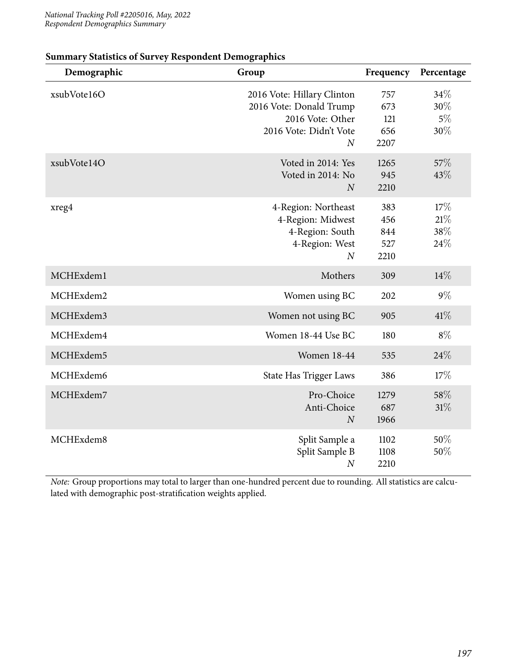| Demographic | Group                                                                                                                 | Frequency                        | Percentage                  |
|-------------|-----------------------------------------------------------------------------------------------------------------------|----------------------------------|-----------------------------|
| xsubVote16O | 2016 Vote: Hillary Clinton<br>2016 Vote: Donald Trump<br>2016 Vote: Other<br>2016 Vote: Didn't Vote<br>$\overline{N}$ | 757<br>673<br>121<br>656<br>2207 | 34\%<br>30%<br>$5\%$<br>30% |
| xsubVote14O | Voted in 2014: Yes<br>Voted in 2014: No<br>$\overline{N}$                                                             | 1265<br>945<br>2210              | 57\%<br>43%                 |
| xreg4       | 4-Region: Northeast<br>4-Region: Midwest<br>4-Region: South<br>4-Region: West<br>$\overline{N}$                       | 383<br>456<br>844<br>527<br>2210 | 17%<br>21%<br>38%<br>24%    |
| MCHExdem1   | Mothers                                                                                                               | 309                              | 14%                         |
| MCHExdem2   | Women using BC                                                                                                        | 202                              | $9\%$                       |
| MCHExdem3   | Women not using BC                                                                                                    | 905                              | 41%                         |
| MCHExdem4   | Women 18-44 Use BC                                                                                                    | 180                              | $8\%$                       |
| MCHExdem5   | <b>Women 18-44</b>                                                                                                    | 535                              | 24%                         |
| MCHExdem6   | State Has Trigger Laws                                                                                                | 386                              | 17%                         |
| MCHExdem7   | Pro-Choice<br>Anti-Choice<br>$\boldsymbol{N}$                                                                         | 1279<br>687<br>1966              | 58%<br>$31\%$               |
| MCHExdem8   | Split Sample a<br>Split Sample B<br>$\boldsymbol{N}$                                                                  | 1102<br>1108<br>2210             | 50%<br>50%                  |

## **Summary Statistics of Survey Respondent Demographics**

*Note:* Group proportions may total to larger than one-hundred percent due to rounding. All statistics are calculated with demographic post-stratification weights applied.